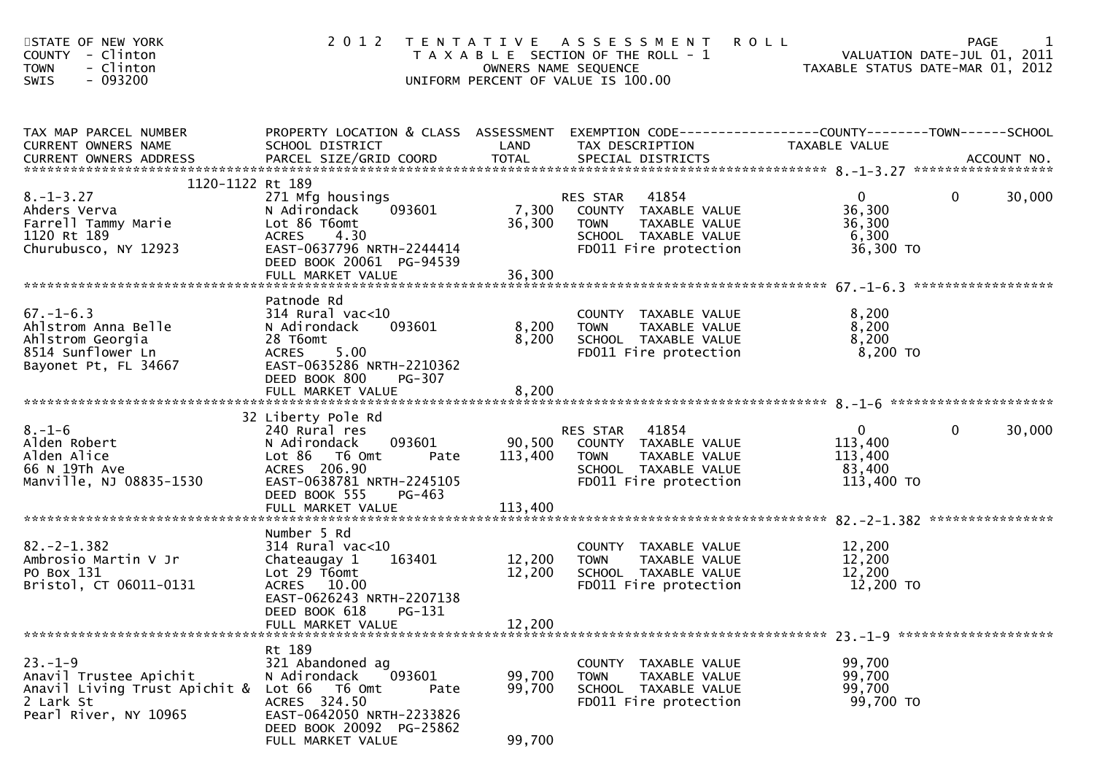| STATE OF NEW YORK<br>COUNTY - Clinton<br>- Clinton<br><b>TOWN</b><br>$-093200$<br><b>SWIS</b>                 |                                                                                                                                                                |                            | 2012 TENTATIVE ASSESSMENT<br>T A X A B L E SECTION OF THE ROLL - 1<br>OWNERS NAME SEQUENCE<br>UNIFORM PERCENT OF VALUE IS 100.00     | <b>ROLL</b><br>VALUATION DATE-JUL 01, 2011<br>TAXABLE STATUS DATE-MAR 01, 2012 | PAGE           |        |
|---------------------------------------------------------------------------------------------------------------|----------------------------------------------------------------------------------------------------------------------------------------------------------------|----------------------------|--------------------------------------------------------------------------------------------------------------------------------------|--------------------------------------------------------------------------------|----------------|--------|
| TAX MAP PARCEL NUMBER<br>CURRENT OWNERS NAME                                                                  | PROPERTY LOCATION & CLASS ASSESSMENT EXEMPTION CODE----------------COUNTY-------TOWN------SCHOOL<br>SCHOOL DISTRICT                                            | LAND                       | TAX DESCRIPTION                                                                                                                      | TAXABLE VALUE                                                                  |                |        |
| 1120-1122 Rt 189                                                                                              |                                                                                                                                                                |                            |                                                                                                                                      |                                                                                |                |        |
| $8. - 1 - 3.27$<br>Ahders Verva<br>Farrell Tammy Marie<br>1120 Rt 189<br>Churubusco, NY 12923                 | 271 Mfg housings<br>093601<br>N Adirondack<br>Lot 86 T6omt<br>4.30<br><b>ACRES</b><br>EAST-0637796 NRTH-2244414<br>DEED BOOK 20061 PG-94539                    | 36,300                     | <b>RES STAR 41854</b><br>7,300 COUNTY TAXABLE VALUE<br>TAXABLE VALUE<br><b>TOWN</b><br>SCHOOL TAXABLE VALUE<br>FD011 Fire protection | $\overline{0}$<br>36,300<br>36,300<br>6,300<br>36,300 TO                       | $\mathbf{0}$   | 30,000 |
|                                                                                                               |                                                                                                                                                                |                            |                                                                                                                                      |                                                                                |                |        |
| $67. - 1 - 6.3$<br>Ahlstrom Anna Belle<br>Ahlstrom Georgia<br>8514 Sunflower Ln<br>Bayonet Pt, FL 34667       | Patnode Rd<br>$314$ Rural vac<10<br>093601<br>N Adirondack<br>28 T6omt<br><b>ACRES</b><br>5.00<br>EAST-0635286 NRTH-2210362<br>DEED BOOK 800<br>PG-307         | 8,200<br>8,200             | COUNTY TAXABLE VALUE<br>TAXABLE VALUE<br><b>TOWN</b><br>SCHOOL TAXABLE VALUE<br>FD011 Fire protection                                | 8,200<br>8,200<br>8,200<br>8,200 TO                                            |                |        |
|                                                                                                               |                                                                                                                                                                |                            |                                                                                                                                      |                                                                                |                |        |
| $8. - 1 - 6$<br>Alden Robert<br>Alden Alice<br>66 N 19Th Ave<br>Manville, NJ 08835-1530                       | 32 Liberty Pole Rd<br>240 Rural res<br>N Adirondack<br>093601<br>Lot 86 T6 Omt<br>Pate<br>ACRES 206.90<br>EAST-0638781 NRTH-2245105<br>DEED BOOK 555<br>PG-463 | 113,400 TOWN               | RES STAR 41854<br>90,500 COUNTY TAXABLE VALUE<br>TAXABLE VALUE<br>SCHOOL TAXABLE VALUE<br>FD011 Fire protection                      | $\mathbf{0}$<br>113,400<br>113,400<br>83,400<br>113,400 TO                     | $\overline{0}$ | 30,000 |
|                                                                                                               | Number 5 Rd                                                                                                                                                    |                            |                                                                                                                                      |                                                                                |                |        |
| $82. -2 - 1.382$<br>Ambrosio Martin V Jr<br>PO Box 131<br>Bristol, CT 06011-0131                              | $314$ Rural vac<10<br>163401<br>Chateaugay 1<br>Lot 29 T6omt<br>ACRES 10.00<br>EAST-0626243 NRTH-2207138<br>PG-131<br>DEED BOOK 618                            | 12,200<br>12,200           | COUNTY TAXABLE VALUE<br><b>TOWN</b><br>TAXABLE VALUE<br>SCHOOL TAXABLE VALUE<br>FD011 Fire protection                                | 12,200<br>12,200<br>12,200<br>12,200 TO                                        |                |        |
|                                                                                                               | FULL MARKET VALUE                                                                                                                                              | 12,200                     |                                                                                                                                      |                                                                                |                |        |
| $23 - 1 - 9$<br>Anavil Trustee Apichit<br>Anavil Living Trust Apichit &<br>2 Lark St<br>Pearl River, NY 10965 | Rt 189<br>321 Abandoned ag<br>093601<br>N Adirondack<br>Lot 66<br>T6 Omt<br>Pate<br>ACRES 324.50<br>EAST-0642050 NRTH-2233826<br>DEED BOOK 20092 PG-25862      | 99,700<br>99,700<br>00.700 | <b>COUNTY</b><br>TAXABLE VALUE<br>TOWN<br>TAXABLE VALUE<br>SCHOOL TAXABLE VALUE<br>FD011 Fire protection                             | 99,700<br>99,700<br>99,700<br>99,700 TO                                        |                |        |

FULL MARKET VALUE 99,700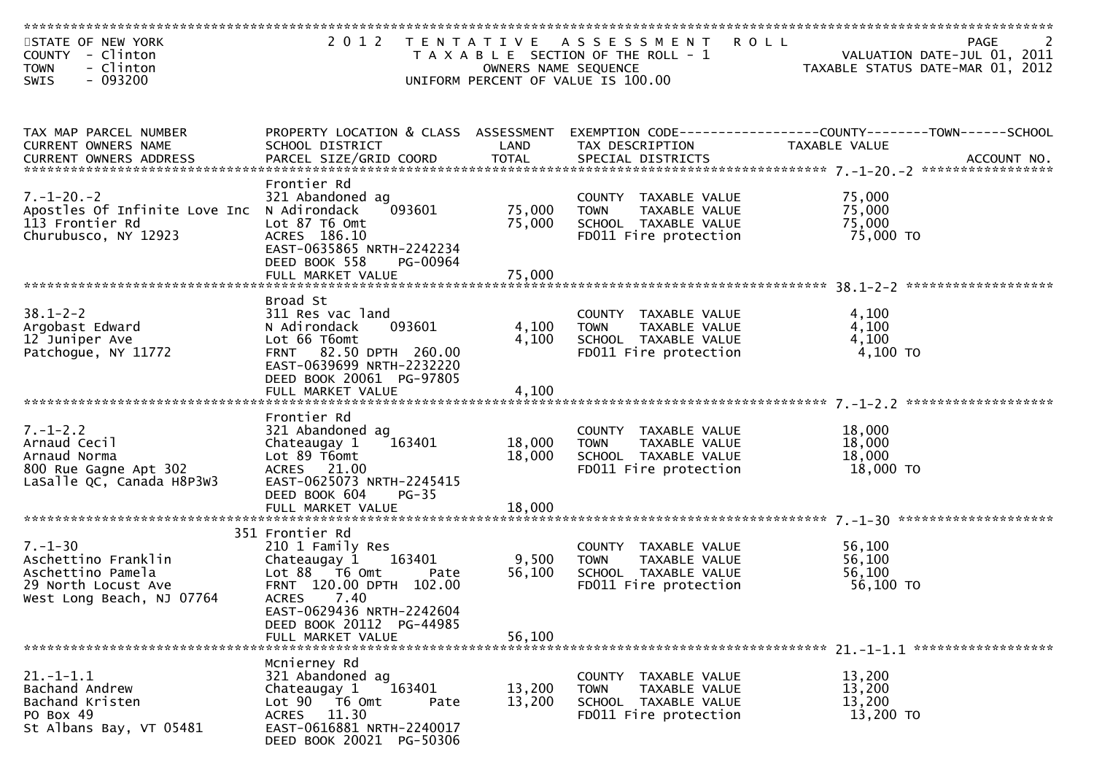| STATE OF NEW YORK<br>COUNTY - Clinton<br>- Clinton<br><b>TOWN</b><br>- 093200<br><b>SWIS</b>                  |                                                                                                                                                                                                                              | OWNERS NAME SEQUENCE      | 2012 TENTATIVE ASSESSMENT<br>T A X A B L E SECTION OF THE ROLL - 1<br>UNIFORM PERCENT OF VALUE IS 100.00 | <b>ROLL</b><br>PAGE<br>VALUATION DATE-JUL 01, 2011<br>TAXABLE STATUS DATE-MAR 01, 2012 |
|---------------------------------------------------------------------------------------------------------------|------------------------------------------------------------------------------------------------------------------------------------------------------------------------------------------------------------------------------|---------------------------|----------------------------------------------------------------------------------------------------------|----------------------------------------------------------------------------------------|
|                                                                                                               |                                                                                                                                                                                                                              |                           |                                                                                                          |                                                                                        |
| TAX MAP PARCEL NUMBER<br>CURRENT OWNERS NAME                                                                  | PROPERTY LOCATION & CLASS ASSESSMENT<br>SCHOOL DISTRICT                                                                                                                                                                      | LAND                      | TAX DESCRIPTION                                                                                          | TAXABLE VALUE                                                                          |
| $7. - 1 - 20. - 2$<br>Apostles Of Infinite Love Inc<br>113 Frontier Rd<br>Churubusco, NY 12923                | Frontier Rd<br>321 Abandoned ag<br>N Adirondack<br>093601<br>Lot 87 T6 Omt<br>ACRES 186.10<br>EAST-0635865 NRTH-2242234<br>DEED BOOK 558<br>PG-00964                                                                         | 75,000<br>75,000          | COUNTY TAXABLE VALUE<br>TAXABLE VALUE<br>TOWN<br>SCHOOL TAXABLE VALUE<br>FD011 Fire protection           | 75,000<br>75,000<br>75,000<br>75,000 TO                                                |
|                                                                                                               |                                                                                                                                                                                                                              |                           |                                                                                                          |                                                                                        |
| $38.1 - 2 - 2$<br>Argobast Edward<br>12 Juniper Ave<br>Patchogue, NY 11772                                    | Broad St<br>311 Res vac land<br>093601<br>N Adirondack<br>Lot 66 T6omt<br>FRNT 82.50 DPTH 260.00<br>EAST-0639699 NRTH-2232220<br>DEED BOOK 20061 PG-97805                                                                    | 4,100<br>4,100            | COUNTY TAXABLE VALUE<br>TAXABLE VALUE<br><b>TOWN</b><br>SCHOOL TAXABLE VALUE<br>FD011 Fire protection    | 4,100<br>4,100<br>4,100<br>4,100 TO                                                    |
|                                                                                                               | Frontier Rd                                                                                                                                                                                                                  |                           |                                                                                                          |                                                                                        |
| $7. - 1 - 2.2$<br>Arnaud Cecil<br>Arnaud Norma<br>800 Rue Gagne Apt 302<br>LaSalle QC, Canada H8P3W3          | 321 Abandoned ag<br>163401<br>Chateaugay 1<br>Lot 89 T6omt<br>ACRES 21.00<br>EAST-0625073 NRTH-2245415<br>DEED BOOK 604<br>$PG-35$                                                                                           | 18,000<br>18,000          | COUNTY TAXABLE VALUE<br>TAXABLE VALUE<br><b>TOWN</b><br>SCHOOL TAXABLE VALUE<br>FD011 Fire protection    | 18,000<br>18,000<br>18,000<br>18,000 TO                                                |
|                                                                                                               |                                                                                                                                                                                                                              |                           |                                                                                                          |                                                                                        |
| $7. - 1 - 30$<br>Aschettino Franklin<br>Aschettino Pamela<br>29 North Locust Ave<br>West Long Beach, NJ 07764 | 351 Frontier Rd<br>210 1 Family Res<br>163401<br>Chateaugay 1<br>Lot $88$ $\overline{76}$ Omt<br>Pate<br>FRNT 120.00 DPTH 102.00<br>ACRES 7.40<br>EAST-0629436 NRTH-2242604<br>DEED BOOK 20112 PG-44985<br>FULL MARKET VALUE | 9,500<br>56,100<br>56,100 | COUNTY TAXABLE VALUE<br><b>TOWN</b><br>TAXABLE VALUE<br>SCHOOL TAXABLE VALUE<br>FD011 Fire protection    | 56,100<br>56,100<br>56,100<br>56,100 TO                                                |
|                                                                                                               |                                                                                                                                                                                                                              |                           |                                                                                                          |                                                                                        |
| $21. - 1 - 1.1$<br>Bachand Andrew<br>Bachand Kristen<br>PO Box 49<br>St Albans Bay, VT 05481                  | Mcnierney Rd<br>321 Abandoned ag<br>163401<br>Chateaugay 1<br>Lot 90 T6 Omt<br>Pate<br>ACRES 11.30<br>EAST-0616881 NRTH-2240017<br>DEED BOOK 20021 PG-50306                                                                  | 13,200<br>13,200          | COUNTY TAXABLE VALUE<br>TAXABLE VALUE<br><b>TOWN</b><br>SCHOOL TAXABLE VALUE<br>FD011 Fire protection    | 13,200<br>13,200<br>13,200<br>13,200 TO                                                |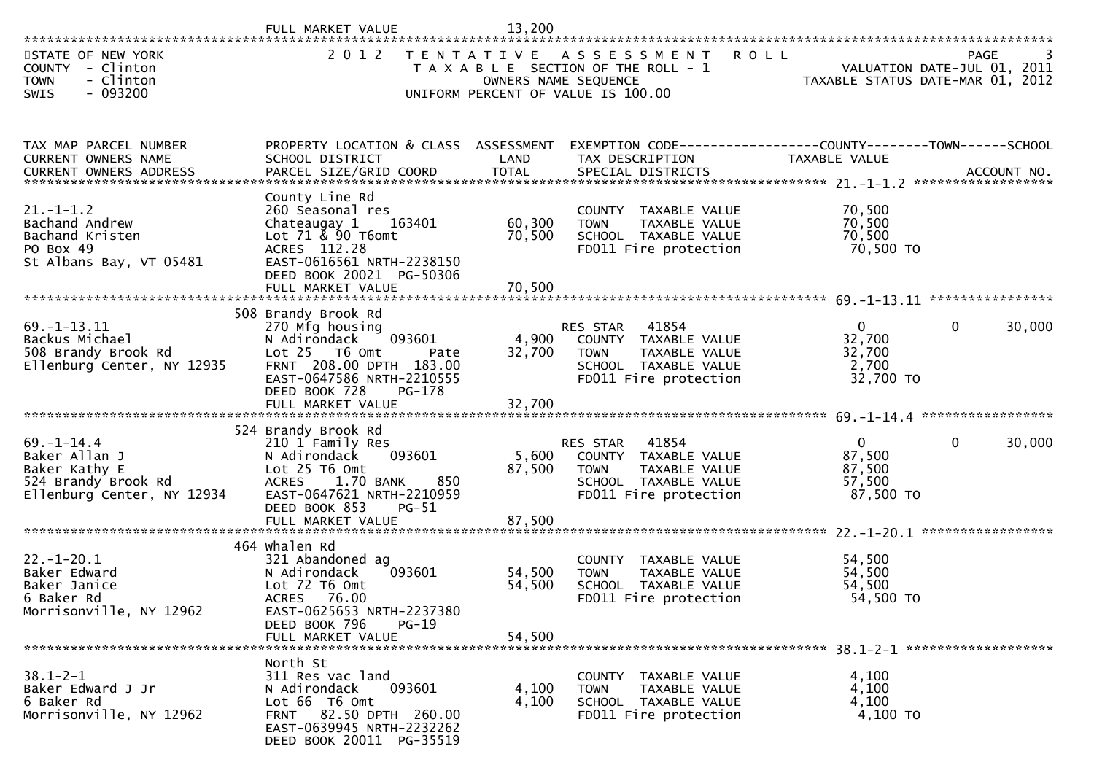|                                                                                                                                                                 | FULL MARKET VALUE                                                                                                                                                                                 | 13,200                     |                                                                                                                            |                                                           |                                                                                |
|-----------------------------------------------------------------------------------------------------------------------------------------------------------------|---------------------------------------------------------------------------------------------------------------------------------------------------------------------------------------------------|----------------------------|----------------------------------------------------------------------------------------------------------------------------|-----------------------------------------------------------|--------------------------------------------------------------------------------|
| STATE OF NEW YORK<br>COUNTY - Clinton<br><b>TOWN</b><br>- Clinton<br>$-093200$<br><b>SWIS</b>                                                                   | 2 0 1 2                                                                                                                                                                                           | OWNERS NAME SEQUENCE       | TENTATIVE ASSESSMENT<br>T A X A B L E SECTION OF THE ROLL - 1<br>UNIFORM PERCENT OF VALUE IS 100.00                        | <b>ROLL</b>                                               | <b>PAGE</b><br>VALUATION DATE-JUL 01, 2011<br>TAXABLE STATUS DATE-MAR 01, 2012 |
| TAX MAP PARCEL NUMBER<br>CURRENT OWNERS NAME<br>.0URRENT OWNERS ADDRESS PARCEL SIZE/GRID COORD TOTAL SPECIAL DISTRICTS ACCOUNT NO ACCOUNT NO ACCOUNT NO ACCOUNT | PROPERTY LOCATION & CLASS ASSESSMENT<br>SCHOOL DISTRICT                                                                                                                                           | LAND                       | EXEMPTION CODE------------------COUNTY--------TOWN------SCHOOL<br>TAX DESCRIPTION                                          | TAXABLE VALUE                                             |                                                                                |
| $21. - 1 - 1.2$<br>Bachand Andrew<br>Bachand Kristen<br>PO Box 49<br>St Albans Bay, VT 05481                                                                    | County Line Rd<br>260 Seasonal res<br>Chateaugay 1<br>163401<br>Lot 71 & 90 T6omt<br>ACRES 112.28<br>EAST-0616561 NRTH-2238150<br>DEED BOOK 20021 PG-50306<br>FULL MARKET VALUE                   | 60,300<br>70,500<br>70,500 | COUNTY TAXABLE VALUE<br>TAXABLE VALUE<br><b>TOWN</b><br>SCHOOL TAXABLE VALUE<br>FD011 Fire protection                      | 70,500<br>70,500<br>70,500<br>70,500 TO                   |                                                                                |
| $69. -1 - 13.11$<br>Backus Michael<br>508 Brandy Brook Rd<br>Ellenburg Center, NY 12935                                                                         | 508 Brandy Brook Rd<br>270 Mfg housing<br>N Adirondack<br>093601<br>Lot 25 T6 Omt<br>Pate<br>FRNT 208.00 DPTH 183.00<br>EAST-0647586 NRTH-2210555<br>DEED BOOK 728<br>PG-178<br>FULL MARKET VALUE | 4,900<br>32,700<br>32,700  | 41854<br>RES STAR<br>COUNTY TAXABLE VALUE<br><b>TOWN</b><br>TAXABLE VALUE<br>SCHOOL TAXABLE VALUE<br>FD011 Fire protection | $\overline{0}$<br>32,700<br>32,700<br>2,700<br>32,700 TO  | $\mathbf{0}$<br>30,000                                                         |
| $69. - 1 - 14.4$<br>Baker Allan J<br>Baker Kathy E<br>524 Brandy Brook Rd<br>Ellenburg Center, NY 12934                                                         | 524 Brandy Brook Rd<br>210 1 Family Res<br>093601<br>N Adirondack<br>Lot 25 T6 Omt<br>ACRES 1.70 BANK<br>850<br>EAST-0647621 NRTH-2210959<br>DEED BOOK 853<br>$PG-51$<br>FULL MARKET VALUE        | 5,600<br>87,500<br>87,500  | RES STAR<br>41854<br>COUNTY TAXABLE VALUE<br><b>TOWN</b><br>TAXABLE VALUE<br>SCHOOL TAXABLE VALUE<br>FD011 Fire protection | $\overline{0}$<br>87,500<br>87,500<br>57,500<br>87,500 TO | 30,000<br>$\mathbf{0}$                                                         |
| $22. - 1 - 20.1$<br>Baker Edward<br>Baker Janice<br>6 Baker Rd<br>Morrisonville, NY 12962                                                                       | 464 Whalen Rd<br>321 Abandoned ag<br>093601<br>N Adirondack<br>Lot 72 T6 Omt<br>ACRES 76.00<br>EAST-0625653 NRTH-2237380<br>DEED BOOK 796<br>PG-19<br>FULL MARKET VALUE                           | 54,500<br>54,500<br>54,500 | COUNTY TAXABLE VALUE<br>TAXABLE VALUE<br><b>TOWN</b><br>SCHOOL TAXABLE VALUE<br>FD011 Fire protection                      | 54,500<br>54,500<br>54,500<br>54,500 TO                   |                                                                                |
| $38.1 - 2 - 1$<br>Baker Edward J Jr<br>6 Baker Rd<br>Morrisonville, NY 12962                                                                                    | North St<br>311 Res vac land<br>N Adirondack<br>093601<br>Lot 66 T6 Omt<br>FRNT 82.50 DPTH 260.00<br>EAST-0639945 NRTH-2232262<br>DEED BOOK 20011 PG-35519                                        | 4,100<br>4,100             | COUNTY TAXABLE VALUE<br>TAXABLE VALUE<br>TOWN<br>SCHOOL TAXABLE VALUE<br>FD011 Fire protection                             | 4,100<br>4,100<br>4,100<br>4,100 TO                       |                                                                                |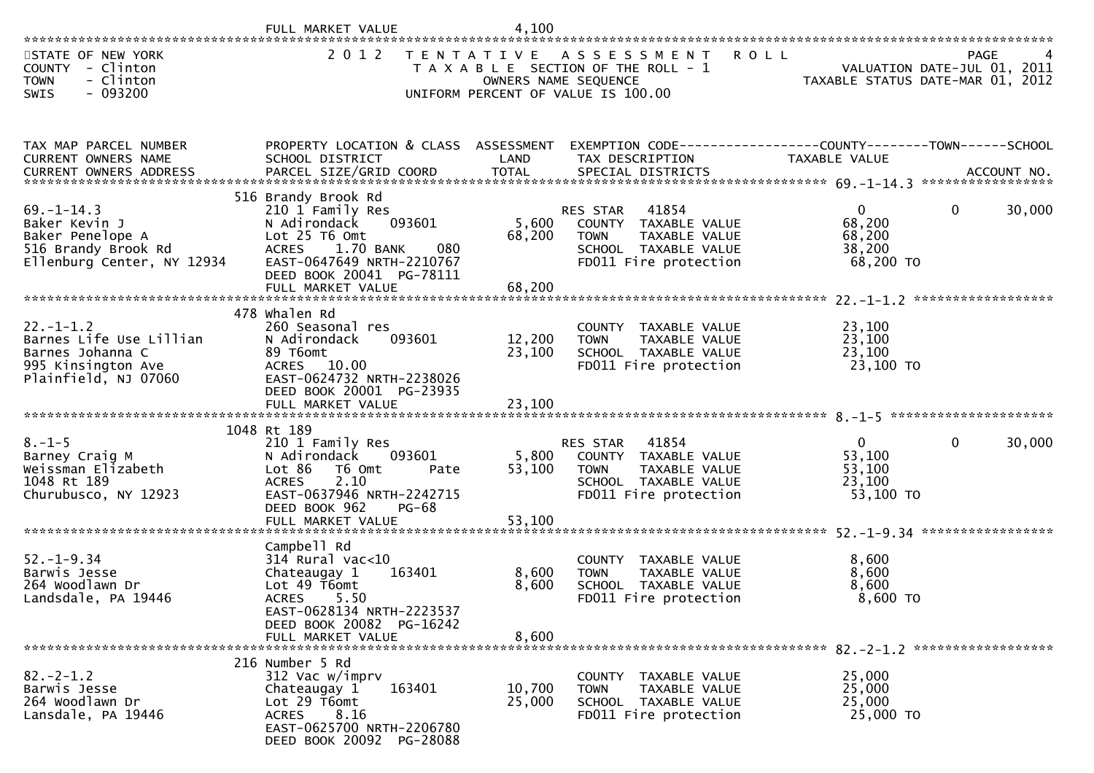| STATE OF NEW YORK<br><b>COUNTY</b><br>- Clinton<br>- Clinton<br><b>TOWN</b><br>- 093200<br><b>SWIS</b>       | 2 0 1 2                                                                                                                                                                                       | OWNERS NAME SEQUENCE       | TENTATIVE ASSESSMENT ROLL<br>T A X A B L E SECTION OF THE ROLL - 1<br>UNIFORM PERCENT OF VALUE IS 100.00                          | TAXABLE STATUS DATE-MAR 01, 2012                          | PAGE<br>4<br>VALUATION DATE-JUL 01, 2011 |
|--------------------------------------------------------------------------------------------------------------|-----------------------------------------------------------------------------------------------------------------------------------------------------------------------------------------------|----------------------------|-----------------------------------------------------------------------------------------------------------------------------------|-----------------------------------------------------------|------------------------------------------|
| TAX MAP PARCEL NUMBER<br>CURRENT OWNERS NAME                                                                 | PROPERTY LOCATION & CLASS ASSESSMENT<br>SCHOOL DISTRICT                                                                                                                                       | LAND                       | EXEMPTION CODE------------------COUNTY--------TOWN------SCHOOL<br>TAX DESCRIPTION                                                 | TAXABLE VALUE                                             |                                          |
| $69. - 1 - 14.3$<br>Baker Kevin J<br>Baker Penelope A<br>516 Brandy Brook Rd<br>Ellenburg Center, NY 12934   | 516 Brandy Brook Rd<br>210 1 Family Res<br>093601<br>N Adirondack<br>Lot 25 T6 Omt<br>080<br>ACRES 1.70 BANK<br>EAST-0647649 NRTH-2210767<br>DEED BOOK 20041 PG-78111<br>FULL MARKET VALUE    | 5,600<br>68,200<br>68,200  | 41854<br><b>RES STAR</b><br>COUNTY TAXABLE VALUE<br>TAXABLE VALUE<br><b>TOWN</b><br>SCHOOL TAXABLE VALUE<br>FD011 Fire protection | $\overline{0}$<br>68,200<br>68,200<br>38,200<br>68,200 TO | $\mathbf{0}$<br>30,000                   |
| $22. - 1 - 1.2$<br>Barnes Life Use Lillian<br>Barnes Johanna C<br>995 Kinsington Ave<br>Plainfield, NJ 07060 | 478 whalen Rd<br>260 Seasonal res<br>093601<br>N Adirondack<br>89 T6omt<br>ACRES 10.00<br>EAST-0624732 NRTH-2238026<br>DEED BOOK 20001 PG-23935<br>FULL MARKET VALUE                          | 12,200<br>23,100<br>23,100 | COUNTY TAXABLE VALUE<br><b>TOWN</b><br>TAXABLE VALUE<br>SCHOOL TAXABLE VALUE<br>FD011 Fire protection                             | 23,100<br>23,100<br>23,100<br>23,100 TO                   |                                          |
|                                                                                                              |                                                                                                                                                                                               |                            |                                                                                                                                   |                                                           |                                          |
| $8. - 1 - 5$<br>Barney Craig M<br>Weissman Elizabeth<br>1048 Rt 189<br>Churubusco, NY 12923                  | 1048 Rt 189<br>210 1 Family Res<br>093601<br>N Adirondack<br>Lot 86 T6 Omt<br>Pate<br>2.10<br><b>ACRES</b><br>EAST-0637946 NRTH-2242715<br>DEED BOOK 962<br><b>PG-68</b><br>FULL MARKET VALUE | 5,800<br>53,100<br>53,100  | 41854<br>RES STAR<br>COUNTY TAXABLE VALUE<br>TAXABLE VALUE<br><b>TOWN</b><br>SCHOOL TAXABLE VALUE<br>FD011 Fire protection        | $\overline{0}$<br>53,100<br>53,100<br>23,100<br>53,100 TO | 30,000<br>$\mathbf{0}$                   |
|                                                                                                              |                                                                                                                                                                                               |                            |                                                                                                                                   |                                                           |                                          |
| $52 - 1 - 9.34$<br>Barwis Jesse<br>264 Woodlawn Dr<br>Landsdale, PA 19446                                    | Campbell Rd<br>$314$ Rural vac<10<br>Chateaugay 1<br>163401<br>Lot 49 T6omt<br>ACRES 5.50<br>EAST-0628134 NRTH-2223537<br>DEED BOOK 20082 PG-16242                                            | 8,600<br>8,600             | COUNTY TAXABLE VALUE<br>TAXABLE VALUE<br><b>TOWN</b><br>SCHOOL TAXABLE VALUE<br>FD011 Fire protection                             | 8,600<br>8,600<br>8,600<br>8,600 TO                       |                                          |
|                                                                                                              | FULL MARKET VALUE                                                                                                                                                                             | 8,600                      |                                                                                                                                   |                                                           |                                          |
| $82 - 2 - 1.2$<br>Barwis Jesse<br>264 Woodlawn Dr<br>Lansdale, PA 19446                                      | 216 Number 5 Rd<br>312 Vac w/imprv<br>Chateaugay 1<br>163401<br>Lot $29$ T6omt<br><b>ACRES</b><br>8.16<br>EAST-0625700 NRTH-2206780<br>DEED BOOK 20092 PG-28088                               | 10,700<br>25,000           | COUNTY TAXABLE VALUE<br>TAXABLE VALUE<br><b>TOWN</b><br>SCHOOL TAXABLE VALUE<br>FD011 Fire protection                             | 25,000<br>25,000<br>25,000<br>25,000 TO                   |                                          |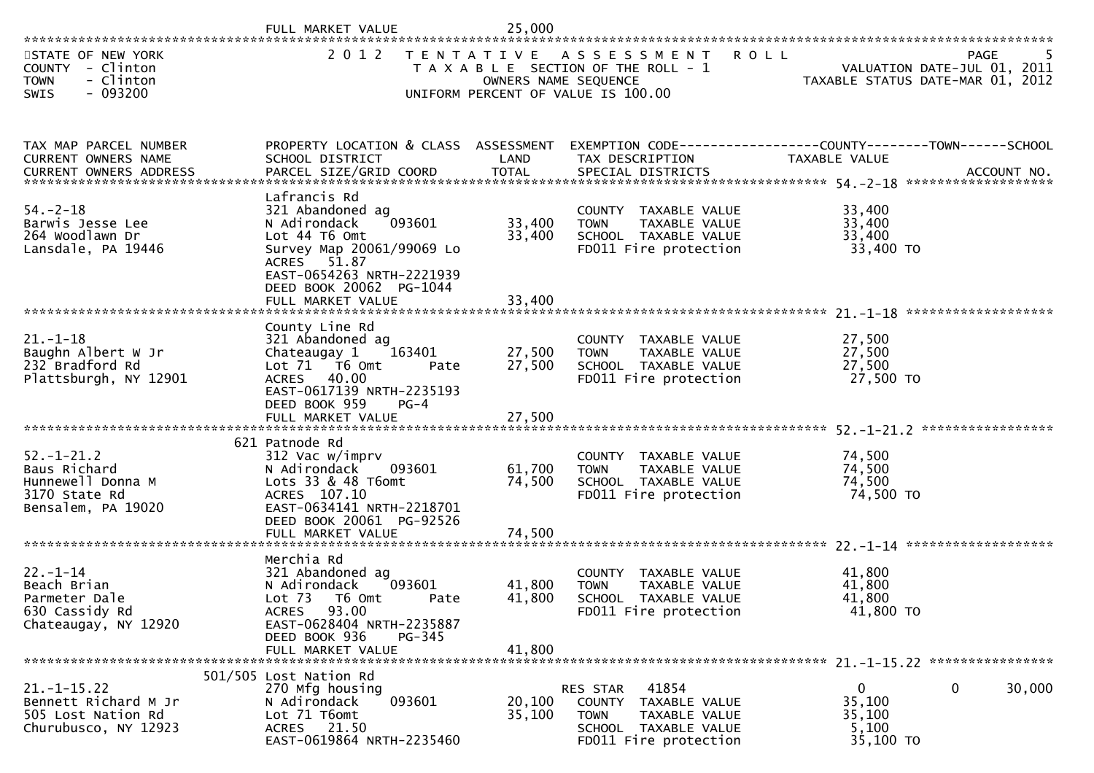|                                                                                              | FULL MARKET VALUE                                                                                                                                                                                    | 25,000                     |                                                                                                                            |                                                          |                                                                                |
|----------------------------------------------------------------------------------------------|------------------------------------------------------------------------------------------------------------------------------------------------------------------------------------------------------|----------------------------|----------------------------------------------------------------------------------------------------------------------------|----------------------------------------------------------|--------------------------------------------------------------------------------|
| STATE OF NEW YORK<br>COUNTY - Clinton<br>- Clinton<br><b>TOWN</b><br>$-093200$<br>SWIS       | 2012                                                                                                                                                                                                 | OWNERS NAME SEQUENCE       | TENTATIVE ASSESSMENT<br><b>ROLL</b><br>T A X A B L E SECTION OF THE ROLL - 1<br>UNIFORM PERCENT OF VALUE IS 100.00         |                                                          | <b>PAGE</b><br>VALUATION DATE-JUL 01, 2011<br>TAXABLE STATUS DATE-MAR 01, 2012 |
| TAX MAP PARCEL NUMBER<br>CURRENT OWNERS NAME                                                 | PROPERTY LOCATION & CLASS ASSESSMENT<br>SCHOOL DISTRICT                                                                                                                                              | LAND                       | TAX DESCRIPTION                                                                                                            | TAXABLE VALUE                                            |                                                                                |
| $54. - 2 - 18$<br>Barwis Jesse Lee<br>264 Woodlawn Dr<br>Lansdale, PA 19446                  | Lafrancis Rd<br>321 Abandoned ag<br>093601<br>N Adirondack<br>Lot 44 T6 Omt<br>Survey Map 20061/99069 Lo<br>ACRES 51.87<br>EAST-0654263 NRTH-2221939<br>DEED BOOK 20062 PG-1044<br>FULL MARKET VALUE | 33,400<br>33,400<br>33,400 | COUNTY TAXABLE VALUE<br><b>TOWN</b><br>TAXABLE VALUE<br>SCHOOL TAXABLE VALUE<br>FD011 Fire protection                      | 33,400<br>33,400<br>33,400<br>33,400 TO                  |                                                                                |
| $21. - 1 - 18$<br>Baughn Albert W Jr<br>232 Bradford Rd<br>Plattsburgh, NY 12901             | County Line Rd<br>321 Abandoned ag<br>Chateaugay 1<br>163401<br>Lot 71 76 0mt<br>Pate<br>ACRES 40.00<br>EAST-0617139 NRTH-2235193<br>DEED BOOK 959<br>$PG-4$                                         | 27,500<br>27,500           | COUNTY TAXABLE VALUE<br><b>TOWN</b><br>TAXABLE VALUE<br>SCHOOL TAXABLE VALUE<br>FD011 Fire protection                      | 27,500<br>27,500<br>27,500<br>27,500 TO                  |                                                                                |
| $52. - 1 - 21.2$<br>Baus Richard<br>Hunnewell Donna M<br>3170 State Rd<br>Bensalem, PA 19020 | 621 Patnode Rd<br>312 Vac w/imprv<br>N Adirondack<br>093601<br>Lots 33 & 48 T6omt<br>ACRES 107.10<br>EAST-0634141 NRTH-2218701<br>DEED BOOK 20061 PG-92526<br>FULL MARKET VALUE                      | 61,700<br>74,500<br>74,500 | COUNTY TAXABLE VALUE<br>TAXABLE VALUE<br><b>TOWN</b><br>SCHOOL TAXABLE VALUE<br>FD011 Fire protection                      | 74,500<br>74,500<br>74,500<br>74,500 TO                  | ****************                                                               |
| $22 - 1 - 14$<br>Beach Brian<br>Parmeter Dale<br>630 Cassidy Rd<br>Chateaugay, NY 12920      | Merchia Rd<br>321 Abandoned ag<br>093601<br>N Adirondack<br>Lot <sub>73</sub><br>T6 Omt<br>Pate<br>ACRES 93.00<br>EAST-0628404 NRTH-2235887<br>DEED BOOK 936<br>PG-345<br>FULL MARKET VALUE          | 41,800<br>41,800<br>41,800 | COUNTY TAXABLE VALUE<br><b>TOWN</b><br>TAXABLE VALUE<br>SCHOOL TAXABLE VALUE<br>FD011 Fire protection                      | 41,800<br>41,800<br>41,800<br>41,800 TO                  |                                                                                |
| $21. - 1 - 15.22$<br>Bennett Richard M Jr<br>505 Lost Nation Rd<br>Churubusco, NY 12923      | 501/505 Lost Nation Rd<br>270 Mfg housing<br>093601<br>N Adirondack<br>Lot 71 T6omt<br>ACRES 21.50<br>EAST-0619864 NRTH-2235460                                                                      | 20,100<br>35,100           | 41854<br>RES STAR<br>COUNTY TAXABLE VALUE<br>TAXABLE VALUE<br><b>TOWN</b><br>SCHOOL TAXABLE VALUE<br>FD011 Fire protection | $\overline{0}$<br>35,100<br>35,100<br>5,100<br>35,100 TO | 30,000<br>0                                                                    |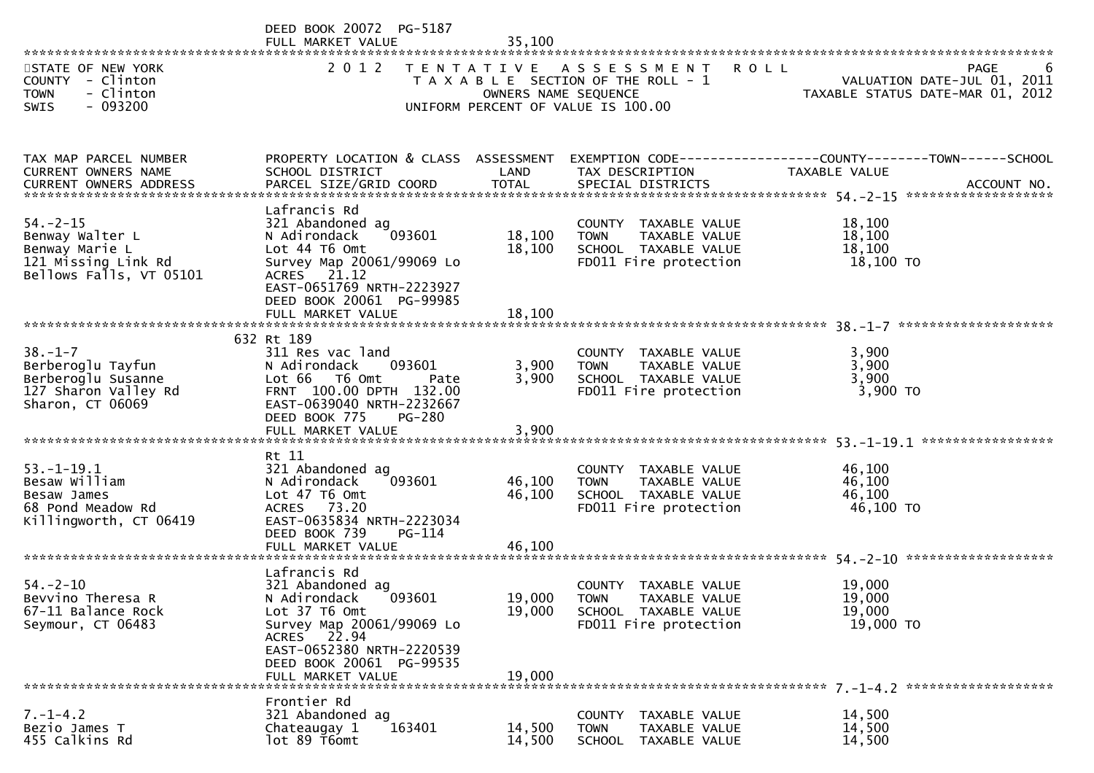|                                                                                                      | DEED BOOK 20072 PG-5187<br>FULL MARKET VALUE                                                                                                                                                          | 35,100                     |                                                                                                                    |                                                                                |
|------------------------------------------------------------------------------------------------------|-------------------------------------------------------------------------------------------------------------------------------------------------------------------------------------------------------|----------------------------|--------------------------------------------------------------------------------------------------------------------|--------------------------------------------------------------------------------|
| STATE OF NEW YORK<br>COUNTY - Clinton<br><b>TOWN</b><br>- Clinton<br>$-093200$<br><b>SWIS</b>        | 2 0 1 2                                                                                                                                                                                               | OWNERS NAME SEQUENCE       | TENTATIVE ASSESSMENT<br><b>ROLL</b><br>T A X A B L E SECTION OF THE ROLL - 1<br>UNIFORM PERCENT OF VALUE IS 100.00 | <b>PAGE</b><br>VALUATION DATE-JUL 01, 2011<br>TAXABLE STATUS DATE-MAR 01, 2012 |
| TAX MAP PARCEL NUMBER<br>CURRENT OWNERS NAME<br>CURRENT OWNERS ADDRESS                               | PROPERTY LOCATION & CLASS ASSESSMENT<br>SCHOOL DISTRICT                                                                                                                                               | LAND                       | TAX DESCRIPTION                                                                                                    | EXEMPTION CODE-----------------COUNTY-------TOWN------SCHOOL<br>TAXABLE VALUE  |
| $54. -2 - 15$<br>Benway Walter L<br>Benway Marie L<br>121 Missing Link Rd<br>Bellows Falls, VT 05101 | Lafrancis Rd<br>321 Abandoned ag<br>093601<br>N Adirondack<br>Lot 44 T6 Omt<br>Survey Map 20061/99069 Lo<br>ACRES 21.12<br>EAST-0651769 NRTH-2223927<br>DEED BOOK 20061 PG-99985<br>FULL MARKET VALUE | 18,100<br>18,100<br>18,100 | COUNTY TAXABLE VALUE<br>TAXABLE VALUE<br><b>TOWN</b><br>SCHOOL TAXABLE VALUE<br>FD011 Fire protection              | 18,100<br>18,100<br>18,100<br>18,100 TO                                        |
|                                                                                                      | 632 Rt 189                                                                                                                                                                                            |                            |                                                                                                                    |                                                                                |
| $38. - 1 - 7$<br>Berberoglu Tayfun<br>Berberoglu Susanne<br>127 Sharon Valley Rd<br>Sharon, CT 06069 | 311 Res vac land<br>093601<br>N Adirondack<br>Lot 66<br>T6 Omt<br>Pate<br>FRNT 100.00 DPTH 132.00<br>EAST-0639040 NRTH-2232667<br>DEED BOOK 775<br><b>PG-280</b><br>FULL MARKET VALUE                 | 3,900<br>3,900<br>3,900    | COUNTY TAXABLE VALUE<br>TAXABLE VALUE<br><b>TOWN</b><br>SCHOOL TAXABLE VALUE<br>FD011 Fire protection              | 3,900<br>3,900<br>3,900<br>3,900 TO                                            |
|                                                                                                      | Rt 11                                                                                                                                                                                                 |                            |                                                                                                                    | ****************                                                               |
| $53. - 1 - 19.1$<br>Besaw William<br>Besaw James<br>68 Pond Meadow Rd<br>Killingworth, CT 06419      | 321 Abandoned ag<br>093601<br>N Adirondack<br>Lot 47 T6 Omt<br>ACRES 73.20<br>EAST-0635834 NRTH-2223034<br>DEED BOOK 739<br>PG-114<br>FULL MARKET VALUE                                               | 46,100<br>46,100<br>46,100 | COUNTY TAXABLE VALUE<br><b>TOWN</b><br>TAXABLE VALUE<br>SCHOOL TAXABLE VALUE<br>FD011 Fire protection              | 46,100<br>46,100<br>46,100<br>46,100 TO                                        |
|                                                                                                      | Lafrancis Rd                                                                                                                                                                                          |                            |                                                                                                                    |                                                                                |
| $54. - 2 - 10$<br>Bevvino Theresa R<br>67-11 Balance Rock<br>Seymour, CT 06483                       | 321 Abandoned ag<br>093601<br>N Adirondack<br>Lot 37 T6 Omt<br>Survey Map 20061/99069 Lo<br>ACRES 22.94<br>EAST-0652380 NRTH-2220539<br>DEED BOOK 20061 PG-99535<br>FULL MARKET VALUE                 | 19,000<br>19,000<br>19,000 | COUNTY TAXABLE VALUE<br><b>TOWN</b><br>TAXABLE VALUE<br>SCHOOL TAXABLE VALUE<br>FD011 Fire protection              | 19,000<br>19,000<br>19,000<br>19,000 TO                                        |
|                                                                                                      | Frontier Rd                                                                                                                                                                                           |                            |                                                                                                                    |                                                                                |
| $7. - 1 - 4.2$<br>Bezio James T<br>455 Calkins Rd                                                    | 321 Abandoned ag<br>Chateaugay 1<br>163401<br>lot 89 T6omt                                                                                                                                            | 14,500<br>14,500           | <b>COUNTY</b><br>TAXABLE VALUE<br><b>TOWN</b><br>TAXABLE VALUE<br><b>SCHOOL</b><br>TAXABLE VALUE                   | 14,500<br>14,500<br>14,500                                                     |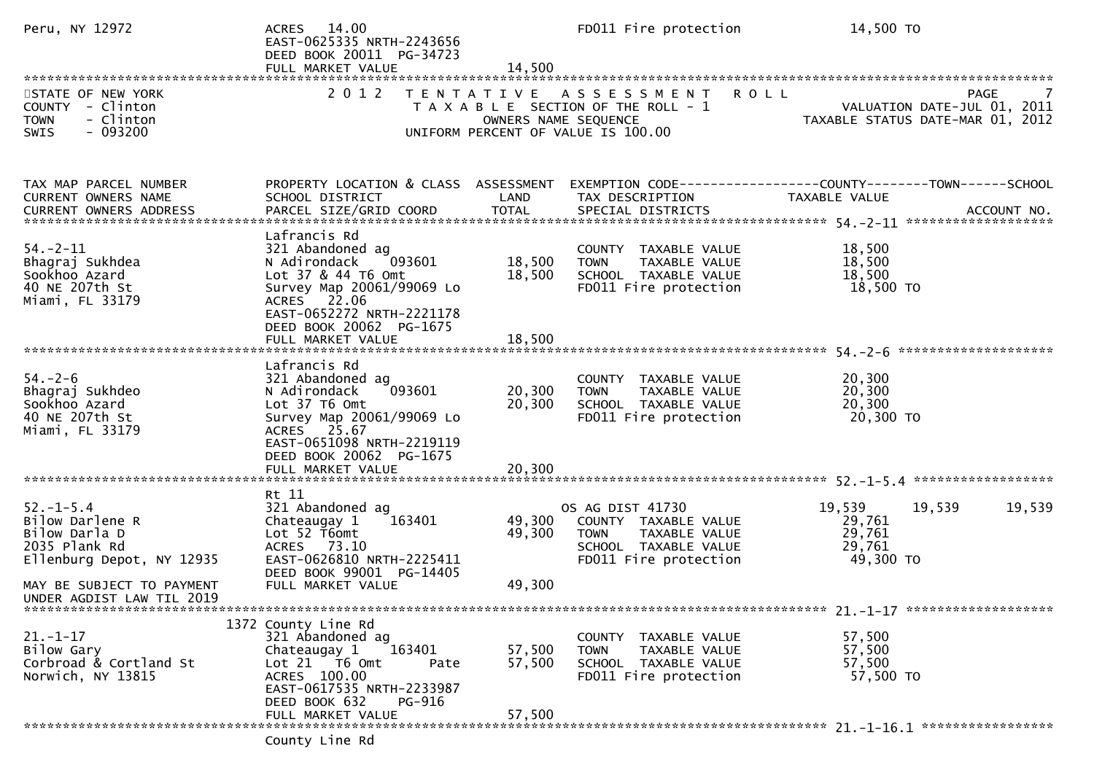| Peru, NY 12972                                                                                                                                              | ACRES 14.00<br>EAST-0625335 NRTH-2243656<br>DEED BOOK 20011 PG-34723<br>FULL MARKET VALUE                                                                                                                 | 14,500                     | FD011 Fire protection                                                                                                     | 14,500 TO                                                                     |
|-------------------------------------------------------------------------------------------------------------------------------------------------------------|-----------------------------------------------------------------------------------------------------------------------------------------------------------------------------------------------------------|----------------------------|---------------------------------------------------------------------------------------------------------------------------|-------------------------------------------------------------------------------|
| STATE OF NEW YORK<br>COUNTY - Clinton<br>- Clinton<br><b>TOWN</b><br>$-093200$<br>SWIS                                                                      | 2 0 1 2                                                                                                                                                                                                   | OWNERS NAME SEQUENCE       | TENTATIVE ASSESSMENT ROLL<br>T A X A B L E SECTION OF THE ROLL - 1<br>UNIFORM PERCENT OF VALUE IS 100.00                  | PAGE<br>VALUATION DATE-JUL 01, 2011<br>TAXABLE STATUS DATE-MAR 01, 2012       |
| TAX MAP PARCEL NUMBER<br>CURRENT OWNERS NAME                                                                                                                | PROPERTY LOCATION & CLASS ASSESSMENT<br>SCHOOL DISTRICT                                                                                                                                                   | LAND                       | TAX DESCRIPTION                                                                                                           | EXEMPTION CODE-----------------COUNTY-------TOWN------SCHOOL<br>TAXABLE VALUE |
| $54. - 2 - 11$<br>Bhagraj Sukhdea<br>Sookhoo Azard<br>40 NE 207th St<br>Miami, FL 33179                                                                     | Lafrancis Rd<br>321 Abandoned ag<br>093601<br>N Adirondack<br>Lot 37 & 44 T6 Omt<br>Survey Map 20061/99069 Lo<br>ACRES 22.06<br>EAST-0652272 NRTH-2221178<br>DEED BOOK 20062 PG-1675                      | 18,500<br>18,500           | COUNTY TAXABLE VALUE<br><b>TOWN</b><br>TAXABLE VALUE<br>SCHOOL TAXABLE VALUE<br>FD011 Fire protection                     | 18,500<br>18,500<br>18,500<br>18,500 TO                                       |
| $54. - 2 - 6$<br>Bhagraj Sukhdeo<br>Sookhoo Azard<br>40 NE 207th St<br>Miami, FL 33179                                                                      | Lafrancis Rd<br>321 Abandoned ag<br>093601<br>N Adirondack<br>Lot 37 T6 Omt<br>Survey Map 20061/99069 Lo<br>ACRES 25.67<br>EAST-0651098 NRTH-2219119<br>DEED BOOK 20062 PG-1675<br>FULL MARKET VALUE      | 20,300<br>20,300<br>20,300 | COUNTY TAXABLE VALUE<br><b>TOWN</b><br>TAXABLE VALUE<br>SCHOOL TAXABLE VALUE<br>FD011 Fire protection                     | 20,300<br>20,300<br>20,300<br>20,300 TO                                       |
| $52. - 1 - 5.4$<br>Bilow Darlene R<br>Bilow Darla D<br>2035 Plank Rd<br>Ellenburg Depot, NY 12935<br>MAY BE SUBJECT TO PAYMENT<br>UNDER AGDIST LAW TIL 2019 | Rt 11<br>321 Abandoned ag<br>Chateaugay 1<br>163401<br>Lot 52 T6omt<br>ACRES 73.10<br>EAST-0626810 NRTH-2225411<br>DEED BOOK 99001 PG-14405<br>FULL MARKET VALUE                                          | 49,300<br>49,300<br>49,300 | OS AG DIST 41730<br>COUNTY TAXABLE VALUE<br><b>TOWN</b><br>TAXABLE VALUE<br>SCHOOL TAXABLE VALUE<br>FD011 Fire protection | 19,539<br>19,539<br>19,539<br>29,761<br>29,761<br>29,761<br>49,300 TO         |
| $21. - 1 - 17$<br>Bilow Gary<br>Corbroad & Cortland St<br>Norwich, NY 13815                                                                                 | 1372 County Line Rd<br>321 Abandoned ag<br>163401<br>Chateaugay 1<br>Lot 21 T6 Omt<br>Pate<br>ACRES 100.00<br>EAST-0617535 NRTH-2233987<br>DEED BOOK 632<br>PG-916<br>FULL MARKET VALUE<br>County Line Rd | 57,500<br>57,500<br>57,500 | COUNTY TAXABLE VALUE<br><b>TOWN</b><br>TAXABLE VALUE<br>SCHOOL TAXABLE VALUE<br>FD011 Fire protection                     | 57,500<br>57,500<br>57,500<br>57,500 TO                                       |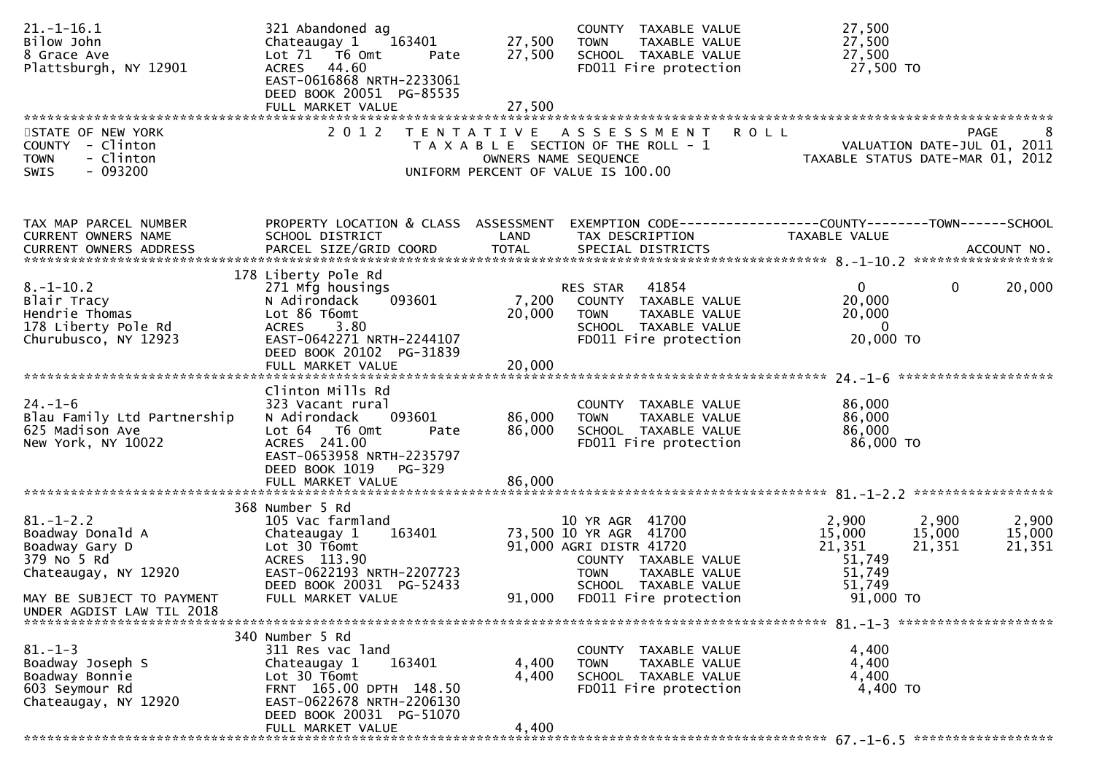| $21. - 1 - 16.1$<br>Bilow John<br>8 Grace Ave<br>Plattsburgh, NY 12901                                                    | 321 Abandoned ag<br>163401<br>Chateaugay 1<br>Lot 71  T6 0mt<br>Pate<br>ACRES 44.60<br>EAST-0616868 NRTH-2233061<br>DEED BOOK 20051 PG-85535<br>FULL MARKET VALUE                       | 27,500<br>27,500<br>27,500 | COUNTY TAXABLE VALUE<br><b>TOWN</b><br>TAXABLE VALUE<br>SCHOOL TAXABLE VALUE<br>FD011 Fire protection                                                                         | 27,500<br>27,500<br>27,500<br>27,500 TO                                                           |                           |
|---------------------------------------------------------------------------------------------------------------------------|-----------------------------------------------------------------------------------------------------------------------------------------------------------------------------------------|----------------------------|-------------------------------------------------------------------------------------------------------------------------------------------------------------------------------|---------------------------------------------------------------------------------------------------|---------------------------|
| STATE OF NEW YORK<br>COUNTY - Clinton<br>- Clinton<br><b>TOWN</b><br>SWIS<br>- 093200                                     | 2 0 1 2                                                                                                                                                                                 | T E N T A T I V E          | A S S E S S M E N T<br>T A X A B L E SECTION OF THE ROLL - 1<br>OWNERS NAME SEQUENCE<br>UNIFORM PERCENT OF VALUE IS 100.00                                                    | <b>ROLL</b><br>VALUATION DATE-JUL 01, 2011<br>TAXABLE STATUS DATE-MAR 01, 2012                    | <b>PAGE</b><br>8          |
| TAX MAP PARCEL NUMBER<br>CURRENT OWNERS NAME                                                                              | PROPERTY LOCATION & CLASS ASSESSMENT<br>SCHOOL DISTRICT                                                                                                                                 | LAND                       | TAX DESCRIPTION                                                                                                                                                               | EXEMPTION CODE------------------COUNTY--------TOWN------SCHOOL<br>TAXABLE VALUE                   |                           |
| $8. - 1 - 10.2$<br>Blair Tracy<br>Hendrie Thomas<br>178 Liberty Pole Rd<br>Churubusco, NY 12923                           | 178 Liberty Pole Rd<br>271 Mfg housings<br>093601<br>N Adirondack<br>Lot 86 T6omt<br>3.80<br><b>ACRES</b><br>EAST-0642271 NRTH-2244107<br>DEED BOOK 20102 PG-31839<br>FULL MARKET VALUE | 7,200<br>20,000<br>20,000  | RES STAR<br>41854<br>COUNTY TAXABLE VALUE<br><b>TOWN</b><br>TAXABLE VALUE<br>SCHOOL TAXABLE VALUE<br>FD011 Fire protection                                                    | $\Omega$<br>$\mathbf{0}$<br>20,000<br>20,000<br>$\overline{0}$<br>20,000 TO                       | 20,000                    |
| $24. - 1 - 6$<br>Blau Family Ltd Partnership<br>625 Madison Ave<br>New York, NY 10022                                     | Clinton Mills Rd<br>323 Vacant rural<br>N Adirondack<br>093601<br>Lot 64  T6 0mt<br>Pate<br>ACRES 241.00<br>EAST-0653958 NRTH-2235797<br>DEED BOOK 1019<br>PG-329                       | 86,000<br>86,000           | COUNTY TAXABLE VALUE<br>TAXABLE VALUE<br><b>TOWN</b><br>SCHOOL TAXABLE VALUE<br>FD011 Fire protection                                                                         | 86,000<br>86,000<br>86,000<br>86,000 TO                                                           |                           |
|                                                                                                                           |                                                                                                                                                                                         |                            |                                                                                                                                                                               |                                                                                                   |                           |
| $81. - 1 - 2.2$<br>Boadway Donald A<br>Boadway Gary D<br>379 No 5 Rd<br>Chateaugay, NY 12920<br>MAY BE SUBJECT TO PAYMENT | 368 Number 5 Rd<br>105 Vac farmland<br>163401<br>Chateaugay 1<br>Lot 30 T6omt<br>ACRES 113.90<br>EAST-0622193 NRTH-2207723<br>DEED BOOK 20031 PG-52433<br>FULL MARKET VALUE             | 91,000                     | 10 YR AGR 41700<br>73,500 10 YR AGR 41700<br>91,000 AGRI DISTR 41720<br>COUNTY TAXABLE VALUE<br>TAXABLE VALUE<br><b>TOWN</b><br>SCHOOL TAXABLE VALUE<br>FD011 Fire protection | 2,900<br>2,900<br>15,000<br>15,000<br>21,351<br>21,351<br>51,749<br>51,749<br>51,749<br>91,000 TO | 2,900<br>15,000<br>21,351 |
| UNDER AGDIST LAW TIL 2018                                                                                                 |                                                                                                                                                                                         |                            |                                                                                                                                                                               |                                                                                                   |                           |
|                                                                                                                           | 340 Number 5 Rd                                                                                                                                                                         |                            |                                                                                                                                                                               |                                                                                                   |                           |
| $81. - 1 - 3$<br>Boadway Joseph S<br>Boadway Bonnie<br>603 Seymour Rd<br>Chateaugay, NY 12920                             | 311 Res vac land<br>163401<br>Chateaugay 1<br>Lot 30 T6omt<br>FRNT 165.00 DPTH 148.50<br>EAST-0622678 NRTH-2206130<br>DEED BOOK 20031 PG-51070                                          | 4,400<br>4,400             | COUNTY TAXABLE VALUE<br><b>TOWN</b><br>TAXABLE VALUE<br>SCHOOL TAXABLE VALUE<br>FD011 Fire protection                                                                         | 4,400<br>4,400<br>4,400<br>4,400 TO                                                               |                           |
|                                                                                                                           | FULL MARKET VALUE                                                                                                                                                                       | 4,400                      |                                                                                                                                                                               |                                                                                                   |                           |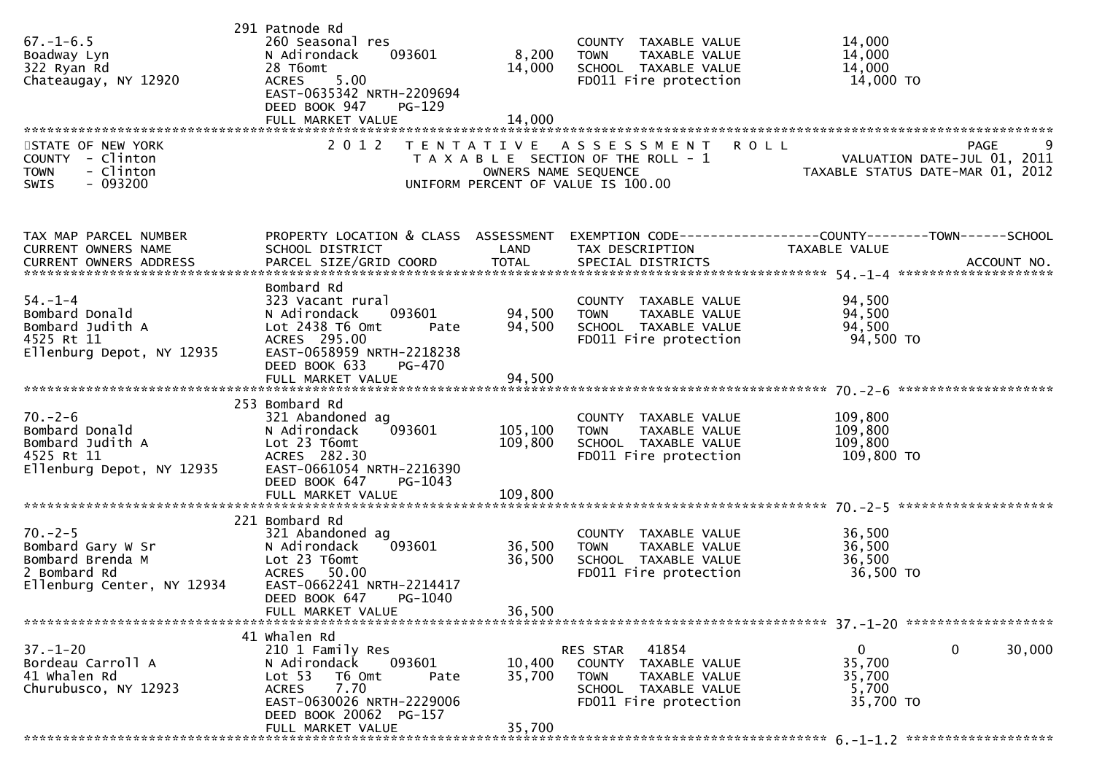| $67. - 1 - 6.5$<br>Boadway Lyn<br>322 Ryan Rd<br>Chateaugay, NY 12920<br>STATE OF NEW YORK<br>COUNTY - Clinton | 291 Patnode Rd<br>260 Seasonal res<br>N Adirondack<br>093601<br>28 T6omt<br>5.00<br><b>ACRES</b><br>EAST-0635342 NRTH-2209694<br>DEED BOOK 947<br>$PG-129$<br>2 0 1 2 | 8,200<br>14,000      | COUNTY TAXABLE VALUE<br><b>TOWN</b><br>TAXABLE VALUE<br>SCHOOL TAXABLE VALUE<br>FD011 Fire protection<br>TENTATIVE ASSESSMENT<br>T A X A B L E SECTION OF THE ROLL - 1 | 14,000<br>14,000<br>14,000<br>14,000 TO<br>9<br><b>ROLL</b><br>PAGE<br>VALUATION DATE-JUL 01, 2011                |
|----------------------------------------------------------------------------------------------------------------|-----------------------------------------------------------------------------------------------------------------------------------------------------------------------|----------------------|------------------------------------------------------------------------------------------------------------------------------------------------------------------------|-------------------------------------------------------------------------------------------------------------------|
| - Clinton<br><b>TOWN</b><br>$-093200$<br><b>SWIS</b>                                                           |                                                                                                                                                                       | OWNERS NAME SEQUENCE | UNIFORM PERCENT OF VALUE IS 100.00                                                                                                                                     | TAXABLE STATUS DATE-MAR 01, 2012                                                                                  |
|                                                                                                                |                                                                                                                                                                       |                      |                                                                                                                                                                        |                                                                                                                   |
| TAX MAP PARCEL NUMBER<br>CURRENT OWNERS NAME                                                                   | SCHOOL DISTRICT                                                                                                                                                       | LAND                 | TAX DESCRIPTION                                                                                                                                                        | PROPERTY LOCATION & CLASS ASSESSMENT EXEMPTION CODE----------------COUNTY-------TOWN------SCHOOL<br>TAXABLE VALUE |
|                                                                                                                |                                                                                                                                                                       |                      |                                                                                                                                                                        |                                                                                                                   |
| $54. - 1 - 4$<br>Bombard Donald<br>Bombard Judith A                                                            | Bombard Rd<br>323 Vacant rural<br>093601<br>N Adirondack<br>Lot 2438 T6 Omt                                                                                           | 94,500<br>94,500     | COUNTY TAXABLE VALUE<br><b>TOWN</b><br>TAXABLE VALUE<br>SCHOOL TAXABLE VALUE                                                                                           | 94,500<br>94,500<br>94,500                                                                                        |
| 4525 Rt 11<br>Ellenburg Depot, NY 12935                                                                        | Pate<br>ACRES 295.00<br>EAST-0658959 NRTH-2218238<br>DEED BOOK 633<br>PG-470                                                                                          |                      | FD011 Fire protection                                                                                                                                                  | 94,500 TO                                                                                                         |
|                                                                                                                | FULL MARKET VALUE                                                                                                                                                     | 94,500               |                                                                                                                                                                        |                                                                                                                   |
|                                                                                                                | 253 Bombard Rd                                                                                                                                                        |                      |                                                                                                                                                                        |                                                                                                                   |
| $70. - 2 - 6$<br>Bombard Donald<br>Bombard Judith A<br>4525 Rt 11                                              | 321 Abandoned ag<br>093601<br>N Adirondack<br>Lot 23 T6omt<br>ACRES 282.30                                                                                            | 105,100<br>109,800   | COUNTY TAXABLE VALUE<br><b>TOWN</b><br>TAXABLE VALUE<br>SCHOOL TAXABLE VALUE<br>FD011 Fire protection                                                                  | 109,800<br>109,800<br>109,800<br>109,800 то                                                                       |
| Ellenburg Depot, NY 12935                                                                                      | EAST-0661054 NRTH-2216390<br>DEED BOOK 647<br>PG-1043<br>FULL MARKET VALUE                                                                                            | 109,800              |                                                                                                                                                                        |                                                                                                                   |
|                                                                                                                |                                                                                                                                                                       |                      |                                                                                                                                                                        |                                                                                                                   |
| $70. - 2 - 5$<br>Bombard Gary W Sr<br>Bombard Brenda M<br>2 Bombard Rd<br>Ellenburg Center, NY 12934           | 221 Bombard Rd<br>321 Abandoned ag<br>093601<br>N Adirondack<br>Lot 23 T6omt<br>ACRES 50.00<br>EAST-0662241 NRTH-2214417<br>DEED BOOK 647<br>PG-1040                  | 36,500<br>36,500     | COUNTY TAXABLE VALUE<br><b>TOWN</b><br>TAXABLE VALUE<br>SCHOOL TAXABLE VALUE<br>FD011 Fire protection                                                                  | 36,500<br>36,500<br>36,500<br>36,500 TO                                                                           |
|                                                                                                                | FULL MARKET VALUE                                                                                                                                                     | 36,500               |                                                                                                                                                                        |                                                                                                                   |
|                                                                                                                | 41 whalen Rd                                                                                                                                                          |                      |                                                                                                                                                                        |                                                                                                                   |
| $37. - 1 - 20$<br>Bordeau Carroll A<br>41 Whalen Rd<br>Churubusco, NY 12923                                    | 210 1 Family Res<br>093601<br>N Adirondack<br>Lot <sub>53</sub><br>T6 Omt<br>Pate<br>7.70<br><b>ACRES</b><br>EAST-0630026 NRTH-2229006<br>DEED BOOK 20062 PG-157      | 10,400<br>35,700     | 41854<br><b>RES STAR</b><br>COUNTY TAXABLE VALUE<br><b>TOWN</b><br>TAXABLE VALUE<br>SCHOOL TAXABLE VALUE<br>FD011 Fire protection                                      | 0<br>30,000<br>0<br>35,700<br>35,700<br>5,700<br>35,700 TO                                                        |
|                                                                                                                | FULL MARKET VALUE                                                                                                                                                     | 35,700               |                                                                                                                                                                        |                                                                                                                   |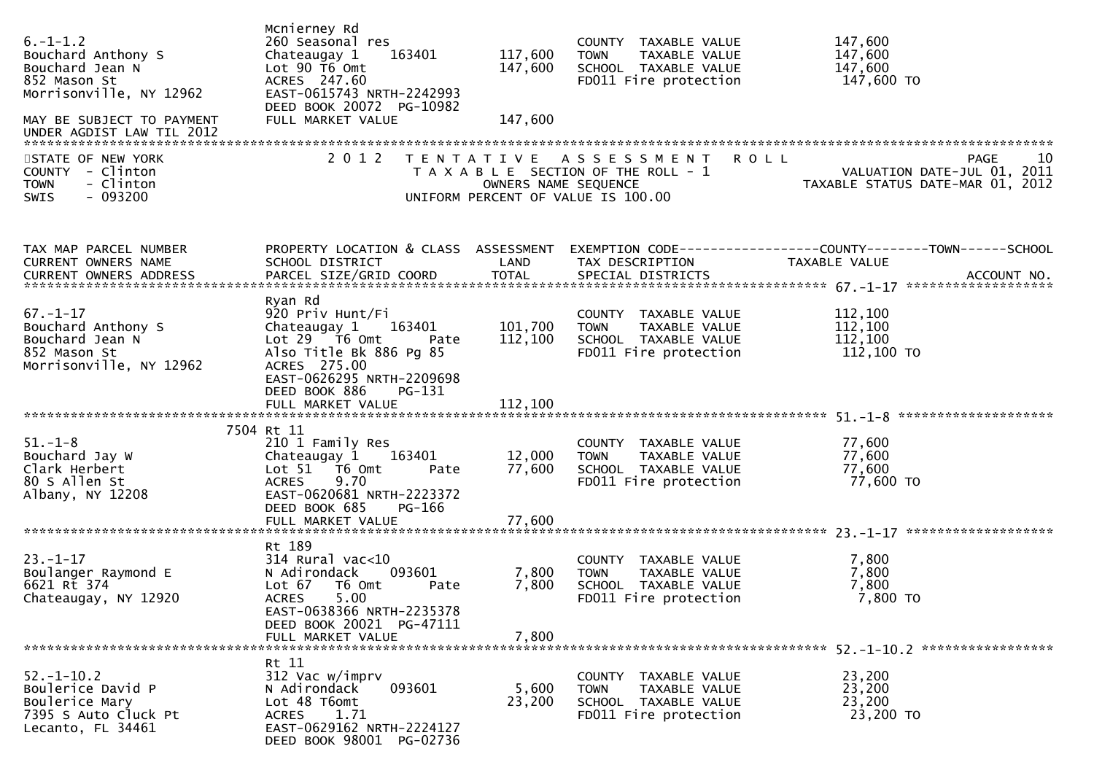| $6. -1 - 1.2$<br>Bouchard Anthony S<br>Bouchard Jean N<br>852 Mason St<br>Morrisonville, NY 12962<br>MAY BE SUBJECT TO PAYMENT<br>UNDER AGDIST LAW TIL 2012<br>STATE OF NEW YORK<br>COUNTY - Clinton<br><b>TOWN</b><br>- Clinton<br>$-093200$<br><b>SWIS</b> | Mcnierney Rd<br>260 Seasonal res<br>Chateaugay 1<br>163401<br>Lot 90 T6 Omt<br>ACRES 247.60<br>EAST-0615743 NRTH-2242993<br>DEED BOOK 20072 PG-10982<br>FULL MARKET VALUE<br>2 0 1 2   | 117,600<br>147,600<br>147,600<br>OWNERS NAME SEQUENCE | COUNTY TAXABLE VALUE<br><b>TOWN</b><br>TAXABLE VALUE<br>SCHOOL TAXABLE VALUE<br>FD011 Fire protection<br>TENTATIVE ASSESSMENT ROLL<br>T A X A B L E SECTION OF THE ROLL - 1<br>UNIFORM PERCENT OF VALUE IS 100.00 | 147,600<br>147,600<br>147,600<br>147,600 TO<br>10<br>PAGE<br>VALUATION DATE-JUL 01, 2011<br>TAXABLE STATUS DATE-MAR 01, 2012 |
|--------------------------------------------------------------------------------------------------------------------------------------------------------------------------------------------------------------------------------------------------------------|----------------------------------------------------------------------------------------------------------------------------------------------------------------------------------------|-------------------------------------------------------|-------------------------------------------------------------------------------------------------------------------------------------------------------------------------------------------------------------------|------------------------------------------------------------------------------------------------------------------------------|
| TAX MAP PARCEL NUMBER<br>CURRENT OWNERS NAME                                                                                                                                                                                                                 | PROPERTY LOCATION & CLASS ASSESSMENT<br>SCHOOL DISTRICT                                                                                                                                | LAND                                                  | TAX DESCRIPTION                                                                                                                                                                                                   | EXEMPTION CODE-----------------COUNTY-------TOWN------SCHOOL<br>TAXABLE VALUE                                                |
| $67. - 1 - 17$<br>Bouchard Anthony S<br>Bouchard Jean N<br>852 Mason St<br>Morrisonville, NY 12962                                                                                                                                                           | Ryan Rd<br>920 Priv Hunt/Fi<br>Chateaugay 1<br>163401<br>Lot $29 - 76$ Omt<br>Pate<br>Also Title Bk 886 Pg 85<br>ACRES 275.00<br>EAST-0626295 NRTH-2209698<br>DEED BOOK 886<br>PG-131  | 101,700<br>112,100                                    | COUNTY TAXABLE VALUE<br><b>TOWN</b><br>TAXABLE VALUE<br>SCHOOL TAXABLE VALUE<br>FD011 Fire protection                                                                                                             | 112,100<br>112,100<br>112,100<br>112,100 TO                                                                                  |
| $51.-1-8$<br>Bouchard Jay W<br>Clark Herbert<br>80 S Allen St<br>Albany, NY 12208                                                                                                                                                                            | 7504 Rt 11<br>210 1 Family Res<br>163401<br>Chateaugay 1<br>Lot 51 76 0mt<br>Pate<br>9.70<br><b>ACRES</b><br>EAST-0620681 NRTH-2223372<br>DEED BOOK 685<br>PG-166<br>FULL MARKET VALUE | 12,000<br>77,600<br>77,600                            | COUNTY TAXABLE VALUE<br><b>TOWN</b><br>TAXABLE VALUE<br>SCHOOL TAXABLE VALUE<br>FD011 Fire protection                                                                                                             | 77,600<br>77,600<br>77,600<br>77,600 TO                                                                                      |
| $23. - 1 - 17$<br>Boulanger Raymond E<br>6621 Rt 374<br>Chateaugay, NY 12920                                                                                                                                                                                 | Rt 189<br>$314$ Rural vac<10<br>N Adirondack<br>093601<br>Lot 67 76 0mt<br>Pate<br>ACRES 5.00<br>EAST-0638366 NRTH-2235378<br>DEED BOOK 20021 PG-47111<br>FULL MARKET VALUE            | 7,800<br>7,800<br>7,800                               | COUNTY TAXABLE VALUE<br><b>TOWN</b><br>TAXABLE VALUE<br>SCHOOL TAXABLE VALUE<br>FD011 Fire protection                                                                                                             | 7,800<br>7,800<br>7,800<br>7,800 TO                                                                                          |
| $52. - 1 - 10.2$<br>Boulerice David P<br>Boulerice Mary<br>7395 S Auto Cluck Pt<br>Lecanto, FL 34461                                                                                                                                                         | Rt 11<br>312 Vac w/imprv<br>N Adirondack<br>093601<br>Lot 48 T6omt<br>ACRES 1.71<br>EAST-0629162 NRTH-2224127<br>DEED BOOK 98001 PG-02736                                              | 5,600<br>23,200                                       | COUNTY TAXABLE VALUE<br><b>TOWN</b><br>TAXABLE VALUE<br>SCHOOL TAXABLE VALUE<br>FD011 Fire protection                                                                                                             | 23,200<br>23,200<br>23,200<br>23,200 TO                                                                                      |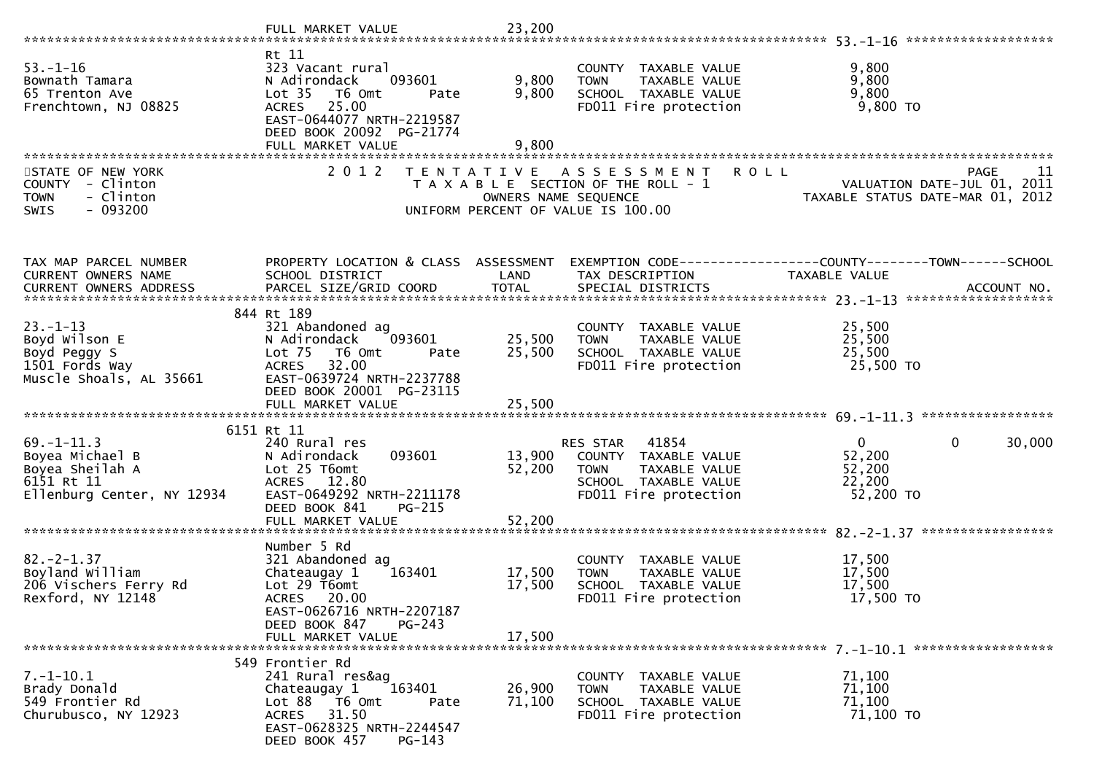|                                                                                                    | FULL MARKET VALUE                                                                                                                                                                 | 23,200                     |                                                                                                                            |                                                                                      |
|----------------------------------------------------------------------------------------------------|-----------------------------------------------------------------------------------------------------------------------------------------------------------------------------------|----------------------------|----------------------------------------------------------------------------------------------------------------------------|--------------------------------------------------------------------------------------|
| $53. - 1 - 16$<br>Bownath Tamara<br>65 Trenton Ave<br>Frenchtown, NJ 08825                         | Rt 11<br>323 Vacant rural<br>093601<br>N Adirondack<br>Lot 35  T6 Omt<br>Pate<br>ACRES 25.00<br>EAST-0644077 NRTH-2219587<br>DEED BOOK 20092 PG-21774<br>FULL MARKET VALUE        | 9,800<br>9,800<br>9,800    | COUNTY TAXABLE VALUE<br><b>TOWN</b><br>TAXABLE VALUE<br>SCHOOL TAXABLE VALUE<br>FD011 Fire protection                      | 9,800<br>9,800<br>9,800<br>$9,800$ TO                                                |
| STATE OF NEW YORK<br>COUNTY - Clinton<br>- Clinton<br><b>TOWN</b><br>SWIS<br>$-093200$             | 2 0 1 2                                                                                                                                                                           | OWNERS NAME SEQUENCE       | <b>ROLL</b><br>TENTATIVE ASSESSMENT<br>T A X A B L E SECTION OF THE ROLL - 1<br>UNIFORM PERCENT OF VALUE IS 100.00         | <b>PAGE</b><br>11<br>VALUATION DATE-JUL 01, 2011<br>TAXABLE STATUS DATE-MAR 01, 2012 |
| TAX MAP PARCEL NUMBER<br>CURRENT OWNERS NAME<br>CURRENT OWNERS ADDRESS                             | PROPERTY LOCATION & CLASS ASSESSMENT<br>SCHOOL DISTRICT                                                                                                                           | LAND                       | TAX DESCRIPTION                                                                                                            | EXEMPTION CODE-----------------COUNTY-------TOWN------SCHOOL<br>TAXABLE VALUE        |
| $23. - 1 - 13$<br>Boyd Wilson E<br>Boyd Peggy S<br>1501 Fords Way<br>Muscle Shoals, AL 35661       | 844 Rt 189<br>321 Abandoned ag<br>N Adirondack<br>093601<br>Lot 75<br>T6 Omt<br>Pate<br>ACRES 32.00<br>EAST-0639724 NRTH-2237788<br>DEED BOOK 20001 PG-23115<br>FULL MARKET VALUE | 25,500<br>25,500<br>25,500 | COUNTY TAXABLE VALUE<br>TAXABLE VALUE<br><b>TOWN</b><br>SCHOOL TAXABLE VALUE<br>FD011 Fire protection                      | 25,500<br>25,500<br>25,500<br>25,500 TO                                              |
| $69. - 1 - 11.3$<br>Boyea Michael B<br>Boyea Sheilah A<br>6151 Rt 11<br>Ellenburg Center, NY 12934 | 6151 Rt 11<br>240 Rural res<br>093601<br>N Adirondack<br>Lot 25 T6omt<br>ACRES 12.80<br>EAST-0649292 NRTH-2211178<br>DEED BOOK 841<br><b>PG-215</b><br>FULL MARKET VALUE          | 13,900<br>52,200<br>52,200 | 41854<br>RES STAR<br>COUNTY TAXABLE VALUE<br>TAXABLE VALUE<br><b>TOWN</b><br>SCHOOL TAXABLE VALUE<br>FD011 Fire protection | $\overline{0}$<br>$\mathbf{0}$<br>30,000<br>52,200<br>52,200<br>22,200<br>52,200 TO  |
| $82. -2 - 1.37$<br>Boyland William<br>206 Vischers Ferry Rd<br>Rexford, NY 12148                   | Number 5 Rd<br>321 Abandoned ag<br>Chateaugay 1<br>163401<br>Lot 29 T6omt<br>ACRES 20.00<br>EAST-0626716 NRTH-2207187<br>DEED BOOK 847<br>$PG-243$<br>FULL MARKET VALUE           | 17,500<br>17,500<br>17,500 | COUNTY TAXABLE VALUE<br>TAXABLE VALUE<br><b>TOWN</b><br>SCHOOL TAXABLE VALUE<br>FD011 Fire protection                      | 17,500<br>17,500<br>17,500<br>17,500 TO                                              |
| $7.-1-10.1$<br>Brady Donald<br>549 Frontier Rd<br>Churubusco, NY 12923                             | 549 Frontier Rd<br>241 Rural res&ag<br>163401<br>Chateaugay 1<br>Lot $88$ $\overline{76}$ Omt<br>Pate<br>ACRES 31.50<br>EAST-0628325 NRTH-2244547<br>DEED BOOK 457<br>$PG-143$    | 26,900<br>71,100           | COUNTY TAXABLE VALUE<br>TAXABLE VALUE<br><b>TOWN</b><br>SCHOOL TAXABLE VALUE<br>FD011 Fire protection                      | 71,100<br>71,100<br>71,100<br>71,100 TO                                              |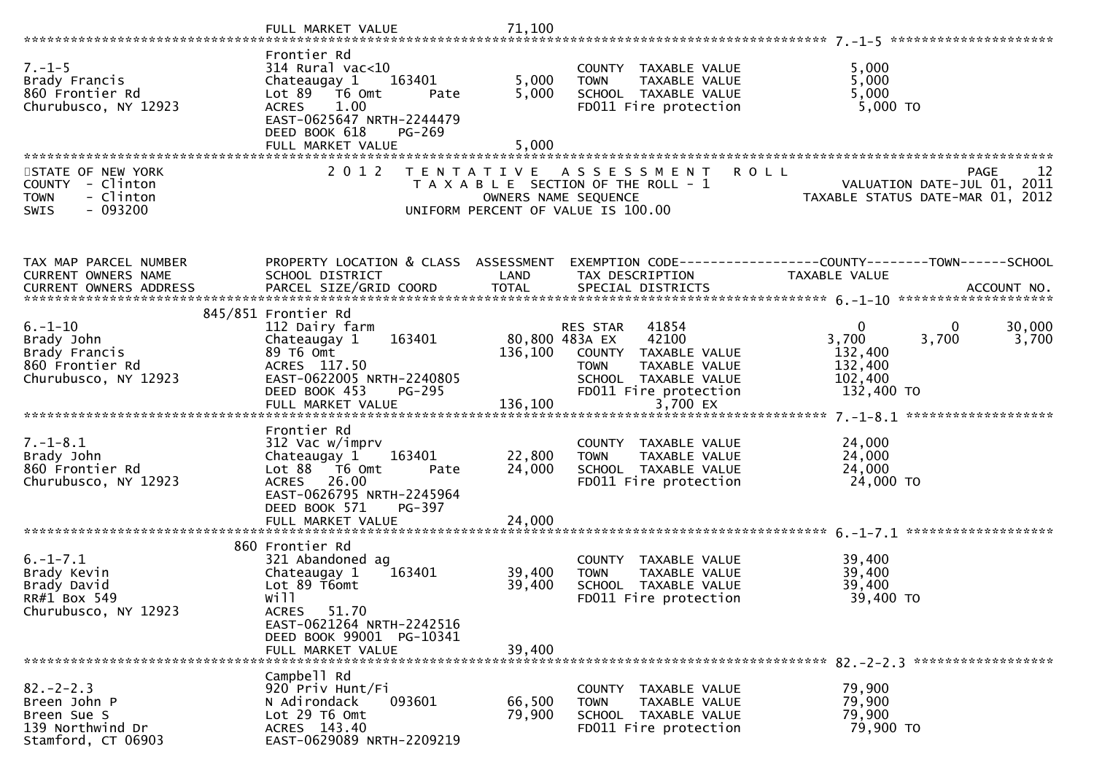| $7. - 1 - 5$<br>Brady Francis<br>860 Frontier Rd<br>Churubusco, NY 12923                      | Frontier Rd<br>$314$ Rural vac<10<br>Chateaugay 1 163401<br>Lot 89 T6 Omt<br>Pate<br>1.00<br><b>ACRES</b><br>EAST-0625647 NRTH-2244479<br>DEED BOOK 618<br>PG-269<br>FULL MARKET VALUE | 5,000<br>5,000<br>5,000    | COUNTY TAXABLE VALUE<br><b>TOWN</b><br>TAXABLE VALUE<br>SCHOOL TAXABLE VALUE<br>FD011 Fire protection                                       | 5,000<br>5,000<br>5,000<br>5,000 TO                                                                     |
|-----------------------------------------------------------------------------------------------|----------------------------------------------------------------------------------------------------------------------------------------------------------------------------------------|----------------------------|---------------------------------------------------------------------------------------------------------------------------------------------|---------------------------------------------------------------------------------------------------------|
|                                                                                               |                                                                                                                                                                                        |                            |                                                                                                                                             |                                                                                                         |
| STATE OF NEW YORK<br>COUNTY - Clinton<br>- Clinton<br><b>TOWN</b><br>$-093200$<br><b>SWIS</b> | 2 0 1 2                                                                                                                                                                                |                            | TENTATIVE ASSESSMENT<br>T A X A B L E SECTION OF THE ROLL - 1<br>OWNERS NAME SEQUENCE<br>UNIFORM PERCENT OF VALUE IS 100.00                 | <b>ROLL</b><br>PAGE<br>12<br>VALUATION DATE-JUL 01, 2011<br>TAXABLE STATUS DATE-MAR 01, 2012            |
| TAX MAP PARCEL NUMBER                                                                         | PROPERTY LOCATION & CLASS ASSESSMENT                                                                                                                                                   |                            |                                                                                                                                             | EXEMPTION CODE------------------COUNTY--------TOWN------SCHOOL                                          |
| CURRENT OWNERS NAME                                                                           | SCHOOL DISTRICT                                                                                                                                                                        | LAND                       | TAX DESCRIPTION                                                                                                                             | TAXABLE VALUE                                                                                           |
|                                                                                               |                                                                                                                                                                                        |                            |                                                                                                                                             |                                                                                                         |
|                                                                                               | 845/851 Frontier Rd                                                                                                                                                                    |                            |                                                                                                                                             |                                                                                                         |
| $6. - 1 - 10$<br>Brady John<br>Brady Francis<br>860 Frontier Rd<br>Churubusco, NY 12923       | 112 Dairy farm<br>163401<br>Chateaugay 1<br>89 T6 Omt<br>ACRES 117.50<br>EAST-0622005 NRTH-2240805<br>PG-295<br>DEED BOOK 453                                                          | 80,800 483A EX             | 41854<br>RES STAR<br>42100<br>136,100 COUNTY TAXABLE VALUE<br>TAXABLE VALUE<br><b>TOWN</b><br>SCHOOL TAXABLE VALUE<br>FD011 Fire protection | 30,000<br>$\overline{0}$<br>0<br>3,700<br>3,700<br>3,700<br>132,400<br>132,400<br>102,400<br>132,400 TO |
|                                                                                               |                                                                                                                                                                                        |                            |                                                                                                                                             |                                                                                                         |
| $7. - 1 - 8.1$<br>Brady John<br>860 Frontier Rd<br>Churubusco, NY 12923                       | Frontier Rd<br>312 Vac w/imprv<br>163401<br>Chateaugay 1<br>Lot 88 T6 Omt<br>Pate<br>ACRES 26.00<br>EAST-0626795 NRTH-2245964<br>DEED BOOK 571<br>PG-397<br>FULL MARKET VALUE          | 22,800<br>24,000<br>24,000 | COUNTY TAXABLE VALUE<br><b>TOWN</b><br>TAXABLE VALUE<br>SCHOOL TAXABLE VALUE<br>FD011 Fire protection                                       | 24,000<br>24,000<br>24,000<br>24,000 TO                                                                 |
|                                                                                               |                                                                                                                                                                                        |                            |                                                                                                                                             |                                                                                                         |
| $6. -1 - 7.1$<br>Brady Kevin<br>Brady David<br>RR#1 Box 549<br>Churubusco, NY 12923           | 860 Frontier Rd<br>321 Abandoned ag<br>Chateaugay 1<br>163401<br>Lot 89 T6omt<br>will<br>ACRES 51.70<br>EAST-0621264 NRTH-2242516<br>DEED BOOK 99001 PG-10341                          | 39,400<br>39,400           | COUNTY TAXABLE VALUE<br>TAXABLE VALUE<br><b>TOWN</b><br>SCHOOL TAXABLE VALUE<br>FD011 Fire protection                                       | 39,400<br>39,400<br>39,400<br>39,400 TO                                                                 |
|                                                                                               | FULL MARKET VALUE                                                                                                                                                                      | 39,400                     |                                                                                                                                             |                                                                                                         |
| $82 - 2 - 2.3$<br>Breen John P<br>Breen Sue S<br>139 Northwind Dr<br>Stamford, CT 06903       | Campbell Rd<br>920 Priv Hunt/Fi<br>N Adirondack<br>093601<br>Lot 29 T6 Omt<br>ACRES 143.40<br>EAST-0629089 NRTH-2209219                                                                | 66,500<br>79,900           | COUNTY TAXABLE VALUE<br>TAXABLE VALUE<br><b>TOWN</b><br>SCHOOL TAXABLE VALUE<br>FD011 Fire protection                                       | 79,900<br>79,900<br>79,900<br>79,900 TO                                                                 |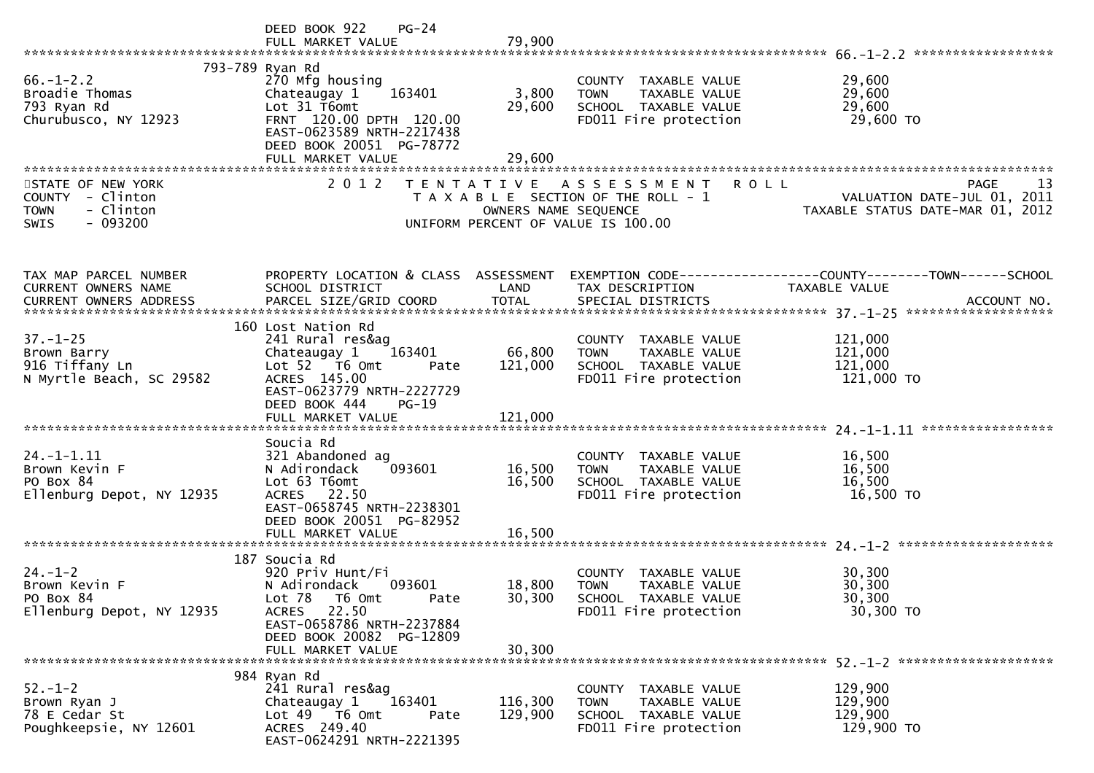|                                                                                               | DEED BOOK 922<br>$PG-24$<br>FULL MARKET VALUE                                                                                                                                         | 79,900                     |                                                                                                                    |                                                                                      |
|-----------------------------------------------------------------------------------------------|---------------------------------------------------------------------------------------------------------------------------------------------------------------------------------------|----------------------------|--------------------------------------------------------------------------------------------------------------------|--------------------------------------------------------------------------------------|
| $66. - 1 - 2.2$<br>Broadie Thomas<br>793 Ryan Rd<br>Churubusco, NY 12923                      | 793-789 Ryan Rd<br>270 Mfg housing<br>163401<br>Chateaugay 1<br>Lot 31 T6omt<br>FRNT 120.00 DPTH 120.00<br>EAST-0623589 NRTH-2217438<br>DEED BOOK 20051 PG-78772<br>FULL MARKET VALUE | 3,800<br>29,600<br>29,600  | COUNTY TAXABLE VALUE<br>TAXABLE VALUE<br><b>TOWN</b><br>SCHOOL TAXABLE VALUE<br>FD011 Fire protection              | 29,600<br>29,600<br>29,600<br>29,600 TO                                              |
| STATE OF NEW YORK<br>COUNTY - Clinton<br><b>TOWN</b><br>- Clinton<br>$-093200$<br><b>SWIS</b> | 2 0 1 2                                                                                                                                                                               | OWNERS NAME SEQUENCE       | <b>ROLL</b><br>TENTATIVE ASSESSMENT<br>T A X A B L E SECTION OF THE ROLL - 1<br>UNIFORM PERCENT OF VALUE IS 100.00 | 13<br><b>PAGE</b><br>VALUATION DATE-JUL 01, 2011<br>TAXABLE STATUS DATE-MAR 01, 2012 |
| TAX MAP PARCEL NUMBER<br>CURRENT OWNERS NAME                                                  | PROPERTY LOCATION & CLASS ASSESSMENT<br>SCHOOL DISTRICT                                                                                                                               | LAND                       | TAX DESCRIPTION                                                                                                    | EXEMPTION CODE------------------COUNTY--------TOWN------SCHOOL<br>TAXABLE VALUE      |
| $37. - 1 - 25$<br>Brown Barry<br>916 Tiffany Ln<br>N Myrtle Beach, SC 29582                   | 160 Lost Nation Rd<br>241 Rural res&ag<br>Chateaugay 1<br>163401<br>Lot 52  T6 Omt<br>Pate<br>ACRES 145.00<br>EAST-0623779 NRTH-2227729<br>DEED BOOK 444<br>$PG-19$                   | 66,800<br>121,000          | COUNTY TAXABLE VALUE<br><b>TOWN</b><br>TAXABLE VALUE<br>SCHOOL TAXABLE VALUE<br>FD011 Fire protection              | 121,000<br>121,000<br>121,000<br>121,000 TO                                          |
| $24. - 1 - 1.11$<br>Brown Kevin F<br>PO Box 84<br>Ellenburg Depot, NY 12935                   | Soucia Rd<br>321 Abandoned ag<br>093601<br>N Adirondack<br>Lot 63 T6omt<br>ACRES 22.50<br>EAST-0658745 NRTH-2238301<br>DEED BOOK 20051 PG-82952<br>FULL MARKET VALUE                  | 16,500<br>16,500<br>16,500 | COUNTY TAXABLE VALUE<br>TAXABLE VALUE<br><b>TOWN</b><br>SCHOOL TAXABLE VALUE<br>FD011 Fire protection              | 16,500<br>16,500<br>16,500<br>16,500 TO                                              |
| $24. - 1 - 2$<br>Brown Kevin F<br>PO Box 84<br>Ellenburg Depot, NY 12935                      | 187 Soucia Rd<br>920 Priv Hunt/Fi<br>N Adirondack<br>093601<br>Lot 78<br>T6 Omt<br>Pate<br>ACRES 22.50<br>EAST-0658786 NRTH-2237884<br>DEED BOOK 20082 PG-12809<br>FULL MARKET VALUE  | 18,800<br>30,300<br>30,300 | COUNTY TAXABLE VALUE<br><b>TOWN</b><br>TAXABLE VALUE<br>SCHOOL TAXABLE VALUE<br>FD011 Fire protection              | 30,300<br>30,300<br>30,300<br>30,300 TO                                              |
| $52 - 1 - 2$<br>Brown Ryan J<br>78 E Cedar St<br>Poughkeepsie, NY 12601                       | 984 Ryan Rd<br>241 Rural res&ag<br>163401<br>Chateaugay 1<br>Lot 49 T6 Omt<br>Pate<br>ACRES 249.40<br>EAST-0624291 NRTH-2221395                                                       | 116,300<br>129,900         | COUNTY TAXABLE VALUE<br>TAXABLE VALUE<br><b>TOWN</b><br>SCHOOL TAXABLE VALUE<br>FD011 Fire protection              | 129,900<br>129,900<br>129,900<br>129,900 TO                                          |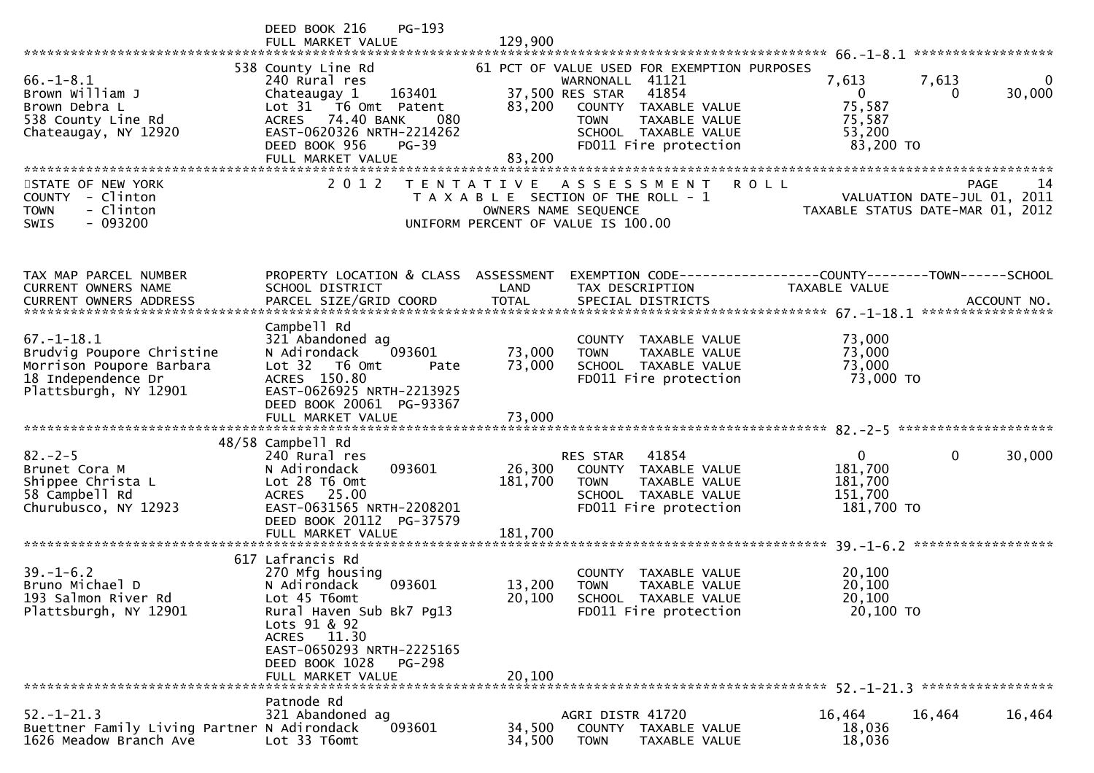|                                                                                                                          | PG-193<br>DEED BOOK 216<br>FULL MARKET VALUE                                                                                                                                                                                  | 129,900                                                    |                                                                                                                                                                                  |                                                              |                                                                                       |
|--------------------------------------------------------------------------------------------------------------------------|-------------------------------------------------------------------------------------------------------------------------------------------------------------------------------------------------------------------------------|------------------------------------------------------------|----------------------------------------------------------------------------------------------------------------------------------------------------------------------------------|--------------------------------------------------------------|---------------------------------------------------------------------------------------|
|                                                                                                                          |                                                                                                                                                                                                                               |                                                            |                                                                                                                                                                                  |                                                              |                                                                                       |
| $66. - 1 - 8.1$<br>Brown William J<br>Brown Debra L<br>538 County Line Rd<br>Chateaugay, NY 12920                        | 538 County Line Rd<br>240 Rural res<br>Chateaugay 1<br>163401<br>Lot 31 T6 Omt Patent<br>74.40 BANK<br><b>ACRES</b><br>080<br>EAST-0620326 NRTH-2214262<br>DEED BOOK 956<br>$PG-39$<br>FULL MARKET VALUE                      | 37,500 RES STAR<br>83,200<br>83,200                        | 61 PCT OF VALUE USED FOR EXEMPTION PURPOSES<br>WARNONALL 41121<br>41854<br>COUNTY TAXABLE VALUE<br>TAXABLE VALUE<br><b>TOWN</b><br>SCHOOL TAXABLE VALUE<br>FD011 Fire protection | 7,613<br>$\Omega$<br>75,587<br>75,587<br>53,200<br>83,200 TO | 7,613<br>$\Omega$<br>30,000<br>$\Omega$                                               |
|                                                                                                                          |                                                                                                                                                                                                                               |                                                            |                                                                                                                                                                                  |                                                              |                                                                                       |
| STATE OF NEW YORK<br>- Clinton<br>COUNTY<br>- Clinton<br><b>TOWN</b><br>$-093200$<br><b>SWIS</b>                         | 2 0 1 2                                                                                                                                                                                                                       | OWNERS NAME SEQUENCE<br>UNIFORM PERCENT OF VALUE IS 100.00 | TENTATIVE ASSESSMENT<br>T A X A B L E SECTION OF THE ROLL - 1                                                                                                                    | <b>ROLL</b>                                                  | -14<br><b>PAGE</b><br>VALUATION DATE-JUL 01, 2011<br>TAXABLE STATUS DATE-MAR 01, 2012 |
| TAX MAP PARCEL NUMBER<br><b>CURRENT OWNERS NAME</b>                                                                      | PROPERTY LOCATION & CLASS ASSESSMENT<br>SCHOOL DISTRICT                                                                                                                                                                       | LAND                                                       | EXEMPTION        CODE-----------------COUNTY-------TOWN------SCHOOL<br>TAX DESCRIPTION                                                                                           | TAXABLE VALUE                                                |                                                                                       |
| $67. - 1 - 18.1$<br>Brudvig Poupore Christine<br>Morrison Poupore Barbara<br>18 Independence Dr<br>Plattsburgh, NY 12901 | Campbell Rd<br>321 Abandoned ag<br>093601<br>N Adirondack<br>Lot 32<br>T6 Omt<br>Pate<br>ACRES 150.80<br>EAST-0626925 NRTH-2213925<br>DEED BOOK 20061 PG-93367                                                                | 73,000<br>73,000                                           | COUNTY TAXABLE VALUE<br><b>TOWN</b><br>TAXABLE VALUE<br>SCHOOL TAXABLE VALUE<br>FD011 Fire protection                                                                            | 73,000<br>73,000<br>73,000<br>73,000 TO                      |                                                                                       |
|                                                                                                                          | FULL MARKET VALUE                                                                                                                                                                                                             | 73,000                                                     |                                                                                                                                                                                  |                                                              |                                                                                       |
|                                                                                                                          | 48/58 Campbell Rd                                                                                                                                                                                                             |                                                            |                                                                                                                                                                                  |                                                              |                                                                                       |
| $82 - 2 - 5$<br>Brunet Cora M<br>Shippee Christa L<br>58 Campbell Rd<br>Churubusco, NY 12923                             | 240 Rural res<br>093601<br>N Adirondack<br>Lot 28 T6 Omt<br>ACRES 25.00<br>EAST-0631565 NRTH-2208201<br>DEED BOOK 20112<br>PG-37579                                                                                           | 26,300<br>181,700                                          | RES STAR<br>41854<br>COUNTY TAXABLE VALUE<br><b>TOWN</b><br>TAXABLE VALUE<br>SCHOOL TAXABLE VALUE<br>FD011 Fire protection                                                       | 0<br>181,700<br>181,700<br>151,700<br>181,700 TO             | 0<br>30,000                                                                           |
|                                                                                                                          | FULL MARKET VALUE                                                                                                                                                                                                             | 181,700                                                    |                                                                                                                                                                                  |                                                              |                                                                                       |
| $39. - 1 - 6.2$<br>Bruno Michael D<br>193 Salmon River Rd<br>Plattsburgh, NY 12901                                       | 617 Lafrancis Rd<br>270 Mfg housing<br>093601<br>N Adirondack<br>Lot 45 T6omt<br>Rural Haven Sub Bk7 Pg13<br>Lots 91 & 92<br>ACRES 11.30<br>EAST-0650293 NRTH-2225165<br>DEED BOOK 1028<br><b>PG-298</b><br>FULL MARKET VALUE | 13,200<br>20,100<br>20,100                                 | COUNTY<br>TAXABLE VALUE<br><b>TOWN</b><br>TAXABLE VALUE<br><b>SCHOOL</b><br>TAXABLE VALUE<br>FD011 Fire protection                                                               | 20,100<br>20,100<br>20,100<br>20,100 TO                      |                                                                                       |
|                                                                                                                          | Patnode Rd                                                                                                                                                                                                                    |                                                            |                                                                                                                                                                                  |                                                              |                                                                                       |
| $52. - 1 - 21.3$<br>Buettner Family Living Partner N Adirondack<br>1626 Meadow Branch Ave                                | 321 Abandoned ag<br>093601<br>Lot 33 T6omt                                                                                                                                                                                    | 34,500<br>34,500                                           | AGRI DISTR 41720<br>COUNTY TAXABLE VALUE<br><b>TOWN</b><br>TAXABLE VALUE                                                                                                         | 16,464<br>18,036<br>18,036                                   | 16,464<br>16,464                                                                      |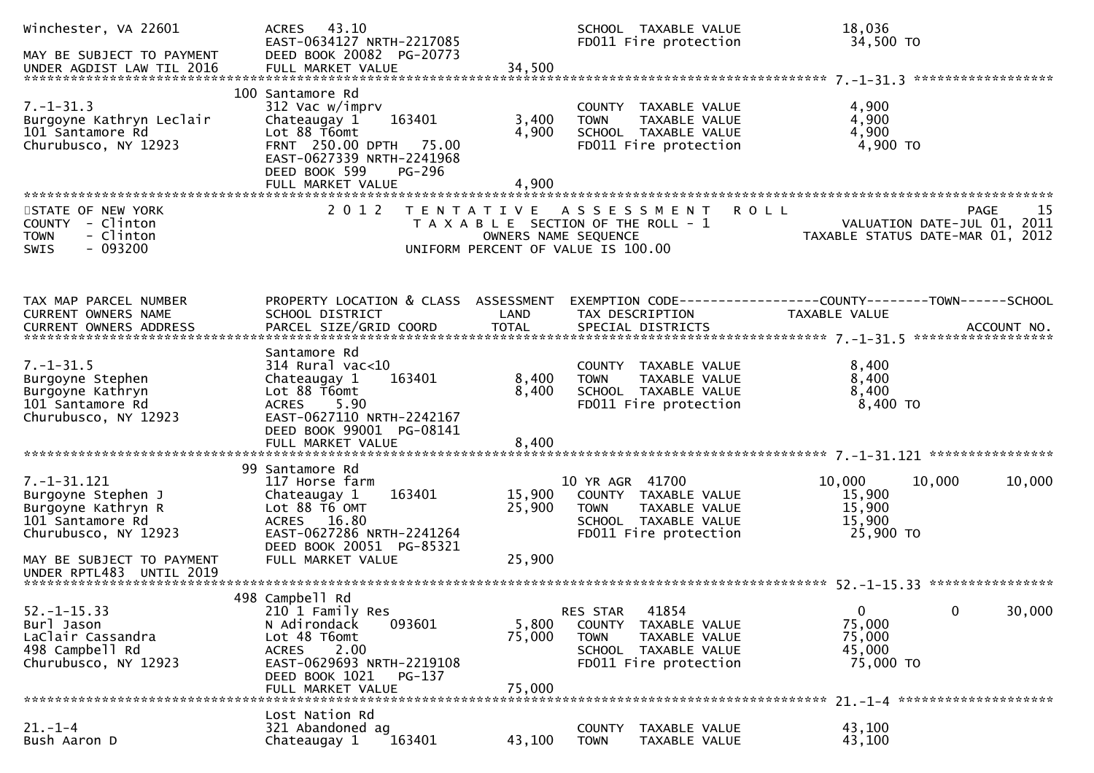| Winchester, VA 22601<br>MAY BE SUBJECT TO PAYMENT                                                                                                                  | ACRES 43.10<br>EAST-0634127 NRTH-2217085<br>DEED BOOK 20082 PG-20773                                                                                                         |                            | SCHOOL TAXABLE VALUE<br>FD011 Fire protection                                                                                   | 18,036<br>34,500 TO                                                             |            |
|--------------------------------------------------------------------------------------------------------------------------------------------------------------------|------------------------------------------------------------------------------------------------------------------------------------------------------------------------------|----------------------------|---------------------------------------------------------------------------------------------------------------------------------|---------------------------------------------------------------------------------|------------|
| $7. - 1 - 31.3$<br>Burgoyne Kathryn Leclair<br>101 Santamore Rd<br>Churubusco, NY 12923                                                                            | 100 Santamore Rd<br>312 Vac w/imprv<br>163401<br>Chateaugay 1<br>Lot 88 T6omt<br>FRNT 250.00 DPTH 75.00<br>EAST-0627339 NRTH-2241968<br>DEED BOOK 599<br>PG-296              | 3,400<br>4,900             | COUNTY TAXABLE VALUE<br>TAXABLE VALUE<br><b>TOWN</b><br>SCHOOL TAXABLE VALUE<br>FD011 Fire protection                           | 4,900<br>4,900<br>4,900<br>4,900 TO                                             |            |
| STATE OF NEW YORK<br>COUNTY - Clinton<br>- Clinton<br><b>TOWN</b><br>$-093200$<br><b>SWIS</b>                                                                      | 2 0 1 2                                                                                                                                                                      |                            | TENTATIVE ASSESSMENT<br>T A X A B L E SECTION OF THE ROLL - 1<br>OWNERS NAME SEQUENCE<br>UNIFORM PERCENT OF VALUE IS 100.00     | <b>ROLL</b><br>VALUATION DATE-JUL 01, 2011<br>TAXABLE STATUS DATE-MAR 01, 2012  | 15<br>PAGE |
| TAX MAP PARCEL NUMBER<br>CURRENT OWNERS NAME                                                                                                                       | PROPERTY LOCATION & CLASS ASSESSMENT<br>SCHOOL DISTRICT                                                                                                                      | LAND                       | TAX DESCRIPTION                                                                                                                 | EXEMPTION CODE------------------COUNTY--------TOWN------SCHOOL<br>TAXABLE VALUE |            |
| $7. - 1 - 31.5$<br>Burgoyne Stephen<br>Burgoyne Kathryn<br>101 Santamore Rd<br>Churubusco, NY 12923                                                                | Santamore Rd<br>314 Rural vac<10<br>163401<br>Chateaugay 1<br>Lot 88 T6omt<br><b>ACRES</b><br>5.90<br>EAST-0627110 NRTH-2242167<br>DEED BOOK 99001 PG-08141                  | 8,400<br>8,400             | COUNTY TAXABLE VALUE<br>TAXABLE VALUE<br><b>TOWN</b><br>SCHOOL TAXABLE VALUE<br>FD011 Fire protection                           | 8,400<br>8,400<br>8,400<br>$8,400$ TO                                           |            |
| $7. - 1 - 31.121$<br>Burgoyne Stephen J<br>Burgoyne Kathryn R<br>101 Santamore Rd<br>Churubusco, NY 12923<br>MAY BE SUBJECT TO PAYMENT<br>UNDER RPTL483 UNTIL 2019 | 99 Santamore Rd<br>117 Horse farm<br>Chateaugay 1<br>163401<br>Lot 88 T6 OMT<br>ACRES 16.80<br>EAST-0627286 NRTH-2241264<br>DEED BOOK 20051 PG-85321<br>FULL MARKET VALUE    | 15,900<br>25,900<br>25,900 | 10 YR AGR 41700<br>COUNTY TAXABLE VALUE<br><b>TOWN</b><br><b>TAXABLE VALUE</b><br>SCHOOL TAXABLE VALUE<br>FD011 Fire protection | 10,000<br>10,000<br>15,900<br>15,900<br>15,900<br>25,900 TO                     | 10,000     |
| $52. - 1 - 15.33$<br>Burl Jason<br>LaClair Cassandra<br>498 Campbell Rd<br>Churubusco, NY 12923                                                                    | 498 Campbell Rd<br>210 1 Family Res<br>093601<br>N Adirondack<br>Lot 48 T6omt<br>2.00<br>ACRES<br>EAST-0629693 NRTH-2219108<br>DEED BOOK 1021<br>PG-137<br>FULL MARKET VALUE | 5,800<br>75,000<br>75,000  | 41854<br>RES STAR<br>COUNTY<br>TAXABLE VALUE<br><b>TOWN</b><br>TAXABLE VALUE<br>SCHOOL TAXABLE VALUE<br>FD011 Fire protection   | $\mathbf{0}$<br>$\mathbf{0}$<br>75,000<br>75,000<br>45,000<br>75,000 TO         | 30,000     |
| $21. - 1 - 4$<br>Bush Aaron D                                                                                                                                      | Lost Nation Rd<br>321 Abandoned ag<br>Chateaugay 1<br>163401                                                                                                                 | 43,100                     | <b>COUNTY</b><br>TAXABLE VALUE<br><b>TOWN</b><br>TAXABLE VALUE                                                                  | 43,100<br>43,100                                                                |            |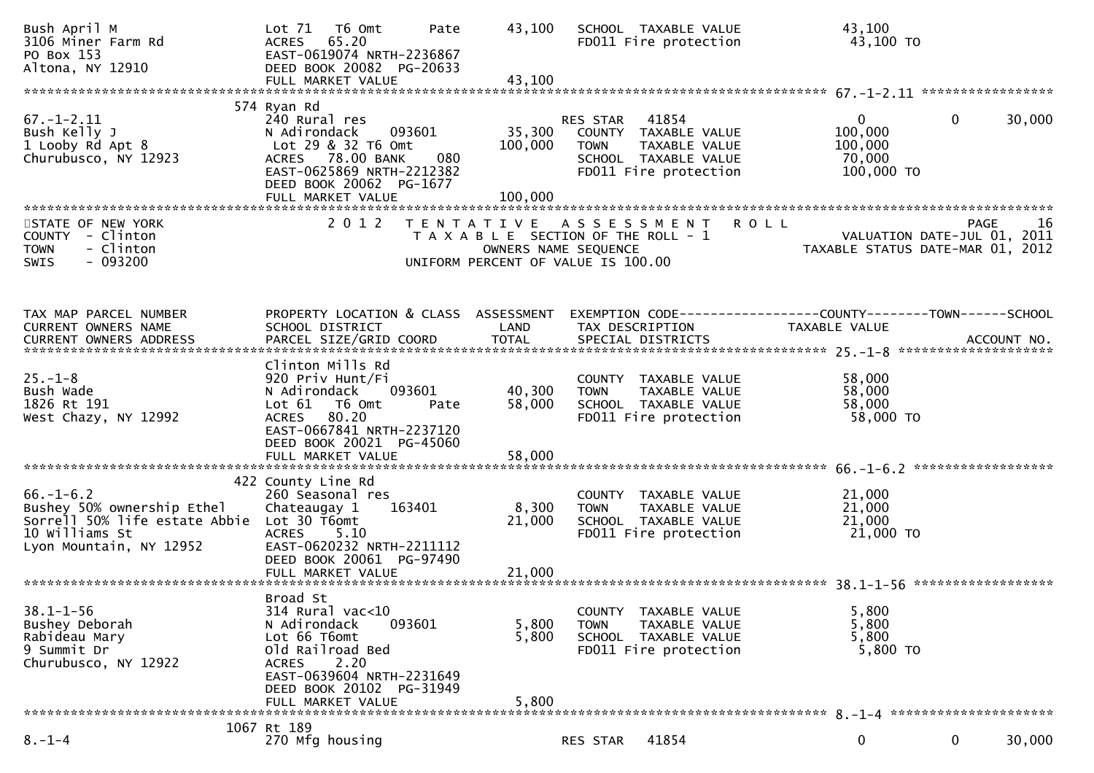| Bush April M<br>3106 Miner Farm Rd<br>PO Box 153<br>Altona, NY 12910                                                        | Lot 71<br>T6 Omt<br>Pate<br>65.20<br>ACRES<br>EAST-0619074 NRTH-2236867<br>DEED BOOK 20082 PG-20633<br>FULL MARKET VALUE                                                                  | 43,100<br>43,100             | SCHOOL TAXABLE VALUE<br>FD011 Fire protection                                                                 |               | 43,100<br>43,100 TO                                                            |              |        |
|-----------------------------------------------------------------------------------------------------------------------------|-------------------------------------------------------------------------------------------------------------------------------------------------------------------------------------------|------------------------------|---------------------------------------------------------------------------------------------------------------|---------------|--------------------------------------------------------------------------------|--------------|--------|
|                                                                                                                             | 574 Ryan Rd                                                                                                                                                                               |                              |                                                                                                               |               |                                                                                |              |        |
| $67. - 1 - 2.11$<br>Bush Kelly J<br>1 Looby Rd Apt 8<br>Churubusco, NY 12923                                                | 240 Rural res<br>093601<br>N Adirondack<br>Lot 29 & 32 T6 Omt<br>ACRES 78.00 BANK<br>080<br>EAST-0625869 NRTH-2212382<br>DEED BOOK 20062 PG-1677<br>FULL MARKET VALUE                     | 35,300<br>100,000<br>100,000 | <b>RES STAR 41854</b><br>COUNTY TAXABLE VALUE<br><b>TOWN</b><br>SCHOOL TAXABLE VALUE<br>FD011 Fire protection | TAXABLE VALUE | $\mathbf{0}$<br>100,000<br>100,000<br>70,000<br>100,000 TO                     | $\mathbf{0}$ | 30,000 |
|                                                                                                                             |                                                                                                                                                                                           |                              |                                                                                                               |               |                                                                                |              |        |
| STATE OF NEW YORK<br>COUNTY - Clinton<br><b>TOWN</b><br>- Clinton<br>$-093200$<br><b>SWIS</b>                               | 2 0 1 2                                                                                                                                                                                   | OWNERS NAME SEQUENCE         | TENTATIVE ASSESSMENT<br>T A X A B L E SECTION OF THE ROLL - 1<br>UNIFORM PERCENT OF VALUE IS 100.00           | <b>ROLL</b>   | VALUATION DATE-JUL 01, 2011<br>TAXABLE STATUS DATE-MAR 01, 2012                | <b>PAGE</b>  | 16     |
| TAX MAP PARCEL NUMBER<br>CURRENT OWNERS NAME                                                                                | PROPERTY LOCATION & CLASS ASSESSMENT<br>SCHOOL DISTRICT                                                                                                                                   | LAND                         | TAX DESCRIPTION                                                                                               |               | EXEMPTION CODE-----------------COUNTY--------TOWN------SCHOOL<br>TAXABLE VALUE |              |        |
| $25. - 1 - 8$<br>Bush Wade<br>1826 Rt 191<br>West Chazy, NY 12992                                                           | Clinton Mills Rd<br>920 Priv Hunt/Fi<br>093601<br>N Adirondack<br>T6 Omt<br>Lot 61<br>Pate<br>ACRES 80.20<br>EAST-0667841 NRTH-2237120<br>DEED BOOK 20021 PG-45060<br>FULL MARKET VALUE   | 40,300<br>58,000<br>58,000   | COUNTY TAXABLE VALUE<br><b>TOWN</b><br>SCHOOL TAXABLE VALUE<br>FD011 Fire protection                          | TAXABLE VALUE | 58,000<br>58,000<br>58,000<br>58,000 TO                                        |              |        |
|                                                                                                                             | 422 County Line Rd                                                                                                                                                                        |                              |                                                                                                               |               |                                                                                |              |        |
| $66. - 1 - 6.2$<br>Bushey 50% ownership Ethel<br>Sorrell 50% life estate Abbie<br>10 Williams St<br>Lyon Mountain, NY 12952 | 260 Seasonal res<br>Chateaugay 1<br>163401<br>Lot 30 T6omt<br>5.10<br><b>ACRES</b><br>EAST-0620232 NRTH-2211112<br>DEED BOOK 20061 PG-97490                                               | 8,300<br>21,000              | COUNTY TAXABLE VALUE<br><b>TOWN</b><br>SCHOOL TAXABLE VALUE<br>FD011 Fire protection                          | TAXABLE VALUE | 21,000<br>21,000<br>21,000<br>21,000 TO                                        |              |        |
|                                                                                                                             |                                                                                                                                                                                           |                              |                                                                                                               |               |                                                                                |              |        |
| $38.1 - 1 - 56$<br>Bushey Deborah<br>Rabideau Mary<br>9 Summit Dr<br>Churubusco, NY 12922                                   | Broad St<br>314 Rural vac<10<br>N Adirondack<br>093601<br>Lot 66 T6omt<br>Old Railroad Bed<br>2.20<br>ACRES<br>EAST-0639604 NRTH-2231649<br>DEED BOOK 20102 PG-31949<br>FULL MARKET VALUE | 5,800<br>5,800<br>5,800      | COUNTY TAXABLE VALUE<br><b>TOWN</b><br>SCHOOL TAXABLE VALUE<br>FD011 Fire protection                          | TAXABLE VALUE | 5,800<br>5,800<br>5,800<br>5,800 TO                                            |              |        |
|                                                                                                                             |                                                                                                                                                                                           |                              |                                                                                                               |               |                                                                                |              |        |
| $8. - 1 - 4$                                                                                                                | 1067 Rt 189<br>270 Mfg housing                                                                                                                                                            |                              | 41854<br>RES STAR                                                                                             |               | 0                                                                              | $\mathbf 0$  | 30,000 |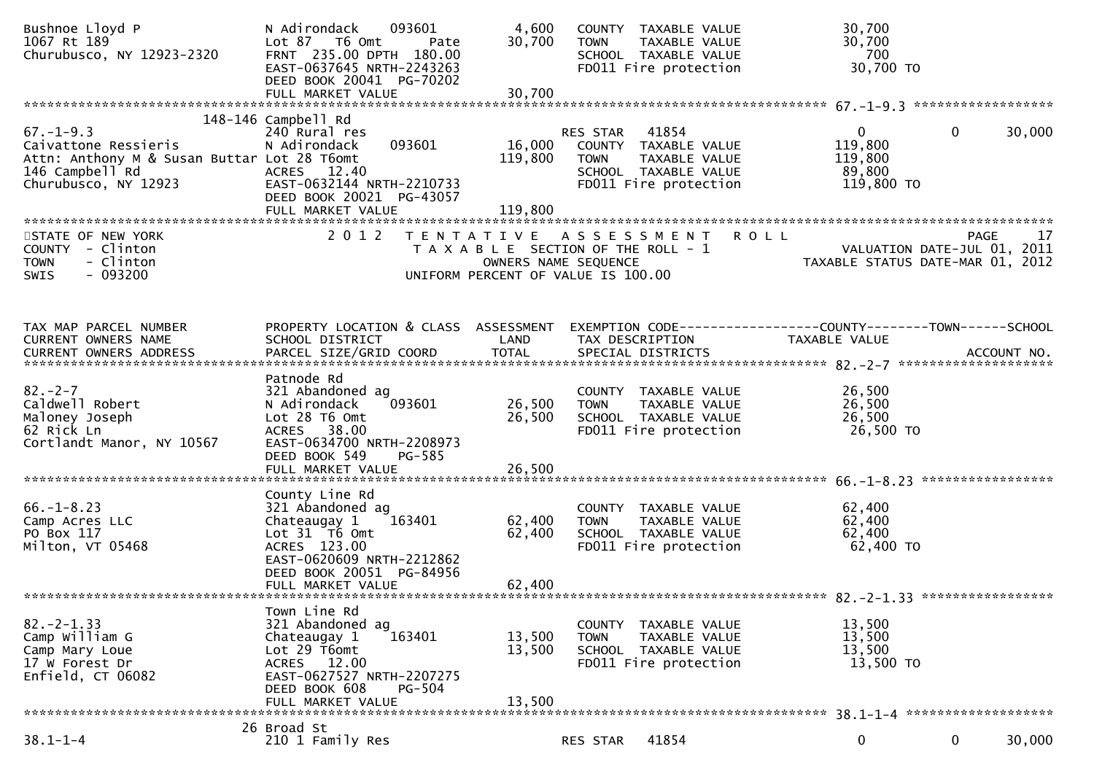| Bushnoe Lloyd P<br>1067 Rt 189<br>Churubusco, NY 12923-2320                                                                       | 093601<br>N Adirondack<br>Lot 87 T6 Omt<br>Pate<br>FRNT 235.00 DPTH 180.00<br>EAST-0637645 NRTH-2243263<br>DEED BOOK 20041 PG-70202                                           | 4,600<br>30,700              | COUNTY TAXABLE VALUE<br><b>TOWN</b><br>TAXABLE VALUE<br>SCHOOL TAXABLE VALUE<br>FD011 Fire protection                      | 30,700<br>30,700<br>700<br>30,700 TO                                           |                       |
|-----------------------------------------------------------------------------------------------------------------------------------|-------------------------------------------------------------------------------------------------------------------------------------------------------------------------------|------------------------------|----------------------------------------------------------------------------------------------------------------------------|--------------------------------------------------------------------------------|-----------------------|
|                                                                                                                                   |                                                                                                                                                                               |                              |                                                                                                                            |                                                                                |                       |
| $67. - 1 - 9.3$<br>Caivattone Ressieris<br>Attn: Anthony M & Susan Buttar Lot 28 T6omt<br>146 Campbell Rd<br>Churubusco, NY 12923 | 148-146 Campbell Rd<br>240 Rural res<br>093601<br>N Adirondack<br>ACRES 12.40<br>EAST-0632144 NRTH-2210733<br>DEED BOOK 20021 PG-43057<br>FULL MARKET VALUE                   | 16,000<br>119,800<br>119,800 | RES STAR<br>41854<br>COUNTY TAXABLE VALUE<br>TAXABLE VALUE<br><b>TOWN</b><br>SCHOOL TAXABLE VALUE<br>FD011 Fire protection | $\mathbf{0}$<br>119,800<br>119,800<br>89,800<br>119,800 TO                     | $\mathbf 0$<br>30,000 |
| STATE OF NEW YORK<br>COUNTY - Clinton<br>- Clinton<br><b>TOWN</b><br>$-093200$<br><b>SWIS</b>                                     | 2 0 1 2                                                                                                                                                                       | OWNERS NAME SEQUENCE         | TENTATIVE ASSESSMENT<br>T A X A B L E SECTION OF THE ROLL - 1<br>UNIFORM PERCENT OF VALUE IS 100.00                        | <b>ROLL</b><br>VALUATION DATE-JUL 01, 2011<br>TAXABLE STATUS DATE-MAR 01, 2012 | <b>PAGE</b><br>17     |
| TAX MAP PARCEL NUMBER<br>CURRENT OWNERS NAME                                                                                      | PROPERTY LOCATION & CLASS ASSESSMENT<br>SCHOOL DISTRICT                                                                                                                       | LAND                         | EXEMPTION CODE------------------COUNTY--------TOWN------SCHOOL<br>TAX DESCRIPTION                                          | TAXABLE VALUE                                                                  |                       |
| $82 - 2 - 7$<br>Caldwell Robert<br>Maloney Joseph<br>62 Rick Ln<br>Cortlandt Manor, NY 10567                                      | Patnode Rd<br>321 Abandoned ag<br>093601<br>N Adirondack<br>Lot 28 T6 Omt<br>ACRES 38.00<br>EAST-0634700 NRTH-2208973<br>DEED BOOK 549<br>PG-585                              | 26,500<br>26,500             | COUNTY TAXABLE VALUE<br>TAXABLE VALUE<br><b>TOWN</b><br>SCHOOL TAXABLE VALUE<br>FD011 Fire protection                      | 26,500<br>26,500<br>26,500<br>26,500 TO                                        |                       |
|                                                                                                                                   |                                                                                                                                                                               |                              |                                                                                                                            |                                                                                |                       |
| $66. - 1 - 8.23$<br>Camp Acres LLC<br>PO Box 117<br>Milton, VT 05468                                                              | County Line Rd<br>321 Abandoned ag<br>163401<br>Chateaugay 1<br>Lot 31 76 0mt<br>ACRES 123.00<br>EAST-0620609 NRTH-2212862<br>DEED BOOK 20051 PG-84956<br>FULL MARKET VALUE   | 62,400<br>62,400<br>62,400   | COUNTY TAXABLE VALUE<br><b>TOWN</b><br>TAXABLE VALUE<br>SCHOOL TAXABLE VALUE<br>FD011 Fire protection                      | 62,400<br>62,400<br>62,400<br>62,400 TO                                        |                       |
|                                                                                                                                   |                                                                                                                                                                               |                              |                                                                                                                            |                                                                                |                       |
| $82 - 2 - 1.33$<br>Camp William G<br>Camp Mary Loue<br>17 W Forest Dr<br>Enfield, CT 06082                                        | Town Line Rd<br>321 Abandoned ag<br>163401<br>Chateaugay 1<br>Lot 29 T6omt<br>ACRES 12.00<br>EAST-0627527 NRTH-2207275<br>DEED BOOK 608<br><b>PG-504</b><br>FULL MARKET VALUE | 13,500<br>13,500<br>13,500   | COUNTY<br>TAXABLE VALUE<br><b>TOWN</b><br>TAXABLE VALUE<br>SCHOOL TAXABLE VALUE<br>FD011 Fire protection                   | 13,500<br>13,500<br>13,500<br>13,500 TO                                        |                       |
|                                                                                                                                   | 26 Broad St                                                                                                                                                                   |                              |                                                                                                                            |                                                                                |                       |
| $38.1 - 1 - 4$                                                                                                                    | 210 1 Family Res                                                                                                                                                              |                              | 41854<br>RES STAR                                                                                                          | 0                                                                              | $\mathbf 0$<br>30,000 |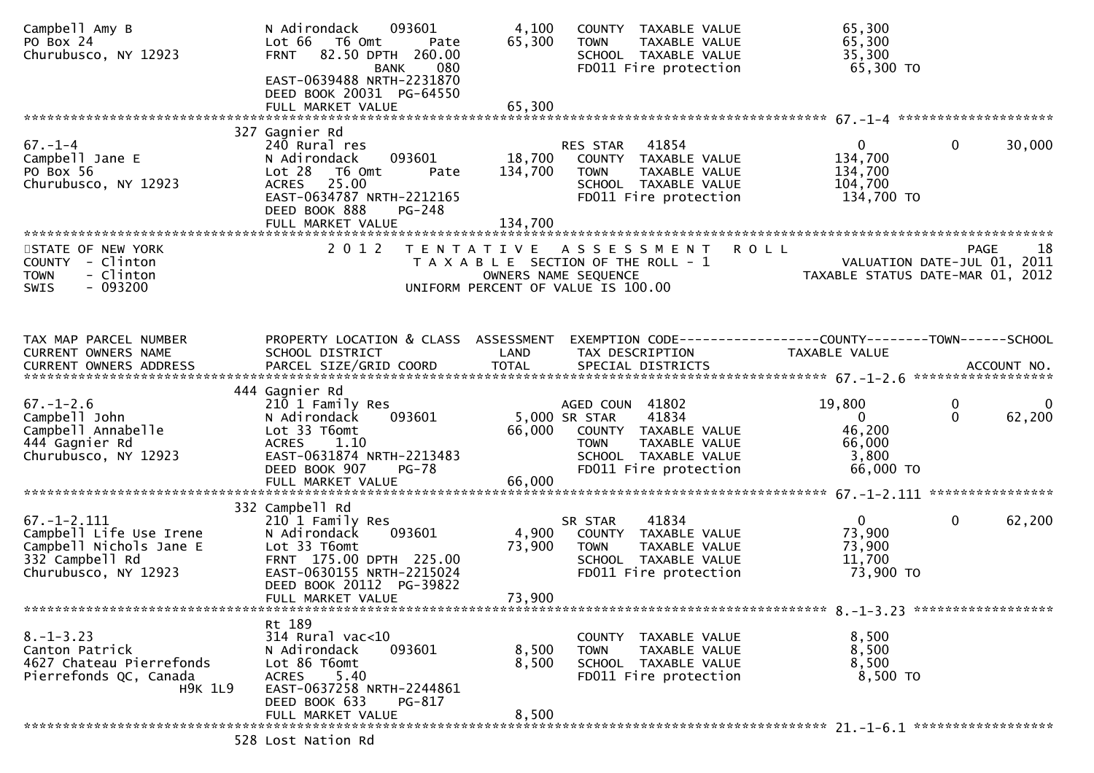| Campbell Amy B<br>PO Box 24<br>Churubusco, NY 12923                                                                | N Adirondack<br>093601<br>Lot 66<br>T6 Omt<br>Pate<br>82.50 DPTH 260.00<br><b>FRNT</b><br>080<br><b>BANK</b><br>EAST-0639488 NRTH-2231870                                        | 4,100<br>65,300              | COUNTY TAXABLE VALUE<br><b>TOWN</b><br>TAXABLE VALUE<br>SCHOOL TAXABLE VALUE<br>FD011 Fire protection                                              | 65,300<br>65,300<br>35,300<br>65,300 TO                            |                                                     |
|--------------------------------------------------------------------------------------------------------------------|----------------------------------------------------------------------------------------------------------------------------------------------------------------------------------|------------------------------|----------------------------------------------------------------------------------------------------------------------------------------------------|--------------------------------------------------------------------|-----------------------------------------------------|
|                                                                                                                    | DEED BOOK 20031 PG-64550<br>FULL MARKET VALUE                                                                                                                                    | 65,300                       |                                                                                                                                                    |                                                                    |                                                     |
|                                                                                                                    | 327 Gagnier Rd                                                                                                                                                                   |                              |                                                                                                                                                    |                                                                    |                                                     |
| $67. - 1 - 4$<br>Campbell Jane E<br>PO Box 56<br>Churubusco, NY 12923                                              | 240 Rural res<br>093601<br>N Adirondack<br>Lot 28<br>T6 Omt<br>Pate<br>25.00<br><b>ACRES</b><br>EAST-0634787 NRTH-2212165<br>DEED BOOK 888<br><b>PG-248</b><br>FULL MARKET VALUE | 18,700<br>134,700<br>134,700 | 41854<br>RES STAR<br>COUNTY TAXABLE VALUE<br><b>TOWN</b><br>TAXABLE VALUE<br>SCHOOL TAXABLE VALUE<br>FD011 Fire protection                         | $\overline{0}$<br>134,700<br>134,700<br>104,700<br>134,700 TO      | $\mathbf{0}$<br>30,000                              |
|                                                                                                                    | 2012                                                                                                                                                                             |                              |                                                                                                                                                    |                                                                    | 18                                                  |
| STATE OF NEW YORK<br>COUNTY - Clinton<br>- Clinton<br><b>TOWN</b><br>$-093200$<br>SWIS                             |                                                                                                                                                                                  |                              | TENTATIVE ASSESSMENT<br>T A X A B L E SECTION OF THE ROLL - 1<br>OWNERS NAME SEQUENCE<br>UNIFORM PERCENT OF VALUE IS 100.00                        | <b>ROLL</b><br>TAXABLE STATUS DATE-MAR 01, 2012                    | <b>PAGE</b><br>VALUATION DATE-JUL 01, 2011          |
| TAX MAP PARCEL NUMBER                                                                                              | PROPERTY LOCATION & CLASS ASSESSMENT                                                                                                                                             |                              | EXEMPTION CODE------------------COUNTY--------TOWN------SCHOOL                                                                                     |                                                                    |                                                     |
| CURRENT OWNERS NAME                                                                                                | SCHOOL DISTRICT                                                                                                                                                                  | LAND                         | TAX DESCRIPTION                                                                                                                                    | TAXABLE VALUE                                                      |                                                     |
|                                                                                                                    | 444 Gagnier Rd                                                                                                                                                                   |                              |                                                                                                                                                    |                                                                    |                                                     |
| $67. - 1 - 2.6$<br>Campbell John<br>Campbell Annabelle<br>444 Gagnier Rd<br>Churubusco, NY 12923                   | 210 1 Family Res<br>N Adirondack<br>093601<br>Lot 33 T6omt<br><b>ACRES</b><br>1.10<br>EAST-0631874 NRTH-2213483<br>DEED BOOK 907<br><b>PG-78</b>                                 | 66,000                       | AGED COUN 41802<br>41834<br>5,000 SR STAR<br>COUNTY TAXABLE VALUE<br><b>TOWN</b><br>TAXABLE VALUE<br>SCHOOL TAXABLE VALUE<br>FD011 Fire protection | 19,800<br>$\overline{0}$<br>46,200<br>66,000<br>3,800<br>66,000 TO | $\mathbf 0$<br>$\overline{0}$<br>$\Omega$<br>62,200 |
|                                                                                                                    |                                                                                                                                                                                  |                              |                                                                                                                                                    |                                                                    |                                                     |
|                                                                                                                    | 332 Campbell Rd                                                                                                                                                                  |                              |                                                                                                                                                    |                                                                    |                                                     |
| $67. - 1 - 2.111$<br>Campbell Life Use Irene<br>Campbell Nichols Jane E<br>332 Campbell Rd<br>Churubusco, NY 12923 | 210 1 Family Res<br>N Adirondack<br>093601<br>Lot 33 T6omt<br>FRNT 175.00 DPTH 225.00<br>EAST-0630155 NRTH-2215024<br>DEED BOOK 20112 PG-39822<br>FULL MARKET VALUE              | 4,900<br>73,900<br>73,900    | 41834<br>SR STAR<br>COUNTY TAXABLE VALUE<br><b>TOWN</b><br>TAXABLE VALUE<br>SCHOOL TAXABLE VALUE<br>FD011 Fire protection                          | $\mathbf{0}$<br>73,900<br>73,900<br>11,700<br>73,900 TO            | $\mathbf 0$<br>62,200                               |
|                                                                                                                    |                                                                                                                                                                                  |                              |                                                                                                                                                    |                                                                    |                                                     |
| $8. - 1 - 3.23$<br>Canton Patrick<br>4627 Chateau Pierrefonds<br>Pierrefonds QC, Canada<br><b>H9K 1L9</b>          | Rt 189<br>$314$ Rural vac<10<br>093601<br>N Adirondack<br>Lot 86 T6omt<br>5.40<br><b>ACRES</b><br>EAST-0637258 NRTH-2244861<br>DEED BOOK 633<br>PG-817                           | 8,500<br>8,500               | COUNTY TAXABLE VALUE<br>TAXABLE VALUE<br><b>TOWN</b><br>SCHOOL TAXABLE VALUE<br>FD011 Fire protection                                              | 8,500<br>8,500<br>8,500<br>8,500 TO                                |                                                     |
|                                                                                                                    | FULL MARKET VALUE                                                                                                                                                                | 8,500                        |                                                                                                                                                    |                                                                    |                                                     |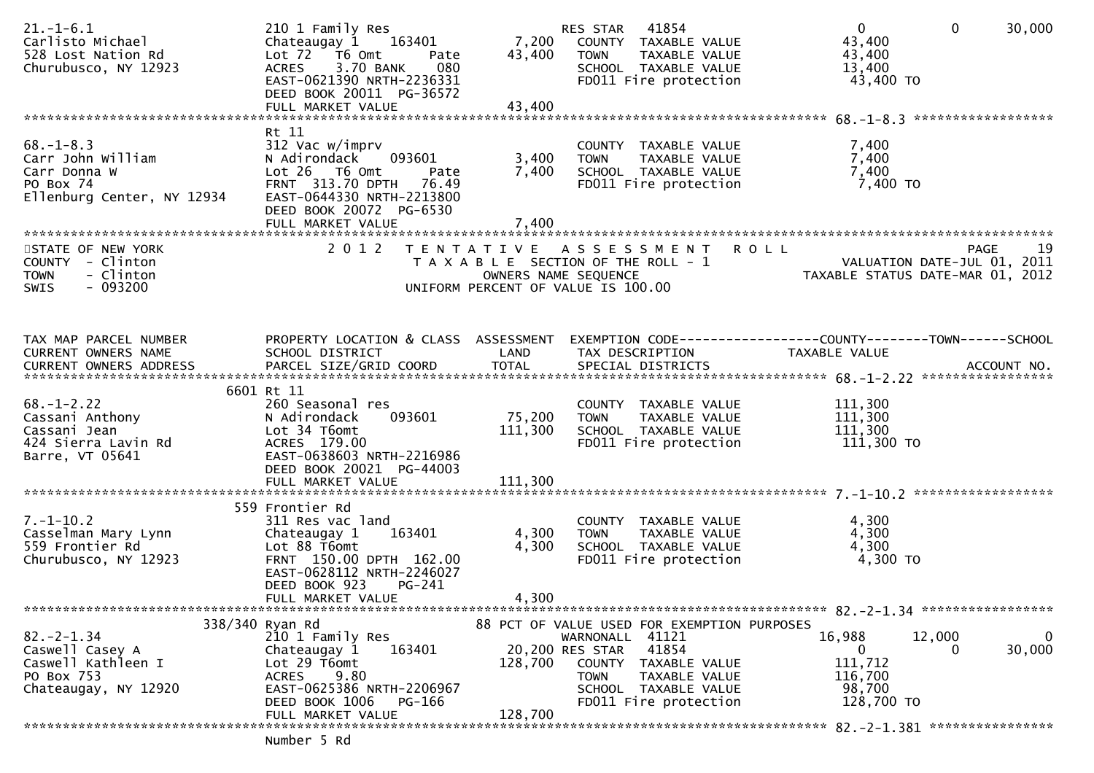| $21. - 1 - 6.1$<br>Carlisto Michael<br>528 Lost Nation Rd<br>Churubusco, NY 12923               | 210 1 Family Res<br>Chateaugay 1 163401<br>Lot 72  T6 0mt<br>Pate<br>3.70 BANK<br>080<br><b>ACRES</b><br>EAST-0621390 NRTH-2236331<br>DEED BOOK 20011 PG-36572<br>FULL MARKET VALUE   | 7,200<br>43,400<br>43,400 | RES STAR 41854<br>COUNTY TAXABLE VALUE<br><b>TOWN</b><br>TAXABLE VALUE<br>SCHOOL TAXABLE VALUE<br>FD011 Fire protection                                                                             | $\mathbf{0}$<br>$\mathbf{0}$<br>30,000<br>43,400<br>43,400<br>13,400<br>43,400 TO                                 |   |
|-------------------------------------------------------------------------------------------------|---------------------------------------------------------------------------------------------------------------------------------------------------------------------------------------|---------------------------|-----------------------------------------------------------------------------------------------------------------------------------------------------------------------------------------------------|-------------------------------------------------------------------------------------------------------------------|---|
| $68. - 1 - 8.3$<br>Carr John William<br>Carr Donna W<br>PO Box 74<br>Ellenburg Center, NY 12934 | Rt 11<br>312 Vac w/imprv<br>093601<br>N Adirondack<br>Lot 26 T6 Omt<br>Pate<br>FRNT 313.70 DPTH 76.49<br>EAST-0644330 NRTH-2213800<br>DEED BOOK 20072 PG-6530<br>FULL MARKET VALUE    | 3,400<br>7,400<br>7,400   | COUNTY TAXABLE VALUE<br>TAXABLE VALUE<br><b>TOWN</b><br>SCHOOL TAXABLE VALUE<br>FD011 Fire protection                                                                                               | 7,400<br>7,400<br>7,400<br>7,400 TO                                                                               |   |
| STATE OF NEW YORK<br>COUNTY - Clinton<br>- Clinton<br><b>TOWN</b><br>$-093200$<br><b>SWIS</b>   | 2012                                                                                                                                                                                  |                           | TENTATIVE ASSESSMENT<br>T A X A B L E SECTION OF THE ROLL - 1<br>OWNERS NAME SEQUENCE<br>UNIFORM PERCENT OF VALUE IS 100.00                                                                         | <b>ROLL</b><br>-19<br><b>PAGE</b><br>VALUATION DATE-JUL 01, 2011<br>TAXABLE STATUS DATE-MAR 01, 2012              |   |
| TAX MAP PARCEL NUMBER<br>CURRENT OWNERS NAME                                                    | SCHOOL DISTRICT                                                                                                                                                                       | LAND                      | TAX DESCRIPTION                                                                                                                                                                                     | PROPERTY LOCATION & CLASS ASSESSMENT EXEMPTION CODE----------------COUNTY-------TOWN------SCHOOL<br>TAXABLE VALUE |   |
| $68. - 1 - 2.22$<br>Cassani Anthony<br>Cassani Jean<br>424 Sierra Lavin Rd<br>Barre, VT 05641   | 6601 Rt 11<br>260 Seasonal res<br>N Adirondack<br>093601<br>Lot 34 T6omt<br>ACRES 179.00<br>EAST-0638603 NRTH-2216986<br>DEED BOOK 20021 PG-44003                                     | 75,200<br>111,300         | COUNTY TAXABLE VALUE<br><b>TOWN</b><br>TAXABLE VALUE<br>SCHOOL TAXABLE VALUE<br>FD011 Fire protection                                                                                               | 111,300<br>111,300<br>111,300<br>111,300 TO                                                                       |   |
| $7. - 1 - 10.2$<br>Casselman Mary Lynn<br>559 Frontier Rd<br>Churubusco, NY 12923               | 559 Frontier Rd<br>311 Res vac land<br>163401<br>Chateaugay 1<br>Lot 88 T6omt<br>FRNT 150.00 DPTH 162.00<br>EAST-0628112 NRTH-2246027<br>DEED BOOK 923<br>PG-241<br>FULL MARKET VALUE | 4,300<br>4,300<br>4,300   | COUNTY TAXABLE VALUE<br>TAXABLE VALUE<br><b>TOWN</b><br>SCHOOL TAXABLE VALUE<br>FD011 Fire protection                                                                                               | 4,300<br>4,300<br>4,300<br>4,300 TO                                                                               |   |
| $82 - 2 - 1.34$<br>Caswell Casey A<br>Caswell Kathleen I<br>PO Box 753<br>Chateaugay, NY 12920  | 338/340 Ryan Rd<br>210 1 Family Res<br>Chateaugay 1<br>163401<br>Lot 29 T6omt<br>9.80<br><b>ACRES</b><br>EAST-0625386 NRTH-2206967<br>DEED BOOK 1006<br>PG-166<br>FULL MARKET VALUE   | 128,700<br>128,700        | 88 PCT OF VALUE USED FOR EXEMPTION PURPOSES<br>WARNONALL 41121<br>41854<br>20,200 RES STAR<br>COUNTY TAXABLE VALUE<br><b>TOWN</b><br>TAXABLE VALUE<br>SCHOOL TAXABLE VALUE<br>FD011 Fire protection | 16,988<br>12,000<br>30,000<br>0<br>111,712<br>116,700<br>98,700<br>128,700 TO                                     | 0 |
|                                                                                                 | Number 5 Rd                                                                                                                                                                           |                           |                                                                                                                                                                                                     |                                                                                                                   |   |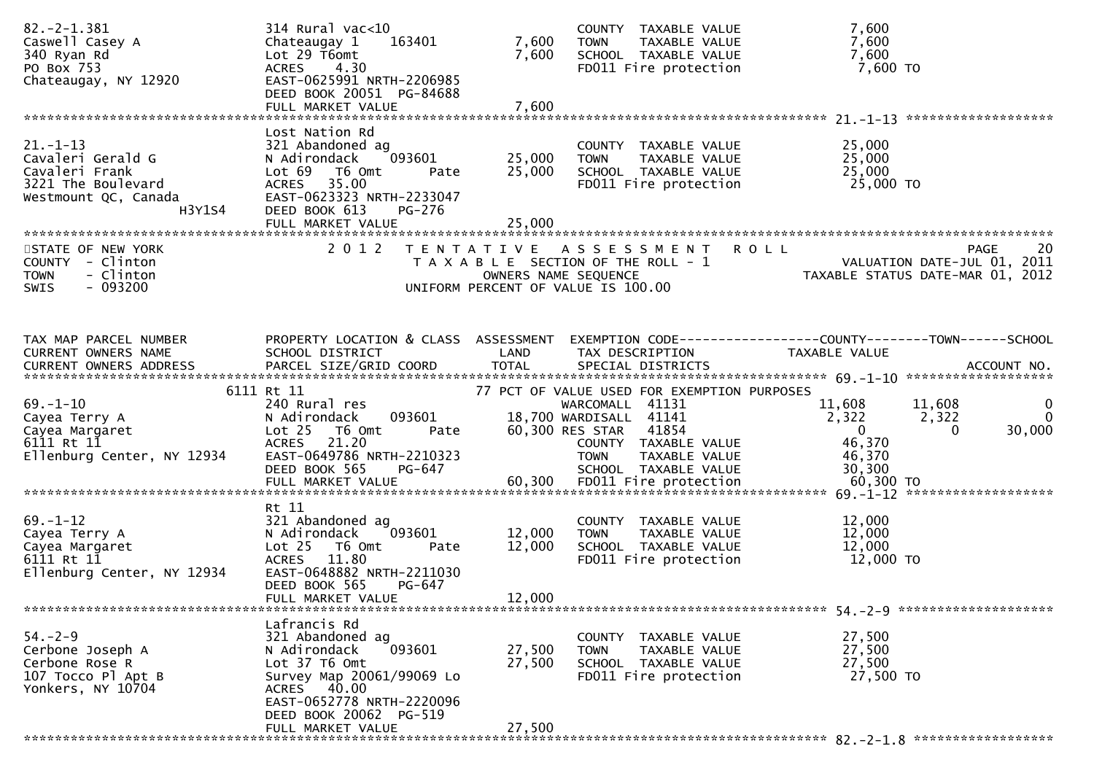| $82. -2 - 1.381$<br>Caswell Casey A<br>340 Ryan Rd<br>PO Box 753<br>Chateaugay, NY 12920                      | $314$ Rural vac<10<br>Chateaugay 1<br>163401<br>Lot 29 T6omt<br>4.30<br><b>ACRES</b><br>EAST-0625991 NRTH-2206985<br>DEED BOOK 20051 PG-84688<br>FULL MARKET VALUE                                  | 7,600<br>7,600<br>7,600                   | COUNTY TAXABLE VALUE<br>TAXABLE VALUE<br><b>TOWN</b><br>SCHOOL TAXABLE VALUE<br>FD011 Fire protection                                                                                                | 7,600<br>7,600<br>7,600<br>7,600 TO                                                                                       |
|---------------------------------------------------------------------------------------------------------------|-----------------------------------------------------------------------------------------------------------------------------------------------------------------------------------------------------|-------------------------------------------|------------------------------------------------------------------------------------------------------------------------------------------------------------------------------------------------------|---------------------------------------------------------------------------------------------------------------------------|
| $21. - 1 - 13$<br>Cavaleri Gerald G<br>Cavaleri Frank<br>3221 The Boulevard<br>Westmount QC, Canada<br>H3Y1S4 | Lost Nation Rd<br>321 Abandoned ag<br>N Adirondack<br>093601<br>Lot 69<br>T6 Omt<br>Pate<br>35.00<br><b>ACRES</b><br>EAST-0623323 NRTH-2233047<br>DEED BOOK 613<br>PG-276<br>FULL MARKET VALUE      | 25,000<br>25,000<br>25,000                | COUNTY TAXABLE VALUE<br>TAXABLE VALUE<br><b>TOWN</b><br>SCHOOL TAXABLE VALUE<br>FD011 Fire protection                                                                                                | 25,000<br>25,000<br>25,000<br>25,000 TO                                                                                   |
| STATE OF NEW YORK<br>COUNTY - Clinton<br>- Clinton<br><b>TOWN</b><br>$-093200$<br><b>SWIS</b>                 | 2 0 1 2                                                                                                                                                                                             | T E N T A T I V E<br>OWNERS NAME SEQUENCE | A S S E S S M E N T<br>T A X A B L E SECTION OF THE ROLL - 1<br>UNIFORM PERCENT OF VALUE IS 100.00                                                                                                   | <b>ROLL</b><br>20<br><b>PAGE</b><br>VALUATION DATE-JUL 01, 2011<br>TAXABLE STATUS DATE-MAR 01, 2012                       |
| TAX MAP PARCEL NUMBER<br>CURRENT OWNERS NAME                                                                  | PROPERTY LOCATION & CLASS ASSESSMENT<br>SCHOOL DISTRICT                                                                                                                                             | LAND                                      | TAX DESCRIPTION                                                                                                                                                                                      | EXEMPTION        CODE-----------------COUNTY-------TOWN------SCHOOL<br>TAXABLE VALUE                                      |
| $69. - 1 - 10$<br>Cayea Terry A<br>Cayea Margaret<br>6111 Rt 11<br>Ellenburg Center, NY 12934                 | 6111 Rt 11<br>240 Rural res<br>093601<br>N Adirondack<br>Lot <sub>25</sub><br>T6 Omt<br>Pate<br>ACRES 21.20<br>EAST-0649786 NRTH-2210323<br>DEED BOOK 565<br>PG-647                                 |                                           | 77 PCT OF VALUE USED FOR EXEMPTION PURPOSES<br>WARCOMALL 41131<br>18,700 WARDISALL 41141<br>60,300 RES STAR<br>41854<br>COUNTY TAXABLE VALUE<br><b>TOWN</b><br>TAXABLE VALUE<br>SCHOOL TAXABLE VALUE | 11,608<br>11,608<br>0<br>2,322<br>$\Omega$<br>2,322<br>$\overline{0}$<br>30,000<br>$\Omega$<br>46,370<br>46,370<br>30,300 |
| $69. - 1 - 12$<br>Cayea Terry A<br>Cayea Margaret<br>6111 Rt 11<br>Ellenburg Center, NY 12934                 | Rt 11<br>321 Abandoned ag<br>093601<br>N Adirondack<br>Lot 25<br>T6 Omt<br>Pate<br>11.80<br><b>ACRES</b><br>EAST-0648882 NRTH-2211030<br>DEED BOOK 565<br>PG-647<br>FULL MARKET VALUE               | 12,000<br>12,000<br>12,000                | COUNTY TAXABLE VALUE<br><b>TOWN</b><br>TAXABLE VALUE<br>SCHOOL TAXABLE VALUE<br>FD011 Fire protection                                                                                                | 12,000<br>12,000<br>12,000<br>12,000 TO                                                                                   |
| $54. - 2 - 9$<br>Cerbone Joseph A<br>Cerbone Rose R<br>107 Tocco Pl Apt B<br>Yonkers, NY 10704                | Lafrancis Rd<br>321 Abandoned ag<br>093601<br>N Adirondack<br>Lot 37 T6 Omt<br>Survey Map 20061/99069 Lo<br>ACRES 40.00<br>EAST-0652778 NRTH-2220096<br>DEED BOOK 20062 PG-519<br>FULL MARKET VALUE | 27,500<br>27,500<br>27,500                | COUNTY TAXABLE VALUE<br>TAXABLE VALUE<br>TOWN<br>SCHOOL TAXABLE VALUE<br>FD011 Fire protection                                                                                                       | 27,500<br>27,500<br>27,500<br>27,500 TO                                                                                   |
|                                                                                                               |                                                                                                                                                                                                     |                                           |                                                                                                                                                                                                      |                                                                                                                           |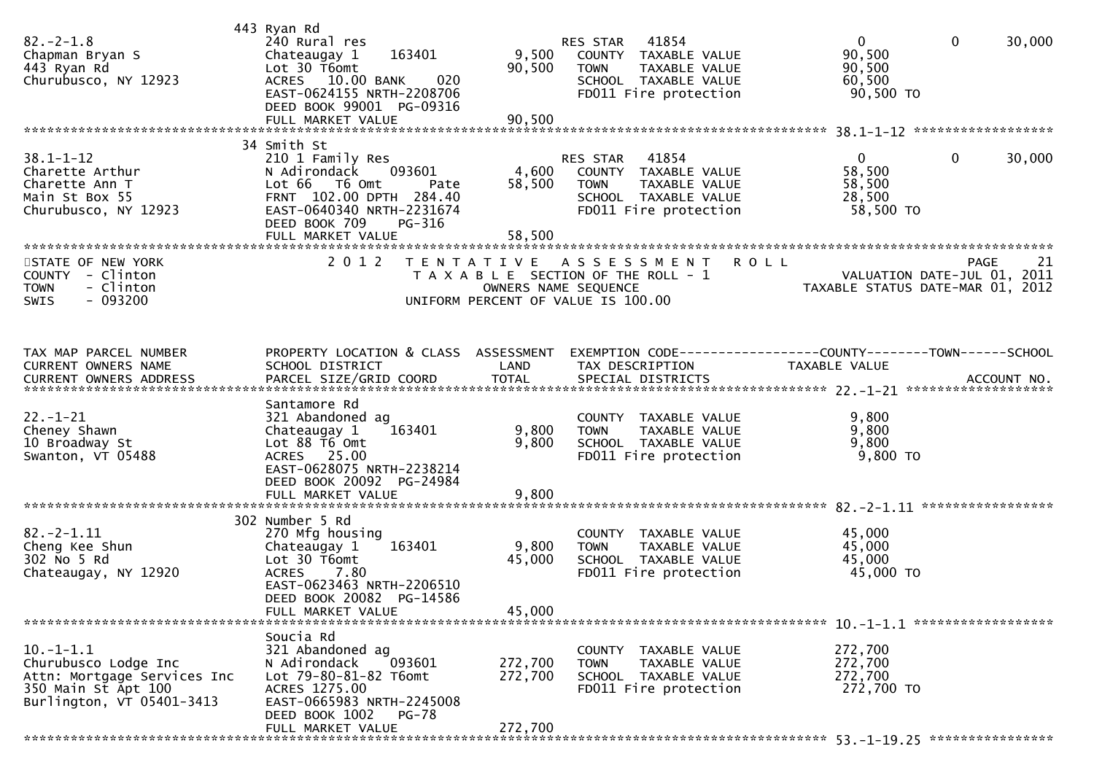| $82. - 2 - 1.8$<br>Chapman Bryan S<br>443 Ryan Rd<br>Churubusco, NY 12923                                              | 443 Ryan Rd<br>240 Rural res<br>163401<br>Chateaugay 1<br>Lot 30 T6omt<br>ACRES 10.00 BANK<br>020<br>EAST-0624155 NRTH-2208706<br>DEED BOOK 99001 PG-09316                  | 9,500<br>90,500               | RES STAR 41854<br>COUNTY TAXABLE VALUE<br>TAXABLE VALUE<br><b>TOWN</b><br>SCHOOL TAXABLE VALUE<br>FD011 Fire protection    | $\mathbf{0}$<br>90,500<br>90,500<br>60,500<br>90,500 TO | $\mathbf 0$<br>30,000                            |
|------------------------------------------------------------------------------------------------------------------------|-----------------------------------------------------------------------------------------------------------------------------------------------------------------------------|-------------------------------|----------------------------------------------------------------------------------------------------------------------------|---------------------------------------------------------|--------------------------------------------------|
|                                                                                                                        | 34 Smith St                                                                                                                                                                 |                               |                                                                                                                            |                                                         |                                                  |
| $38.1 - 1 - 12$<br>Charette Arthur<br>Charette Ann T<br>Main St Box 55<br>Churubusco, NY 12923                         | 210 1 Family Res<br>093601<br>N Adirondack<br>Lot 66 T6 Omt<br>Pate<br>FRNT 102.00 DPTH 284.40<br>EAST-0640340 NRTH-2231674<br>DEED BOOK 709<br>PG-316<br>FULL MARKET VALUE | 4,600<br>58,500<br>58,500     | 41854<br>RES STAR<br>COUNTY TAXABLE VALUE<br>TAXABLE VALUE<br><b>TOWN</b><br>SCHOOL TAXABLE VALUE<br>FD011 Fire protection | $\mathbf{0}$<br>58,500<br>58,500<br>28,500<br>58,500 TO | 0<br>30,000                                      |
|                                                                                                                        | 2 0 1 2                                                                                                                                                                     |                               | <b>ROLL</b>                                                                                                                |                                                         |                                                  |
| STATE OF NEW YORK<br>COUNTY - Clinton<br><b>TOWN</b><br>- Clinton<br>$-093200$<br><b>SWIS</b>                          |                                                                                                                                                                             | T E N T A T I V E             | A S S E S S M E N T<br>T A X A B L E SECTION OF THE ROLL - 1<br>OWNERS NAME SEQUENCE<br>UNIFORM PERCENT OF VALUE IS 100.00 | TAXABLE STATUS DATE-MAR 01, 2012                        | <b>PAGE</b><br>21<br>VALUATION DATE-JUL 01, 2011 |
| TAX MAP PARCEL NUMBER<br>CURRENT OWNERS NAME                                                                           | PROPERTY LOCATION & CLASS ASSESSMENT<br>SCHOOL DISTRICT                                                                                                                     | LAND                          | EXEMPTION CODE-----------------COUNTY-------TOWN------SCHOOL<br>TAX DESCRIPTION                                            | TAXABLE VALUE                                           |                                                  |
|                                                                                                                        | Santamore Rd                                                                                                                                                                |                               |                                                                                                                            |                                                         |                                                  |
| $22. - 1 - 21$<br>Cheney Shawn<br>10 Broadway St<br>Swanton, VT 05488                                                  | 321 Abandoned ag<br>Chateaugay 1<br>163401<br>Lot 88 T6 Omt<br>ACRES 25.00<br>EAST-0628075 NRTH-2238214<br>DEED BOOK 20092 PG-24984                                         | 9,800<br>9,800                | COUNTY TAXABLE VALUE<br>TAXABLE VALUE<br><b>TOWN</b><br>SCHOOL TAXABLE VALUE<br>FD011 Fire protection                      | 9,800<br>9,800<br>9,800<br>9,800 TO                     |                                                  |
|                                                                                                                        |                                                                                                                                                                             |                               |                                                                                                                            |                                                         |                                                  |
|                                                                                                                        | 302 Number 5 Rd                                                                                                                                                             |                               |                                                                                                                            |                                                         |                                                  |
| $82. - 2 - 1.11$<br>Cheng Kee Shun<br>302 No 5 Rd<br>Chateaugay, NY 12920                                              | 270 Mfg housing<br>163401<br>Chateaugay 1<br>Lot 30 T6omt<br><b>ACRES</b><br>7.80<br>EAST-0623463 NRTH-2206510<br>DEED BOOK 20082 PG-14586<br>FULL MARKET VALUE             | 9,800<br>45,000<br>45,000     | COUNTY TAXABLE VALUE<br><b>TOWN</b><br>TAXABLE VALUE<br>SCHOOL TAXABLE VALUE<br>FD011 Fire protection                      | 45,000<br>45,000<br>45,000<br>45,000 TO                 |                                                  |
|                                                                                                                        | Soucia Rd                                                                                                                                                                   |                               |                                                                                                                            |                                                         |                                                  |
| $10.-1-1.1$<br>Churubusco Lodge Inc<br>Attn: Mortgage Services Inc<br>350 Main St Apt 100<br>Burlington, VT 05401-3413 | 321 Abandoned ag<br>093601<br>N Adirondack<br>Lot 79-80-81-82 T6omt<br>ACRES 1275.00<br>EAST-0665983 NRTH-2245008<br>DEED BOOK 1002<br>PG-78<br>FULL MARKET VALUE           | 272,700<br>272,700<br>272,700 | COUNTY TAXABLE VALUE<br>TAXABLE VALUE<br><b>TOWN</b><br>SCHOOL TAXABLE VALUE<br>FD011 Fire protection                      | 272,700<br>272,700<br>272,700<br>272,700 TO             |                                                  |
|                                                                                                                        |                                                                                                                                                                             |                               |                                                                                                                            |                                                         |                                                  |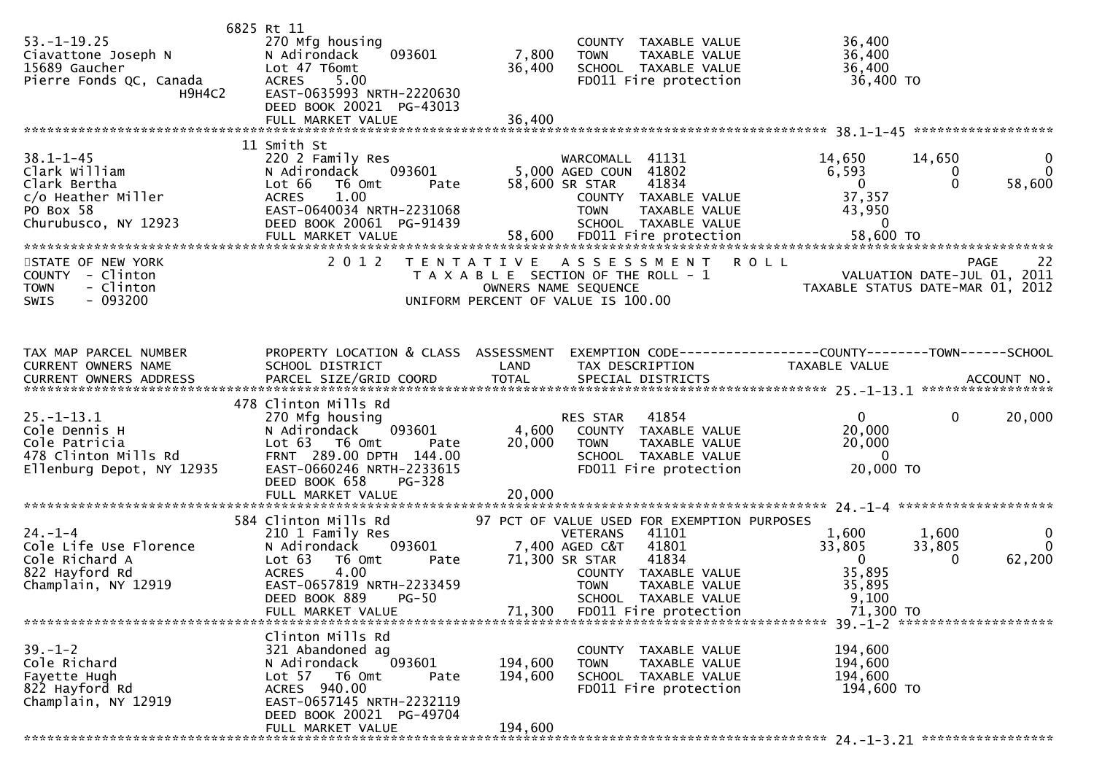| $53. - 1 - 19.25$<br>Ciavattone Joseph N<br>15689 Gaucher<br>Pierre Fonds QC, Canada<br>H9H4C2              | 6825 Rt 11<br>270 Mfg housing<br>093601<br>N Adirondack<br>Lot 47 T6omt<br>5.00<br><b>ACRES</b><br>EAST-0635993 NRTH-2220630<br>DEED BOOK 20021 PG-43013                                             | 7,800<br>36,400               | COUNTY TAXABLE VALUE<br>TAXABLE VALUE<br><b>TOWN</b><br>SCHOOL TAXABLE VALUE<br>FD011 Fire protection                                                                                                                                                   | 36,400<br>36,400<br>36,400<br>36,400 TO                                            |                                                                               |
|-------------------------------------------------------------------------------------------------------------|------------------------------------------------------------------------------------------------------------------------------------------------------------------------------------------------------|-------------------------------|---------------------------------------------------------------------------------------------------------------------------------------------------------------------------------------------------------------------------------------------------------|------------------------------------------------------------------------------------|-------------------------------------------------------------------------------|
|                                                                                                             |                                                                                                                                                                                                      |                               |                                                                                                                                                                                                                                                         |                                                                                    |                                                                               |
| $38.1 - 1 - 45$<br>Clark William<br>Clark Bertha<br>c/o Heather Miller<br>PO Box 58<br>Churubusco, NY 12923 | 11 Smith St<br>220 2 Family Res<br>093601<br>N Adirondack<br>Lot 66<br>T6 Omt<br>Pate<br>1.00<br><b>ACRES</b><br>EAST-0640034 NRTH-2231068<br>DEED BOOK 20061 PG-91439                               |                               | WARCOMALL 41131<br>5,000 AGED COUN 41802<br>58,600 SR STAR<br>41834<br>COUNTY TAXABLE VALUE<br><b>TOWN</b><br>TAXABLE VALUE<br>SCHOOL TAXABLE VALUE                                                                                                     | 14,650<br>6,593<br>$\overline{0}$<br>37,357<br>43,950<br>$\mathbf{0}$<br>58,600 TO | 14,650<br>$\mathbf{0}$<br>$\mathbf{0}$<br>0<br>$\Omega$<br>58,600             |
| STATE OF NEW YORK<br>COUNTY - Clinton<br>- Clinton<br><b>TOWN</b><br>- 093200<br>SWIS                       | 2 0 1 2                                                                                                                                                                                              | T E N T A T I V E             | A S S E S S M E N T<br>T A X A B L E SECTION OF THE ROLL - 1<br>OWNERS NAME SEQUENCE<br>UNIFORM PERCENT OF VALUE IS 100.00                                                                                                                              | <b>ROLL</b>                                                                        | 22<br>PAGE<br>VALUATION DATE-JUL 01, 2011<br>TAXABLE STATUS DATE-MAR 01, 2012 |
| TAX MAP PARCEL NUMBER<br>CURRENT OWNERS NAME                                                                | PROPERTY LOCATION & CLASS ASSESSMENT<br>SCHOOL DISTRICT                                                                                                                                              | LAND                          | EXEMPTION CODE-----------------COUNTY--------TOWN------SCHOOL<br>TAX DESCRIPTION                                                                                                                                                                        | TAXABLE VALUE                                                                      |                                                                               |
| $25. - 1 - 13.1$<br>Cole Dennis H<br>Cole Patricia<br>478 Clinton Mills Rd<br>Ellenburg Depot, NY 12935     | 478 Clinton Mills Rd<br>270 Mfg housing<br>093601<br>N Adirondack<br>Lot 63 T6 Omt<br>Pate<br>FRNT 289.00 DPTH 144.00<br>EAST-0660246 NRTH-2233615<br>PG-328<br>DEED BOOK 658                        | 4,600<br>20,000               | 41854<br>RES STAR<br>COUNTY TAXABLE VALUE<br>TAXABLE VALUE<br><b>TOWN</b><br>SCHOOL TAXABLE VALUE<br>FD011 Fire protection                                                                                                                              | $\mathbf{0}$<br>20,000<br>20,000<br>$\overline{0}$<br>20,000 TO                    | $\mathbf{0}$<br>20,000                                                        |
|                                                                                                             |                                                                                                                                                                                                      |                               |                                                                                                                                                                                                                                                         |                                                                                    |                                                                               |
| $24. - 1 - 4$<br>Cole Life Use Florence<br>Cole Richard A<br>822 Hayford Rd<br>Champlain, NY 12919          | 584 Clinton Mills Rd<br>210 1 Family Res<br>093601<br>N Adirondack<br>Lot $63$<br>T6 Omt<br>Pate<br>4.00<br><b>ACRES</b><br>EAST-0657819 NRTH-2233459<br>DEED BOOK 889<br>PG-50<br>FULL MARKET VALUE | 71,300                        | 97 PCT OF VALUE USED FOR EXEMPTION PURPOSES<br>41101<br><b>VETERANS</b><br>41801<br>7,400 AGED C&T<br>41834<br>71,300 SR STAR<br>COUNTY TAXABLE VALUE<br><b>TOWN</b><br><b>TAXABLE VALUE</b><br><b>SCHOOL</b><br>TAXABLE VALUE<br>FD011 Fire protection | 1,600<br>33,805<br>$\overline{0}$<br>35,895<br>35,895<br>9,100<br>71,300 TO        | $\mathbf 0$<br>1,600<br>$\Omega$<br>33,805<br>62,200<br>0                     |
| $39. - 1 - 2$<br>Cole Richard<br>Fayette Hugh<br>822 Hayford Rd<br>Champlain, NY 12919                      | Clinton Mills Rd<br>321 Abandoned ag<br>093601<br>N Adirondack<br>Lot 57 76 0mt<br>Pate<br>ACRES 940.00<br>EAST-0657145 NRTH-2232119<br>DEED BOOK 20021 PG-49704<br>FULL MARKET VALUE                | 194,600<br>194,600<br>194,600 | COUNTY TAXABLE VALUE<br><b>TAXABLE VALUE</b><br><b>TOWN</b><br>SCHOOL TAXABLE VALUE<br>FD011 Fire protection                                                                                                                                            | 194,600<br>194,600<br>194,600<br>194,600 TO                                        |                                                                               |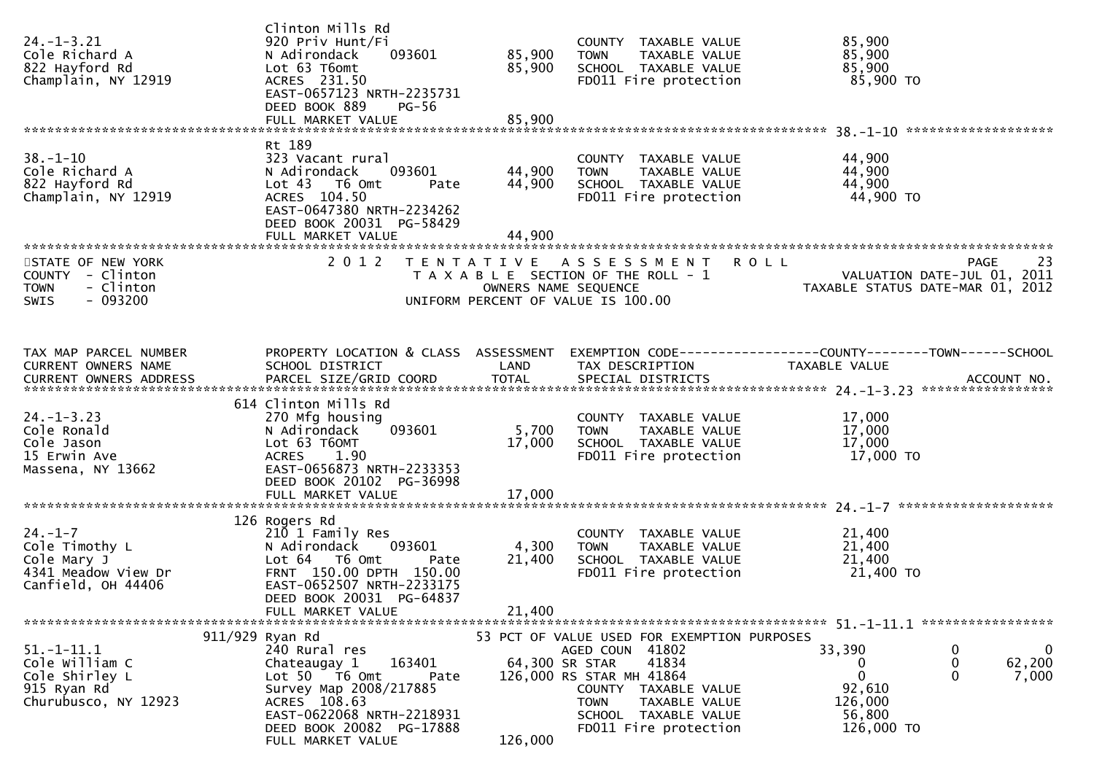| $24. - 1 - 3.21$<br>Cole Richard A<br>822 Hayford Rd<br>Champlain, NY 12919                   | Clinton Mills Rd<br>920 Priv Hunt/Fi<br>093601<br>N Adirondack<br>Lot 63 T6omt<br>ACRES 231.50<br>EAST-0657123 NRTH-2235731<br>DEED BOOK 889<br><b>PG-56</b>                                                | 85,900<br>85,900                          | COUNTY TAXABLE VALUE<br>TAXABLE VALUE<br><b>TOWN</b><br>SCHOOL TAXABLE VALUE<br>FD011 Fire protection                                                                                                        | 85,900<br>85,900<br>85,900<br>85,900 TO                                                                                      |
|-----------------------------------------------------------------------------------------------|-------------------------------------------------------------------------------------------------------------------------------------------------------------------------------------------------------------|-------------------------------------------|--------------------------------------------------------------------------------------------------------------------------------------------------------------------------------------------------------------|------------------------------------------------------------------------------------------------------------------------------|
|                                                                                               |                                                                                                                                                                                                             |                                           |                                                                                                                                                                                                              |                                                                                                                              |
| $38 - 1 - 10$<br>Cole Richard A<br>822 Hayford Rd<br>Champlain, NY 12919                      | Rt 189<br>323 Vacant rural<br>N Adirondack<br>093601<br>Lot <sub>43</sub><br>T6 Omt<br>Pate<br>ACRES 104.50<br>EAST-0647380 NRTH-2234262<br>DEED BOOK 20031 PG-58429<br>FULL MARKET VALUE                   | 44,900<br>44,900<br>44,900                | COUNTY TAXABLE VALUE<br><b>TOWN</b><br>TAXABLE VALUE<br>SCHOOL TAXABLE VALUE<br>FD011 Fire protection                                                                                                        | 44,900<br>44,900<br>44,900<br>44,900 TO                                                                                      |
|                                                                                               |                                                                                                                                                                                                             |                                           |                                                                                                                                                                                                              |                                                                                                                              |
| STATE OF NEW YORK<br>COUNTY - Clinton<br><b>TOWN</b><br>- Clinton<br>$-093200$<br><b>SWIS</b> | 2 0 1 2                                                                                                                                                                                                     | T E N T A T I V E<br>OWNERS NAME SEQUENCE | ASSESSMENT<br>T A X A B L E SECTION OF THE ROLL - 1<br>UNIFORM PERCENT OF VALUE IS 100.00                                                                                                                    | <b>ROLL</b><br>PAGE<br>23<br>VALUATION DATE-JUL 01, 2011<br>TAXABLE STATUS DATE-MAR 01, 2012                                 |
| TAX MAP PARCEL NUMBER<br>CURRENT OWNERS NAME                                                  | PROPERTY LOCATION & CLASS ASSESSMENT<br>SCHOOL DISTRICT                                                                                                                                                     | LAND                                      | TAX DESCRIPTION                                                                                                                                                                                              | EXEMPTION CODE-----------------COUNTY-------TOWN------SCHOOL<br>TAXABLE VALUE                                                |
| <b>CURRENT OWNERS ADDRESS</b>                                                                 | PARCEL SIZE/GRID COORD                                                                                                                                                                                      | <b>TOTAL</b>                              | SPECIAL DISTRICTS                                                                                                                                                                                            | ACCOUNT NO.                                                                                                                  |
|                                                                                               |                                                                                                                                                                                                             |                                           |                                                                                                                                                                                                              |                                                                                                                              |
| $24. - 1 - 3.23$<br>Cole Ronald<br>Cole Jason<br>15 Erwin Ave<br>Massena, NY 13662            | 614 Clinton Mills Rd<br>270 Mfg housing<br>093601<br>N Adirondack<br>Lot 63 T60MT<br><b>ACRES</b><br>1.90<br>EAST-0656873 NRTH-2233353<br>DEED BOOK 20102 PG-36998                                          | 5,700<br>17,000                           | COUNTY TAXABLE VALUE<br>TAXABLE VALUE<br><b>TOWN</b><br>SCHOOL TAXABLE VALUE<br>FD011 Fire protection                                                                                                        | 17,000<br>17,000<br>17,000<br>17,000 TO                                                                                      |
|                                                                                               |                                                                                                                                                                                                             |                                           |                                                                                                                                                                                                              |                                                                                                                              |
| $24. - 1 - 7$<br>Cole Timothy L<br>Cole Mary J<br>4341 Meadow View Dr<br>Canfield, OH 44406   | 126 Rogers Rd<br>210 1 Family Res<br>N Adirondack<br>093601<br>Lot 64  T6 0mt<br>Pate<br>FRNT 150.00 DPTH 150.00<br>EAST-0652507 NRTH-2233175<br>DEED BOOK 20031 PG-64837<br>FULL MARKET VALUE              | 4,300<br>21,400<br>21,400                 | COUNTY TAXABLE VALUE<br><b>TOWN</b><br>TAXABLE VALUE<br>SCHOOL TAXABLE VALUE<br>FD011 Fire protection                                                                                                        | 21,400<br>21,400<br>21,400<br>21,400 TO                                                                                      |
|                                                                                               |                                                                                                                                                                                                             |                                           |                                                                                                                                                                                                              |                                                                                                                              |
| $51.-1-11.1$<br>Cole William C<br>Cole Shirley L<br>915 Ryan Rd<br>Churubusco, NY 12923       | 911/929 Ryan Rd<br>240 Rural res<br>163401<br>Chateaugay 1<br>Lot 50 T6 Omt<br>Pate<br>Survey Map 2008/217885<br>ACRES 108.63<br>EAST-0622068 NRTH-2218931<br>DEED BOOK 20082 PG-17888<br>FULL MARKET VALUE | 64,300 SR STAR<br>126,000                 | 53 PCT OF VALUE USED FOR EXEMPTION PURPOSES<br>AGED COUN 41802<br>41834<br>126,000 RS STAR MH 41864<br>COUNTY TAXABLE VALUE<br><b>TOWN</b><br>TAXABLE VALUE<br>SCHOOL TAXABLE VALUE<br>FD011 Fire protection | $\mathbf 0$<br>33,390<br>$\bf{0}$<br>0<br>62,200<br>0<br>0<br>$\Omega$<br>7,000<br>92,610<br>126,000<br>56,800<br>126,000 TO |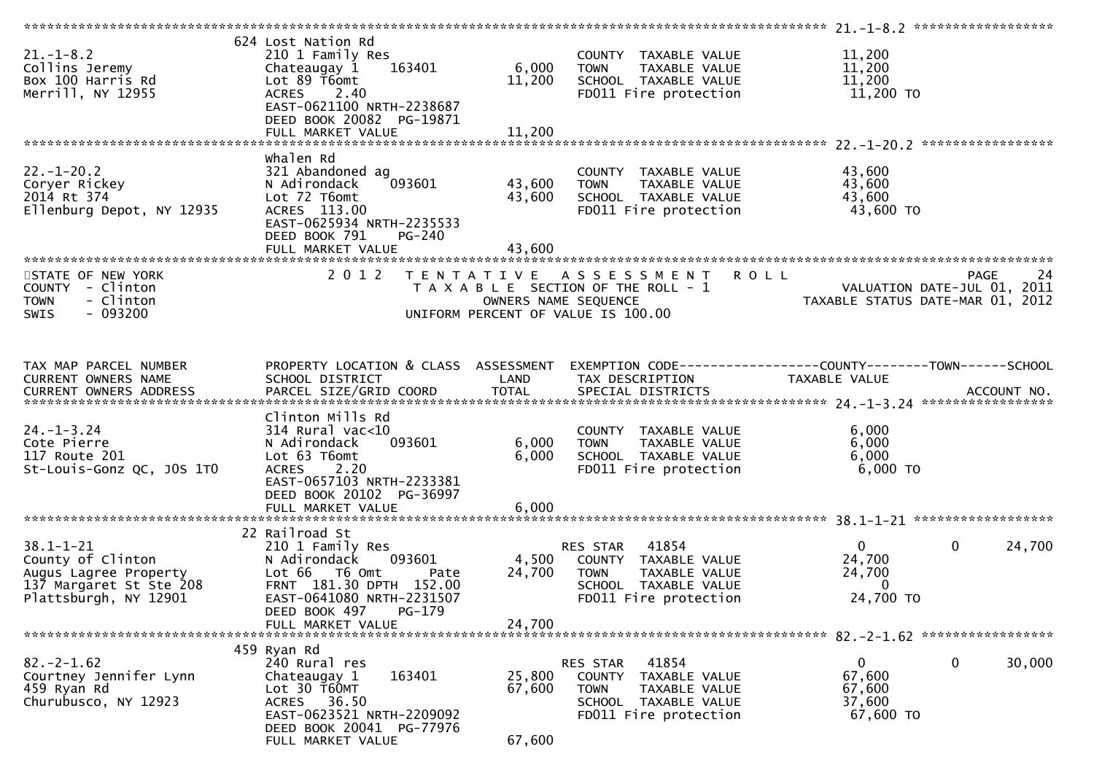| $21. - 1 - 8.2$<br>Collins Jeremy<br>Box 100 Harris Rd<br>Merrill, NY 12955                                       | 624 Lost Nation Rd<br>210 1 Family Res<br>163401<br>Chateaugay 1<br>Lot 89 T6omt<br><b>ACRES</b><br>2.40<br>EAST-0621100 NRTH-2238687<br>DEED BOOK 20082 PG-19871    | 6,000<br>11,200            | COUNTY TAXABLE VALUE<br>TAXABLE VALUE<br><b>TOWN</b><br>SCHOOL TAXABLE VALUE<br>FD011 Fire protection                                | 11,200<br>11,200<br>11,200<br>11,200 TO                         |                       |
|-------------------------------------------------------------------------------------------------------------------|----------------------------------------------------------------------------------------------------------------------------------------------------------------------|----------------------------|--------------------------------------------------------------------------------------------------------------------------------------|-----------------------------------------------------------------|-----------------------|
|                                                                                                                   | FULL MARKET VALUE                                                                                                                                                    | 11,200                     |                                                                                                                                      |                                                                 |                       |
| $22. - 1 - 20.2$<br>Coryer Rickey<br>2014 Rt 374<br>Ellenburg Depot, NY 12935                                     | Whalen Rd<br>321 Abandoned ag<br>093601<br>N Adirondack<br>Lot 72 T6omt<br>ACRES 113.00<br>EAST-0625934 NRTH-2235533<br>DEED BOOK 791<br>PG-240<br>FULL MARKET VALUE | 43,600<br>43,600<br>43,600 | COUNTY TAXABLE VALUE<br>TAXABLE VALUE<br><b>TOWN</b><br>SCHOOL TAXABLE VALUE<br>FD011 Fire protection                                | 43,600<br>43,600<br>43,600<br>43,600 TO                         |                       |
| STATE OF NEW YORK                                                                                                 | 2 0 1 2                                                                                                                                                              |                            | TENTATIVE ASSESSMENT                                                                                                                 | <b>ROLL</b>                                                     | 24<br><b>PAGE</b>     |
| COUNTY - Clinton<br>- Clinton<br><b>TOWN</b><br><b>SWIS</b><br>- 093200                                           |                                                                                                                                                                      | OWNERS NAME SEQUENCE       | T A X A B L E SECTION OF THE ROLL - 1<br>UNIFORM PERCENT OF VALUE IS 100.00                                                          | VALUATION DATE-JUL 01, 2011<br>TAXABLE STATUS DATE-MAR 01, 2012 |                       |
| TAX MAP PARCEL NUMBER<br><b>CURRENT OWNERS NAME</b><br>CURRENT OWNERS ADDRESS                                     | PROPERTY LOCATION & CLASS ASSESSMENT<br>SCHOOL DISTRICT                                                                                                              | LAND                       | EXEMPTION CODE------------------COUNTY--------TOWN------SCHOOL<br>TAX DESCRIPTION                                                    | TAXABLE VALUE                                                   |                       |
| $24. - 1 - 3.24$<br>Cote Pierre<br>117 Route 201<br>St-Louis-Gonz QC, JOS 1TO                                     | Clinton Mills Rd<br>$314$ Rural vac<10<br>093601<br>N Adirondack<br>Lot 63 T6omt<br>2.20<br><b>ACRES</b><br>EAST-0657103 NRTH-2233381<br>DEED BOOK 20102 PG-36997    | 6,000<br>6,000             | COUNTY TAXABLE VALUE<br>TAXABLE VALUE<br><b>TOWN</b><br>SCHOOL TAXABLE VALUE<br>FD011 Fire protection                                | 6,000<br>6,000<br>6,000<br>6,000 TO                             |                       |
|                                                                                                                   |                                                                                                                                                                      |                            |                                                                                                                                      |                                                                 |                       |
| $38.1 - 1 - 21$<br>County of Clinton<br>Augus Lagree Property<br>137 Margaret St Ste 208<br>Plattsburgh, NY 12901 | 22 Railroad St<br>210 1 Family Res<br>N Adirondack<br>093601<br>Lot 66 T6 Omt<br>Pate<br>FRNT 181.30 DPTH 152.00<br>EAST-0641080 NRTH-2231507                        | 4,500<br>24,700            | 41854<br>RES STAR<br>COUNTY TAXABLE VALUE<br><b>TOWN</b><br>TAXABLE VALUE<br>SCHOOL TAXABLE VALUE<br>FD011 Fire protection           | $\overline{0}$<br>24,700<br>24,700<br>$\mathbf{0}$<br>24,700 TO | $\mathbf 0$<br>24,700 |
|                                                                                                                   | DEED BOOK 497<br>PG-179<br>FULL MARKET VALUE                                                                                                                         | 24,700                     |                                                                                                                                      |                                                                 |                       |
|                                                                                                                   |                                                                                                                                                                      |                            |                                                                                                                                      |                                                                 |                       |
| $82. -2 - 1.62$<br>Courtney Jennifer Lynn<br>459 Ryan Rd<br>Churubusco, NY 12923                                  | 459 Ryan Rd<br>240 Rural res<br>163401<br>Chateaugay 1<br>Lot 30 T60MT<br>ACRES 36.50<br>EAST-0623521 NRTH-2209092<br>DEED BOOK 20041 PG-77976<br>FULL MARKET VALUE  | 25,800<br>67,600<br>67,600 | RES STAR<br>41854<br><b>COUNTY</b><br>TAXABLE VALUE<br><b>TOWN</b><br>TAXABLE VALUE<br>SCHOOL TAXABLE VALUE<br>FD011 Fire protection | $\mathbf{0}$<br>67,600<br>67,600<br>37,600<br>67,600 TO         | 0<br>30,000           |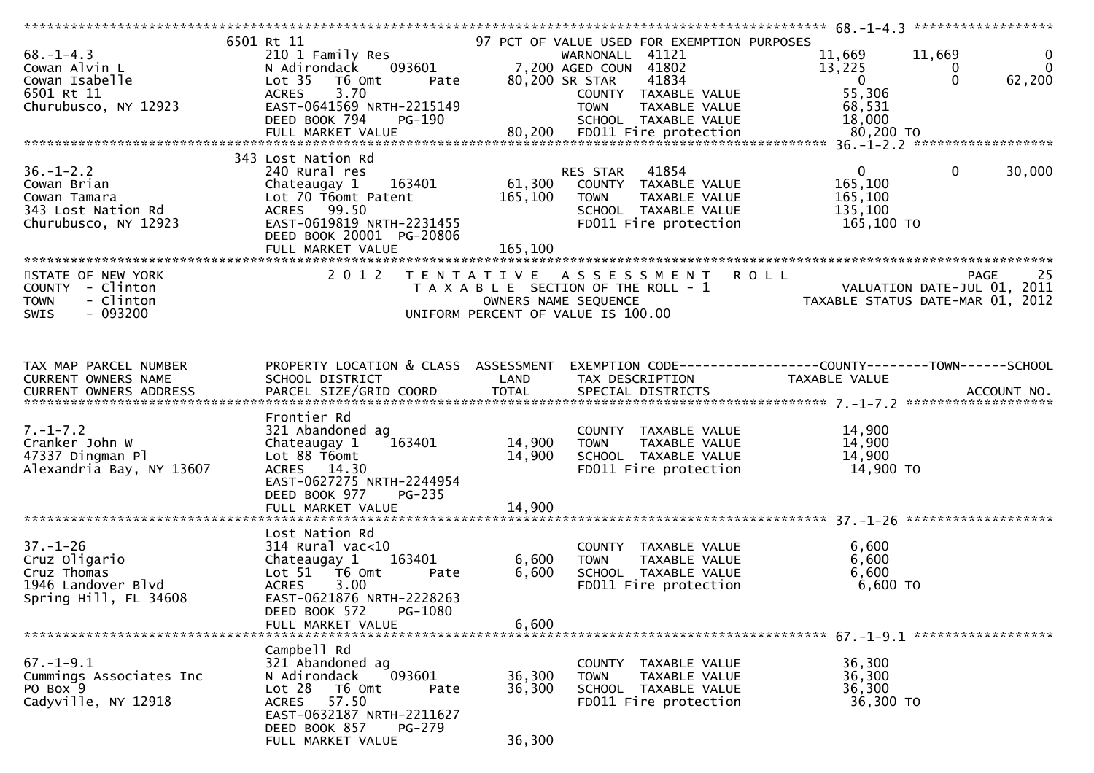|                                                        | 6501 Rt 11                           |                     | 97 PCT OF VALUE USED FOR EXEMPTION PURPOSES                                                |                                                                                                                                                                                                                                     |                |
|--------------------------------------------------------|--------------------------------------|---------------------|--------------------------------------------------------------------------------------------|-------------------------------------------------------------------------------------------------------------------------------------------------------------------------------------------------------------------------------------|----------------|
| $68. - 1 - 4.3$                                        | 210 1 Family Res                     |                     | WARNONALL 41121                                                                            | 11,669<br>11,669                                                                                                                                                                                                                    | $\overline{0}$ |
| oo.-1 -<br>Cowan Alvin L<br>Cowan Isabelle<br>1101 -11 | N Adirondack 093601                  |                     | WARNONALL 41121<br>7,200 AGED COUN 41802                                                   | 13,225<br>0                                                                                                                                                                                                                         | $\mathbf{0}$   |
|                                                        |                                      |                     |                                                                                            |                                                                                                                                                                                                                                     |                |
|                                                        | Lot 35 T6 Omt                        | Pate 80,200 SR STAR | 41834                                                                                      | $\Omega$<br>$\overline{0}$                                                                                                                                                                                                          | 62,200         |
|                                                        | 3.70<br><b>ACRES</b>                 |                     | COUNTY TAXABLE VALUE                                                                       | 55,306                                                                                                                                                                                                                              |                |
| Churubusco, NY 12923                                   | EAST-0641569 NRTH-2215149            |                     | <b>TOWN</b><br>TAXABLE VALUE                                                               | 68,531                                                                                                                                                                                                                              |                |
|                                                        |                                      |                     |                                                                                            |                                                                                                                                                                                                                                     |                |
|                                                        |                                      |                     |                                                                                            |                                                                                                                                                                                                                                     |                |
|                                                        |                                      |                     |                                                                                            | Churubusco, NY 12923 EAST-0641569 NRIH-2215149 [UWN TAXABLE VALUE   00,331<br>DEED BOOK 794 PG-190 SCHOOL TAXABLE VALUE 18,000<br>FULL MARKET VALUE 80,200 FD011 Fire protection 80,200 TO FOLL FINARKET VALUE 80,200 FD011 Fire pr |                |
|                                                        |                                      |                     |                                                                                            |                                                                                                                                                                                                                                     |                |
|                                                        | 343 Lost Nation Rd                   |                     |                                                                                            |                                                                                                                                                                                                                                     |                |
| $36. - 1 - 2.2$                                        | 240 Rural res                        |                     | 41854<br>RES STAR                                                                          | $\mathbf{0}$<br>$\overline{0}$                                                                                                                                                                                                      | 30,000         |
| Cowan Brian                                            | Chateaugay 1 163401                  |                     | 61,300 COUNTY TAXABLE VALUE                                                                | 165,100                                                                                                                                                                                                                             |                |
| Cowan Tamara                                           | Lot 70 T6omt Patent                  | 165,100             | TAXABLE VALUE<br>TOWN                                                                      | 165,100                                                                                                                                                                                                                             |                |
| 343 Lost Nation Rd                                     | ACRES 99.50                          |                     | SCHOOL TAXABLE VALUE                                                                       | 135,100                                                                                                                                                                                                                             |                |
| Churubusco, NY 12923                                   | EAST-0619819 NRTH-2231455            |                     | FD011 Fire protection                                                                      | 165,100 TO                                                                                                                                                                                                                          |                |
|                                                        |                                      |                     |                                                                                            |                                                                                                                                                                                                                                     |                |
|                                                        | DEED BOOK 20001 PG-20806             |                     |                                                                                            |                                                                                                                                                                                                                                     |                |
|                                                        |                                      |                     |                                                                                            |                                                                                                                                                                                                                                     |                |
|                                                        |                                      |                     |                                                                                            |                                                                                                                                                                                                                                     |                |
| STATE OF NEW YORK                                      |                                      |                     | 2012 TENTATIVE ASSESSMENT                                                                  | KULL<br>PAGE 25<br>TAXABLE STATIS DATE-JUL 01, 2011                                                                                                                                                                                 |                |
| COUNTY - Clinton                                       |                                      |                     | T A X A B L E SECTION OF THE ROLL - 1                                                      |                                                                                                                                                                                                                                     |                |
| - Clinton<br><b>TOWN</b>                               |                                      |                     | OWNERS NAME SEQUENCE                                                                       |                                                                                                                                                                                                                                     |                |
| $-093200$<br><b>SWIS</b>                               |                                      |                     | UNIFORM PERCENT OF VALUE IS 100.00                                                         |                                                                                                                                                                                                                                     |                |
|                                                        |                                      |                     |                                                                                            |                                                                                                                                                                                                                                     |                |
|                                                        |                                      |                     |                                                                                            |                                                                                                                                                                                                                                     |                |
|                                                        |                                      |                     |                                                                                            |                                                                                                                                                                                                                                     |                |
|                                                        |                                      |                     |                                                                                            |                                                                                                                                                                                                                                     |                |
| TAX MAP PARCEL NUMBER                                  | PROPERTY LOCATION & CLASS ASSESSMENT |                     |                                                                                            |                                                                                                                                                                                                                                     |                |
| CURRENT OWNERS NAME                                    | SCHOOL DISTRICT                      | LAND                | TAX DESCRIPTION                                                                            | TAXABLE VALUE                                                                                                                                                                                                                       |                |
|                                                        |                                      |                     |                                                                                            |                                                                                                                                                                                                                                     |                |
|                                                        |                                      |                     |                                                                                            |                                                                                                                                                                                                                                     |                |
|                                                        |                                      |                     |                                                                                            |                                                                                                                                                                                                                                     |                |
|                                                        |                                      |                     |                                                                                            |                                                                                                                                                                                                                                     |                |
|                                                        | Frontier Rd                          |                     |                                                                                            |                                                                                                                                                                                                                                     |                |
| $7. - 1 - 7.2$                                         | 321 Abandoned ag                     |                     | COUNTY TAXABLE VALUE                                                                       | 14,900                                                                                                                                                                                                                              |                |
| Cranker John W                                         | 163401<br>Chateaugay 1               | 14,900              |                                                                                            | 14,900                                                                                                                                                                                                                              |                |
| 47337 Dingman Pl                                       | Lot 88 T6omt                         | 14,900              |                                                                                            | 14,900                                                                                                                                                                                                                              |                |
|                                                        |                                      |                     |                                                                                            |                                                                                                                                                                                                                                     |                |
| Alexandria Bay, NY 13607                               | ACRES 14.30                          |                     | COUNTY TAXABLE VALUE<br>TOWN TAXABLE VALUE<br>SCHOOL TAXABLE VALUE<br>2001 Time protection | 14,900 TO                                                                                                                                                                                                                           |                |
|                                                        | EAST-0627275 NRTH-2244954            |                     |                                                                                            |                                                                                                                                                                                                                                     |                |
|                                                        | DEED BOOK 977<br><b>PG-235</b>       |                     |                                                                                            |                                                                                                                                                                                                                                     |                |
|                                                        | FULL MARKET VALUE                    | 14,900              |                                                                                            |                                                                                                                                                                                                                                     |                |
|                                                        |                                      |                     |                                                                                            |                                                                                                                                                                                                                                     |                |
|                                                        | Lost Nation Rd                       |                     |                                                                                            |                                                                                                                                                                                                                                     |                |
| $37. - 1 - 26$                                         | $314$ Rural vac<10                   |                     | COUNTY TAXABLE VALUE                                                                       | 6,600                                                                                                                                                                                                                               |                |
|                                                        |                                      |                     | <b>TOWN</b>                                                                                |                                                                                                                                                                                                                                     |                |
| Cruz Oligario                                          | Chateaugay 1<br>163401               | 6,600               | TAXABLE VALUE                                                                              | 6,600                                                                                                                                                                                                                               |                |
| Cruz Thomas                                            | Lot 51 T6 Omt<br>Pate                | 6,600               | SCHOOL TAXABLE VALUE                                                                       | 6,600                                                                                                                                                                                                                               |                |
| 1946 Landover Blvd                                     | <b>ACRES</b><br>3.00                 |                     | FD011 Fire protection                                                                      | $6,600$ TO                                                                                                                                                                                                                          |                |
| Spring Hill, FL 34608                                  | EAST-0621876 NRTH-2228263            |                     |                                                                                            |                                                                                                                                                                                                                                     |                |
|                                                        | PG-1080<br>DEED BOOK 572             |                     |                                                                                            |                                                                                                                                                                                                                                     |                |
|                                                        | FULL MARKET VALUE                    | 6,600               |                                                                                            |                                                                                                                                                                                                                                     |                |
|                                                        |                                      |                     |                                                                                            |                                                                                                                                                                                                                                     |                |
|                                                        | Campbell Rd                          |                     |                                                                                            |                                                                                                                                                                                                                                     |                |
|                                                        |                                      |                     |                                                                                            |                                                                                                                                                                                                                                     |                |
| $67. - 1 - 9.1$                                        | 321 Abandoned ag                     |                     | COUNTY TAXABLE VALUE                                                                       | 36,300                                                                                                                                                                                                                              |                |
| Cummings Associates Inc                                | 093601<br>N Adirondack               | 36,300              | TAXABLE VALUE<br><b>TOWN</b>                                                               | 36,300                                                                                                                                                                                                                              |                |
| PO Box 9                                               | Lot 28<br>T6 Omt<br>Pate             | 36,300              | SCHOOL TAXABLE VALUE                                                                       | 36,300                                                                                                                                                                                                                              |                |
| Cadyville, NY 12918                                    | 57.50<br><b>ACRES</b>                |                     | FD011 Fire protection                                                                      | 36,300 TO                                                                                                                                                                                                                           |                |
|                                                        | EAST-0632187 NRTH-2211627            |                     |                                                                                            |                                                                                                                                                                                                                                     |                |
|                                                        | DEED BOOK 857<br>$PG-279$            |                     |                                                                                            |                                                                                                                                                                                                                                     |                |
|                                                        | FULL MARKET VALUE                    | 36,300              |                                                                                            |                                                                                                                                                                                                                                     |                |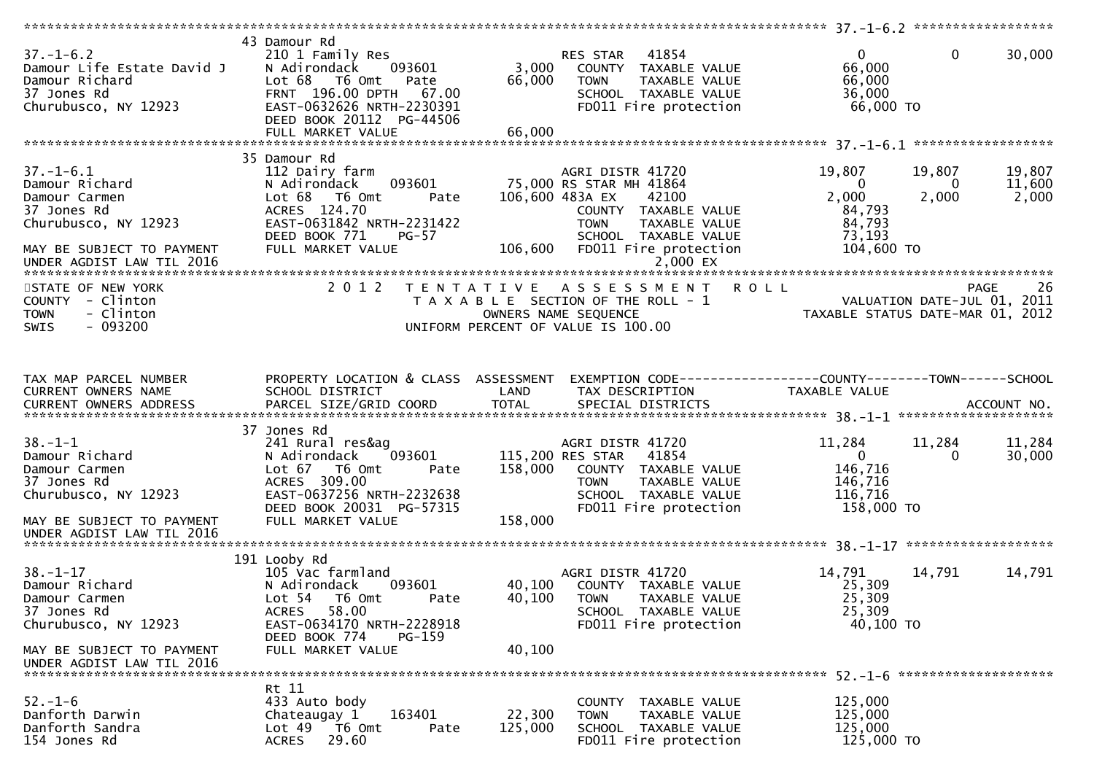| $37. - 1 - 6.2$<br>Damour Life Estate David J<br>Damour Richard<br>37 Jones Rd<br>Churubusco, NY 12923                                              | 43 Damour Rd<br>210 1 Family Res<br>093601<br>N Adirondack<br>Lot 68 T6 Omt<br>Pate<br>FRNT 196.00 DPTH<br>67.00<br>EAST-0632626 NRTH-2230391<br>DEED BOOK 20112 PG-44506        | 3,000<br>66,000    | 41854<br>RES STAR<br>COUNTY TAXABLE VALUE<br><b>TOWN</b><br>TAXABLE VALUE<br>SCHOOL TAXABLE VALUE<br>FD011 Fire protection                                                                     | $\overline{0}$<br>66,000<br>66,000<br>36,000<br>66,000 TO                     | $\mathbf{0}$         | 30,000                                    |
|-----------------------------------------------------------------------------------------------------------------------------------------------------|----------------------------------------------------------------------------------------------------------------------------------------------------------------------------------|--------------------|------------------------------------------------------------------------------------------------------------------------------------------------------------------------------------------------|-------------------------------------------------------------------------------|----------------------|-------------------------------------------|
|                                                                                                                                                     |                                                                                                                                                                                  |                    |                                                                                                                                                                                                |                                                                               |                      |                                           |
| $37. - 1 - 6.1$<br>Damour Richard<br>Damour Carmen<br>37 Jones Rd<br>Churubusco, NY 12923<br>MAY BE SUBJECT TO PAYMENT<br>UNDER AGDIST LAW TIL 2016 | 35 Damour Rd<br>112 Dairy farm<br>093601<br>N Adirondack<br>Lot 68 T6 Omt<br>Pate<br>ACRES 124.70<br>EAST-0631842 NRTH-2231422<br>DEED BOOK 771<br>$PG-57$<br>FULL MARKET VALUE  | 106,600            | AGRI DISTR 41720<br>75,000 RS STAR MH 41864<br>106,600 483A EX<br>42100<br>COUNTY TAXABLE VALUE<br><b>TOWN</b><br>TAXABLE VALUE<br>SCHOOL TAXABLE VALUE<br>FD011 Fire protection<br>$2,000$ EX | 19,807<br>$\overline{0}$<br>2,000<br>84,793<br>84,793<br>73,193<br>104,600 TO | 19,807<br>0<br>2,000 | 19,807<br>11,600<br>2,000                 |
| STATE OF NEW YORK<br>COUNTY - Clinton<br><b>TOWN</b><br>- Clinton<br>$-093200$<br><b>SWIS</b>                                                       | 2 0 1 2                                                                                                                                                                          |                    | TENTATIVE ASSESSMENT ROLL<br>T A X A B L E SECTION OF THE ROLL - 1<br>OWNERS NAME SEQUENCE<br>UNIFORM PERCENT OF VALUE IS 100.00                                                               | TAXABLE STATUS DATE-MAR 01, 2012                                              |                      | 26<br>PAGE<br>VALUATION DATE-JUL 01, 2011 |
| TAX MAP PARCEL NUMBER<br>CURRENT OWNERS NAME                                                                                                        | PROPERTY LOCATION & CLASS ASSESSMENT<br>SCHOOL DISTRICT                                                                                                                          | LAND               | EXEMPTION CODE------------------COUNTY--------TOWN------SCHOOL<br>TAX DESCRIPTION                                                                                                              | TAXABLE VALUE                                                                 |                      |                                           |
| $38. - 1 - 1$<br>Damour Richard<br>Damour Carmen<br>37 Jones Rd<br>Churubusco, NY 12923<br>MAY BE SUBJECT TO PAYMENT<br>UNDER AGDIST LAW TIL 2016   | 37 Jones Rd<br>241 Rural res&ag<br>093601<br>N Adirondack<br>Lot 67 T6 Omt<br>Pate<br>ACRES 309.00<br>EAST-0637256 NRTH-2232638<br>DEED BOOK 20031 PG-57315<br>FULL MARKET VALUE | 158,000<br>158,000 | AGRI DISTR 41720<br>115,200 RES STAR<br>41854<br>COUNTY TAXABLE VALUE<br><b>TOWN</b><br>TAXABLE VALUE<br>SCHOOL TAXABLE VALUE<br>FD011 Fire protection                                         | 11,284<br>$\overline{0}$<br>146,716<br>146,716<br>116,716<br>158,000 TO       | 11,284<br>0          | 11,284<br>30,000                          |
|                                                                                                                                                     |                                                                                                                                                                                  |                    |                                                                                                                                                                                                |                                                                               |                      |                                           |
| $38. - 1 - 17$<br>Damour Richard<br>Damour Carmen<br>37 Jones Rd<br>Churubusco, NY 12923                                                            | 191 Looby Rd<br>105 Vac farmland<br>093601<br>N Adirondack<br>Lot 54  T6 Omt<br>Pate<br><b>ACRES</b><br>58.00<br>EAST-0634170 NRTH-2228918<br>DEED BOOK 774<br>PG-159            | 40,100             | AGRI DISTR 41720<br>40,100 COUNTY TAXABLE VALUE<br><b>TOWN</b><br>TAXABLE VALUE<br>SCHOOL TAXABLE VALUE<br>FD011 Fire protection                                                               | 14,791<br>25,309<br>25,309<br>25,309<br>40,100 TO                             | 14,791               | 14,791                                    |
| MAY BE SUBJECT TO PAYMENT<br>UNDER AGDIST LAW TIL 2016                                                                                              | FULL MARKET VALUE                                                                                                                                                                | 40,100             |                                                                                                                                                                                                |                                                                               |                      |                                           |
|                                                                                                                                                     |                                                                                                                                                                                  |                    |                                                                                                                                                                                                |                                                                               |                      |                                           |
| $52. - 1 - 6$<br>Danforth Darwin<br>Danforth Sandra<br>154 Jones Rd                                                                                 | Rt 11<br>433 Auto body<br>163401<br>Chateaugay 1<br>Lot <sub>49</sub><br>T6 Omt<br>Pate<br>29.60<br><b>ACRES</b>                                                                 | 22,300<br>125,000  | COUNTY TAXABLE VALUE<br>TAXABLE VALUE<br><b>TOWN</b><br>SCHOOL TAXABLE VALUE<br>FD011 Fire protection                                                                                          | 125,000<br>125,000<br>125,000<br>125,000 TO                                   |                      |                                           |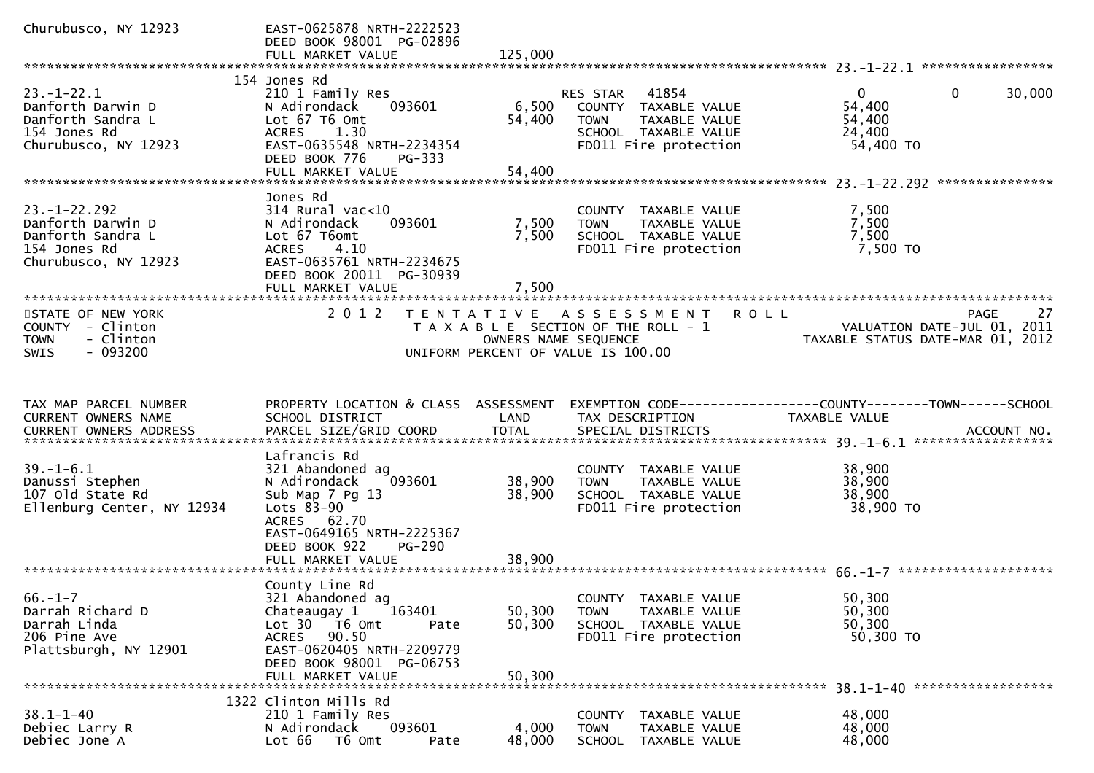| Churubusco, NY 12923                                                                                 | EAST-0625878 NRTH-2222523<br>DEED BOOK 98001 PG-02896<br>FULL MARKET VALUE                                                                                                                   | 125,000                    |                                                                                                                                |                                                                                                              |
|------------------------------------------------------------------------------------------------------|----------------------------------------------------------------------------------------------------------------------------------------------------------------------------------------------|----------------------------|--------------------------------------------------------------------------------------------------------------------------------|--------------------------------------------------------------------------------------------------------------|
|                                                                                                      |                                                                                                                                                                                              |                            |                                                                                                                                |                                                                                                              |
| $23. - 1 - 22.1$<br>Danforth Darwin D<br>Danforth Sandra L<br>154 Jones Rd<br>Churubusco, NY 12923   | 154 Jones Rd<br>210 1 Family Res<br>N Adirondack<br>093601<br>Lot 67 T6 Omt<br>ACRES 1.30<br>EAST-0635548 NRTH-2234354<br>DEED BOOK 776<br>PG-333                                            | 6,500<br>54,400            | <b>RES STAR 41854</b><br>COUNTY TAXABLE VALUE<br><b>TOWN</b><br>TAXABLE VALUE<br>SCHOOL TAXABLE VALUE<br>FD011 Fire protection | $\overline{0}$<br>$\mathbf{0}$<br>30,000<br>54,400<br>54,400<br>24,400<br>54,400 TO                          |
|                                                                                                      | FULL MARKET VALUE                                                                                                                                                                            | 54,400                     |                                                                                                                                |                                                                                                              |
| $23. - 1 - 22.292$<br>Danforth Darwin D<br>Danforth Sandra L<br>154 Jones Rd<br>Churubusco, NY 12923 | Jones Rd<br>$314$ Rural vac<10<br>093601<br>N Adirondack<br>Lot 67 T6omt<br>ACRES 4.10<br>EAST-0635761 NRTH-2234675<br>DEED BOOK 20011 PG-30939<br>FULL MARKET VALUE                         | 7,500<br>7,500<br>7,500    | COUNTY TAXABLE VALUE<br><b>TOWN</b><br>TAXABLE VALUE<br>SCHOOL TAXABLE VALUE<br>FD011 Fire protection                          | 7,500<br>7,500<br>7,500<br>7,500 TO                                                                          |
| STATE OF NEW YORK<br>COUNTY - Clinton<br>- Clinton<br><b>TOWN</b><br>$-093200$<br><b>SWIS</b>        | 2 0 1 2<br>T E N T A T I V E                                                                                                                                                                 | OWNERS NAME SEQUENCE       | ASSESSMENT ROLL<br>T A X A B L E SECTION OF THE ROLL - 1<br>UNIFORM PERCENT OF VALUE IS 100.00                                 | 27<br>PAGE<br>VALUATION DATE-JUL 01, 2011<br>VALUATION DATE-JUL 01, ZOIL<br>TAXABLE STATUS DATE-MAR 01, 2012 |
| TAX MAP PARCEL NUMBER<br>CURRENT OWNERS NAME                                                         | PROPERTY LOCATION & CLASS ASSESSMENT<br>SCHOOL DISTRICT                                                                                                                                      | LAND<br><b>TOTAL</b>       | TAX DESCRIPTION                                                                                                                | TAXABLE VALUE                                                                                                |
| $39. - 1 - 6.1$<br>Danussi Stephen<br>107 old State Rd<br>Ellenburg Center, NY 12934                 | Lafrancis Rd<br>321 Abandoned ag<br>093601<br>N Adirondack<br>Sub Map 7 Pg 13<br>Lots $83-90$<br>ACRES 62.70<br>EAST-0649165 NRTH-2225367<br>DEED BOOK 922<br>PG-290<br>FULL MARKET VALUE    | 38,900<br>38,900<br>38,900 | COUNTY TAXABLE VALUE<br>TAXABLE VALUE<br><b>TOWN</b><br>SCHOOL TAXABLE VALUE<br>FD011 Fire protection                          | 38,900<br>38,900<br>38,900<br>38,900 TO                                                                      |
| $66. - 1 - 7$<br>Darrah Richard D<br>Darrah Linda<br>206 Pine Ave<br>Plattsburgh, NY 12901           | County Line Rd<br>321 Abandoned ag<br>163401<br>Chateaugay 1<br>Lot 30 T6 Omt<br>Pate<br><b>ACRES</b><br>90.50<br>EAST-0620405 NRTH-2209779<br>DEED BOOK 98001 PG-06753<br>FULL MARKET VALUE | 50,300<br>50,300<br>50,300 | COUNTY TAXABLE VALUE<br><b>TOWN</b><br>TAXABLE VALUE<br>SCHOOL TAXABLE VALUE<br>FD011 Fire protection                          | 50,300<br>50,300<br>50,300<br>50,300 TO                                                                      |
| $38.1 - 1 - 40$<br>Debiec Larry R<br>Debiec Jone A                                                   | 1322 Clinton Mills Rd<br>210 1 Family Res<br>093601<br>N Adirondack<br>Lot 66<br>T6 Omt<br>Pate                                                                                              | 4,000<br>48,000            | COUNTY TAXABLE VALUE<br><b>TOWN</b><br>TAXABLE VALUE<br>SCHOOL TAXABLE VALUE                                                   | 48,000<br>48,000<br>48,000                                                                                   |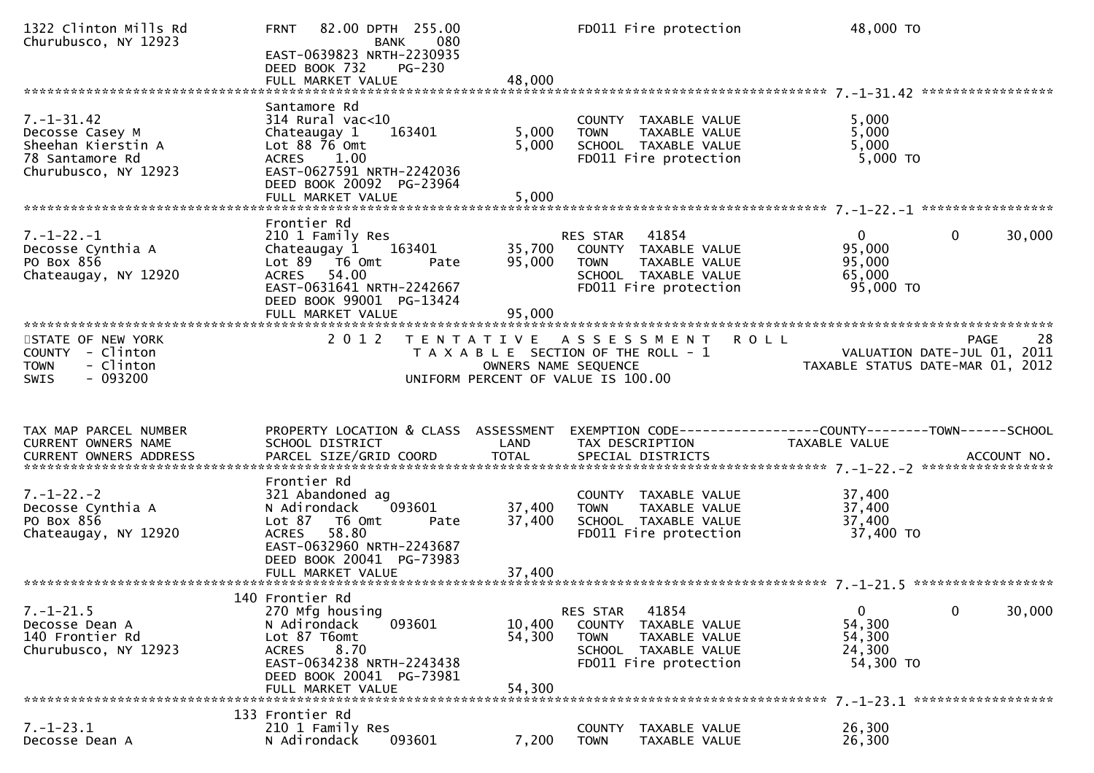| 1322 Clinton Mills Rd<br>Churubusco, NY 12923                                                        | 82.00 DPTH 255.00<br><b>FRNT</b><br><b>BANK</b><br>080<br>EAST-0639823 NRTH-2230935<br>PG-230<br>DEED BOOK 732<br>FULL MARKET VALUE                                                      | 48,000                     | FD011 Fire protection                                                                                                          | 48,000 TO                                                                      |                       |
|------------------------------------------------------------------------------------------------------|------------------------------------------------------------------------------------------------------------------------------------------------------------------------------------------|----------------------------|--------------------------------------------------------------------------------------------------------------------------------|--------------------------------------------------------------------------------|-----------------------|
| $7. - 1 - 31.42$<br>Decosse Casey M<br>Sheehan Kierstin A<br>78 Santamore Rd<br>Churubusco, NY 12923 | Santamore Rd<br>$314$ Rural vac< $10$<br>Chateaugay 1<br>163401<br>Lot $88\overline{7}6$ Omt<br>ACRES 1.00<br>EAST-0627591 NRTH-2242036<br>DEED BOOK 20092 PG-23964<br>FULL MARKET VALUE | 5,000<br>5,000<br>5,000    | COUNTY TAXABLE VALUE<br><b>TOWN</b><br>TAXABLE VALUE<br>SCHOOL TAXABLE VALUE<br>FD011 Fire protection                          | 5,000<br>5,000<br>5,000<br>$5,000$ TO                                          |                       |
| $7. - 1 - 22. - 1$<br>Decosse Cynthia A<br>PO Box 856<br>Chateaugay, NY 12920                        | Frontier Rd<br>210 1 Family Res<br>Chateaugay 1 163401<br>Lot 89 T6 Omt<br>Pate<br>ACRES 54.00<br>EAST-0631641 NRTH-2242667<br>DEED BOOK 99001 PG-13424<br>FULL MARKET VALUE             | 95,000<br>95,000           | RES STAR 41854<br>35,700 COUNTY TAXABLE VALUE<br><b>TOWN</b><br>TAXABLE VALUE<br>SCHOOL TAXABLE VALUE<br>FD011 Fire protection | $\mathbf{0}$<br>95,000<br>95,000<br>65,000<br>95,000 TO                        | $\mathbf 0$<br>30,000 |
| STATE OF NEW YORK<br>COUNTY - Clinton<br>- Clinton<br><b>TOWN</b><br>$-093200$<br><b>SWIS</b>        | 2 0 1 2                                                                                                                                                                                  | OWNERS NAME SEQUENCE       | TENTATIVE ASSESSMENT<br>T A X A B L E SECTION OF THE ROLL - 1<br>UNIFORM PERCENT OF VALUE IS 100.00                            | <b>ROLL</b><br>VALUATION DATE-JUL 01, 2011<br>TAXABLE STATUS DATE-MAR 01, 2012 | <b>PAGE</b><br>28     |
| TAX MAP PARCEL NUMBER<br>CURRENT OWNERS NAME<br>CURRENT OWNERS ADDRESS                               | PROPERTY LOCATION & CLASS ASSESSMENT<br>SCHOOL DISTRICT                                                                                                                                  | LAND                       | EXEMPTION CODE------------------COUNTY--------TOWN------SCHOOL<br>TAX DESCRIPTION                                              | TAXABLE VALUE                                                                  |                       |
| $7. - 1 - 22. - 2$<br>Decosse Cynthia A<br>PO Box 856<br>Chateaugay, NY 12920                        | Frontier Rd<br>321 Abandoned ag<br>093601<br>N Adirondack<br>Lot 87 T6 Omt<br>Pate<br>58.80<br><b>ACRES</b><br>EAST-0632960 NRTH-2243687<br>DEED BOOK 20041 PG-73983                     | 37,400<br>37,400           | COUNTY TAXABLE VALUE<br><b>TOWN</b><br>TAXABLE VALUE<br>SCHOOL TAXABLE VALUE<br>FD011 Fire protection                          | 37,400<br>37,400<br>37,400<br>37,400 TO                                        |                       |
| $7. - 1 - 21.5$<br>Decosse Dean A<br>140 Frontier Rd<br>Churubusco, NY 12923                         | 140 Frontier Rd<br>270 Mfg housing<br>N Adirondack<br>093601<br>Lot 87 T6omt<br>8.70<br><b>ACRES</b><br>EAST-0634238 NRTH-2243438<br>DEED BOOK 20041 PG-73981<br>FULL MARKET VALUE       | 10,400<br>54,300<br>54,300 | 41854<br>RES STAR<br>COUNTY<br>TAXABLE VALUE<br><b>TOWN</b><br>TAXABLE VALUE<br>SCHOOL TAXABLE VALUE<br>FD011 Fire protection  | $\mathbf 0$<br>54,300<br>54,300<br>24,300<br>54,300 TO                         | 0<br>30,000           |
| $7. - 1 - 23.1$<br>Decosse Dean A                                                                    | 133 Frontier Rd<br>210 1 Family Res<br>N Adirondack<br>093601                                                                                                                            | 7,200                      | TAXABLE VALUE<br><b>COUNTY</b><br><b>TOWN</b><br>TAXABLE VALUE                                                                 | 26,300<br>26,300                                                               |                       |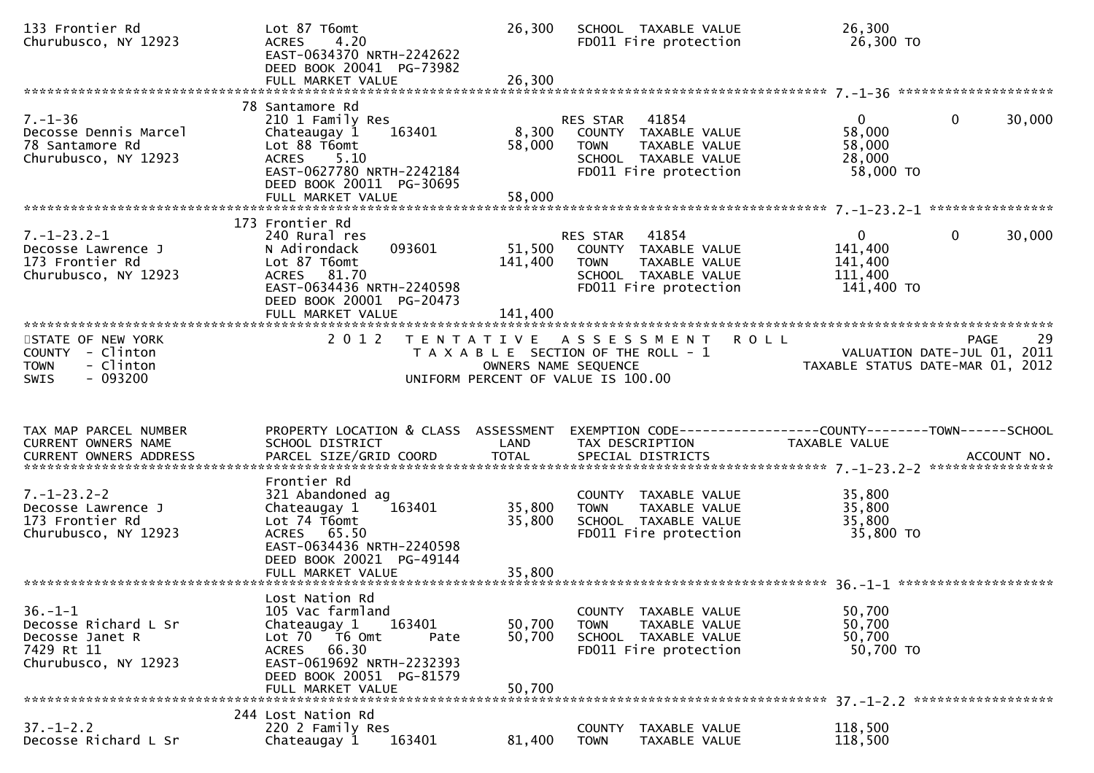| 133 Frontier Rd<br>Churubusco, NY 12923                                                        | Lot 87 T6omt<br>4.20<br><b>ACRES</b><br>EAST-0634370 NRTH-2242622<br>DEED BOOK 20041 PG-73982<br>FULL MARKET VALUE                                                                  | 26,300<br>26,300                          | SCHOOL TAXABLE VALUE<br>FD011 Fire protection                                                                              | 26,300<br>26,300 TO                                           |                                                  |
|------------------------------------------------------------------------------------------------|-------------------------------------------------------------------------------------------------------------------------------------------------------------------------------------|-------------------------------------------|----------------------------------------------------------------------------------------------------------------------------|---------------------------------------------------------------|--------------------------------------------------|
| $7. - 1 - 36$<br>Decosse Dennis Marcel<br>78 Santamore Rd<br>Churubusco, NY 12923              | 78 Santamore Rd<br>210 1 Family Res<br>Chateaugay 1<br>163401<br>Lot 88 T6omt<br>5.10<br><b>ACRES</b><br>EAST-0627780 NRTH-2242184<br>DEED BOOK 20011 PG-30695<br>FULL MARKET VALUE | 8,300<br>58,000<br>58,000                 | RES STAR 41854<br>COUNTY TAXABLE VALUE<br><b>TOWN</b><br>TAXABLE VALUE<br>SCHOOL TAXABLE VALUE<br>FD011 Fire protection    | $\mathbf{0}$<br>58,000<br>58,000<br>28,000<br>58,000 TO       | $\mathbf 0$<br>30,000                            |
|                                                                                                | 173 Frontier Rd                                                                                                                                                                     |                                           |                                                                                                                            |                                                               |                                                  |
| $7. - 1 - 23.2 - 1$<br>Decosse Lawrence J<br>173 Frontier Rd<br>Churubusco, NY 12923           | 240 Rural res<br>093601<br>N Adirondack<br>Lot 87 T6omt<br>ACRES 81.70<br>EAST-0634436 NRTH-2240598<br>DEED BOOK 20001 PG-20473<br>FULL MARKET VALUE                                | 51,500<br>141,400<br>141,400              | RES STAR<br>41854<br>COUNTY TAXABLE VALUE<br>TAXABLE VALUE<br><b>TOWN</b><br>SCHOOL TAXABLE VALUE<br>FD011 Fire protection | $\overline{0}$<br>141,400<br>141,400<br>111,400<br>141,400 TO | 0<br>30,000                                      |
| STATE OF NEW YORK<br>COUNTY - Clinton<br>- Clinton<br><b>TOWN</b><br>$-093200$<br><b>SWIS</b>  | 2 0 1 2                                                                                                                                                                             | T E N T A T I V E<br>OWNERS NAME SEQUENCE | A S S E S S M E N T<br>T A X A B L E SECTION OF THE ROLL - 1<br>UNIFORM PERCENT OF VALUE IS 100.00                         | <b>ROLL</b><br>TAXABLE STATUS DATE-MAR 01, 2012               | 29<br><b>PAGE</b><br>VALUATION DATE-JUL 01, 2011 |
|                                                                                                |                                                                                                                                                                                     |                                           |                                                                                                                            |                                                               |                                                  |
| TAX MAP PARCEL NUMBER<br>CURRENT OWNERS NAME<br>CURRENT OWNERS ADDRESS                         | PROPERTY LOCATION & CLASS ASSESSMENT<br>SCHOOL DISTRICT<br>PARCEL SIZE/GRID COORD                                                                                                   | LAND<br><b>TOTAL</b>                      | EXEMPTION CODE------------------COUNTY-------TOWN------SCHOOL<br>TAX DESCRIPTION<br>SPECIAL DISTRICTS                      | TAXABLE VALUE                                                 | ACCOUNT NO.                                      |
| $7. - 1 - 23.2 - 2$<br>Decosse Lawrence J<br>173 Frontier Rd<br>Churubusco, NY 12923           | Frontier Rd<br>321 Abandoned ag<br>Chateaugay 1<br>163401<br>Lot 74 T6omt<br>ACRES 65.50<br>EAST-0634436 NRTH-2240598<br>DEED BOOK 20021 PG-49144                                   | 35,800<br>35,800                          | COUNTY TAXABLE VALUE<br>TAXABLE VALUE<br><b>TOWN</b><br>SCHOOL TAXABLE VALUE<br>FD011 Fire protection                      | 35,800<br>35,800<br>35,800<br>35,800 TO                       |                                                  |
| $36. - 1 - 1$<br>Decosse Richard L Sr<br>Decosse Janet R<br>7429 Rt 11<br>Churubusco, NY 12923 | Lost Nation Rd<br>105 Vac farmland<br>163401<br>Chateaugay 1<br>Lot 70 T6 Omt<br>Pate<br>ACRES 66.30<br>EAST-0619692 NRTH-2232393<br>DEED BOOK 20051 PG-81579<br>FULL MARKET VALUE  | 50,700<br>50,700<br>50,700                | COUNTY TAXABLE VALUE<br><b>TOWN</b><br><b>TAXABLE VALUE</b><br>SCHOOL TAXABLE VALUE<br>FD011 Fire protection               | 50,700<br>50,700<br>50,700<br>50,700 TO                       |                                                  |
| $37. - 1 - 2.2$                                                                                | 244 Lost Nation Rd<br>220 2 Family Res                                                                                                                                              |                                           | COUNTY TAXABLE VALUE                                                                                                       | 118,500                                                       |                                                  |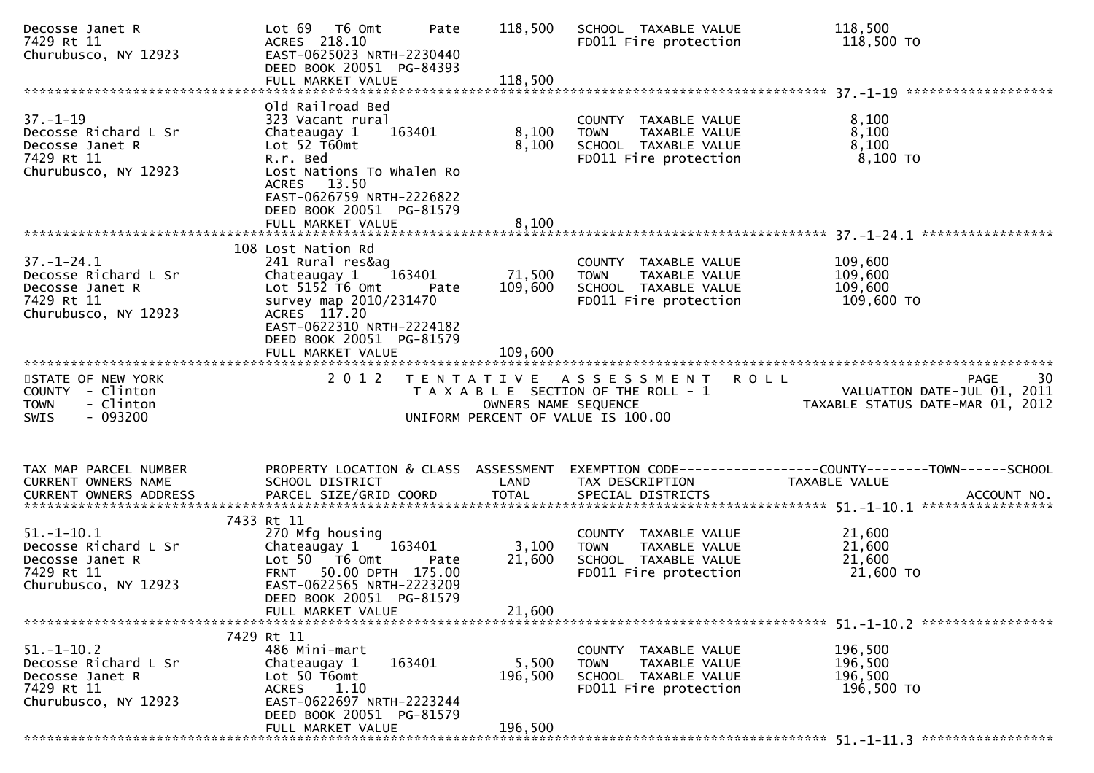| Decosse Janet R<br>7429 Rt 11<br>Churubusco, NY 12923                                             | Lot 69  T6 0mt<br>Pate<br>ACRES 218.10<br>EAST-0625023 NRTH-2230440<br>DEED BOOK 20051 PG-84393                                                                                                          | 118,500           | SCHOOL TAXABLE VALUE<br>FD011 Fire protection                                                         | 118,500<br>118,500 TO                                                                                             |
|---------------------------------------------------------------------------------------------------|----------------------------------------------------------------------------------------------------------------------------------------------------------------------------------------------------------|-------------------|-------------------------------------------------------------------------------------------------------|-------------------------------------------------------------------------------------------------------------------|
|                                                                                                   | Old Railroad Bed                                                                                                                                                                                         |                   |                                                                                                       |                                                                                                                   |
| $37 - 1 - 19$<br>Decosse Richard L Sr<br>Decosse Janet R<br>7429 Rt 11<br>Churubusco, NY 12923    | 323 Vacant rural<br>163401<br>Chateaugay 1<br>Lot $52$ T60mt<br>R.r. Bed<br>Lost Nations To Whalen Ro<br>ACRES 13.50<br>EAST-0626759 NRTH-2226822<br>DEED BOOK 20051 PG-81579                            | 8,100<br>8,100    | COUNTY TAXABLE VALUE<br>TAXABLE VALUE<br><b>TOWN</b><br>SCHOOL TAXABLE VALUE<br>FD011 Fire protection | 8,100<br>8,100<br>8,100<br>8,100 то                                                                               |
|                                                                                                   | FULL MARKET VALUE                                                                                                                                                                                        | 8,100             |                                                                                                       |                                                                                                                   |
|                                                                                                   |                                                                                                                                                                                                          |                   |                                                                                                       |                                                                                                                   |
| $37. - 1 - 24.1$<br>Decosse Richard L Sr<br>Decosse Janet R<br>7429 Rt 11<br>Churubusco, NY 12923 | 108 Lost Nation Rd<br>241 Rural res&ag<br>Chateaugay 1 163401<br>Lot $515\overline{2}$ T6 Omt<br>Pate<br>survey map 2010/231470<br>ACRES 117.20<br>EAST-0622310 NRTH-2224182<br>DEED BOOK 20051 PG-81579 | 71,500<br>109,600 | COUNTY TAXABLE VALUE<br><b>TOWN</b><br>TAXABLE VALUE<br>SCHOOL TAXABLE VALUE<br>FD011 Fire protection | 109,600<br>109,600<br>109,600<br>109,600 TO                                                                       |
|                                                                                                   | FULL MARKET VALUE                                                                                                                                                                                        | 109,600           |                                                                                                       |                                                                                                                   |
|                                                                                                   |                                                                                                                                                                                                          |                   |                                                                                                       |                                                                                                                   |
| STATE OF NEW YORK<br>COUNTY - Clinton                                                             |                                                                                                                                                                                                          |                   | 2012 TENTATIVE ASSESSMENT ROLL                                                                        | 30<br><b>PAGE</b>                                                                                                 |
| <b>TOWN</b><br>- Clinton<br>$-093200$<br>SWIS                                                     |                                                                                                                                                                                                          |                   | UNIFORM PERCENT OF VALUE IS 100.00                                                                    | T A X A B L E SECTION OF THE ROLL - 1<br>OWNERS NAME SEQUENCE THE ROLL - 1 TAXABLE STATUS DATE-MAR 01, 2012       |
|                                                                                                   |                                                                                                                                                                                                          |                   |                                                                                                       |                                                                                                                   |
| TAX MAP PARCEL NUMBER<br>CURRENT OWNERS NAME                                                      | SCHOOL DISTRICT                                                                                                                                                                                          | LAND              | TAX DESCRIPTION                                                                                       | PROPERTY LOCATION & CLASS ASSESSMENT EXEMPTION CODE----------------COUNTY-------TOWN------SCHOOL<br>TAXABLE VALUE |
|                                                                                                   | 7433 Rt 11                                                                                                                                                                                               |                   |                                                                                                       |                                                                                                                   |
| $51.-1-10.1$<br>Decosse Richard L Sr<br>Decosse Janet R<br>7429 Rt 11<br>Churubusco, NY 12923     | 270 Mfg housing<br>Chateaugay 1 163401<br>Lot 50 T6 Omt<br>Pate<br>FRNT 50.00 DPTH 175.00<br>EAST-0622565 NRTH-2223209<br>DEED BOOK 20051 PG-81579                                                       | 3,100<br>21,600   | COUNTY TAXABLE VALUE<br><b>TOWN</b><br>TAXABLE VALUE<br>SCHOOL TAXABLE VALUE<br>FD011 Fire protection | 21,600<br>21,600<br>21,600<br>21,600 TO                                                                           |
|                                                                                                   | FULL MARKET VALUE                                                                                                                                                                                        | 21,600            |                                                                                                       |                                                                                                                   |
| $51. - 1 - 10.2$                                                                                  | 7429 Rt 11<br>486 Mini-mart                                                                                                                                                                              |                   | COUNTY TAXABLE VALUE                                                                                  | 196,500                                                                                                           |
| Decosse Richard L Sr<br>Decosse Janet R<br>7429 Rt 11<br>Churubusco, NY 12923                     | 163401<br>Chateaugay 1<br>Lot 50 T6omt<br>1.10<br><b>ACRES</b><br>EAST-0622697 NRTH-2223244<br>DEED BOOK 20051 PG-81579                                                                                  | 5,500<br>196,500  | <b>TOWN</b><br>TAXABLE VALUE<br>SCHOOL TAXABLE VALUE<br>FD011 Fire protection                         | 196,500<br>196,500<br>196,500 TO                                                                                  |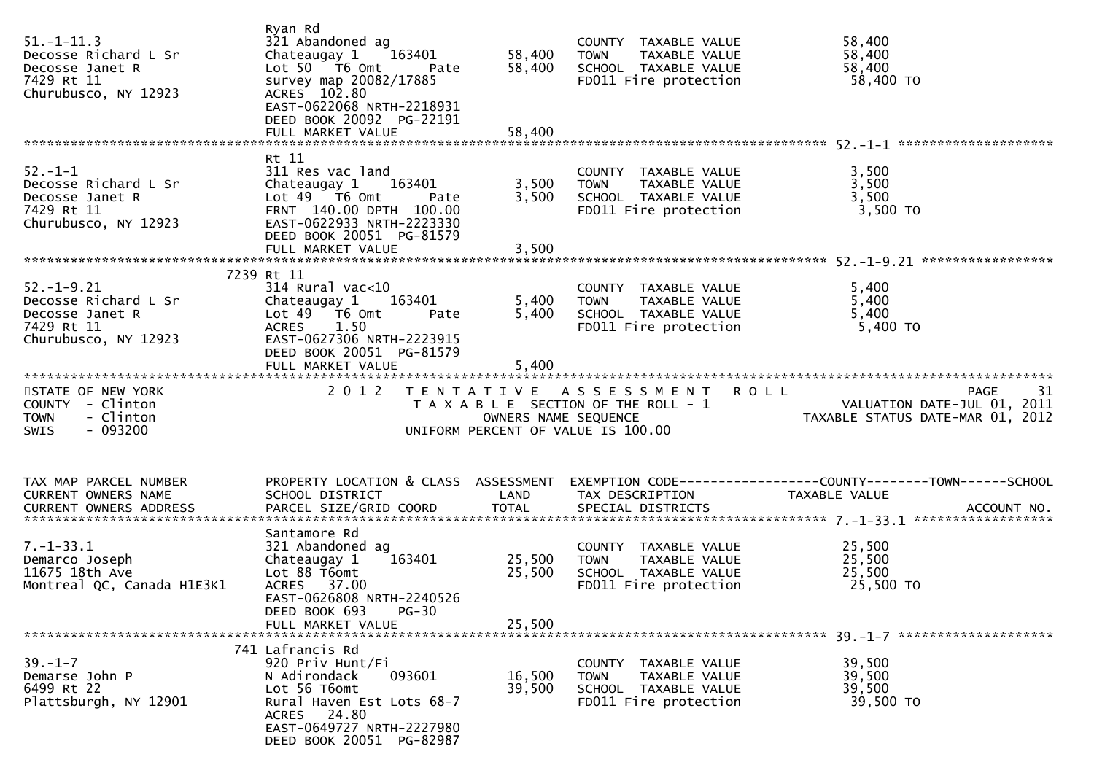| $51. - 1 - 11.3$<br>Decosse Richard L Sr<br>Decosse Janet R<br>7429 Rt 11<br>Churubusco, NY 12923 | Ryan Rd<br>321 Abandoned ag<br>Chateaugay 1<br>163401<br>Lot 50 T6 Omt<br>Pate<br>survey map 20082/17885<br>ACRES 102.80<br>EAST-0622068 NRTH-2218931<br>DEED BOOK 20092 PG-22191<br>FULL MARKET VALUE | 58,400<br>58,400<br>58,400         | COUNTY TAXABLE VALUE<br><b>TOWN</b><br>TAXABLE VALUE<br>SCHOOL TAXABLE VALUE<br>FD011 Fire protection | 58,400<br>58,400<br>58,400<br>58,400 TO                                                 |
|---------------------------------------------------------------------------------------------------|--------------------------------------------------------------------------------------------------------------------------------------------------------------------------------------------------------|------------------------------------|-------------------------------------------------------------------------------------------------------|-----------------------------------------------------------------------------------------|
|                                                                                                   | Rt 11                                                                                                                                                                                                  |                                    |                                                                                                       |                                                                                         |
| $52.-1-1$<br>Decosse Richard L Sr<br>Decosse Janet R<br>7429 Rt 11<br>Churubusco, NY 12923        | 311 Res vac land<br>Chateaugay 1<br>163401<br>Lot $49$ $76$ Omt<br>Pate<br>FRNT 140.00 DPTH 100.00<br>EAST-0622933 NRTH-2223330<br>DEED BOOK 20051 PG-81579<br>FULL MARKET VALUE                       | 3,500<br>3,500<br>3,500            | COUNTY TAXABLE VALUE<br>TAXABLE VALUE<br><b>TOWN</b><br>SCHOOL TAXABLE VALUE<br>FD011 Fire protection | 3,500<br>3,500<br>3,500<br>3,500 TO                                                     |
|                                                                                                   |                                                                                                                                                                                                        |                                    |                                                                                                       |                                                                                         |
| $52. - 1 - 9.21$<br>Decosse Richard L Sr<br>Decosse Janet R<br>7429 Rt 11<br>Churubusco, NY 12923 | 7239 Rt 11<br>$314$ Rural vac<10<br>Chateaugay 1<br>163401<br>Lot 49 T6 Omt<br>Pate<br>1.50<br><b>ACRES</b><br>EAST-0627306 NRTH-2223915<br>DEED BOOK 20051 PG-81579<br>FULL MARKET VALUE              | 5,400<br>5,400<br>5,400            | COUNTY TAXABLE VALUE<br><b>TOWN</b><br>TAXABLE VALUE<br>SCHOOL TAXABLE VALUE<br>FD011 Fire protection | 5,400<br>5,400<br>5,400<br>5,400 TO                                                     |
| STATE OF NEW YORK                                                                                 | 2 0 1 2                                                                                                                                                                                                |                                    | TENTATIVE ASSESSMENT ROLL                                                                             | -31<br><b>PAGE</b>                                                                      |
| COUNTY - Clinton<br>- Clinton<br><b>TOWN</b><br>$-093200$<br><b>SWIS</b>                          |                                                                                                                                                                                                        | UNIFORM PERCENT OF VALUE IS 100.00 |                                                                                                       | T A X A B L E SECTION OF THE ROLL - 1<br>OWNERS NAME SEQUENCE<br>COMPRESS NAME SEQUENCE |
|                                                                                                   |                                                                                                                                                                                                        |                                    |                                                                                                       |                                                                                         |
| TAX MAP PARCEL NUMBER<br>CURRENT OWNERS NAME                                                      | PROPERTY LOCATION & CLASS ASSESSMENT<br>SCHOOL DISTRICT                                                                                                                                                | LAND                               | TAX DESCRIPTION                                                                                       | EXEMPTION CODE------------------COUNTY--------TOWN------SCHOOL<br>TAXABLE VALUE         |
|                                                                                                   | Santamore Rd                                                                                                                                                                                           |                                    |                                                                                                       |                                                                                         |
| $7. - 1 - 33.1$<br>Demarco Joseph<br>11675 18th Ave<br>Montreal QC, Canada H1E3K1                 | 321 Abandoned ag<br>163401<br>Chateaugay 1<br>Lot 88 T6omt<br>ACRES 37.00<br>EAST-0626808 NRTH-2240526                                                                                                 | 25,500<br>25,500                   | COUNTY TAXABLE VALUE<br>TAXABLE VALUE<br><b>TOWN</b><br>SCHOOL TAXABLE VALUE<br>FD011 Fire protection | 25,500<br>25,500<br>25,500<br>25,500 TO                                                 |
|                                                                                                   | DEED BOOK 693<br>$PG-30$<br>FULL MARKET VALUE                                                                                                                                                          | 25,500                             |                                                                                                       |                                                                                         |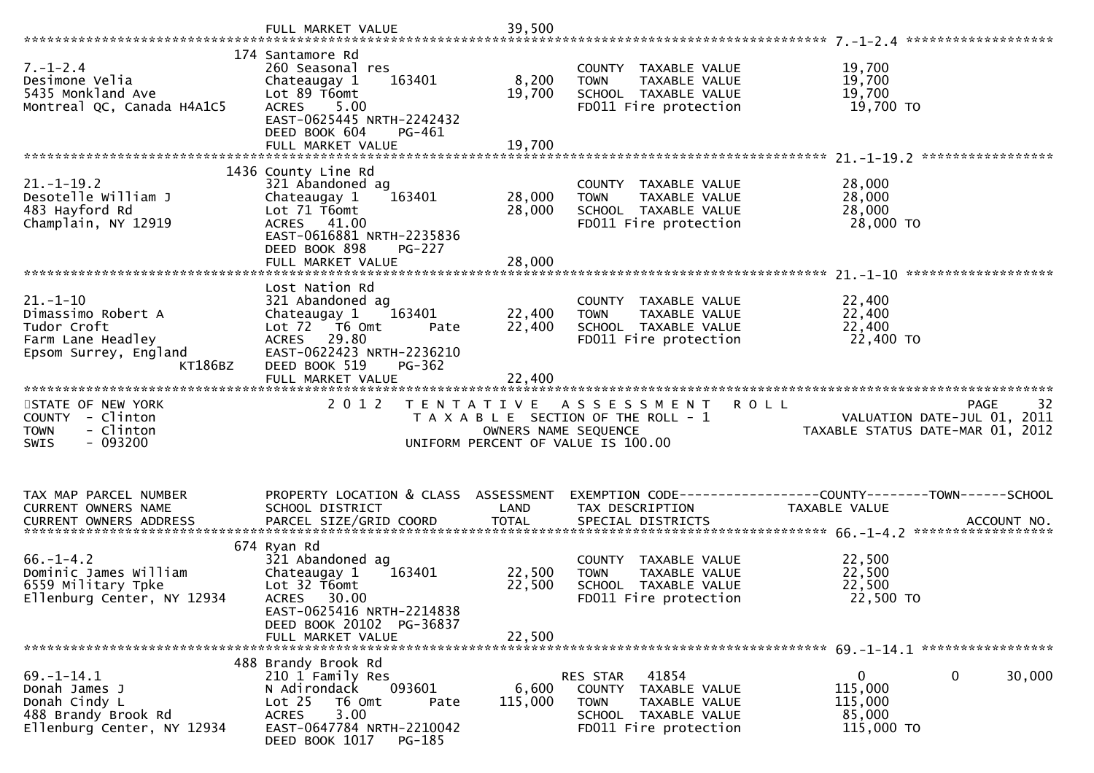|                                                                                     | 174 Santamore Rd                                                                                      |                      |                                                                                                       |                                                                 |
|-------------------------------------------------------------------------------------|-------------------------------------------------------------------------------------------------------|----------------------|-------------------------------------------------------------------------------------------------------|-----------------------------------------------------------------|
| $7. - 1 - 2.4$<br>Desimone Velia<br>5435 Monkland Ave<br>Montreal QC, Canada H4A1C5 | 260 Seasonal res<br>163401<br>Chateaugay 1<br>Lot 89 T6omt<br>ACRES 5.00<br>EAST-0625445 NRTH-2242432 | 8,200<br>19,700      | COUNTY TAXABLE VALUE<br><b>TOWN</b><br>TAXABLE VALUE<br>SCHOOL TAXABLE VALUE<br>FD011 Fire protection | 19,700<br>19,700<br>19,700<br>19,700 TO                         |
|                                                                                     | DEED BOOK 604<br>PG-461                                                                               |                      |                                                                                                       |                                                                 |
|                                                                                     |                                                                                                       |                      |                                                                                                       |                                                                 |
|                                                                                     | 1436 County Line Rd                                                                                   |                      |                                                                                                       |                                                                 |
| $21. - 1 - 19.2$<br>Desotelle William J                                             | 321 Abandoned ag<br>Chateaugay 1<br>163401                                                            | 28,000               | COUNTY TAXABLE VALUE<br>TAXABLE VALUE<br><b>TOWN</b>                                                  | 28,000<br>28,000                                                |
| 483 Hayford Rd                                                                      | Lot 71 T6omt                                                                                          | 28,000               | SCHOOL TAXABLE VALUE                                                                                  | 28,000                                                          |
| Champlain, NY 12919                                                                 | ACRES 41.00                                                                                           |                      | FD011 Fire protection                                                                                 | 28,000 TO                                                       |
|                                                                                     | EAST-0616881 NRTH-2235836<br>DEED BOOK 898<br><b>PG-227</b>                                           |                      |                                                                                                       |                                                                 |
|                                                                                     | FULL MARKET VALUE                                                                                     | 28,000               |                                                                                                       |                                                                 |
|                                                                                     |                                                                                                       |                      |                                                                                                       |                                                                 |
| $21. - 1 - 10$                                                                      | Lost Nation Rd<br>321 Abandoned ag                                                                    |                      | COUNTY TAXABLE VALUE                                                                                  | 22,400                                                          |
| Dimassimo Robert A                                                                  | 163401<br>Chateaugay 1                                                                                | 22,400               | TAXABLE VALUE<br><b>TOWN</b>                                                                          | 22,400                                                          |
| Tudor Croft                                                                         | Lot 72 T6 Omt<br>Pate<br>ACRES 29.80                                                                  | 22,400               | SCHOOL TAXABLE VALUE                                                                                  | 22,400                                                          |
| Farm Lane Headley<br>Epsom Surrey, England                                          | EAST-0622423 NRTH-2236210                                                                             |                      | FD011 Fire protection                                                                                 | 22,400 TO                                                       |
| KT186BZ                                                                             | DEED BOOK 519<br>PG-362                                                                               |                      |                                                                                                       |                                                                 |
|                                                                                     | FULL MARKET VALUE                                                                                     | 22,400               |                                                                                                       |                                                                 |
|                                                                                     |                                                                                                       |                      |                                                                                                       |                                                                 |
| STATE OF NEW YORK                                                                   | 2 0 1 2                                                                                               |                      | TENTATIVE ASSESSMENT ROLL                                                                             | 32<br><b>PAGE</b>                                               |
| COUNTY - Clinton                                                                    |                                                                                                       |                      | T A X A B L E SECTION OF THE ROLL - 1                                                                 |                                                                 |
| - Clinton<br><b>TOWN</b>                                                            |                                                                                                       | OWNERS NAME SEQUENCE |                                                                                                       | VALUATION DATE-JUL 01, 2011<br>TAXABLE STATUS DATE-MAR 01, 2012 |
| $-093200$<br><b>SWIS</b>                                                            |                                                                                                       |                      | UNIFORM PERCENT OF VALUE IS 100.00                                                                    |                                                                 |
|                                                                                     |                                                                                                       |                      |                                                                                                       |                                                                 |
| TAX MAP PARCEL NUMBER                                                               | PROPERTY LOCATION & CLASS ASSESSMENT                                                                  |                      |                                                                                                       | EXEMPTION CODE-----------------COUNTY--------TOWN------SCHOOL   |
| CURRENT OWNERS NAME                                                                 | SCHOOL DISTRICT                                                                                       | LAND                 | TAX DESCRIPTION                                                                                       | TAXABLE VALUE                                                   |
|                                                                                     |                                                                                                       |                      |                                                                                                       |                                                                 |
|                                                                                     | 674 Ryan Rd                                                                                           |                      |                                                                                                       |                                                                 |
| $66. - 1 - 4.2$                                                                     | 321 Abandoned ag                                                                                      |                      | COUNTY TAXABLE VALUE                                                                                  | 22,500                                                          |
| Dominic James William<br>6559 Military Tpke                                         | Chateaugay 1<br>163401<br>Lot 32 T6omt                                                                | 22,500<br>22,500     | TAXABLE VALUE<br><b>TOWN</b><br>SCHOOL TAXABLE VALUE                                                  | 22,500<br>22,500                                                |
| Ellenburg Center, NY 12934                                                          | 30.00<br><b>ACRES</b>                                                                                 |                      | FD011 Fire protection                                                                                 | 22,500 TO                                                       |
|                                                                                     | EAST-0625416 NRTH-2214838                                                                             |                      |                                                                                                       |                                                                 |
|                                                                                     | DEED BOOK 20102 PG-36837<br>FULL MARKET VALUE                                                         | 22,500               |                                                                                                       |                                                                 |
|                                                                                     |                                                                                                       |                      |                                                                                                       |                                                                 |
| $69. - 1 - 14.1$                                                                    | 488 Brandy Brook Rd<br>210 1 Family Res                                                               |                      | RES STAR<br>41854                                                                                     | $\Omega$<br>0<br>30,000                                         |
| Donah James J                                                                       | 093601<br>N Adirondack                                                                                | 6,600                | COUNTY TAXABLE VALUE                                                                                  | 115,000                                                         |
| Donah Cindy L                                                                       | Lot <sub>25</sub><br>T6 Omt<br>Pate                                                                   | 115,000              | <b>TOWN</b><br>TAXABLE VALUE                                                                          | 115,000                                                         |
| 488 Brandy Brook Rd<br>Ellenburg Center, NY 12934                                   | 3.00<br><b>ACRES</b><br>EAST-0647784 NRTH-2210042                                                     |                      | SCHOOL TAXABLE VALUE<br>FD011 Fire protection                                                         | 85,000<br>115,000 TO                                            |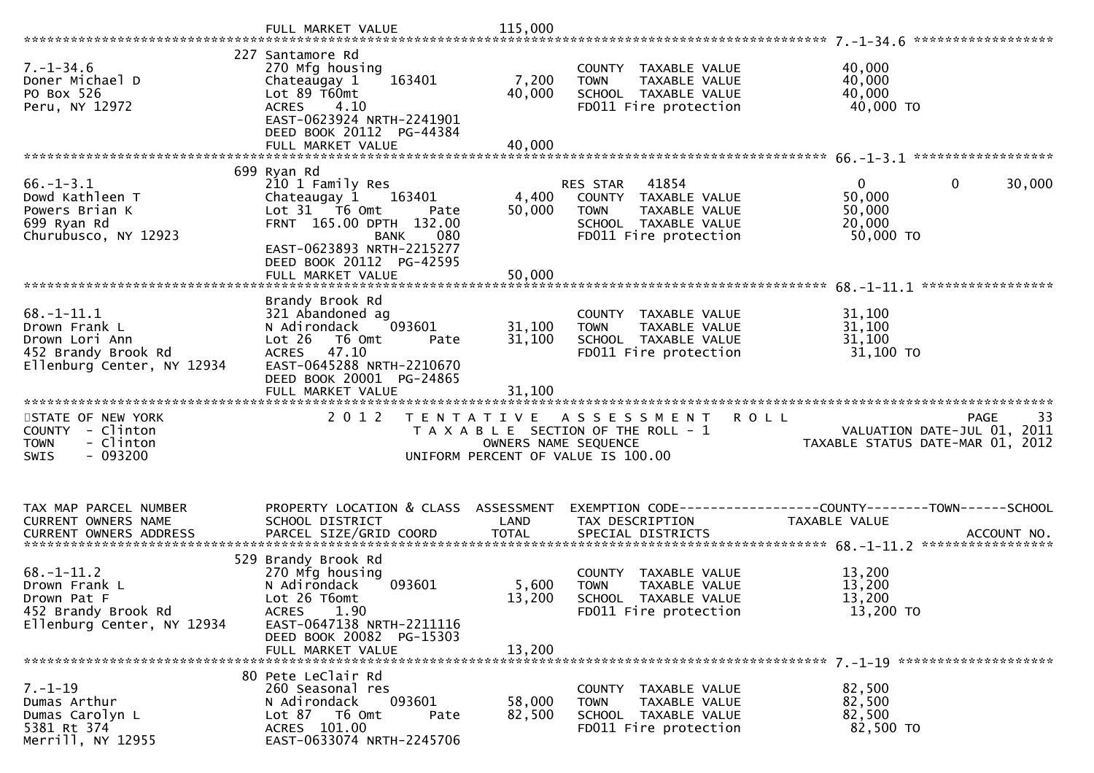|                                                                                                          | FULL MARKET VALUE                                                                                                                                                                                  | 115,000                    |                                                                                                                            | ******************                                              |             |
|----------------------------------------------------------------------------------------------------------|----------------------------------------------------------------------------------------------------------------------------------------------------------------------------------------------------|----------------------------|----------------------------------------------------------------------------------------------------------------------------|-----------------------------------------------------------------|-------------|
| $7. - 1 - 34.6$<br>Doner Michael D<br>PO Box 526<br>Peru, NY 12972                                       | 227 Santamore Rd<br>270 Mfg housing<br>Chateaugay 1<br>163401<br>Lot 89 T60mt<br><b>ACRES</b><br>4.10<br>EAST-0623924 NRTH-2241901<br>DEED BOOK 20112 PG-44384                                     | 7,200<br>40,000            | COUNTY TAXABLE VALUE<br>TAXABLE VALUE<br><b>TOWN</b><br>SCHOOL TAXABLE VALUE<br>FD011 Fire protection                      | 40,000<br>40,000<br>40,000<br>40,000 TO                         |             |
|                                                                                                          | 699 Ryan Rd                                                                                                                                                                                        |                            |                                                                                                                            |                                                                 |             |
| $66. - 1 - 3.1$<br>Dowd Kathleen T<br>Powers Brian K<br>699 Ryan Rd<br>Churubusco, NY 12923              | 210 1 Family Res<br>Chateaugay 1<br>163401<br>Lot 31 T6 Omt<br>Pate<br>FRNT 165.00 DPTH 132.00<br>080<br><b>BANK</b><br>EAST-0623893 NRTH-2215277                                                  | 4,400<br>50,000            | 41854<br>RES STAR<br>COUNTY TAXABLE VALUE<br>TAXABLE VALUE<br><b>TOWN</b><br>SCHOOL TAXABLE VALUE<br>FD011 Fire protection | 0<br>$\mathbf{0}$<br>50,000<br>50,000<br>20,000<br>50,000 TO    | 30,000      |
|                                                                                                          | DEED BOOK 20112 PG-42595<br>FULL MARKET VALUE                                                                                                                                                      | 50,000                     |                                                                                                                            |                                                                 |             |
|                                                                                                          |                                                                                                                                                                                                    |                            |                                                                                                                            | *****************                                               |             |
| $68. - 1 - 11.1$<br>Drown Frank L<br>Drown Lori Ann<br>452 Brandy Brook Rd<br>Ellenburg Center, NY 12934 | Brandy Brook Rd<br>321 Abandoned ag<br>093601<br>N Adirondack<br>Lot $26$<br>T6 Omt<br>Pate<br>47.10<br><b>ACRES</b><br>EAST-0645288 NRTH-2210670<br>DEED BOOK 20001 PG-24865<br>FULL MARKET VALUE | 31,100<br>31,100<br>31,100 | COUNTY TAXABLE VALUE<br>TAXABLE VALUE<br><b>TOWN</b><br>SCHOOL TAXABLE VALUE<br>FD011 Fire protection                      | 31,100<br>31,100<br>31,100<br>31,100 TO                         |             |
| STATE OF NEW YORK                                                                                        | 2 0 1 2                                                                                                                                                                                            |                            | TENTATIVE ASSESSMENT<br><b>ROLL</b>                                                                                        | PAGE                                                            | 33          |
| COUNTY - Clinton<br>- Clinton<br><b>TOWN</b><br>$-093200$<br><b>SWIS</b>                                 |                                                                                                                                                                                                    | OWNERS NAME SEQUENCE       | T A X A B L E SECTION OF THE ROLL - 1<br>UNIFORM PERCENT OF VALUE IS 100.00                                                | VALUATION DATE-JUL 01, 2011<br>TAXABLE STATUS DATE-MAR 01, 2012 |             |
| TAX MAP PARCEL NUMBER<br>CURRENT OWNERS NAME                                                             | PROPERTY LOCATION & CLASS ASSESSMENT<br>SCHOOL DISTRICT                                                                                                                                            | LAND                       | TAX DESCRIPTION                                                                                                            | <b>TAXABLE VALUE</b><br>******************                      | ACCOUNT NO. |
| $68. - 1 - 11.2$<br>Drown Frank L<br>Drown Pat F<br>452 Brandy Brook Rd<br>Ellenburg Center, NY 12934    | 529 Brandy Brook Rd<br>270 Mfg housing<br>093601<br>N Adirondack<br>Lot 26 T6omt<br>1.90<br><b>ACRES</b><br>EAST-0647138 NRTH-2211116<br>DEED BOOK 20082 PG-15303<br>FULL MARKET VALUE             | 5,600<br>13,200<br>13,200  | COUNTY TAXABLE VALUE<br><b>TOWN</b><br><b>TAXABLE VALUE</b><br>SCHOOL TAXABLE VALUE<br>FD011 Fire protection               | 13,200<br>13,200<br>13,200<br>13,200 TO                         |             |
|                                                                                                          |                                                                                                                                                                                                    |                            |                                                                                                                            |                                                                 |             |
| $7. - 1 - 19$<br>Dumas Arthur<br>Dumas Carolyn L<br>5381 Rt 374<br>Merrill, NY 12955                     | 80 Pete LeClair Rd<br>260 Seasonal res<br>N Adirondack<br>093601<br>Lot 87 T6 Omt<br>Pate<br>ACRES 101.00<br>EAST-0633074 NRTH-2245706                                                             | 58,000<br>82,500           | COUNTY TAXABLE VALUE<br><b>TOWN</b><br>TAXABLE VALUE<br>SCHOOL TAXABLE VALUE<br>FD011 Fire protection                      | 82,500<br>82,500<br>82,500<br>82,500 TO                         |             |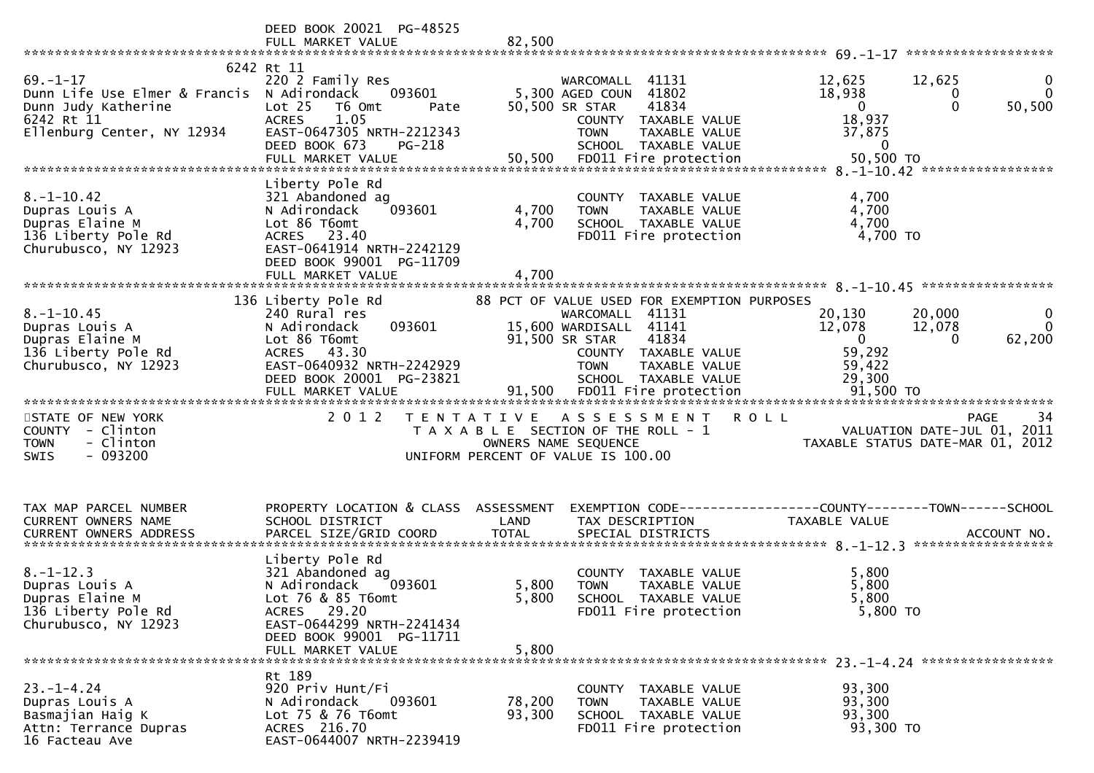|                                                                                                                                 | DEED BOOK 20021 PG-48525<br>FULL MARKET VALUE                                                                                                                                   | 82,500                  |                                                                                                                                                                                                                              |                                                                                 |                                                                               |
|---------------------------------------------------------------------------------------------------------------------------------|---------------------------------------------------------------------------------------------------------------------------------------------------------------------------------|-------------------------|------------------------------------------------------------------------------------------------------------------------------------------------------------------------------------------------------------------------------|---------------------------------------------------------------------------------|-------------------------------------------------------------------------------|
| $69. - 1 - 17$<br>Dunn Life Use Elmer & Francis N Adirondack<br>Dunn Judy Katherine<br>6242 Rt 11<br>Ellenburg Center, NY 12934 | 6242 Rt 11<br>220 2 Family Res<br>093601<br>Lot 25<br>T6 Omt<br>Pate<br>1.05<br><b>ACRES</b><br>EAST-0647305 NRTH-2212343<br>DEED BOOK 673<br>PG-218<br>FULL MARKET VALUE       | 50,500                  | WARCOMALL 41131<br>5,300 AGED COUN 41802<br>50,500 SR STAR<br>41834<br>COUNTY TAXABLE VALUE<br><b>TOWN</b><br>TAXABLE VALUE<br>SCHOOL TAXABLE VALUE<br>FD011 Fire protection                                                 | 12,625<br>18,938<br>$\mathbf 0$<br>18,937<br>37,875<br>$\mathbf 0$<br>50,500 TO | 12,625<br>0<br>$\mathbf{0}$<br>0<br>$\mathbf{0}$<br>50,500                    |
| $8. - 1 - 10.42$<br>Dupras Louis A<br>Dupras Elaine M<br>136 Liberty Pole Rd<br>Churubusco, NY 12923                            | Liberty Pole Rd<br>321 Abandoned ag<br>093601<br>N Adirondack<br>Lot 86 T6omt<br>ACRES 23.40<br>EAST-0641914 NRTH-2242129<br>DEED BOOK 99001 PG-11709<br>FULL MARKET VALUE      | 4,700<br>4,700<br>4,700 | COUNTY TAXABLE VALUE<br><b>TAXABLE VALUE</b><br><b>TOWN</b><br>SCHOOL TAXABLE VALUE<br>FD011 Fire protection                                                                                                                 | 4,700<br>4,700<br>4,700<br>4,700 TO                                             |                                                                               |
| $8. - 1 - 10.45$<br>Dupras Louis A<br>Dupras Elaine M<br>136 Liberty Pole Rd<br>Churubusco, NY 12923                            | 136 Liberty Pole Rd<br>240 Rural res<br>093601<br>N Adirondack<br>Lot 86 T6omt<br>ACRES 43.30<br>EAST-0640932 NRTH-2242929<br>DEED BOOK 20001 PG-23821<br>FULL MARKET VALUE     | 91,500                  | 88 PCT OF VALUE USED FOR EXEMPTION PURPOSES<br>WARCOMALL 41131<br>15,600 WARDISALL 41141<br>91,500 SR STAR<br>41834<br>COUNTY TAXABLE VALUE<br><b>TOWN</b><br>TAXABLE VALUE<br>SCHOOL TAXABLE VALUE<br>FD011 Fire protection | 20,130<br>12,078<br>$\mathbf{0}$<br>59,292<br>59,422<br>29,300<br>91,500 TO     | 20,000<br>0<br>$\mathbf{0}$<br>12,078<br>62,200<br>$\Omega$                   |
| STATE OF NEW YORK<br>COUNTY - Clinton<br><b>TOWN</b><br>- Clinton<br>$-093200$<br>SWIS                                          | 2 0 1 2                                                                                                                                                                         |                         | TENTATIVE ASSESSMENT<br>T A X A B L E SECTION OF THE ROLL - 1<br>OWNERS NAME SEQUENCE<br>UNIFORM PERCENT OF VALUE IS 100.00                                                                                                  | <b>ROLL</b>                                                                     | 34<br>PAGE<br>VALUATION DATE-JUL 01, 2011<br>TAXABLE STATUS DATE-MAR 01, 2012 |
| TAX MAP PARCEL NUMBER<br>CURRENT OWNERS NAME                                                                                    | PROPERTY LOCATION & CLASS ASSESSMENT<br>SCHOOL DISTRICT                                                                                                                         | LAND                    | EXEMPTION CODE-----------------COUNTY-------TOWN------SCHOOL<br>TAX DESCRIPTION                                                                                                                                              | TAXABLE VALUE                                                                   | ACCOUNT NO.<br>******************                                             |
| $8. - 1 - 12.3$<br>Dupras Louis A<br>Dupras Elaine M<br>136 Liberty Pole Rd<br>Churubusco, NY 12923                             | Liberty Pole Rd<br>321 Abandoned ag<br>N Adirondack<br>093601<br>Lot 76 & 85 T6omt<br>ACRES 29.20<br>EAST-0644299 NRTH-2241434<br>DEED BOOK 99001 PG-11711<br>FULL MARKET VALUE | 5,800<br>5,800<br>5,800 | COUNTY TAXABLE VALUE<br><b>TOWN</b><br><b>TAXABLE VALUE</b><br>SCHOOL TAXABLE VALUE<br>FD011 Fire protection                                                                                                                 | 5,800<br>5,800<br>5,800<br>$5,800$ TO                                           |                                                                               |
| $23. - 1 - 4.24$<br>Dupras Louis A<br>Basmajian Haig K<br>Attn: Terrance Dupras<br>16 Facteau Ave                               | Rt 189<br>920 Priv Hunt/Fi<br>N Adirondack<br>093601<br>Lot 75 & 76 T6omt<br>ACRES 216.70<br>EAST-0644007 NRTH-2239419                                                          | 78,200<br>93,300        | COUNTY TAXABLE VALUE<br><b>TOWN</b><br>TAXABLE VALUE<br>SCHOOL TAXABLE VALUE<br>FD011 Fire protection                                                                                                                        | 93,300<br>93,300<br>93,300<br>93,300 TO                                         |                                                                               |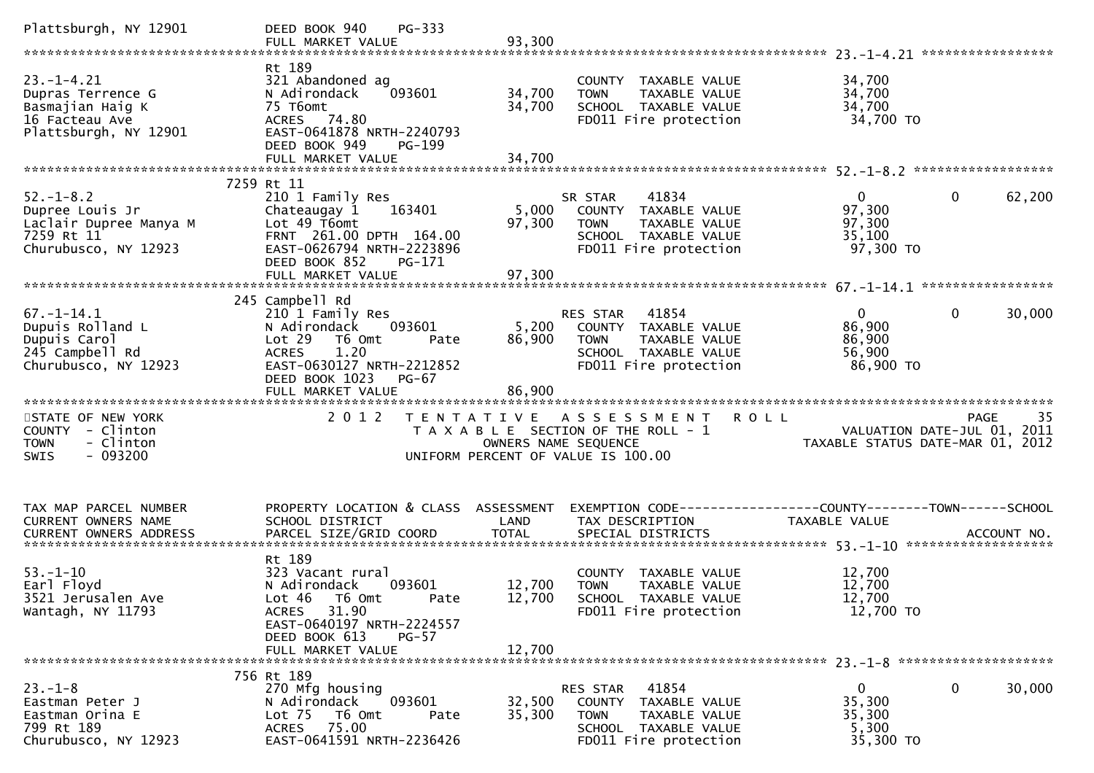| Plattsburgh, NY 12901                                                                                | PG-333<br>DEED BOOK 940<br>FULL MARKET VALUE                                                                                                                                                          | 93,300                     |                                                                                                                            |                                                           |                                                                                      |
|------------------------------------------------------------------------------------------------------|-------------------------------------------------------------------------------------------------------------------------------------------------------------------------------------------------------|----------------------------|----------------------------------------------------------------------------------------------------------------------------|-----------------------------------------------------------|--------------------------------------------------------------------------------------|
| $23. - 1 - 4.21$<br>Dupras Terrence G<br>Basmajian Haig K<br>16 Facteau Ave<br>Plattsburgh, NY 12901 | Rt 189<br>321 Abandoned ag<br>N Adirondack<br>093601<br>75 T6omt<br>ACRES 74.80<br>EAST-0641878 NRTH-2240793<br>DEED BOOK 949<br>PG-199<br>FULL MARKET VALUE                                          | 34,700<br>34,700<br>34,700 | COUNTY TAXABLE VALUE<br>TAXABLE VALUE<br><b>TOWN</b><br>SCHOOL TAXABLE VALUE<br>FD011 Fire protection                      | 34,700<br>34,700<br>34,700<br>34,700 TO                   |                                                                                      |
|                                                                                                      | 7259 Rt 11                                                                                                                                                                                            |                            |                                                                                                                            |                                                           |                                                                                      |
| $52. - 1 - 8.2$<br>Dupree Louis Jr<br>Laclair Dupree Manya M<br>7259 Rt 11<br>Churubusco, NY 12923   | 210 1 Family Res<br>Chateaugay 1<br>163401<br>Lot 49 T6omt<br>FRNT 261.00 DPTH 164.00<br>EAST-0626794 NRTH-2223896<br>DEED BOOK 852<br>PG-171                                                         | 5,000<br>97,300            | 41834<br>SR STAR<br>COUNTY TAXABLE VALUE<br><b>TOWN</b><br>TAXABLE VALUE<br>SCHOOL TAXABLE VALUE<br>FD011 Fire protection  | $\overline{0}$<br>97,300<br>97,300<br>35,100<br>97,300 TO | $\mathbf{0}$<br>62,200                                                               |
|                                                                                                      |                                                                                                                                                                                                       |                            |                                                                                                                            |                                                           |                                                                                      |
| $67. - 1 - 14.1$<br>Dupuis Rolland L<br>Dupuis Carol<br>245 Campbell Rd<br>Churubusco, NY 12923      | 245 Campbell Rd<br>210 1 Family Res<br>093601<br>N Adirondack<br>Lot 29<br>T6 Omt<br>Pate<br>1.20<br><b>ACRES</b><br>EAST-0630127 NRTH-2212852<br>DEED BOOK 1023<br><b>PG-67</b><br>FULL MARKET VALUE | 5,200<br>86,900<br>86,900  | 41854<br>RES STAR<br>COUNTY TAXABLE VALUE<br><b>TOWN</b><br>TAXABLE VALUE<br>SCHOOL TAXABLE VALUE<br>FD011 Fire protection | $\mathbf{0}$<br>86,900<br>86,900<br>56,900<br>86,900 TO   | 30,000<br>$\mathbf{0}$                                                               |
| STATE OF NEW YORK<br>COUNTY - Clinton<br><b>TOWN</b><br>- Clinton<br>$-093200$<br><b>SWIS</b>        | 2 0 1 2                                                                                                                                                                                               | OWNERS NAME SEQUENCE       | <b>ROLL</b><br>TENTATIVE ASSESSMENT<br>T A X A B L E SECTION OF THE ROLL - 1<br>UNIFORM PERCENT OF VALUE IS 100.00         |                                                           | 35<br><b>PAGE</b><br>VALUATION DATE-JUL 01, 2011<br>TAXABLE STATUS DATE-MAR 01, 2012 |
| TAX MAP PARCEL NUMBER<br>CURRENT OWNERS NAME                                                         | PROPERTY LOCATION & CLASS ASSESSMENT<br>SCHOOL DISTRICT                                                                                                                                               | LAND                       | EXEMPTION CODE-----------------COUNTY-------TOWN------SCHOOL<br>TAX DESCRIPTION                                            | TAXABLE VALUE                                             |                                                                                      |
| $53. - 1 - 10$<br>Earl Floyd<br>3521 Jerusalen Ave<br>Wantagh, NY 11793                              | Rt 189<br>323 Vacant rural<br>N Adirondack<br>093601<br>Lot $46$ T6 Omt<br>Pate<br>ACRES 31.90<br>EAST-0640197 NRTH-2224557<br>DEED BOOK 613<br>$PG-57$<br>FULL MARKET VALUE                          | 12,700<br>12,700<br>12,700 | COUNTY TAXABLE VALUE<br><b>TOWN</b><br><b>TAXABLE VALUE</b><br>SCHOOL TAXABLE VALUE<br>FD011 Fire protection               | 12,700<br>12,700<br>12,700<br>12,700 TO                   |                                                                                      |
|                                                                                                      |                                                                                                                                                                                                       |                            |                                                                                                                            |                                                           |                                                                                      |
| $23 - 1 - 8$<br>Eastman Peter J<br>Eastman Orina E<br>799 Rt 189<br>Churubusco, NY 12923             | 756 Rt 189<br>270 Mfg housing<br>093601<br>N Adirondack<br>Lot <sub>75</sub><br>T6 Omt<br>Pate<br>ACRES 75.00<br>EAST-0641591 NRTH-2236426                                                            | 32,500<br>35,300           | RES STAR<br>41854<br>COUNTY TAXABLE VALUE<br>TAXABLE VALUE<br><b>TOWN</b><br>SCHOOL TAXABLE VALUE<br>FD011 Fire protection | $\mathbf{0}$<br>35,300<br>35,300<br>5,300<br>35,300 TO    | 0<br>30,000                                                                          |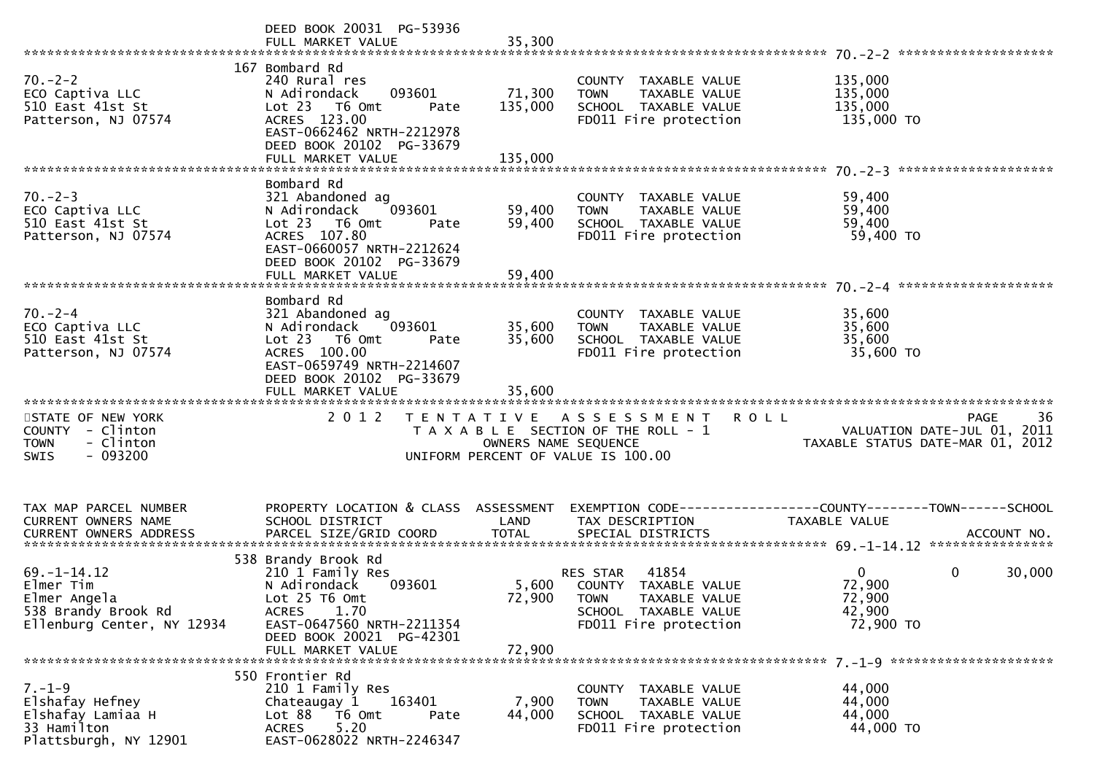|                                                                                                     | DEED BOOK 20031 PG-53936<br>FULL MARKET VALUE                                                                                                                                            | 35,300                       |                                                                                                                                            |                                                                                    |
|-----------------------------------------------------------------------------------------------------|------------------------------------------------------------------------------------------------------------------------------------------------------------------------------------------|------------------------------|--------------------------------------------------------------------------------------------------------------------------------------------|------------------------------------------------------------------------------------|
| $70. - 2 - 2$<br>ECO Captiva LLC<br>510 East 41st St<br>Patterson, NJ 07574                         | 167 Bombard Rd<br>240 Rural res<br>093601<br>N Adirondack<br>Lot 23 T6 Omt<br>Pate<br>ACRES 123.00<br>EAST-0662462 NRTH-2212978<br>DEED BOOK 20102 PG-33679<br>FULL MARKET VALUE         | 71,300<br>135,000<br>135,000 | COUNTY TAXABLE VALUE<br>TAXABLE VALUE<br><b>TOWN</b><br>SCHOOL TAXABLE VALUE<br>FD011 Fire protection                                      | 135,000<br>135,000<br>135,000<br>135,000 TO                                        |
| $70. - 2 - 3$<br>ECO Captiva LLC<br>510 East 41st St<br>Patterson, NJ 07574                         | Bombard Rd<br>321 Abandoned ag<br>093601<br>N Adirondack<br>Lot 23  T6 Omt<br>Pate<br>ACRES 107.80<br>EAST-0660057 NRTH-2212624<br>DEED BOOK 20102 PG-33679                              | 59,400<br>59,400             | COUNTY TAXABLE VALUE<br><b>TOWN</b><br>TAXABLE VALUE<br>SCHOOL TAXABLE VALUE<br>FD011 Fire protection                                      | 59,400<br>59,400<br>59,400<br>59,400 TO                                            |
| $70. - 2 - 4$<br>ECO Captiva LLC<br>510 East 41st St<br>Patterson, NJ 07574                         | Bombard Rd<br>321 Abandoned ag<br>093601<br>N Adirondack<br>Lot 23  T6 Omt<br>Pate<br>ACRES 100.00<br>EAST-0659749 NRTH-2214607<br>DEED BOOK 20102 PG-33679<br>FULL MARKET VALUE         | 35,600<br>35,600<br>35,600   | COUNTY TAXABLE VALUE<br>TAXABLE VALUE<br><b>TOWN</b><br>SCHOOL TAXABLE VALUE<br>FD011 Fire protection                                      | 35,600<br>35,600<br>35,600<br>35,600 TO                                            |
| STATE OF NEW YORK<br>COUNTY - Clinton<br><b>TOWN</b><br>- Clinton<br>$-093200$<br><b>SWIS</b>       | 2 0 1 2                                                                                                                                                                                  |                              | <b>ROLL</b><br>TENTATIVE ASSESSMENT<br>T A X A B L E SECTION OF THE ROLL - 1<br>OWNERS NAME SEQUENCE<br>UNIFORM PERCENT OF VALUE IS 100.00 | 36<br>PAGE<br>VALUATION DATE-JUL 01, 2011<br>TAXABLE STATUS DATE-MAR 01, 2012      |
| TAX MAP PARCEL NUMBER<br>CURRENT OWNERS NAME<br>CURRENT OWNERS ADDRESS                              | PROPERTY LOCATION & CLASS ASSESSMENT<br>SCHOOL DISTRICT                                                                                                                                  | LAND                         | EXEMPTION CODE-----------------COUNTY-------TOWN------SCHOOL<br>TAX DESCRIPTION                                                            | TAXABLE VALUE                                                                      |
| $69. - 1 - 14.12$<br>Elmer Tim<br>Elmer Angela<br>538 Brandy Brook Rd<br>Ellenburg Center, NY 12934 | 538 Brandy Brook Rd<br>210 1 Family Res<br>N Adirondack<br>093601<br>Lot 25 T6 Omt<br>1.70<br><b>ACRES</b><br>EAST-0647560 NRTH-2211354<br>DEED BOOK 20021 PG-42301<br>FULL MARKET VALUE | 72,900<br>72,900             | 41854<br>RES STAR<br>5,600 COUNTY TAXABLE VALUE<br><b>TOWN</b><br>TAXABLE VALUE<br>SCHOOL TAXABLE VALUE<br>FD011 Fire protection           | $\overline{0}$<br>$\mathbf 0$<br>30,000<br>72,900<br>72,900<br>42,900<br>72,900 TO |
| $7. - 1 - 9$<br>Elshafay Hefney<br>Elshafay Lamiaa H<br>33 Hamilton<br>Plattsburgh, NY 12901        | 550 Frontier Rd<br>210 1 Family Res<br>163401<br>Chateaugay 1<br>Lot 88<br>T6 Omt<br>Pate<br>5.20<br><b>ACRES</b><br>EAST-0628022 NRTH-2246347                                           | 7,900<br>44,000              | COUNTY TAXABLE VALUE<br>TAXABLE VALUE<br><b>TOWN</b><br>SCHOOL TAXABLE VALUE<br>FD011 Fire protection                                      | 44,000<br>44,000<br>44,000<br>44,000 TO                                            |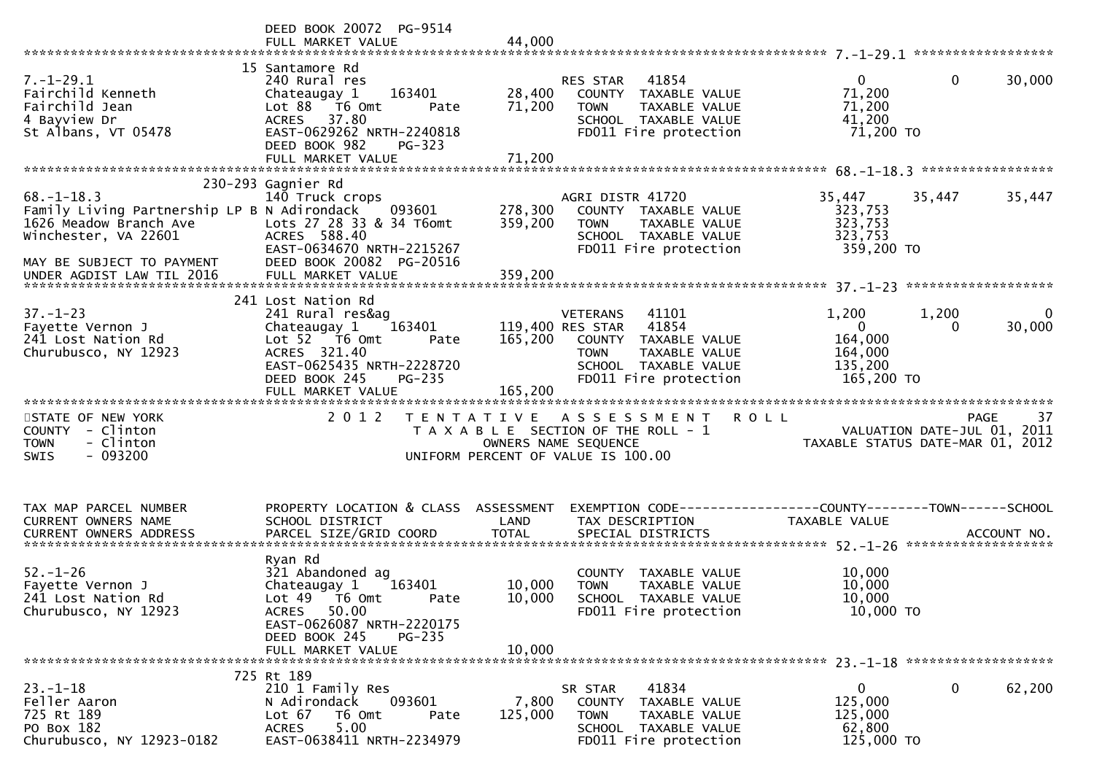|                                                                                                                                                                             | DEED BOOK 20072 PG-9514<br>FULL MARKET VALUE                                                                                                                                            | 44,000                        |                                                                                                                                                                |                                                                        |                                                                               |
|-----------------------------------------------------------------------------------------------------------------------------------------------------------------------------|-----------------------------------------------------------------------------------------------------------------------------------------------------------------------------------------|-------------------------------|----------------------------------------------------------------------------------------------------------------------------------------------------------------|------------------------------------------------------------------------|-------------------------------------------------------------------------------|
| $7. - 1 - 29.1$<br>Fairchild Kenneth<br>Fairchild Jean<br>4 Bayview Dr<br>St Albans, VT 05478                                                                               | 15 Santamore Rd<br>240 Rural res<br>Chateaugay 1<br>163401<br>Lot 88 T6 Omt<br>Pate<br>ACRES 37.80<br>EAST-0629262 NRTH-2240818<br>DEED BOOK 982<br>$PG-323$<br>FULL MARKET VALUE       | 28,400<br>71,200<br>71,200    | 41854<br>RES STAR<br>COUNTY TAXABLE VALUE<br><b>TOWN</b><br>TAXABLE VALUE<br>SCHOOL TAXABLE VALUE<br>FD011 Fire protection                                     | $\overline{0}$<br>71,200<br>71,200<br>41,200<br>71,200 TO              | 30,000<br>0                                                                   |
|                                                                                                                                                                             |                                                                                                                                                                                         |                               |                                                                                                                                                                |                                                                        |                                                                               |
| $68. - 1 - 18.3$<br>Family Living Partnership LP B N Adirondack<br>1626 Meadow Branch Ave<br>Winchester, VA 22601<br>MAY BE SUBJECT TO PAYMENT<br>UNDER AGDIST LAW TIL 2016 | 230-293 Gagnier Rd<br>140 Truck crops<br>093601<br>Lots 27 28 33 & 34 T6omt<br>ACRES 588.40<br>EAST-0634670 NRTH-2215267<br>DEED BOOK 20082 PG-20516<br>FULL MARKET VALUE               | 278,300<br>359,200<br>359,200 | AGRI DISTR 41720<br>COUNTY TAXABLE VALUE<br>TAXABLE VALUE<br><b>TOWN</b><br>SCHOOL TAXABLE VALUE<br>FD011 Fire protection                                      | 35,447<br>323,753<br>323,753<br>323,753<br>359,200 TO                  | 35,447<br>35,447                                                              |
| $37. - 1 - 23$<br>Fayette Vernon J<br>241 Lost Nation Rd<br>Churubusco, NY 12923                                                                                            | 241 Lost Nation Rd<br>241 Rural res&ag<br>Chateaugay 1<br>163401<br>Lot $52$ $\overline{76}$ Omt<br>Pate<br>ACRES 321.40<br>EAST-0625435 NRTH-2228720<br><b>PG-235</b><br>DEED BOOK 245 | 165,200                       | 41101<br><b>VETERANS</b><br>41854<br>119,400 RES STAR<br>COUNTY TAXABLE VALUE<br>TAXABLE VALUE<br><b>TOWN</b><br>SCHOOL TAXABLE VALUE<br>FD011 Fire protection | 1,200<br>$\overline{0}$<br>164,000<br>164,000<br>135,200<br>165,200 TO | 1,200<br>0<br>30,000<br>$\Omega$                                              |
| STATE OF NEW YORK<br><b>COUNTY</b><br>- Clinton<br>- Clinton<br><b>TOWN</b><br>$-093200$<br>SWIS                                                                            | 2 0 1 2                                                                                                                                                                                 |                               | TENTATIVE ASSESSMENT<br>T A X A B L E SECTION OF THE ROLL - 1<br>OWNERS NAME SEQUENCE<br>UNIFORM PERCENT OF VALUE IS 100.00                                    | <b>ROLL</b>                                                            | 37<br>PAGE<br>VALUATION DATE-JUL 01, 2011<br>TAXABLE STATUS DATE-MAR 01, 2012 |
| TAX MAP PARCEL NUMBER<br>CURRENT OWNERS NAME                                                                                                                                | PROPERTY LOCATION & CLASS ASSESSMENT<br>SCHOOL DISTRICT                                                                                                                                 | LAND                          | EXEMPTION CODE------------------COUNTY--------TOWN------SCHOOL<br>TAX DESCRIPTION                                                                              | TAXABLE VALUE                                                          |                                                                               |
| $52. - 1 - 26$<br>Fayette Vernon J<br>241 Lost Nation Rd<br>Churubusco, NY 12923                                                                                            | Ryan Rd<br>321 Abandoned ag<br>Chateaugay 1<br>163401<br>Lot 49 T6 Omt<br>Pate<br>50.00<br><b>ACRES</b><br>EAST-0626087 NRTH-2220175<br>DEED BOOK 245<br>$PG-235$<br>FULL MARKET VALUE  | 10,000<br>10,000<br>10,000    | COUNTY TAXABLE VALUE<br><b>TOWN</b><br><b>TAXABLE VALUE</b><br>SCHOOL TAXABLE VALUE<br>FD011 Fire protection                                                   | 10,000<br>10,000<br>10,000<br>10,000 TO                                |                                                                               |
|                                                                                                                                                                             |                                                                                                                                                                                         |                               |                                                                                                                                                                |                                                                        |                                                                               |
| $23. - 1 - 18$<br>Feller Aaron<br>725 Rt 189<br>PO Box 182<br>Churubusco, NY 12923-0182                                                                                     | 725 Rt 189<br>210 1 Family Res<br>093601<br>N Adirondack<br>Lot 67<br>T6 Omt<br>Pate<br>5.00<br><b>ACRES</b><br>EAST-0638411 NRTH-2234979                                               | 7,800<br>125,000              | SR STAR<br>41834<br>COUNTY TAXABLE VALUE<br><b>TOWN</b><br>TAXABLE VALUE<br>SCHOOL TAXABLE VALUE<br>FD011 Fire protection                                      | $\mathbf{0}$<br>125,000<br>125,000<br>62,800<br>125,000 TO             | 62,200<br>$\mathbf 0$                                                         |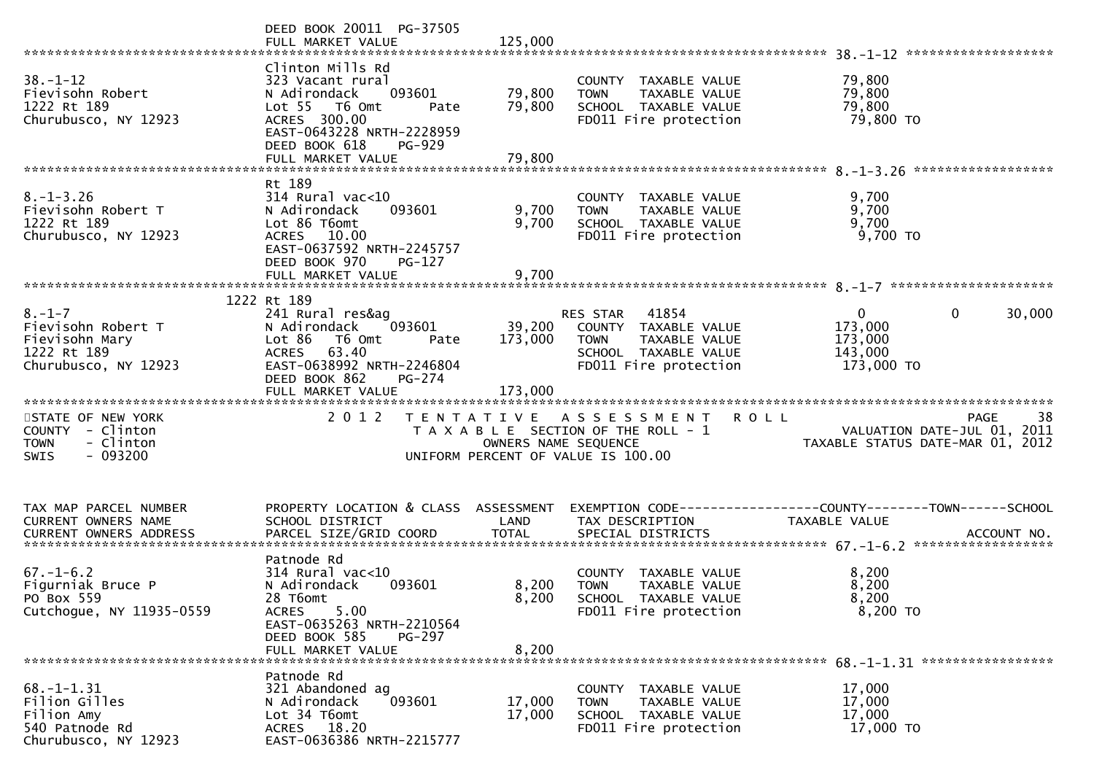|                                                                                               | DEED BOOK 20011 PG-37505<br>FULL MARKET VALUE                                                                                                                                         | 125,000                      |                                                                                                                            |                                                                                                                           |
|-----------------------------------------------------------------------------------------------|---------------------------------------------------------------------------------------------------------------------------------------------------------------------------------------|------------------------------|----------------------------------------------------------------------------------------------------------------------------|---------------------------------------------------------------------------------------------------------------------------|
| $38. - 1 - 12$<br>Fievisohn Robert<br>1222 Rt 189<br>Churubusco, NY 12923                     | Clinton Mills Rd<br>323 Vacant rural<br>093601<br>N Adirondack<br>Lot 55  T6 Omt<br>Pate<br>ACRES 300.00<br>EAST-0643228 NRTH-2228959<br>DEED BOOK 618<br>PG-929<br>FULL MARKET VALUE | 79,800<br>79,800<br>79,800   | COUNTY TAXABLE VALUE<br>TAXABLE VALUE<br><b>TOWN</b><br>SCHOOL TAXABLE VALUE<br>FD011 Fire protection                      | 79,800<br>79,800<br>79,800<br>79,800 TO                                                                                   |
|                                                                                               |                                                                                                                                                                                       |                              |                                                                                                                            |                                                                                                                           |
| $8. - 1 - 3.26$<br>Fievisohn Robert T<br>1222 Rt 189<br>Churubusco, NY 12923                  | Rt 189<br>$314$ Rural vac<10<br>N Adirondack<br>093601<br>Lot 86 T6omt<br>ACRES 10.00<br>EAST-0637592 NRTH-2245757<br>DEED BOOK 970<br><b>PG-127</b>                                  | 9,700<br>9,700               | COUNTY TAXABLE VALUE<br>TAXABLE VALUE<br><b>TOWN</b><br>SCHOOL TAXABLE VALUE<br>FD011 Fire protection                      | 9,700<br>9,700<br>9,700<br>9,700 TO                                                                                       |
|                                                                                               | FULL MARKET VALUE                                                                                                                                                                     | 9,700                        |                                                                                                                            |                                                                                                                           |
|                                                                                               | 1222 Rt 189                                                                                                                                                                           |                              |                                                                                                                            |                                                                                                                           |
| $8. - 1 - 7$<br>Fievisohn Robert T<br>Fievisohn Mary<br>1222 Rt 189<br>Churubusco, NY 12923   | 241 Rural res&ag<br>093601<br>N Adirondack<br>Lot 86<br>T6 Omt<br>Pate<br>63.40<br><b>ACRES</b><br>EAST-0638992 NRTH-2246804<br>DEED BOOK 862<br>PG-274<br>FULL MARKET VALUE          | 39,200<br>173,000<br>173,000 | 41854<br>RES STAR<br>COUNTY TAXABLE VALUE<br><b>TOWN</b><br>TAXABLE VALUE<br>SCHOOL TAXABLE VALUE<br>FD011 Fire protection | $\mathbf{0}$<br>30,000<br>$\mathbf{0}$<br>173,000<br>173,000<br>143,000<br>173,000 TO                                     |
|                                                                                               |                                                                                                                                                                                       |                              |                                                                                                                            |                                                                                                                           |
| STATE OF NEW YORK<br>COUNTY - Clinton<br>- Clinton<br><b>TOWN</b><br>$-093200$<br><b>SWIS</b> | 2 0 1 2                                                                                                                                                                               | OWNERS NAME SEQUENCE         | <b>ROLL</b><br>TENTATIVE ASSESSMENT<br>T A X A B L E SECTION OF THE ROLL - 1<br>UNIFORM PERCENT OF VALUE IS 100.00         | 38<br>PAGE<br>VALUATION DATE-JUL 01, 2011<br>TAXABLE STATUS DATE-MAR 01, 2012                                             |
| TAX MAP PARCEL NUMBER<br>CURRENT OWNERS NAME                                                  | PROPERTY LOCATION & CLASS ASSESSMENT<br>SCHOOL DISTRICT                                                                                                                               | LAND                         | TAX DESCRIPTION                                                                                                            | EXEMPTION        CODE-----------------COUNTY-------TOWN------SCHOOL<br>TAXABLE VALUE<br>ACCOUNT NO.<br>****************** |
| $67. - 1 - 6.2$<br>Figurniak Bruce P<br>PO Box 559<br>Cutchoque, NY 11935-0559                | Patnode Rd<br>$314$ Rural vac<10<br>093601<br>N Adirondack<br>28 T6omt<br>5.00<br><b>ACRES</b><br>EAST-0635263 NRTH-2210564<br>DEED BOOK 585<br>PG-297<br>FULL MARKET VALUE           | 8,200<br>8,200<br>8,200      | COUNTY TAXABLE VALUE<br>TAXABLE VALUE<br><b>TOWN</b><br>SCHOOL TAXABLE VALUE<br>FD011 Fire protection                      | 8,200<br>8,200<br>8,200<br>8,200 TO                                                                                       |
|                                                                                               | Patnode Rd                                                                                                                                                                            |                              |                                                                                                                            |                                                                                                                           |
| $68. - 1 - 1.31$<br>Filion Gilles<br>Filion Amy<br>540 Patnode Rd<br>Churubusco, NY 12923     | 321 Abandoned ag<br>093601<br>N Adirondack<br>Lot 34 T6omt<br>ACRES 18.20<br>EAST-0636386 NRTH-2215777                                                                                | 17,000<br>17,000             | COUNTY TAXABLE VALUE<br>TAXABLE VALUE<br><b>TOWN</b><br>SCHOOL TAXABLE VALUE<br>FD011 Fire protection                      | 17,000<br>17,000<br>17,000<br>17,000 TO                                                                                   |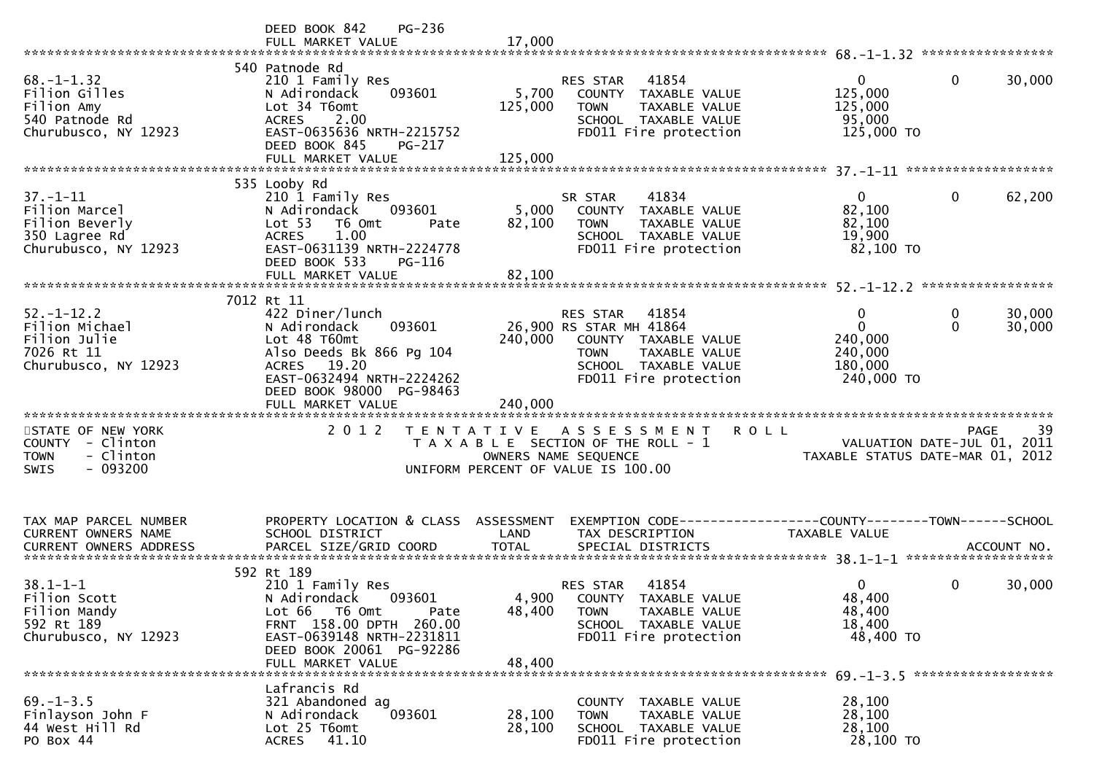|                                                                                               | DEED BOOK 842<br>PG-236<br>FULL MARKET VALUE                                                                                                                                                  | 17,000                      |                                                                                                                                                       |                                                              |                                                |
|-----------------------------------------------------------------------------------------------|-----------------------------------------------------------------------------------------------------------------------------------------------------------------------------------------------|-----------------------------|-------------------------------------------------------------------------------------------------------------------------------------------------------|--------------------------------------------------------------|------------------------------------------------|
| $68. - 1 - 1.32$<br>Filion Gilles<br>Filion Amy<br>540 Patnode Rd<br>Churubusco, NY 12923     | 540 Patnode Rd<br>210 1 Family Res<br>093601<br>N Adirondack<br>Lot 34 T6omt<br>ACRES 2.00<br>EAST-0635636 NRTH-2215752<br>DEED BOOK 845<br>PG-217<br>FULL MARKET VALUE                       | 5,700<br>125,000<br>125,000 | 41854<br>RES STAR<br>COUNTY TAXABLE VALUE<br>TAXABLE VALUE<br><b>TOWN</b><br>SCHOOL TAXABLE VALUE<br>FD011 Fire protection                            | $\mathbf{0}$<br>125,000<br>125,000<br>95,000<br>125,000 TO   | $\Omega$<br>30,000                             |
| $37. - 1 - 11$<br>Filion Marcel<br>Filion Beverly<br>350 Lagree Rd<br>Churubusco, NY 12923    | 535 Looby Rd<br>210 1 Family Res<br>N Adirondack<br>093601<br>Lot <sub>53</sub><br>T6 Omt<br>Pate<br>1.00<br><b>ACRES</b><br>EAST-0631139 NRTH-2224778<br>DEED BOOK 533<br>PG-116             | 5,000<br>82,100             | 41834<br>SR STAR<br>COUNTY TAXABLE VALUE<br><b>TOWN</b><br>TAXABLE VALUE<br>SCHOOL TAXABLE VALUE<br>FD011 Fire protection                             | $\overline{0}$<br>82,100<br>82,100<br>19,900<br>82,100 TO    | $\mathbf 0$<br>62,200                          |
| $52. - 1 - 12.2$<br>Filion Michael<br>Filion Julie<br>7026 Rt 11<br>Churubusco, NY 12923      | 7012 Rt 11<br>422 Diner/lunch<br>093601<br>N Adirondack<br>Lot 48 T60mt<br>Also Deeds Bk 866 Pg 104<br>ACRES 19.20<br>EAST-0632494 NRTH-2224262<br>DEED BOOK 98000 PG-98463                   | 240,000                     | RES STAR<br>41854<br>26,900 RS STAR MH 41864<br>COUNTY TAXABLE VALUE<br>TAXABLE VALUE<br><b>TOWN</b><br>SCHOOL TAXABLE VALUE<br>FD011 Fire protection | 0<br>$\Omega$<br>240,000<br>240,000<br>180,000<br>240,000 TO | 30,000<br>0<br>$\Omega$<br>30,000              |
| STATE OF NEW YORK<br>COUNTY - Clinton<br><b>TOWN</b><br>- Clinton<br>$-093200$<br><b>SWIS</b> | 2 0 1 2                                                                                                                                                                                       |                             | TENTATIVE ASSESSMENT<br>T A X A B L E SECTION OF THE ROLL - 1<br>OWNERS NAME SEQUENCE<br>UNIFORM PERCENT OF VALUE IS 100.00                           | <b>ROLL</b><br>VALUATION DATE-JUL 01, 2011                   | 39<br>PAGE<br>TAXABLE STATUS DATE-MAR 01, 2012 |
| TAX MAP PARCEL NUMBER<br>CURRENT OWNERS NAME                                                  | PROPERTY LOCATION & CLASS ASSESSMENT<br>SCHOOL DISTRICT                                                                                                                                       | LAND                        | EXEMPTION CODE-----------------COUNTY--------TOWN------SCHOOL<br>TAX DESCRIPTION                                                                      | TAXABLE VALUE                                                |                                                |
| $38.1 - 1 - 1$<br>Filion Scott<br>Filion Mandy<br>592 Rt 189<br>Churubusco, NY 12923          | 592 Rt 189<br>210 1 Family Res<br>N Adirondack<br>093601<br>Lot 66<br>T6 Omt<br>Pate<br>FRNT 158.00 DPTH 260.00<br>EAST-0639148 NRTH-2231811<br>DEED BOOK 20061 PG-92286<br>FULL MARKET VALUE | 4,900<br>48,400<br>48,400   | RES STAR<br>41854<br>COUNTY TAXABLE VALUE<br>TAXABLE VALUE<br><b>TOWN</b><br>SCHOOL TAXABLE VALUE<br>FD011 Fire protection                            | 0<br>48,400<br>48,400<br>18,400<br>48,400 TO                 | 0<br>30,000<br>******************              |
| $69. - 1 - 3.5$<br>Finlayson John F<br>44 West Hill Rd<br>PO Box 44                           | Lafrancis Rd<br>321 Abandoned ag<br>093601<br>N Adirondack<br>Lot 25 T6omt<br>41.10<br><b>ACRES</b>                                                                                           | 28,100<br>28,100            | COUNTY<br>TAXABLE VALUE<br>TAXABLE VALUE<br><b>TOWN</b><br>SCHOOL TAXABLE VALUE<br>FD011 Fire protection                                              | 28,100<br>28,100<br>28,100<br>28,100 TO                      |                                                |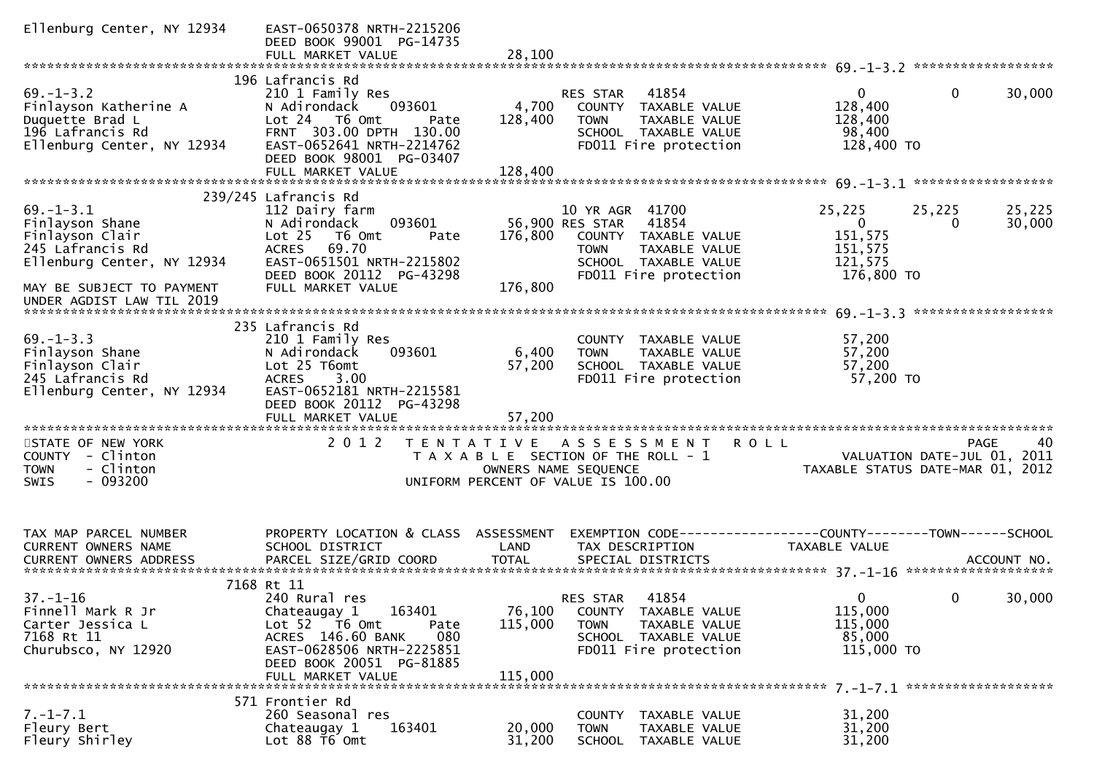| Ellenburg Center, NY 12934                                                                                                           | EAST-0650378 NRTH-2215206<br>DEED BOOK 99001 PG-14735<br>FULL MARKET VALUE                                                                                                                       | 28,100                       |                                                                                                                                                      |                                                                                        |                  |
|--------------------------------------------------------------------------------------------------------------------------------------|--------------------------------------------------------------------------------------------------------------------------------------------------------------------------------------------------|------------------------------|------------------------------------------------------------------------------------------------------------------------------------------------------|----------------------------------------------------------------------------------------|------------------|
|                                                                                                                                      |                                                                                                                                                                                                  |                              |                                                                                                                                                      |                                                                                        |                  |
| $69. - 1 - 3.2$<br>Finlayson Katherine A<br>Duquette Brad L<br>196 Lafrancis Rd<br>Ellenburg Center, NY 12934                        | 196 Lafrancis Rd<br>210 1 Family Res<br>N Adirondack<br>093601<br>Lot 24 T6 Omt<br>Pate<br>FRNT 303.00 DPTH 130.00<br>EAST-0652641 NRTH-2214762<br>DEED BOOK 98001 PG-03407<br>FULL MARKET VALUE | 4,700<br>128,400<br>128,400  | 41854<br><b>RES STAR</b><br>COUNTY TAXABLE VALUE<br>TAXABLE VALUE<br><b>TOWN</b><br>SCHOOL TAXABLE VALUE<br>FD011 Fire protection                    | $\overline{0}$<br>$\mathbf{0}$<br>128,400<br>128,400<br>98,400<br>128,400 TO           | 30,000           |
|                                                                                                                                      |                                                                                                                                                                                                  |                              |                                                                                                                                                      |                                                                                        |                  |
|                                                                                                                                      | 239/245 Lafrancis Rd                                                                                                                                                                             |                              |                                                                                                                                                      |                                                                                        |                  |
| $69. - 1 - 3.1$<br>Finlayson Shane<br>Finlayson Clair<br>245 Lafrancis Rd<br>Ellenburg Center, NY 12934<br>MAY BE SUBJECT TO PAYMENT | 112 Dairy farm<br>093601<br>N Adirondack<br>$Lot 25$ T6 Omt<br>Pate<br><b>ACRES</b><br>69.70<br>EAST-0651501 NRTH-2215802<br>DEED BOOK 20112 PG-43298<br>FULL MARKET VALUE                       | 176,800<br>176,800           | 10 YR AGR 41700<br>56,900 RES STAR<br>41854<br>COUNTY TAXABLE VALUE<br><b>TOWN</b><br>TAXABLE VALUE<br>SCHOOL TAXABLE VALUE<br>FD011 Fire protection | 25,225<br>25,225<br>$\overline{0}$<br>0<br>151,575<br>151,575<br>121,575<br>176,800 TO | 25,225<br>30,000 |
| UNDER AGDIST LAW TIL 2019                                                                                                            |                                                                                                                                                                                                  |                              |                                                                                                                                                      |                                                                                        |                  |
| $69. - 1 - 3.3$<br>Finlayson Shane<br>Finlayson Clair<br>245 Lafrancis Rd<br>Ellenburg Center, NY 12934                              | 235 Lafrancis Rd<br>210 1 Family Res<br>N Adirondack<br>093601<br>Lot 25 T6omt<br>3.00<br><b>ACRES</b><br>EAST-0652181 NRTH-2215581<br>DEED BOOK 20112 PG-43298                                  | 6,400<br>57,200              | COUNTY TAXABLE VALUE<br>TAXABLE VALUE<br><b>TOWN</b><br>SCHOOL TAXABLE VALUE<br>FD011 Fire protection                                                | 57,200<br>57,200<br>57,200<br>57,200 TO                                                |                  |
| STATE OF NEW YORK                                                                                                                    | 2 0 1 2                                                                                                                                                                                          |                              | TENTATIVE ASSESSMENT                                                                                                                                 | <b>ROLL</b><br>PAGE                                                                    | 40               |
| COUNTY - Clinton<br>- Clinton<br><b>TOWN</b><br>$-093200$<br><b>SWIS</b>                                                             |                                                                                                                                                                                                  |                              | T A X A B L E SECTION OF THE ROLL - 1<br>OWNERS NAME SEQUENCE<br>UNIFORM PERCENT OF VALUE IS 100.00                                                  | VALUATION DATE-JUL 01, 2011<br>TAXABLE STATUS DATE-MAR 01, 2012                        |                  |
| TAX MAP PARCEL NUMBER<br><b>CURRENT OWNERS NAME</b><br>CURRENT OWNERS ADDRESS                                                        | PROPERTY LOCATION & CLASS ASSESSMENT<br>SCHOOL DISTRICT<br>PARCEL SIZE/GRID COORD                                                                                                                | LAND<br><b>TOTAL</b>         | TAX DESCRIPTION<br>SPECIAL DISTRICTS                                                                                                                 | TAXABLE VALUE                                                                          | ACCOUNT NO.      |
|                                                                                                                                      | 7168 Rt 11                                                                                                                                                                                       |                              |                                                                                                                                                      |                                                                                        |                  |
| $37 - 1 - 16$<br>Finnell Mark R Jr<br>Carter Jessica L<br>7168 Rt 11<br>Churubsco, NY 12920                                          | 240 Rural res<br>163401<br>Chateaugay 1<br>Lot $52$ $\overline{16}$ Omt<br>Pate<br>ACRES 146.60 BANK<br>080<br>EAST-0628506 NRTH-2225851<br>DEED BOOK 20051 PG-81885<br>FULL MARKET VALUE        | 76,100<br>115,000<br>115,000 | 41854<br>RES STAR<br>COUNTY TAXABLE VALUE<br><b>TOWN</b><br>TAXABLE VALUE<br>SCHOOL TAXABLE VALUE<br>FD011 Fire protection                           | $\overline{0}$<br>$\mathbf{0}$<br>115,000<br>115,000<br>85,000<br>115,000 TO           | 30,000           |
|                                                                                                                                      | 571 Frontier Rd                                                                                                                                                                                  |                              |                                                                                                                                                      |                                                                                        |                  |
| $7. - 1 - 7.1$<br>Fleury Bert<br>Fleury Shirley                                                                                      | 260 Seasonal res<br>Chateaugay 1<br>163401<br>Lot 88 T6 Omt                                                                                                                                      | 20,000<br>31,200             | COUNTY TAXABLE VALUE<br><b>TOWN</b><br>TAXABLE VALUE<br>SCHOOL TAXABLE VALUE                                                                         | 31,200<br>31,200<br>31,200                                                             |                  |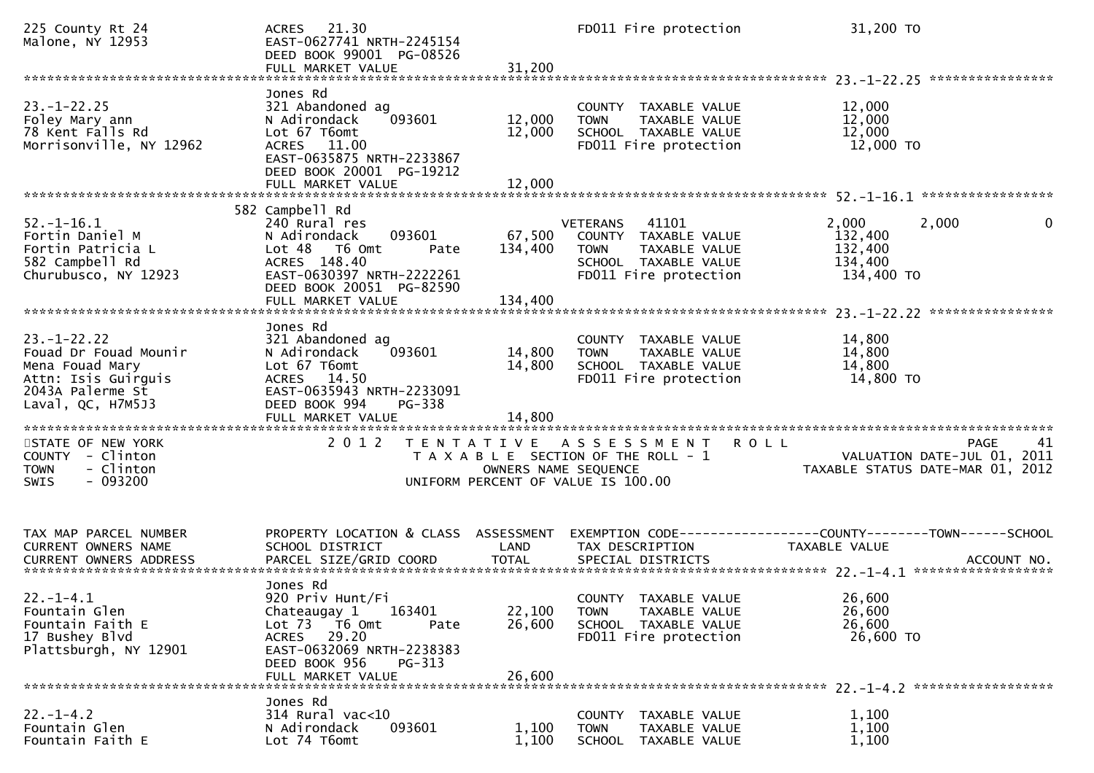| 225 County Rt 24<br>Malone, NY 12953                                                                                               | 21.30<br><b>ACRES</b><br>EAST-0627741 NRTH-2245154<br>DEED BOOK 99001 PG-08526<br>FULL MARKET VALUE                                                                                             | 31,200                             | FD011 Fire protection                                                                                                             | 31,200 TO                                                                                            |
|------------------------------------------------------------------------------------------------------------------------------------|-------------------------------------------------------------------------------------------------------------------------------------------------------------------------------------------------|------------------------------------|-----------------------------------------------------------------------------------------------------------------------------------|------------------------------------------------------------------------------------------------------|
| $23. - 1 - 22.25$<br>Foley Mary ann<br>78 Kent Falls Rd<br>Morrisonville, NY 12962                                                 | Jones Rd<br>321 Abandoned ag<br>093601<br>N Adirondack<br>Lot 67 T6omt<br>ACRES 11.00<br>EAST-0635875 NRTH-2233867<br>DEED BOOK 20001 PG-19212                                                  | 12,000<br>12,000                   | COUNTY TAXABLE VALUE<br>TAXABLE VALUE<br><b>TOWN</b><br>SCHOOL TAXABLE VALUE<br>FD011 Fire protection                             | ****************<br>12,000<br>12,000<br>12,000<br>12,000 TO                                          |
|                                                                                                                                    | FULL MARKET VALUE                                                                                                                                                                               | 12,000                             |                                                                                                                                   |                                                                                                      |
| $52. - 1 - 16.1$<br>Fortin Daniel M<br>Fortin Patricia L<br>582 Campbell Rd<br>Churubusco, NY 12923                                | 582 Campbell Rd<br>240 Rural res<br>N Adirondack<br>093601<br>Lot <sub>48</sub><br>T6 Omt<br>Pate<br>ACRES 148.40<br>EAST-0630397 NRTH-2222261<br>DEED BOOK 20051 PG-82590<br>FULL MARKET VALUE | 67,500<br>134,400<br>134,400       | <b>VETERANS</b><br>41101<br>COUNTY TAXABLE VALUE<br><b>TOWN</b><br>TAXABLE VALUE<br>SCHOOL TAXABLE VALUE<br>FD011 Fire protection | 2,000<br>2,000<br>0<br>132,400<br>132,400<br>134,400<br>134,400 TO                                   |
| $23. - 1 - 22.22$<br>Fouad Dr Fouad Mounir<br>Mena Fouad Mary<br>Attn: Isis Guirguis<br>2043A Palerme St<br>Laval, $QC$ , $H7M5J3$ | Jones Rd<br>321 Abandoned ag<br>093601<br>N Adirondack<br>Lot 67 T6omt<br>ACRES 14.50<br>EAST-0635943 NRTH-2233091<br>DEED BOOK 994<br>PG-338<br>FULL MARKET VALUE                              | 14,800<br>14,800<br>14,800         | COUNTY TAXABLE VALUE<br><b>TOWN</b><br>TAXABLE VALUE<br>SCHOOL TAXABLE VALUE<br>FD011 Fire protection                             | 14,800<br>14,800<br>14,800<br>14,800 TO                                                              |
| STATE OF NEW YORK<br>COUNTY - Clinton<br>- Clinton<br><b>TOWN</b><br>$-093200$<br><b>SWIS</b>                                      | 2 0 1 2                                                                                                                                                                                         | OWNERS NAME SEQUENCE               | TENTATIVE ASSESSMENT<br>T A X A B L E SECTION OF THE ROLL - 1<br>UNIFORM PERCENT OF VALUE IS 100.00                               | 41<br><b>ROLL</b><br>PAGE<br>VALUATION DATE-JUL 01, 2011<br>TAXABLE STATUS DATE-MAR 01, 2012         |
| TAX MAP PARCEL NUMBER<br>CURRENT OWNERS NAME<br><b>CURRENT OWNERS ADDRESS</b>                                                      | PROPERTY LOCATION & CLASS<br>SCHOOL DISTRICT<br>PARCEL SIZE/GRID COORD                                                                                                                          | ASSESSMENT<br>LAND<br><b>TOTAL</b> | TAX DESCRIPTION<br>SPECIAL DISTRICTS                                                                                              | EXEMPTION        CODE------------------COUNTY-------TOWN------SCHOOL<br>TAXABLE VALUE<br>ACCOUNT NO. |
| $22. - 1 - 4.1$<br>Fountain Glen<br>Fountain Faith E<br>17 Bushey Blvd<br>Plattsburgh, NY 12901                                    | Jones Rd<br>920 Priv Hunt/Fi<br>163401<br>Chateaugay 1<br>Lot 73<br>T6 Omt<br>Pate<br>29.20<br>ACRES<br>EAST-0632069 NRTH-2238383<br>DEED BOOK 956<br>PG-313<br>FULL MARKET VALUE               | 22,100<br>26,600<br>26,600         | COUNTY TAXABLE VALUE<br>TAXABLE VALUE<br>TOWN<br>SCHOOL TAXABLE VALUE<br>FD011 Fire protection                                    | 26,600<br>26,600<br>26,600<br>26,600 TO                                                              |
| $22. - 1 - 4.2$<br>Fountain Glen<br>Fountain Faith E                                                                               | Jones Rd<br>$314$ Rural vac<10<br>093601<br>N Adirondack<br>Lot 74 T6omt                                                                                                                        | 1,100<br>1,100                     | COUNTY TAXABLE VALUE<br>TAXABLE VALUE<br><b>TOWN</b><br>SCHOOL TAXABLE VALUE                                                      | 1,100<br>1,100<br>1,100                                                                              |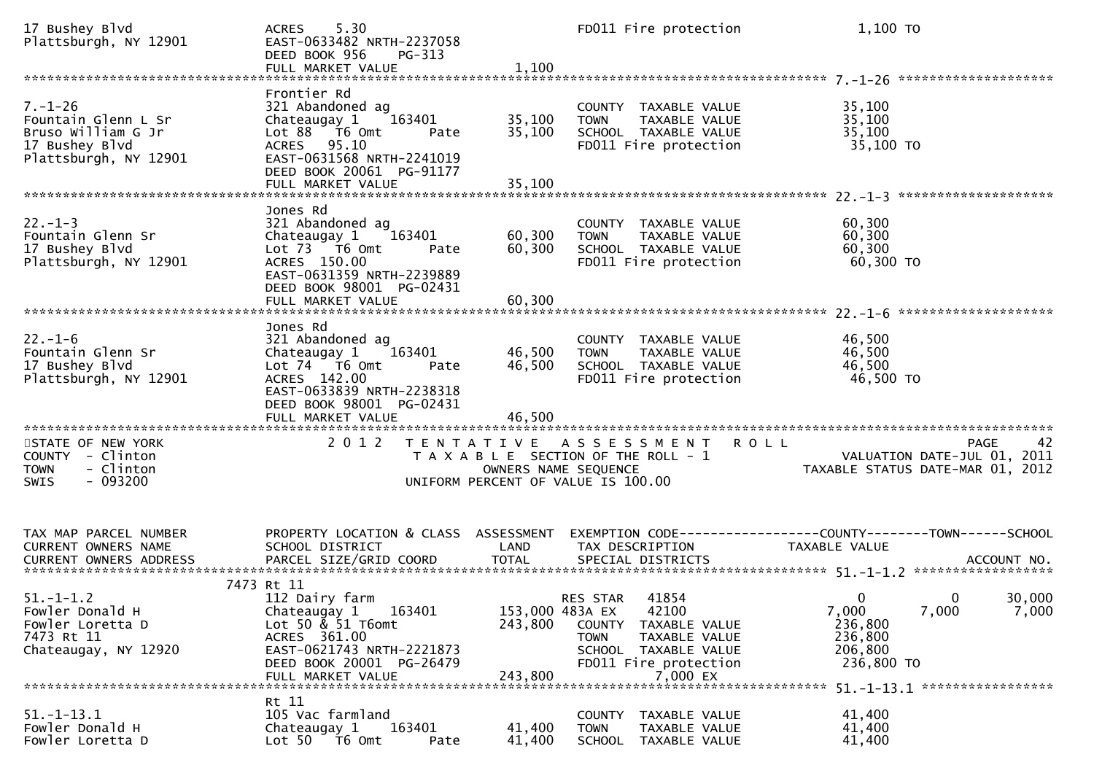| 17 Bushey Blvd<br>Plattsburgh, NY 12901                                                               | 5.30<br>ACRES<br>EAST-0633482 NRTH-2237058<br>DEED BOOK 956<br>$PG-313$<br>FULL MARKET VALUE                                                                                                   | 1,100                                 | FD011 Fire protection                                                                                                                    | 1,100 TO                                                                                                |
|-------------------------------------------------------------------------------------------------------|------------------------------------------------------------------------------------------------------------------------------------------------------------------------------------------------|---------------------------------------|------------------------------------------------------------------------------------------------------------------------------------------|---------------------------------------------------------------------------------------------------------|
| $7. - 1 - 26$<br>Fountain Glenn L Sr<br>Bruso William G Jr<br>17 Bushey Blvd<br>Plattsburgh, NY 12901 | Frontier Rd<br>321 Abandoned ag<br>163401<br>Chateaugay 1<br>Lot $88$ $\overline{76}$ Omt<br>Pate<br>ACRES 95.10<br>EAST-0631568 NRTH-2241019<br>DEED BOOK 20061 PG-91177<br>FULL MARKET VALUE | 35,100<br>35,100<br>35,100            | COUNTY TAXABLE VALUE<br>TAXABLE VALUE<br><b>TOWN</b><br>SCHOOL TAXABLE VALUE<br>FD011 Fire protection                                    | 35,100<br>35,100<br>35,100<br>35,100 TO                                                                 |
| $22. - 1 - 3$<br>Fountain Glenn Sr<br>17 Bushey Blvd<br>Plattsburgh, NY 12901                         | Jones Rd<br>321 Abandoned ag<br>Chateaugay 1<br>163401<br>Lot 73  T6 Omt<br>Pate<br>ACRES 150.00<br>EAST-0631359 NRTH-2239889<br>DEED BOOK 98001 PG-02431<br>FULL MARKET VALUE                 | 60,300<br>60,300<br>60,300            | COUNTY TAXABLE VALUE<br><b>TOWN</b><br>TAXABLE VALUE<br>SCHOOL TAXABLE VALUE<br>FD011 Fire protection                                    | 60,300<br>60,300<br>60,300<br>60,300 TO                                                                 |
| $22. - 1 - 6$<br>Fountain Glenn Sr<br>17 Bushey Blvd<br>Plattsburgh, NY 12901                         | Jones Rd<br>321 Abandoned ag<br>163401<br>Chateaugay 1<br>Lot 74 T6 Omt<br>Pate<br>ACRES 142.00<br>EAST-0633839 NRTH-2238318<br>DEED BOOK 98001 PG-02431                                       | 46,500<br>46,500                      | COUNTY TAXABLE VALUE<br><b>TOWN</b><br>TAXABLE VALUE<br>SCHOOL TAXABLE VALUE<br>FD011 Fire protection                                    | 46,500<br>46,500<br>46,500<br>46,500 TO                                                                 |
| STATE OF NEW YORK<br>COUNTY - Clinton<br>- Clinton<br><b>TOWN</b><br>$-093200$<br><b>SWIS</b>         | 2 0 1 2                                                                                                                                                                                        | OWNERS NAME SEQUENCE                  | TENTATIVE ASSESSMENT<br>T A X A B L E SECTION OF THE ROLL - 1<br>UNIFORM PERCENT OF VALUE IS 100.00                                      | 42<br><b>ROLL</b><br>PAGE<br>VALUATION DATE-JUL 01, 2011<br>TAXABLE STATUS DATE-MAR 01, 2012            |
| TAX MAP PARCEL NUMBER<br>CURRENT OWNERS NAME                                                          | PROPERTY LOCATION & CLASS ASSESSMENT<br>SCHOOL DISTRICT                                                                                                                                        | LAND                                  | TAX DESCRIPTION                                                                                                                          | EXEMPTION CODE------------------COUNTY--------TOWN------SCHOOL<br>TAXABLE VALUE                         |
| $51. - 1 - 1.2$<br>Fowler Donald H<br>Fowler Loretta D<br>7473 Rt 11<br>Chateaugay, NY 12920          | 7473 Rt 11<br>112 Dairy farm<br>163401<br>Chateaugay 1<br>Lot 50 & 51 T6omt<br>ACRES 361.00<br>EAST-0621743 NRTH-2221873<br>DEED BOOK 20001 PG-26479<br>FULL MARKET VALUE                      | 153,000 483A EX<br>243,800<br>243,800 | RES STAR 41854<br>42100<br>COUNTY<br>TAXABLE VALUE<br>TOWN<br>TAXABLE VALUE<br>SCHOOL TAXABLE VALUE<br>FD011 Fire protection<br>7,000 EX | 30,000<br>$0 \qquad \qquad 0$<br>7,000<br>7,000<br>7,000<br>236,800<br>236,800<br>206,800<br>236,800 TO |
| $51. - 1 - 13.1$<br>Fowler Donald H<br>Fowler Loretta D                                               | Rt 11<br>105 Vac farmland<br>163401<br>Chateaugay 1<br>Lot 50 76 0mt<br>Pate                                                                                                                   | 41,400<br>41,400                      | COUNTY TAXABLE VALUE<br><b>TOWN</b><br>TAXABLE VALUE<br>SCHOOL<br>TAXABLE VALUE                                                          | 41,400<br>41,400<br>41,400                                                                              |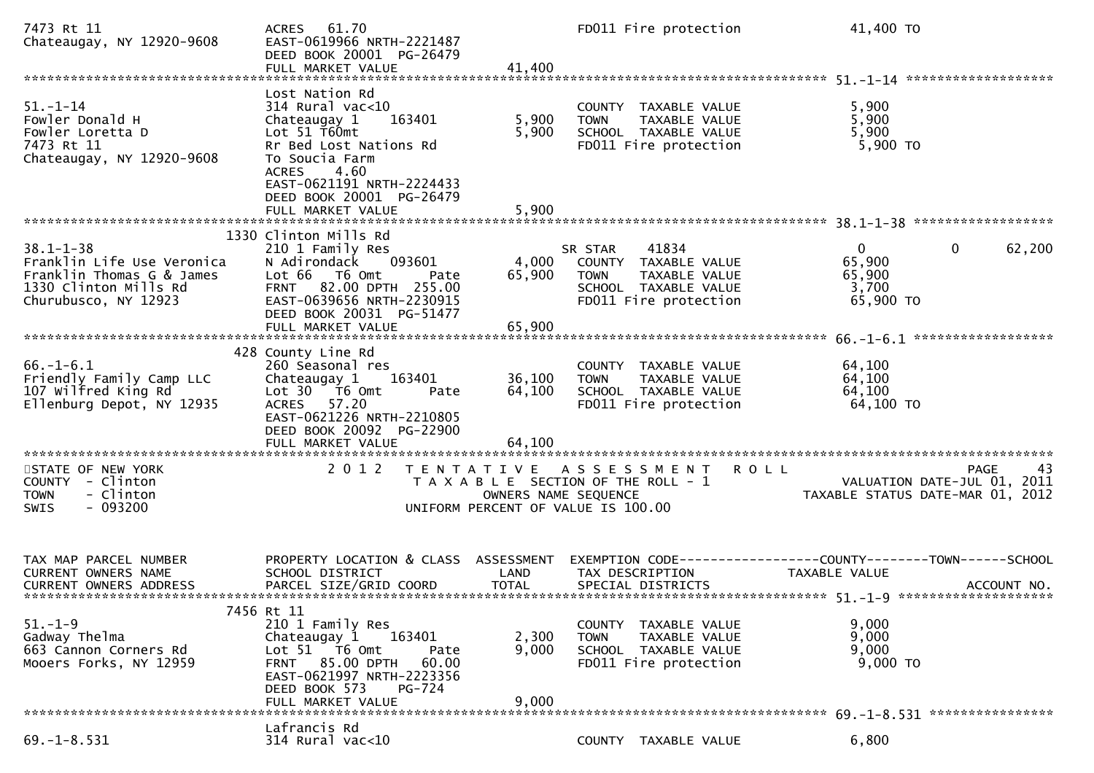| 7473 Rt 11<br>Chateaugay, NY 12920-9608                                                                                     | 61.70<br><b>ACRES</b><br>EAST-0619966 NRTH-2221487<br>DEED BOOK 20001 PG-26479<br>FULL MARKET VALUE                                                                                                                                | 41,400                    |                                                                                                                            | FD011 Fire protection                                                                           | 41,400 TO                                                                      |                        |
|-----------------------------------------------------------------------------------------------------------------------------|------------------------------------------------------------------------------------------------------------------------------------------------------------------------------------------------------------------------------------|---------------------------|----------------------------------------------------------------------------------------------------------------------------|-------------------------------------------------------------------------------------------------|--------------------------------------------------------------------------------|------------------------|
| $51.-1-14$<br>Fowler Donald H<br>Fowler Loretta D<br>7473 Rt 11<br>Chateaugay, NY 12920-9608                                | Lost Nation Rd<br>$314$ Rural vac<10<br>163401<br>Chateaugay 1<br>Lot $51$ T60mt<br>Rr Bed Lost Nations Rd<br>To Soucia Farm<br>4.60<br><b>ACRES</b><br>EAST-0621191 NRTH-2224433<br>DEED BOOK 20001 PG-26479<br>FULL MARKET VALUE | 5,900<br>5,900<br>5,900   | <b>TOWN</b>                                                                                                                | COUNTY TAXABLE VALUE<br>TAXABLE VALUE<br>SCHOOL TAXABLE VALUE<br>FD011 Fire protection          | 5,900<br>5,900<br>5,900<br>5,900 TO                                            |                        |
|                                                                                                                             |                                                                                                                                                                                                                                    |                           |                                                                                                                            |                                                                                                 |                                                                                |                        |
| $38.1 - 1 - 38$<br>Franklin Life Use Veronica<br>Franklin Thomas G & James<br>1330 Clinton Mills Rd<br>Churubusco, NY 12923 | 1330 Clinton Mills Rd<br>210 1 Family Res<br>093601<br>N Adirondack<br>Lot 66 T6 Omt<br>Pate<br>FRNT 82.00 DPTH 255.00<br>EAST-0639656 NRTH-2230915<br>DEED BOOK 20031 PG-51477<br>FULL MARKET VALUE                               | 4,000<br>65,900<br>65,900 | SR STAR<br><b>TOWN</b>                                                                                                     | 41834<br>COUNTY TAXABLE VALUE<br>TAXABLE VALUE<br>SCHOOL TAXABLE VALUE<br>FD011 Fire protection | 0<br>65,900<br>65,900<br>3,700<br>65,900 TO                                    | $\mathbf{0}$<br>62,200 |
|                                                                                                                             | 428 County Line Rd                                                                                                                                                                                                                 |                           |                                                                                                                            |                                                                                                 |                                                                                |                        |
| $66. - 1 - 6.1$<br>Friendly Family Camp LLC<br>107 wilfred King Rd<br>Ellenburg Depot, NY 12935                             | 260 Seasonal res<br>163401<br>Chateaugay 1<br>Lot 30 T6 Omt<br>Pate<br>57.20<br><b>ACRES</b><br>EAST-0621226 NRTH-2210805<br>DEED BOOK 20092 PG-22900                                                                              | 36,100<br>64,100          | <b>TOWN</b>                                                                                                                | COUNTY TAXABLE VALUE<br>TAXABLE VALUE<br>SCHOOL TAXABLE VALUE<br>FD011 Fire protection          | 64,100<br>64,100<br>64,100<br>64,100 TO                                        |                        |
| *************************                                                                                                   | FULL MARKET VALUE                                                                                                                                                                                                                  | 64,100                    |                                                                                                                            |                                                                                                 |                                                                                |                        |
| STATE OF NEW YORK<br>COUNTY - Clinton<br>- Clinton<br><b>TOWN</b><br>$-093200$<br><b>SWIS</b>                               | 2 0 1 2                                                                                                                                                                                                                            | T E N T A T I V E         | A S S E S S M E N T<br>T A X A B L E SECTION OF THE ROLL - 1<br>OWNERS NAME SEQUENCE<br>UNIFORM PERCENT OF VALUE IS 100.00 |                                                                                                 | <b>ROLL</b><br>VALUATION DATE-JUL 01, 2011<br>TAXABLE STATUS DATE-MAR 01, 2012 | 43<br><b>PAGE</b>      |
| TAX MAP PARCEL NUMBER<br>CURRENT OWNERS NAME<br><b>CURRENT OWNERS ADDRESS</b>                                               | PROPERTY LOCATION & CLASS ASSESSMENT<br>SCHOOL DISTRICT<br>PARCEL SIZE/GRID COORD                                                                                                                                                  | LAND<br><b>TOTAL</b>      | TAX DESCRIPTION<br>SPECIAL DISTRICTS                                                                                       |                                                                                                 | EXEMPTION CODE-----------------COUNTY-------TOWN------SCHOOL<br>TAXABLE VALUE  | ACCOUNT NO.            |
| $51.-1-9$<br>Gadway Thelma<br>663 Cannon Corners Rd<br>Mooers Forks, NY 12959                                               | 7456 Rt 11<br>210 1 Family Res<br>163401<br>Chateaugay 1<br>Lot 51 76 0mt<br>Pate<br>FRNT 85.00 DPTH<br>60.00<br>EAST-0621997 NRTH-2223356<br>DEED BOOK 573<br><b>PG-724</b><br>FULL MARKET VALUE                                  | 2,300<br>9,000<br>9,000   | <b>TOWN</b>                                                                                                                | COUNTY TAXABLE VALUE<br>TAXABLE VALUE<br>SCHOOL TAXABLE VALUE<br>FD011 Fire protection          | 9,000<br>9,000<br>9,000<br>9,000 TO                                            |                        |
|                                                                                                                             |                                                                                                                                                                                                                                    |                           |                                                                                                                            |                                                                                                 |                                                                                |                        |
| $69. -1 - 8.531$                                                                                                            | Lafrancis Rd<br>314 Rural vac<10                                                                                                                                                                                                   |                           |                                                                                                                            | COUNTY TAXABLE VALUE                                                                            | 6,800                                                                          |                        |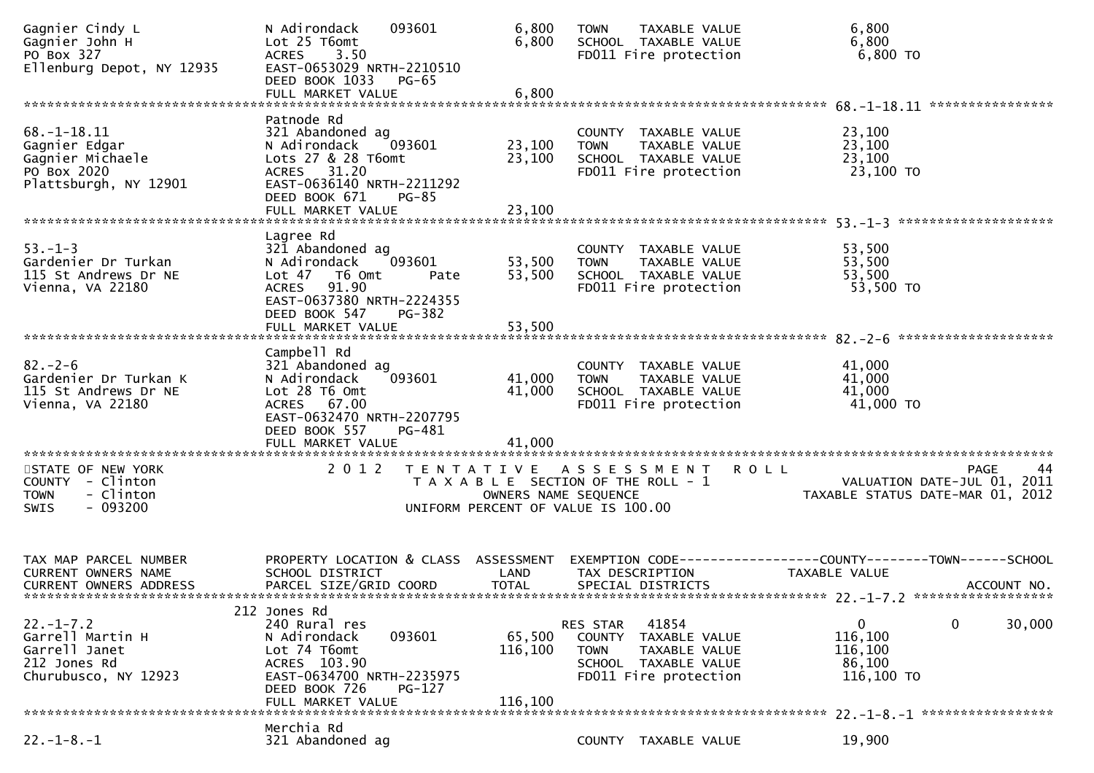| Gagnier Cindy L<br>Gagnier John H<br>PO Box 327<br>Ellenburg Depot, NY 12935                   | N Adirondack<br>093601<br>Lot 25 T6omt<br>3.50<br><b>ACRES</b><br>EAST-0653029 NRTH-2210510<br>DEED BOOK 1033<br>PG-65<br>FULL MARKET VALUE                            | 6,800<br>6,800<br>6,800      | <b>TOWN</b><br>TAXABLE VALUE<br>SCHOOL TAXABLE VALUE<br>FD011 Fire protection                                                               | 6,800<br>6,800<br>6,800 TO                                                                                        |
|------------------------------------------------------------------------------------------------|------------------------------------------------------------------------------------------------------------------------------------------------------------------------|------------------------------|---------------------------------------------------------------------------------------------------------------------------------------------|-------------------------------------------------------------------------------------------------------------------|
|                                                                                                |                                                                                                                                                                        |                              |                                                                                                                                             |                                                                                                                   |
| $68. - 1 - 18.11$<br>Gagnier Edgar<br>Gagnier Michaele<br>PO Box 2020<br>Plattsburgh, NY 12901 | Patnode Rd<br>321 Abandoned ag<br>N Adirondack<br>093601<br>Lots 27 & 28 T6omt<br>31.20<br>ACRES<br>EAST-0636140 NRTH-2211292<br>DEED BOOK 671<br>PG-85                | 23,100<br>23,100             | COUNTY TAXABLE VALUE<br>TAXABLE VALUE<br><b>TOWN</b><br>SCHOOL TAXABLE VALUE<br>FD011 Fire protection                                       | 23,100<br>23,100<br>23,100<br>23,100 TO                                                                           |
|                                                                                                | FULL MARKET VALUE                                                                                                                                                      | 23,100                       |                                                                                                                                             |                                                                                                                   |
|                                                                                                |                                                                                                                                                                        |                              |                                                                                                                                             |                                                                                                                   |
| $53. - 1 - 3$<br>Gardenier Dr Turkan<br>115 St Andrews Dr NE<br>Vienna, VA 22180               | Lagree Rd<br>321 Abandoned ag<br>N Adirondack<br>093601<br>Lot 47 76 0mt<br>Pate<br>91.90<br>ACRES<br>EAST-0637380 NRTH-2224355<br>DEED BOOK 547<br>PG-382             | 53,500<br>53,500             | COUNTY TAXABLE VALUE<br>TAXABLE VALUE<br><b>TOWN</b><br>SCHOOL TAXABLE VALUE<br>FD011 Fire protection                                       | 53,500<br>53,500<br>53,500<br>53,500 TO                                                                           |
|                                                                                                | FULL MARKET VALUE                                                                                                                                                      | 53,500                       |                                                                                                                                             |                                                                                                                   |
| $82 - 2 - 6$<br>Gardenier Dr Turkan K<br>115 St Andrews Dr NE<br>Vienna, VA 22180              | Campbell Rd<br>321 Abandoned ag<br>N Adirondack<br>093601<br>Lot 28 T6 Omt<br>ACRES 67.00<br>EAST-0632470 NRTH-2207795<br>DEED BOOK 557<br>PG-481                      | 41,000<br>41,000             | COUNTY TAXABLE VALUE<br><b>TOWN</b><br>TAXABLE VALUE<br>SCHOOL TAXABLE VALUE<br>FD011 Fire protection                                       | 41,000<br>41,000<br>41,000<br>41,000 TO                                                                           |
|                                                                                                | FULL MARKET VALUE                                                                                                                                                      | 41,000                       |                                                                                                                                             |                                                                                                                   |
| STATE OF NEW YORK<br>COUNTY - Clinton<br>- Clinton<br><b>TOWN</b><br>$-093200$<br><b>SWIS</b>  | 2 0 1 2<br>T E N T A T I V E                                                                                                                                           | OWNERS NAME SEQUENCE         | ASSESSMENT ROLL<br>T A X A B L E SECTION OF THE ROLL - 1<br>UNIFORM PERCENT OF VALUE IS 100.00                                              | PAGE<br>44<br>VALUATION DATE-JUL 01, 2011<br>TAXABLE STATUS DATE-MAR 01, 2012                                     |
| TAX MAP PARCEL NUMBER<br>CURRENT OWNERS NAME<br><b>CURRENT OWNERS ADDRESS</b>                  | PROPERTY LOCATION & CLASS ASSESSMENT<br>SCHOOL DISTRICT<br>PARCEL SIZE/GRID COORD                                                                                      | LAND<br><b>TOTAL</b>         | TAX DESCRIPTION<br>SPECIAL DISTRICTS                                                                                                        | EXEMPTION CODE-----------------COUNTY-------TOWN------SCHOOL<br>TAXABLE VALUE<br>ACCOUNT NO.                      |
| $22. - 1 - 7.2$<br>Garrell Martin H<br>Garrell Janet<br>212 Jones Rd<br>Churubusco, NY 12923   | 212 Jones Rd<br>240 Rural res<br>N Adirondack<br>093601<br>Lot 74 T6omt<br>ACRES 103.90<br>EAST-0634700 NRTH-2235975<br>DEED BOOK 726<br>$PG-127$<br>FULL MARKET VALUE | 65,500<br>116,100<br>116,100 | 41854<br><b>RES STAR</b><br><b>COUNTY</b><br>TAXABLE VALUE<br>TAXABLE VALUE<br><b>TOWN</b><br>SCHOOL TAXABLE VALUE<br>FD011 Fire protection | 0<br>$\mathbf{0}$<br>30,000<br>116,100<br>116,100<br>86,100<br>116,100 TO<br>$22 - 1 - 8 - 1$ ******************* |
|                                                                                                | Merchia Rd                                                                                                                                                             |                              |                                                                                                                                             |                                                                                                                   |
| $22. - 1 - 8. - 1$                                                                             | 321 Abandoned ag                                                                                                                                                       |                              | COUNTY TAXABLE VALUE                                                                                                                        | 19,900                                                                                                            |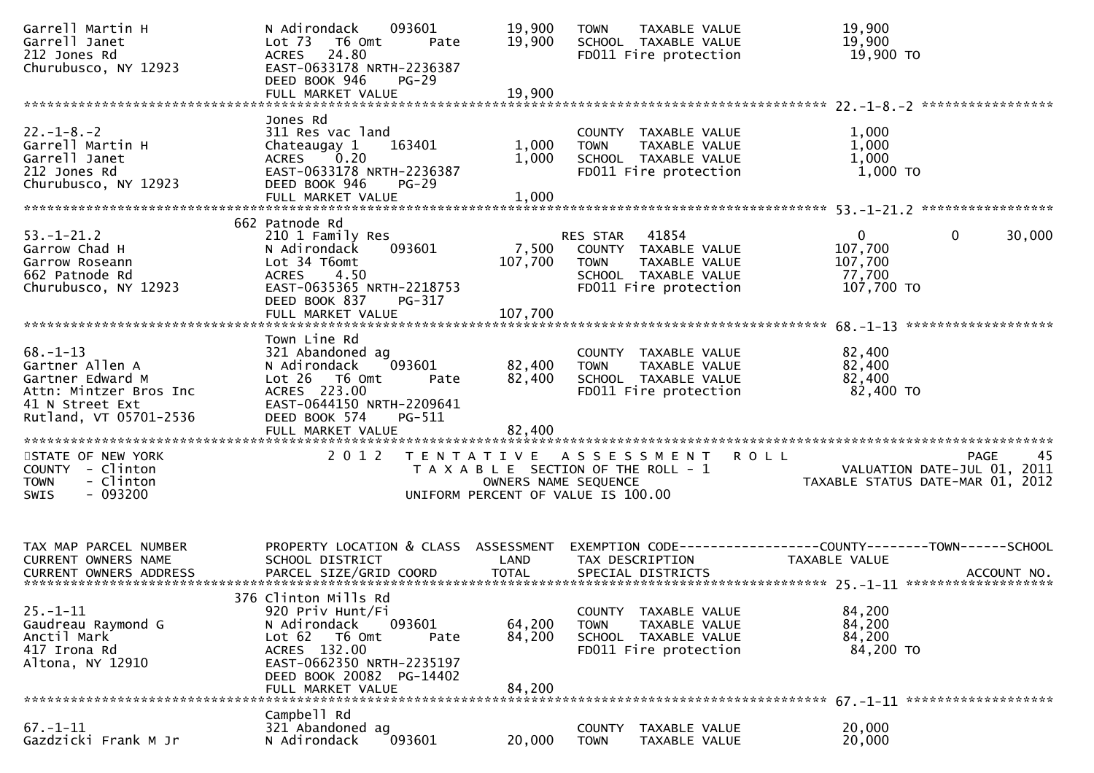| Garrell Martin H<br>Garrell Janet<br>212 Jones Rd<br>Churubusco, NY 12923                                                    | N Adirondack<br>093601<br>Lot 73  T6 Omt<br>Pate<br>24.80<br><b>ACRES</b><br>EAST-0633178 NRTH-2236387<br>DEED BOOK 946<br>$PG-29$<br>FULL MARKET VALUE                                      | 19,900<br>19,900<br>19,900 | <b>TOWN</b><br>TAXABLE VALUE<br>SCHOOL TAXABLE VALUE<br>FD011 Fire protection                                                     | 19,900<br>19,900<br>19,900 то                                                        |
|------------------------------------------------------------------------------------------------------------------------------|----------------------------------------------------------------------------------------------------------------------------------------------------------------------------------------------|----------------------------|-----------------------------------------------------------------------------------------------------------------------------------|--------------------------------------------------------------------------------------|
|                                                                                                                              |                                                                                                                                                                                              |                            |                                                                                                                                   |                                                                                      |
| $22. - 1 - 8. - 2$<br>Garrell Martin H<br>Garrell Janet<br>212 Jones Rd<br>Churubusco, NY 12923                              | Jones Rd<br>311 Res vac land<br>Chateaugay 1<br>163401<br>$\begin{bmatrix} 0.20 \end{bmatrix}$<br><b>ACRES</b><br>EAST-0633178 NRTH-2236387<br>DEED BOOK 946<br>$PG-29$<br>FULL MARKET VALUE | 1,000<br>1,000<br>1,000    | COUNTY TAXABLE VALUE<br><b>TOWN</b><br>TAXABLE VALUE<br>SCHOOL TAXABLE VALUE<br>FD011 Fire protection                             | 1,000<br>1,000<br>1,000<br>1,000 TO                                                  |
|                                                                                                                              |                                                                                                                                                                                              |                            |                                                                                                                                   |                                                                                      |
| $53. - 1 - 21.2$<br>Garrow Chad H<br>Garrow Roseann<br>662 Patnode Rd<br>Churubusco, NY 12923                                | 662 Patnode Rd<br>210 1 Family Res<br>093601<br>N Adirondack<br>Lot 34 T6omt<br>ACRES<br>4.50<br>EAST-0635365 NRTH-2218753<br>DEED BOOK 837<br>PG-317                                        | 7,500<br>107,700           | 41854<br><b>RES STAR</b><br>COUNTY TAXABLE VALUE<br>TAXABLE VALUE<br><b>TOWN</b><br>SCHOOL TAXABLE VALUE<br>FD011 Fire protection | $\Omega$<br>0<br>30,000<br>107,700<br>107,700<br>77,700<br>107,700 TO                |
|                                                                                                                              | FULL MARKET VALUE                                                                                                                                                                            | 107,700                    |                                                                                                                                   |                                                                                      |
| $68. - 1 - 13$<br>Gartner Allen A<br>Gartner Edward M<br>Attn: Mintzer Bros Inc<br>41 N Street Ext<br>Rutland, VT 05701-2536 | Town Line Rd<br>321 Abandoned ag<br>093601<br>N Adirondack<br>Lot 26 T6 Omt<br>Pate<br>ACRES 223.00<br>EAST-0644150 NRTH-2209641<br>DEED BOOK 574<br>PG-511<br>FULL MARKET VALUE             | 82,400<br>82,400<br>82,400 | COUNTY TAXABLE VALUE<br>TAXABLE VALUE<br><b>TOWN</b><br>SCHOOL TAXABLE VALUE<br>FD011 Fire protection                             | 82,400<br>82,400<br>82,400<br>82,400 TO                                              |
| STATE OF NEW YORK<br>COUNTY - Clinton<br><b>TOWN</b><br>- Clinton<br>$-093200$<br>SWIS                                       | 2012                                                                                                                                                                                         | OWNERS NAME SEQUENCE       | TENTATIVE ASSESSMENT ROLL<br>T A X A B L E SECTION OF THE ROLL - 1<br>UNIFORM PERCENT OF VALUE IS 100.00                          | 45<br><b>PAGE</b><br>VALUATION DATE-JUL 01, 2011<br>TAXABLE STATUS DATE-MAR 01, 2012 |
| TAX MAP PARCEL NUMBER<br>CURRENT OWNERS NAME<br>CURRENT OWNERS ADDRESS                                                       | PROPERTY LOCATION & CLASS ASSESSMENT<br>SCHOOL DISTRICT                                                                                                                                      | LAND                       | TAX DESCRIPTION                                                                                                                   | EXEMPTION CODE------------------COUNTY--------TOWN------SCHOOL<br>TAXABLE VALUE      |
| $25. - 1 - 11$<br>Gaudreau Raymond G<br>Anctil Mark<br>417 Irona Rd<br>Altona, NY 12910                                      | 376 Clinton Mills Rd<br>920 Priv Hunt/Fi<br>N Adirondack<br>093601<br>Lot 62<br>T6 Omt<br>Pate<br>ACRES 132.00<br>EAST-0662350 NRTH-2235197<br>DEED BOOK 20082 PG-14402<br>FULL MARKET VALUE | 64,200<br>84,200<br>84,200 | COUNTY TAXABLE VALUE<br>TAXABLE VALUE<br><b>TOWN</b><br>SCHOOL TAXABLE VALUE<br>FD011 Fire protection                             | 84,200<br>84,200<br>84,200<br>84,200 TO                                              |
|                                                                                                                              | Campbell Rd                                                                                                                                                                                  |                            |                                                                                                                                   |                                                                                      |
| $67. - 1 - 11$<br>Gazdzicki Frank M Jr                                                                                       | 321 Abandoned ag<br>093601<br>N Adirondack                                                                                                                                                   | 20,000                     | TAXABLE VALUE<br><b>COUNTY</b><br><b>TOWN</b><br>TAXABLE VALUE                                                                    | 20,000<br>20,000                                                                     |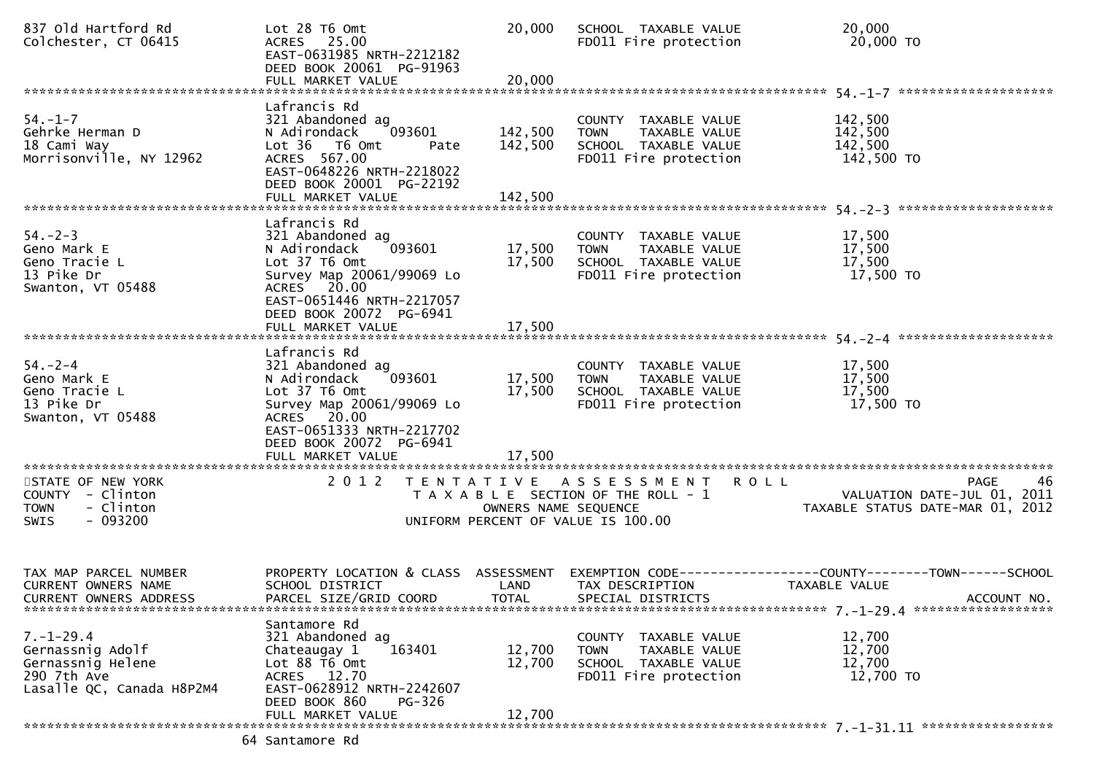| 837 Old Hartford Rd<br>Colchester, CT 06415                                                          | Lot 28 T6 Omt<br>ACRES 25.00<br>EAST-0631985 NRTH-2212182<br>DEED BOOK 20061 PG-91963<br>FULL MARKET VALUE                                                                                           | 20,000<br>20,000              | SCHOOL TAXABLE VALUE<br>FD011 Fire protection                                                            | 20,000<br>20,000 TO                                                                                    |
|------------------------------------------------------------------------------------------------------|------------------------------------------------------------------------------------------------------------------------------------------------------------------------------------------------------|-------------------------------|----------------------------------------------------------------------------------------------------------|--------------------------------------------------------------------------------------------------------|
|                                                                                                      |                                                                                                                                                                                                      |                               |                                                                                                          |                                                                                                        |
| $54. - 1 - 7$<br>Gehrke Herman D<br>18 Cami Way<br>Morrisonville, NY 12962                           | Lafrancis Rd<br>321 Abandoned ag<br>093601<br>N Adirondack<br>Lot 36 T6 Omt<br>Pate<br>ACRES 567.00<br>EAST-0648226 NRTH-2218022<br>DEED BOOK 20001 PG-22192<br>FULL MARKET VALUE                    | 142,500<br>142,500<br>142,500 | COUNTY TAXABLE VALUE<br><b>TOWN</b><br>TAXABLE VALUE<br>SCHOOL TAXABLE VALUE<br>FD011 Fire protection    | 142,500<br>142,500<br>142,500<br>142,500 TO                                                            |
|                                                                                                      | Lafrancis Rd                                                                                                                                                                                         |                               |                                                                                                          |                                                                                                        |
| $54. - 2 - 3$<br>Geno Mark E<br>Geno Tracie L<br>13 Pike Dr<br>Swanton, VT 05488                     | 321 Abandoned ag<br>093601<br>N Adirondack<br>Lot 37 T6 Omt<br>Survey Map 20061/99069 Lo<br>ACRES 20.00                                                                                              | 17,500<br>17,500              | COUNTY TAXABLE VALUE<br><b>TOWN</b><br>TAXABLE VALUE<br>SCHOOL TAXABLE VALUE<br>FD011 Fire protection    | 17,500<br>17,500<br>17,500<br>17,500 TO                                                                |
|                                                                                                      | EAST-0651446 NRTH-2217057<br>DEED BOOK 20072 PG-6941                                                                                                                                                 |                               |                                                                                                          |                                                                                                        |
| $54. - 2 - 4$<br>Geno Mark E<br>Geno Tracie L<br>13 Pike Dr<br>Swanton, VT 05488                     | Lafrancis Rd<br>321 Abandoned ag<br>093601<br>N Adirondack<br>Lot 37 T6 Omt<br>Survey Map 20061/99069 Lo<br>ACRES 20.00<br>EAST-0651333 NRTH-2217702<br>DEED BOOK 20072 PG-6941<br>FULL MARKET VALUE | 17,500<br>17,500<br>17,500    | COUNTY TAXABLE VALUE<br>TAXABLE VALUE<br><b>TOWN</b><br>SCHOOL TAXABLE VALUE<br>FD011 Fire protection    | 17,500<br>17,500<br>17,500<br>17,500 TO                                                                |
|                                                                                                      | 2 0 1 2                                                                                                                                                                                              |                               |                                                                                                          | 46                                                                                                     |
| STATE OF NEW YORK<br>COUNTY - Clinton<br>- Clinton<br><b>TOWN</b><br>$-093200$<br><b>SWIS</b>        |                                                                                                                                                                                                      | OWNERS NAME SEQUENCE          | TENTATIVE ASSESSMENT ROLL<br>T A X A B L E SECTION OF THE ROLL - 1<br>UNIFORM PERCENT OF VALUE IS 100.00 | PAGE<br>VALUATION DATE-JUL 01, 2011<br>VALUATION DATE-JUL 01, 2011<br>TAXABLE STATUS DATE-MAR 01, 2012 |
| TAX MAP PARCEL NUMBER<br>CURRENT OWNERS NAME<br>CURRENT OWNERS ADDRESS                               | PROPERTY LOCATION & CLASS ASSESSMENT<br>SCHOOL DISTRICT<br>PARCEL SIZE/GRID COORD                                                                                                                    | LAND<br>TOTAL                 | TAX DESCRIPTION<br>SPECIAL DISTRICTS                                                                     | TAXABLE VALUE<br>ACCOUNT NO.                                                                           |
| $7. - 1 - 29.4$<br>Gernassnig Adolf<br>Gernassnig Helene<br>290 7th Ave<br>Lasalle QC, Canada H8P2M4 | Santamore Rd<br>321 Abandoned ag<br>163401<br>Chateaugay 1<br>Lot 88 T6 Omt<br>ACRES 12.70<br>EAST-0628912 NRTH-2242607<br>DEED BOOK 860<br><b>PG-326</b><br>FULL MARKET VALUE                       | 12,700<br>12,700<br>12,700    | COUNTY TAXABLE VALUE<br>TAXABLE VALUE<br><b>TOWN</b><br>SCHOOL TAXABLE VALUE<br>FD011 Fire protection    | 12,700<br>12,700<br>12,700<br>12,700 TO                                                                |
|                                                                                                      | 64 Santamore Rd                                                                                                                                                                                      |                               |                                                                                                          |                                                                                                        |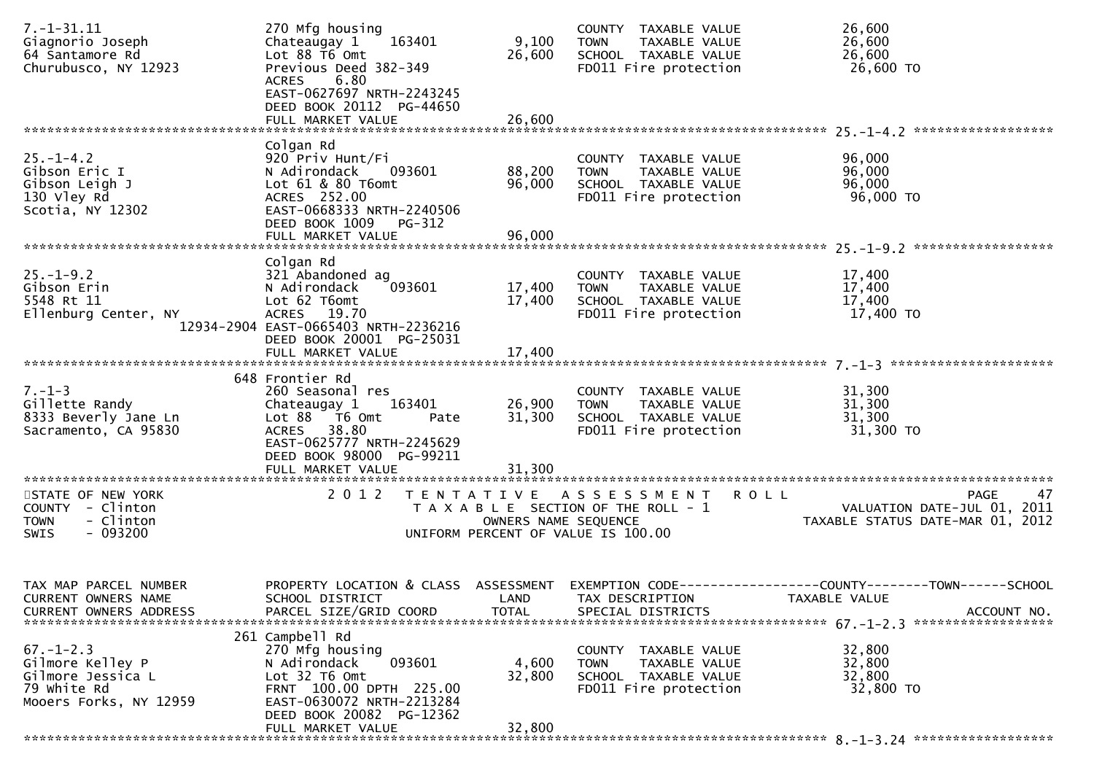| $7. - 1 - 31.11$<br>Giagnorio Joseph<br>64 Santamore Rd<br>Churubusco, NY 12923                   | 270 Mfg housing<br>163401<br>Chateaugay 1<br>Lot 88 T6 Omt<br>Previous Deed 382-349<br>6.80<br><b>ACRES</b><br>EAST-0627697 NRTH-2243245<br>DEED BOOK 20112 PG-44650                   | 9,100<br>26,600<br>26,600   | COUNTY TAXABLE VALUE<br><b>TOWN</b><br>TAXABLE VALUE<br>SCHOOL TAXABLE VALUE<br>FD011 Fire protection          | 26,600<br>26,600<br>26,600<br>26,600 TO                                                             |
|---------------------------------------------------------------------------------------------------|----------------------------------------------------------------------------------------------------------------------------------------------------------------------------------------|-----------------------------|----------------------------------------------------------------------------------------------------------------|-----------------------------------------------------------------------------------------------------|
|                                                                                                   | FULL MARKET VALUE                                                                                                                                                                      |                             |                                                                                                                |                                                                                                     |
| $25. - 1 - 4.2$<br>Gibson Eric I<br>Gibson Leigh J<br>130 Vley Rd<br>Scotia, NY 12302             | Colgan Rd<br>920 Priv Hunt/Fi<br>N Adirondack<br>093601<br>Lot 61 & 80 T6omt<br>ACRES 252.00<br>EAST-0668333 NRTH-2240506<br>DEED BOOK 1009 PG-312<br>FULL MARKET VALUE                | 88,200<br>96,000<br>96,000  | COUNTY TAXABLE VALUE<br>TAXABLE VALUE<br><b>TOWN</b><br>SCHOOL TAXABLE VALUE<br>FD011 Fire protection          | 96,000<br>96,000<br>96,000<br>96,000 TO                                                             |
|                                                                                                   |                                                                                                                                                                                        |                             |                                                                                                                |                                                                                                     |
| $25. - 1 - 9.2$<br>Gibson Erin<br>5548 Rt 11<br>Ellenburg Center, NY                              | Colgan Rd<br>321 Abandoned ag<br>093601<br>N Adirondack<br>Lot 62 T6omt<br>ACRES 19.70<br>12934-2904 EAST-0665403 NRTH-2236216<br>DEED BOOK 20001 PG-25031                             | 17,400<br>17,400            | COUNTY TAXABLE VALUE<br>TAXABLE VALUE<br><b>TOWN</b><br>SCHOOL TAXABLE VALUE<br>FD011 Fire protection          | 17,400<br>17,400<br>17,400<br>17,400 TO                                                             |
|                                                                                                   | FULL MARKET VALUE                                                                                                                                                                      | 17,400                      |                                                                                                                |                                                                                                     |
|                                                                                                   | 648 Frontier Rd                                                                                                                                                                        |                             |                                                                                                                |                                                                                                     |
| $7. - 1 - 3$<br>Gillette Randy<br>8333 Beverly Jane Ln<br>Sacramento, CA 95830                    | 260 Seasonal res<br>Chateaugay 1<br>163401<br>Lot 88 T6 Omt<br>Pate<br>ACRES 38.80<br>EAST-0625777 NRTH-2245629<br>DEED BOOK 98000 PG-99211<br>FULL MARKET VALUE                       | 26,900<br>31,300<br>31,300  | COUNTY TAXABLE VALUE<br><b>TOWN</b><br>TAXABLE VALUE<br>SCHOOL TAXABLE VALUE<br>FD011 Fire protection          | 31,300<br>31,300<br>31,300<br>31,300 TO                                                             |
|                                                                                                   |                                                                                                                                                                                        |                             |                                                                                                                |                                                                                                     |
| STATE OF NEW YORK<br>COUNTY - Clinton<br>- Clinton<br><b>TOWN</b><br>$-093200$<br>SWIS            | 2 0 1 2                                                                                                                                                                                | OWNERS NAME SEQUENCE        | TENTATIVE ASSESSMENT<br>R O L L<br>T A X A B L E SECTION OF THE ROLL - 1<br>UNIFORM PERCENT OF VALUE IS 100.00 | 47<br>PAGE<br>VALUATION DATE-JUL 01, 2011<br>TAXABLE STATUS DATE-MAR 01, 2012                       |
| TAX MAP PARCEL NUMBER<br>CURRENT OWNERS NAME<br><b>CURRENT OWNERS ADDRESS</b>                     | PROPERTY LOCATION & CLASS ASSESSMENT<br>SCHOOL DISTRICT<br>PARCEL SIZE/GRID COORD                                                                                                      | <b>LAND</b><br><b>TOTAL</b> | TAX DESCRIPTION<br>SPECIAL DISTRICTS                                                                           | EXEMPTION        CODE-----------------COUNTY-------TOWN------SCHOOL<br>TAXABLE VALUE<br>ACCOUNT NO. |
| $67. - 1 - 2.3$<br>Gilmore Kelley P<br>Gilmore Jessica L<br>79 white Rd<br>Mooers Forks, NY 12959 | 261 Campbell Rd<br>270 Mfg housing<br>093601<br>N Adirondack<br>Lot 32 T6 Omt<br>FRNT 100.00 DPTH 225.00<br>EAST-0630072 NRTH-2213284<br>DEED BOOK 20082 PG-12362<br>FULL MARKET VALUE | 4,600<br>32,800<br>32,800   | COUNTY TAXABLE VALUE<br><b>TOWN</b><br>TAXABLE VALUE<br>SCHOOL TAXABLE VALUE<br>FD011 Fire protection          | 32,800<br>32,800<br>32,800<br>32,800 TO                                                             |
|                                                                                                   |                                                                                                                                                                                        |                             |                                                                                                                |                                                                                                     |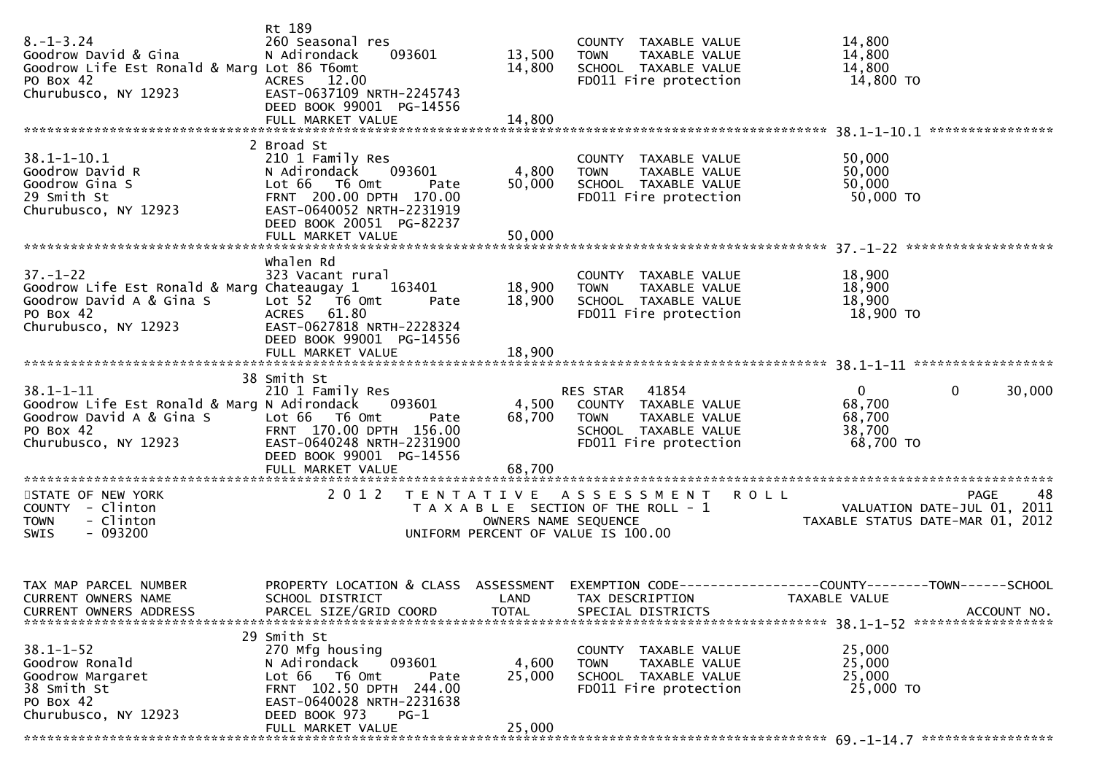| $8. - 1 - 3.24$<br>Goodrow David & Gina<br>Goodrow Life Est Ronald & Marg Lot 86 T6omt<br>PO Box 42<br>Churubusco, NY 12923     | Rt 189<br>260 Seasonal res<br>N Adirondack<br>093601<br>ACRES 12.00<br>EAST-0637109 NRTH-2245743                                                                                          | 13,500<br>14,800                          | COUNTY TAXABLE VALUE<br><b>TOWN</b><br>TAXABLE VALUE<br>SCHOOL TAXABLE VALUE<br>FD011 Fire protection                         | 14,800<br>14,800<br>14,800<br>14,800 TO                                       |                                              |
|---------------------------------------------------------------------------------------------------------------------------------|-------------------------------------------------------------------------------------------------------------------------------------------------------------------------------------------|-------------------------------------------|-------------------------------------------------------------------------------------------------------------------------------|-------------------------------------------------------------------------------|----------------------------------------------|
|                                                                                                                                 | DEED BOOK 99001 PG-14556<br>FULL MARKET VALUE                                                                                                                                             | 14,800                                    |                                                                                                                               |                                                                               |                                              |
| $38.1 - 1 - 10.1$<br>Goodrow David R<br>Goodrow Gina S<br>29 Smith St<br>Churubusco, NY 12923                                   | 2 Broad St<br>210 1 Family Res<br>093601<br>N Adirondack<br>Lot 66 T6 Omt<br>Pate<br>FRNT 200.00 DPTH 170.00<br>EAST-0640052 NRTH-2231919                                                 | 4,800<br>50,000                           | COUNTY TAXABLE VALUE<br>TAXABLE VALUE<br><b>TOWN</b><br>SCHOOL TAXABLE VALUE<br>FD011 Fire protection                         | 50,000<br>50,000<br>50,000<br>50,000 TO                                       |                                              |
|                                                                                                                                 |                                                                                                                                                                                           |                                           |                                                                                                                               |                                                                               |                                              |
| $37. - 1 - 22$<br>Goodrow Life Est Ronald & Marg Chateaugay 1<br>Goodrow David A & Gina S<br>PO Box 42<br>Churubusco, NY 12923  | 323 Vacant rural<br>163401<br>Lot 52 T6 Omt<br>Pate<br>ACRES 61.80<br>EAST-0627818 NRTH-2228324<br>DEED BOOK 99001 PG-14556                                                               | 18,900<br>18,900                          | COUNTY TAXABLE VALUE<br><b>TOWN</b><br>TAXABLE VALUE<br>SCHOOL TAXABLE VALUE<br>FD011 Fire protection                         | 18,900<br>18,900<br>18,900<br>18,900 TO                                       |                                              |
|                                                                                                                                 |                                                                                                                                                                                           |                                           |                                                                                                                               |                                                                               |                                              |
| $38.1 - 1 - 11$<br>Goodrow Life Est Ronald & Marg N Adirondack<br>Goodrow David A & Gina S<br>PO Box 42<br>Churubusco, NY 12923 | 210 1 Family Res<br>093601<br>Lot 66 T6 Omt<br>Pate<br>FRNT 170.00 DPTH 156.00<br>EAST-0640248 NRTH-2231900<br>DEED BOOK 99001 PG-14556                                                   | 68,700                                    | RES STAR 41854<br>4,500 COUNTY TAXABLE VALUE<br><b>TOWN</b><br>TAXABLE VALUE<br>SCHOOL TAXABLE VALUE<br>FD011 Fire protection | $\Omega$<br>68,700<br>68,700<br>38,700<br>68,700 TO                           | $\mathbf 0$<br>30,000                        |
| STATE OF NEW YORK<br>COUNTY - Clinton<br>- Clinton<br><b>TOWN</b><br><b>SWIS</b><br>$-093200$                                   | 2 0 1 2                                                                                                                                                                                   | T E N T A T I V E<br>OWNERS NAME SEQUENCE | ASSESSMENT<br>T A X A B L E SECTION OF THE ROLL - 1<br>UNIFORM PERCENT OF VALUE IS 100.00                                     | <b>ROLL</b><br>TAXABLE STATUS DATE-MAR 01, 2012                               | 48<br>PAGE<br>VALUATION DATE-JUL 01,<br>2011 |
| TAX MAP PARCEL NUMBER<br>CURRENT OWNERS NAME<br><b>CURRENT OWNERS ADDRESS</b>                                                   | PROPERTY LOCATION & CLASS ASSESSMENT<br>SCHOOL DISTRICT<br>PARCEL SIZE/GRID COORD                                                                                                         | LAND<br>TOTAL                             | TAX DESCRIPTION<br>SPECIAL DISTRICTS                                                                                          | EXEMPTION CODE-----------------COUNTY-------TOWN------SCHOOL<br>TAXABLE VALUE | ACCOUNT NO.                                  |
| $38.1 - 1 - 52$<br>Goodrow Ronald<br>Goodrow Margaret<br>38 Smith St<br>PO Box 42<br>Churubusco, NY 12923                       | 29 Smith St<br>270 Mfg housing<br>093601<br>N Adirondack<br>Lot 66 T6 Omt<br>Pate<br>FRNT 102.50 DPTH 244.00<br>EAST-0640028 NRTH-2231638<br>DEED BOOK 973<br>$PG-1$<br>FULL MARKET VALUE | 4,600<br>25,000<br>25,000                 | COUNTY TAXABLE VALUE<br>TAXABLE VALUE<br><b>TOWN</b><br>SCHOOL TAXABLE VALUE<br>FD011 Fire protection                         | 25,000<br>25,000<br>25,000<br>25,000 TO                                       |                                              |
|                                                                                                                                 | DEED BOOK 20051 PG-82237<br>whalen Rd<br>FULL MARKET VALUE<br>38 Smith St                                                                                                                 | 18,900                                    |                                                                                                                               |                                                                               |                                              |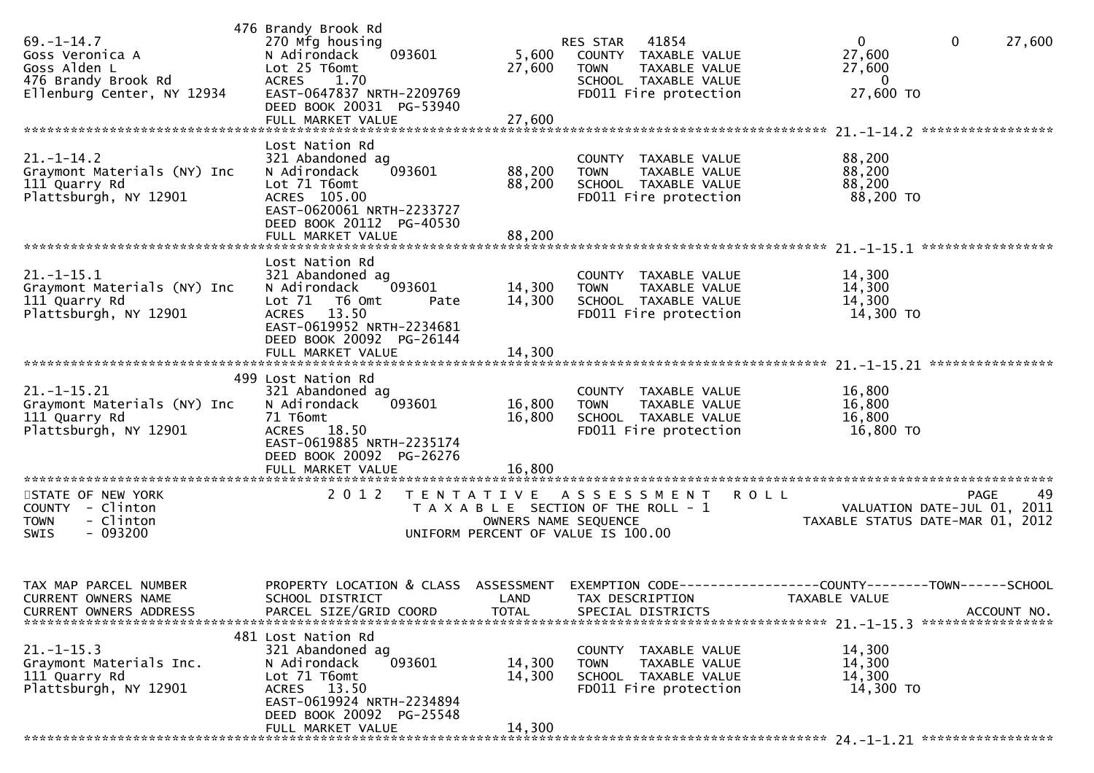| $69. - 1 - 14.7$<br>Goss Veronica A<br>Goss Alden L<br>476 Brandy Brook Rd<br>Ellenburg Center, NY 12934 | 476 Brandy Brook Rd<br>270 Mfg housing<br>N Adirondack<br>093601<br>Lot 25 T6omt<br>ACRES<br>1.70<br>EAST-0647837 NRTH-2209769<br>DEED BOOK 20031 PG-53940                    | 5,600<br>27,600                           | 41854<br>RES STAR<br>COUNTY TAXABLE VALUE<br><b>TOWN</b><br>TAXABLE VALUE<br>SCHOOL TAXABLE VALUE<br>FD011 Fire protection | $\overline{0}$<br>$\mathbf{0}$<br>27,600<br>27,600<br>27,600<br>$\bf{0}$<br>27,600 TO                |
|----------------------------------------------------------------------------------------------------------|-------------------------------------------------------------------------------------------------------------------------------------------------------------------------------|-------------------------------------------|----------------------------------------------------------------------------------------------------------------------------|------------------------------------------------------------------------------------------------------|
|                                                                                                          |                                                                                                                                                                               |                                           |                                                                                                                            |                                                                                                      |
| $21. - 1 - 14.2$<br>Graymont Materials (NY) Inc<br>111 Quarry Rd<br>Plattsburgh, NY 12901                | Lost Nation Rd<br>321 Abandoned ag<br>N Adirondack<br>093601<br>Lot 71 T6omt<br>ACRES 105.00<br>EAST-0620061 NRTH-2233727<br>DEED BOOK 20112 PG-40530<br>FULL MARKET VALUE    | 88,200<br>88,200<br>88,200                | COUNTY TAXABLE VALUE<br><b>TOWN</b><br>TAXABLE VALUE<br>SCHOOL TAXABLE VALUE<br>FD011 Fire protection                      | 88,200<br>88,200<br>88,200<br>88,200 TO                                                              |
|                                                                                                          |                                                                                                                                                                               |                                           |                                                                                                                            |                                                                                                      |
| $21. - 1 - 15.1$<br>Graymont Materials (NY) Inc<br>111 Quarry Rd<br>Plattsburgh, NY 12901                | Lost Nation Rd<br>321 Abandoned ag<br>N Adirondack<br>093601<br>Lot 71  T6 0mt<br>Pate<br>ACRES 13.50<br>EAST-0619952 NRTH-2234681                                            | 14,300<br>14,300                          | COUNTY TAXABLE VALUE<br>TAXABLE VALUE<br><b>TOWN</b><br>SCHOOL TAXABLE VALUE<br>FD011 Fire protection                      | 14,300<br>14,300<br>14,300<br>14,300 TO                                                              |
|                                                                                                          | DEED BOOK 20092 PG-26144<br>FULL MARKET VALUE                                                                                                                                 | 14,300                                    |                                                                                                                            |                                                                                                      |
| $21. - 1 - 15.21$<br>Graymont Materials (NY) Inc<br>111 Quarry Rd<br>Plattsburgh, NY 12901               | 499 Lost Nation Rd<br>321 Abandoned ag<br>093601<br>N Adirondack<br>71 T6omt<br>ACRES 18.50<br>EAST-0619885 NRTH-2235174<br>DEED BOOK 20092 PG-26276<br>FULL MARKET VALUE     | 16,800<br>16,800<br>16,800                | COUNTY TAXABLE VALUE<br><b>TOWN</b><br>TAXABLE VALUE<br>SCHOOL TAXABLE VALUE<br>FD011 Fire protection                      | 16,800<br>16,800<br>16,800<br>16,800 TO                                                              |
|                                                                                                          |                                                                                                                                                                               |                                           |                                                                                                                            |                                                                                                      |
| STATE OF NEW YORK<br>COUNTY - Clinton<br>- Clinton<br><b>TOWN</b><br>$-093200$<br>SWIS                   | 2 0 1 2                                                                                                                                                                       | T E N T A T I V E<br>OWNERS NAME SEQUENCE | A S S E S S M E N T<br>T A X A B L E SECTION OF THE ROLL - 1<br>UNIFORM PERCENT OF VALUE IS 100.00                         | 49<br><b>ROLL</b><br><b>PAGE</b><br>VALUATION DATE-JUL 01, 2011<br>TAXABLE STATUS DATE-MAR 01, 2012  |
| TAX MAP PARCEL NUMBER<br>CURRENT OWNERS NAME<br><b>CURRENT OWNERS ADDRESS</b>                            | PROPERTY LOCATION & CLASS ASSESSMENT<br>SCHOOL DISTRICT<br>PARCEL SIZE/GRID COORD                                                                                             | <b>TOTAL</b>                              | LAND TAX DESCRIPTION<br>SPECIAL DISTRICTS                                                                                  | EXEMPTION        CODE------------------COUNTY-------TOWN------SCHOOL<br>TAXABLE VALUE<br>ACCOUNT NO. |
| $21. - 1 - 15.3$<br>Graymont Materials Inc.<br>111 Quarry Rd<br>Plattsburgh, NY 12901                    | 481 Lost Nation Rd<br>321 Abandoned ag<br>093601<br>N Adirondack<br>Lot 71 T6omt<br>ACRES 13.50<br>EAST-0619924 NRTH-2234894<br>DEED BOOK 20092 PG-25548<br>FULL MARKET VALUE | 14,300<br>14,300<br>14,300                | COUNTY TAXABLE VALUE<br><b>TOWN</b><br>TAXABLE VALUE<br>SCHOOL TAXABLE VALUE<br>FD011 Fire protection                      | 14,300<br>14,300<br>14,300<br>14,300 TO                                                              |
|                                                                                                          |                                                                                                                                                                               |                                           |                                                                                                                            |                                                                                                      |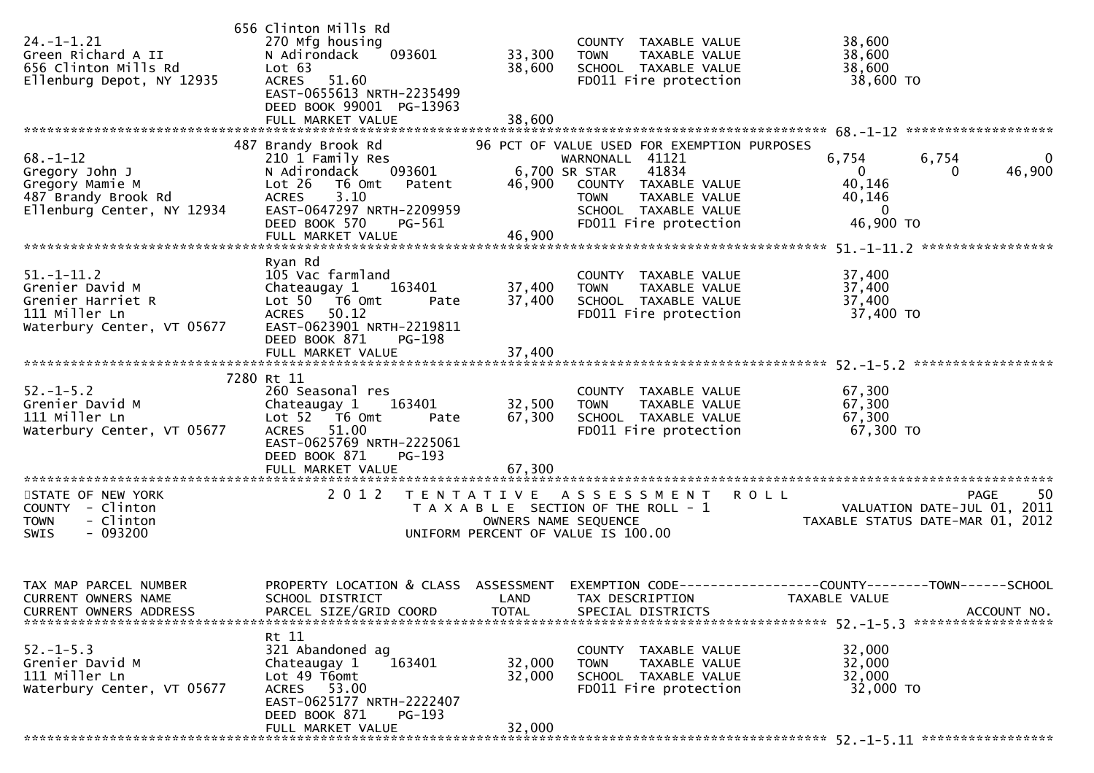| $24. - 1 - 1.21$<br>Green Richard A II<br>656 Clinton Mills Rd<br>Ellenburg Depot, NY 12935              | 656 Clinton Mills Rd<br>270 Mfg housing<br>N Adirondack<br>093601<br>Lot 63<br>51.60<br><b>ACRES</b><br>EAST-0655613 NRTH-2235499<br>DEED BOOK 99001 PG-13963<br>FULL MARKET VALUE                   | 33,300<br>38,600<br>38,600                | COUNTY TAXABLE VALUE<br><b>TOWN</b><br>TAXABLE VALUE<br>SCHOOL TAXABLE VALUE<br>FD011 Fire protection                                                                                   | 38,600<br>38,600<br>38,600<br>38,600 TO                                                             |
|----------------------------------------------------------------------------------------------------------|------------------------------------------------------------------------------------------------------------------------------------------------------------------------------------------------------|-------------------------------------------|-----------------------------------------------------------------------------------------------------------------------------------------------------------------------------------------|-----------------------------------------------------------------------------------------------------|
|                                                                                                          |                                                                                                                                                                                                      |                                           |                                                                                                                                                                                         |                                                                                                     |
| $68. - 1 - 12$<br>Gregory John J<br>Gregory Mamie M<br>487 Brandy Brook Rd<br>Ellenburg Center, NY 12934 | 487 Brandy Brook Rd<br>210 1 Family Res<br>N Adirondack<br>093601<br>Lot 26<br>T6 Omt<br>Patent<br>3.10<br><b>ACRES</b><br>EAST-0647297 NRTH-2209959<br>DEED BOOK 570<br>PG-561<br>FULL MARKET VALUE | 6,700 SR STAR<br>46,900<br>46,900         | 96 PCT OF VALUE USED FOR EXEMPTION PURPOSES<br>WARNONALL 41121<br>41834<br>COUNTY TAXABLE VALUE<br><b>TAXABLE VALUE</b><br><b>TOWN</b><br>SCHOOL TAXABLE VALUE<br>FD011 Fire protection | 6,754<br>6,754<br>$\mathbf{0}$<br>46,900<br>0<br>40,146<br>40,146<br>0<br>46,900 TO                 |
|                                                                                                          | Ryan Rd                                                                                                                                                                                              |                                           |                                                                                                                                                                                         |                                                                                                     |
| $51. - 1 - 11.2$<br>Grenier David M<br>Grenier Harriet R<br>111 Miller Ln<br>Waterbury Center, VT 05677  | 105 Vac farmland<br>Chateaugay 1<br>163401<br>Lot 50 T6 Omt<br>Pate<br><b>ACRES</b><br>50.12<br>EAST-0623901 NRTH-2219811<br>DEED BOOK 871<br>PG-198                                                 | 37,400<br>37,400                          | COUNTY TAXABLE VALUE<br><b>TOWN</b><br>TAXABLE VALUE<br>SCHOOL TAXABLE VALUE<br>FD011 Fire protection                                                                                   | 37,400<br>37,400<br>37,400<br>37,400 TO                                                             |
|                                                                                                          | FULL MARKET VALUE                                                                                                                                                                                    | 37,400                                    |                                                                                                                                                                                         |                                                                                                     |
|                                                                                                          |                                                                                                                                                                                                      |                                           |                                                                                                                                                                                         |                                                                                                     |
| $52. - 1 - 5.2$<br>Grenier David M<br>111 Miller Ln<br>Waterbury Center, VT 05677                        | 7280 Rt 11<br>260 Seasonal res<br>163401<br>Chateaugay 1<br>Lot 52  T6 Omt<br>Pate<br>ACRES 51.00<br>EAST-0625769 NRTH-2225061<br>DEED BOOK 871<br>PG-193                                            | 32,500<br>67,300                          | COUNTY TAXABLE VALUE<br><b>TOWN</b><br>TAXABLE VALUE<br>SCHOOL TAXABLE VALUE<br>FD011 Fire protection                                                                                   | 67,300<br>67,300<br>67,300<br>67,300 TO                                                             |
|                                                                                                          |                                                                                                                                                                                                      |                                           |                                                                                                                                                                                         |                                                                                                     |
| STATE OF NEW YORK<br>COUNTY - Clinton<br>- Clinton<br><b>TOWN</b><br>$-093200$<br>SWIS                   | 2 0 1 2                                                                                                                                                                                              | T E N T A T I V E<br>OWNERS NAME SEQUENCE | A S S E S S M E N T<br>T A X A B L E SECTION OF THE ROLL - 1<br>UNIFORM PERCENT OF VALUE IS 100.00                                                                                      | 50<br><b>ROLL</b><br><b>PAGE</b><br>VALUATION DATE-JUL 01, 2011<br>TAXABLE STATUS DATE-MAR 01, 2012 |
| TAX MAP PARCEL NUMBER<br><b>CURRENT OWNERS NAME</b><br><b>CURRENT OWNERS ADDRESS</b>                     | PROPERTY LOCATION & CLASS<br>SCHOOL DISTRICT<br>PARCEL SIZE/GRID COORD                                                                                                                               | ASSESSMENT<br>LAND<br><b>TOTAL</b>        | <b>EXEMPTION CODE-</b><br>TAX DESCRIPTION<br>SPECIAL DISTRICTS                                                                                                                          | -----------COUNTY--------TOWN------SCHOOL<br>TAXABLE VALUE<br>ACCOUNT NO.                           |
| $52. - 1 - 5.3$<br>Grenier David M<br>111 Miller Ln<br>Waterbury Center, VT 05677                        | Rt 11<br>321 Abandoned ag<br>163401<br>Chateaugay 1<br>Lot 49 T6omt<br>ACRES 53.00<br>EAST-0625177 NRTH-2222407<br>DEED BOOK 871<br>PG-193<br>FULL MARKET VALUE                                      | 32,000<br>32,000                          | COUNTY TAXABLE VALUE<br><b>TOWN</b><br>TAXABLE VALUE<br>SCHOOL TAXABLE VALUE<br>FD011 Fire protection                                                                                   | 32,000<br>32,000<br>32,000<br>32,000 TO                                                             |
|                                                                                                          |                                                                                                                                                                                                      | 32,000                                    |                                                                                                                                                                                         |                                                                                                     |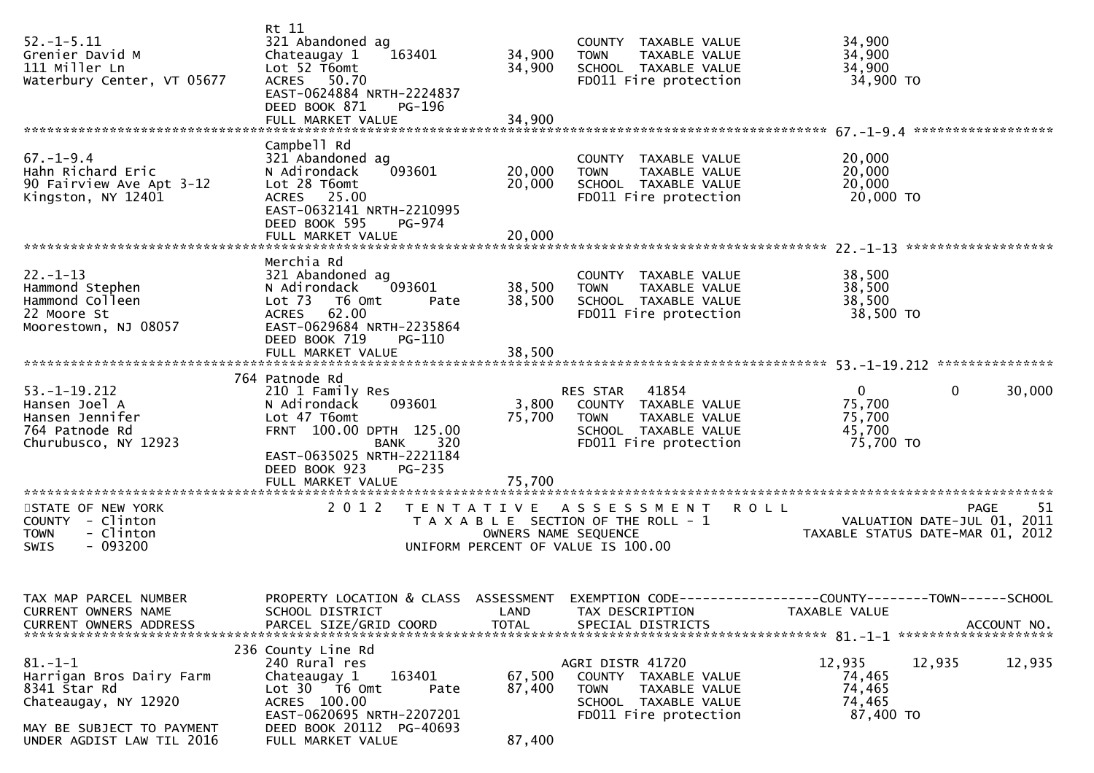| $52. - 1 - 5.11$<br>Grenier David M<br>111 Miller Ln<br>Waterbury Center, VT 05677                             | Rt 11<br>321 Abandoned ag<br>Chateaugay 1<br>163401<br>Lot 52 T6omt<br>ACRES 50.70<br>EAST-0624884 NRTH-2224837<br>DEED BOOK 871<br>PG-196<br>FULL MARKET VALUE                                                   | 34,900<br>34,900<br>34,900 | COUNTY TAXABLE VALUE<br>TAXABLE VALUE<br><b>TOWN</b><br>SCHOOL TAXABLE VALUE<br>FD011 Fire protection                      | 34,900<br>34,900<br>34,900<br>34,900 TO                                                                           |
|----------------------------------------------------------------------------------------------------------------|-------------------------------------------------------------------------------------------------------------------------------------------------------------------------------------------------------------------|----------------------------|----------------------------------------------------------------------------------------------------------------------------|-------------------------------------------------------------------------------------------------------------------|
|                                                                                                                |                                                                                                                                                                                                                   |                            |                                                                                                                            |                                                                                                                   |
| $67. - 1 - 9.4$<br>Hahn Richard Eric<br>90 Fairview Ave Apt 3-12<br>Kingston, NY 12401                         | Campbell Rd<br>321 Abandoned ag<br>093601<br>N Adirondack<br>Lot 28 T6omt<br>ACRES 25.00<br>EAST-0632141 NRTH-2210995<br>DEED BOOK 595<br>PG-974<br>FULL MARKET VALUE                                             | 20,000<br>20,000<br>20,000 | COUNTY TAXABLE VALUE<br>TAXABLE VALUE<br><b>TOWN</b><br>SCHOOL TAXABLE VALUE<br>FD011 Fire protection                      | 20,000<br>20,000<br>20,000<br>20,000 TO                                                                           |
|                                                                                                                |                                                                                                                                                                                                                   |                            |                                                                                                                            |                                                                                                                   |
| $22. - 1 - 13$<br>Hammond Stephen<br>Hammond Colleen<br>22 Moore St<br>Moorestown, NJ 08057                    | Merchia Rd<br>321 Abandoned ag<br>093601<br>N Adirondack<br>Lot <sub>73</sub><br>T6 Omt<br>Pate<br>ACRES 62.00<br>EAST-0629684 NRTH-2235864<br>DEED BOOK 719<br>$PG-110$                                          | 38,500<br>38,500           | COUNTY TAXABLE VALUE<br>TAXABLE VALUE<br><b>TOWN</b><br>SCHOOL TAXABLE VALUE<br>FD011 Fire protection                      | 38,500<br>38,500<br>38,500<br>38,500 TO                                                                           |
|                                                                                                                |                                                                                                                                                                                                                   |                            |                                                                                                                            |                                                                                                                   |
|                                                                                                                |                                                                                                                                                                                                                   |                            |                                                                                                                            |                                                                                                                   |
| $53. - 1 - 19.212$<br>Hansen Joel A<br>Hansen Jennifer<br>764 Patnode Rd<br>Churubusco, NY 12923               | 764 Patnode Rd<br>210 1 Family Res<br>N Adirondack<br>093601<br>Lot 47 T6omt<br>FRNT 100.00 DPTH 125.00<br><b>BANK</b><br>320<br>EAST-0635025 NRTH-2221184<br>DEED BOOK 923<br><b>PG-235</b><br>FULL MARKET VALUE | 3,800<br>75,700<br>75,700  | RES STAR<br>41854<br>COUNTY TAXABLE VALUE<br>TAXABLE VALUE<br><b>TOWN</b><br>SCHOOL TAXABLE VALUE<br>FD011 Fire protection | $\Omega$<br>0<br>30,000<br>75,700<br>75,700<br>45,700<br>75,700 TO                                                |
|                                                                                                                |                                                                                                                                                                                                                   |                            |                                                                                                                            |                                                                                                                   |
| STATE OF NEW YORK<br>COUNTY - Clinton<br>- Clinton<br><b>TOWN</b><br>$-093200$<br>SWIS                         | 2 0 1 2<br>T E N T A T I V E                                                                                                                                                                                      | OWNERS NAME SEQUENCE       | A S S E S S M E N T<br>T A X A B L E SECTION OF THE ROLL - 1<br>UNIFORM PERCENT OF VALUE IS 100.00                         | <b>ROLL</b><br>-51<br>PAGE<br>VALUATION DATE-JUL 01, 2011<br>TAXABLE STATUS DATE-MAR 01, 2012                     |
| TAX MAP PARCEL NUMBER<br>CURRENT OWNERS NAME                                                                   | SCHOOL DISTRICT                                                                                                                                                                                                   | LAND                       | TAX DESCRIPTION                                                                                                            | PROPERTY LOCATION & CLASS ASSESSMENT EXEMPTION CODE----------------COUNTY-------TOWN------SCHOOL<br>TAXABLE VALUE |
| $81. - 1 - 1$<br>Harrigan Bros Dairy Farm<br>8341 Star Rd<br>Chateaugay, NY 12920<br>MAY BE SUBJECT TO PAYMENT | 236 County Line Rd<br>240 Rural res<br>163401<br>Chateaugay 1<br>Lot 30 76 0mt<br>Pate<br>ACRES 100.00<br>EAST-0620695 NRTH-2207201<br>DEED BOOK 20112 PG-40693                                                   | 67,500<br>87,400           | AGRI DISTR 41720<br>COUNTY TAXABLE VALUE<br><b>TOWN</b><br>TAXABLE VALUE<br>SCHOOL TAXABLE VALUE<br>FD011 Fire protection  | 12,935<br>12,935<br>12,935<br>74,465<br>74,465<br>74,465<br>87,400 TO                                             |
| UNDER AGDIST LAW TIL 2016                                                                                      | FULL MARKET VALUE                                                                                                                                                                                                 | 87,400                     |                                                                                                                            |                                                                                                                   |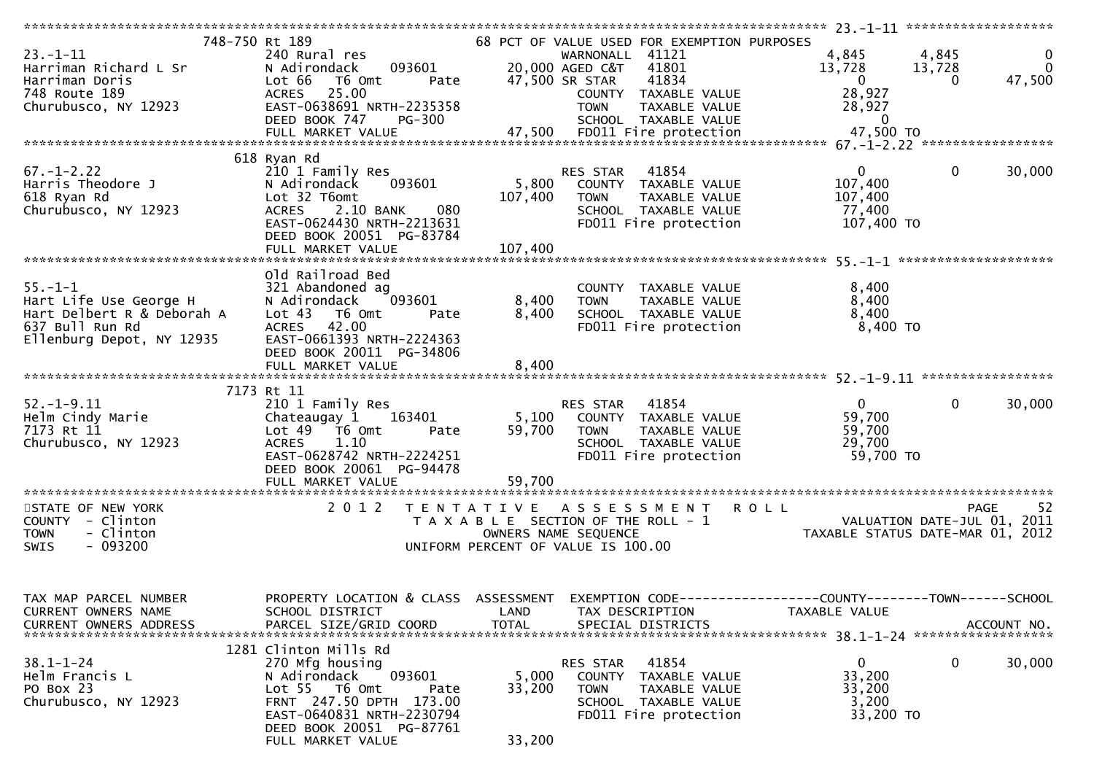| 748-750 Rt 189<br>$23. - 1 - 11$<br>Harriman Richard L Sr<br>Harriman Doris<br>748 Route 189                          | 240 Rural res<br>N Adirondack<br>Lot 66 T6 Omt<br>ACRES 25.00                                                                                                                                        | 093601 20,000 AGED LW.<br>Pate 47,500 SR STAR COUNTY | 68 PCT OF VALUE USED FOR EXEMPTION PURPOSES<br>WARNONALL 41121<br>20,000 AGED C&T 41801<br>41834<br>COUNTY TAXABLE VALUE             |                                                  | 4,845 4,845<br>13,728<br>$\overline{0}$<br>28,927                                                                                              | 13,728<br>$\Omega$ | $\mathbf 0$<br>$\overline{\mathbf{0}}$<br>47,500 |
|-----------------------------------------------------------------------------------------------------------------------|------------------------------------------------------------------------------------------------------------------------------------------------------------------------------------------------------|------------------------------------------------------|--------------------------------------------------------------------------------------------------------------------------------------|--------------------------------------------------|------------------------------------------------------------------------------------------------------------------------------------------------|--------------------|--------------------------------------------------|
| Churubusco, NY 12923                                                                                                  | EAST-0638691 NRTH-2235358                                                                                                                                                                            |                                                      |                                                                                                                                      | TAXABLE VALUE<br>TAXABLE VALUE<br>ire protection | 28,927<br>20, 32, 0                                                                                                                            |                    |                                                  |
|                                                                                                                       |                                                                                                                                                                                                      |                                                      |                                                                                                                                      |                                                  |                                                                                                                                                |                    |                                                  |
| $67. - 1 - 2.22$<br>Harris Theodore J<br>618 Ryan Rd<br>Churubusco, NY 12923                                          | 618 Ryan Rd<br>210 1 Family Res<br>093601<br>N Adirondack<br>Lot 32 T6omt<br>2.10 BANK<br>080<br><b>ACRES</b><br>EAST-0624430 NRTH-2213631<br>DEED BOOK 20051 PG-83784                               | 107,400                                              | 41854<br>RES STAR<br>5,800 COUNTY TAXABLE VALUE<br><b>TOWN</b><br>SCHOOL TAXABLE VALUE<br>FD011 Fire protection                      | TAXABLE VALUE                                    | $\overline{0}$<br>107,400<br>107,400<br>77,400<br>107,400 TO                                                                                   | $\overline{0}$     | 30,000                                           |
|                                                                                                                       | Old Railroad Bed                                                                                                                                                                                     |                                                      |                                                                                                                                      |                                                  |                                                                                                                                                |                    |                                                  |
| $55. - 1 - 1$<br>Hart Life Use George H<br>Hart Delbert R & Deborah A<br>637 Bull Run Rd<br>Ellenburg Depot, NY 12935 | 321 Abandoned ag<br>N Adirondack 093601<br>Lot 43 T6 Omt<br>Pate<br><b>ACRES</b><br>42.00<br>EAST-0661393 NRTH-2224363                                                                               | 8,400                                                | COUNTY TAXABLE VALUE<br>COUNTY TAXABLE VALUE<br>TOWN   TAXABLE VALUE<br>SCHOOL  TAXABLE VALUE<br>FDO11 Fire protection<br>8,400 TOWN |                                                  | 8,400<br>8,400<br>8,400<br>8,400 TO                                                                                                            |                    |                                                  |
|                                                                                                                       | DEED BOOK 20011 PG-34806<br>FULL MARKET VALUE                                                                                                                                                        | 8,400                                                |                                                                                                                                      |                                                  |                                                                                                                                                |                    |                                                  |
|                                                                                                                       | 7173 Rt 11                                                                                                                                                                                           |                                                      |                                                                                                                                      |                                                  |                                                                                                                                                |                    |                                                  |
| $52. - 1 - 9.11$<br>Helm Cindy Marie<br>7173 Rt 11<br>Churubusco, NY 12923                                            | 210 1 Family Res<br>Chateaugay 1 163401<br>Lot 49 T6 Omt<br>Pate<br>1.10<br><b>ACRES</b><br>EAST-0628742 NRTH-2224251<br>DEED BOOK 20061 PG-94478                                                    |                                                      | RES STAR 41854<br>5,100 COUNTY TAXABLE VALUE<br>59,700 TOWN TAXABLE VALUE<br>SCHOOL TAXABLE VALUE<br>FD011 Fire protection           |                                                  | $\overline{0}$<br>59,700<br>59,700<br>29,700<br>59,700 TO                                                                                      | $\mathbf{0}$       | 30,000                                           |
|                                                                                                                       |                                                                                                                                                                                                      |                                                      |                                                                                                                                      |                                                  |                                                                                                                                                |                    |                                                  |
| STATE OF NEW YORK<br>COUNTY - Clinton<br>- Clinton<br><b>TOWN</b><br>SWIS<br>- 093200                                 | 2012 TENTATIVE ASSESSMENT ROLL                                                                                                                                                                       |                                                      | UNIFORM PERCENT OF VALUE IS 100.00                                                                                                   |                                                  | T E N T A T I V E A S S E S S M E N T R O L L<br>T A X A B L E SECTION OF THE ROLL – 1 VALUATION DATE-JUL 01, 2011<br>OWNERS NAME SEQUENCE CON | PAGE               | 52                                               |
| TAX MAP PARCEL NUMBER<br>CURRENT OWNERS NAME<br>CURRENT OWNERS ADDRESS                                                | PROPERTY LOCATION & CLASS ASSESSMENT<br>SCHOOL DISTRICT<br>PARCEL SIZE/GRID COORD                                                                                                                    | LAND<br><b>TOTAL</b>                                 | TAX DESCRIPTION<br>SPECIAL DISTRICTS                                                                                                 |                                                  | EXEMPTION CODE-----------------COUNTY-------TOWN------SCHOOL<br>TAXABLE VALUE                                                                  |                    | ACCOUNT NO.                                      |
| $38.1 - 1 - 24$<br>Helm Francis L<br>PO Box 23<br>Churubusco, NY 12923                                                | 1281 Clinton Mills Rd<br>270 Mfg housing<br>093601<br>N Adirondack<br>Lot 55 T6 Omt<br>Pate<br>FRNT 247.50 DPTH 173.00<br>EAST-0640831 NRTH-2230794<br>DEED BOOK 20051 PG-87761<br>FULL MARKET VALUE | 5,000<br>33,200<br>33,200                            | 41854<br>RES STAR<br><b>COUNTY</b><br><b>TOWN</b><br>SCHOOL TAXABLE VALUE<br>FD011 Fire protection                                   | TAXABLE VALUE<br>TAXABLE VALUE                   | 0<br>33,200<br>33,200<br>3,200<br>33,200 TO                                                                                                    | 0                  | 30,000                                           |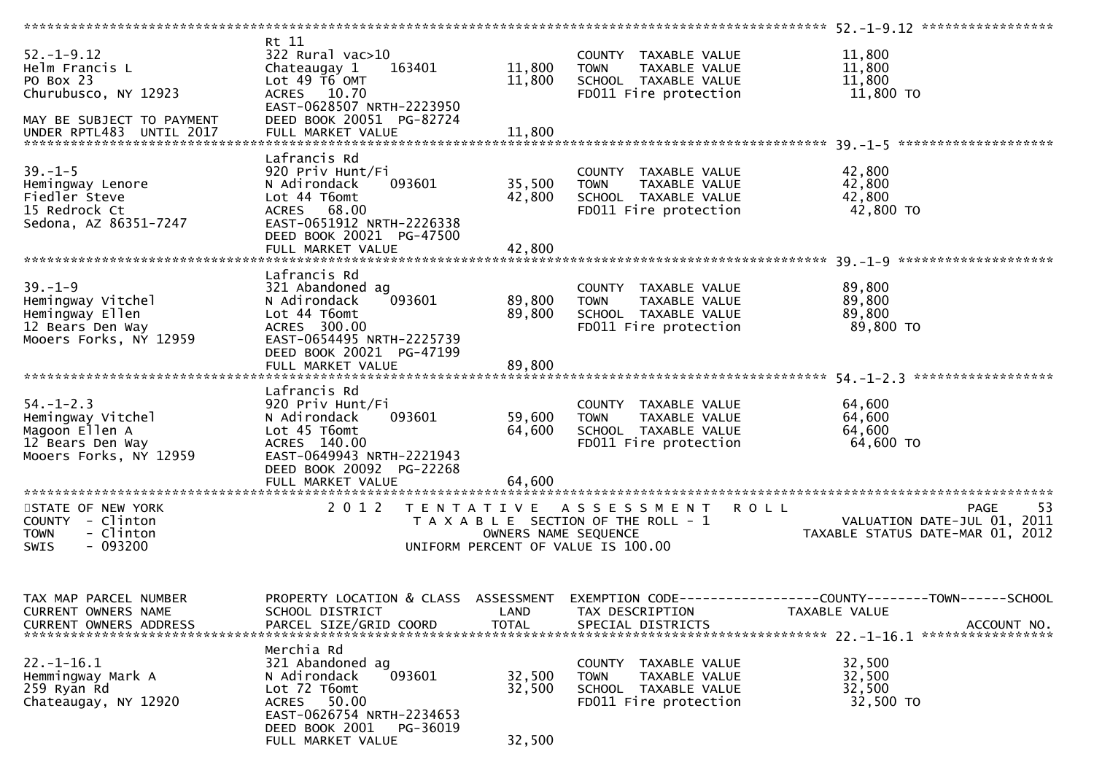|                                     | Rt 11                                    |                                       |                                    |                                                                 |
|-------------------------------------|------------------------------------------|---------------------------------------|------------------------------------|-----------------------------------------------------------------|
| $52. - 1 - 9.12$                    | $322$ Rural vac $>10$                    |                                       | COUNTY TAXABLE VALUE               | 11,800                                                          |
| Helm Francis L                      | 163401<br>Chateaugay 1                   | 11,800                                | <b>TOWN</b><br>TAXABLE VALUE       | 11,800                                                          |
| PO Box 23                           | Lot $49$ $\overline{16}$ OMT             | 11,800                                | SCHOOL TAXABLE VALUE               | 11,800                                                          |
|                                     |                                          |                                       |                                    |                                                                 |
| Churubusco, NY 12923                | ACRES 10.70<br>EAST-0628507 NRTH-2223950 |                                       | FD011 Fire protection              | 11,800 TO                                                       |
| MAY BE SUBJECT TO PAYMENT           | DEED BOOK 20051 PG-82724                 |                                       |                                    |                                                                 |
|                                     |                                          |                                       |                                    |                                                                 |
| UNDER RPTL483 UNTIL 2017            | FULL MARKET VALUE                        | 11,800                                |                                    |                                                                 |
|                                     |                                          |                                       |                                    |                                                                 |
|                                     | Lafrancis Rd                             |                                       |                                    |                                                                 |
| $39. - 1 - 5$                       | 920 Priv Hunt/Fi                         |                                       | COUNTY TAXABLE VALUE               | 42,800                                                          |
| Hemingway Lenore                    | 093601<br>N Adirondack                   | 35,500                                | TAXABLE VALUE<br><b>TOWN</b>       | 42,800                                                          |
| Fiedler Steve                       | Lot 44 T6omt                             | 42,800                                | SCHOOL TAXABLE VALUE               | 42,800                                                          |
| 15 Redrock Ct                       | ACRES 68.00                              |                                       | FD011 Fire protection              | 42,800 TO                                                       |
| Sedona, AZ 86351-7247               | EAST-0651912 NRTH-2226338                |                                       |                                    |                                                                 |
|                                     |                                          |                                       |                                    |                                                                 |
|                                     | DEED BOOK 20021 PG-47500                 |                                       |                                    |                                                                 |
|                                     |                                          |                                       |                                    |                                                                 |
|                                     |                                          |                                       |                                    |                                                                 |
|                                     | Lafrancis Rd                             |                                       |                                    |                                                                 |
| $39. - 1 - 9$                       | 321 Abandoned ag                         |                                       | COUNTY TAXABLE VALUE               | 89,800                                                          |
| Hemingway Vitchel                   | 093601<br>N Adirondack                   | 89,800                                | <b>TOWN</b><br>TAXABLE VALUE       | 89,800                                                          |
|                                     |                                          |                                       |                                    |                                                                 |
| Hemingway Ellen                     | Lot 44 T6omt                             | 89,800                                | SCHOOL TAXABLE VALUE               | 89,800                                                          |
| 12 Bears Den Way                    | ACRES 300.00                             |                                       | FD011 Fire protection              | 89,800 TO                                                       |
| Mooers Forks, NY 12959              | EAST-0654495 NRTH-2225739                |                                       |                                    |                                                                 |
|                                     | DEED BOOK 20021 PG-47199                 |                                       |                                    |                                                                 |
|                                     |                                          |                                       |                                    |                                                                 |
|                                     |                                          |                                       |                                    |                                                                 |
|                                     | Lafrancis Rd                             |                                       |                                    |                                                                 |
|                                     |                                          |                                       |                                    |                                                                 |
| $54. - 1 - 2.3$                     | 920 Priv Hunt/Fi                         |                                       | COUNTY TAXABLE VALUE               | 64,600                                                          |
|                                     | 093601<br>N Adirondack                   | 59,600                                | <b>TOWN</b><br>TAXABLE VALUE       | 64,600                                                          |
| Hemingway Vitchel<br>Magoon Ellen A | Lot 45 T6omt                             | 64,600                                | SCHOOL TAXABLE VALUE               | 64,600                                                          |
| 12 Bears Den Way                    | ACRES 140.00                             |                                       | FD011 Fire protection              | 64,600 TO                                                       |
| Mooers Forks, NY 12959              | EAST-0649943 NRTH-2221943                |                                       |                                    |                                                                 |
|                                     | DEED BOOK 20092 PG-22268                 |                                       |                                    |                                                                 |
|                                     |                                          |                                       |                                    |                                                                 |
|                                     |                                          |                                       |                                    |                                                                 |
|                                     |                                          |                                       |                                    |                                                                 |
| STATE OF NEW YORK                   | 2 0 1 2                                  |                                       | TENTATIVE ASSESSMENT ROLL          | 53<br>PAGE                                                      |
| COUNTY - Clinton                    |                                          | T A X A B L E SECTION OF THE ROLL - 1 |                                    |                                                                 |
| - Clinton<br><b>TOWN</b>            |                                          |                                       |                                    |                                                                 |
|                                     |                                          |                                       |                                    | VALUATION DATE-JUL 01, 2011<br>TAXARLE STATIIS DATE-MAP 01 2012 |
|                                     |                                          | OWNERS NAME SEQUENCE                  |                                    | TAXABLE STATUS DATE-MAR 01, 2012                                |
| $-093200$<br><b>SWIS</b>            |                                          |                                       | UNIFORM PERCENT OF VALUE IS 100.00 |                                                                 |
|                                     |                                          |                                       |                                    |                                                                 |
|                                     |                                          |                                       |                                    |                                                                 |
|                                     |                                          |                                       |                                    |                                                                 |
| TAX MAP PARCEL NUMBER               | PROPERTY LOCATION & CLASS ASSESSMENT     |                                       |                                    | EXEMPTION CODE-----------------COUNTY-------TOWN------SCHOOL    |
| CURRENT OWNERS NAME                 | SCHOOL DISTRICT                          | LAND                                  | TAX DESCRIPTION                    | TAXABLE VALUE                                                   |
| <b>CURRENT OWNERS ADDRESS</b>       |                                          | <b>TOTAL</b>                          |                                    | ACCOUNT NO.                                                     |
|                                     | PARCEL SIZE/GRID COORD                   |                                       | SPECIAL DISTRICTS                  |                                                                 |
|                                     |                                          |                                       |                                    |                                                                 |
|                                     | Merchia Rd                               |                                       |                                    |                                                                 |
| $22. - 1 - 16.1$                    | 321 Abandoned ag                         |                                       | TAXABLE VALUE<br><b>COUNTY</b>     | 32,500                                                          |
| Hemmingway Mark A                   | N Adirondack<br>093601                   | 32,500                                | <b>TOWN</b><br>TAXABLE VALUE       | 32,500                                                          |
| 259 Ryan Rd                         | Lot 72 T6omt                             | 32,500                                | SCHOOL TAXABLE VALUE               | 32,500                                                          |
| Chateaugay, NY 12920                | ACRES 50.00                              |                                       | FD011 Fire protection              | 32,500 TO                                                       |
|                                     | EAST-0626754 NRTH-2234653                |                                       |                                    |                                                                 |
|                                     | DEED BOOK 2001                           |                                       |                                    |                                                                 |
|                                     | PG-36019<br>FULL MARKET VALUE            | 32,500                                |                                    |                                                                 |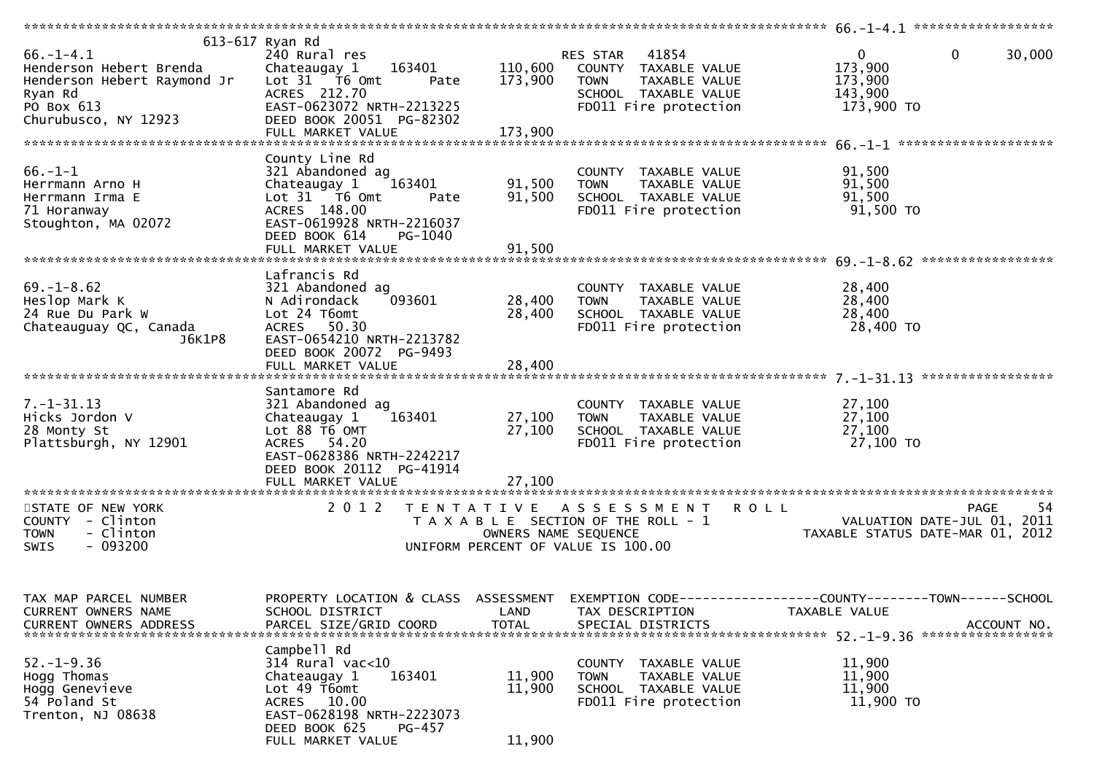| $66. - 1 - 4.1$<br>Henderson Hebert Brenda                                            | 613-617 Ryan Rd<br>240 Rural res<br>163401<br>Chateaugay 1<br>Lot 31 76 0mt   | 110,600              | 41854<br>RES STAR<br>COUNTY TAXABLE VALUE                                                          | $\mathbf{0}$<br>$\mathbf{0}$<br>30,000<br>173,900                                                   |
|---------------------------------------------------------------------------------------|-------------------------------------------------------------------------------|----------------------|----------------------------------------------------------------------------------------------------|-----------------------------------------------------------------------------------------------------|
| Henderson Hebert Raymond Jr<br>Ryan Rd<br>PO Box 613<br>Churubusco, NY 12923          | Pate<br>ACRES 212.70<br>EAST-0623072 NRTH-2213225<br>DEED BOOK 20051 PG-82302 | 173,900              | <b>TOWN</b><br>TAXABLE VALUE<br>SCHOOL TAXABLE VALUE<br>FD011 Fire protection                      | 173,900<br>143,900<br>173,900 TO                                                                    |
|                                                                                       | FULL MARKET VALUE                                                             | 173,900              |                                                                                                    |                                                                                                     |
|                                                                                       | County Line Rd                                                                |                      |                                                                                                    |                                                                                                     |
| $66. - 1 - 1$<br>Herrmann Arno H                                                      | 321 Abandoned ag<br>Chateaugay 1<br>163401                                    | 91,500               | COUNTY TAXABLE VALUE<br>TAXABLE VALUE<br><b>TOWN</b>                                               | 91,500<br>91,500                                                                                    |
| Herrmann Irma E                                                                       | Lot $31$ $\overline{76}$ Omt<br>Pate                                          | 91,500               | SCHOOL TAXABLE VALUE                                                                               | 91,500                                                                                              |
| 71 Horanway<br>Stoughton, MA 02072                                                    | ACRES 148.00<br>EAST-0619928 NRTH-2216037<br>DEED BOOK 614<br>PG-1040         |                      | FD011 Fire protection                                                                              | 91,500 TO                                                                                           |
|                                                                                       |                                                                               |                      |                                                                                                    |                                                                                                     |
|                                                                                       | Lafrancis Rd                                                                  |                      |                                                                                                    |                                                                                                     |
| $69. - 1 - 8.62$<br>Heslop Mark K                                                     | 321 Abandoned ag<br>093601<br>N Adirondack                                    | 28,400               | COUNTY TAXABLE VALUE<br>TAXABLE VALUE<br><b>TOWN</b>                                               | 28,400<br>28,400                                                                                    |
| 24 Rue Du Park W                                                                      | Lot 24 T6omt                                                                  | 28,400               | SCHOOL TAXABLE VALUE                                                                               | 28,400                                                                                              |
| Chateauguay QC, Canada<br>J6K1P8                                                      | ACRES 50.30<br>EAST-0654210 NRTH-2213782<br>DEED BOOK 20072 PG-9493           |                      | FD011 Fire protection                                                                              | 28,400 TO                                                                                           |
|                                                                                       | FULL MARKET VALUE                                                             | 28,400               |                                                                                                    |                                                                                                     |
|                                                                                       | Santamore Rd                                                                  |                      |                                                                                                    |                                                                                                     |
| $7. - 1 - 31.13$<br>Hicks Jordon V                                                    | 321 Abandoned ag<br>Chateaugay 1<br>163401                                    | 27,100               | COUNTY TAXABLE VALUE<br>TAXABLE VALUE<br><b>TOWN</b>                                               | 27,100<br>27,100                                                                                    |
| 28 Monty St                                                                           | Lot 88 T6 OMT                                                                 | 27,100               | SCHOOL TAXABLE VALUE                                                                               | 27,100                                                                                              |
| Plattsburgh, NY 12901                                                                 | ACRES 54.20<br>EAST-0628386 NRTH-2242217<br>DEED BOOK 20112 PG-41914          |                      | FD011 Fire protection                                                                              | 27,100 TO                                                                                           |
|                                                                                       |                                                                               |                      |                                                                                                    |                                                                                                     |
| STATE OF NEW YORK<br>COUNTY - Clinton<br>- Clinton<br><b>TOWN</b><br>SWIS<br>- 093200 | 2 0 1 2<br>T E N T A T I V E                                                  | OWNERS NAME SEQUENCE | A S S E S S M E N T<br>T A X A B L E SECTION OF THE ROLL - 1<br>UNIFORM PERCENT OF VALUE IS 100.00 | 54<br><b>ROLL</b><br><b>PAGE</b><br>VALUATION DATE-JUL 01, 2011<br>TAXABLE STATUS DATE-MAR 01, 2012 |
|                                                                                       |                                                                               |                      |                                                                                                    |                                                                                                     |
|                                                                                       |                                                                               |                      |                                                                                                    |                                                                                                     |
| TAX MAP PARCEL NUMBER<br>CURRENT OWNERS NAME                                          | PROPERTY LOCATION & CLASS ASSESSMENT<br>SCHOOL DISTRICT                       | LAND                 | TAX DESCRIPTION                                                                                    | EXEMPTION CODE-----------------COUNTY-------TOWN------SCHOOL<br>TAXABLE VALUE                       |
| <b>CURRENT OWNERS ADDRESS</b>                                                         | PARCEL SIZE/GRID COORD                                                        | <b>TOTAL</b>         | SPECIAL DISTRICTS                                                                                  | ACCOUNT NO.                                                                                         |
|                                                                                       | Campbell Rd                                                                   |                      |                                                                                                    |                                                                                                     |
| $52. - 1 - 9.36$                                                                      | 314 Rural vac<10                                                              |                      | COUNTY TAXABLE VALUE                                                                               | 11,900                                                                                              |
| Hogg Thomas<br>Hogg Genevieve                                                         | 163401<br>Chateaugay 1<br>Lot 49 T6omt                                        | 11,900<br>11,900     | TAXABLE VALUE<br><b>TOWN</b><br>SCHOOL TAXABLE VALUE                                               | 11,900<br>11,900                                                                                    |
| 54 Poland St                                                                          | ACRES 10.00                                                                   |                      | FD011 Fire protection                                                                              | 11,900 TO                                                                                           |
| Trenton, NJ 08638                                                                     | EAST-0628198 NRTH-2223073                                                     |                      |                                                                                                    |                                                                                                     |
|                                                                                       | DEED BOOK 625<br>PG-457                                                       | 11,900               |                                                                                                    |                                                                                                     |
|                                                                                       | FULL MARKET VALUE                                                             |                      |                                                                                                    |                                                                                                     |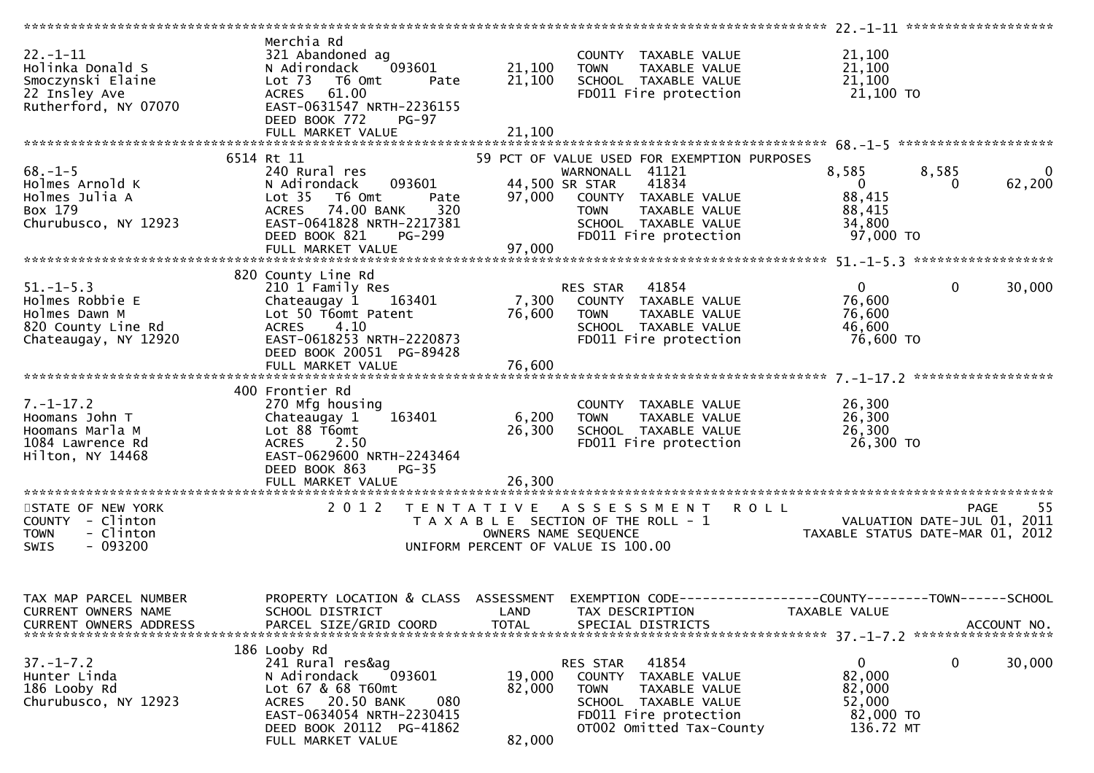|                          | Merchia Rd                                    |              |                                                              |                                                              |                                  |
|--------------------------|-----------------------------------------------|--------------|--------------------------------------------------------------|--------------------------------------------------------------|----------------------------------|
| $22. - 1 - 11$           | 321 Abandoned ag                              |              | COUNTY TAXABLE VALUE                                         | 21,100                                                       |                                  |
| Holinka Donald S         | N Adirondack<br>093601                        | 21,100       | <b>TOWN</b><br>TAXABLE VALUE                                 | 21,100                                                       |                                  |
| Smoczynski Elaine        | Lot 73 T6 Omt<br>Pate                         | 21,100       | SCHOOL TAXABLE VALUE                                         | 21,100                                                       |                                  |
|                          |                                               |              |                                                              |                                                              |                                  |
| 22 Insley Ave            | ACRES 61.00                                   |              | FD011 Fire protection                                        | 21,100 TO                                                    |                                  |
| Rutherford, NY 07070     | EAST-0631547 NRTH-2236155                     |              |                                                              |                                                              |                                  |
|                          | DEED BOOK 772<br><b>PG-97</b>                 |              |                                                              |                                                              |                                  |
|                          | FULL MARKET VALUE                             | 21,100       |                                                              |                                                              |                                  |
|                          |                                               |              |                                                              |                                                              |                                  |
|                          | 6514 Rt 11                                    |              | 59 PCT OF VALUE USED FOR EXEMPTION PURPOSES                  |                                                              |                                  |
| $68. - 1 - 5$            | 240 Rural res                                 |              | WARNONALL 41121                                              | 8,585                                                        | 8,585<br>$\overline{0}$          |
| Holmes Arnold K          | N Adirondack<br>093601                        |              | 41834<br>44,500 SR STAR                                      | $\overline{0}$                                               | 62,200<br>0                      |
| Holmes Julia A           |                                               |              |                                                              | 88,415                                                       |                                  |
|                          | Lot 35 T6 Omt<br>Pate                         | 97,000       | COUNTY TAXABLE VALUE                                         |                                                              |                                  |
| Box 179                  | 74.00 BANK<br>320<br><b>ACRES</b>             |              | <b>TOWN</b><br>TAXABLE VALUE                                 | 88,415                                                       |                                  |
| Churubusco, NY 12923     | EAST-0641828 NRTH-2217381                     |              | SCHOOL TAXABLE VALUE                                         | 34,800                                                       |                                  |
|                          | DEED BOOK 821<br><b>PG-299</b>                |              | FD011 Fire protection                                        | 97,000 TO                                                    |                                  |
|                          |                                               | 97,000       |                                                              |                                                              |                                  |
|                          |                                               |              |                                                              |                                                              |                                  |
|                          | 820 County Line Rd                            |              |                                                              |                                                              |                                  |
| $51. - 1 - 5.3$          | 210 1 Family Res                              |              | RES STAR 41854                                               | $\mathbf{0}$                                                 | $\mathbf 0$<br>30,000            |
| Holmes Robbie E          | Chateaugay 1 163401                           | 7,300        | COUNTY TAXABLE VALUE                                         | 76,600                                                       |                                  |
|                          |                                               |              |                                                              |                                                              |                                  |
| Holmes Dawn M            | Lot 50 T6omt Patent                           | 76,600       | <b>TOWN</b><br>TAXABLE VALUE                                 | 76,600                                                       |                                  |
| 820 County Line Rd       | 4.10<br><b>ACRES</b>                          |              | SCHOOL TAXABLE VALUE                                         | 46,600                                                       |                                  |
| Chateaugay, NY 12920     | EAST-0618253 NRTH-2220873                     |              | FD011 Fire protection                                        | 76,600 TO                                                    |                                  |
|                          | DEED BOOK 20051 PG-89428                      |              |                                                              |                                                              |                                  |
|                          |                                               |              |                                                              |                                                              |                                  |
|                          |                                               |              |                                                              |                                                              |                                  |
|                          | 400 Frontier Rd                               |              |                                                              |                                                              |                                  |
| $7. - 1 - 17.2$          | 270 Mfg housing                               |              | COUNTY TAXABLE VALUE                                         | 26,300                                                       |                                  |
|                          |                                               |              |                                                              |                                                              |                                  |
| Hoomans John T           | Chateaugay 1<br>163401                        | 6,200        | <b>TOWN</b><br>TAXABLE VALUE                                 | 26,300                                                       |                                  |
| Hoomans Marla M          | Lot 88 T6omt                                  | 26,300       | SCHOOL TAXABLE VALUE                                         | 26,300                                                       |                                  |
| 1084 Lawrence Rd         |                                               |              |                                                              |                                                              |                                  |
|                          | <b>ACRES</b><br>2.50                          |              | FD011 Fire protection                                        | 26,300 TO                                                    |                                  |
| Hilton, NY 14468         | EAST-0629600 NRTH-2243464                     |              |                                                              |                                                              |                                  |
|                          |                                               |              |                                                              |                                                              |                                  |
|                          | DEED BOOK 863<br>$PG-35$                      |              |                                                              |                                                              |                                  |
|                          |                                               |              |                                                              |                                                              |                                  |
|                          |                                               |              |                                                              |                                                              |                                  |
| STATE OF NEW YORK        | 2 0 1 2                                       |              | TENTATIVE ASSESSMENT                                         | <b>ROLL</b>                                                  | -55<br><b>PAGE</b>               |
| COUNTY - Clinton         |                                               |              | T A X A B L E SECTION OF THE ROLL - 1                        |                                                              | 2011                             |
| - Clinton<br><b>TOWN</b> |                                               |              | OWNERS NAME SEQUENCE                                         | FAUE<br>VALUATION DATE-JUL 01,<br>TAXARIF STATUS DATE MAD 01 | TAXABLE STATUS DATE-MAR 01, 2012 |
| <b>SWIS</b><br>- 093200  |                                               |              | UNIFORM PERCENT OF VALUE IS 100.00                           |                                                              |                                  |
|                          |                                               |              |                                                              |                                                              |                                  |
|                          |                                               |              |                                                              |                                                              |                                  |
|                          |                                               |              |                                                              |                                                              |                                  |
|                          |                                               |              |                                                              |                                                              |                                  |
| TAX MAP PARCEL NUMBER    | PROPERTY LOCATION & CLASS ASSESSMENT          |              | EXEMPTION CODE-----------------COUNTY-------TOWN------SCHOOL |                                                              |                                  |
| CURRENT OWNERS NAME      | SCHOOL DISTRICT                               | LAND         | TAX DESCRIPTION                                              | TAXABLE VALUE                                                |                                  |
| CURRENT OWNERS ADDRESS   | PARCEL SIZE/GRID COORD                        | <b>TOTAL</b> | SPECIAL DISTRICTS                                            |                                                              | ACCOUNT NO.                      |
|                          |                                               |              |                                                              |                                                              |                                  |
|                          | 186 Looby Rd                                  |              |                                                              |                                                              |                                  |
| $37. - 1 - 7.2$          | 241 Rural res&ag                              |              | 41854<br>RES STAR                                            | 0                                                            | 0<br>30,000                      |
| Hunter Linda             | N Adirondack<br>093601                        | 19,000       | <b>COUNTY</b><br>TAXABLE VALUE                               | 82,000                                                       |                                  |
| 186 Looby Rd             | Lot 67 & 68 T60mt                             | 82,000       | <b>TOWN</b><br>TAXABLE VALUE                                 | 82,000                                                       |                                  |
|                          | 080                                           |              | SCHOOL TAXABLE VALUE                                         |                                                              |                                  |
| Churubusco, NY 12923     | ACRES 20.50 BANK                              |              |                                                              | 52,000                                                       |                                  |
|                          | EAST-0634054 NRTH-2230415                     |              | FD011 Fire protection                                        | 82,000 TO                                                    |                                  |
|                          | DEED BOOK 20112 PG-41862<br>FULL MARKET VALUE | 82,000       | OT002 Omitted Tax-County                                     | 136.72 MT                                                    |                                  |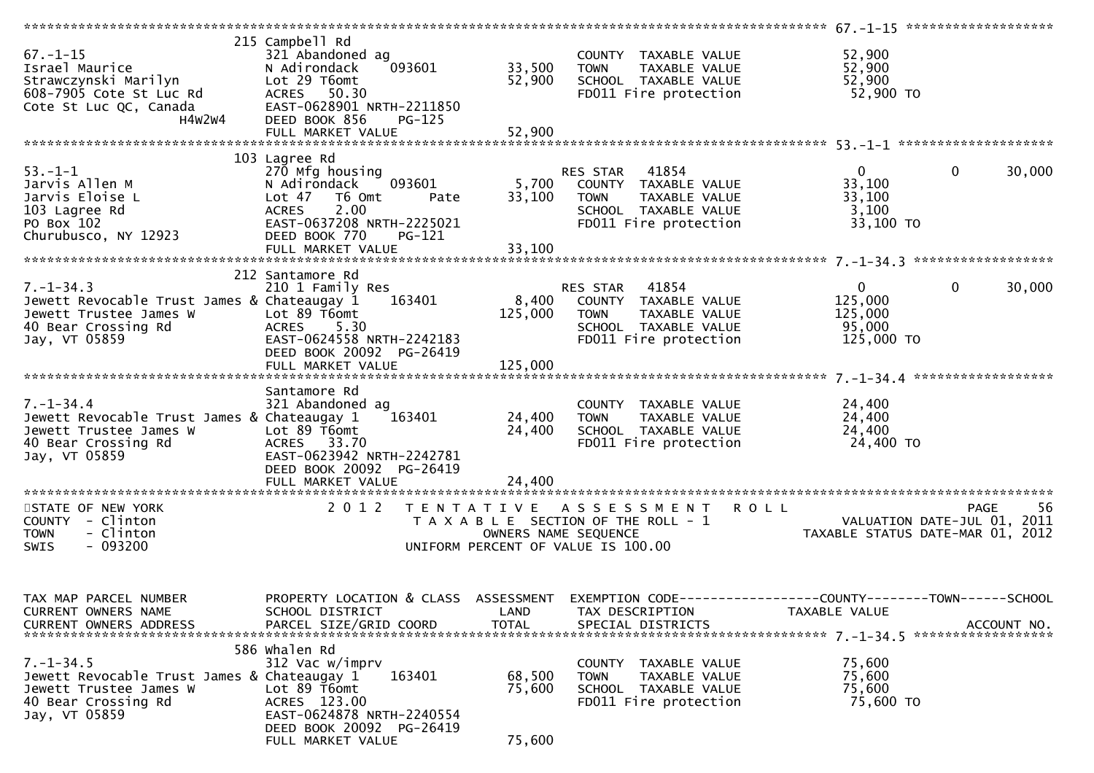| $67. - 1 - 15$<br>Israel Maurice<br>Strawczynski Marilyn<br>608-7905 Cote St Luc Rd<br>Cote St Luc QC, Canada<br>H4W2W4          | 215 Campbell Rd<br>321 Abandoned ag<br>093601<br>N Adirondack<br>Lot 29 T6omt<br>ACRES 50.30<br>EAST-0628901 NRTH-2211850<br>DEED BOOK 856<br>$PG-125$<br>FULL MARKET VALUE                        | 33,500<br>52,900<br>52,900 | COUNTY TAXABLE VALUE<br>TAXABLE VALUE<br><b>TOWN</b><br>SCHOOL TAXABLE VALUE<br>FD011 Fire protection                      | 52,900<br>52,900<br>52,900<br>52,900 TO                    |                                                  |
|----------------------------------------------------------------------------------------------------------------------------------|----------------------------------------------------------------------------------------------------------------------------------------------------------------------------------------------------|----------------------------|----------------------------------------------------------------------------------------------------------------------------|------------------------------------------------------------|--------------------------------------------------|
|                                                                                                                                  |                                                                                                                                                                                                    |                            |                                                                                                                            |                                                            |                                                  |
| $53. - 1 - 1$<br>Jarvis Allen M<br>Jarvis Eloise L<br>103 Lagree Rd<br>PO Box 102<br>Churubusco, NY 12923                        | 103 Lagree Rd<br>270 Mfg housing<br>N Adirondack<br>093601<br>Lot 47<br>T6 Omt<br>Pate<br>2.00<br><b>ACRES</b><br>EAST-0637208 NRTH-2225021<br>DEED BOOK 770<br><b>PG-121</b><br>FULL MARKET VALUE | 5,700<br>33,100<br>33,100  | 41854<br>RES STAR<br>COUNTY TAXABLE VALUE<br><b>TOWN</b><br>TAXABLE VALUE<br>SCHOOL TAXABLE VALUE<br>FD011 Fire protection | $\mathbf{0}$<br>33,100<br>33,100<br>3,100<br>$33,100$ TO   | $\mathbf{0}$<br>30,000                           |
|                                                                                                                                  | 212 Santamore Rd                                                                                                                                                                                   |                            |                                                                                                                            |                                                            |                                                  |
| $7. - 1 - 34.3$<br>Jewett Revocable Trust James & Chateaugay 1<br>Jewett Trustee James W<br>40 Bear Crossing Rd<br>Jay, VT 05859 | 210 1 Family Res<br>163401<br>Lot 89 T6omt<br><b>ACRES</b><br>5.30<br>EAST-0624558 NRTH-2242183<br>DEED BOOK 20092 PG-26419                                                                        | 8,400<br>125,000           | 41854<br>RES STAR<br>COUNTY TAXABLE VALUE<br>TAXABLE VALUE<br><b>TOWN</b><br>SCHOOL TAXABLE VALUE<br>FD011 Fire protection | $\mathbf{0}$<br>125,000<br>125,000<br>95,000<br>125,000 TO | $\mathbf 0$<br>30,000                            |
|                                                                                                                                  |                                                                                                                                                                                                    |                            |                                                                                                                            |                                                            |                                                  |
| $7. - 1 - 34.4$<br>Jewett Revocable Trust James & Chateaugay 1<br>Jewett Trustee James W<br>40 Bear Crossing Rd<br>Jay, VT 05859 | Santamore Rd<br>321 Abandoned ag<br>163401<br>Lot 89 T6omt<br>ACRES 33.70<br>EAST-0623942 NRTH-2242781<br>DEED BOOK 20092 PG-26419                                                                 | 24,400<br>24,400           | COUNTY TAXABLE VALUE<br><b>TOWN</b><br>TAXABLE VALUE<br>SCHOOL TAXABLE VALUE<br>FD011 Fire protection                      | 24,400<br>24,400<br>24,400<br>24,400 TO                    |                                                  |
|                                                                                                                                  |                                                                                                                                                                                                    |                            |                                                                                                                            |                                                            |                                                  |
| STATE OF NEW YORK<br>COUNTY - Clinton<br>- Clinton<br><b>TOWN</b><br>$-093200$<br>SWIS                                           | 2 0 1 2<br>T E N T A T I V E                                                                                                                                                                       | OWNERS NAME SEQUENCE       | A S S E S S M E N T<br>T A X A B L E SECTION OF THE ROLL - 1<br>UNIFORM PERCENT OF VALUE IS 100.00                         | ROLL<br>TAXABLE STATUS DATE-MAR 01, 2012                   | 56<br><b>PAGE</b><br>VALUATION DATE-JUL 01, 2011 |
| TAX MAP PARCEL NUMBER<br>CURRENT OWNERS NAME<br>CURRENT OWNERS ADDRESS                                                           | PROPERTY LOCATION & CLASS ASSESSMENT<br>SCHOOL DISTRICT<br>PARCEL SIZE/GRID COORD                                                                                                                  | LAND<br><b>TOTAL</b>       | TAX DESCRIPTION<br>SPECIAL DISTRICTS                                                                                       | TAXABLE VALUE                                              | ACCOUNT NO.                                      |
| $7. - 1 - 34.5$<br>Jewett Revocable Trust James & Chateaugay 1<br>Jewett Trustee James W<br>40 Bear Crossing Rd<br>Jay, VT 05859 | 586 whalen Rd<br>312 Vac w/imprv<br>163401<br>Lot 89 T6omt<br>ACRES 123.00<br>EAST-0624878 NRTH-2240554<br>DEED BOOK 20092 PG-26419<br>FULL MARKET VALUE                                           | 68,500<br>75,600<br>75,600 | COUNTY TAXABLE VALUE<br>TAXABLE VALUE<br><b>TOWN</b><br>SCHOOL TAXABLE VALUE<br>FD011 Fire protection                      | 75,600<br>75,600<br>75,600<br>75,600 TO                    |                                                  |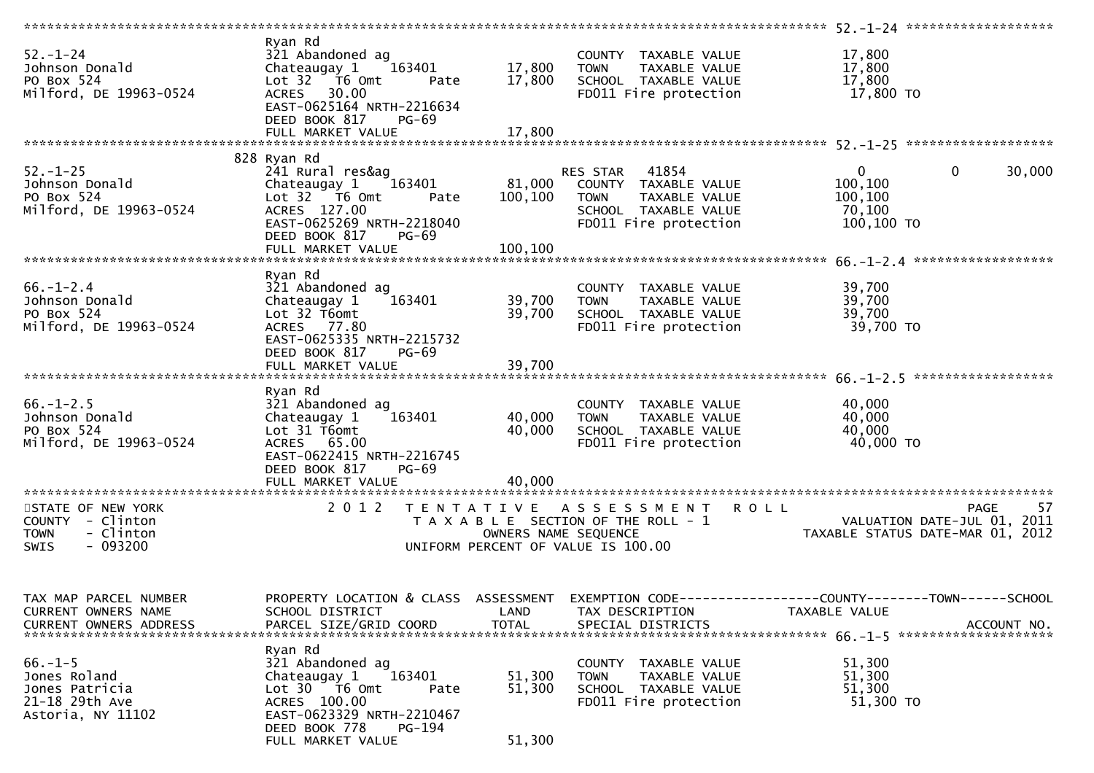| $52 - 1 - 24$<br>Johnson Donald<br>PO Box 524<br>Milford, DE 19963-0524                       | Ryan Rd<br>321 Abandoned ag<br>163401<br>Chateaugay 1<br>Lot $32$ $\overline{76}$ Omt<br>Pate<br>ACRES 30.00<br>EAST-0625164 NRTH-2216634<br>DEED BOOK 817<br>$PG-69$<br>FULL MARKET VALUE | 17,800<br>17,800<br>17,800 | COUNTY TAXABLE VALUE<br><b>TOWN</b><br>TAXABLE VALUE<br>SCHOOL TAXABLE VALUE<br>FD011 Fire protection                          | 17,800<br>17,800<br>17,800<br>17,800 TO                                     |                    |
|-----------------------------------------------------------------------------------------------|--------------------------------------------------------------------------------------------------------------------------------------------------------------------------------------------|----------------------------|--------------------------------------------------------------------------------------------------------------------------------|-----------------------------------------------------------------------------|--------------------|
|                                                                                               |                                                                                                                                                                                            |                            |                                                                                                                                |                                                                             |                    |
| $52. - 1 - 25$<br>Johnson Donald<br>PO Box 524<br>Milford, DE 19963-0524                      | 828 Ryan Rd<br>241 Rural res&ag<br>163401<br>Chateaugay 1<br>Lot 32 T6 Omt<br>Pate<br>ACRES 127.00<br>EAST-0625269 NRTH-2218040<br>DEED BOOK 817<br><b>PG-69</b>                           | 100, 100                   | RES STAR 41854<br>81,000 COUNTY TAXABLE VALUE<br><b>TOWN</b><br>TAXABLE VALUE<br>SCHOOL TAXABLE VALUE<br>FD011 Fire protection | $\mathbf 0$<br>$\overline{0}$<br>100,100<br>100,100<br>70,100<br>100,100 TO | 30,000             |
| $66. - 1 - 2.4$<br>Johnson Donald<br>PO Box 524<br>Milford, DE 19963-0524                     | Ryan Rd<br>321 Abandoned ag<br>Chateaugay 1<br>163401<br>Lot 32 T6omt<br>ACRES 77.80<br>EAST-0625335 NRTH-2215732<br>DEED BOOK 817<br><b>PG-69</b>                                         | 39,700<br>39,700           | COUNTY TAXABLE VALUE<br><b>TOWN</b><br>TAXABLE VALUE<br>SCHOOL TAXABLE VALUE<br>FD011 Fire protection                          | 39,700<br>39,700<br>39,700<br>39,700 TO                                     |                    |
|                                                                                               |                                                                                                                                                                                            |                            |                                                                                                                                |                                                                             |                    |
| $66. - 1 - 2.5$<br>Johnson Donald<br>PO Box 524<br>Milford, DE 19963-0524                     | Ryan Rd<br>321 Abandoned ag<br>Chateaugay 1<br>163401<br>Lot 31 T6omt<br>ACRES 65.00<br>EAST-0622415 NRTH-2216745<br>DEED BOOK 817<br><b>PG-69</b>                                         | 40,000<br>40,000           | COUNTY TAXABLE VALUE<br><b>TOWN</b><br>TAXABLE VALUE<br>SCHOOL TAXABLE VALUE<br>FD011 Fire protection                          | 40,000<br>40,000<br>40,000<br>40,000 TO                                     |                    |
|                                                                                               |                                                                                                                                                                                            |                            |                                                                                                                                |                                                                             |                    |
| STATE OF NEW YORK<br>COUNTY - Clinton<br>- Clinton<br><b>TOWN</b><br>$-093200$<br><b>SWIS</b> | 2 0 1 2                                                                                                                                                                                    | OWNERS NAME SEQUENCE       | TENTATIVE ASSESSMENT ROLL<br>T A X A B L E SECTION OF THE ROLL - 1<br>UNIFORM PERCENT OF VALUE IS 100.00                       | VALUATION DATE-JUL 01, 2011<br>TAXABLE STATUS DATE-MAR 01, 2012             | -57<br><b>PAGE</b> |
| TAX MAP PARCEL NUMBER<br>CURRENT OWNERS NAME<br>CURRENT OWNERS ADDRESS                        | PROPERTY LOCATION & CLASS ASSESSMENT<br>SCHOOL DISTRICT<br>PARCEL SIZE/GRID COORD                                                                                                          | LAND<br><b>TOTAL</b>       | TAX DESCRIPTION<br>SPECIAL DISTRICTS                                                                                           | TAXABLE VALUE                                                               | ACCOUNT NO.        |
| $66. - 1 - 5$<br>Jones Roland<br>Jones Patricia<br>21-18 29th Ave<br>Astoria, NY 11102        | Ryan Rd<br>321 Abandoned ag<br>163401<br>Chateaugay 1<br>Lot 30 T6 Omt<br>Pate<br>ACRES 100.00<br>EAST-0623329 NRTH-2210467<br>DEED BOOK 778<br>PG-194<br>FULL MARKET VALUE                | 51,300<br>51,300<br>51,300 | COUNTY TAXABLE VALUE<br>TAXABLE VALUE<br><b>TOWN</b><br>SCHOOL TAXABLE VALUE<br>FD011 Fire protection                          | 51,300<br>51,300<br>51,300<br>51,300 TO                                     |                    |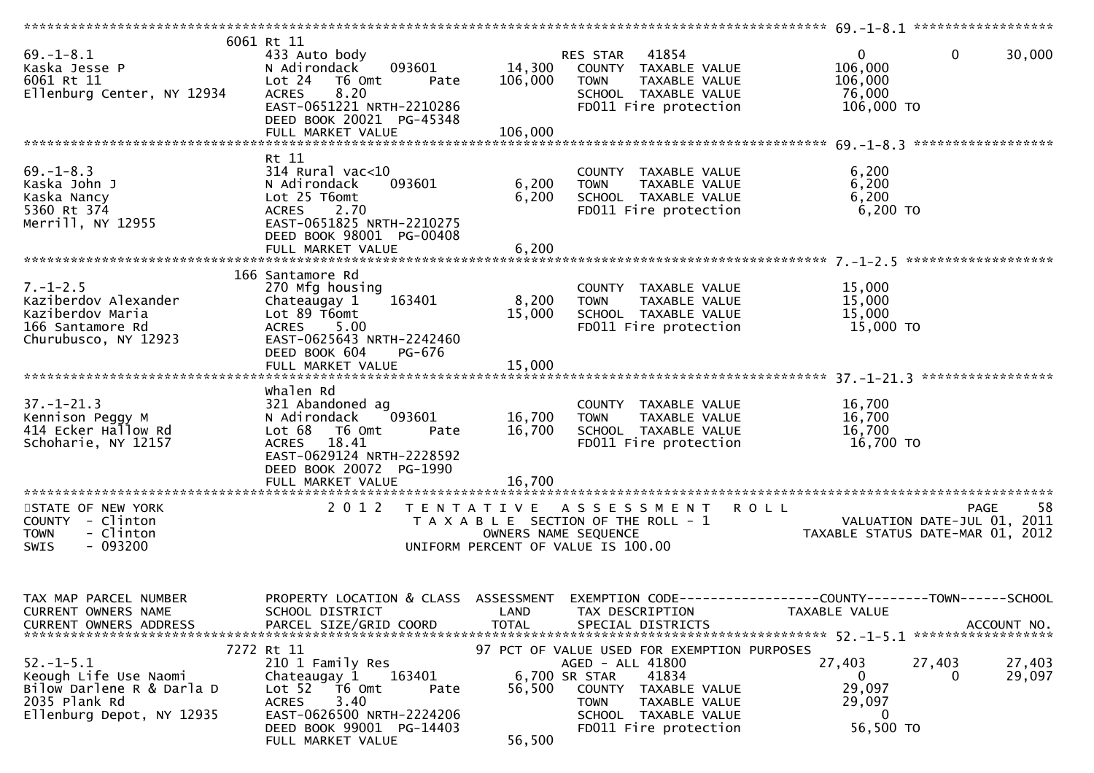| $69. - 1 - 8.1$<br>Kaska Jesse P<br>6061 Rt 11<br>Ellenburg Center, NY 12934                                        | 6061 Rt 11<br>433 Auto body<br>093601<br>N Adirondack<br>Lot 24<br>T6 Omt<br>Pate<br>8.20<br><b>ACRES</b><br>EAST-0651221 NRTH-2210286<br>DEED BOOK 20021 PG-45348<br>FULL MARKET VALUE               | 14,300<br>106,000<br>106,000 | 41854<br>RES STAR<br>COUNTY TAXABLE VALUE<br>TAXABLE VALUE<br><b>TOWN</b><br>SCHOOL TAXABLE VALUE<br>FD011 Fire protection                                                                            | $\mathbf 0$<br>$\overline{0}$<br>106,000<br>106,000<br>76,000<br>106,000 TO                             | 30,000                            |
|---------------------------------------------------------------------------------------------------------------------|-------------------------------------------------------------------------------------------------------------------------------------------------------------------------------------------------------|------------------------------|-------------------------------------------------------------------------------------------------------------------------------------------------------------------------------------------------------|---------------------------------------------------------------------------------------------------------|-----------------------------------|
|                                                                                                                     |                                                                                                                                                                                                       |                              |                                                                                                                                                                                                       |                                                                                                         |                                   |
| $69. - 1 - 8.3$<br>Kaska John J<br>Kaska Nancy<br>5360 Rt 374<br>Merrill, NY 12955                                  | Rt 11<br>314 Rural vac<10<br>093601<br>N Adirondack<br>Lot 25 T6omt<br><b>ACRES</b><br>2.70<br>EAST-0651825 NRTH-2210275<br>DEED BOOK 98001 PG-00408<br>FULL MARKET VALUE                             | 6,200<br>6,200<br>6,200      | COUNTY TAXABLE VALUE<br>TAXABLE VALUE<br><b>TOWN</b><br>SCHOOL TAXABLE VALUE<br>FD011 Fire protection                                                                                                 | 6,200<br>6,200<br>6,200<br>6,200 TO                                                                     |                                   |
|                                                                                                                     |                                                                                                                                                                                                       |                              |                                                                                                                                                                                                       |                                                                                                         |                                   |
| $7. - 1 - 2.5$<br>Kaziberdov Alexander<br>Kaziberdov Maria<br>166 Santamore Rd<br>Churubusco, NY 12923              | 166 Santamore Rd<br>270 Mfg housing<br>163401<br>Chateaugay 1<br>Lot 89 T6omt<br><b>ACRES</b><br>5.00<br>EAST-0625643 NRTH-2242460<br>DEED BOOK 604<br>PG-676                                         | 8,200<br>15,000              | COUNTY TAXABLE VALUE<br>TAXABLE VALUE<br><b>TOWN</b><br>SCHOOL TAXABLE VALUE<br>FD011 Fire protection                                                                                                 | 15,000<br>15,000<br>15,000<br>15,000 TO                                                                 |                                   |
|                                                                                                                     |                                                                                                                                                                                                       |                              |                                                                                                                                                                                                       |                                                                                                         |                                   |
| $37. - 1 - 21.3$<br>Kennison Peggy M<br>414 Ecker Hallow Rd<br>Schoharie, NY 12157                                  | whalen Rd<br>321 Abandoned ag<br>N Adirondack<br>093601<br>Lot 68<br>T6 Omt<br>Pate<br>ACRES 18.41<br>EAST-0629124 NRTH-2228592<br>DEED BOOK 20072 PG-1990                                            | 16,700<br>16,700             | COUNTY TAXABLE VALUE<br><b>TOWN</b><br>TAXABLE VALUE<br>SCHOOL TAXABLE VALUE<br>FD011 Fire protection                                                                                                 | 16,700<br>16,700<br>16,700<br>16,700 TO                                                                 |                                   |
|                                                                                                                     |                                                                                                                                                                                                       |                              |                                                                                                                                                                                                       |                                                                                                         |                                   |
| STATE OF NEW YORK<br>COUNTY - Clinton<br>- Clinton<br><b>TOWN</b><br>$-093200$<br><b>SWIS</b>                       | 2 0 1 2                                                                                                                                                                                               |                              | TENTATIVE ASSESSMENT<br>T A X A B L E SECTION OF THE ROLL - 1<br>OWNERS NAME SEQUENCE<br>UNIFORM PERCENT OF VALUE IS 100.00                                                                           | <b>ROLL</b><br>VALUATION DATE-JUL 01,<br>TAXARLE STATUS DATE MAR 01<br>TAXABLE STATUS DATE-MAR 01, 2012 | 58<br><b>PAGE</b><br>2011         |
| TAX MAP PARCEL NUMBER<br>CURRENT OWNERS NAME<br><b>CURRENT OWNERS ADDRESS</b>                                       | PROPERTY LOCATION & CLASS ASSESSMENT<br>SCHOOL DISTRICT<br>PARCEL SIZE/GRID COORD                                                                                                                     | LAND<br><b>TOTAL</b>         | TAX DESCRIPTION<br>SPECIAL DISTRICTS                                                                                                                                                                  | TAXABLE VALUE                                                                                           | ACCOUNT NO.<br>****************** |
| $52. - 1 - 5.1$<br>Keough Life Use Naomi<br>Bilow Darlene R & Darla D<br>2035 Plank Rd<br>Ellenburg Depot, NY 12935 | 7272 Rt 11<br>210 1 Family Res<br>163401<br>Chateaugay 1<br>Lot <sub>52</sub><br>T6 Omt<br>Pate<br>3.40<br><b>ACRES</b><br>EAST-0626500 NRTH-2224206<br>DEED BOOK 99001 PG-14403<br>FULL MARKET VALUE | 56,500<br>56,500             | 97 PCT OF VALUE USED FOR EXEMPTION PURPOSES<br>AGED - ALL 41800<br>41834<br>6,700 SR STAR<br>COUNTY<br>TAXABLE VALUE<br><b>TOWN</b><br>TAXABLE VALUE<br>SCHOOL TAXABLE VALUE<br>FD011 Fire protection | 27,403<br>27,403<br>0<br>0<br>29,097<br>29,097<br>0<br>56,500 TO                                        | 27,403<br>29,097                  |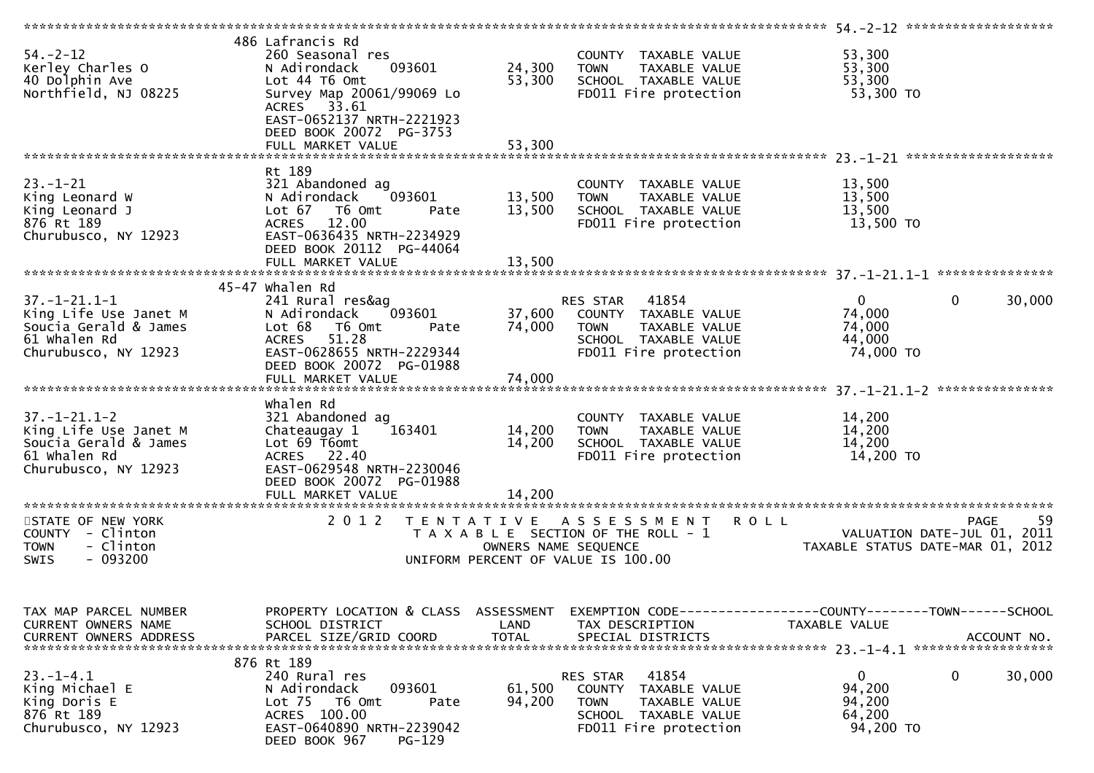| $54. - 2 - 12$<br>Kerley Charles O<br>40 Dolphin Ave<br>Northfield, NJ 08225                                        | 486 Lafrancis Rd<br>260 Seasonal res<br>093601<br>N Adirondack<br>Lot 44 T6 Omt<br>Survey Map 20061/99069 Lo<br>ACRES 33.61<br>EAST-0652137 NRTH-2221923<br>DEED BOOK 20072 PG-3753 | 24,300<br>53,300           | COUNTY TAXABLE VALUE<br>TAXABLE VALUE<br><b>TOWN</b><br>SCHOOL TAXABLE VALUE<br>FD011 Fire protection                      | 53,300<br>53,300<br>53,300<br>53,300 TO                                                        |
|---------------------------------------------------------------------------------------------------------------------|-------------------------------------------------------------------------------------------------------------------------------------------------------------------------------------|----------------------------|----------------------------------------------------------------------------------------------------------------------------|------------------------------------------------------------------------------------------------|
|                                                                                                                     | Rt 189                                                                                                                                                                              |                            |                                                                                                                            |                                                                                                |
| $23. - 1 - 21$<br>King Leonard W<br>King Leonard J<br>876 Rt 189<br>Churubusco, NY 12923                            | 321 Abandoned ag<br>N Adirondack<br>093601<br>Lot 67<br>T6 Omt<br>Pate<br>12.00<br><b>ACRES</b><br>EAST-0636435 NRTH-2234929<br>DEED BOOK 20112 PG-44064<br>FULL MARKET VALUE       | 13,500<br>13,500<br>13,500 | COUNTY TAXABLE VALUE<br>TAXABLE VALUE<br><b>TOWN</b><br>SCHOOL TAXABLE VALUE<br>FD011 Fire protection                      | 13,500<br>13,500<br>13,500<br>13,500 TO                                                        |
|                                                                                                                     |                                                                                                                                                                                     |                            |                                                                                                                            |                                                                                                |
| $37. - 1 - 21.1 - 1$<br>King Life Use Janet M<br>Soucia Gerald & James<br>61 Whalen Rd<br>Churubusco, NY 12923      | 45-47 whalen Rd<br>241 Rural res&ag<br>093601<br>N Adirondack<br>Lot 68<br>T6 Omt<br>Pate<br>51.28<br><b>ACRES</b><br>EAST-0628655 NRTH-2229344                                     | 37,600<br>74,000           | RES STAR<br>41854<br>COUNTY TAXABLE VALUE<br><b>TOWN</b><br>TAXABLE VALUE<br>SCHOOL TAXABLE VALUE<br>FD011 Fire protection | $\mathbf{0}$<br>$\overline{0}$<br>30,000<br>74,000<br>74,000<br>44,000<br>74,000 TO            |
|                                                                                                                     | DEED BOOK 20072 PG-01988                                                                                                                                                            |                            |                                                                                                                            |                                                                                                |
|                                                                                                                     | FULL MARKET VALUE                                                                                                                                                                   | 74,000                     |                                                                                                                            |                                                                                                |
| $37. - 1 - 21.1 - 2$<br>King Life Use Janet M<br>Soucia Gerald & James<br>61 Whalen Rd<br>Churubusco, NY 12923      | whalen Rd<br>321 Abandoned ag<br>163401<br>Chateaugay 1<br>Lot 69 T6omt<br>ACRES 22.40<br>EAST-0629548 NRTH-2230046<br>DEED BOOK 20072 PG-01988                                     | 14,200<br>14,200           | COUNTY TAXABLE VALUE<br>TAXABLE VALUE<br><b>TOWN</b><br>SCHOOL TAXABLE VALUE<br>FD011 Fire protection                      | 14,200<br>14,200<br>14,200<br>14,200 TO                                                        |
|                                                                                                                     | FULL MARKET VALUE                                                                                                                                                                   | 14,200                     |                                                                                                                            |                                                                                                |
| *************************<br>STATE OF NEW YORK<br>COUNTY - Clinton<br>- Clinton<br><b>TOWN</b><br>$-093200$<br>SWIS | **************************<br>2012<br>T E N T A T I V E                                                                                                                             | OWNERS NAME SEQUENCE       | ASSESSMENT ROLL<br>T A X A B L E SECTION OF THE ROLL - 1<br>UNIFORM PERCENT OF VALUE IS 100.00                             | 59<br><b>PAGE</b><br>VALUATION DATE-JUL 01,<br>2011<br>TAXABLE STATUS DATE-MAR 01, 2012        |
| TAX MAP PARCEL NUMBER<br>CURRENT OWNERS NAME<br><b>CURRENT OWNERS ADDRESS</b>                                       | PROPERTY LOCATION & CLASS ASSESSMENT<br>SCHOOL DISTRICT<br>PARCEL SIZE/GRID COORD                                                                                                   | LAND<br><b>TOTAL</b>       | TAX DESCRIPTION<br>SPECIAL DISTRICTS                                                                                       | EXEMPTION CODE------------------COUNTY--------TOWN------SCHOOL<br>TAXABLE VALUE<br>ACCOUNT NO. |
| $23 - 1 - 4.1$<br>King Michael E<br>King Doris E<br>876 Rt 189<br>Churubusco, NY 12923                              | 876 Rt 189<br>240 Rural res<br>N Adirondack<br>093601<br>Lot 75<br>T6 Omt<br>Pate<br>ACRES 100.00<br>EAST-0640890 NRTH-2239042<br>DEED BOOK 967<br><b>PG-129</b>                    | 61,500<br>94,200           | 41854<br>RES STAR<br>COUNTY TAXABLE VALUE<br><b>TOWN</b><br>TAXABLE VALUE<br>SCHOOL TAXABLE VALUE<br>FD011 Fire protection | $\mathbf{0}$<br>$\mathbf 0$<br>30,000<br>94,200<br>94,200<br>64,200<br>94,200 TO               |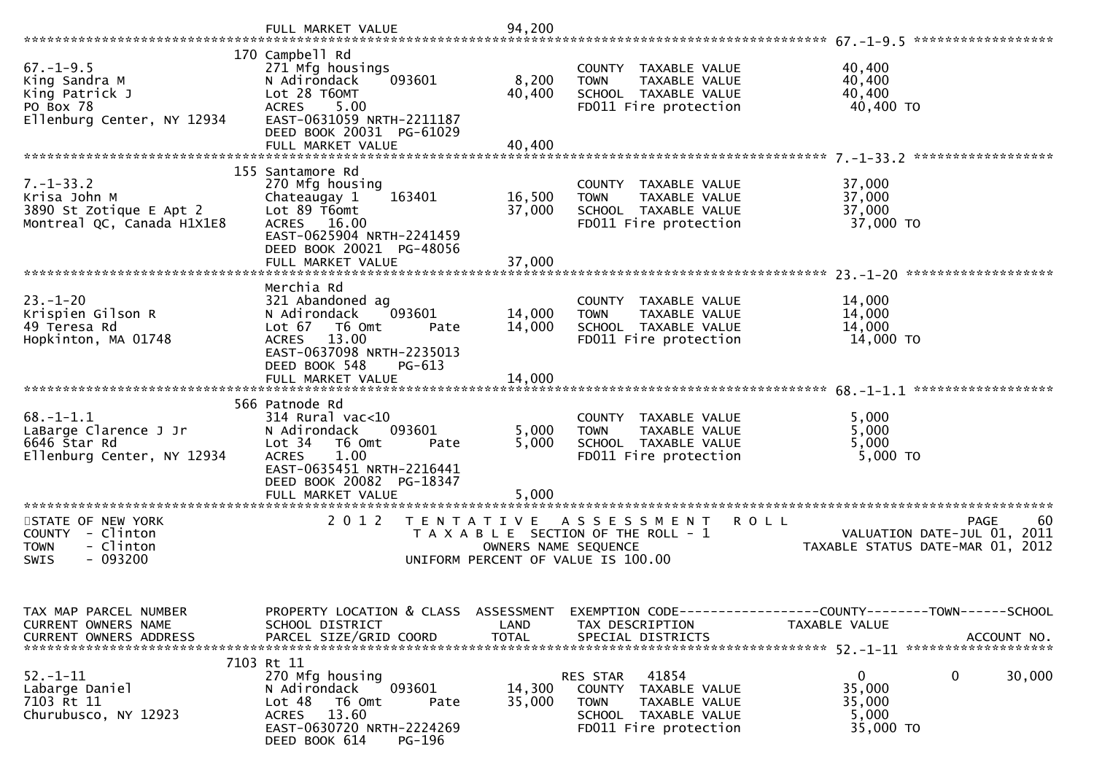|                                                                                               | FULL MARKET VALUE                                                                                                                                                                                | 94,200                     |                                                                                                                            |                                                                                                |
|-----------------------------------------------------------------------------------------------|--------------------------------------------------------------------------------------------------------------------------------------------------------------------------------------------------|----------------------------|----------------------------------------------------------------------------------------------------------------------------|------------------------------------------------------------------------------------------------|
| $67. - 1 - 9.5$<br>King Sandra M<br>King Patrick J<br>PO Box 78<br>Ellenburg Center, NY 12934 | 170 Campbell Rd<br>271 Mfg housings<br>N Adirondack<br>093601<br>Lot 28 T60MT<br>5.00<br><b>ACRES</b><br>EAST-0631059 NRTH-2211187<br>DEED BOOK 20031 PG-61029<br>FULL MARKET VALUE              | 8,200<br>40,400<br>40,400  | COUNTY TAXABLE VALUE<br>TAXABLE VALUE<br><b>TOWN</b><br>SCHOOL TAXABLE VALUE<br>FD011 Fire protection                      | 40,400<br>40,400<br>40,400<br>40,400 TO                                                        |
| $7. - 1 - 33.2$<br>Krisa John M<br>3890 St Zotique E Apt 2<br>Montreal QC, Canada H1X1E8      | 155 Santamore Rd<br>270 Mfg housing<br>Chateaugay 1<br>163401<br>Lot 89 T6omt<br>ACRES 16.00<br>EAST-0625904 NRTH-2241459<br>DEED BOOK 20021 PG-48056<br>FULL MARKET VALUE                       | 16,500<br>37,000<br>37,000 | COUNTY TAXABLE VALUE<br>TAXABLE VALUE<br><b>TOWN</b><br>SCHOOL TAXABLE VALUE<br>FD011 Fire protection                      | 37,000<br>37,000<br>37,000<br>37,000 TO                                                        |
| $23 - 1 - 20$<br>Krispien Gilson R<br>49 Teresa Rd<br>Hopkinton, MA 01748                     | Merchia Rd<br>321 Abandoned ag<br>093601<br>N Adirondack<br>Lot $67$<br>T6 Omt<br>Pate<br>13.00<br><b>ACRES</b><br>EAST-0637098 NRTH-2235013<br>DEED BOOK 548<br>PG-613<br>FULL MARKET VALUE     | 14,000<br>14,000<br>14,000 | COUNTY TAXABLE VALUE<br>TAXABLE VALUE<br><b>TOWN</b><br>SCHOOL TAXABLE VALUE<br>FD011 Fire protection                      | 14,000<br>14,000<br>14,000<br>14,000 TO                                                        |
| $68. - 1 - 1.1$<br>LaBarge Clarence J Jr<br>6646 Star Rd<br>Ellenburg Center, NY 12934        | 566 Patnode Rd<br>$314$ Rural vac<10<br>N Adirondack<br>093601<br>Lot 34<br>T6 Omt<br>Pate<br>1.00<br><b>ACRES</b><br>EAST-0635451 NRTH-2216441<br>DEED BOOK 20082 PG-18347<br>FULL MARKET VALUE | 5,000<br>5,000<br>5,000    | COUNTY TAXABLE VALUE<br>TAXABLE VALUE<br><b>TOWN</b><br>SCHOOL TAXABLE VALUE<br>FD011 Fire protection                      | 5,000<br>5,000<br>5,000<br>$5,000$ TO                                                          |
| STATE OF NEW YORK<br>COUNTY - Clinton<br><b>TOWN</b><br>- Clinton<br>$-093200$<br>SWIS        | 2012                                                                                                                                                                                             | OWNERS NAME SEQUENCE       | TENTATIVE ASSESSMENT<br>R O L L<br>T A X A B L E SECTION OF THE ROLL - 1<br>UNIFORM PERCENT OF VALUE IS 100.00             | 60<br>PAGE<br>2011<br>VALUATION DATE-JUL 01,<br>TAXABLE STATUS DATE-MAR 01, 2012               |
| TAX MAP PARCEL NUMBER<br>CURRENT OWNERS NAME<br><b>CURRENT OWNERS ADDRESS</b>                 | PROPERTY LOCATION & CLASS ASSESSMENT<br>SCHOOL DISTRICT<br>PARCEL SIZE/GRID COORD                                                                                                                | LAND<br><b>TOTAL</b>       | TAX DESCRIPTION<br>SPECIAL DISTRICTS                                                                                       | EXEMPTION CODE------------------COUNTY--------TOWN------SCHOOL<br>TAXABLE VALUE<br>ACCOUNT NO. |
| $52 - 1 - 11$<br>Labarge Daniel<br>7103 Rt 11<br>Churubusco, NY 12923                         | 7103 Rt 11<br>270 Mfg housing<br>093601<br>N Adirondack<br>Lot 48<br>T6 Omt<br>Pate<br>ACRES 13.60<br>EAST-0630720 NRTH-2224269<br>DEED BOOK 614<br>PG-196                                       | 14,300<br>35,000           | 41854<br>RES STAR<br>COUNTY TAXABLE VALUE<br>TAXABLE VALUE<br><b>TOWN</b><br>SCHOOL TAXABLE VALUE<br>FD011 Fire protection | $\mathbf{0}$<br>$\mathbf{0}$<br>30,000<br>35,000<br>35,000<br>5,000<br>35,000 TO               |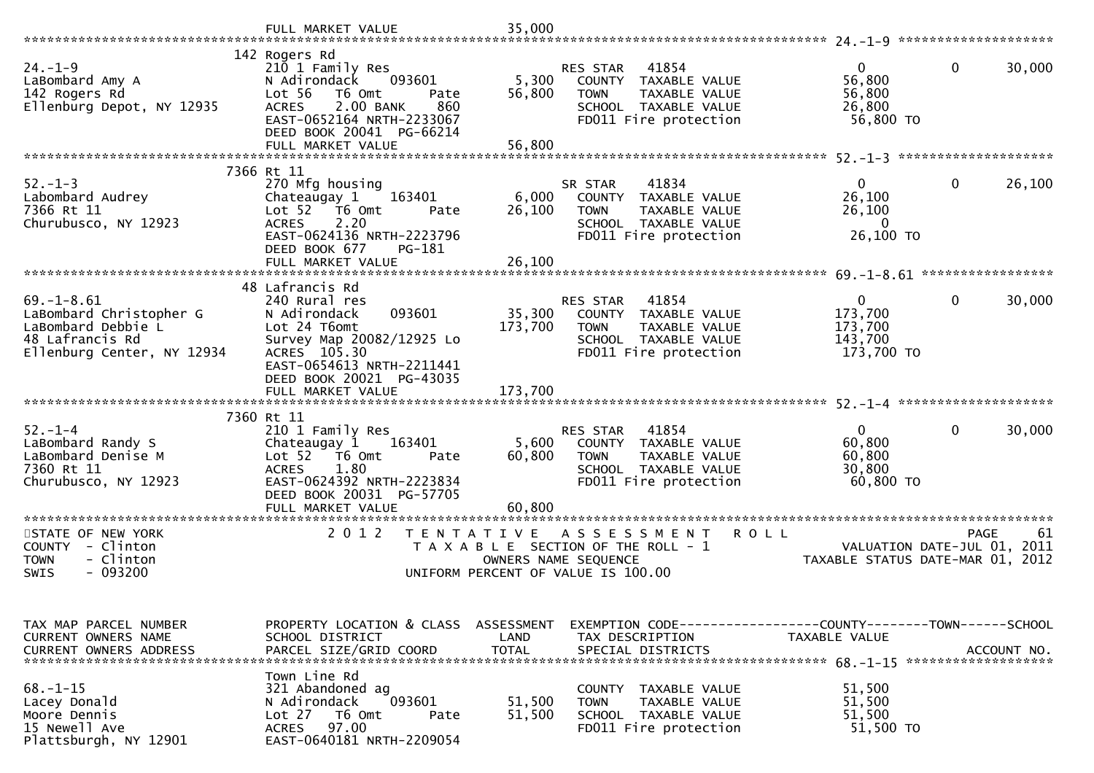|                                                                                                                    | FULL MARKET VALUE                                                                                                                                                   | 35,000               |                                                                                                                                           |                                                             |                                           |
|--------------------------------------------------------------------------------------------------------------------|---------------------------------------------------------------------------------------------------------------------------------------------------------------------|----------------------|-------------------------------------------------------------------------------------------------------------------------------------------|-------------------------------------------------------------|-------------------------------------------|
|                                                                                                                    | 142 Rogers Rd                                                                                                                                                       |                      |                                                                                                                                           |                                                             |                                           |
| $24. - 1 - 9$<br>LaBombard Amy A<br>142 Rogers Rd<br>Ellenburg Depot, NY 12935                                     | 210 1 Family Res<br>093601<br>N Adirondack<br>Lot 56<br>T6 Omt<br>Pate<br>2.00 BANK<br>860<br><b>ACRES</b><br>EAST-0652164 NRTH-2233067<br>DEED BOOK 20041 PG-66214 | 5,300<br>56,800      | 41854<br>RES STAR<br>COUNTY TAXABLE VALUE<br><b>TOWN</b><br>TAXABLE VALUE<br>SCHOOL TAXABLE VALUE<br>FD011 Fire protection                | $\overline{0}$<br>56,800<br>56,800<br>26,800<br>56,800 TO   | 0<br>30,000                               |
|                                                                                                                    | FULL MARKET VALUE                                                                                                                                                   | 56,800               |                                                                                                                                           |                                                             |                                           |
|                                                                                                                    |                                                                                                                                                                     |                      |                                                                                                                                           |                                                             |                                           |
| $52. - 1 - 3$                                                                                                      | 7366 Rt 11<br>270 Mfg housing                                                                                                                                       |                      | 41834<br>SR STAR                                                                                                                          | $\overline{0}$                                              | $\mathbf{0}$<br>26,100                    |
| Labombard Audrey<br>7366 Rt 11<br>Churubusco, NY 12923                                                             | 163401<br>Chateaugay 1<br>Lot 52  T6 Omt<br>Pate<br>2.20<br><b>ACRES</b><br>EAST-0624136 NRTH-2223796<br>DEED BOOK 677<br>PG-181                                    | 6,000<br>26,100      | COUNTY TAXABLE VALUE<br><b>TOWN</b><br>TAXABLE VALUE<br>SCHOOL TAXABLE VALUE<br>FD011 Fire protection                                     | 26,100<br>26,100<br>$\mathbf{0}$<br>26,100 ТО               |                                           |
|                                                                                                                    | FULL MARKET VALUE                                                                                                                                                   | 26,100               |                                                                                                                                           |                                                             |                                           |
|                                                                                                                    | 48 Lafrancis Rd                                                                                                                                                     |                      |                                                                                                                                           |                                                             |                                           |
| $69. - 1 - 8.61$<br>LaBombard Christopher G<br>LaBombard Debbie L<br>48 Lafrancis Rd<br>Ellenburg Center, NY 12934 | 240 Rural res<br>093601<br>N Adirondack<br>Lot 24 T6omt<br>Survey Map 20082/12925 Lo<br>ACRES 105.30<br>EAST-0654613 NRTH-2211441<br>DEED BOOK 20021 PG-43035       | 35,300<br>173,700    | RES STAR<br>41854<br>COUNTY TAXABLE VALUE<br><b>TOWN</b><br>TAXABLE VALUE<br>SCHOOL TAXABLE VALUE<br>FD011 Fire protection                | $\mathbf{0}$<br>173,700<br>173,700<br>143,700<br>173,700 TO | $\mathbf 0$<br>30,000                     |
|                                                                                                                    |                                                                                                                                                                     |                      |                                                                                                                                           |                                                             |                                           |
|                                                                                                                    | 7360 Rt 11                                                                                                                                                          |                      |                                                                                                                                           |                                                             |                                           |
| $52 - 1 - 4$<br>LaBombard Randy S<br>LaBombard Denise M<br>7360 Rt 11<br>Churubusco, NY 12923                      | 210 1 Family Res<br>163401<br>Chateaugay 1<br>Lot 52  T6 Omt<br>Pate<br>1.80<br><b>ACRES</b><br>EAST-0624392 NRTH-2223834<br>DEED BOOK 20031 PG-57705               | 5,600<br>60,800      | RES STAR<br>41854<br>COUNTY TAXABLE VALUE<br><b>TOWN</b><br>TAXABLE VALUE<br>SCHOOL TAXABLE VALUE<br>FD011 Fire protection                | $\overline{0}$<br>60,800<br>60,800<br>30,800<br>60,800 TO   | $\mathbf{0}$<br>30,000                    |
|                                                                                                                    | FULL MARKET VALUE                                                                                                                                                   | 60,800               |                                                                                                                                           |                                                             |                                           |
|                                                                                                                    |                                                                                                                                                                     |                      |                                                                                                                                           |                                                             |                                           |
| STATE OF NEW YORK<br>COUNTY - Clinton<br>- Clinton<br><b>TOWN</b><br>$-093200$<br><b>SWIS</b>                      | 2 0 1 2<br>T E N T A T I V E                                                                                                                                        |                      | A S S E S S M E N T<br><b>ROLL</b><br>T A X A B L E SECTION OF THE ROLL - 1<br>OWNERS NAME SEQUENCE<br>UNIFORM PERCENT OF VALUE IS 100.00 | TAXABLE STATUS DATE-MAR 01, 2012                            | PAGE<br>61<br>VALUATION DATE-JUL 01, 2011 |
|                                                                                                                    |                                                                                                                                                                     |                      |                                                                                                                                           |                                                             |                                           |
| TAX MAP PARCEL NUMBER<br>CURRENT OWNERS NAME<br><b>CURRENT OWNERS ADDRESS</b>                                      | PROPERTY LOCATION & CLASS ASSESSMENT<br>SCHOOL DISTRICT<br>PARCEL SIZE/GRID COORD                                                                                   | LAND<br><b>TOTAL</b> | EXEMPTION CODE------------------COUNTY--------TOWN------SCHOOL<br>TAX DESCRIPTION<br>SPECIAL DISTRICTS                                    | TAXABLE VALUE                                               | ACCOUNT NO.                               |
| $68. - 1 - 15$<br>Lacey Donald<br>Moore Dennis<br>15 Newell Ave<br>Plattsburgh, NY 12901                           | Town Line Rd<br>321 Abandoned ag<br>093601<br>N Adirondack<br>Lot 27<br>T6 Omt<br>Pate<br>97.00<br><b>ACRES</b><br>EAST-0640181 NRTH-2209054                        | 51,500<br>51,500     | COUNTY TAXABLE VALUE<br><b>TOWN</b><br>TAXABLE VALUE<br>SCHOOL TAXABLE VALUE<br>FD011 Fire protection                                     | 51,500<br>51,500<br>51,500<br>51,500 TO                     |                                           |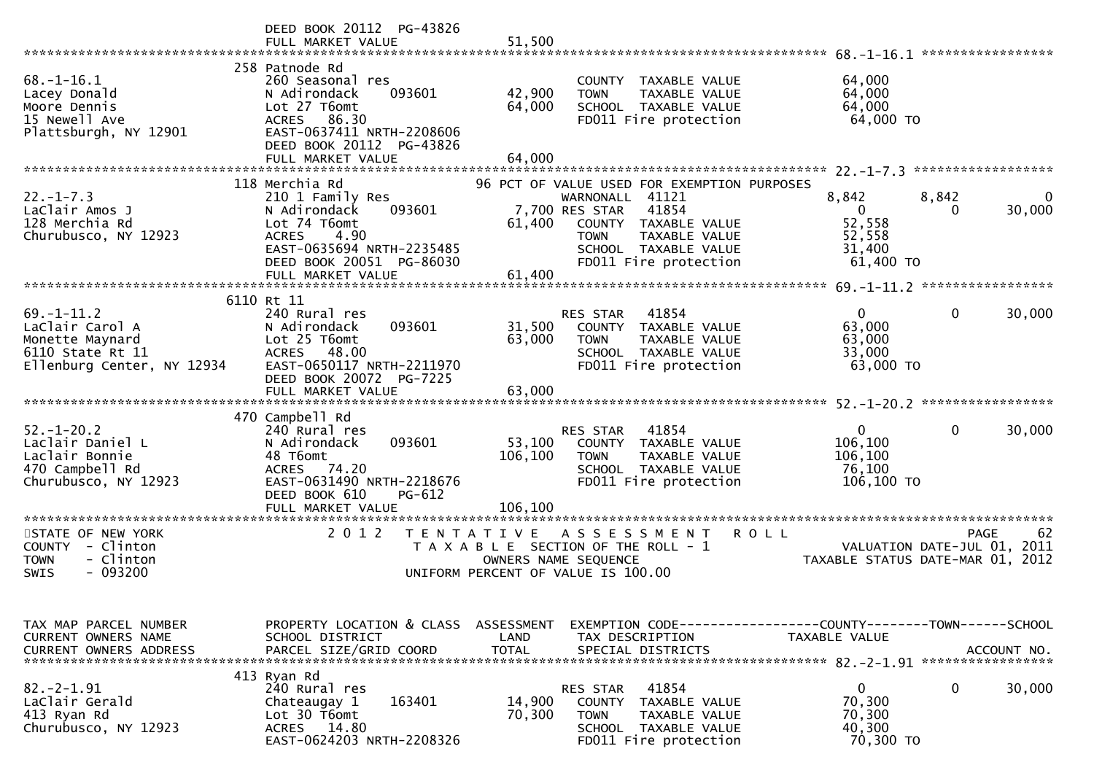|                                                                                                   | DEED BOOK 20112 PG-43826<br>FULL MARKET VALUE                                                                                                                                | 51,500                     |                                                                                                                                                                                                    | 68.–1–16.1                                                                     | *****************       |
|---------------------------------------------------------------------------------------------------|------------------------------------------------------------------------------------------------------------------------------------------------------------------------------|----------------------------|----------------------------------------------------------------------------------------------------------------------------------------------------------------------------------------------------|--------------------------------------------------------------------------------|-------------------------|
| $68. - 1 - 16.1$<br>Lacey Donald<br>Moore Dennis<br>15 Newell Ave<br>Plattsburgh, NY 12901        | 258 Patnode Rd<br>260 Seasonal res<br>093601<br>N Adirondack<br>Lot 27 T6omt<br>86.30<br>ACRES<br>EAST-0637411 NRTH-2208606<br>DEED BOOK 20112 PG-43826<br>FULL MARKET VALUE | 42,900<br>64,000<br>64,000 | COUNTY TAXABLE VALUE<br>TAXABLE VALUE<br><b>TOWN</b><br>SCHOOL TAXABLE VALUE<br>FD011 Fire protection                                                                                              | 64,000<br>64,000<br>64,000<br>64,000 TO                                        |                         |
|                                                                                                   |                                                                                                                                                                              |                            |                                                                                                                                                                                                    |                                                                                |                         |
| $22. - 1 - 7.3$<br>LaClair Amos J<br>128 Merchia Rd<br>Churubusco, NY 12923                       | 118 Merchia Rd<br>210 1 Family Res<br>093601<br>N Adirondack<br>Lot 74 T6omt<br>4.90<br><b>ACRES</b><br>EAST-0635694 NRTH-2235485<br>DEED BOOK 20051 PG-86030                | 61,400                     | 96 PCT OF VALUE USED FOR EXEMPTION PURPOSES<br>WARNONALL 41121<br>7,700 RES STAR<br>41854<br>COUNTY TAXABLE VALUE<br>TAXABLE VALUE<br><b>TOWN</b><br>SCHOOL TAXABLE VALUE<br>FD011 Fire protection | 8,842<br>8,842<br>$\mathbf{0}$<br>52,558<br>52,558<br>31,400<br>61,400 TO      | $\Omega$<br>30,000<br>0 |
|                                                                                                   | FULL MARKET VALUE                                                                                                                                                            | 61,400                     |                                                                                                                                                                                                    |                                                                                |                         |
| $69. - 1 - 11.2$                                                                                  | 6110 Rt 11<br>240 Rural res                                                                                                                                                  |                            | RES STAR<br>41854                                                                                                                                                                                  | 0                                                                              | 0<br>30,000             |
| LaClair Carol A<br>Monette Maynard<br>6110 State Rt 11<br>Ellenburg Center, NY 12934              | 093601<br>N Adirondack<br>Lot 25 T6omt<br>ACRES 48.00<br>EAST-0650117 NRTH-2211970<br>DEED BOOK 20072<br>PG-7225<br>FULL MARKET VALUE                                        | 31,500<br>63,000<br>63,000 | COUNTY<br>TAXABLE VALUE<br><b>TOWN</b><br>TAXABLE VALUE<br>SCHOOL TAXABLE VALUE<br>FD011 Fire protection                                                                                           | 63,000<br>63,000<br>33,000<br>63,000 TO                                        |                         |
|                                                                                                   |                                                                                                                                                                              |                            |                                                                                                                                                                                                    |                                                                                |                         |
| $52. - 1 - 20.2$<br>Laclair Daniel L<br>Laclair Bonnie<br>470 Campbell Rd<br>Churubusco, NY 12923 | 470 Campbell Rd<br>240 Rural res<br>093601<br>N Adirondack<br>48 T6omt<br>ACRES 74.20<br>EAST-0631490 NRTH-2218676                                                           | 53,100<br>106,100          | 41854<br>RES STAR<br>COUNTY TAXABLE VALUE<br><b>TOWN</b><br>TAXABLE VALUE<br>SCHOOL TAXABLE VALUE<br>FD011 Fire protection                                                                         | $\mathbf 0$<br>106,100<br>106,100<br>76,100<br>106,100 TO                      | 30,000<br>0             |
|                                                                                                   | DEED BOOK 610<br>PG-612<br>FULL MARKET VALUE<br>******************                                                                                                           | 106.100                    |                                                                                                                                                                                                    |                                                                                |                         |
| STATE OF NEW YORK<br>COUNTY - Clinton<br>- Clinton<br><b>TOWN</b><br>$-093200$<br>SWIS            | 2 0 1 2<br>T E N T A T I V E                                                                                                                                                 | OWNERS NAME SEQUENCE       | A S S E S S M E N T<br>T A X A B L E SECTION OF THE ROLL - 1<br>UNIFORM PERCENT OF VALUE IS 100.00                                                                                                 | <b>ROLL</b><br>VALUATION DATE-JUL 01, 2011<br>TAXABLE STATUS DATE-MAR 01, 2012 | 62<br><b>PAGE</b>       |
| TAX MAP PARCEL NUMBER                                                                             | PROPERTY LOCATION & CLASS                                                                                                                                                    | ASSESSMENT                 |                                                                                                                                                                                                    |                                                                                |                         |
| CURRENT OWNERS NAME<br><b>CURRENT OWNERS ADDRESS</b>                                              | SCHOOL DISTRICT<br>PARCEL SIZE/GRID COORD                                                                                                                                    | LAND<br><b>TOTAL</b>       | TAX DESCRIPTION<br>SPECIAL DISTRICTS                                                                                                                                                               | TAXABLE VALUE                                                                  | ACCOUNT NO.             |
|                                                                                                   | 413 Ryan Rd                                                                                                                                                                  |                            |                                                                                                                                                                                                    |                                                                                |                         |
| 82. – 2–1.91<br>LaClair Gerald<br>413 Ryan Rd<br>Churubusco, NY 12923                             | 240 Rural res<br>163401<br>Chateaugay 1<br>Lot 30 T6omt<br>ACRES 14.80<br>EAST-0624203 NRTH-2208326                                                                          | 14,900<br>70,300           | 41854<br>RES STAR<br>COUNTY<br>TAXABLE VALUE<br><b>TOWN</b><br>TAXABLE VALUE<br>SCHOOL TAXABLE VALUE<br>FD011 Fire protection                                                                      | $\mathbf 0$<br>70,300<br>70,300<br>40,300<br>70,300 TO                         | 0<br>30,000             |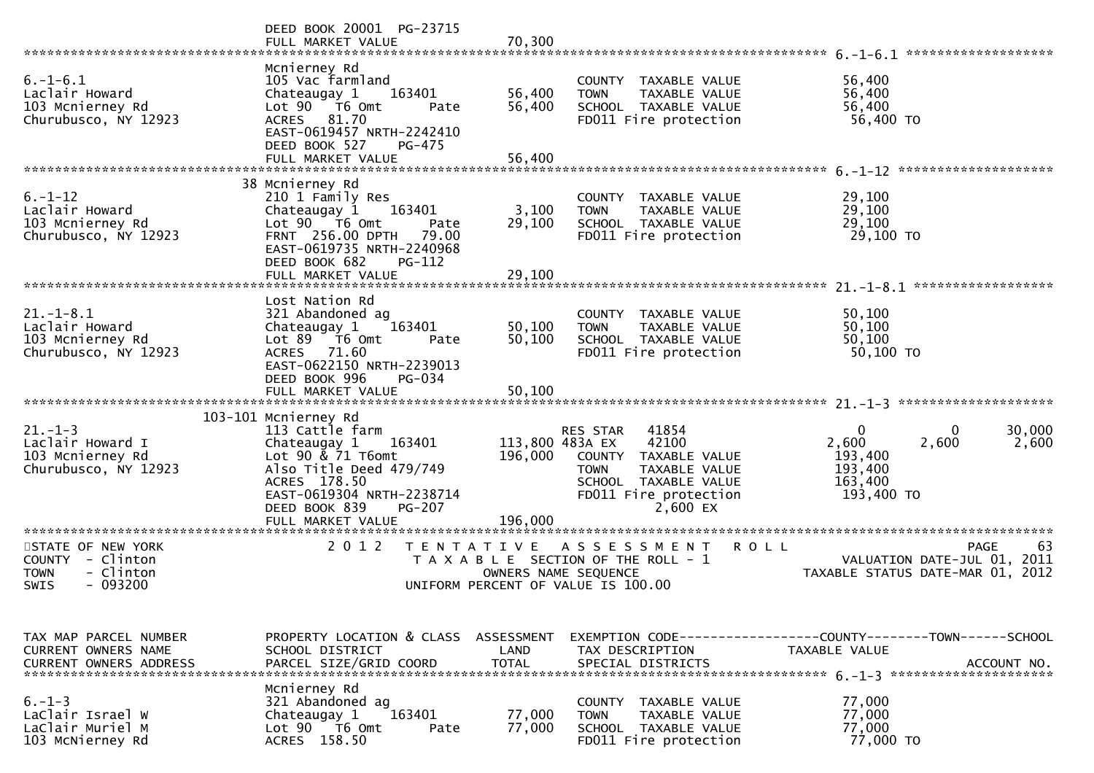|                                                                                               | DEED BOOK 20001 PG-23715<br>FULL MARKET VALUE                                                                                                                                                        | 70,300                     |                                                                                                                                                                    |                                                                                    |                   |
|-----------------------------------------------------------------------------------------------|------------------------------------------------------------------------------------------------------------------------------------------------------------------------------------------------------|----------------------------|--------------------------------------------------------------------------------------------------------------------------------------------------------------------|------------------------------------------------------------------------------------|-------------------|
| $6. - 1 - 6.1$<br>Laclair Howard<br>103 Mcnierney Rd<br>Churubusco, NY 12923                  | Mcnierney Rd<br>105 Vac farmland<br>163401<br>Chateaugay 1<br>Lot 90  T6 0mt<br>Pate<br>81.70<br><b>ACRES</b><br>EAST-0619457 NRTH-2242410<br>DEED BOOK 527<br>PG-475<br>FULL MARKET VALUE           | 56,400<br>56,400<br>56,400 | COUNTY TAXABLE VALUE<br>TAXABLE VALUE<br><b>TOWN</b><br>SCHOOL TAXABLE VALUE<br>FD011 Fire protection                                                              | 56,400<br>56,400<br>56,400<br>56,400 TO                                            |                   |
|                                                                                               |                                                                                                                                                                                                      |                            |                                                                                                                                                                    |                                                                                    |                   |
| $6. - 1 - 12$<br>Laclair Howard<br>103 Mcnierney Rd<br>Churubusco, NY 12923                   | 38 Mcnierney Rd<br>210 1 Family Res<br>Chateaugay 1<br>163401<br>Lot $90$ $76$ Omt<br>Pate<br>FRNT 256.00 DPTH<br>79.00<br>EAST-0619735 NRTH-2240968<br>DEED BOOK 682<br>PG-112<br>FULL MARKET VALUE | 3,100<br>29,100<br>29,100  | COUNTY TAXABLE VALUE<br>TAXABLE VALUE<br><b>TOWN</b><br>SCHOOL TAXABLE VALUE<br>FD011 Fire protection                                                              | 29,100<br>29,100<br>29,100<br>29,100 TO                                            |                   |
|                                                                                               |                                                                                                                                                                                                      |                            |                                                                                                                                                                    |                                                                                    |                   |
| $21. - 1 - 8.1$<br>Laclair Howard<br>103 Mcnierney Rd<br>Churubusco, NY 12923                 | Lost Nation Rd<br>321 Abandoned ag<br>163401<br>Chateaugay 1<br>$Lot 89$ T6 Omt<br>Pate<br>ACRES 71.60<br>EAST-0622150 NRTH-2239013<br>DEED BOOK 996<br>PG-034                                       | 50,100<br>50,100           | COUNTY TAXABLE VALUE<br>TAXABLE VALUE<br><b>TOWN</b><br>SCHOOL TAXABLE VALUE<br>FD011 Fire protection                                                              | 50,100<br>50,100<br>50,100<br>50,100 TO                                            |                   |
|                                                                                               |                                                                                                                                                                                                      |                            |                                                                                                                                                                    |                                                                                    |                   |
|                                                                                               | 103-101 Mcnierney Rd                                                                                                                                                                                 |                            |                                                                                                                                                                    |                                                                                    |                   |
| $21. - 1 - 3$<br>Laclair Howard I<br>103 Mcnierney Rd<br>Churubusco, NY 12923                 | 113 Cattle farm<br>Chateaugay 1<br>163401<br>Lot $90 \& 71$ T6omt<br>Also Title Deed 479/749<br>ACRES 178.50<br>EAST-0619304 NRTH-2238714<br>DEED BOOK 839<br>PG-207<br>FULL MARKET VALUE            | 196,000<br>196,000         | RES STAR<br>41854<br>113,800 483A EX<br>42100<br>COUNTY TAXABLE VALUE<br>TAXABLE VALUE<br><b>TOWN</b><br>SCHOOL TAXABLE VALUE<br>FD011 Fire protection<br>2,600 EX | $\mathbf{0}$<br>0<br>2,600<br>2,600<br>193,400<br>193,400<br>163,400<br>193,400 TO | 30,000<br>2,600   |
|                                                                                               |                                                                                                                                                                                                      |                            |                                                                                                                                                                    |                                                                                    |                   |
| STATE OF NEW YORK<br>COUNTY - Clinton<br><b>TOWN</b><br>- Clinton<br>$-093200$<br><b>SWIS</b> | 2 0 1 2<br>T E N T A T I V E                                                                                                                                                                         |                            | A S S E S S M E N T<br>T A X A B L E SECTION OF THE ROLL - 1<br>OWNERS NAME SEQUENCE<br>UNIFORM PERCENT OF VALUE IS 100.00                                         | <b>ROLL</b><br>VALUATION DATE-JUL 01, 2011<br>TAXABLE STATUS DATE-MAR 01, 2012     | <b>PAGE</b><br>63 |
|                                                                                               |                                                                                                                                                                                                      |                            |                                                                                                                                                                    |                                                                                    |                   |
| TAX MAP PARCEL NUMBER<br>CURRENT OWNERS NAME<br><b>CURRENT OWNERS ADDRESS</b>                 | PROPERTY LOCATION & CLASS ASSESSMENT<br>SCHOOL DISTRICT<br>PARCEL SIZE/GRID COORD                                                                                                                    | LAND<br><b>TOTAL</b>       | TAX DESCRIPTION<br>SPECIAL DISTRICTS                                                                                                                               | TAXABLE VALUE                                                                      | ACCOUNT NO.       |
| $6. - 1 - 3$<br>LaClair Israel W<br>LaClair Muriel M<br>103 McNierney Rd                      | Mcnierney Rd<br>321 Abandoned ag<br>163401<br>Chateaugay 1<br>Lot 90  T6 0mt<br>Pate<br>ACRES 158.50                                                                                                 | 77,000<br>77,000           | COUNTY TAXABLE VALUE<br><b>TOWN</b><br>TAXABLE VALUE<br>SCHOOL TAXABLE VALUE<br>FD011 Fire protection                                                              | 77,000<br>77,000<br>77,000<br>77,000 TO                                            |                   |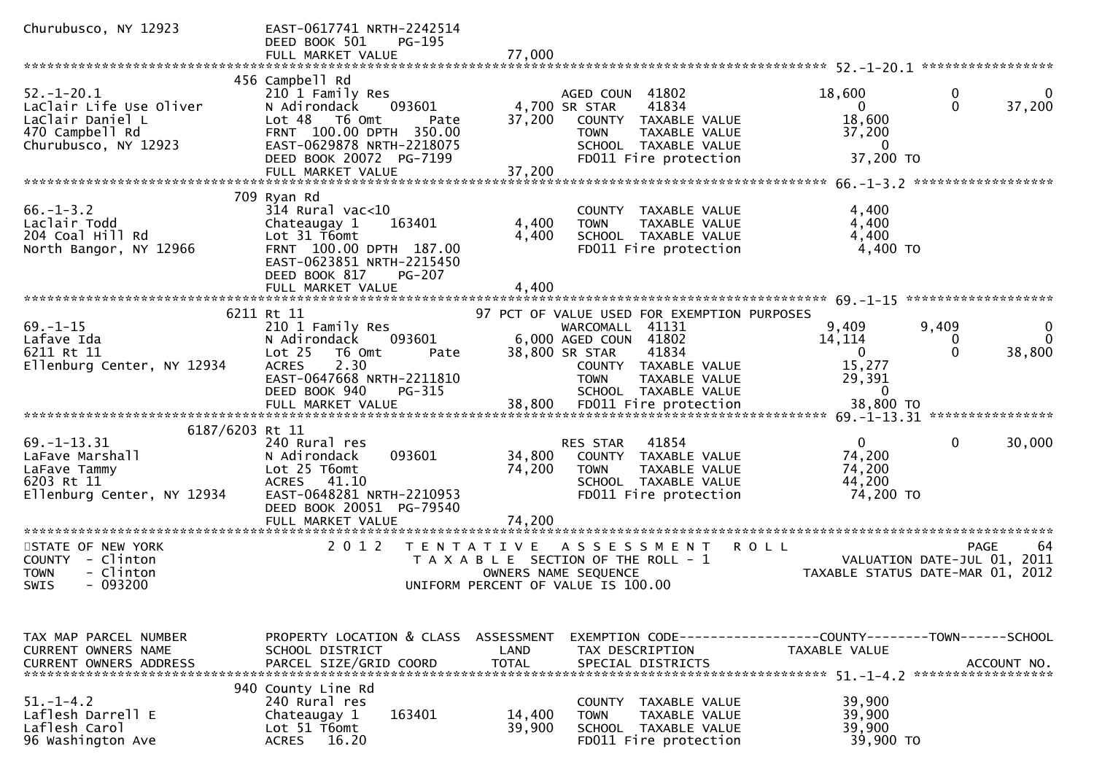| Churubusco, NY 12923                                                                                                | EAST-0617741 NRTH-2242514<br>DEED BOOK 501<br>PG-195<br>FULL MARKET VALUE                                                                                                                                    | 77,000                                                                                                                                                                                             |                                                                                                                   |
|---------------------------------------------------------------------------------------------------------------------|--------------------------------------------------------------------------------------------------------------------------------------------------------------------------------------------------------------|----------------------------------------------------------------------------------------------------------------------------------------------------------------------------------------------------|-------------------------------------------------------------------------------------------------------------------|
|                                                                                                                     |                                                                                                                                                                                                              |                                                                                                                                                                                                    |                                                                                                                   |
| $52. - 1 - 20.1$<br>LaClair Life Use Oliver<br>LaClair Daniel L<br>470 Campbell Rd<br>Churubusco, NY 12923          | 456 Campbell Rd<br>210 1 Family Res<br>N Adirondack<br>093601<br>Lot <sub>48</sub><br>T6 Omt<br>Pate<br>FRNT 100.00 DPTH 350.00<br>EAST-0629878 NRTH-2218075<br>DEED BOOK 20072 PG-7199<br>FULL MARKET VALUE | AGED COUN 41802<br>4,700 SR STAR<br>41834<br>37,200<br>COUNTY<br>TAXABLE VALUE<br>TAXABLE VALUE<br><b>TOWN</b><br>SCHOOL TAXABLE VALUE<br>FD011 Fire protection<br>37,200                          | 18,600<br>0<br>$\Omega$<br>37,200<br>$\Omega$<br>18,600<br>37,200<br>0<br>37,200 TO                               |
|                                                                                                                     |                                                                                                                                                                                                              |                                                                                                                                                                                                    |                                                                                                                   |
| $66. - 1 - 3.2$<br>Laclair Todd<br>204 Coal Hill Rd<br>North Bangor, NY 12966                                       | 709 Ryan Rd<br>$314$ Rural vac<10<br>Chateaugay 1<br>163401<br>Lot 31 T6omt<br>FRNT 100.00 DPTH 187.00<br>EAST-0623851 NRTH-2215450<br>DEED BOOK 817<br>$PG-207$                                             | COUNTY TAXABLE VALUE<br>4,400<br><b>TOWN</b><br>TAXABLE VALUE<br>4,400<br>SCHOOL TAXABLE VALUE<br>FD011 Fire protection                                                                            | 4,400<br>4,400<br>4,400<br>4,400 TO                                                                               |
|                                                                                                                     | FULL MARKET VALUE                                                                                                                                                                                            | 4,400                                                                                                                                                                                              |                                                                                                                   |
|                                                                                                                     |                                                                                                                                                                                                              |                                                                                                                                                                                                    | $69. -1 - 15$ *********************                                                                               |
| $69. - 1 - 15$<br>Lafave Ida<br>6211 Rt 11<br>Ellenburg Center, NY 12934                                            | 6211 Rt 11<br>210 1 Family Res<br>093601<br>N Adirondack<br>Lot <sub>25</sub><br>T6 Omt<br>Pate<br>2.30<br><b>ACRES</b><br>EAST-0647668 NRTH-2211810<br>DEED BOOK 940<br>PG-315                              | 97 PCT OF VALUE USED FOR EXEMPTION PURPOSES<br>WARCOMALL 41131<br>6,000 AGED COUN 41802<br>38,800 SR STAR<br>41834<br>COUNTY TAXABLE VALUE<br><b>TOWN</b><br>TAXABLE VALUE<br>SCHOOL TAXABLE VALUE | 9,409<br>9,409<br>0<br>14,114<br>$\Omega$<br>0<br>$\mathbf{0}$<br>$\mathbf{0}$<br>38,800<br>15,277<br>29,391<br>0 |
|                                                                                                                     | FULL MARKET VALUE                                                                                                                                                                                            | 38,800<br>FD011 Fire protection                                                                                                                                                                    | 38,800 TO                                                                                                         |
|                                                                                                                     |                                                                                                                                                                                                              |                                                                                                                                                                                                    |                                                                                                                   |
| 6187/6203 Rt 11<br>$69. - 1 - 13.31$<br>LaFave Marshall<br>LaFave Tammy<br>6203 Rt 11<br>Ellenburg Center, NY 12934 | 240 Rural res<br>093601<br>N Adirondack<br>Lot 25 T6omt<br>41.10<br><b>ACRES</b><br>EAST-0648281 NRTH-2210953<br>DEED BOOK 20051 PG-79540<br>FULL MARKET VALUE                                               | 41854<br>RES STAR<br>34,800<br>COUNTY<br>TAXABLE VALUE<br>74,200<br>TAXABLE VALUE<br><b>TOWN</b><br>SCHOOL TAXABLE VALUE<br>FD011 Fire protection<br>74,200                                        | $\Omega$<br>0<br>30,000<br>74,200<br>74,200<br>44,200<br>74,200 TO                                                |
|                                                                                                                     | *******************                                                                                                                                                                                          |                                                                                                                                                                                                    |                                                                                                                   |
| STATE OF NEW YORK<br>COUNTY - Clinton<br>- Clinton<br><b>TOWN</b><br>$-093200$<br>SWIS                              | 2 0 1 2                                                                                                                                                                                                      | T E N T A T I V E<br>ASSESSMENT<br><b>ROLL</b><br>T A X A B L E SECTION OF THE ROLL - 1<br>OWNERS NAME SEQUENCE<br>UNIFORM PERCENT OF VALUE IS 100.00                                              | <b>PAGE</b><br>64<br>VALUATION DATE-JUL 01, 2011<br>TAXABLE STATUS DATE-MAR 01,<br>2012                           |
| TAX MAP PARCEL NUMBER<br>CURRENT OWNERS NAME                                                                        | PROPERTY LOCATION & CLASS<br>SCHOOL DISTRICT                                                                                                                                                                 | ASSESSMENT<br>LAND<br>TAX DESCRIPTION                                                                                                                                                              | EXEMPTION CODE-----------------COUNTY-------TOWN------SCHOOL<br>TAXABLE VALUE                                     |
| <b>CURRENT OWNERS ADDRESS</b>                                                                                       | PARCEL SIZE/GRID COORD                                                                                                                                                                                       | <b>TOTAL</b><br>SPECIAL DISTRICTS                                                                                                                                                                  | ACCOUNT NO.                                                                                                       |
| $51. - 1 - 4.2$<br>Laflesh Darrell E<br>Laflesh Carol<br>96 Washington Ave                                          | 940 County Line Rd<br>240 Rural res<br>163401<br>Chateaugay 1<br>Lot 51 T6omt<br>16.20<br><b>ACRES</b>                                                                                                       | COUNTY TAXABLE VALUE<br>14,400<br><b>TOWN</b><br>TAXABLE VALUE<br>39,900<br>SCHOOL TAXABLE VALUE<br>FD011 Fire protection                                                                          | 39,900<br>39,900<br>39,900<br>39,900 TO                                                                           |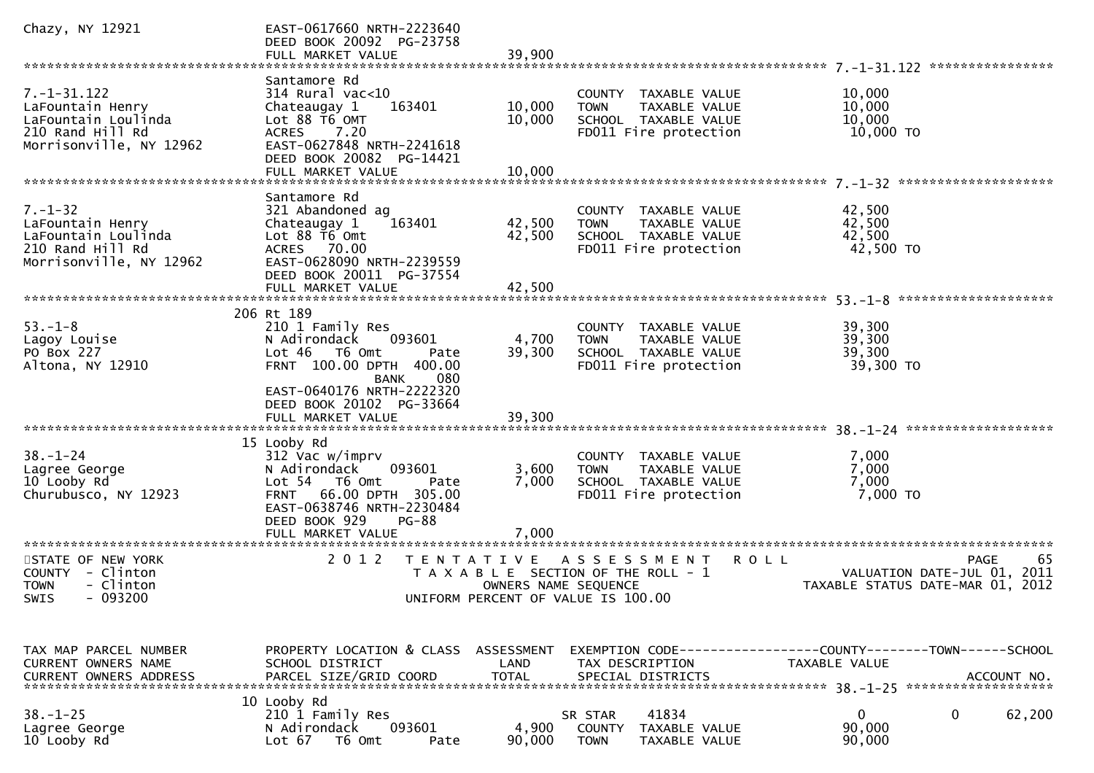| Chazy, NY 12921                                                                                             | EAST-0617660 NRTH-2223640<br>DEED BOOK 20092 PG-23758<br>FULL MARKET VALUE                                                                                                                               | 39,900                     |                                                                                                                                           |                                                                                              |
|-------------------------------------------------------------------------------------------------------------|----------------------------------------------------------------------------------------------------------------------------------------------------------------------------------------------------------|----------------------------|-------------------------------------------------------------------------------------------------------------------------------------------|----------------------------------------------------------------------------------------------|
| $7. - 1 - 31.122$<br>LaFountain Henry<br>LaFountain Loulinda<br>210 Rand Hill Rd<br>Morrisonville, NY 12962 | Santamore Rd<br>314 Rural vac<10<br>163401<br>Chateaugay 1<br>Lot 88 T6 OMT<br>ACRES 7.20<br>EAST-0627848 NRTH-2241618<br>DEED BOOK 20082 PG-14421<br>FULL MARKET VALUE                                  | 10,000<br>10,000<br>10,000 | COUNTY TAXABLE VALUE<br>TAXABLE VALUE<br><b>TOWN</b><br>SCHOOL TAXABLE VALUE<br>FD011 Fire protection                                     | ****************<br>10,000<br>10,000<br>10,000<br>10,000 TO                                  |
| $7. - 1 - 32$<br>LaFountain Henry<br>LaFountain Loulinda<br>210 Rand Hill Rd<br>Morrisonville, NY 12962     | Santamore Rd<br>321 Abandoned ag<br>163401<br>Chateaugay 1<br>Lot 88 T6 Omt<br>ACRES 70.00<br>EAST-0628090 NRTH-2239559<br>DEED BOOK 20011 PG-37554<br>FULL MARKET VALUE                                 | 42,500<br>42,500<br>42,500 | COUNTY TAXABLE VALUE<br>TAXABLE VALUE<br><b>TOWN</b><br>SCHOOL TAXABLE VALUE<br>FD011 Fire protection                                     | 42,500<br>42,500<br>42,500<br>42,500 TO                                                      |
| $53. - 1 - 8$<br>Lagoy Louise<br>PO Box 227<br>Altona, NY 12910                                             | 206 Rt 189<br>210 1 Family Res<br>N Adirondack<br>093601<br>Lot 46 T6 Omt<br>Pate<br>FRNT 100.00 DPTH 400.00<br>080<br><b>BANK</b><br>EAST-0640176 NRTH-2222320<br>DEED BOOK 20102 PG-33664              | 4,700<br>39,300            | COUNTY TAXABLE VALUE<br><b>TOWN</b><br>TAXABLE VALUE<br>SCHOOL TAXABLE VALUE<br>FD011 Fire protection                                     | *********************<br>39,300<br>39,300<br>39,300<br>39,300 TO                             |
| $38. - 1 - 24$<br>Lagree George<br>10 Looby Rd<br>Churubusco, NY 12923                                      | 15 Looby Rd<br>312 Vac w/imprv<br>093601<br>N Adirondack<br>Lot 54 T6 Omt<br>Pate<br><b>FRNT</b><br>66.00 DPTH 305.00<br>EAST-0638746 NRTH-2230484<br>DEED BOOK 929<br><b>PG-88</b><br>FULL MARKET VALUE | 3,600<br>7,000<br>7,000    | COUNTY TAXABLE VALUE<br>TAXABLE VALUE<br><b>TOWN</b><br>SCHOOL TAXABLE VALUE<br>FD011 Fire protection                                     | 7,000<br>7,000<br>7,000<br>7,000 TO                                                          |
| STATE OF NEW YORK<br>COUNTY - Clinton<br>- Clinton<br><b>TOWN</b><br>SWIS - 093200                          | 2 0 1 2<br>T E N T A T I V E                                                                                                                                                                             |                            | A S S E S S M E N T<br><b>ROLL</b><br>T A X A B L E SECTION OF THE ROLL - 1<br>OWNERS NAME SEQUENCE<br>UNIFORM PERCENT OF VALUE IS 100.00 | <b>PAGE</b><br>65<br>2011<br>VALUATION DATE-JUL 01,<br>TAXABLE STATUS DATE-MAR 01, 2012      |
| TAX MAP PARCEL NUMBER<br>CURRENT OWNERS NAME<br><b>CURRENT OWNERS ADDRESS</b>                               | PROPERTY LOCATION & CLASS ASSESSMENT<br>SCHOOL DISTRICT<br>PARCEL SIZE/GRID COORD<br>10 Looby Rd                                                                                                         | LAND<br><b>TOTAL</b>       | TAX DESCRIPTION<br>SPECIAL DISTRICTS                                                                                                      | EXEMPTION CODE-----------------COUNTY-------TOWN------SCHOOL<br>TAXABLE VALUE<br>ACCOUNT NO. |
| $38. - 1 - 25$<br>Lagree George<br>10 Looby Rd                                                              | 210 1 Family Res<br>N Adirondack<br>093601<br>Lot $67$<br>T6 Omt<br>Pate                                                                                                                                 | 4,900<br>90,000            | 41834<br>SR STAR<br>COUNTY<br>TAXABLE VALUE<br><b>TOWN</b><br>TAXABLE VALUE                                                               | $\mathbf{0}$<br>62,200<br>0<br>90,000<br>90,000                                              |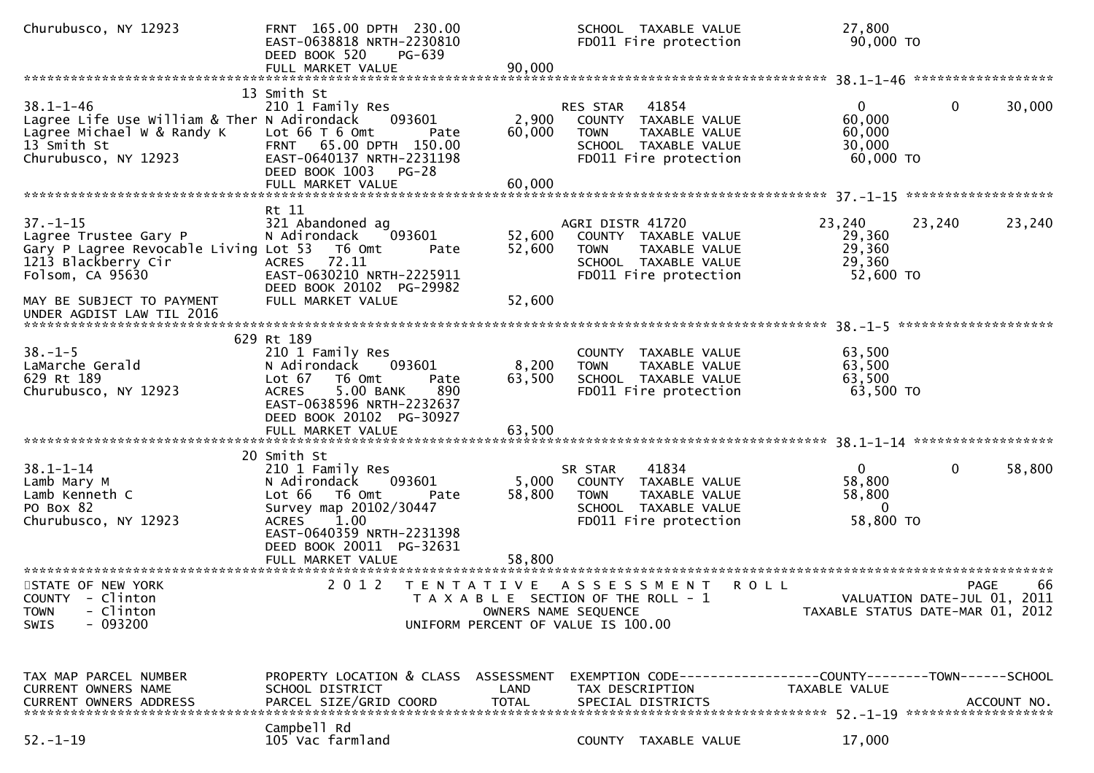| Churubusco, NY 12923                                                                                                                | FRNT 165.00 DPTH 230.00<br>EAST-0638818 NRTH-2230810<br>DEED BOOK 520<br>PG-639<br>FULL MARKET VALUE                                                    | 90,000               |                                                                                                    | SCHOOL TAXABLE VALUE<br>FD011 Fire protection                                                   | 27,800<br>90,000 TO                                            |                                            |             |
|-------------------------------------------------------------------------------------------------------------------------------------|---------------------------------------------------------------------------------------------------------------------------------------------------------|----------------------|----------------------------------------------------------------------------------------------------|-------------------------------------------------------------------------------------------------|----------------------------------------------------------------|--------------------------------------------|-------------|
|                                                                                                                                     |                                                                                                                                                         |                      |                                                                                                    |                                                                                                 |                                                                |                                            |             |
| $38.1 - 1 - 46$<br>Lagree Life Use William & Ther N Adirondack<br>Lagree Michael W & Randy K<br>13 Smith St<br>Churubusco, NY 12923 | 13 Smith St<br>210 1 Family Res<br>093601<br>Lot $66T6$ Omt<br>Pate<br>FRNT 65.00 DPTH 150.00<br>EAST-0640137 NRTH-2231198<br>DEED BOOK 1003<br>$PG-28$ | 2,900<br>60,000      | RES STAR<br><b>TOWN</b>                                                                            | 41854<br>COUNTY TAXABLE VALUE<br>TAXABLE VALUE<br>SCHOOL TAXABLE VALUE<br>FD011 Fire protection | $\Omega$<br>60,000<br>60,000<br>30,000<br>60,000 TO            | $\mathbf{0}$                               | 30,000      |
|                                                                                                                                     |                                                                                                                                                         |                      |                                                                                                    |                                                                                                 |                                                                |                                            |             |
| $37. - 1 - 15$<br>Lagree Trustee Gary P<br>Gary P Lagree Revocable Living Lot 53<br>1213 Blackberry Cir<br>Folsom, CA 95630         | Rt 11<br>321 Abandoned ag<br>093601<br>N Adirondack<br>T6 Omt<br>Pate<br>72.11<br><b>ACRES</b><br>EAST-0630210 NRTH-2225911<br>DEED BOOK 20102 PG-29982 | 52,600<br>52,600     | AGRI DISTR 41720<br><b>TOWN</b>                                                                    | COUNTY TAXABLE VALUE<br>TAXABLE VALUE<br>SCHOOL TAXABLE VALUE<br>FD011 Fire protection          | 23,240<br>29,360<br>29,360<br>29,360<br>52,600 TO              | 23,240                                     | 23,240      |
| MAY BE SUBJECT TO PAYMENT                                                                                                           | FULL MARKET VALUE                                                                                                                                       | 52,600               |                                                                                                    |                                                                                                 |                                                                |                                            |             |
|                                                                                                                                     |                                                                                                                                                         |                      |                                                                                                    |                                                                                                 |                                                                |                                            |             |
|                                                                                                                                     |                                                                                                                                                         |                      |                                                                                                    |                                                                                                 |                                                                |                                            |             |
|                                                                                                                                     | 629 Rt 189                                                                                                                                              |                      |                                                                                                    |                                                                                                 |                                                                |                                            |             |
| $38. - 1 - 5$                                                                                                                       | 210 1 Family Res                                                                                                                                        |                      |                                                                                                    | COUNTY TAXABLE VALUE                                                                            | 63,500                                                         |                                            |             |
| LaMarche Gerald                                                                                                                     | N Adirondack<br>093601                                                                                                                                  | 8,200                | <b>TOWN</b>                                                                                        | TAXABLE VALUE                                                                                   | 63,500                                                         |                                            |             |
| 629 Rt 189                                                                                                                          | Lot 67<br>T6 Omt<br>Pate                                                                                                                                | 63,500               |                                                                                                    | SCHOOL TAXABLE VALUE                                                                            | 63,500                                                         |                                            |             |
| Churubusco, NY 12923                                                                                                                |                                                                                                                                                         |                      |                                                                                                    |                                                                                                 |                                                                |                                            |             |
|                                                                                                                                     | 5.00 BANK<br>890<br><b>ACRES</b><br>EAST-0638596 NRTH-2232637<br>DEED BOOK 20102 PG-30927                                                               |                      |                                                                                                    | FD011 Fire protection                                                                           | 63,500 TO                                                      |                                            |             |
|                                                                                                                                     |                                                                                                                                                         |                      |                                                                                                    |                                                                                                 |                                                                |                                            |             |
| $38.1 - 1 - 14$                                                                                                                     | 20 Smith St<br>210 1 Family Res                                                                                                                         |                      | SR STAR                                                                                            | 41834                                                                                           | $\mathbf{0}$                                                   | $\mathbf 0$                                | 58,800      |
| Lamb Mary M                                                                                                                         | N Adirondack<br>093601                                                                                                                                  | 5,000                |                                                                                                    | COUNTY TAXABLE VALUE                                                                            | 58,800                                                         |                                            |             |
| Lamb Kenneth C                                                                                                                      | Lot 66<br>T6 Omt<br>Pate                                                                                                                                | 58,800               | <b>TOWN</b>                                                                                        | TAXABLE VALUE                                                                                   | 58,800                                                         |                                            |             |
| PO Box 82                                                                                                                           | Survey map 20102/30447                                                                                                                                  |                      |                                                                                                    | SCHOOL TAXABLE VALUE                                                                            | $\Omega$                                                       |                                            |             |
| Churubusco, NY 12923                                                                                                                | 1.00<br><b>ACRES</b><br>EAST-0640359 NRTH-2231398<br>DEED BOOK 20011 PG-32631                                                                           |                      |                                                                                                    | FD011 Fire protection                                                                           | 58,800 TO                                                      |                                            |             |
|                                                                                                                                     | FULL MARKET VALUE                                                                                                                                       | 58,800               |                                                                                                    |                                                                                                 |                                                                |                                            |             |
| STATE OF NEW YORK<br>COUNTY - Clinton<br>- Clinton<br><b>TOWN</b><br>$-093200$<br><b>SWIS</b>                                       | 2 0 1 2<br>T E N T A T I V E                                                                                                                            | OWNERS NAME SEQUENCE | A S S E S S M E N T<br>T A X A B L E SECTION OF THE ROLL - 1<br>UNIFORM PERCENT OF VALUE IS 100.00 | <b>ROLL</b>                                                                                     | TAXABLE STATUS DATE-MAR 01, 2012                               | <b>PAGE</b><br>VALUATION DATE-JUL 01, 2011 | 66          |
| TAX MAP PARCEL NUMBER                                                                                                               | PROPERTY LOCATION & CLASS ASSESSMENT                                                                                                                    |                      |                                                                                                    |                                                                                                 | EXEMPTION CODE------------------COUNTY--------TOWN------SCHOOL |                                            |             |
| CURRENT OWNERS NAME<br><b>CURRENT OWNERS ADDRESS</b>                                                                                | SCHOOL DISTRICT<br>PARCEL SIZE/GRID COORD                                                                                                               | LAND<br><b>TOTAL</b> | TAX DESCRIPTION<br>SPECIAL DISTRICTS                                                               |                                                                                                 | TAXABLE VALUE                                                  |                                            | ACCOUNT NO. |
|                                                                                                                                     | Campbell Rd                                                                                                                                             |                      |                                                                                                    |                                                                                                 |                                                                |                                            |             |
| $52. - 1 - 19$                                                                                                                      | 105 Vac farmland                                                                                                                                        |                      |                                                                                                    | COUNTY TAXABLE VALUE                                                                            | 17,000                                                         |                                            |             |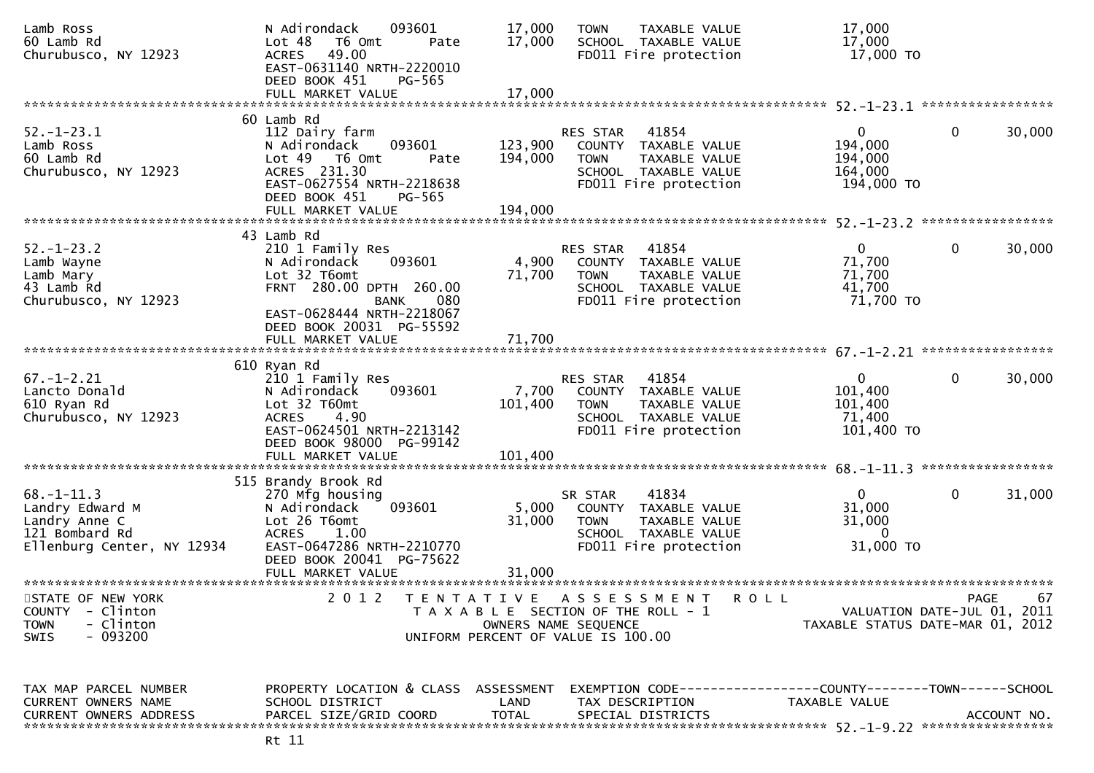| Lamb Ross<br>60 Lamb Rd<br>Churubusco, NY 12923                                                         | 093601<br>N Adirondack<br>Lot 48<br>T6 Omt<br>Pate<br>49.00<br><b>ACRES</b><br>EAST-0631140 NRTH-2220010<br>DEED BOOK 451<br>PG-565                                                              | 17,000<br>17,000              | <b>TOWN</b><br>TAXABLE VALUE<br>SCHOOL TAXABLE VALUE<br>FD011 Fire protection                                                    | 17,000<br>17,000<br>17,000 TO                               |                                            |
|---------------------------------------------------------------------------------------------------------|--------------------------------------------------------------------------------------------------------------------------------------------------------------------------------------------------|-------------------------------|----------------------------------------------------------------------------------------------------------------------------------|-------------------------------------------------------------|--------------------------------------------|
|                                                                                                         | FULL MARKET VALUE                                                                                                                                                                                | 17,000                        |                                                                                                                                  |                                                             |                                            |
| $52. - 1 - 23.1$<br>Lamb Ross<br>60 Lamb Rd<br>Churubusco, NY 12923                                     | 60 Lamb Rd<br>112 Dairy farm<br>093601<br>N Adirondack<br>Lot 49  T6 0mt<br>Pate<br>ACRES 231.30<br>EAST-0627554 NRTH-2218638<br>DEED BOOK 451<br>PG-565<br>FULL MARKET VALUE                    | 123,900<br>194,000<br>194,000 | 41854<br>RES STAR<br>COUNTY TAXABLE VALUE<br>TAXABLE VALUE<br><b>TOWN</b><br>SCHOOL TAXABLE VALUE<br>FD011 Fire protection       | $\mathbf{0}$<br>194,000<br>194,000<br>164,000<br>194,000 TO | $\mathbf 0$<br>30,000                      |
| $52. - 1 - 23.2$<br>Lamb Wayne<br>Lamb Mary<br>43 Lamb Rd<br>Churubusco, NY 12923                       | 43 Lamb Rd<br>210 1 Family Res<br>093601<br>N Adirondack<br>Lot 32 T6omt<br>FRNT 280.00 DPTH 260.00<br>080<br>BANK<br>EAST-0628444 NRTH-2218067<br>DEED BOOK 20031 PG-55592<br>FULL MARKET VALUE | 4,900<br>71,700<br>71,700     | 41854<br>RES STAR<br>COUNTY TAXABLE VALUE<br>TAXABLE VALUE<br><b>TOWN</b><br>SCHOOL TAXABLE VALUE<br>FD011 Fire protection       | $\Omega$<br>71,700<br>71,700<br>41,700<br>71,700 TO         | $\mathbf 0$<br>30,000                      |
| $67. - 1 - 2.21$<br>Lancto Donald<br>610 Ryan Rd<br>Churubusco, NY 12923                                | 610 Ryan Rd<br>210 1 Family Res<br>N Adirondack<br>093601<br>Lot 32 T60mt<br><b>ACRES</b><br>4.90<br>EAST-0624501 NRTH-2213142<br>DEED BOOK 98000 PG-99142<br>FULL MARKET VALUE                  | 7,700<br>101,400<br>101,400   | RES STAR<br>41854<br>TAXABLE VALUE<br>COUNTY<br><b>TOWN</b><br>TAXABLE VALUE<br>SCHOOL TAXABLE VALUE<br>FD011 Fire protection    | $\mathbf{0}$<br>101,400<br>101,400<br>71,400<br>101,400 TO  | $\mathbf 0$<br>30,000<br>***************** |
| $68. - 1 - 11.3$<br>Landry Edward M<br>Landry Anne C<br>121 Bombard Rd<br>Ellenburg Center, NY 12934    | 515 Brandy Brook Rd<br>270 Mfg housing<br>093601<br>N Adirondack<br>Lot 26 T6omt<br><b>ACRES</b><br>1.00<br>EAST-0647286 NRTH-2210770<br>DEED BOOK 20041 PG-75622<br>FULL MARKET VALUE           | 5,000<br>31,000<br>31,000     | 41834<br>SR STAR<br>COUNTY TAXABLE VALUE<br><b>TOWN</b><br>TAXABLE VALUE<br>SCHOOL TAXABLE VALUE<br>FD011 Fire protection        | $\overline{0}$<br>31,000<br>31,000<br>$\Omega$<br>31,000 TO | $\mathbf 0$<br>31,000                      |
| STATE OF NEW YORK<br><b>COUNTY</b><br>- Clinton<br>- Clinton<br><b>TOWN</b><br>$-093200$<br><b>SWIS</b> | 2 0 1 2                                                                                                                                                                                          | T E N T A T I V E             | ASSESSMENT<br><b>ROLL</b><br>T A X A B L E SECTION OF THE ROLL - 1<br>OWNERS NAME SEQUENCE<br>UNIFORM PERCENT OF VALUE IS 100.00 | TAXABLE STATUS DATE-MAR 01, 2012                            | 67<br>PAGE<br>VALUATION DATE-JUL 01, 2011  |
| TAX MAP PARCEL NUMBER<br>CURRENT OWNERS NAME<br><b>CURRENT OWNERS ADDRESS</b>                           | PROPERTY LOCATION & CLASS ASSESSMENT<br>SCHOOL DISTRICT<br>PARCEL SIZE/GRID COORD                                                                                                                | LAND<br><b>TOTAL</b>          | EXEMPTION CODE-----------------COUNTY-------TOWN------SCHOOL<br>TAX DESCRIPTION<br>SPECIAL DISTRICTS                             | TAXABLE VALUE                                               | ACCOUNT NO.                                |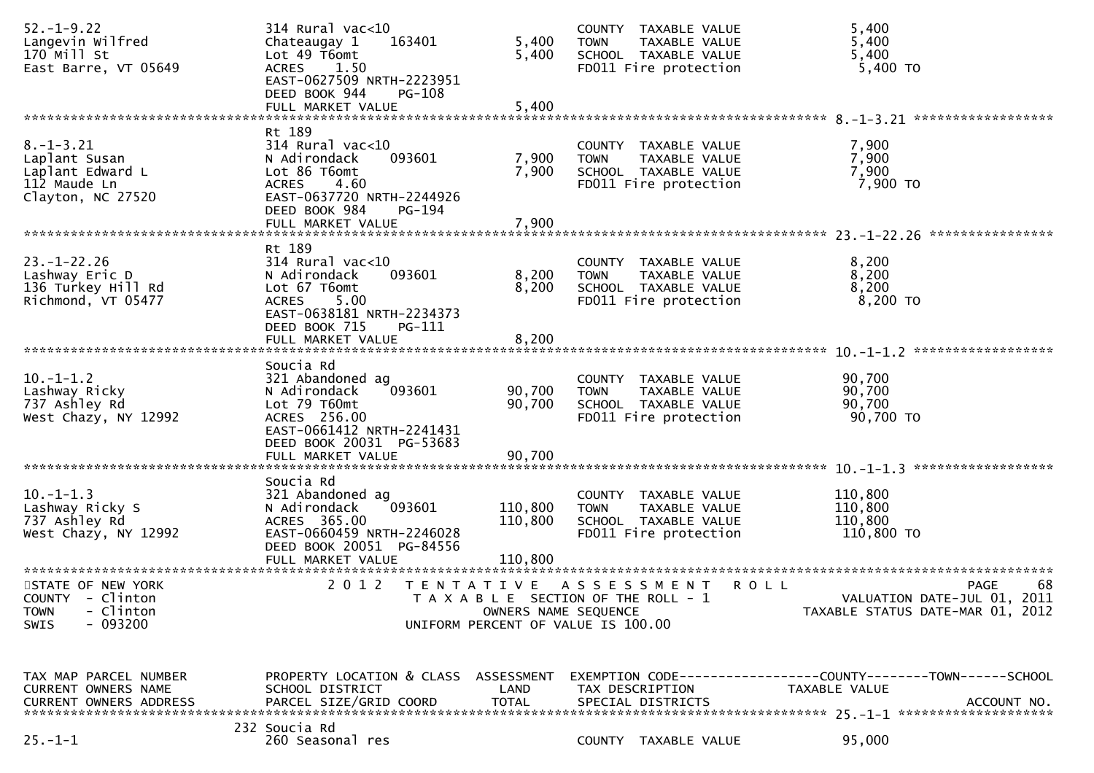| $52. - 1 - 9.22$<br>Langevin Wilfred<br>170 Mill St<br>East Barre, VT 05649                   | 314 Rural vac<10<br>163401<br>Chateaugay 1<br>Lot 49 T6omt<br><b>ACRES</b><br>1.50<br>EAST-0627509 NRTH-2223951<br>DEED BOOK 944<br><b>PG-108</b>                     | 5,400<br>5,400             | COUNTY TAXABLE VALUE<br><b>TOWN</b><br>TAXABLE VALUE<br>SCHOOL TAXABLE VALUE<br>FD011 Fire protection    | 5,400<br>5,400<br>5,400<br>5,400 TO                                                          |
|-----------------------------------------------------------------------------------------------|-----------------------------------------------------------------------------------------------------------------------------------------------------------------------|----------------------------|----------------------------------------------------------------------------------------------------------|----------------------------------------------------------------------------------------------|
|                                                                                               |                                                                                                                                                                       |                            |                                                                                                          |                                                                                              |
| $8. - 1 - 3.21$<br>Laplant Susan<br>Laplant Edward L<br>112 Maude Ln<br>Clayton, NC 27520     | Rt 189<br>$314$ Rural vac<10<br>N Adirondack<br>093601<br>Lot 86 T6omt<br>4.60<br><b>ACRES</b><br>EAST-0637720 NRTH-2244926<br>DEED BOOK 984<br>PG-194                | 7,900<br>7,900             | COUNTY TAXABLE VALUE<br><b>TOWN</b><br>TAXABLE VALUE<br>SCHOOL TAXABLE VALUE<br>FD011 Fire protection    | 7,900<br>7,900<br>7,900<br>7,900 TO                                                          |
|                                                                                               | FULL MARKET VALUE                                                                                                                                                     | 7,900                      |                                                                                                          |                                                                                              |
|                                                                                               |                                                                                                                                                                       |                            |                                                                                                          |                                                                                              |
| $23. - 1 - 22.26$<br>Lashway Eric D<br>136 Turkey Hill Rd<br>Richmond, VT 05477               | Rt 189<br>$314$ Rural vac<10<br>093601<br>N Adirondack<br>Lot 67 T6omt<br>5.00<br><b>ACRES</b><br>EAST-0638181 NRTH-2234373<br>DEED BOOK 715<br><b>PG-111</b>         | 8,200<br>8,200             | COUNTY TAXABLE VALUE<br><b>TOWN</b><br>TAXABLE VALUE<br>SCHOOL TAXABLE VALUE<br>FD011 Fire protection    | 8,200<br>8,200<br>8,200<br>8,200 TO                                                          |
|                                                                                               |                                                                                                                                                                       |                            |                                                                                                          |                                                                                              |
| $10.-1-1.2$<br>Lashway Ricky<br>737 Ashley Rd<br>West Chazy, NY 12992                         | Soucia Rd<br>321 Abandoned ag<br>093601<br>N Adirondack<br>Lot 79 T60mt<br>ACRES 256.00<br>EAST-0661412 NRTH-2241431<br>DEED BOOK 20031 PG-53683<br>FULL MARKET VALUE | 90,700<br>90,700<br>90,700 | COUNTY TAXABLE VALUE<br><b>TOWN</b><br>TAXABLE VALUE<br>SCHOOL TAXABLE VALUE<br>FD011 Fire protection    | 90,700<br>90,700<br>90,700<br>90,700 TO                                                      |
| $10. -1 - 1.3$<br>Lashway Ricky S<br>737 Ashley Rd<br>West Chazy, NY 12992                    | Soucia Rd<br>321 Abandoned ag<br>093601<br>N Adirondack<br>ACRES 365.00<br>EAST-0660459 NRTH-2246028<br>DEED BOOK 20051 PG-84556                                      | 110,800<br>110,800         | COUNTY TAXABLE VALUE<br>TAXABLE VALUE<br><b>TOWN</b><br>SCHOOL TAXABLE VALUE<br>FD011 Fire protection    | 110,800<br>110,800<br>110,800<br>110,800 TO                                                  |
| STATE OF NEW YORK<br>COUNTY - Clinton<br>- Clinton<br><b>TOWN</b><br>$-093200$<br><b>SWIS</b> | 2 0 1 2                                                                                                                                                               | OWNERS NAME SEQUENCE       | TENTATIVE ASSESSMENT ROLL<br>T A X A B L E SECTION OF THE ROLL - 1<br>UNIFORM PERCENT OF VALUE IS 100.00 | 68<br>PAGE<br>VALUATION DATE-JUL 01, 2011<br>TAXABLE STATUS DATE-MAR 01, 2012                |
| TAX MAP PARCEL NUMBER<br>CURRENT OWNERS NAME<br><b>CURRENT OWNERS ADDRESS</b>                 | PROPERTY LOCATION & CLASS ASSESSMENT<br>SCHOOL DISTRICT<br>PARCEL SIZE/GRID COORD                                                                                     | LAND<br><b>TOTAL</b>       | TAX DESCRIPTION<br>SPECIAL DISTRICTS                                                                     | EXEMPTION CODE-----------------COUNTY-------TOWN------SCHOOL<br>TAXABLE VALUE<br>ACCOUNT NO. |
| $25. - 1 - 1$                                                                                 | 232 Soucia Rd<br>260 Seasonal res                                                                                                                                     |                            | COUNTY TAXABLE VALUE                                                                                     | 95,000                                                                                       |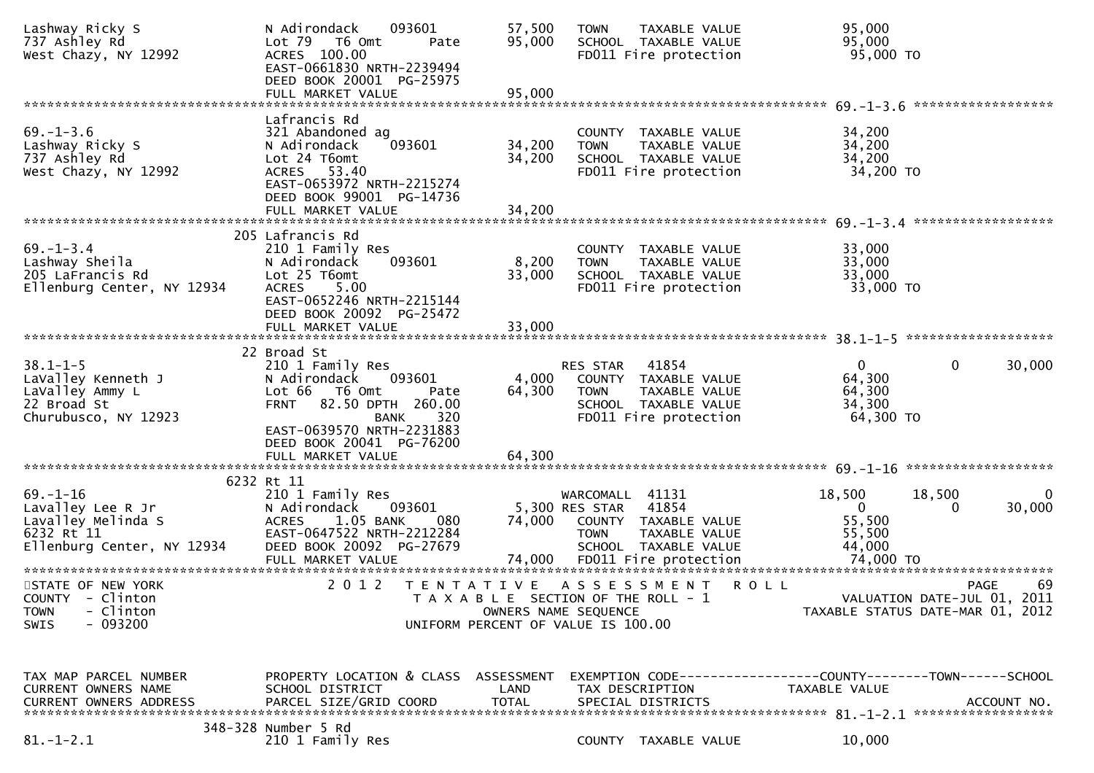| Lashway Ricky S<br>737 Ashley Rd<br>West Chazy, NY 12992                                              | N Adirondack<br>093601<br>Lot 79  T6 0mt<br>Pate<br>ACRES 100.00<br>EAST-0661830 NRTH-2239494<br>DEED BOOK 20001 PG-25975                                                                                                  | 57,500<br>95,000          | TAXABLE VALUE<br><b>TOWN</b><br>SCHOOL TAXABLE VALUE<br>FD011 Fire protection                                              | 95,000<br>95,000<br>95,000 TO                                                  |                         |
|-------------------------------------------------------------------------------------------------------|----------------------------------------------------------------------------------------------------------------------------------------------------------------------------------------------------------------------------|---------------------------|----------------------------------------------------------------------------------------------------------------------------|--------------------------------------------------------------------------------|-------------------------|
|                                                                                                       |                                                                                                                                                                                                                            |                           |                                                                                                                            |                                                                                |                         |
| $69. - 1 - 3.6$<br>Lashway Ricky S<br>737 Ashley Rd<br>West Chazy, NY 12992                           | Lafrancis Rd<br>321 Abandoned ag<br>093601<br>N Adirondack<br>Lot 24 T6omt<br>ACRES 53.40<br>EAST-0653972 NRTH-2215274<br>DEED BOOK 99001 PG-14736                                                                         | 34,200<br>34,200          | COUNTY TAXABLE VALUE<br><b>TOWN</b><br>TAXABLE VALUE<br>SCHOOL TAXABLE VALUE<br>FD011 Fire protection                      | 34,200<br>34,200<br>34,200<br>34,200 TO                                        |                         |
|                                                                                                       |                                                                                                                                                                                                                            |                           |                                                                                                                            |                                                                                |                         |
| $69. - 1 - 3.4$<br>Lashway Sheila<br>205 LaFrancis Rd<br>Ellenburg Center, NY 12934                   | 205 Lafrancis Rd<br>210 1 Family Res<br>N Adirondack<br>093601<br>Lot 25 T6omt<br><b>ACRES</b><br>5.00<br>EAST-0652246 NRTH-2215144<br>DEED BOOK 20092 PG-25472                                                            | 8,200<br>33,000           | COUNTY TAXABLE VALUE<br>TAXABLE VALUE<br><b>TOWN</b><br>SCHOOL TAXABLE VALUE<br>FD011 Fire protection                      | 33,000<br>33,000<br>33,000<br>33,000 TO                                        |                         |
|                                                                                                       |                                                                                                                                                                                                                            |                           |                                                                                                                            |                                                                                |                         |
| $38.1 - 1 - 5$<br>LaValley Kenneth J<br>LaValley Ammy L<br>22 Broad St<br>Churubusco, NY 12923        | 22 Broad St<br>210 1 Family Res<br>093601<br>N Adirondack<br>Lot 66 T6 Omt<br>Pate<br><b>FRNT</b><br>82.50 DPTH 260.00<br>320<br><b>BANK</b><br>EAST-0639570 NRTH-2231883<br>DEED BOOK 20041 PG-76200<br>FULL MARKET VALUE | 4,000<br>64,300<br>64,300 | RES STAR<br>41854<br>COUNTY TAXABLE VALUE<br>TAXABLE VALUE<br><b>TOWN</b><br>SCHOOL TAXABLE VALUE<br>FD011 Fire protection | $\mathbf{0}$<br>64,300<br>64,300<br>34,300<br>64,300 TO                        | $\mathbf 0$<br>30,000   |
|                                                                                                       | 6232 Rt 11                                                                                                                                                                                                                 |                           |                                                                                                                            |                                                                                |                         |
| $69. - 1 - 16$<br>Lavalley Lee R Jr<br>Lavalley Melinda S<br>6232 Rt 11<br>Ellenburg Center, NY 12934 | 210 1 Family Res<br>N Adirondack<br>093601<br>1.05 BANK<br>080<br><b>ACRES</b><br>EAST-0647522 NRTH-2212284<br>DEED BOOK 20092 PG-27679                                                                                    | 74,000                    | WARCOMALL 41131<br>5,300 RES STAR 41854<br>COUNTY TAXABLE VALUE<br><b>TOWN</b><br>TAXABLE VALUE<br>SCHOOL TAXABLE VALUE    | 18,500<br>18,500<br>$\mathbf 0$<br>55,500<br>55,500<br>44,000                  | $\bf{0}$<br>30,000<br>0 |
| STATE OF NEW YORK<br>COUNTY - Clinton<br>- Clinton<br><b>TOWN</b><br>$-093200$<br><b>SWIS</b>         | 2 0 1 2                                                                                                                                                                                                                    | T E N T A T I V E         | A S S E S S M E N T<br>T A X A B L E SECTION OF THE ROLL - 1<br>OWNERS NAME SEQUENCE<br>UNIFORM PERCENT OF VALUE IS 100.00 | <b>ROLL</b><br>VALUATION DATE-JUL 01, 2011<br>TAXABLE STATUS DATE-MAR 01, 2012 | 69<br><b>PAGE</b>       |
| TAX MAP PARCEL NUMBER<br>CURRENT OWNERS NAME<br>CURRENT OWNERS ADDRESS                                | PROPERTY LOCATION & CLASS ASSESSMENT<br>SCHOOL DISTRICT<br>PARCEL SIZE/GRID COORD<br>348-328 Number 5 Rd                                                                                                                   | LAND<br><b>TOTAL</b>      | TAX DESCRIPTION<br>SPECIAL DISTRICTS                                                                                       | EXEMPTION CODE-----------------COUNTY-------TOWN------SCHOOL<br>TAXABLE VALUE  | ACCOUNT NO.             |
| $81.-1-2.1$                                                                                           | 210 1 Family Res                                                                                                                                                                                                           |                           | COUNTY TAXABLE VALUE                                                                                                       | 10,000                                                                         |                         |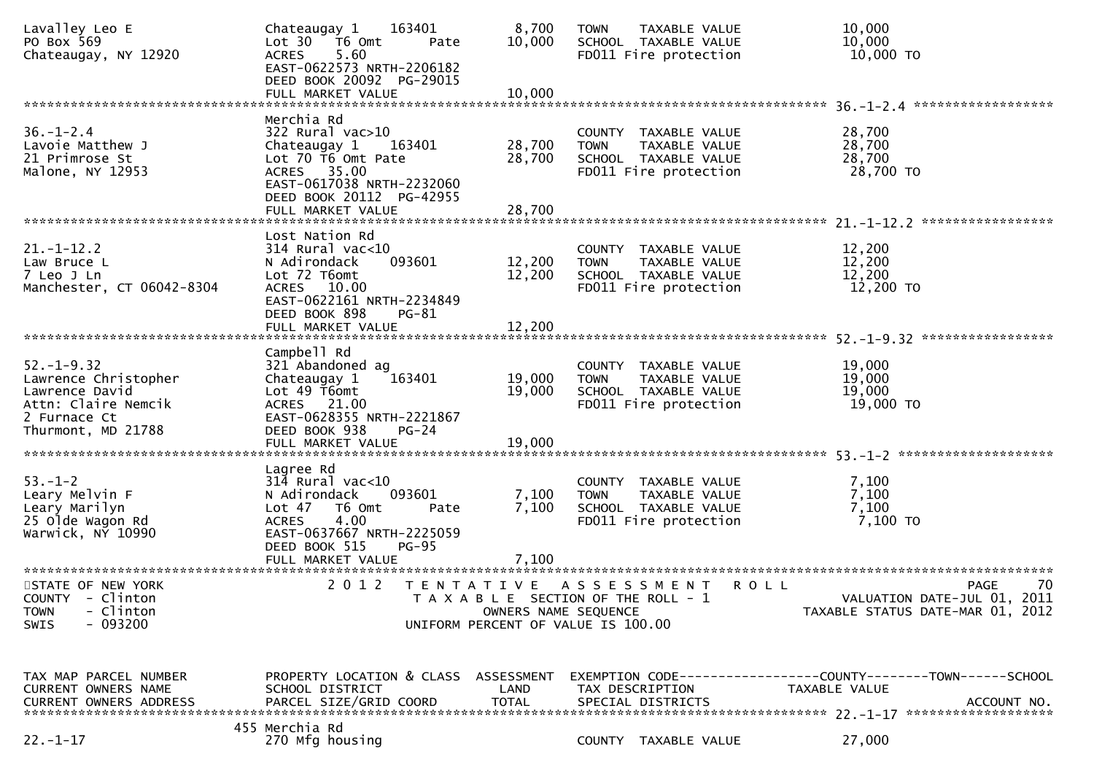| Lavalley Leo E<br>PO Box 569<br>Chateaugay, NY 12920                                                                    | 163401<br>Chateaugay 1<br>Lot 30 76 0mt<br>Pate<br>5.60<br><b>ACRES</b><br>EAST-0622573 NRTH-2206182<br>DEED BOOK 20092 PG-29015                                       | 8,700<br>10,000                                                                                                             | <b>TOWN</b> | TAXABLE VALUE<br>SCHOOL TAXABLE VALUE<br>FD011 Fire protection                         | 10,000<br>10,000<br>10,000 TO                                                                       |
|-------------------------------------------------------------------------------------------------------------------------|------------------------------------------------------------------------------------------------------------------------------------------------------------------------|-----------------------------------------------------------------------------------------------------------------------------|-------------|----------------------------------------------------------------------------------------|-----------------------------------------------------------------------------------------------------|
|                                                                                                                         |                                                                                                                                                                        |                                                                                                                             |             |                                                                                        |                                                                                                     |
| $36. - 1 - 2.4$<br>Lavoie Matthew J<br>21 Primrose St<br>Malone, NY 12953                                               | Merchia Rd<br>322 Rural vac>10<br>Chateaugay 1<br>163401<br>Lot 70 T6 Omt Pate<br>ACRES 35.00<br>EAST-0617038 NRTH-2232060<br>DEED BOOK 20112 PG-42955                 | 28,700<br>28,700                                                                                                            | <b>TOWN</b> | COUNTY TAXABLE VALUE<br>TAXABLE VALUE<br>SCHOOL TAXABLE VALUE<br>FD011 Fire protection | 28,700<br>28,700<br>28,700<br>28,700 TO                                                             |
|                                                                                                                         | Lost Nation Rd                                                                                                                                                         |                                                                                                                             |             |                                                                                        |                                                                                                     |
| $21. - 1 - 12.2$<br>Law Bruce L<br>7 Leo J Ln<br>Manchester, CT 06042-8304                                              | $314$ Rural vac<10<br>N Adirondack<br>093601<br>Lot 72 T6omt<br>ACRES 10.00<br>EAST-0622161 NRTH-2234849<br>DEED BOOK 898<br>$PG-81$                                   | 12,200<br>12,200                                                                                                            | <b>TOWN</b> | COUNTY TAXABLE VALUE<br>TAXABLE VALUE<br>SCHOOL TAXABLE VALUE<br>FD011 Fire protection | 12,200<br>12,200<br>12,200<br>12,200 TO                                                             |
|                                                                                                                         |                                                                                                                                                                        |                                                                                                                             |             |                                                                                        |                                                                                                     |
| $52. - 1 - 9.32$<br>Lawrence Christopher<br>Lawrence David<br>Attn: Claire Nemcik<br>2 Furnace Ct<br>Thurmont, MD 21788 | Campbell Rd<br>321 Abandoned ag<br>163401<br>Chateaugay 1<br>Lot 49 T6omt<br>ACRES 21.00<br>EAST-0628355 NRTH-2221867<br>DEED BOOK 938<br>$PG-24$                      | 19,000<br>19,000                                                                                                            | <b>TOWN</b> | COUNTY TAXABLE VALUE<br>TAXABLE VALUE<br>SCHOOL TAXABLE VALUE<br>FD011 Fire protection | 19,000<br>19,000<br>19,000<br>19,000 TO                                                             |
|                                                                                                                         | FULL MARKET VALUE                                                                                                                                                      | 19,000                                                                                                                      |             |                                                                                        |                                                                                                     |
| $53. - 1 - 2$<br>Leary Melvin F<br>Leary Marilyn<br>25 Olde Wagon Rd<br>Warwick, NY 10990                               | Lagree Rd<br>$314$ Rural vac<10<br>093601<br>N Adirondack<br>T6 Omt<br>Lot 47<br>Pate<br><b>ACRES</b><br>4.00<br>EAST-0637667 NRTH-2225059<br>DEED BOOK 515<br>$PG-95$ | 7,100<br>7,100                                                                                                              | <b>TOWN</b> | COUNTY TAXABLE VALUE<br>TAXABLE VALUE<br>SCHOOL TAXABLE VALUE<br>FD011 Fire protection | 7,100<br>7,100<br>7,100<br>7,100 TO                                                                 |
| STATE OF NEW YORK<br>COUNTY - Clinton<br>- Clinton<br><b>TOWN</b><br>$-093200$<br>SWIS                                  | 2 0 1 2                                                                                                                                                                | TENTATIVE ASSESSMENT<br>T A X A B L E SECTION OF THE ROLL - 1<br>OWNERS NAME SEQUENCE<br>UNIFORM PERCENT OF VALUE IS 100.00 |             |                                                                                        | 70<br><b>ROLL</b><br><b>PAGE</b><br>VALUATION DATE-JUL 01, 2011<br>TAXABLE STATUS DATE-MAR 01, 2012 |
| TAX MAP PARCEL NUMBER<br><b>CURRENT OWNERS NAME</b><br><b>CURRENT OWNERS ADDRESS</b>                                    | PROPERTY LOCATION & CLASS ASSESSMENT<br>SCHOOL DISTRICT<br>PARCEL SIZE/GRID COORD                                                                                      | LAND<br><b>TOTAL</b>                                                                                                        |             | TAX DESCRIPTION<br>SPECIAL DISTRICTS                                                   | EXEMPTION CODE-----------------COUNTY-------TOWN------SCHOOL<br>TAXABLE VALUE<br>ACCOUNT NO.        |
| $22. - 1 - 17$                                                                                                          | 455 Merchia Rd<br>270 Mfg housing                                                                                                                                      |                                                                                                                             |             | COUNTY TAXABLE VALUE                                                                   | 27,000                                                                                              |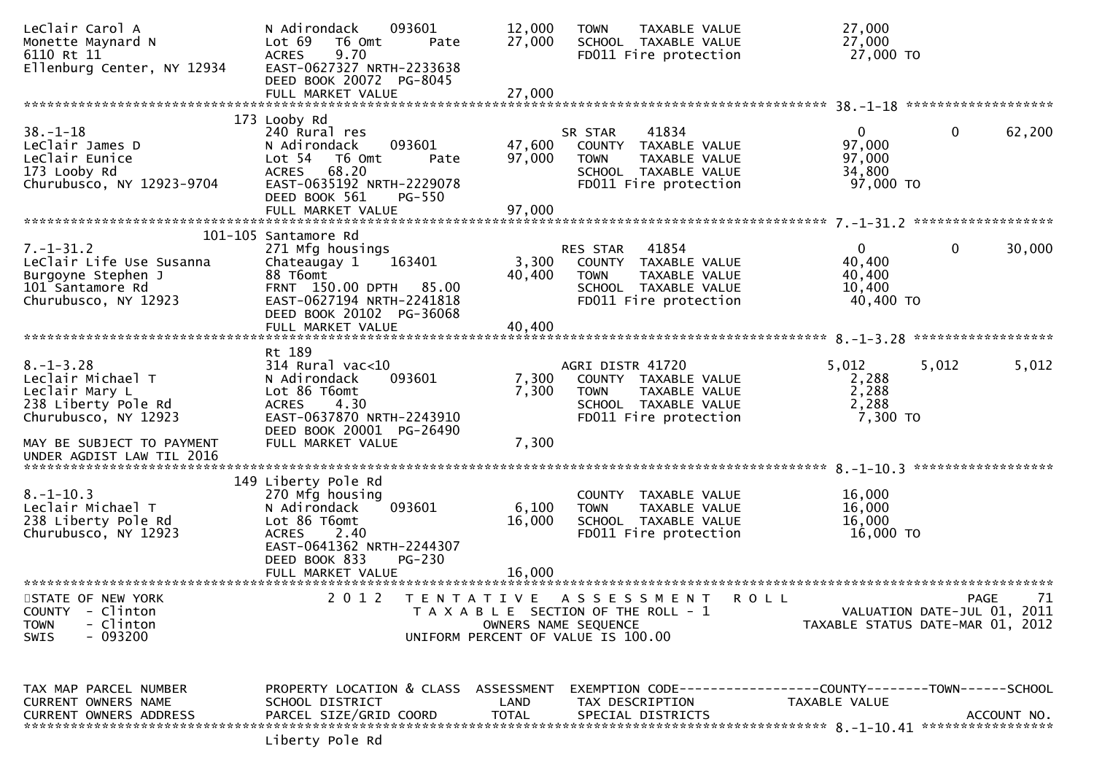| LeClair Carol A<br>Monette Maynard N<br>6110 Rt 11<br>Ellenburg Center, NY 12934                                                   | 093601<br>N Adirondack<br>Lot 69<br>T6 Omt<br>Pate<br>9.70<br><b>ACRES</b><br>EAST-0627327 NRTH-2233638                                                                               | 12,000<br>27,000          | TAXABLE VALUE<br><b>TOWN</b><br>SCHOOL TAXABLE VALUE<br>FD011 Fire protection                                              | 27,000<br>27,000<br>27,000 TO                                   |              |             |
|------------------------------------------------------------------------------------------------------------------------------------|---------------------------------------------------------------------------------------------------------------------------------------------------------------------------------------|---------------------------|----------------------------------------------------------------------------------------------------------------------------|-----------------------------------------------------------------|--------------|-------------|
|                                                                                                                                    | DEED BOOK 20072 PG-8045                                                                                                                                                               |                           |                                                                                                                            |                                                                 |              |             |
|                                                                                                                                    | 173 Looby Rd                                                                                                                                                                          |                           |                                                                                                                            |                                                                 |              |             |
| $38. - 1 - 18$<br>LeClair James D<br>LeClair Eunice<br>173 Looby Rd                                                                | 240 Rural res<br>093601<br>N Adirondack<br>Lot 54 T6 Omt<br>Pate<br>68.20<br><b>ACRES</b>                                                                                             | 47,600<br>97,000          | 41834<br>SR STAR<br>COUNTY TAXABLE VALUE<br>TAXABLE VALUE<br><b>TOWN</b><br>SCHOOL TAXABLE VALUE                           | $\overline{0}$<br>97,000<br>97,000<br>34,800                    | $\mathbf{0}$ | 62,200      |
| Churubusco, NY 12923-9704                                                                                                          | EAST-0635192 NRTH-2229078<br>DEED BOOK 561<br><b>PG-550</b><br>FULL MARKET VALUE                                                                                                      | 97,000                    | FD011 Fire protection                                                                                                      | 97,000 TO                                                       |              |             |
|                                                                                                                                    |                                                                                                                                                                                       |                           |                                                                                                                            |                                                                 |              |             |
| $7. - 1 - 31.2$<br>Leclair Life Use Susanna<br>Burgoyne Stephen J<br>101 Santamore Rd<br>Churubusco, NY 12923                      | 101-105 Santamore Rd<br>271 Mfg housings<br>163401<br>Chateaugay 1<br>88 T6omt<br>FRNT 150.00 DPTH 85.00<br>EAST-0627194 NRTH-2241818<br>DEED BOOK 20102 PG-36068                     | 3,300<br>40,400           | 41854<br>RES STAR<br>COUNTY TAXABLE VALUE<br><b>TOWN</b><br>TAXABLE VALUE<br>SCHOOL TAXABLE VALUE<br>FD011 Fire protection | $\mathbf{0}$<br>40,400<br>40,400<br>10,400<br>40,400 TO         | $\mathbf 0$  | 30,000      |
|                                                                                                                                    |                                                                                                                                                                                       |                           |                                                                                                                            |                                                                 |              |             |
|                                                                                                                                    | Rt 189                                                                                                                                                                                |                           |                                                                                                                            |                                                                 |              |             |
| $8. - 1 - 3.28$<br>Leclair Michael T<br>Leclair Mary L<br>238 Liberty Pole Rd<br>Churubusco, NY 12923<br>MAY BE SUBJECT TO PAYMENT | $314$ Rural vac<10<br>093601<br>N Adirondack<br>Lot 86 T6omt<br><b>ACRES</b><br>4.30<br>EAST-0637870 NRTH-2243910<br>DEED BOOK 20001 PG-26490<br>FULL MARKET VALUE                    | 7,300<br>7,300<br>7,300   | AGRI DISTR 41720<br>COUNTY TAXABLE VALUE<br>TAXABLE VALUE<br><b>TOWN</b><br>SCHOOL TAXABLE VALUE<br>FD011 Fire protection  | 5,012<br>2,288<br>2,288<br>2,288<br>7,300 TO                    | 5,012        | 5,012       |
| UNDER AGDIST LAW TIL 2016                                                                                                          |                                                                                                                                                                                       |                           |                                                                                                                            |                                                                 |              |             |
|                                                                                                                                    |                                                                                                                                                                                       |                           |                                                                                                                            |                                                                 |              |             |
| $8. - 1 - 10.3$<br>Leclair Michael T<br>238 Liberty Pole Rd<br>Churubusco, NY 12923                                                | 149 Liberty Pole Rd<br>270 Mfg housing<br>093601<br>N Adirondack<br>Lot 86 T6omt<br>2.40<br><b>ACRES</b><br>EAST-0641362 NRTH-2244307<br>DEED BOOK 833<br>PG-230<br>FULL MARKET VALUE | 6,100<br>16,000<br>16,000 | COUNTY TAXABLE VALUE<br><b>TAXABLE VALUE</b><br><b>TOWN</b><br>SCHOOL TAXABLE VALUE<br>FD011 Fire protection               | 16,000<br>16,000<br>16,000<br>16,000 TO                         |              |             |
| STATE OF NEW YORK                                                                                                                  | 2 0 1 2<br>T E N T A T I V E                                                                                                                                                          |                           | A S S E S S M E N T                                                                                                        | <b>ROLL</b>                                                     | <b>PAGE</b>  | 71          |
| <b>COUNTY</b><br>- Clinton<br>- Clinton<br><b>TOWN</b><br>$-093200$<br><b>SWIS</b>                                                 |                                                                                                                                                                                       |                           | T A X A B L E SECTION OF THE ROLL - 1<br>OWNERS NAME SEQUENCE<br>UNIFORM PERCENT OF VALUE IS 100.00                        | VALUATION DATE-JUL 01, 2011<br>TAXABLE STATUS DATE-MAR 01, 2012 |              |             |
| TAX MAP PARCEL NUMBER<br>CURRENT OWNERS NAME<br><b>CURRENT OWNERS ADDRESS</b>                                                      | PROPERTY LOCATION & CLASS ASSESSMENT<br>SCHOOL DISTRICT<br>PARCEL SIZE/GRID COORD<br>Liberty Pole Rd                                                                                  | LAND<br><b>TOTAL</b>      | EXEMPTION        CODE------------------COUNTY-------TOWN------SCHOOL<br>TAX DESCRIPTION<br>SPECIAL DISTRICTS               | TAXABLE VALUE                                                   |              | ACCOUNT NO. |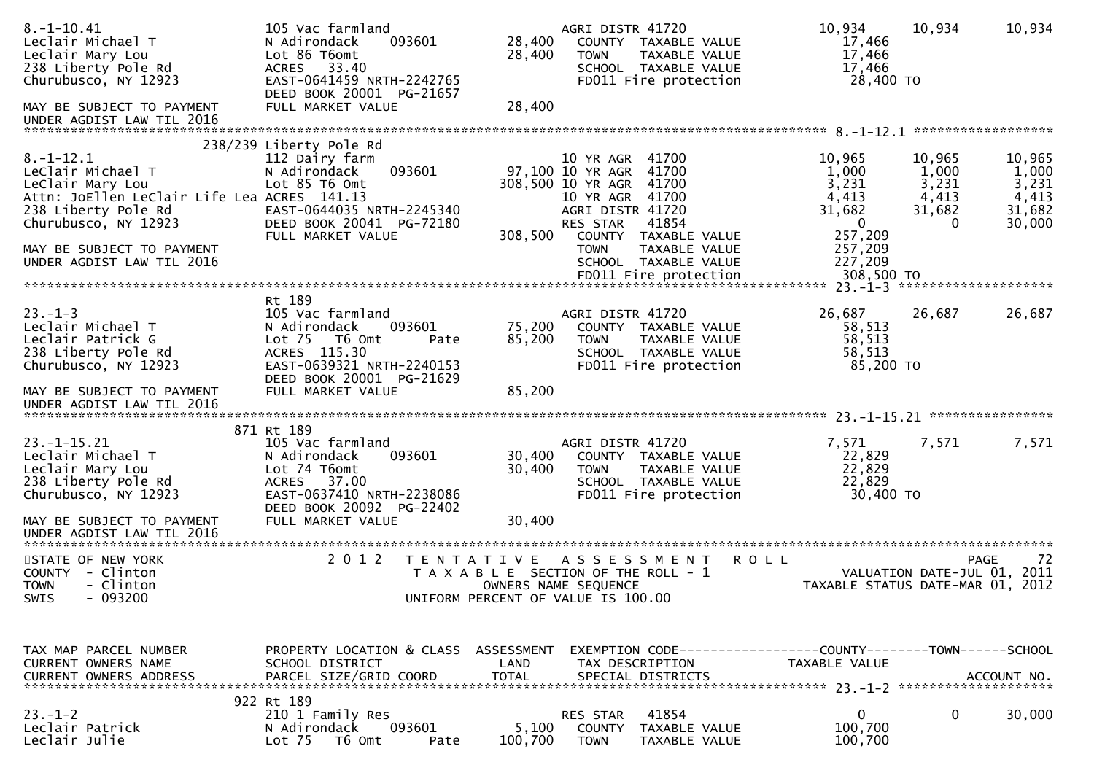| $8. -1 - 10.41$<br>Leclair Michael T<br>Leclair Mary Lou<br>238 Liberty Pole Rd<br>Churubusco, NY 12923                                                | 105 Vac farmland<br>093601<br>N Adirondack<br>Lot 86 T6omt<br>33.40<br><b>ACRES</b><br>EAST-0641459 NRTH-2242765<br>DEED BOOK 20001 PG-21657                       | 28,400<br>28,400     | AGRI DISTR 41720<br>COUNTY TAXABLE VALUE<br><b>TOWN</b><br>TAXABLE VALUE<br>SCHOOL TAXABLE VALUE<br>FD011 Fire protection                                | 10,934<br>17,466<br>17,466<br>17,466<br>28,400 TO                  | 10,934<br>10,934                                                                                          |
|--------------------------------------------------------------------------------------------------------------------------------------------------------|--------------------------------------------------------------------------------------------------------------------------------------------------------------------|----------------------|----------------------------------------------------------------------------------------------------------------------------------------------------------|--------------------------------------------------------------------|-----------------------------------------------------------------------------------------------------------|
| MAY BE SUBJECT TO PAYMENT<br>UNDER AGDIST LAW TIL 2016                                                                                                 | FULL MARKET VALUE                                                                                                                                                  | 28,400               |                                                                                                                                                          |                                                                    |                                                                                                           |
| $8. - 1 - 12.1$<br>LeClair Michael T<br>LeClair Mary Lou<br>Attn: JoEllen LeClair Life Lea ACRES 141.13<br>238 Liberty Pole Rd<br>Churubusco, NY 12923 | 238/239 Liberty Pole Rd<br>112 Dairy farm<br>093601<br>N Adirondack<br>Lot 85 T6 Omt<br>EAST-0644035 NRTH-2245340<br>DEED BOOK 20041 PG-72180<br>FULL MARKET VALUE | 308,500              | 10 YR AGR 41700<br>97,100 10 YR AGR 41700<br>308,500 10 YR AGR 41700<br>10 YR AGR 41700<br>AGRI DISTR 41720<br>RES STAR<br>41854<br>COUNTY TAXABLE VALUE | 10,965<br>1,000<br>3,231<br>4,413<br>31,682<br>$\bf{0}$<br>257,209 | 10,965<br>10,965<br>1,000<br>1,000<br>3,231<br>3,231<br>4,413<br>4,413<br>31,682<br>31,682<br>30,000<br>0 |
| MAY BE SUBJECT TO PAYMENT<br>UNDER AGDIST LAW TIL 2016                                                                                                 |                                                                                                                                                                    |                      | <b>TOWN</b><br>TAXABLE VALUE<br>SCHOOL TAXABLE VALUE                                                                                                     | 257,209<br>227,209                                                 |                                                                                                           |
| $23. - 1 - 3$<br>Leclair Michael T<br>Leclair Patrick G<br>238 Liberty Pole Rd<br>Churubusco, NY 12923                                                 | Rt 189<br>105 Vac farmland<br>N Adirondack<br>093601<br>Lot 75  T6 Omt<br>Pate<br>ACRES 115.30<br>EAST-0639321 NRTH-2240153<br>DEED BOOK 20001 PG-21629            | 75,200<br>85,200     | AGRI DISTR 41720<br>COUNTY TAXABLE VALUE<br><b>TOWN</b><br><b>TAXABLE VALUE</b><br>SCHOOL TAXABLE VALUE<br>FD011 Fire protection                         | 26,687<br>58,513<br>58,513<br>58,513<br>85,200 TO                  | 26,687<br>26,687                                                                                          |
| MAY BE SUBJECT TO PAYMENT<br>UNDER AGDIST LAW TIL 2016                                                                                                 | FULL MARKET VALUE                                                                                                                                                  | 85,200               |                                                                                                                                                          |                                                                    |                                                                                                           |
| $23. - 1 - 15.21$<br>Leclair Michael T<br>Leclair Mary Lou<br>238 Liberty Pole Rd<br>Churubusco, NY 12923                                              | 871 Rt 189<br>105 Vac farmland<br>093601<br>N Adirondack<br>Lot 74 T6omt<br>ACRES 37.00<br>EAST-0637410 NRTH-2238086<br>DEED BOOK 20092 PG-22402                   | 30,400<br>30,400     | AGRI DISTR 41720<br>COUNTY TAXABLE VALUE<br>TAXABLE VALUE<br><b>TOWN</b><br>SCHOOL TAXABLE VALUE<br>FD011 Fire protection                                | 7,571<br>22,829<br>22,829<br>22,829<br>30,400 TO                   | 7,571<br>7,571                                                                                            |
| MAY BE SUBJECT TO PAYMENT<br>UNDER AGDIST LAW TIL 2016                                                                                                 | FULL MARKET VALUE                                                                                                                                                  | 30,400               |                                                                                                                                                          |                                                                    |                                                                                                           |
| STATE OF NEW YORK<br>COUNTY - Clinton<br><b>TOWN</b><br>- Clinton<br>$-093200$<br>SWIS                                                                 | 2 0 1 2                                                                                                                                                            | T E N T A T I V E    | A S S E S S M E N T<br>T A X A B L E SECTION OF THE ROLL - 1<br>OWNERS NAME SEQUENCE<br>UNIFORM PERCENT OF VALUE IS 100.00                               | <b>ROLL</b>                                                        | -72<br>PAGE<br>2011<br>VALUATION DATE-JUL 01,<br>TAXABLE STATUS DATE-MAR 01, 2012                         |
| TAX MAP PARCEL NUMBER<br><b>CURRENT OWNERS NAME</b><br><b>CURRENT OWNERS ADDRESS</b>                                                                   | PROPERTY LOCATION & CLASS ASSESSMENT<br>SCHOOL DISTRICT<br>PARCEL SIZE/GRID COORD                                                                                  | LAND<br><b>TOTAL</b> | EXEMPTION CODE------------------COUNTY--------TOWN------SCHOOL<br>TAX DESCRIPTION<br>SPECIAL DISTRICTS                                                   | TAXABLE VALUE                                                      | ACCOUNT NO.                                                                                               |
| $23 - 1 - 2$<br>Leclair Patrick<br>Leclair Julie                                                                                                       | 922 Rt 189<br>210 1 Family Res<br>093601<br>N Adirondack<br>Lot <sub>75</sub><br>T6 Omt<br>Pate                                                                    | 5,100<br>100,700     | 41854<br>RES STAR<br>COUNTY<br>TAXABLE VALUE<br><b>TOWN</b><br>TAXABLE VALUE                                                                             | 0<br>100,700<br>100,700                                            | 0<br>30,000                                                                                               |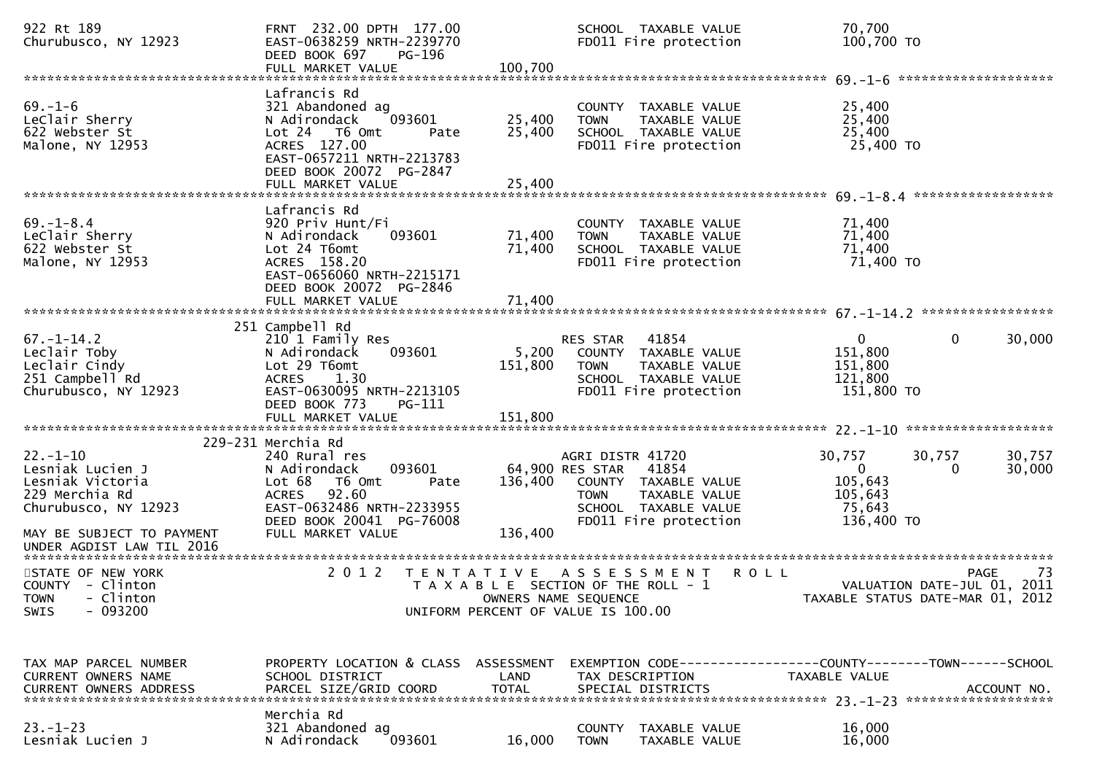| 922 Rt 189<br>Churubusco, NY 12923                                                               | FRNT 232.00 DPTH 177.00<br>EAST-0638259 NRTH-2239770<br>DEED BOOK 697<br>PG-196<br>FULL MARKET VALUE                                                                        | 100,700              | SCHOOL TAXABLE VALUE<br>FD011 Fire protection                                                                                                      | 70,700<br>100,700 TO                                                           |                                                                                      |
|--------------------------------------------------------------------------------------------------|-----------------------------------------------------------------------------------------------------------------------------------------------------------------------------|----------------------|----------------------------------------------------------------------------------------------------------------------------------------------------|--------------------------------------------------------------------------------|--------------------------------------------------------------------------------------|
| $69. - 1 - 6$<br>LeClair Sherry<br>622 Webster St<br>Malone, NY 12953                            | Lafrancis Rd<br>321 Abandoned ag<br>093601<br>N Adirondack<br>Lot 24  T6 Omt<br>Pate<br>ACRES 127.00<br>EAST-0657211 NRTH-2213783<br>DEED BOOK 20072 PG-2847                | 25,400<br>25,400     | COUNTY TAXABLE VALUE<br>TAXABLE VALUE<br><b>TOWN</b><br>SCHOOL TAXABLE VALUE<br>FD011 Fire protection                                              | 25,400<br>25,400<br>25,400<br>25,400 TO                                        |                                                                                      |
|                                                                                                  |                                                                                                                                                                             |                      |                                                                                                                                                    |                                                                                |                                                                                      |
| $69. - 1 - 8.4$<br>LeClair Sherry<br>622 Webster St<br>Malone, NY 12953                          | Lafrancis Rd<br>920 Priv Hunt/Fi<br>093601<br>N Adirondack<br>Lot 24 T6omt<br>ACRES 158.20<br>EAST-0656060 NRTH-2215171<br>DEED BOOK 20072 PG-2846                          | 71,400<br>71,400     | COUNTY TAXABLE VALUE<br>TAXABLE VALUE<br><b>TOWN</b><br>SCHOOL TAXABLE VALUE<br>FD011 Fire protection                                              | 71,400<br>71,400<br>71,400<br>71,400 TO                                        |                                                                                      |
|                                                                                                  |                                                                                                                                                                             |                      |                                                                                                                                                    |                                                                                |                                                                                      |
| $67. - 1 - 14.2$<br>Leclair Toby<br>Leclair Cindy                                                | 251 Campbell Rd<br>210 1 Family Res<br>N Adirondack<br>093601<br>Lot 29 T6omt                                                                                               | 5,200<br>151,800     | 41854<br>RES STAR<br>COUNTY TAXABLE VALUE<br><b>TOWN</b><br>TAXABLE VALUE                                                                          | $\mathbf{0}$<br>151,800<br>151,800                                             | $\mathbf{0}$<br>30,000                                                               |
| 251 Campbell Rd<br>Churubusco, NY 12923                                                          | 1.30<br><b>ACRES</b><br>EAST-0630095 NRTH-2213105<br>DEED BOOK 773<br>PG-111                                                                                                |                      | SCHOOL TAXABLE VALUE<br>FD011 Fire protection                                                                                                      | 121,800<br>151,800 TO                                                          |                                                                                      |
|                                                                                                  |                                                                                                                                                                             |                      |                                                                                                                                                    |                                                                                |                                                                                      |
| $22. - 1 - 10$<br>Lesniak Lucien J<br>Lesniak Victoria<br>229 Merchia Rd<br>Churubusco, NY 12923 | 229-231 Merchia Rd<br>240 Rural res<br>093601<br>N Adirondack<br>Lot 68<br>T6 Omt<br>Pate<br>92.60<br><b>ACRES</b><br>EAST-0632486 NRTH-2233955<br>DEED BOOK 20041 PG-76008 | 136,400              | AGRI DISTR 41720<br>64,900 RES STAR 41854<br>COUNTY TAXABLE VALUE<br><b>TOWN</b><br>TAXABLE VALUE<br>SCHOOL TAXABLE VALUE<br>FD011 Fire protection | 30,757<br>$\mathbf{0}$<br>105,643<br>105,643<br>75,643<br>136,400 TO           | 30,757<br>30,757<br>30,000<br>0                                                      |
| MAY BE SUBJECT TO PAYMENT<br>UNDER AGDIST LAW TIL 2016                                           | FULL MARKET VALUE                                                                                                                                                           | 136,400              |                                                                                                                                                    |                                                                                |                                                                                      |
| STATE OF NEW YORK<br>COUNTY - Clinton<br>TOWN - Clinton<br>$-093200$<br>SWIS                     | 2 0 1 2                                                                                                                                                                     | T E N T A T I V E    | A S S E S S M E N T<br>T A X A B L E SECTION OF THE ROLL - 1<br>OWNERS NAME SEQUENCE<br>UNIFORM PERCENT OF VALUE IS 100.00                         | <b>ROLL</b>                                                                    | <b>PAGE</b><br>73<br>VALUATION DATE-JUL 01, 2011<br>TAXABLE STATUS DATE-MAR 01, 2012 |
| TAX MAP PARCEL NUMBER<br><b>CURRENT OWNERS NAME</b><br><b>CURRENT OWNERS ADDRESS</b>             | PROPERTY LOCATION & CLASS ASSESSMENT<br>SCHOOL DISTRICT<br>PARCEL SIZE/GRID COORD                                                                                           | LAND<br><b>TOTAL</b> | TAX DESCRIPTION<br>SPECIAL DISTRICTS                                                                                                               | EXEMPTION CODE-----------------COUNTY--------TOWN------SCHOOL<br>TAXABLE VALUE | ACCOUNT NO.                                                                          |
| $23. - 1 - 23$<br>Lesniak Lucien J                                                               | Merchia Rd<br>321 Abandoned ag<br>093601<br>N Adirondack                                                                                                                    | 16,000               | COUNTY TAXABLE VALUE<br>TAXABLE VALUE<br><b>TOWN</b>                                                                                               | 16,000<br>16,000                                                               |                                                                                      |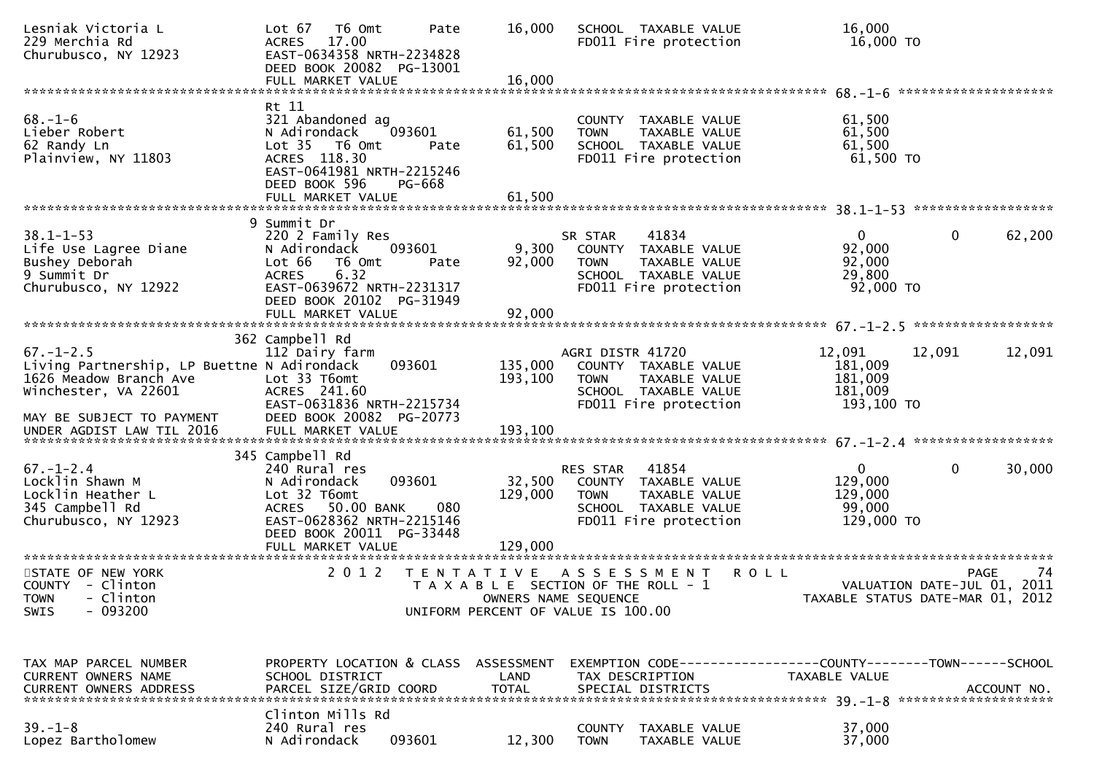| Lesniak Victoria L<br>229 Merchia Rd<br>Churubusco, NY 12923                                                     | T6 Omt<br>Pate<br>Lot 67<br>17.00<br><b>ACRES</b><br>EAST-0634358 NRTH-2234828<br>DEED BOOK 20082 PG-13001<br>FULL MARKET VALUE                                                     | 16,000<br>16,000             | SCHOOL TAXABLE VALUE<br>FD011 Fire protection                                                                              | 16,000<br>16,000 TO                                                                                   |
|------------------------------------------------------------------------------------------------------------------|-------------------------------------------------------------------------------------------------------------------------------------------------------------------------------------|------------------------------|----------------------------------------------------------------------------------------------------------------------------|-------------------------------------------------------------------------------------------------------|
|                                                                                                                  |                                                                                                                                                                                     |                              |                                                                                                                            |                                                                                                       |
| $68. - 1 - 6$<br>Lieber Robert<br>62 Randy Ln<br>Plainview, NY 11803                                             | Rt 11<br>321 Abandoned ag<br>N Adirondack<br>093601<br>Lot 35  T6 Omt<br>Pate<br>ACRES 118.30<br>EAST-0641981 NRTH-2215246<br>DEED BOOK 596<br>PG-668                               | 61,500<br>61,500             | COUNTY TAXABLE VALUE<br>TAXABLE VALUE<br><b>TOWN</b><br>SCHOOL TAXABLE VALUE<br>FD011 Fire protection                      | 61,500<br>61,500<br>61,500<br>61,500 TO                                                               |
|                                                                                                                  |                                                                                                                                                                                     |                              |                                                                                                                            |                                                                                                       |
| $38.1 - 1 - 53$<br>Life Use Lagree Diane<br>Bushey Deborah<br>9 Summit Dr<br>Churubusco, NY 12922                | 9 Summit Dr<br>220 2 Family Res<br>093601<br>N Adirondack<br>Lot 66<br>T6 Omt<br>Pate<br>6.32<br><b>ACRES</b><br>EAST-0639672 NRTH-2231317<br>DEED BOOK 20102 PG-31949              | 9,300<br>92,000              | 41834<br>SR STAR<br>COUNTY TAXABLE VALUE<br><b>TOWN</b><br>TAXABLE VALUE<br>SCHOOL TAXABLE VALUE<br>FD011 Fire protection  | $\mathbf 0$<br>$\mathbf{0}$<br>62,200<br>92,000<br>92,000<br>29,800<br>$92,000$ TO                    |
|                                                                                                                  |                                                                                                                                                                                     |                              |                                                                                                                            |                                                                                                       |
|                                                                                                                  | 362 Campbell Rd                                                                                                                                                                     |                              |                                                                                                                            |                                                                                                       |
| $67. - 1 - 2.5$<br>Living Partnership, LP Buettne N Adirondack<br>1626 Meadow Branch Ave<br>Winchester, VA 22601 | 112 Dairy farm<br>093601<br>Lot 33 T6omt<br>ACRES 241.60<br>EAST-0631836 NRTH-2215734                                                                                               | 135,000<br>193,100           | AGRI DISTR 41720<br>COUNTY TAXABLE VALUE<br><b>TOWN</b><br>TAXABLE VALUE<br>SCHOOL TAXABLE VALUE<br>FD011 Fire protection  | 12,091<br>12,091<br>12,091<br>181,009<br>181,009<br>181,009<br>193,100 TO                             |
| MAY BE SUBJECT TO PAYMENT                                                                                        | DEED BOOK 20082 PG-20773                                                                                                                                                            |                              |                                                                                                                            |                                                                                                       |
| $67. - 1 - 2.4$<br>Locklin Shawn M<br>Locklin Heather L<br>345 Campbell Rd<br>Churubusco, NY 12923               | 345 Campbell Rd<br>240 Rural res<br>093601<br>N Adirondack<br>Lot 32 T6omt<br>ACRES 50.00 BANK<br>080<br>EAST-0628362 NRTH-2215146<br>DEED BOOK 20011 PG-33448<br>FULL MARKET VALUE | 32,500<br>129,000<br>129,000 | RES STAR<br>41854<br>COUNTY TAXABLE VALUE<br><b>TOWN</b><br>TAXABLE VALUE<br>SCHOOL TAXABLE VALUE<br>FD011 Fire protection | 0<br>30,000<br>$\Omega$<br>129,000<br>129,000<br>99,000<br>129,000 TO                                 |
| STATE OF NEW YORK<br>COUNTY - Clinton<br>TOWN - Clinton<br>$-093200$<br><b>SWIS</b>                              | 2 0 1 2                                                                                                                                                                             | T E N T A T I V E            | A S S E S S M E N T<br>T A X A B L E SECTION OF THE ROLL - 1<br>OWNERS NAME SEQUENCE<br>UNIFORM PERCENT OF VALUE IS 100.00 | <b>ROLL</b><br>-74<br><b>PAGE</b><br>VALUATION DATE-JUL 01, 2011<br>TAXABLE STATUS DATE-MAR 01, 2012  |
|                                                                                                                  |                                                                                                                                                                                     |                              |                                                                                                                            |                                                                                                       |
| TAX MAP PARCEL NUMBER<br>CURRENT OWNERS NAME<br>CURRENT OWNERS ADDRESS                                           | PROPERTY LOCATION & CLASS ASSESSMENT<br>SCHOOL DISTRICT<br>PARCEL SIZE/GRID COORD                                                                                                   | LAND<br><b>TOTAL</b>         | TAX DESCRIPTION<br>SPECIAL DISTRICTS                                                                                       | EXEMPTION CODE------------------COUNTY--------TOWN------SCHOOL<br><b>TAXABLE VALUE</b><br>ACCOUNT NO. |
|                                                                                                                  | Clinton Mills Rd                                                                                                                                                                    |                              |                                                                                                                            |                                                                                                       |
| $39. - 1 - 8$<br>Lopez Bartholomew                                                                               | 240 Rural res<br>093601<br>N Adirondack                                                                                                                                             | 12,300                       | COUNTY TAXABLE VALUE<br>TAXABLE VALUE<br><b>TOWN</b>                                                                       | 37,000<br>37,000                                                                                      |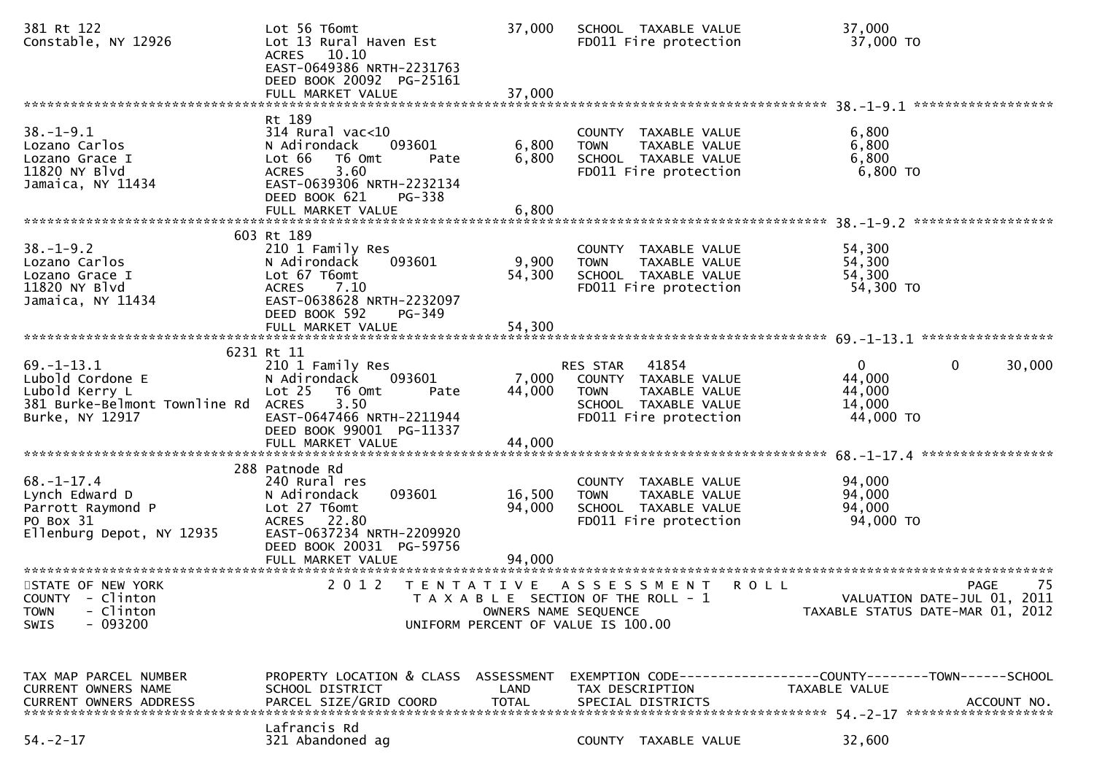| 381 Rt 122<br>Constable, NY 12926                                                                          | Lot 56 T6omt<br>Lot 13 Rural Haven Est<br>ACRES 10.10<br>EAST-0649386 NRTH-2231763<br>DEED BOOK 20092 PG-25161<br>FULL MARKET VALUE                                                     | 37,000<br>37,000           | SCHOOL TAXABLE VALUE<br>FD011 Fire protection                                                                              | 37,000<br>37,000 TO                                                                                              |                   |
|------------------------------------------------------------------------------------------------------------|-----------------------------------------------------------------------------------------------------------------------------------------------------------------------------------------|----------------------------|----------------------------------------------------------------------------------------------------------------------------|------------------------------------------------------------------------------------------------------------------|-------------------|
|                                                                                                            |                                                                                                                                                                                         |                            |                                                                                                                            |                                                                                                                  |                   |
| $38. - 1 - 9.1$<br>Lozano Carlos<br>Lozano Grace I<br>11820 NY Blvd<br>Jamaica, NY 11434                   | Rt 189<br>$314$ Rural vac<10<br>N Adirondack<br>093601<br>Lot 66<br>T6 Omt<br>Pate<br>3.60<br><b>ACRES</b><br>EAST-0639306 NRTH-2232134<br>DEED BOOK 621<br>PG-338<br>FULL MARKET VALUE | 6,800<br>6,800<br>6,800    | COUNTY TAXABLE VALUE<br>TAXABLE VALUE<br><b>TOWN</b><br>SCHOOL TAXABLE VALUE<br>FD011 Fire protection                      | 6,800<br>6,800<br>6,800<br>6,800 TO                                                                              |                   |
|                                                                                                            | 603 Rt 189                                                                                                                                                                              |                            |                                                                                                                            |                                                                                                                  |                   |
| $38. - 1 - 9.2$<br>Lozano Carlos<br>Lozano Grace I<br>11820 NY Blvd<br>Jamaica, NY 11434                   | 210 1 Family Res<br>N Adirondack<br>093601<br>Lot 67 T6omt<br><b>ACRES</b><br>7.10<br>EAST-0638628 NRTH-2232097<br>DEED BOOK 592<br><b>PG-349</b>                                       | 9,900<br>54,300            | COUNTY TAXABLE VALUE<br>TAXABLE VALUE<br><b>TOWN</b><br>SCHOOL TAXABLE VALUE<br>FD011 Fire protection                      | 54,300<br>54,300<br>54,300<br>54,300 TO                                                                          |                   |
|                                                                                                            |                                                                                                                                                                                         |                            |                                                                                                                            |                                                                                                                  |                   |
|                                                                                                            | 6231 Rt 11                                                                                                                                                                              |                            |                                                                                                                            |                                                                                                                  |                   |
| $69. - 1 - 13.1$<br>Lubold Cordone E<br>Lubold Kerry L<br>381 Burke-Belmont Townline Rd<br>Burke, NY 12917 | 210 1 Family Res<br>N Adirondack<br>093601<br>Lot 25<br>T6 Omt<br>Pate<br>3.50<br><b>ACRES</b><br>EAST-0647466 NRTH-2211944<br>DEED BOOK 99001 PG-11337                                 | 7,000<br>44,000            | 41854<br>RES STAR<br>COUNTY TAXABLE VALUE<br><b>TOWN</b><br>TAXABLE VALUE<br>SCHOOL TAXABLE VALUE<br>FD011 Fire protection | $\mathbf{0}$<br>0<br>44,000<br>44,000<br>14,000<br>44,000 TO                                                     | 30,000            |
|                                                                                                            | 288 Patnode Rd                                                                                                                                                                          |                            |                                                                                                                            |                                                                                                                  |                   |
| $68. - 1 - 17.4$<br>Lynch Edward D<br>Parrott Raymond P<br>PO Box 31<br>Ellenburg Depot, NY 12935          | 240 Rural res<br>093601<br>N Adirondack<br>Lot 27 T6omt<br>ACRES 22.80<br>EAST-0637234 NRTH-2209920<br>DEED BOOK 20031 PG-59756<br>FULL MARKET VALUE                                    | 16,500<br>94,000<br>94,000 | COUNTY TAXABLE VALUE<br><b>TOWN</b><br>TAXABLE VALUE<br>SCHOOL TAXABLE VALUE<br>FD011 Fire protection                      | 94,000<br>94,000<br>94,000<br>94,000 TO                                                                          |                   |
|                                                                                                            |                                                                                                                                                                                         |                            |                                                                                                                            |                                                                                                                  |                   |
| STATE OF NEW YORK<br>COUNTY - Clinton<br>- Clinton<br><b>TOWN</b><br>$-093200$<br>SWIS                     | 2 0 1 2<br>T E N T A T I V E                                                                                                                                                            |                            | A S S E S S M E N T<br>T A X A B L E SECTION OF THE ROLL - 1<br>OWNERS NAME SEQUENCE<br>UNIFORM PERCENT OF VALUE IS 100.00 | <b>ROLL</b><br>VALUATION DATE-JUL 01, 2011<br>TAXABLE STATUS DATE-MAR 01, 2012                                   | 75<br><b>PAGE</b> |
| TAX MAP PARCEL NUMBER<br>CURRENT OWNERS NAME<br><b>CURRENT OWNERS ADDRESS</b>                              | SCHOOL DISTRICT<br>PARCEL SIZE/GRID COORD                                                                                                                                               | LAND<br><b>TOTAL</b>       | TAX DESCRIPTION<br>SPECIAL DISTRICTS                                                                                       | PROPERTY LOCATION & CLASS ASSESSMENT EXEMPTION CODE---------------COUNTY-------TOWN------SCHOOL<br>TAXABLE VALUE | ACCOUNT NO.       |
| $54. -2 - 17$                                                                                              | Lafrancis Rd<br>321 Abandoned ag                                                                                                                                                        |                            | COUNTY TAXABLE VALUE                                                                                                       | 32,600                                                                                                           |                   |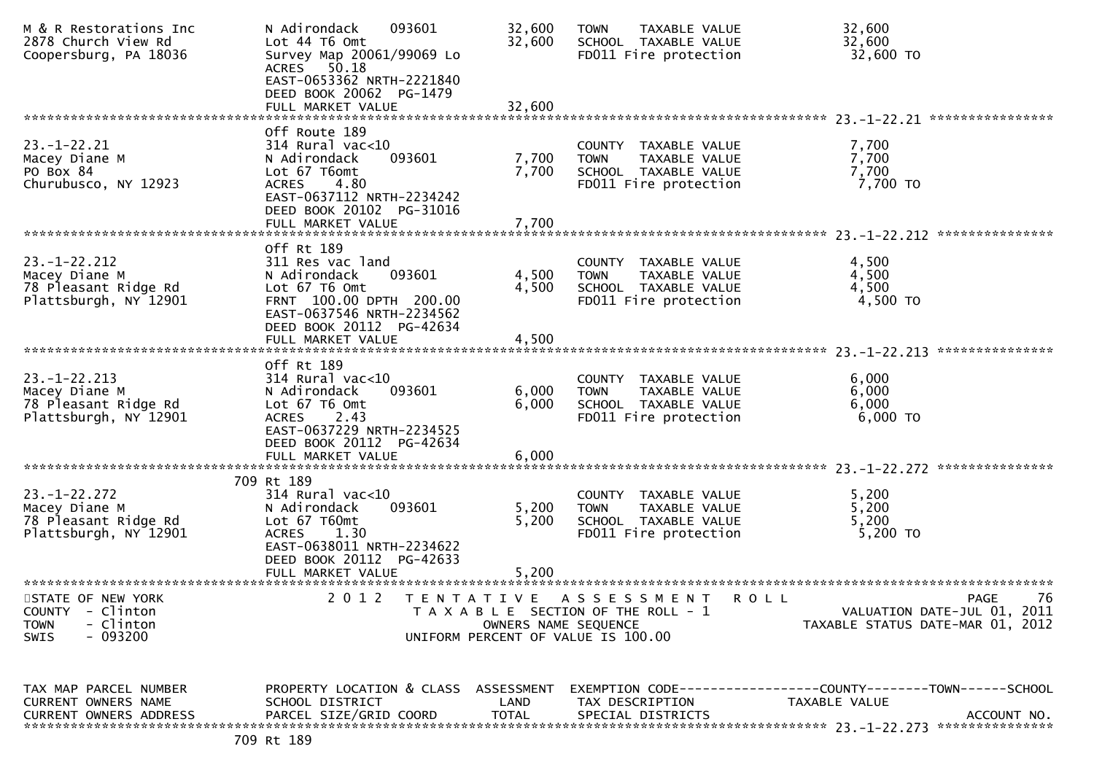| M & R Restorations Inc<br>2878 Church View Rd<br>Coopersburg, PA 18036                           | N Adirondack<br>093601<br>Lot 44 T6 Omt<br>Survey Map 20061/99069 Lo<br>ACRES 50.18<br>EAST-0653362 NRTH-2221840<br>DEED BOOK 20062 PG-1479<br>FULL MARKET VALUE                  | 32,600<br>32,600<br>32,600               | <b>TAXABLE VALUE</b><br><b>TOWN</b><br>SCHOOL TAXABLE VALUE<br>FD011 Fire protection                          | 32,600<br>32,600<br>32,600 TO                                                                |
|--------------------------------------------------------------------------------------------------|-----------------------------------------------------------------------------------------------------------------------------------------------------------------------------------|------------------------------------------|---------------------------------------------------------------------------------------------------------------|----------------------------------------------------------------------------------------------|
|                                                                                                  |                                                                                                                                                                                   |                                          |                                                                                                               | ****************                                                                             |
| $23 - 1 - 22.21$<br>Macey Diane M<br>PO Box 84<br>Churubusco, NY 12923                           | Off Route 189<br>314 Rural vac<10<br>093601<br>N Adirondack<br>Lot 67 T6omt<br><b>ACRES</b><br>4.80<br>EAST-0637112 NRTH-2234242<br>DEED BOOK 20102 PG-31016<br>FULL MARKET VALUE | 7,700<br>7,700<br>7,700                  | COUNTY TAXABLE VALUE<br>TAXABLE VALUE<br><b>TOWN</b><br>SCHOOL TAXABLE VALUE<br>FD011 Fire protection         | 7,700<br>7,700<br>7,700<br>7,700 TO                                                          |
|                                                                                                  |                                                                                                                                                                                   |                                          |                                                                                                               |                                                                                              |
| $23. - 1 - 22.212$<br>Macey Diane M<br>78 Pleasant Ridge Rd<br>Plattsburgh, NY 12901             | Off Rt 189<br>311 Res vac land<br>093601<br>N Adirondack<br>Lot 67 T6 Omt<br>FRNT 100.00 DPTH 200.00<br>EAST-0637546 NRTH-2234562<br>DEED BOOK 20112 PG-42634                     | 4,500<br>4,500                           | COUNTY TAXABLE VALUE<br>TAXABLE VALUE<br><b>TOWN</b><br>SCHOOL TAXABLE VALUE<br>FD011 Fire protection         | 4,500<br>4,500<br>4,500<br>4,500 TO                                                          |
|                                                                                                  | FULL MARKET VALUE                                                                                                                                                                 | 4,500                                    |                                                                                                               | ***************                                                                              |
|                                                                                                  | Off Rt 189                                                                                                                                                                        |                                          |                                                                                                               | 23. –1–22. 213                                                                               |
| $23. - 1 - 22.213$<br>Macey Diane M<br>78 Pleasant Ridge Rd<br>Plattsburgh, NY 12901             | $314$ Rural vac<10<br>N Adirondack<br>093601<br>Lot 67 T6 Omt<br>2.43<br><b>ACRES</b><br>EAST-0637229 NRTH-2234525<br>DEED BOOK 20112 PG-42634<br>FULL MARKET VALUE               | 6,000<br>6,000<br>6,000                  | COUNTY TAXABLE VALUE<br>TAXABLE VALUE<br><b>TOWN</b><br>SCHOOL TAXABLE VALUE<br>FD011 Fire protection         | 6,000<br>6,000<br>6,000<br>6,000 TO                                                          |
|                                                                                                  |                                                                                                                                                                                   |                                          |                                                                                                               |                                                                                              |
| $23. - 1 - 22.272$<br>Macey Diane M<br>78 Pleasant Ridge Rd<br>Plattsburgh, NY 12901             | 709 Rt 189<br>314 Rural vac<10<br>N Adirondack<br>093601<br>Lot 67 T60mt<br><b>ACRES</b><br>1.30<br>EAST-0638011 NRTH-2234622<br>DEED BOOK 20112 PG-42633<br>FULL MARKET VALUE    | 5,200<br>5,200<br>5,200                  | COUNTY TAXABLE VALUE<br>TAXABLE VALUE<br><b>TOWN</b><br>SCHOOL TAXABLE VALUE<br>FD011 Fire protection         | 5,200<br>5,200<br>5,200<br>5,200 TO                                                          |
| STATE OF NEW YORK<br><b>COUNTY</b><br>- Clinton<br>- Clinton<br><b>TOWN</b><br>$-093200$<br>SWIS | **************************<br>2 0 1 2                                                                                                                                             | <b>TENTATIVE</b><br>OWNERS NAME SEQUENCE | A S S E S S M E N T<br>R O L L<br>T A X A B L E SECTION OF THE ROLL - 1<br>UNIFORM PERCENT OF VALUE IS 100.00 | 76<br><b>PAGE</b><br>VALUATION DATE-JUL 01, 2011<br>TAXABLE STATUS DATE-MAR 01, 2012         |
| TAX MAP PARCEL NUMBER<br>CURRENT OWNERS NAME<br><b>CURRENT OWNERS ADDRESS</b>                    | PROPERTY LOCATION & CLASS ASSESSMENT<br>SCHOOL DISTRICT<br>PARCEL SIZE/GRID COORD                                                                                                 | LAND<br><b>TOTAL</b>                     | TAX DESCRIPTION<br>SPECIAL DISTRICTS                                                                          | EXEMPTION CODE-----------------COUNTY-------TOWN------SCHOOL<br>TAXABLE VALUE<br>ACCOUNT NO. |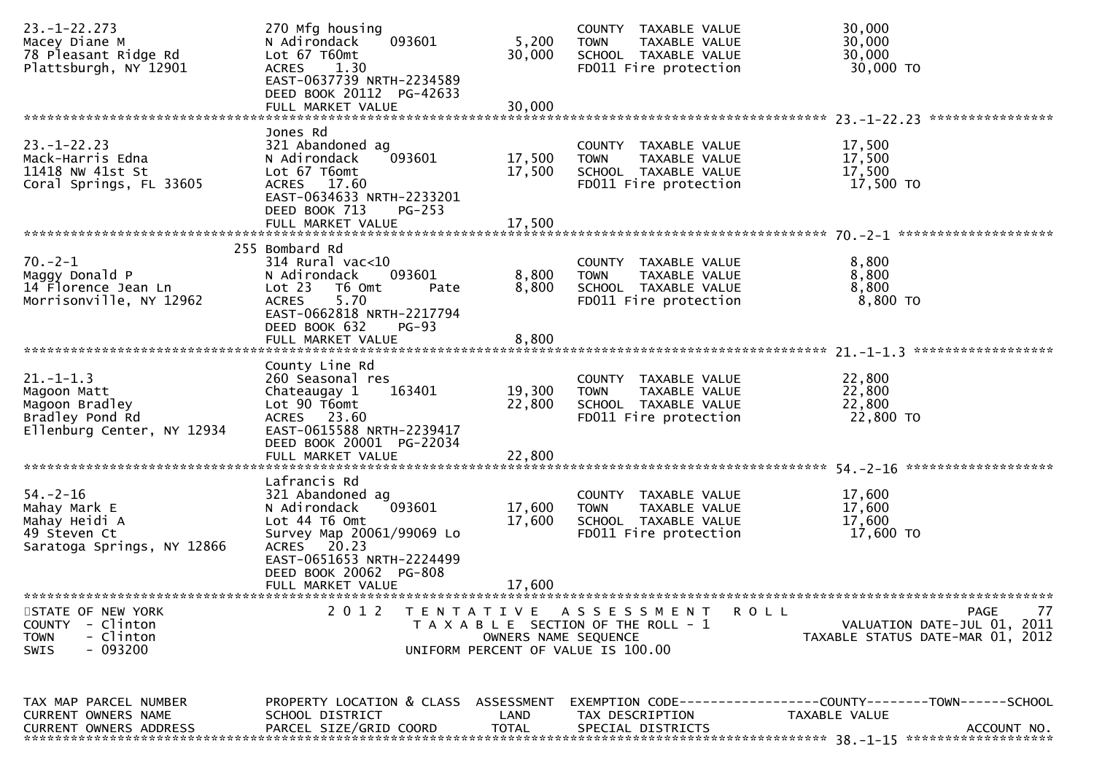| $23. - 1 - 22.273$<br>Macey Diane M<br>78 Pleasant Ridge Rd<br>Plattsburgh, NY 12901              | 270 Mfg housing<br>093601<br>N Adirondack<br>Lot 67 T60mt<br>1.30<br><b>ACRES</b><br>EAST-0637739 NRTH-2234589<br>DEED BOOK 20112 PG-42633<br>FULL MARKET VALUE                                  | 5,200<br>30,000<br>30,000  | COUNTY TAXABLE VALUE<br><b>TOWN</b><br>TAXABLE VALUE<br>SCHOOL TAXABLE VALUE<br>FD011 Fire protection              | 30,000<br>30,000<br>30,000<br>30,000 TO                                                        |
|---------------------------------------------------------------------------------------------------|--------------------------------------------------------------------------------------------------------------------------------------------------------------------------------------------------|----------------------------|--------------------------------------------------------------------------------------------------------------------|------------------------------------------------------------------------------------------------|
|                                                                                                   |                                                                                                                                                                                                  |                            |                                                                                                                    | ****************                                                                               |
| $23 - 1 - 22.23$<br>Mack-Harris Edna<br>11418 NW 41st St<br>Coral Springs, FL 33605               | Jones Rd<br>321 Abandoned ag<br>093601<br>N Adirondack<br>Lot 67 T6omt<br>ACRES 17.60<br>EAST-0634633 NRTH-2233201<br>DEED BOOK 713<br>$PG-253$<br>FULL MARKET VALUE                             | 17,500<br>17,500<br>17,500 | COUNTY TAXABLE VALUE<br><b>TOWN</b><br>TAXABLE VALUE<br>SCHOOL TAXABLE VALUE<br>FD011 Fire protection              | 17,500<br>17,500<br>17,500<br>17,500 TO                                                        |
|                                                                                                   |                                                                                                                                                                                                  |                            |                                                                                                                    |                                                                                                |
| $70. -2 - 1$<br>Maggy Donald P<br>14 Florence Jean Ln<br>Morrisonville, NY 12962                  | 255 Bombard Rd<br>$314$ Rural vac<10<br>093601<br>N Adirondack<br>Lot 23<br>T6 Omt<br>Pate<br>5.70<br><b>ACRES</b><br>EAST-0662818 NRTH-2217794<br>DEED BOOK 632<br>$PG-93$<br>FULL MARKET VALUE | 8,800<br>8,800<br>8,800    | COUNTY TAXABLE VALUE<br>TAXABLE VALUE<br><b>TOWN</b><br>SCHOOL TAXABLE VALUE<br>FD011 Fire protection              | 8,800<br>8,800<br>8,800<br>8,800 TO                                                            |
|                                                                                                   |                                                                                                                                                                                                  |                            |                                                                                                                    | ******************                                                                             |
| $21. - 1 - 1.3$<br>Magoon Matt<br>Magoon Bradley<br>Bradley Pond Rd<br>Ellenburg Center, NY 12934 | County Line Rd<br>260 Seasonal res<br>163401<br>Chateaugay 1<br>Lot 90 T6omt<br>ACRES 23.60<br>EAST-0615588 NRTH-2239417<br>DEED BOOK 20001 PG-22034<br>FULL MARKET VALUE                        | 19,300<br>22,800<br>22,800 | COUNTY TAXABLE VALUE<br>TAXABLE VALUE<br><b>TOWN</b><br>SCHOOL TAXABLE VALUE<br>FD011 Fire protection              | 22,800<br>22,800<br>22,800<br>22,800 TO                                                        |
|                                                                                                   | Lafrancis Rd                                                                                                                                                                                     |                            |                                                                                                                    |                                                                                                |
| $54. - 2 - 16$<br>Mahay Mark E<br>Mahay Heidi A<br>49 Steven Ct<br>Saratoga Springs, NY 12866     | 321 Abandoned ag<br>093601<br>N Adirondack<br>Lot 44 T6 Omt<br>Survey Map 20061/99069 Lo<br>ACRES 20.23<br>EAST-0651653 NRTH-2224499<br>DEED BOOK 20062 PG-808<br>FULL MARKET VALUE              | 17,600<br>17,600<br>17,600 | COUNTY TAXABLE VALUE<br>TAXABLE VALUE<br><b>TOWN</b><br>SCHOOL TAXABLE VALUE<br>FD011 Fire protection              | 17,600<br>17,600<br>17,600<br>17,600 TO                                                        |
|                                                                                                   |                                                                                                                                                                                                  |                            |                                                                                                                    |                                                                                                |
| STATE OF NEW YORK<br>- Clinton<br><b>COUNTY</b><br><b>TOWN</b><br>- Clinton<br>SWIS<br>- 093200   | 2012                                                                                                                                                                                             | OWNERS NAME SEQUENCE       | TENTATIVE ASSESSMENT<br><b>ROLL</b><br>T A X A B L E SECTION OF THE ROLL - 1<br>UNIFORM PERCENT OF VALUE IS 100.00 | 77<br>PAGE<br>VALUATION DATE-JUL 01, 2011<br>TAXABLE STATUS DATE-MAR 01, 2012                  |
| TAX MAP PARCEL NUMBER<br>CURRENT OWNERS NAME<br><b>CURRENT OWNERS ADDRESS</b>                     | PROPERTY LOCATION & CLASS ASSESSMENT<br>SCHOOL DISTRICT<br>PARCEL SIZE/GRID COORD                                                                                                                | LAND<br><b>TOTAL</b>       | TAX DESCRIPTION<br>SPECIAL DISTRICTS                                                                               | EXEMPTION CODE------------------COUNTY--------TOWN------SCHOOL<br>TAXABLE VALUE<br>ACCOUNT NO. |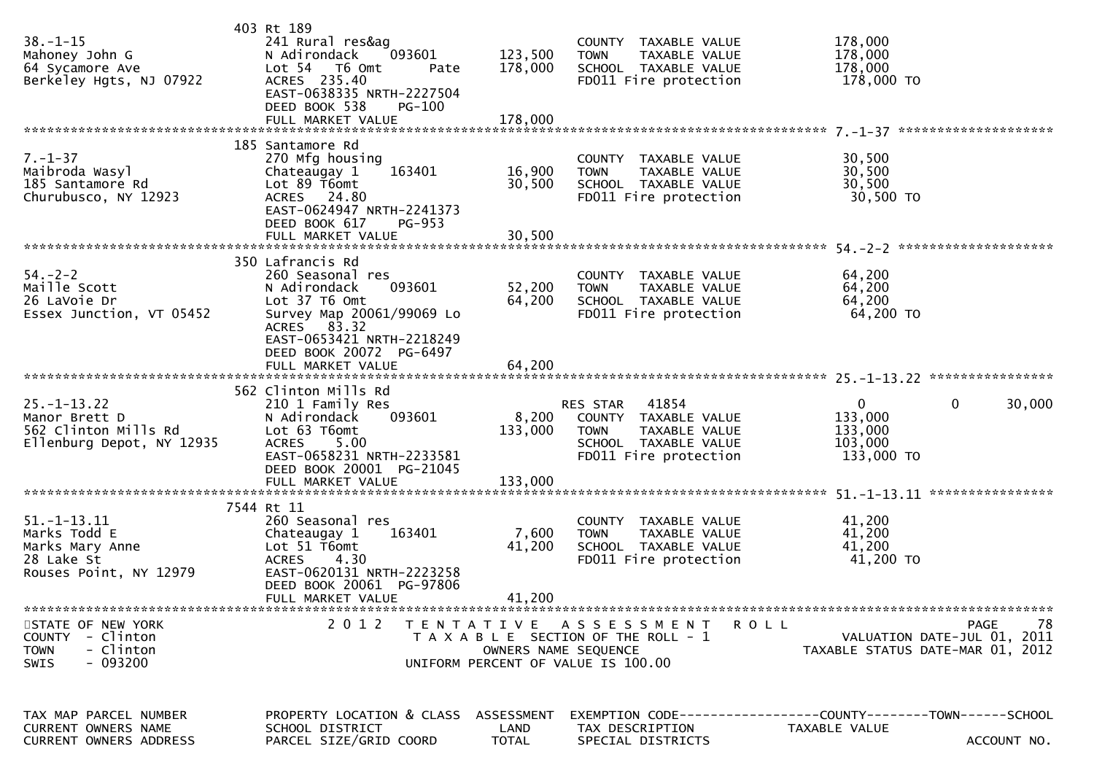| $38. - 1 - 15$<br>Mahoney John G<br>64 Sycamore Ave<br>Berkeley Hgts, NJ 07922                | 403 Rt 189<br>241 Rural res&ag<br>N Adirondack<br>093601<br>Lot 54 76 0mt<br>Pate<br>ACRES 235.40<br>EAST-0638335 NRTH-2227504<br>DEED BOOK 538<br>PG-100           | 123,500<br>178,000                 | COUNTY TAXABLE VALUE<br><b>TOWN</b><br>TAXABLE VALUE<br>SCHOOL TAXABLE VALUE<br>FD011 Fire protection                      | 178,000<br>178,000<br>178,000<br>178,000 TO                                                    |
|-----------------------------------------------------------------------------------------------|---------------------------------------------------------------------------------------------------------------------------------------------------------------------|------------------------------------|----------------------------------------------------------------------------------------------------------------------------|------------------------------------------------------------------------------------------------|
|                                                                                               |                                                                                                                                                                     |                                    |                                                                                                                            |                                                                                                |
| $7. - 1 - 37$<br>Maibroda Wasyl<br>185 Santamore Rd<br>Churubusco, NY 12923                   | 185 Santamore Rd<br>270 Mfg housing<br>Chateaugay 1<br>163401<br>Lot 89 T6omt<br>ACRES 24.80<br>EAST-0624947 NRTH-2241373<br>DEED BOOK 617<br>PG-953                | 16,900<br>30,500                   | COUNTY TAXABLE VALUE<br><b>TOWN</b><br>TAXABLE VALUE<br>SCHOOL TAXABLE VALUE<br>FD011 Fire protection                      | 30,500<br>30,500<br>30,500<br>30,500 TO                                                        |
|                                                                                               |                                                                                                                                                                     |                                    |                                                                                                                            |                                                                                                |
| $54. - 2 - 2$<br>Maille Scott<br>26 LaVoie Dr<br>Essex Junction, VT 05452                     | 350 Lafrancis Rd<br>260 Seasonal res<br>093601<br>N Adirondack<br>Lot 37 T6 Omt<br>Survey Map 20061/99069 Lo<br>ACRES 83.32<br>EAST-0653421 NRTH-2218249            | 52,200<br>64,200                   | COUNTY TAXABLE VALUE<br>TAXABLE VALUE<br><b>TOWN</b><br>SCHOOL TAXABLE VALUE<br>FD011 Fire protection                      | 64,200<br>64,200<br>64,200<br>64,200 TO                                                        |
|                                                                                               | DEED BOOK 20072 PG-6497                                                                                                                                             |                                    |                                                                                                                            |                                                                                                |
|                                                                                               |                                                                                                                                                                     |                                    |                                                                                                                            |                                                                                                |
|                                                                                               |                                                                                                                                                                     |                                    |                                                                                                                            |                                                                                                |
| $25. - 1 - 13.22$<br>Manor Brett D<br>562 Clinton Mills Rd<br>Ellenburg Depot, NY 12935       | 562 Clinton Mills Rd<br>210 1 Family Res<br>N Adirondack<br>093601<br>Lot 63 T6omt<br><b>ACRES</b><br>5.00<br>EAST-0658231 NRTH-2233581<br>DEED BOOK 20001 PG-21045 | 8,200<br>133,000                   | RES STAR<br>41854<br>COUNTY TAXABLE VALUE<br><b>TOWN</b><br>TAXABLE VALUE<br>SCHOOL TAXABLE VALUE<br>FD011 Fire protection | 0<br>$\mathbf{0}$<br>30,000<br>133,000<br>133,000<br>103,000<br>133,000 TO                     |
|                                                                                               |                                                                                                                                                                     |                                    |                                                                                                                            |                                                                                                |
|                                                                                               | 7544 Rt 11                                                                                                                                                          |                                    |                                                                                                                            |                                                                                                |
| $51. - 1 - 13.11$<br>Marks Todd E<br>Marks Mary Anne<br>28 Lake St<br>Rouses Point, NY 12979  | 260 Seasonal res<br>163401<br>Chateaugay 1<br>Lot 51 T6omt<br>4.30<br><b>ACRES</b><br>EAST-0620131 NRTH-2223258<br>DEED BOOK 20061 PG-97806                         | 7,600<br>41,200                    | COUNTY TAXABLE VALUE<br><b>TOWN</b><br>TAXABLE VALUE<br>SCHOOL TAXABLE VALUE<br>FD011 Fire protection                      | 41,200<br>41,200<br>41,200<br>41,200 TO                                                        |
|                                                                                               | FULL MARKET VALUE                                                                                                                                                   | 41,200                             |                                                                                                                            |                                                                                                |
| STATE OF NEW YORK<br>COUNTY - Clinton<br>- Clinton<br><b>TOWN</b><br>$-093200$<br><b>SWIS</b> | 2 0 1 2                                                                                                                                                             | OWNERS NAME SEQUENCE               | TENTATIVE ASSESSMENT ROLL<br>T A X A B L E SECTION OF THE ROLL - 1<br>UNIFORM PERCENT OF VALUE IS 100.00                   | 78<br>PAGE<br>VALUATION DATE-JUL 01, 2011<br>TAXABLE STATUS DATE-MAR 01, 2012                  |
| TAX MAP PARCEL NUMBER<br>CURRENT OWNERS NAME<br>CURRENT OWNERS ADDRESS                        | PROPERTY LOCATION & CLASS<br>SCHOOL DISTRICT<br>PARCEL SIZE/GRID COORD                                                                                              | ASSESSMENT<br>LAND<br><b>TOTAL</b> | TAX DESCRIPTION<br>SPECIAL DISTRICTS                                                                                       | EXEMPTION CODE------------------COUNTY--------TOWN------SCHOOL<br>TAXABLE VALUE<br>ACCOUNT NO. |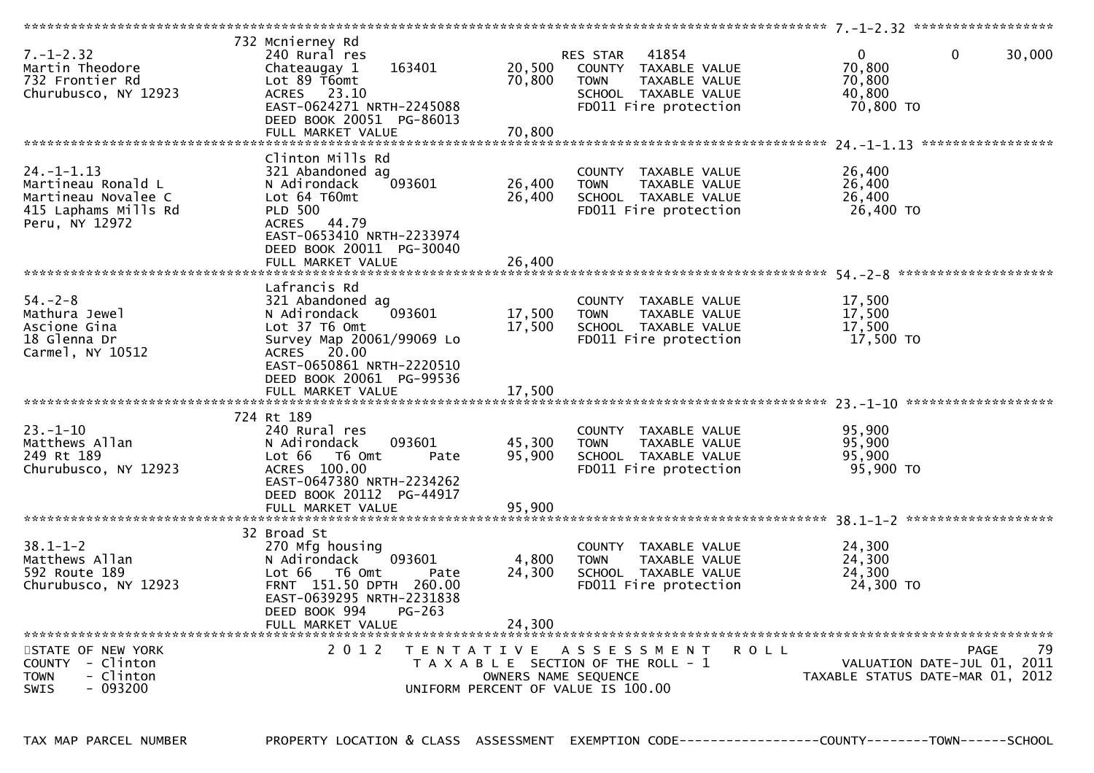| $7. - 1 - 2.32$<br>Martin Theodore<br>732 Frontier Rd | 732 Mcnierney Rd<br>240 Rural res<br>163401<br>Chateaugay 1<br>Lot 89 T6omt | 20,500<br>70,800 | 41854<br><b>RES STAR</b><br>COUNTY TAXABLE VALUE<br>TAXABLE VALUE<br><b>TOWN</b> | $\Omega$<br>$\Omega$<br>70,800<br>70,800 | 30,000            |
|-------------------------------------------------------|-----------------------------------------------------------------------------|------------------|----------------------------------------------------------------------------------|------------------------------------------|-------------------|
| Churubusco, NY 12923                                  | ACRES 23.10<br>EAST-0624271 NRTH-2245088<br>DEED BOOK 20051 PG-86013        |                  | SCHOOL TAXABLE VALUE<br>FD011 Fire protection                                    | 40,800<br>70,800 TO                      |                   |
|                                                       | FULL MARKET VALUE                                                           | 70,800           |                                                                                  |                                          |                   |
|                                                       |                                                                             |                  |                                                                                  |                                          |                   |
|                                                       | Clinton Mills Rd                                                            |                  |                                                                                  |                                          |                   |
| $24. - 1 - 1.13$                                      | 321 Abandoned ag<br>093601                                                  | 26,400           | COUNTY TAXABLE VALUE                                                             | 26,400<br>26,400                         |                   |
| Martineau Ronald L<br>Martineau Novalee C             | N Adirondack<br>Lot 64 T60mt                                                | 26,400           | <b>TOWN</b><br>TAXABLE VALUE<br>SCHOOL TAXABLE VALUE                             | 26,400                                   |                   |
| 415 Laphams Mills Rd                                  | <b>PLD 500</b>                                                              |                  | FD011 Fire protection                                                            | 26,400 TO                                |                   |
| Peru, NY 12972                                        | ACRES 44.79                                                                 |                  |                                                                                  |                                          |                   |
|                                                       | EAST-0653410 NRTH-2233974                                                   |                  |                                                                                  |                                          |                   |
|                                                       | DEED BOOK 20011 PG-30040                                                    |                  |                                                                                  |                                          |                   |
|                                                       | FULL MARKET VALUE                                                           | 26,400           |                                                                                  |                                          |                   |
|                                                       |                                                                             |                  |                                                                                  |                                          |                   |
|                                                       | Lafrancis Rd                                                                |                  |                                                                                  |                                          |                   |
| $54. - 2 - 8$                                         | 321 Abandoned ag                                                            |                  | COUNTY TAXABLE VALUE                                                             | 17,500                                   |                   |
| Mathura Jewel                                         | 093601<br>N Adirondack                                                      | 17,500           | <b>TOWN</b><br>TAXABLE VALUE                                                     | 17,500                                   |                   |
| Ascione Gina                                          | Lot 37 T6 Omt                                                               | 17,500           | SCHOOL TAXABLE VALUE                                                             | 17,500                                   |                   |
| 18 Glenna Dr                                          | Survey Map 20061/99069 Lo                                                   |                  | FD011 Fire protection                                                            | 17,500 TO                                |                   |
| Carmel, NY 10512                                      | ACRES 20.00<br>EAST-0650861 NRTH-2220510                                    |                  |                                                                                  |                                          |                   |
|                                                       | DEED BOOK 20061 PG-99536                                                    |                  |                                                                                  |                                          |                   |
|                                                       | FULL MARKET VALUE                                                           | 17,500           |                                                                                  |                                          |                   |
|                                                       |                                                                             |                  |                                                                                  |                                          |                   |
|                                                       | 724 Rt 189                                                                  |                  |                                                                                  |                                          |                   |
| $23 - 1 - 10$                                         | 240 Rural res                                                               |                  | COUNTY TAXABLE VALUE                                                             | 95,900                                   |                   |
| Matthews Allan                                        | N Adirondack<br>093601                                                      | 45,300           | <b>TOWN</b><br>TAXABLE VALUE                                                     | 95,900                                   |                   |
| 249 Rt 189                                            | Lot 66<br>T6 Omt<br>Pate                                                    | 95,900           | SCHOOL TAXABLE VALUE                                                             | 95.900                                   |                   |
| Churubusco, NY 12923                                  | ACRES 100.00                                                                |                  | FD011 Fire protection                                                            | 95,900 TO                                |                   |
|                                                       | EAST-0647380 NRTH-2234262                                                   |                  |                                                                                  |                                          |                   |
|                                                       | DEED BOOK 20112 PG-44917                                                    |                  |                                                                                  |                                          |                   |
|                                                       |                                                                             |                  |                                                                                  |                                          |                   |
|                                                       | 32 Broad St                                                                 |                  |                                                                                  |                                          |                   |
| $38.1 - 1 - 2$                                        | 270 Mfg housing                                                             |                  | COUNTY TAXABLE VALUE                                                             | 24,300                                   |                   |
| Matthews Allan                                        | N Adirondack<br>093601                                                      | 4,800            | <b>TOWN</b><br>TAXABLE VALUE                                                     | 24,300                                   |                   |
| 592 Route 189                                         | Lot 66  T6 0mt<br>Pate                                                      | 24,300           | SCHOOL TAXABLE VALUE                                                             | 24,300                                   |                   |
| Churubusco, NY 12923                                  | FRNT 151.50 DPTH 260.00                                                     |                  | FD011 Fire protection                                                            | 24,300 TO                                |                   |
|                                                       | EAST-0639295 NRTH-2231838                                                   |                  |                                                                                  |                                          |                   |
|                                                       | DEED BOOK 994<br>PG-263                                                     |                  |                                                                                  |                                          |                   |
|                                                       | FULL MARKET VALUE                                                           | 24.300           |                                                                                  |                                          |                   |
|                                                       |                                                                             |                  |                                                                                  |                                          |                   |
| STATE OF NEW YORK                                     | 2 0 1 2<br>T E N T A T I V E                                                |                  | A S S E S S M E N T<br><b>ROLL</b>                                               |                                          | 79<br><b>PAGE</b> |
| COUNTY - Clinton                                      |                                                                             |                  | T A X A B L E SECTION OF THE ROLL - 1                                            | VALUATION DATE-JUL 01, 2011              |                   |
| - Clinton<br><b>TOWN</b>                              |                                                                             |                  | OWNERS NAME SEQUENCE                                                             | TAXABLE STATUS DATE-MAR 01, 2012         |                   |
| <b>SWIS</b><br>- 093200                               |                                                                             |                  | UNIFORM PERCENT OF VALUE IS 100.00                                               |                                          |                   |

TAX MAP PARCEL NUMBER PROPERTY LOCATION & CLASS ASSESSMENT EXEMPTION CODE----------------COUNTY-------TOWN------SCHOOL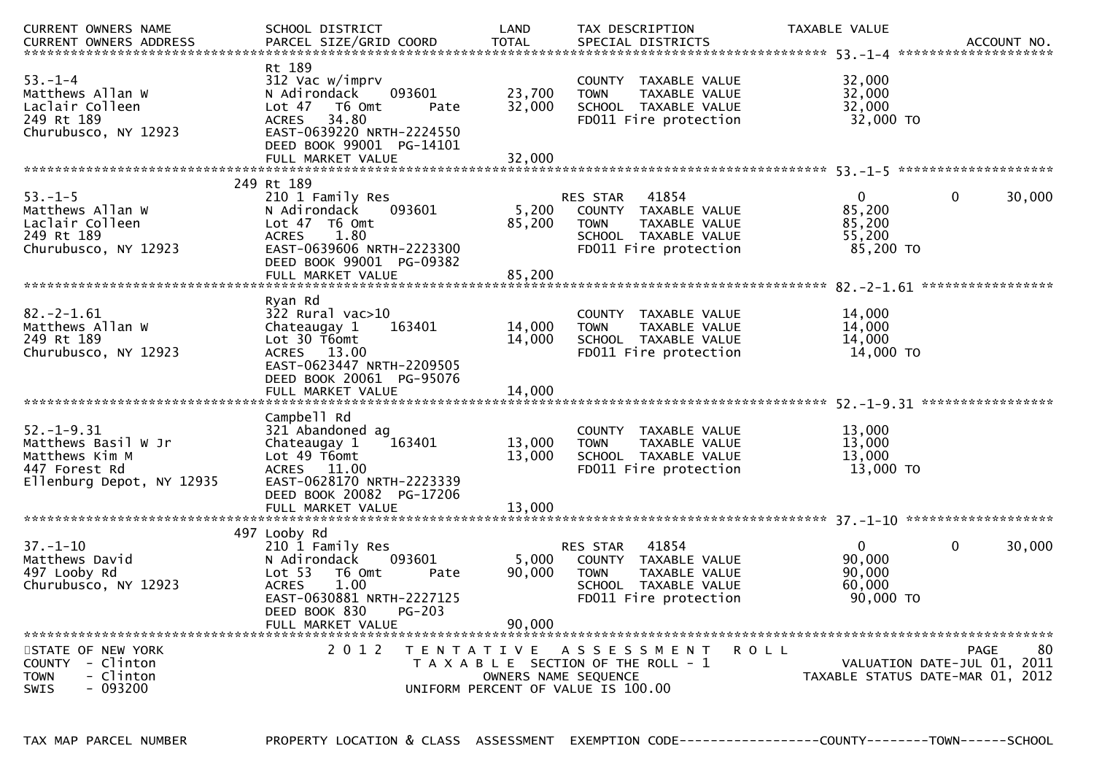| <b>CURRENT OWNERS NAME</b><br><b>CURRENT OWNERS ADDRESS</b>                                             | SCHOOL DISTRICT<br>PARCEL SIZE/GRID COORD                                                                                                                                             | LAND<br><b>TOTAL</b>               | TAX DESCRIPTION<br>SPECIAL DISTRICTS                                                                                              | TAXABLE VALUE                                           | ACCOUNT NO.                                                     |
|---------------------------------------------------------------------------------------------------------|---------------------------------------------------------------------------------------------------------------------------------------------------------------------------------------|------------------------------------|-----------------------------------------------------------------------------------------------------------------------------------|---------------------------------------------------------|-----------------------------------------------------------------|
| $53. - 1 - 4$<br>Matthews Allan W<br>Laclair Colleen<br>249 Rt 189<br>Churubusco, NY 12923              | Rt 189<br>312 Vac w/imprv<br>N Adirondack<br>093601<br>Lot $47$<br>T6 Omt<br>34.80<br><b>ACRES</b><br>EAST-0639220 NRTH-2224550<br>DEED BOOK 99001 PG-14101<br>FULL MARKET VALUE      | 23,700<br>32,000<br>Pate<br>32,000 | COUNTY TAXABLE VALUE<br>TAXABLE VALUE<br><b>TOWN</b><br>SCHOOL TAXABLE VALUE<br>FD011 Fire protection                             | 32,000<br>32,000<br>32,000<br>32,000 TO                 |                                                                 |
|                                                                                                         | 249 Rt 189                                                                                                                                                                            |                                    |                                                                                                                                   |                                                         |                                                                 |
| $53. - 1 - 5$<br>Matthews Allan W<br>Laclair Colleen<br>249 Rt 189<br>Churubusco, NY 12923              | 210 1 Family Res<br>N Adirondack<br>093601<br>Lot $47$ T6 Omt<br>1.80<br><b>ACRES</b><br>EAST-0639606 NRTH-2223300<br>DEED BOOK 99001 PG-09382                                        | 5,200<br>85,200                    | 41854<br>RES STAR<br>COUNTY TAXABLE VALUE<br>TAXABLE VALUE<br><b>TOWN</b><br>SCHOOL TAXABLE VALUE<br>FD011 Fire protection        | $\mathbf{0}$<br>85,200<br>85,200<br>55,200<br>85,200 TO | $\mathbf{0}$<br>30,000                                          |
|                                                                                                         |                                                                                                                                                                                       |                                    |                                                                                                                                   |                                                         |                                                                 |
| $82. -2 - 1.61$<br>Matthews Allan W<br>249 Rt 189<br>Churubusco, NY 12923                               | Ryan Rd<br>322 Rural vac>10<br>Chateaugay 1<br>163401<br>Lot 30 T6omt<br>ACRES 13.00<br>EAST-0623447 NRTH-2209505<br>DEED BOOK 20061 PG-95076<br>FULL MARKET VALUE                    | 14,000<br>14,000<br>14,000         | COUNTY<br>TAXABLE VALUE<br><b>TOWN</b><br>TAXABLE VALUE<br>SCHOOL TAXABLE VALUE<br>FD011 Fire protection                          | 14,000<br>14,000<br>14,000<br>14,000 TO                 |                                                                 |
|                                                                                                         | Campbell Rd                                                                                                                                                                           |                                    |                                                                                                                                   |                                                         |                                                                 |
| $52. - 1 - 9.31$<br>Matthews Basil W Jr<br>Matthews Kim M<br>447 Forest Rd<br>Ellenburg Depot, NY 12935 | 321 Abandoned ag<br>Chateaugay 1<br>163401<br>Lot 49 T6omt<br>ACRES 11.00<br>EAST-0628170 NRTH-2223339<br>DEED BOOK 20082 PG-17206                                                    | 13,000<br>13,000                   | <b>COUNTY</b><br>TAXABLE VALUE<br>TAXABLE VALUE<br><b>TOWN</b><br>SCHOOL TAXABLE VALUE<br>FD011 Fire protection                   | 13,000<br>13,000<br>13,000<br>13,000 TO                 |                                                                 |
|                                                                                                         | FULL MARKET VALUE                                                                                                                                                                     | 13,000                             |                                                                                                                                   |                                                         |                                                                 |
| $37 - 1 - 10$<br>Matthews David<br>497 Looby Rd<br>Churubusco, NY 12923                                 | 497 Looby Rd<br>210 1 Family Res<br>N Adirondack<br>093601<br>Lot 53<br>T6 Omt<br>1.00<br><b>ACRES</b><br>EAST-0630881 NRTH-2227125<br>DEED BOOK 830<br>$PG-203$<br>FULL MARKET VALUE | 5,000<br>90,000<br>Pate<br>90.000  | 41854<br><b>RES STAR</b><br>COUNTY TAXABLE VALUE<br><b>TOWN</b><br>TAXABLE VALUE<br>SCHOOL TAXABLE VALUE<br>FD011 Fire protection | 0<br>90,000<br>90,000<br>60,000<br>90,000 TO            | $\mathbf{0}$<br>30,000                                          |
| STATE OF NEW YORK                                                                                       | 2 0 1 2                                                                                                                                                                               | T E N T A T I V E                  | A S S E S S M E N T                                                                                                               | <b>ROLL</b>                                             | <b>PAGE</b><br>80                                               |
| COUNTY - Clinton<br><b>TOWN</b><br>- Clinton<br>$-093200$<br><b>SWIS</b>                                |                                                                                                                                                                                       | UNIFORM PERCENT OF VALUE IS 100.00 | T A X A B L E SECTION OF THE ROLL - 1<br>OWNERS NAME SEQUENCE                                                                     |                                                         | VALUATION DATE-JUL 01, 2011<br>TAXABLE STATUS DATE-MAR 01, 2012 |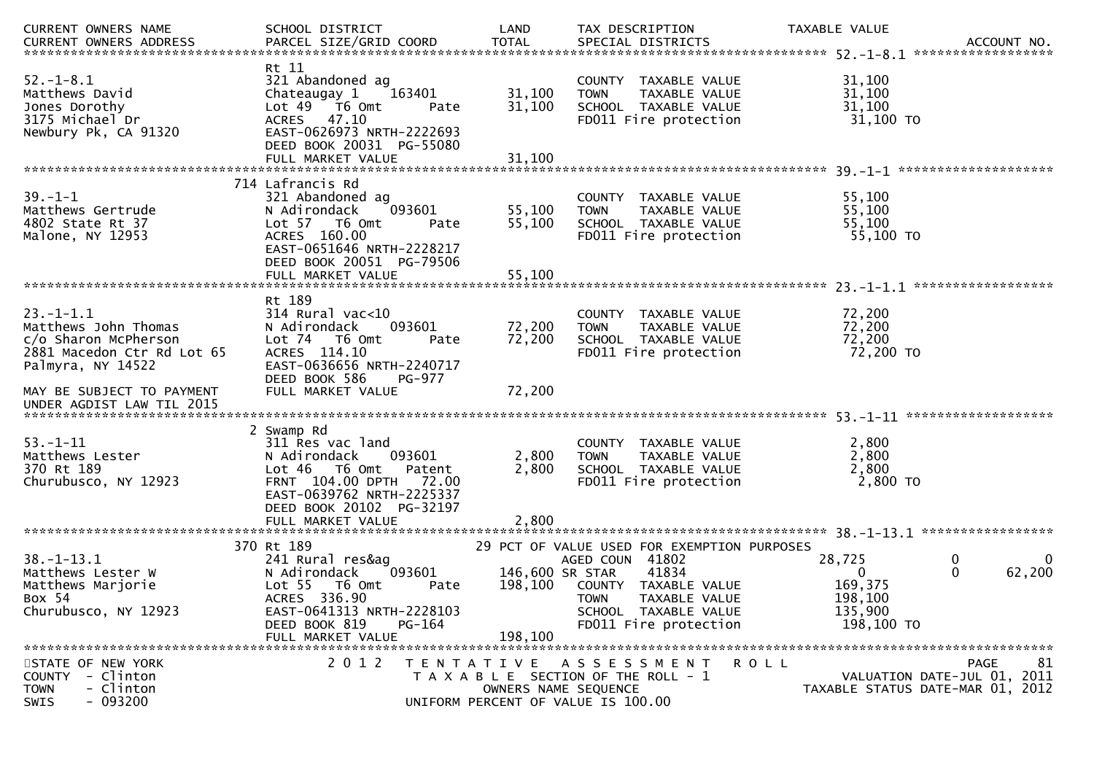| CURRENT OWNERS NAME                                                                                               | SCHOOL DISTRICT                                                                                                                                                                                  | LAND                                  | TAX DESCRIPTION                                                                                                                   | TAXABLE VALUE                                                     | ACCOUNT NO.<br>******************                                             |
|-------------------------------------------------------------------------------------------------------------------|--------------------------------------------------------------------------------------------------------------------------------------------------------------------------------------------------|---------------------------------------|-----------------------------------------------------------------------------------------------------------------------------------|-------------------------------------------------------------------|-------------------------------------------------------------------------------|
| $52. - 1 - 8.1$<br>Matthews David<br>Jones Dorothy<br>3175 Michael Dr<br>Newbury Pk, CA 91320                     | Rt 11<br>321 Abandoned ag<br>Chateaugay 1<br>163401<br>Lot 49 76 0mt<br>Pate<br>ACRES 47.10<br>EAST-0626973 NRTH-2222693<br>DEED BOOK 20031 PG-55080<br>FULL MARKET VALUE                        | 31,100<br>31,100<br>31,100            | COUNTY TAXABLE VALUE<br><b>TOWN</b><br>TAXABLE VALUE<br>SCHOOL TAXABLE VALUE<br>FD011 Fire protection                             | 31,100<br>31,100<br>31,100<br>31,100 TO                           |                                                                               |
|                                                                                                                   | 714 Lafrancis Rd                                                                                                                                                                                 |                                       |                                                                                                                                   |                                                                   |                                                                               |
| $39. - 1 - 1$<br>Matthews Gertrude<br>4802 State Rt 37<br>Malone, NY 12953                                        | 321 Abandoned ag<br>093601<br>N Adirondack<br>Lot 57  T6 Omt<br>Pate<br>ACRES 160.00<br>EAST-0651646 NRTH-2228217<br>DEED BOOK 20051 PG-79506                                                    | 55,100<br>55,100                      | COUNTY TAXABLE VALUE<br>TAXABLE VALUE<br><b>TOWN</b><br>SCHOOL TAXABLE VALUE<br>FD011 Fire protection                             | 55,100<br>55,100<br>55,100<br>55,100 TO                           |                                                                               |
|                                                                                                                   | FULL MARKET VALUE                                                                                                                                                                                | 55,100                                |                                                                                                                                   |                                                                   |                                                                               |
| $23 - 1 - 1.1$<br>Matthews John Thomas<br>c/o Sharon McPherson<br>2881 Macedon Ctr Rd Lot 65<br>Palmyra, NY 14522 | Rt 189<br>$314$ Rural vac<10<br>093601<br>N Adirondack<br>Lot 74  T6 0mt<br>Pate<br>ACRES 114.10<br>EAST-0636656 NRTH-2240717<br>DEED BOOK 586<br>PG-977                                         | 72,200<br>72,200                      | COUNTY TAXABLE VALUE<br><b>TOWN</b><br>TAXABLE VALUE<br>SCHOOL TAXABLE VALUE<br>FD011 Fire protection                             | 72,200<br>72,200<br>72,200<br>72,200 TO                           |                                                                               |
| MAY BE SUBJECT TO PAYMENT<br>UNDER AGDIST LAW TIL 2015                                                            | FULL MARKET VALUE                                                                                                                                                                                | 72,200                                |                                                                                                                                   |                                                                   |                                                                               |
| $53. - 1 - 11$<br>Matthews Lester<br>370 Rt 189<br>Churubusco, NY 12923                                           | 2 Swamp Rd<br>311 Res vac land<br>093601<br>N Adirondack<br>$Lot 46$ T6 Omt<br>Patent<br>FRNT 104.00 DPTH<br>72.00<br>EAST-0639762 NRTH-2225337<br>DEED BOOK 20102 PG-32197<br>FULL MARKET VALUE | 2,800<br>2,800<br>2,800               | <b>COUNTY</b><br>TAXABLE VALUE<br>TAXABLE VALUE<br><b>TOWN</b><br>SCHOOL TAXABLE VALUE<br>FD011 Fire protection                   | 2,800<br>2,800<br>2,800<br>2,800 TO                               |                                                                               |
|                                                                                                                   | 370 Rt 189                                                                                                                                                                                       |                                       | 29 PCT OF VALUE USED FOR EXEMPTION PURPOSES                                                                                       |                                                                   |                                                                               |
| $38. - 1 - 13.1$<br>Matthews Lester W<br>Matthews Marjorie<br>Box 54<br>Churubusco, NY 12923                      | 241 Rural res&ag<br>093601<br>N Adirondack<br>Lot 55  T6 Omt<br>Pate<br>ACRES 336.90<br>EAST-0641313 NRTH-2228103<br>DEED BOOK 819<br>PG-164<br>FULL MARKET VALUE                                | 146,600 SR STAR<br>198,100<br>198,100 | AGED COUN 41802<br>41834<br>COUNTY TAXABLE VALUE<br><b>TOWN</b><br>TAXABLE VALUE<br>SCHOOL TAXABLE VALUE<br>FD011 Fire protection | 28,725<br>$\Omega$<br>169,375<br>198,100<br>135,900<br>198,100 TO | $\mathbf{0}$<br>0<br>$\mathbf{0}$<br>62,200                                   |
| STATE OF NEW YORK<br>COUNTY - Clinton<br>- Clinton<br><b>TOWN</b><br>$-093200$<br>SWIS                            | 2 0 1 2                                                                                                                                                                                          | T E N T A T I V E                     | A S S E S S M E N T<br>T A X A B L E SECTION OF THE ROLL - 1<br>OWNERS NAME SEQUENCE<br>UNIFORM PERCENT OF VALUE IS 100.00        | R O L L                                                           | 81<br>PAGE<br>VALUATION DATE-JUL 01, 2011<br>TAXABLE STATUS DATE-MAR 01, 2012 |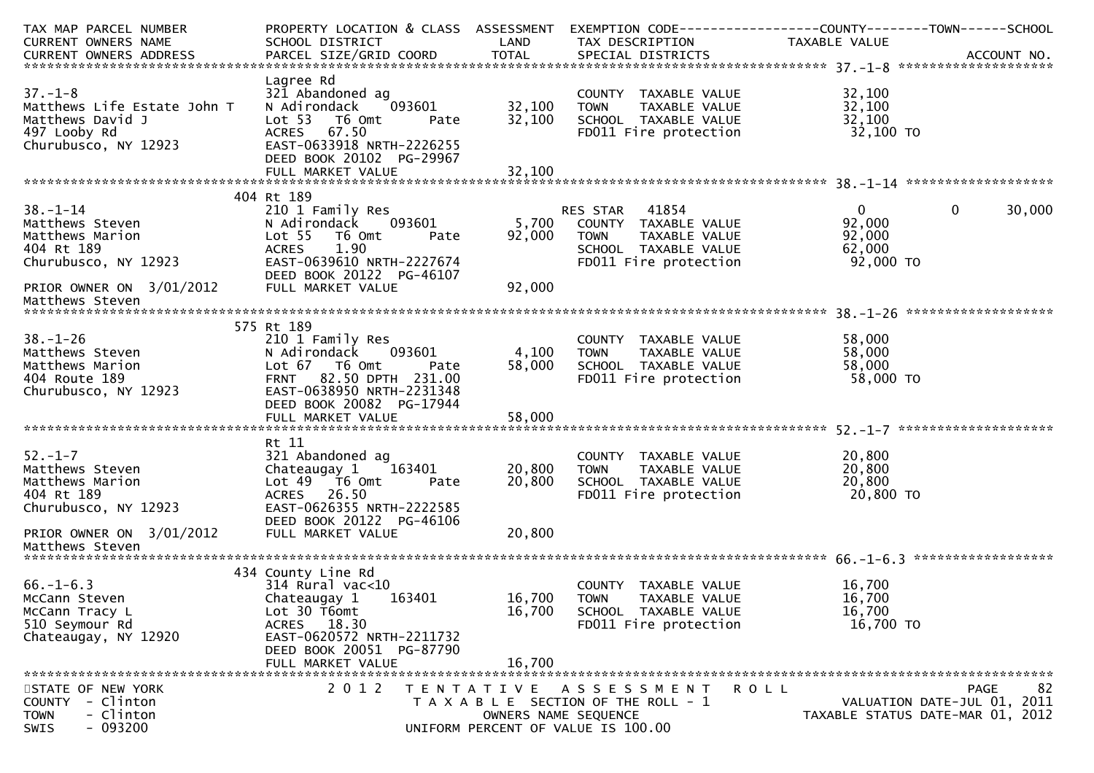| TAX MAP PARCEL NUMBER<br><b>CURRENT OWNERS NAME</b> | PROPERTY LOCATION & CLASS ASSESSMENT<br>SCHOOL DISTRICT | LAND                 | TAX DESCRIPTION                                      | TAXABLE VALUE       |                                  |
|-----------------------------------------------------|---------------------------------------------------------|----------------------|------------------------------------------------------|---------------------|----------------------------------|
| CURRENT OWNERS ADDRESS                              | PARCEL SIZE/GRID COORD                                  | <b>TOTAL</b>         | SPECIAL DISTRICTS                                    |                     | ACCOUNT NO.                      |
|                                                     | Lagree Rd                                               |                      |                                                      |                     |                                  |
| $37. - 1 - 8$<br>Matthews Life Estate John T        | 321 Abandoned ag<br>093601<br>N Adirondack              | 32,100               | COUNTY TAXABLE VALUE<br>TAXABLE VALUE<br><b>TOWN</b> | 32,100<br>32,100    |                                  |
| Matthews David J<br>497 Looby Rd                    | Lot <sub>53</sub><br>T6 Omt<br>Pate<br>ACRES 67.50      | 32,100               | SCHOOL TAXABLE VALUE<br>FD011 Fire protection        | 32,100<br>32,100 TO |                                  |
| Churubusco, NY 12923                                | EAST-0633918 NRTH-2226255<br>DEED BOOK 20102 PG-29967   |                      |                                                      |                     |                                  |
|                                                     |                                                         |                      |                                                      |                     |                                  |
|                                                     | 404 Rt 189                                              |                      |                                                      |                     |                                  |
| $38. - 1 - 14$<br>Matthews Steven                   | 210 1 Family Res<br>093601<br>N Adirondack              | 5,700                | RES STAR<br>41854<br>COUNTY TAXABLE VALUE            | 0<br>92,000         | 0<br>30,000                      |
| Matthews Marion                                     | Lot <sub>55</sub><br>T6 Omt<br>Pate                     | 92,000               | TAXABLE VALUE<br><b>TOWN</b>                         | 92,000              |                                  |
| 404 Rt 189                                          | 1.90<br><b>ACRES</b>                                    |                      | SCHOOL TAXABLE VALUE                                 | 62,000              |                                  |
| Churubusco, NY 12923                                | EAST-0639610 NRTH-2227674<br>DEED BOOK 20122 PG-46107   |                      | FD011 Fire protection                                | 92,000 TO           |                                  |
| PRIOR OWNER ON 3/01/2012                            | FULL MARKET VALUE                                       | 92,000               |                                                      |                     |                                  |
| Matthews Steven                                     |                                                         |                      |                                                      |                     |                                  |
|                                                     | 575 Rt 189                                              |                      |                                                      |                     |                                  |
| $38. - 1 - 26$                                      | 210 1 Family Res                                        |                      | COUNTY TAXABLE VALUE                                 | 58,000              |                                  |
| Matthews Steven                                     | 093601<br>N Adirondack                                  | 4,100                | TAXABLE VALUE<br><b>TOWN</b>                         | 58,000              |                                  |
| Matthews Marion                                     | Lot 67 T6 Omt<br>Pate                                   | 58,000               | SCHOOL TAXABLE VALUE                                 | 58,000              |                                  |
| 404 Route 189                                       | FRNT 82.50 DPTH 231.00                                  |                      | FD011 Fire protection                                | 58,000 TO           |                                  |
| Churubusco, NY 12923                                | EAST-0638950 NRTH-2231348                               |                      |                                                      |                     |                                  |
|                                                     | DEED BOOK 20082 PG-17944                                |                      |                                                      |                     |                                  |
|                                                     |                                                         |                      |                                                      |                     |                                  |
|                                                     |                                                         |                      |                                                      |                     |                                  |
|                                                     | Rt 11                                                   |                      |                                                      |                     |                                  |
| $52. - 1 - 7$                                       | 321 Abandoned ag                                        |                      | COUNTY TAXABLE VALUE                                 | 20,800              |                                  |
| Matthews Steven                                     | Chateaugay 1<br>163401                                  | 20,800               | <b>TOWN</b><br>TAXABLE VALUE                         | 20,800              |                                  |
| Matthews Marion<br>404 Rt 189                       | Lot 49  T6 0mt<br>Pate<br>ACRES 26.50                   | 20,800               | SCHOOL TAXABLE VALUE<br>FD011 Fire protection        | 20,800<br>20,800 TO |                                  |
| Churubusco, NY 12923                                | EAST-0626355 NRTH-2222585                               |                      |                                                      |                     |                                  |
|                                                     | DEED BOOK 20122 PG-46106                                |                      |                                                      |                     |                                  |
| PRIOR OWNER ON 3/01/2012<br>Matthews Steven         | FULL MARKET VALUE                                       | 20,800               |                                                      |                     |                                  |
|                                                     |                                                         |                      |                                                      |                     |                                  |
|                                                     | 434 County Line Rd                                      |                      |                                                      |                     |                                  |
| $66. - 1 - 6.3$                                     | $314$ Rural vac< $10$                                   |                      | COUNTY<br>TAXABLE VALUE                              | 16,700              |                                  |
| McCann Steven<br>McCann Tracy L                     | Chateaugay 1<br>163401                                  | 16,700<br>16,700     | <b>TOWN</b><br>TAXABLE VALUE<br>SCHOOL TAXABLE VALUE | 16,700<br>16,700    |                                  |
| 510 Seymour Rd                                      | Lot 30 T6omt<br>ACRES 18.30                             |                      | FD011 Fire protection                                | 16,700 TO           |                                  |
| Chateaugay, NY 12920                                | EAST-0620572 NRTH-2211732                               |                      |                                                      |                     |                                  |
|                                                     | DEED BOOK 20051 PG-87790                                |                      |                                                      |                     |                                  |
|                                                     | FULL MARKET VALUE                                       | 16,700               |                                                      |                     |                                  |
|                                                     |                                                         |                      |                                                      |                     |                                  |
| STATE OF NEW YORK                                   | 2 0 1 2<br>T E N T A T I V E                            |                      | A S S E S S M E N T                                  | R O L L             | 82<br><b>PAGE</b>                |
| - Clinton<br><b>COUNTY</b>                          |                                                         |                      | T A X A B L E SECTION OF THE ROLL - 1                |                     | VALUATION DATE-JUL 01, 2011      |
| - Clinton<br><b>TOWN</b>                            |                                                         | OWNERS NAME SEQUENCE |                                                      |                     | TAXABLE STATUS DATE-MAR 01, 2012 |
| $-093200$<br>SWIS                                   |                                                         |                      | UNIFORM PERCENT OF VALUE IS 100.00                   |                     |                                  |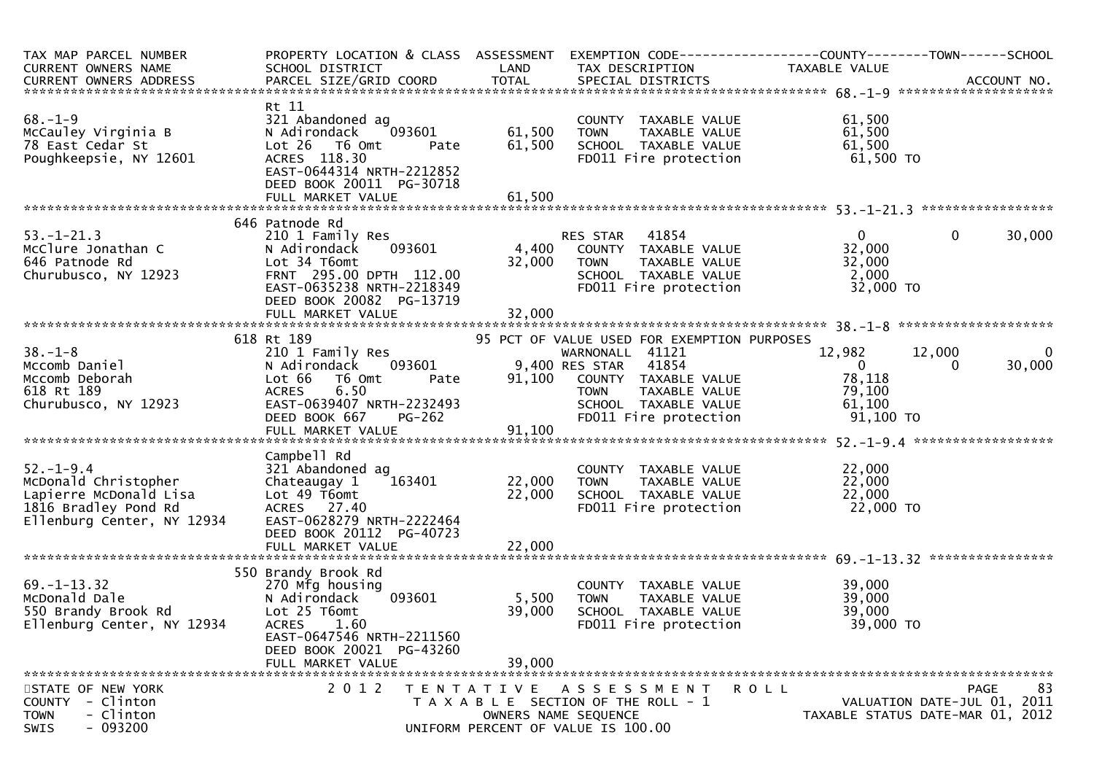| TAX MAP PARCEL NUMBER<br>CURRENT OWNERS NAME                                                                            | PROPERTY LOCATION & CLASS ASSESSMENT EXEMPTION CODE----------------COUNTY-------TOWN------SCHOOL<br>SCHOOL DISTRICT                                                                    | LAND                      | TAX DESCRIPTION                                                                                       | TAXABLE VALUE                                                                                                                                                     |                                               |
|-------------------------------------------------------------------------------------------------------------------------|----------------------------------------------------------------------------------------------------------------------------------------------------------------------------------------|---------------------------|-------------------------------------------------------------------------------------------------------|-------------------------------------------------------------------------------------------------------------------------------------------------------------------|-----------------------------------------------|
|                                                                                                                         |                                                                                                                                                                                        |                           |                                                                                                       |                                                                                                                                                                   |                                               |
| $68. - 1 - 9$<br>McCauley Virginia B<br>78 East Cedar St<br>Poughkeepsie, NY 12601                                      | Rt 11<br>321 Abandoned ag<br>093601<br>N Adirondack<br>Lot 26 T6 Omt<br>Pate<br>ACRES 118.30<br>EAST-0644314 NRTH-2212852                                                              | 61,500<br>61,500          | COUNTY TAXABLE VALUE<br>TOWN     TAXABLE VALUE                                                        | 61,500<br>61,500<br>SCHOOL TAXABLE VALUE 61,500<br>FD011 Fire protection 61,500 TO                                                                                |                                               |
|                                                                                                                         | DEED BOOK 20011 PG-30718                                                                                                                                                               |                           |                                                                                                       |                                                                                                                                                                   |                                               |
|                                                                                                                         | 646 Patnode Rd                                                                                                                                                                         |                           |                                                                                                       |                                                                                                                                                                   |                                               |
| $53. - 1 - 21.3$<br>McClure Jonathan C<br>646 Patnode Rd<br>Churubusco, NY 12923                                        | 210 1 Family Res<br>N Adirondack<br>Lot 34 T6omt<br>FRNT 295.00 DPTH 112.00<br>EAST-0635238 NRTH-2218349<br>DEED BOOK 20082 PG-13719                                                   | 32,000                    | RES STAR 41854<br>TOWN TAXABLE VALUE<br>SCHOOL TAXABLE VALUE<br>FDO11 Fire protection                 | $\mathbf{0}$<br>32,000<br>32,000<br>2,000<br>32,000 TO                                                                                                            | $\mathbf 0$<br>30,000                         |
|                                                                                                                         |                                                                                                                                                                                        |                           |                                                                                                       |                                                                                                                                                                   |                                               |
|                                                                                                                         | 618 Rt 189                                                                                                                                                                             |                           | 95 PCT OF VALUE USED FOR EXEMPTION PURPOSES                                                           |                                                                                                                                                                   |                                               |
| $38. - 1 - 8$<br>Mccomb Daniel<br>Mccomb Deborah<br>618 Rt 189<br>Churubusco, NY 12923                                  | 210 1 Family Res<br>N Adirondack 093601 9,400 RES STAR 41854<br>Lot 66<br>T6 Omt<br>Pate<br>6.50<br><b>ACRES</b><br>EAST-0639407 NRTH-2232493<br>DEED BOOK 667<br>PG-262               |                           | WARNONALL 41121                                                                                       | 12,982<br>12,000<br>$\sim$ 0<br>91,100 COUNTY TAXABLE VALUE 78,118<br>TOWN TAXABLE VALUE 79,100<br>SCHOOL TAXABLE VALUE 61,100<br>FD011 Fire protection 91,100 TO | $\overline{\mathbf{0}}$<br>30,000<br>$\Omega$ |
|                                                                                                                         |                                                                                                                                                                                        |                           |                                                                                                       |                                                                                                                                                                   |                                               |
| $52. - 1 - 9.4$<br>McDonald Christopher<br>Lapierre McDonald Lisa<br>1816 Bradley Pond Rd<br>Ellenburg Center, NY 12934 | Campbell Rd<br>321 Abandoned ag<br>Chateaugay 1<br>Lot 49 T6omt<br>ACRES 27.40<br>EAST-0628279 NRTH-2222464<br>DEED BOOK 20112 PG-40723<br>FULL MARKET VALUE                           | 22,000<br>22,000          | COUNTY TAXABLE VALUE<br>TOWN TAXABLE VALUE<br>SCHOOL TAXABLE VALUE<br>FD011 Fire protection           | 22,000<br>22,000<br>22,000<br>22,000<br>22,000 то                                                                                                                 |                                               |
|                                                                                                                         |                                                                                                                                                                                        |                           |                                                                                                       |                                                                                                                                                                   |                                               |
| 69.-1-13.32<br>McDonald Dale<br>550 Brandy Brook Rd<br>550 Brandy Brook Rd                                              | 550 Brandy Brook Rd<br>270 Mfg housing<br>N Adirondack<br>093601<br>Lot 25 T6omt<br>1.60<br><b>ACRES</b><br>EAST-0647546 NRTH-2211560<br>DEED BOOK 20021 PG-43260<br>FULL MARKET VALUE | 5,500<br>39,000<br>39,000 | COUNTY TAXABLE VALUE<br>TAXABLE VALUE<br><b>TOWN</b><br>SCHOOL TAXABLE VALUE<br>FD011 Fire protection | 39,000<br>39,000<br>39,000<br>39,000 TO                                                                                                                           |                                               |
| STATE OF NEW YORK<br>COUNTY - Clinton<br>- Clinton<br><b>TOWN</b><br>$-093200$<br>SWIS                                  | 2 0 1 2                                                                                                                                                                                | OWNERS NAME SEQUENCE      | TENTATIVE ASSESSMENT<br>T A X A B L E SECTION OF THE ROLL - 1<br>UNIFORM PERCENT OF VALUE IS 100.00   | <b>ROLL</b><br>TAXABLE STATUS DATE-MAR 01, 2012                                                                                                                   | 83<br>PAGE<br>VALUATION DATE-JUL 01, 2011     |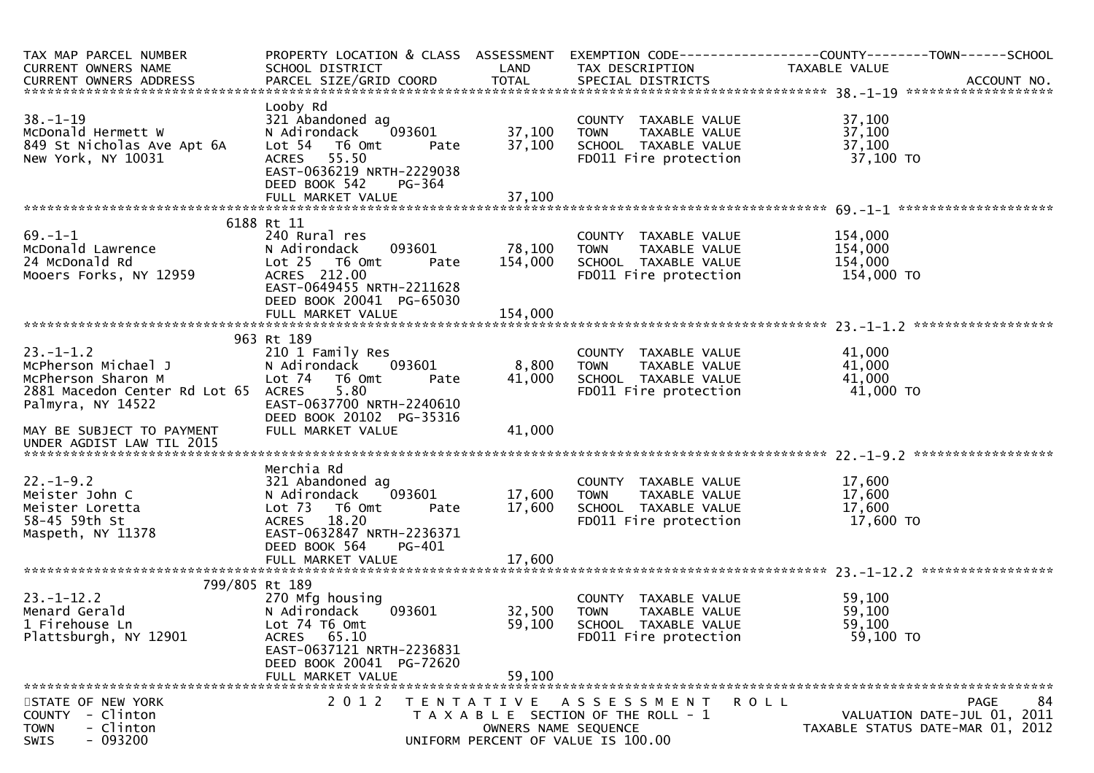| TAX MAP PARCEL NUMBER<br>CURRENT OWNERS NAME                       | SCHOOL DISTRICT                                                                 | LAND                 | TAX DESCRIPTION                                                              | PROPERTY LOCATION & CLASS ASSESSMENT EXEMPTION CODE----------------COUNTY--------TOWN------SCHOOL<br>TAXABLE VALUE |
|--------------------------------------------------------------------|---------------------------------------------------------------------------------|----------------------|------------------------------------------------------------------------------|--------------------------------------------------------------------------------------------------------------------|
|                                                                    |                                                                                 |                      |                                                                              |                                                                                                                    |
|                                                                    |                                                                                 |                      |                                                                              |                                                                                                                    |
| $38. - 1 - 19$<br>McDonald Hermett W<br>849 St Nicholas Ave Apt 6A | Looby Rd<br>321 Abandoned ag<br>093601<br>N Adirondack<br>Lot 54 T6 Omt<br>Pate | 37,100<br>37,100     | COUNTY TAXABLE VALUE<br><b>TOWN</b><br>TAXABLE VALUE<br>SCHOOL TAXABLE VALUE | 37,100<br>37,100<br>37,100                                                                                         |
| New York, NY 10031                                                 | ACRES 55.50<br>EAST-0636219 NRTH-2229038<br>DEED BOOK 542<br><b>PG-364</b>      |                      | FD011 Fire protection                                                        | 37,100 TO                                                                                                          |
|                                                                    |                                                                                 |                      |                                                                              |                                                                                                                    |
| $69. - 1 - 1$                                                      | 6188 Rt 11                                                                      |                      |                                                                              |                                                                                                                    |
| McDonald Lawrence                                                  | 240 Rural res<br>093601<br>N Adirondack                                         | 78,100               | COUNTY TAXABLE VALUE<br><b>TOWN</b><br>TAXABLE VALUE                         | 154,000<br>154,000                                                                                                 |
| 24 McDonald Rd                                                     | Lot 25 T6 Omt<br>Pate                                                           | 154,000              | SCHOOL TAXABLE VALUE                                                         | 154,000                                                                                                            |
| Mooers Forks, NY 12959                                             | ACRES 212.00                                                                    |                      | FD011 Fire protection                                                        | 154,000 TO                                                                                                         |
|                                                                    | EAST-0649455 NRTH-2211628                                                       |                      |                                                                              |                                                                                                                    |
|                                                                    | DEED BOOK 20041 PG-65030<br>FULL MARKET VALUE                                   | 154,000              |                                                                              |                                                                                                                    |
|                                                                    |                                                                                 |                      |                                                                              |                                                                                                                    |
|                                                                    | 963 Rt 189                                                                      |                      |                                                                              |                                                                                                                    |
| $23. - 1 - 1.2$                                                    | 210 1 Family Res                                                                |                      | COUNTY TAXABLE VALUE                                                         | 41,000                                                                                                             |
| McPherson Michael J<br>McPherson Sharon M                          | 093601<br>N Adirondack<br>Lot 74  T6 0mt<br>Pate                                | 8,800<br>41,000      | TAXABLE VALUE<br><b>TOWN</b><br>SCHOOL TAXABLE VALUE                         | 41,000<br>41,000                                                                                                   |
| 2881 Macedon Center Rd Lot 65                                      | 5.80<br>ACRES                                                                   |                      | FD011 Fire protection                                                        | 41,000 TO                                                                                                          |
| Palmyra, NY 14522                                                  | EAST-0637700 NRTH-2240610                                                       |                      |                                                                              |                                                                                                                    |
|                                                                    | DEED BOOK 20102 PG-35316                                                        |                      |                                                                              |                                                                                                                    |
| MAY BE SUBJECT TO PAYMENT<br>UNDER AGDIST LAW TIL 2015             | FULL MARKET VALUE                                                               | 41,000               |                                                                              |                                                                                                                    |
|                                                                    |                                                                                 |                      |                                                                              |                                                                                                                    |
|                                                                    | Merchia Rd                                                                      |                      |                                                                              |                                                                                                                    |
| $22. - 1 - 9.2$                                                    | 321 Abandoned ag                                                                |                      | COUNTY TAXABLE VALUE                                                         | 17,600                                                                                                             |
| Meister John C                                                     | 093601<br>N Adirondack                                                          | 17,600               | <b>TOWN</b><br>TAXABLE VALUE                                                 | 17,600                                                                                                             |
| Meister Loretta<br>58-45 59th St                                   | Lot 73<br>T6 Omt<br>Pate<br>18.20<br><b>ACRES</b>                               | 17,600               | SCHOOL TAXABLE VALUE<br>FD011 Fire protection                                | 17,600<br>17,600 TO                                                                                                |
| Maspeth, NY 11378                                                  | EAST-0632847 NRTH-2236371                                                       |                      |                                                                              |                                                                                                                    |
|                                                                    | DEED BOOK 564<br>PG-401                                                         |                      |                                                                              |                                                                                                                    |
|                                                                    | FULL MARKET VALUE                                                               | 17,600               |                                                                              |                                                                                                                    |
| 799/805 Rt 189                                                     |                                                                                 |                      |                                                                              |                                                                                                                    |
| $23. - 1 - 12.2$                                                   | 270 Mfg housing                                                                 |                      | COUNTY TAXABLE VALUE                                                         | 59,100                                                                                                             |
| Menard Gerald                                                      | 093601<br>N Adirondack                                                          | 32,500               | TAXABLE VALUE<br><b>TOWN</b>                                                 | 59,100                                                                                                             |
| 1 Firehouse Ln                                                     | Lot 74 T6 Omt                                                                   | 59,100               | SCHOOL TAXABLE VALUE                                                         | 59,100                                                                                                             |
| Plattsburgh, NY 12901                                              | ACRES 65.10                                                                     |                      | FD011 Fire protection                                                        | 59,100 TO                                                                                                          |
|                                                                    | EAST-0637121 NRTH-2236831<br>DEED BOOK 20041 PG-72620                           |                      |                                                                              |                                                                                                                    |
|                                                                    | FULL MARKET VALUE                                                               | 59,100               |                                                                              |                                                                                                                    |
|                                                                    |                                                                                 |                      |                                                                              |                                                                                                                    |
| STATE OF NEW YORK                                                  | 2 0 1 2                                                                         |                      | ROLL<br>TENTATIVE ASSESSMENT                                                 | 84<br><b>PAGE</b>                                                                                                  |
| - Clinton<br><b>COUNTY</b><br>- Clinton                            |                                                                                 |                      | T A X A B L E SECTION OF THE ROLL - 1                                        | VALUATION DATE-JUL 01, 2011                                                                                        |
| <b>TOWN</b><br>$-093200$<br>SWIS                                   |                                                                                 | OWNERS NAME SEQUENCE | UNIFORM PERCENT OF VALUE IS 100.00                                           | TAXABLE STATUS DATE-MAR 01, 2012                                                                                   |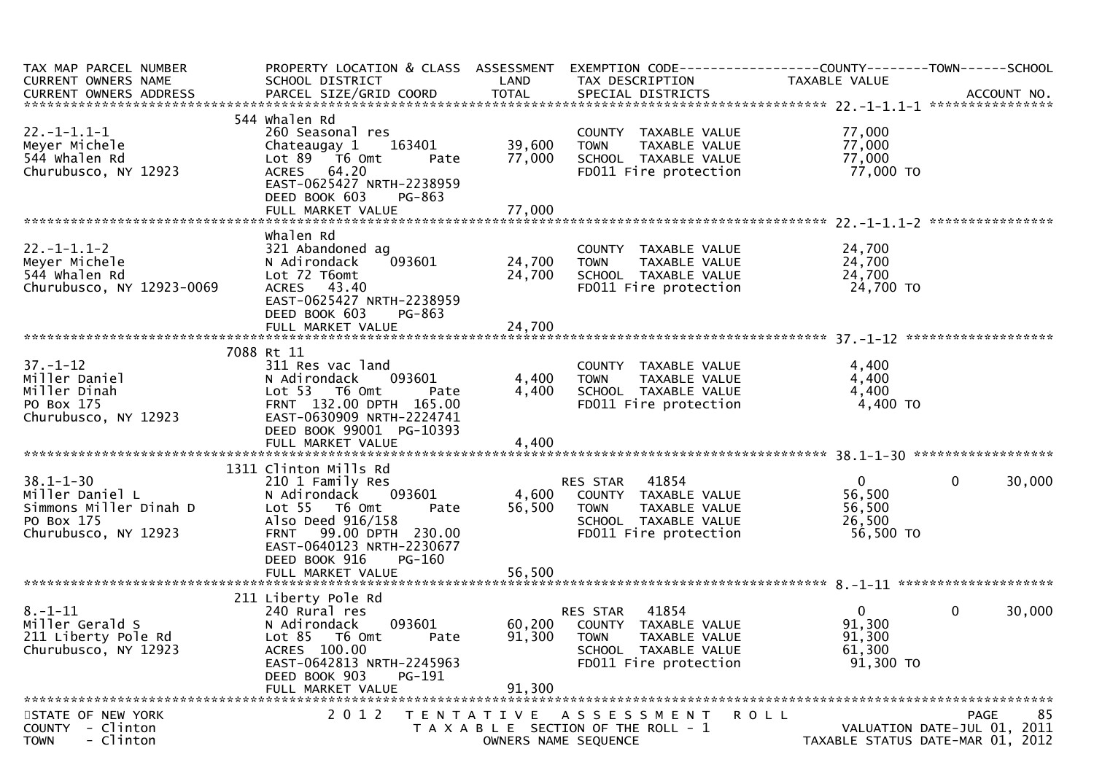| TAX MAP PARCEL NUMBER<br>CURRENT OWNERS NAME                                                       | PROPERTY LOCATION & CLASS ASSESSMENT<br>SCHOOL DISTRICT                                                                                                                           | LAND             | EXEMPTION CODE------------------COUNTY--------TOWN------SCHOOL<br>TAX DESCRIPTION                                          | TAXABLE VALUE                                             |                                                                                      |
|----------------------------------------------------------------------------------------------------|-----------------------------------------------------------------------------------------------------------------------------------------------------------------------------------|------------------|----------------------------------------------------------------------------------------------------------------------------|-----------------------------------------------------------|--------------------------------------------------------------------------------------|
| $22. -1 - 1.1 - 1$<br>Meyer Michele<br>544 Whalen Rd<br>Churubusco, NY 12923                       | 544 Whalen Rd<br>260 Seasonal res<br>163401<br>Chateaugay 1<br>$Lot 89$ T6 Omt<br>Pate<br>ACRES 64.20<br>EAST-0625427 NRTH-2238959<br>DEED BOOK 603<br>PG-863                     | 39,600<br>77,000 | COUNTY TAXABLE VALUE<br><b>TOWN</b><br>TAXABLE VALUE<br>SCHOOL TAXABLE VALUE<br>FD011 Fire protection                      | 77,000<br>77,000<br>77,000<br>77,000 TO                   |                                                                                      |
|                                                                                                    |                                                                                                                                                                                   |                  |                                                                                                                            |                                                           |                                                                                      |
| $22. -1 - 1.1 - 2$<br>Meyer Michele<br>544 Whalen Rd<br>Churubusco, NY 12923-0069                  | whalen Rd<br>321 Abandoned ag<br>093601<br>N Adirondack<br>Lot 72 T6omt<br>ACRES 43.40<br>EAST-0625427 NRTH-2238959<br>DEED BOOK 603<br>PG-863                                    | 24,700<br>24,700 | COUNTY TAXABLE VALUE<br><b>TOWN</b><br>TAXABLE VALUE<br>SCHOOL TAXABLE VALUE<br>FD011 Fire protection                      | 24,700<br>24,700<br>24,700<br>24,700 TO                   |                                                                                      |
|                                                                                                    | 7088 Rt 11                                                                                                                                                                        |                  |                                                                                                                            |                                                           |                                                                                      |
| $37. - 1 - 12$<br>Miller Daniel<br>Miller Dinah<br>PO Box 175<br>Churubusco, NY 12923              | 311 Res vac land<br>093601<br>N Adirondack<br>Lot 53 T6 Omt<br>Pate<br>FRNT 132.00 DPTH 165.00<br>EAST-0630909 NRTH-2224741<br>DEED BOOK 99001 PG-10393                           | 4,400<br>4,400   | COUNTY TAXABLE VALUE<br>TAXABLE VALUE<br><b>TOWN</b><br>SCHOOL TAXABLE VALUE<br>FD011 Fire protection                      | 4,400<br>4,400<br>4,400<br>$4,400$ TO                     |                                                                                      |
|                                                                                                    | 1311 Clinton Mills Rd                                                                                                                                                             |                  |                                                                                                                            |                                                           |                                                                                      |
| $38.1 - 1 - 30$<br>Miller Daniel L<br>Simmons Miller Dinah D<br>PO Box 175<br>Churubusco, NY 12923 | 210 1 Family Res<br>093601<br>N Adirondack<br>Lot 55 T6 Omt<br>Pate<br>Also Deed 916/158<br>FRNT 99.00 DPTH 230.00<br>EAST-0640123 NRTH-2230677<br>DEED BOOK 916<br><b>PG-160</b> | 4,600<br>56,500  | RES STAR<br>41854<br>COUNTY TAXABLE VALUE<br>TAXABLE VALUE<br><b>TOWN</b><br>SCHOOL TAXABLE VALUE<br>FD011 Fire protection | $\mathbf{0}$<br>56,500<br>56,500<br>26,500<br>56,500 TO   | $\mathbf 0$<br>30,000                                                                |
|                                                                                                    |                                                                                                                                                                                   |                  |                                                                                                                            |                                                           |                                                                                      |
| $8. - 1 - 11$<br>Miller Gerald S<br>211 Liberty Pole Rd<br>Churubusco, NY 12923                    | 211 Liberty Pole Rd<br>240 Rural res<br>093601<br>N Adirondack<br>Lot 85<br>T6 Omt<br>Pate<br>ACRES 100.00<br>EAST-0642813 NRTH-2245963<br>DEED BOOK 903<br>PG-191                | 60,200<br>91,300 | RES STAR<br>41854<br>COUNTY TAXABLE VALUE<br><b>TOWN</b><br>TAXABLE VALUE<br>SCHOOL TAXABLE VALUE<br>FD011 Fire protection | $\overline{0}$<br>91,300<br>91,300<br>61,300<br>91,300 TO | $\mathbf 0$<br>30,000                                                                |
|                                                                                                    | FULL MARKET VALUE                                                                                                                                                                 | 91,300           |                                                                                                                            |                                                           |                                                                                      |
| STATE OF NEW YORK<br>COUNTY - Clinton<br>- Clinton<br><b>TOWN</b>                                  | 2 0 1 2                                                                                                                                                                           |                  | TENTATIVE ASSESSMENT<br>T A X A B L E SECTION OF THE ROLL - 1<br>OWNERS NAME SEQUENCE                                      | ROLL                                                      | 85<br><b>PAGE</b><br>VALUATION DATE-JUL 01, 2011<br>TAXABLE STATUS DATE-MAR 01, 2012 |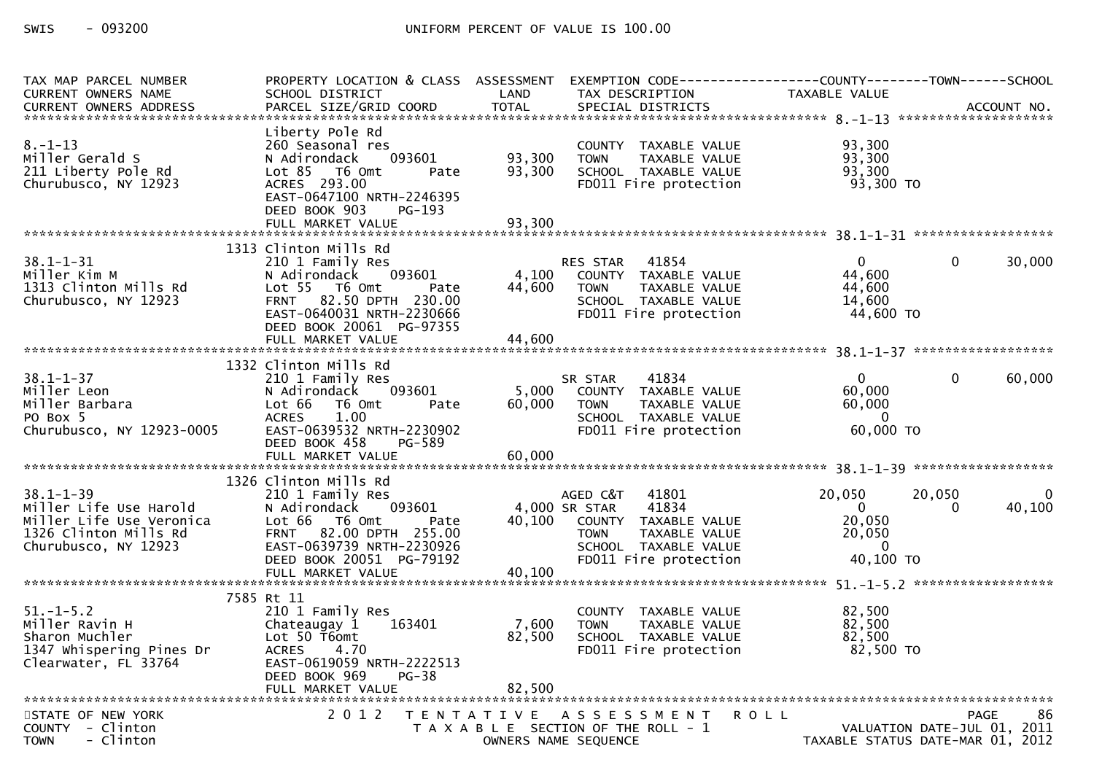SWIS  $-093200$ 

| TAX MAP PARCEL NUMBER<br><b>CURRENT OWNERS NAME</b>                                                                    | PROPERTY LOCATION & CLASS ASSESSMENT<br>SCHOOL DISTRICT                                                                                                                         | LAND                       | EXEMPTION CODE-----------------COUNTY-------TOWN------SCHOOL<br>TAX DESCRIPTION                                                                             | TAXABLE VALUE                                                             |                                                       |
|------------------------------------------------------------------------------------------------------------------------|---------------------------------------------------------------------------------------------------------------------------------------------------------------------------------|----------------------------|-------------------------------------------------------------------------------------------------------------------------------------------------------------|---------------------------------------------------------------------------|-------------------------------------------------------|
|                                                                                                                        | Liberty Pole Rd                                                                                                                                                                 |                            |                                                                                                                                                             |                                                                           |                                                       |
| $8. - 1 - 13$<br>Miller Gerald S<br>211 Liberty Pole Rd<br>Churubusco, NY 12923                                        | 260 Seasonal res<br>N Adirondack<br>093601<br>Lot 85 76 0mt<br>Pate<br>ACRES 293.00<br>EAST-0647100 NRTH-2246395<br>DEED BOOK 903<br>PG-193<br>FULL MARKET VALUE                | 93,300<br>93,300<br>93,300 | COUNTY TAXABLE VALUE<br><b>TOWN</b><br>TAXABLE VALUE<br>SCHOOL TAXABLE VALUE<br>FD011 Fire protection                                                       | 93,300<br>93,300<br>93,300<br>93,300 TO                                   |                                                       |
|                                                                                                                        |                                                                                                                                                                                 |                            |                                                                                                                                                             |                                                                           |                                                       |
| $38.1 - 1 - 31$<br>Miller Kim M<br>1313 Clinton Mills Rd<br>Churubusco, NY 12923                                       | 1313 Clinton Mills Rd<br>210 1 Family Res<br>093601<br>N Adirondack<br>Lot 55 T6 Omt<br>Pate<br>FRNT 82.50 DPTH 230.00<br>EAST-0640031 NRTH-2230666<br>DEED BOOK 20061 PG-97355 | 4,100<br>44,600            | 41854<br>RES STAR<br>COUNTY TAXABLE VALUE<br>TAXABLE VALUE<br><b>TOWN</b><br>SCHOOL TAXABLE VALUE<br>FD011 Fire protection                                  | $\overline{0}$<br>44,600<br>44,600<br>14,600<br>44,600 TO                 | 30,000<br>$\Omega$                                    |
|                                                                                                                        | 1332 Clinton Mills Rd                                                                                                                                                           |                            |                                                                                                                                                             |                                                                           |                                                       |
| $38.1 - 1 - 37$<br>Miller Leon<br>Miller Barbara<br>PO Box 5<br>Churubusco, NY 12923-0005                              | 210 1 Family Res<br>N Adirondack<br>093601<br>Lot 66 T6 Omt<br>Pate<br><b>ACRES</b><br>1.00<br>EAST-0639532 NRTH-2230902<br>DEED BOOK 458<br>PG-589<br>FULL MARKET VALUE        | 5,000<br>60,000<br>60,000  | 41834<br>SR STAR<br>COUNTY TAXABLE VALUE<br>TAXABLE VALUE<br><b>TOWN</b><br>SCHOOL TAXABLE VALUE<br>FD011 Fire protection                                   | $\Omega$<br>60,000<br>60,000<br>$\Omega$<br>60,000 TO                     | 60,000<br>$\Omega$                                    |
|                                                                                                                        | 1326 Clinton Mills Rd                                                                                                                                                           |                            |                                                                                                                                                             |                                                                           |                                                       |
| $38.1 - 1 - 39$<br>Miller Life Use Harold<br>Miller Life Use Veronica<br>1326 Clinton Mills Rd<br>Churubusco, NY 12923 | 210 1 Family Res<br>093601<br>N Adirondack<br>Lot 66 T6 Omt<br>Pate<br>FRNT 82.00 DPTH 255.00<br>EAST-0639739 NRTH-2230926<br>DEED BOOK 20051 PG-79192                          | 40,100                     | 41801<br>AGED C&T<br>41834<br>4,000 SR STAR<br>COUNTY TAXABLE VALUE<br><b>TAXABLE VALUE</b><br><b>TOWN</b><br>SCHOOL TAXABLE VALUE<br>FD011 Fire protection | 20,050<br>$\overline{0}$<br>20,050<br>20,050<br>$\mathbf{0}$<br>40,100 TO | 20,050<br>$\Omega$<br>40,100<br>$\Omega$              |
|                                                                                                                        | 7585 Rt 11                                                                                                                                                                      |                            |                                                                                                                                                             |                                                                           |                                                       |
| $51. - 1 - 5.2$<br>Miller Ravin H<br>Sharon Muchler<br>1347 Whispering Pines Dr<br>Clearwater, FL 33764                | 210 1 Family Res<br>163401<br>Chateaugay 1<br>Lot 50 T6omt<br><b>ACRES</b><br>4.70<br>EAST-0619059 NRTH-2222513<br>$PG-38$<br>DEED BOOK 969<br>FULL MARKET VALUE                | 7,600<br>82,500<br>82,500  | COUNTY TAXABLE VALUE<br><b>TOWN</b><br>TAXABLE VALUE<br>SCHOOL TAXABLE VALUE<br>FD011 Fire protection                                                       | 82,500<br>82,500<br>82,500<br>82,500 TO                                   |                                                       |
| STATE OF NEW YORK<br>COUNTY - Clinton<br>- Clinton<br><b>TOWN</b>                                                      | 2 0 1 2                                                                                                                                                                         |                            | TENTATIVE ASSESSMENT<br>T A X A B L E SECTION OF THE ROLL - 1<br>OWNERS NAME SEQUENCE                                                                       | <b>ROLL</b><br>VALUATION DATE-JUL 01, 2011                                | 86<br><b>PAGE</b><br>TAXABLE STATUS DATE-MAR 01, 2012 |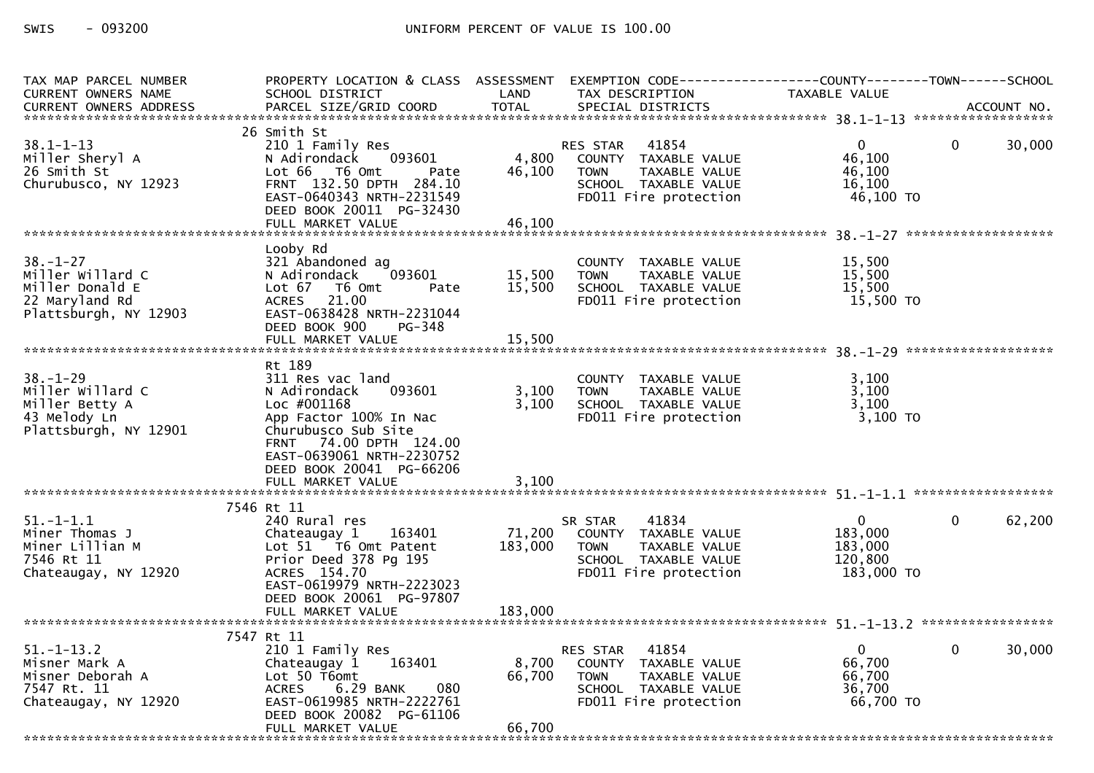| TAX MAP PARCEL NUMBER<br>CURRENT OWNERS NAME                                                     | PROPERTY LOCATION & CLASS ASSESSMENT EXEMPTION CODE----------------COUNTY-------TOWN------SCHOOL<br>SCHOOL DISTRICT                                                                                     | LAND                      | TAX DESCRIPTION                                                                                                            | TAXABLE VALUE                                                 |              |        |
|--------------------------------------------------------------------------------------------------|---------------------------------------------------------------------------------------------------------------------------------------------------------------------------------------------------------|---------------------------|----------------------------------------------------------------------------------------------------------------------------|---------------------------------------------------------------|--------------|--------|
|                                                                                                  |                                                                                                                                                                                                         |                           |                                                                                                                            |                                                               |              |        |
| $38.1 - 1 - 13$<br>Miller Sheryl A<br>26 Smith St<br>Churubusco, NY 12923                        | 26 Smith St<br>210 1 Family Res<br>093601<br>N Adirondack<br>Lot 66 T6 Omt<br>Pate<br>FRNT 132.50 DPTH 284.10<br>EAST-0640343 NRTH-2231549<br>DEED BOOK 20011 PG-32430                                  | 4,800<br>46,100           | 41854<br>RES STAR<br>COUNTY TAXABLE VALUE<br><b>TOWN</b><br>TAXABLE VALUE<br>SCHOOL TAXABLE VALUE<br>FD011 Fire protection | $\overline{0}$<br>46,100<br>46,100<br>16.100<br>46,100 TO     | $\mathbf{0}$ | 30,000 |
|                                                                                                  | Looby Rd                                                                                                                                                                                                |                           |                                                                                                                            |                                                               |              |        |
| $38. - 1 - 27$<br>Miller Willard C<br>Miller Donald E<br>22 Maryland Rd<br>Plattsburgh, NY 12903 | 321 Abandoned ag<br>093601<br>N Adirondack<br>Lot 67 76 0mt<br>Pate<br>ACRES 21.00<br>EAST-0638428 NRTH-2231044<br>DEED BOOK 900<br>PG-348                                                              | 15,500<br>15,500          | COUNTY TAXABLE VALUE<br>TAXABLE VALUE<br><b>TOWN</b><br>SCHOOL TAXABLE VALUE<br>FD011 Fire protection                      | 15,500<br>15,500<br>15,500<br>15,500 TO                       |              |        |
|                                                                                                  |                                                                                                                                                                                                         |                           |                                                                                                                            |                                                               |              |        |
| $38. - 1 - 29$<br>Miller Willard C<br>Miller Betty A<br>43 Melody Ln<br>Plattsburgh, NY 12901    | Rt 189<br>311 Res vac land<br>093601<br>N Adirondack<br>Loc #001168<br>App Factor 100% In Nac<br>Churubusco Sub Site<br>FRNT 74.00 DPTH 124.00<br>EAST-0639061 NRTH-2230752<br>DEED BOOK 20041 PG-66206 | 3,100<br>3,100            | COUNTY TAXABLE VALUE<br><b>TOWN</b><br>TAXABLE VALUE<br>SCHOOL TAXABLE VALUE<br>FD011 Fire protection                      | 3,100<br>3,100<br>3,100<br>3,100 TO                           |              |        |
|                                                                                                  | FULL MARKET VALUE                                                                                                                                                                                       | 3,100                     |                                                                                                                            |                                                               |              |        |
| $51.-1-1.1$<br>Miner Thomas J<br>Miner Lillian M<br>7546 Rt 11<br>Chateaugay, NY 12920           | 7546 Rt 11<br>240 Rural res<br>Chateaugay 1 163401<br>Lot 51 T6 Omt Patent<br>Prior Deed 378 Pg 195<br>ACRES 154.70<br>EAST-0619979 NRTH-2223023<br>DEED BOOK 20061 PG-97807                            | 71,200<br>183,000         | 41834<br>SR STAR<br>COUNTY TAXABLE VALUE<br><b>TOWN</b><br>TAXABLE VALUE<br>SCHOOL TAXABLE VALUE<br>FD011 Fire protection  | $\overline{0}$<br>183,000<br>183,000<br>120.800<br>183,000 TO | $\mathbf{0}$ | 62,200 |
|                                                                                                  | FULL MARKET VALUE                                                                                                                                                                                       | 183,000                   |                                                                                                                            |                                                               |              |        |
| $51. - 1 - 13.2$<br>Misner Mark A<br>Misner Deborah A<br>7547 Rt. 11<br>Chateaugay, NY 12920     | 7547 Rt 11<br>210 1 Family Res<br>163401<br>Chateaugay 1<br>Lot 50 T6omt<br><b>ACRES</b><br>6.29 BANK<br>080<br>EAST-0619985 NRTH-2222761<br>DEED BOOK 20082 PG-61106<br>FULL MARKET VALUE              | 8,700<br>66,700<br>66,700 | RES STAR 41854<br>COUNTY TAXABLE VALUE<br>TAXABLE VALUE<br><b>TOWN</b><br>SCHOOL TAXABLE VALUE<br>FD011 Fire protection    | $\overline{0}$<br>66,700<br>66,700<br>36.700<br>66,700 TO     | $\mathbf{0}$ | 30,000 |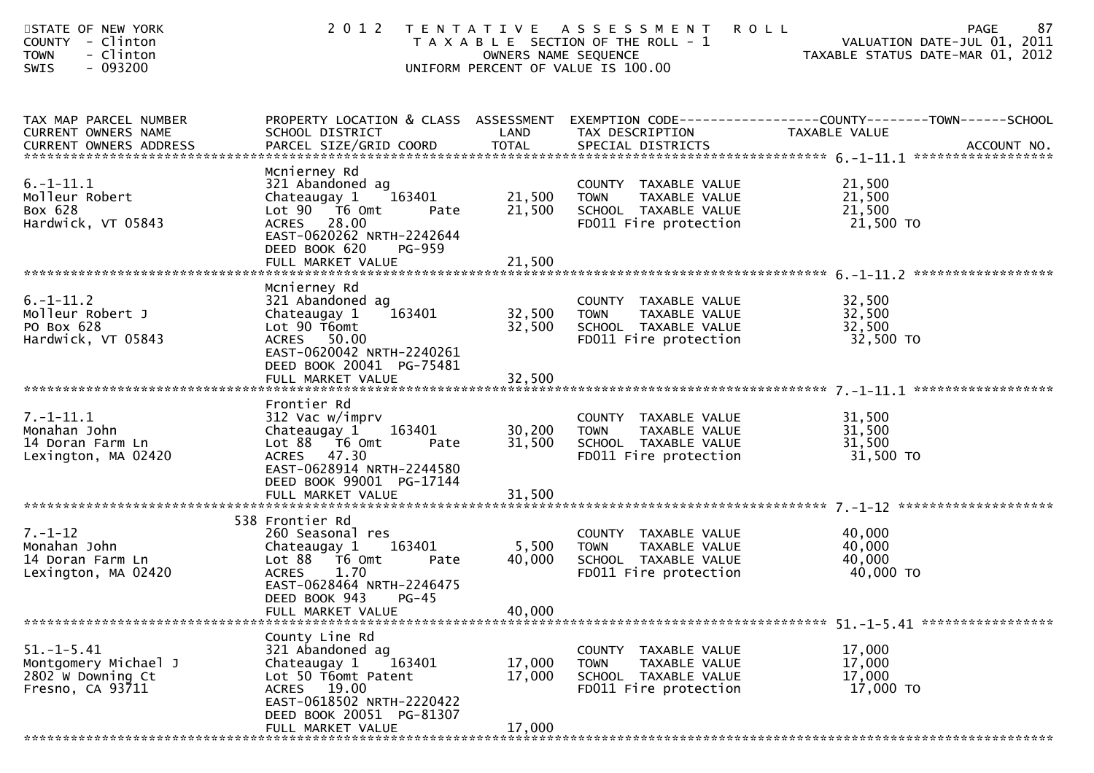| STATE OF NEW YORK<br><b>COUNTY</b><br>- Clinton<br>- Clinton<br><b>TOWN</b><br>$-093200$<br><b>SWIS</b> |                                                                                                                                                                                      |                            | 2012 TENTATIVE ASSESSMENT<br><b>ROLL</b><br>T A X A B L E SECTION OF THE ROLL - 1<br>OWNERS NAME SEQUENCE<br>UNIFORM PERCENT OF VALUE IS 100.00 | 87<br><b>PAGE</b><br>VALUATION DATE-JUL 01, 2011<br>VALUATION DATE-JUL 01, 2011<br>TAXABLE STATUS DATE-MAR 01, 2012 |
|---------------------------------------------------------------------------------------------------------|--------------------------------------------------------------------------------------------------------------------------------------------------------------------------------------|----------------------------|-------------------------------------------------------------------------------------------------------------------------------------------------|---------------------------------------------------------------------------------------------------------------------|
| TAX MAP PARCEL NUMBER<br>CURRENT OWNERS NAME                                                            | SCHOOL DISTRICT                                                                                                                                                                      | LAND                       | TAX DESCRIPTION                                                                                                                                 | PROPERTY LOCATION & CLASS ASSESSMENT EXEMPTION CODE----------------COUNTY-------TOWN------SCHOOL<br>TAXABLE VALUE   |
| $6. - 1 - 11.1$<br>Molleur Robert<br>Box 628<br>Hardwick, VT 05843                                      | Mcnierney Rd<br>321 Abandoned ag<br>Chateaugay 1<br>163401<br>Lot 90  T6 0mt<br>Pate<br>ACRES 28.00<br>EAST-0620262 NRTH-2242644<br>DEED BOOK 620<br>PG-959<br>FULL MARKET VALUE     | 21,500<br>21,500<br>21,500 | COUNTY TAXABLE VALUE<br><b>TOWN</b><br>TAXABLE VALUE<br>SCHOOL TAXABLE VALUE<br>FD011 Fire protection                                           | 21,500<br>21,500<br>21,500<br>21,500 TO                                                                             |
| $6. -1 - 11.2$<br>Molleur Robert J<br>PO Box 628<br>Hardwick, VT 05843                                  | Mcnierney Rd<br>321 Abandoned ag<br>163401<br>Chateaugay 1<br>Lot 90 T6omt<br>ACRES 50.00<br>EAST-0620042 NRTH-2240261<br>DEED BOOK 20041 PG-75481<br>FULL MARKET VALUE              | 32,500<br>32,500<br>32,500 | COUNTY TAXABLE VALUE<br><b>TOWN</b><br>TAXABLE VALUE<br>SCHOOL TAXABLE VALUE<br>FD011 Fire protection                                           | 32,500<br>32,500<br>32,500<br>32,500 TO                                                                             |
| $7. - 1 - 11.1$<br>Monahan John<br>14 Doran Farm Ln<br>Lexington, MA 02420                              | Frontier Rd<br>312 Vac w/imprv<br>Chateaugay 1<br>163401<br>Lot $88$ $\overline{16}$ Omt<br>Pate<br>ACRES 47.30<br>EAST-0628914 NRTH-2244580<br>DEED BOOK 99001 PG-17144             | 30,200<br>31,500           | COUNTY TAXABLE VALUE<br>TAXABLE VALUE<br><b>TOWN</b><br>SCHOOL TAXABLE VALUE<br>FD011 Fire protection                                           | 31,500<br>31,500<br>31,500<br>31,500 TO                                                                             |
| $7. - 1 - 12$<br>Monahan John<br>14 Doran Farm Ln<br>Lexington, MA 02420                                | 538 Frontier Rd<br>260 Seasonal res<br>Chateaugay 1 163401<br>Lot 88 T6 Omt<br>Pate<br>1.70<br><b>ACRES</b><br>EAST-0628464 NRTH-2246475<br>DEED BOOK 943 PG-45<br>FULL MARKET VALUE | 5,500<br>40,000<br>40,000  | COUNTY TAXABLE VALUE<br><b>TOWN</b><br>TAXABLE VALUE<br>SCHOOL TAXABLE VALUE<br>FD011 Fire protection                                           | 40,000<br>40,000<br>40,000<br>40,000 TO                                                                             |
| $51. - 1 - 5.41$<br>Montgomery Michael J<br>2802 W Downing Ct<br>Fresno, CA 93711                       | County Line Rd<br>321 Abandoned ag<br>Chateaugay 1<br>163401<br>Lot 50 T6omt Patent<br>ACRES 19.00<br>EAST-0618502 NRTH-2220422<br>DEED BOOK 20051 PG-81307<br>FULL MARKET VALUE     | 17,000<br>17,000<br>17,000 | COUNTY TAXABLE VALUE<br>TAXABLE VALUE<br><b>TOWN</b><br>SCHOOL TAXABLE VALUE<br>FD011 Fire protection                                           | 17,000<br>17,000<br>17,000<br>17,000 TO                                                                             |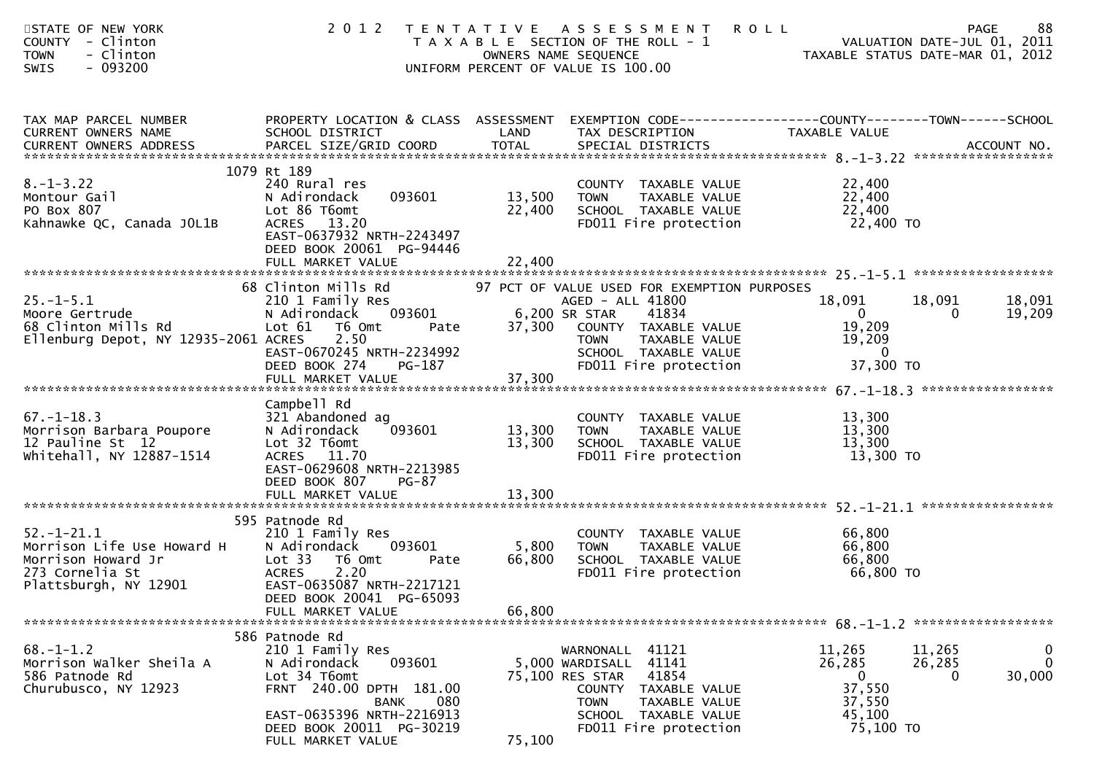| STATE OF NEW YORK<br>COUNTY - Clinton<br>- Clinton<br><b>TOWN</b><br>- 093200<br><b>SWIS</b>                     |                                                                                                                                                                                                |                            | 2012 TENTATIVE ASSESSMENT<br>PAGE 88<br>OWNERS NAME SEQUENCE<br>OWNERS NAME SEQUENCE<br>OWNERS NAME SEQUENCE<br>OWNERS NAME SEQUENCE<br>OWNERS NAME SEQUENCE<br>TAXABLE STATUS DATE-MAR 01, 2012 | <b>ROLL</b>                                                                   | 88<br><b>PAGE</b>                                                     |
|------------------------------------------------------------------------------------------------------------------|------------------------------------------------------------------------------------------------------------------------------------------------------------------------------------------------|----------------------------|--------------------------------------------------------------------------------------------------------------------------------------------------------------------------------------------------|-------------------------------------------------------------------------------|-----------------------------------------------------------------------|
| TAX MAP PARCEL NUMBER<br>CURRENT OWNERS NAME                                                                     | PROPERTY LOCATION & CLASS ASSESSMENT EXEMPTION CODE----------------COUNTY-------TOWN------SCHOOL<br>SCHOOL DISTRICT                                                                            | LAND                       | TAX DESCRIPTION                                                                                                                                                                                  | TAXABLE VALUE                                                                 |                                                                       |
| $8. - 1 - 3.22$<br>Montour Gail<br>20 Boy 807<br>PO Box 807<br>Kahnawke QC, Canada JOL1B                         | 1079 Rt 189<br>240 Rural res<br>093601<br>N Adirondack<br>Lot 86 T6omt<br>ACRES 13.20<br>EAST-0637932 NRTH-2243497<br>DEED BOOK 20061 PG-94446<br>FULL MARKET VALUE                            | 13,500<br>22,400<br>22,400 | COUNTY TAXABLE VALUE<br><b>TOWN</b><br>TAXABLE VALUE<br>SCHOOL TAXABLE VALUE<br>FDO11 Fire protection                                                                                            | 22,400<br>22,400<br>22,400<br>22,400 TO                                       |                                                                       |
|                                                                                                                  | 68 Clinton Mills Rd                                                                                                                                                                            |                            | 97 PCT OF VALUE USED FOR EXEMPTION PURPOSES                                                                                                                                                      |                                                                               |                                                                       |
| $25. - 1 - 5.1$<br>Moore Gertrude<br>68 Clinton Mills Rd<br>Ellenburg Depot, NY 12935-2061 ACRES                 | 210 1 Family Res<br>N Adirondack<br>093601<br>Pate<br>Lot 61 T6 Omt<br>2.50<br>EAST-0670245 NRTH-2234992                                                                                       | 6,200 SR STAR              | AGED - ALL 41800<br>6,200 SR STAR 41854<br>37,300 COUNTY TAXABLE VALUE<br>TOWN TAXABLE VALUE<br>SCHOOL TAXABLE VALUE<br>TRATI Fire protection                                                    | 18,091<br>$\overline{0}$<br>19,209<br>19,209<br>$\overline{0}$                | 18,091<br>18,091<br>19,209<br>$\Omega$                                |
|                                                                                                                  | DEED BOOK 274<br>PG-187<br>FULL MARKET VALUE                                                                                                                                                   | 37,300                     |                                                                                                                                                                                                  | 37,300 TO                                                                     |                                                                       |
|                                                                                                                  | Campbell Rd                                                                                                                                                                                    |                            |                                                                                                                                                                                                  |                                                                               |                                                                       |
| $67. - 1 - 18.3$<br>Morrison Barbara Poupore<br>12 Pauline St 12<br>whitehall, NY 12887-1514                     | 321 Abandoned ag<br>093601<br>N Adirondack<br>Lot 32 T6omt<br>ACRES 11.70<br>EAST-0629608 NRTH-2213985<br>DEED BOOK 807<br>PG-87                                                               | 13,300<br>13,300           | COUNTY TAXABLE VALUE<br>TAXABLE VALUE<br><b>TOWN</b><br>SCHOOL TAXABLE VALUE<br>FD011 Fire protection                                                                                            | 13,300<br>13,300<br>13,300<br>13,300 TO                                       |                                                                       |
|                                                                                                                  |                                                                                                                                                                                                |                            |                                                                                                                                                                                                  |                                                                               |                                                                       |
| $52. - 1 - 21.1$<br>Morrison Life Use Howard H<br>Morrison Howard Jr<br>273 Cornelia St<br>Plattsburgh, NY 12901 | 595 Patnode Rd<br>210 1 Family Res<br>093601<br>N Adirondack<br>Lot 33<br>T6 Omt<br>Pate<br><b>ACRES</b><br>2.20<br>EAST-0635087 NRTH-2217121<br>DEED BOOK 20041 PG-65093<br>FULL MARKET VALUE | 5,800<br>66,800<br>66,800  | COUNTY TAXABLE VALUE<br>TAXABLE VALUE<br><b>TOWN</b><br>SCHOOL TAXABLE VALUE<br>FD011 Fire protection                                                                                            | 66,800<br>66,800<br>66,800<br>66,800 TO                                       |                                                                       |
|                                                                                                                  | 586 Patnode Rd                                                                                                                                                                                 |                            |                                                                                                                                                                                                  |                                                                               |                                                                       |
| $68. - 1 - 1.2$<br>Morrison Walker Sheila A<br>586 Patnode Rd<br>Churubusco, NY 12923                            | 210 1 Family Res<br>093601<br>N Adirondack<br>Lot 34 T6omt<br>FRNT 240.00 DPTH 181.00<br><b>BANK</b><br>080<br>EAST-0635396 NRTH-2216913<br>DEED BOOK 20011 PG-30219                           |                            | WARNONALL<br>41121<br>41141<br>5,000 WARDISALL<br>41854<br>75,100 RES STAR<br><b>COUNTY</b><br>TAXABLE VALUE<br><b>TOWN</b><br>TAXABLE VALUE<br>SCHOOL TAXABLE VALUE<br>FD011 Fire protection    | 11,265<br>26,285<br>$\overline{0}$<br>37,550<br>37,550<br>45,100<br>75,100 TO | $\mathbf 0$<br>11,265<br>$\mathbf{0}$<br>26,285<br>30,000<br>$\Omega$ |
|                                                                                                                  | FULL MARKET VALUE                                                                                                                                                                              | 75,100                     |                                                                                                                                                                                                  |                                                                               |                                                                       |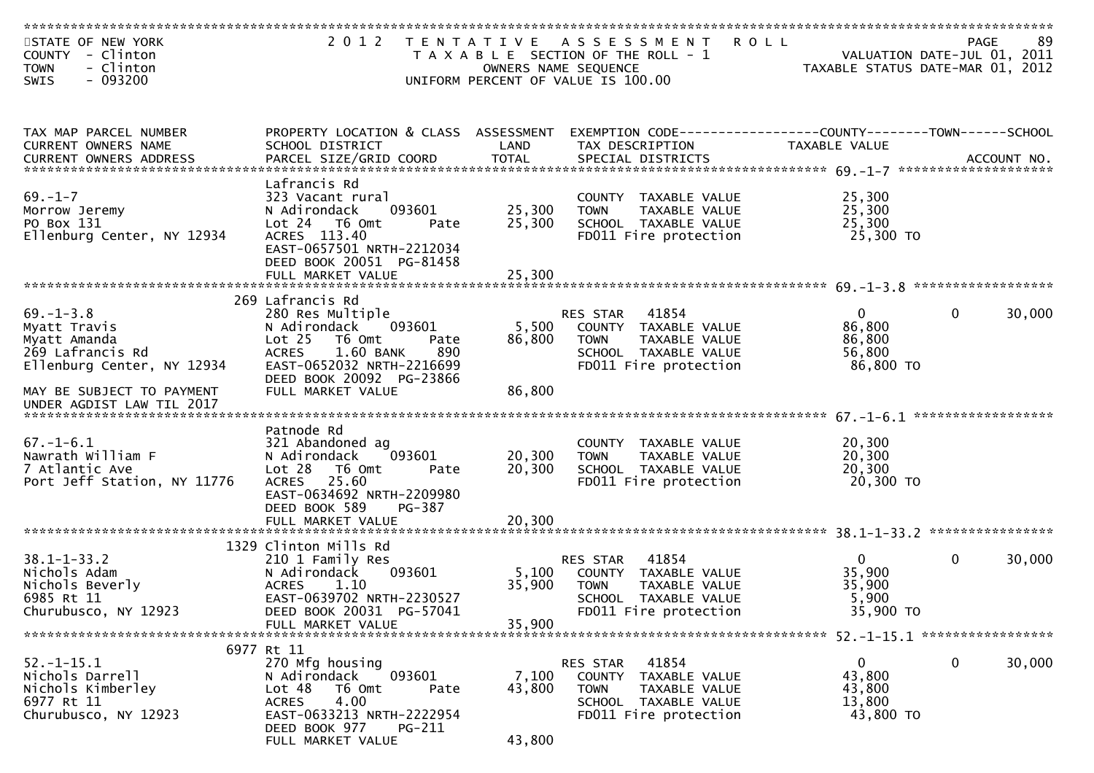| STATE OF NEW YORK<br>COUNTY - Clinton<br>- Clinton<br><b>TOWN</b><br>$-093200$<br>SWIS            | 2 0 1 2                                                                                                                                                                                                      | OWNERS NAME SEQUENCE       | TENTATIVE ASSESSMENT<br>T A X A B L E SECTION OF THE ROLL - 1<br>UNIFORM PERCENT OF VALUE IS 100.00                                     | <b>ROLL</b><br>VALUATION DATE-JUL 01, 2011<br>TAXABLE STATUS DATE-MAR 01, 2012 | <b>PAGE</b>        | 89     |
|---------------------------------------------------------------------------------------------------|--------------------------------------------------------------------------------------------------------------------------------------------------------------------------------------------------------------|----------------------------|-----------------------------------------------------------------------------------------------------------------------------------------|--------------------------------------------------------------------------------|--------------------|--------|
|                                                                                                   |                                                                                                                                                                                                              |                            |                                                                                                                                         |                                                                                |                    |        |
| TAX MAP PARCEL NUMBER<br>CURRENT OWNERS NAME                                                      | PROPERTY LOCATION & CLASS ASSESSMENT<br>SCHOOL DISTRICT                                                                                                                                                      | LAND                       | EXEMPTION CODE-----------------COUNTY-------TOWN------SCHOOL<br>TAX DESCRIPTION                                                         | TAXABLE VALUE                                                                  |                    |        |
| $69. - 1 - 7$<br>Morrow Jeremy<br>PO Box 131<br>Ellenburg Center, NY 12934                        | Lafrancis Rd<br>323 Vacant rural<br>093601<br>N Adirondack<br>Lot 24  T6 Omt<br>Pate<br>ACRES 113.40<br>EAST-0657501 NRTH-2212034<br>DEED BOOK 20051 PG-81458<br>FULL MARKET VALUE                           | 25,300<br>25,300<br>25,300 | COUNTY TAXABLE VALUE<br>TAXABLE VALUE<br><b>TOWN</b><br>SCHOOL TAXABLE VALUE<br>FD011 Fire protection                                   | 25,300<br>25,300<br>25,300<br>25,300 TO                                        |                    |        |
|                                                                                                   |                                                                                                                                                                                                              |                            |                                                                                                                                         |                                                                                | ****************** |        |
| $69. - 1 - 3.8$<br>Myatt Travis<br>Myatt Amanda<br>269 Lafrancis Rd<br>Ellenburg Center, NY 12934 | 269 Lafrancis Rd<br>280 Res Multiple<br>093601<br>N Adirondack<br>Lot <sub>25</sub><br>T6 Omt<br>Pate<br>1.60 BANK<br>890<br><b>ACRES</b><br>EAST-0652032 NRTH-2216699<br>DEED BOOK 20092 PG-23866           | 5,500<br>86,800            | 41854<br>RES STAR<br>COUNTY TAXABLE VALUE<br><b>TOWN</b><br>TAXABLE VALUE<br>SCHOOL TAXABLE VALUE<br>FD011 Fire protection              | $\mathbf{0}$<br>86,800<br>86,800<br>56,800<br>86,800 TO                        | 0                  | 30,000 |
| MAY BE SUBJECT TO PAYMENT<br>UNDER AGDIST LAW TIL 2017                                            | FULL MARKET VALUE                                                                                                                                                                                            | 86,800                     |                                                                                                                                         |                                                                                |                    |        |
| $67. - 1 - 6.1$<br>Nawrath William F<br>7 Atlantic Ave<br>Port Jeff Station, NY 11776             | Patnode Rd<br>321 Abandoned ag<br>093601<br>N Adirondack<br>Lot <sub>28</sub><br>T6 Omt<br>Pate<br><b>ACRES</b><br>25.60<br>EAST-0634692 NRTH-2209980<br>DEED BOOK 589<br><b>PG-387</b><br>FULL MARKET VALUE | 20,300<br>20,300<br>20,300 | COUNTY TAXABLE VALUE<br>TAXABLE VALUE<br><b>TOWN</b><br>SCHOOL TAXABLE VALUE<br>FD011 Fire protection                                   | 20,300<br>20,300<br>20,300<br>20,300 TO                                        |                    |        |
|                                                                                                   |                                                                                                                                                                                                              |                            |                                                                                                                                         |                                                                                |                    |        |
| $38.1 - 1 - 33.2$<br>Nichols Adam<br>Nichols Beverly<br>6985 Rt 11<br>Churubusco, NY 12923        | 1329 Clinton Mills Rd<br>210 1 Family Res<br>N Adirondack<br>093601<br><b>ACRES</b><br>1.10<br>EAST-0639702 NRTH-2230527<br>DEED BOOK 20031 PG-57041<br>FULL MARKET VALUE                                    | 5,100<br>35,900<br>35,900  | 41854<br>RES STAR<br>COUNTY<br>TAXABLE VALUE<br><b>TOWN</b><br>TAXABLE VALUE<br><b>SCHOOL</b><br>TAXABLE VALUE<br>FD011 Fire protection | $\mathbf{0}$<br>35,900<br>35,900<br>5,900<br>35,900 TO                         | $\mathbf{0}$       | 30,000 |
|                                                                                                   |                                                                                                                                                                                                              |                            |                                                                                                                                         |                                                                                |                    |        |
| $52.-1-15.1$<br>Nichols Darrell<br>Nichols Kimberley<br>6977 Rt 11<br>Churubusco, NY 12923        | 6977 Rt 11<br>270 Mfg housing<br>093601<br>N Adirondack<br>Lot 48<br>T6 Omt<br>Pate<br><b>ACRES</b><br>4.00<br>EAST-0633213 NRTH-2222954<br>DEED BOOK 977<br>PG-211<br>FULL MARKET VALUE                     | 7,100<br>43,800<br>43,800  | RES STAR<br>41854<br><b>COUNTY</b><br>TAXABLE VALUE<br><b>TOWN</b><br>TAXABLE VALUE<br>SCHOOL TAXABLE VALUE<br>FD011 Fire protection    | $\mathbf{0}$<br>43,800<br>43,800<br>13,800<br>43,800 TO                        | 0                  | 30,000 |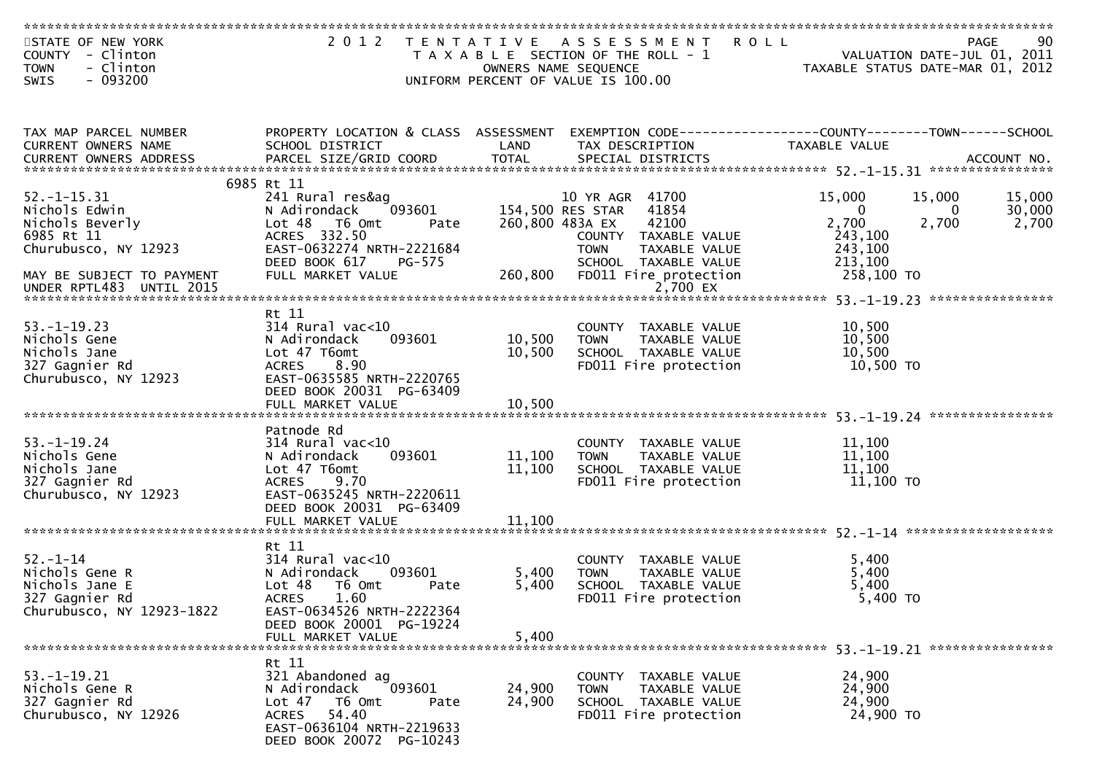| STATE OF NEW YORK                                                                                                                                                                  | 2 0 1 2                              |                      | TENTATIVE ASSESSMENT                                           | <b>ROLL</b>             | 90<br>PAGE                       |
|------------------------------------------------------------------------------------------------------------------------------------------------------------------------------------|--------------------------------------|----------------------|----------------------------------------------------------------|-------------------------|----------------------------------|
| COUNTY - Clinton                                                                                                                                                                   |                                      |                      | T A X A B L E SECTION OF THE ROLL - 1                          |                         | VALUATION DATE-JUL 01, 2011      |
| <b>TOWN</b><br>- Clinton                                                                                                                                                           |                                      | OWNERS NAME SEQUENCE |                                                                |                         | TAXABLE STATUS DATE-MAR 01, 2012 |
| $-093200$<br>SWIS                                                                                                                                                                  |                                      |                      | UNIFORM PERCENT OF VALUE IS 100.00                             |                         |                                  |
|                                                                                                                                                                                    |                                      |                      |                                                                |                         |                                  |
|                                                                                                                                                                                    |                                      |                      |                                                                |                         |                                  |
| TAX MAP PARCEL NUMBER                                                                                                                                                              | PROPERTY LOCATION & CLASS ASSESSMENT |                      | EXEMPTION CODE------------------COUNTY--------TOWN------SCHOOL |                         |                                  |
| CURRENT OWNERS NAME                                                                                                                                                                | SCHOOL DISTRICT                      | LAND                 | TAX DESCRIPTION                                                | TAXABLE VALUE           |                                  |
|                                                                                                                                                                                    |                                      |                      |                                                                |                         |                                  |
| -CURRENT OWNERS ADDRESS PARCEL SIZE/GRID COORD TOTAL SPECIAL DISTRICTS AND MONERS ADDRESS PARCEL SIZE/GRID COORD TOTAL SPECIAL DISTRICTS AND MONERS ADDRESS PARCEL SIZE/GRID COORD |                                      |                      |                                                                |                         |                                  |
|                                                                                                                                                                                    | 6985 Rt 11                           |                      |                                                                |                         |                                  |
| $52. - 1 - 15.31$                                                                                                                                                                  | 241 Rural res&ag                     |                      | 10 YR AGR 41700                                                | 15,000                  | 15,000<br>15,000                 |
| Nichols Edwin                                                                                                                                                                      | N Adirondack<br>093601               | 154,500 RES STAR     | 41854                                                          | $\overline{\mathbf{0}}$ | 30,000<br>$\overline{0}$         |
| Nichols Beverly                                                                                                                                                                    | Lot 48 T6 Omt<br>Pate                | 260,800 483A EX      | 42100                                                          | 2,700                   | 2,700<br>2,700                   |
| 6985 Rt 11                                                                                                                                                                         | ACRES 332.50                         |                      | COUNTY TAXABLE VALUE                                           | 243,100                 |                                  |
| Churubusco, NY 12923                                                                                                                                                               | EAST-0632274 NRTH-2221684            |                      | <b>TOWN</b><br>TAXABLE VALUE                                   | 243,100                 |                                  |
|                                                                                                                                                                                    | DEED BOOK 617<br>PG-575              |                      | SCHOOL TAXABLE VALUE                                           | 213,100                 |                                  |
| MAY BE SUBJECT TO PAYMENT                                                                                                                                                          | FULL MARKET VALUE                    |                      | 260,800 FD011 Fire protection                                  | 258,100 TO              |                                  |
| UNDER RPTL483 UNTIL 2015                                                                                                                                                           |                                      |                      | 2,700 EX                                                       |                         |                                  |
|                                                                                                                                                                                    |                                      |                      |                                                                |                         |                                  |
|                                                                                                                                                                                    | Rt 11                                |                      |                                                                |                         |                                  |
| $53. - 1 - 19.23$                                                                                                                                                                  | $314$ Rural vac<10                   |                      | COUNTY TAXABLE VALUE                                           | 10,500                  |                                  |
| Nichols Gene                                                                                                                                                                       | 093601<br>N Adirondack               | 10,500               | TAXABLE VALUE<br>TOWN                                          | 10,500                  |                                  |
| Nichols Jane                                                                                                                                                                       | Lot 47 T6omt                         | 10,500               | SCHOOL TAXABLE VALUE                                           | 10,500                  |                                  |
| 327 Gagnier Rd                                                                                                                                                                     | 8.90<br><b>ACRES</b>                 |                      | FD011 Fire protection                                          | 10,500 TO               |                                  |
| Churubusco, NY 12923                                                                                                                                                               | EAST-0635585 NRTH-2220765            |                      |                                                                |                         |                                  |
|                                                                                                                                                                                    | DEED BOOK 20031 PG-63409             |                      |                                                                |                         |                                  |
|                                                                                                                                                                                    | FULL MARKET VALUE                    | 10,500               |                                                                |                         |                                  |
|                                                                                                                                                                                    | Patnode Rd                           |                      |                                                                |                         |                                  |
| $53. - 1 - 19.24$                                                                                                                                                                  | $314$ Rural vac<10                   |                      | COUNTY TAXABLE VALUE                                           | 11,100                  |                                  |
| Nichols Gene                                                                                                                                                                       | 093601<br>N Adirondack               | 11,100               | <b>TOWN</b><br>TAXABLE VALUE                                   | 11,100                  |                                  |
| Nichols Jane                                                                                                                                                                       | Lot 47 T6omt                         | 11,100               | SCHOOL TAXABLE VALUE                                           | 11,100                  |                                  |
| 327 Gagnier Rd                                                                                                                                                                     | 9.70<br><b>ACRES</b>                 |                      | FD011 Fire protection                                          | 11,100 TO               |                                  |
| Churubusco, NY 12923                                                                                                                                                               | EAST-0635245 NRTH-2220611            |                      |                                                                |                         |                                  |
|                                                                                                                                                                                    | DEED BOOK 20031 PG-63409             |                      |                                                                |                         |                                  |
|                                                                                                                                                                                    | FULL MARKET VALUE                    | 11,100               |                                                                |                         |                                  |
|                                                                                                                                                                                    |                                      |                      |                                                                |                         |                                  |
|                                                                                                                                                                                    | Rt 11                                |                      |                                                                |                         |                                  |
| $52 - 1 - 14$                                                                                                                                                                      | $314$ Rural vac<10                   |                      | COUNTY TAXABLE VALUE                                           | 5,400                   |                                  |
| Nichols Gene R                                                                                                                                                                     | N Adirondack<br>093601               | 5,400                | <b>TOWN</b><br>TAXABLE VALUE                                   | 5,400                   |                                  |
| Nichols Jane E                                                                                                                                                                     | T6 Omt<br>Lot 48<br>Pate             | 5,400                | SCHOOL TAXABLE VALUE                                           | 5,400                   |                                  |
| 327 Gagnier Rd                                                                                                                                                                     | <b>ACRES</b><br>1.60                 |                      | FD011 Fire protection                                          | 5,400 TO                |                                  |
| Churubusco, NY 12923-1822                                                                                                                                                          | EAST-0634526 NRTH-2222364            |                      |                                                                |                         |                                  |
|                                                                                                                                                                                    | DEED BOOK 20001 PG-19224             |                      |                                                                |                         |                                  |
|                                                                                                                                                                                    | FULL MARKET VALUE                    | 5,400                |                                                                |                         |                                  |
|                                                                                                                                                                                    | Rt 11                                |                      |                                                                |                         |                                  |
| $53. - 1 - 19.21$                                                                                                                                                                  | 321 Abandoned ag                     |                      | COUNTY TAXABLE VALUE                                           | 24,900                  |                                  |
| Nichols Gene R                                                                                                                                                                     | N Adirondack<br>093601               | 24,900               | <b>TOWN</b><br>TAXABLE VALUE                                   | 24,900                  |                                  |
| 327 Gagnier Rd                                                                                                                                                                     | Lot 47<br>T6 Omt<br>Pate             | 24,900               | SCHOOL TAXABLE VALUE                                           | 24,900                  |                                  |
| Churubusco, NY 12926                                                                                                                                                               | 54.40<br><b>ACRES</b>                |                      | FD011 Fire protection                                          | 24,900 TO               |                                  |
|                                                                                                                                                                                    | EAST-0636104 NRTH-2219633            |                      |                                                                |                         |                                  |
|                                                                                                                                                                                    | DEED BOOK 20072 PG-10243             |                      |                                                                |                         |                                  |
|                                                                                                                                                                                    |                                      |                      |                                                                |                         |                                  |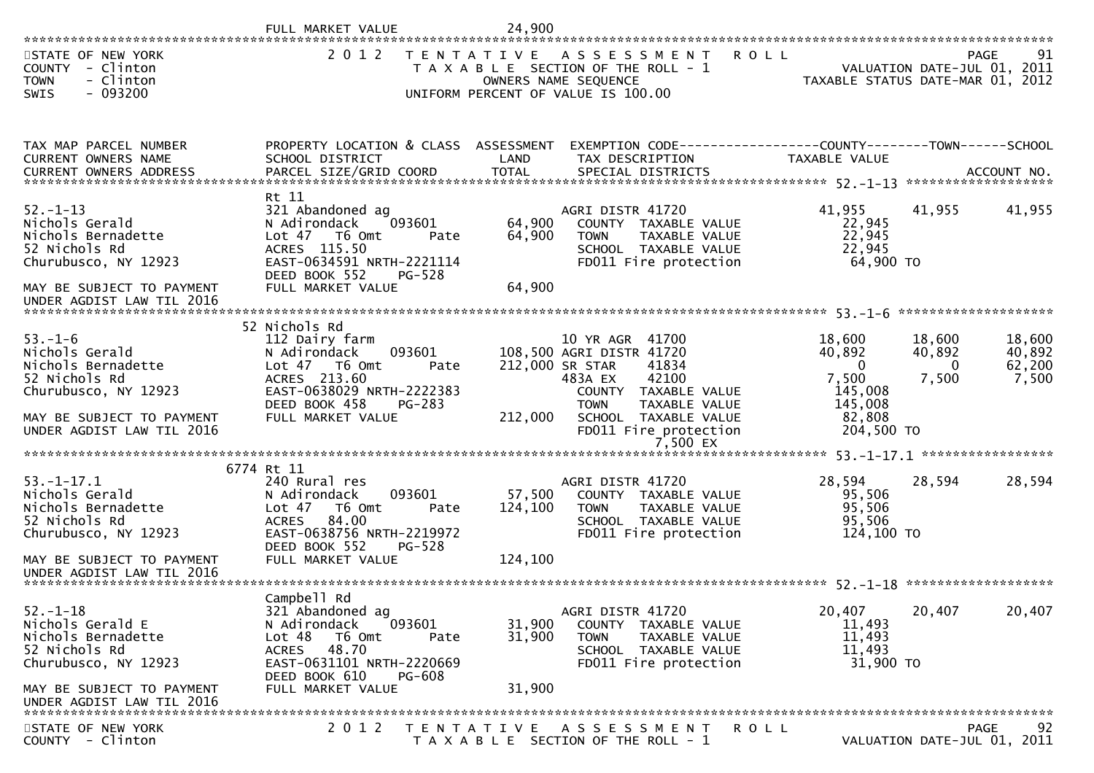|                                                                                                                                                                 | FULL MARKET VALUE                                                                                                                                                                                  | 24,900                       |                                                                                                                                                                                                                  |                                                                                     |                                       |                                                  |
|-----------------------------------------------------------------------------------------------------------------------------------------------------------------|----------------------------------------------------------------------------------------------------------------------------------------------------------------------------------------------------|------------------------------|------------------------------------------------------------------------------------------------------------------------------------------------------------------------------------------------------------------|-------------------------------------------------------------------------------------|---------------------------------------|--------------------------------------------------|
| STATE OF NEW YORK<br>COUNTY - Clinton<br><b>TOWN</b><br>- Clinton<br>$-093200$<br><b>SWIS</b>                                                                   | 2 0 1 2                                                                                                                                                                                            | T E N T A T I V E            | A S S E S S M E N T<br>T A X A B L E SECTION OF THE ROLL - 1<br>OWNERS NAME SEQUENCE<br>UNIFORM PERCENT OF VALUE IS 100.00                                                                                       | <b>ROLL</b><br>TAXABLE STATUS DATE-MAR 01, 2012                                     |                                       | 91<br><b>PAGE</b><br>VALUATION DATE-JUL 01, 2011 |
| TAX MAP PARCEL NUMBER<br>CURRENT OWNERS NAME<br>.CURRENT OWNERS ADDRESS PARCEL SIZE/GRID COORD TOTAL SPECIAL DISTRICTS ACCOUNT NO ACCOUNT NO ACCOUNT NO ACCOUNT | PROPERTY LOCATION & CLASS ASSESSMENT<br>SCHOOL DISTRICT                                                                                                                                            | LAND                         | EXEMPTION CODE-----------------COUNTY-------TOWN------SCHOOL<br>TAX DESCRIPTION                                                                                                                                  | TAXABLE VALUE                                                                       |                                       |                                                  |
| $52. - 1 - 13$<br>Nichols Gerald<br>Nichols Bernadette<br>52 Nichols Rd<br>Churubusco, NY 12923<br>MAY BE SUBJECT TO PAYMENT<br>UNDER AGDIST LAW TIL 2016       | Rt 11<br>321 Abandoned ag<br>N Adirondack<br>093601<br>Lot 47 T6 Omt<br>Pate<br>ACRES 115.50<br>EAST-0634591 NRTH-2221114<br>DEED BOOK 552<br>PG-528<br>FULL MARKET VALUE                          | 64,900<br>64,900<br>64,900   | AGRI DISTR 41720<br>COUNTY TAXABLE VALUE<br><b>TOWN</b><br>TAXABLE VALUE<br>SCHOOL TAXABLE VALUE<br>FD011 Fire protection                                                                                        | 41,955<br>22,945<br>22,945<br>22,945<br>64,900 TO                                   | 41,955                                | 41,955                                           |
| $53. - 1 - 6$<br>Nichols Gerald<br>Nichols Bernadette<br>52 Nichols Rd<br>Churubusco, NY 12923<br>MAY BE SUBJECT TO PAYMENT<br>UNDER AGDIST LAW TIL 2016        | 52 Nichols Rd<br>112 Dairy farm<br>093601<br>N Adirondack<br>Lot $47$ T6 Omt<br>Pate<br>ACRES 213.60<br>EAST-0638029 NRTH-2222383<br>DEED BOOK 458<br>PG-283<br>FULL MARKET VALUE                  | 212,000                      | 10 YR AGR 41700<br>108,500 AGRI DISTR 41720<br>41834<br>212,000 SR STAR<br>42100<br>483A EX<br>COUNTY TAXABLE VALUE<br><b>TOWN</b><br>TAXABLE VALUE<br>SCHOOL TAXABLE VALUE<br>FD011 Fire protection<br>7,500 EX | 18,600<br>40,892<br>$\Omega$<br>7,500<br>145,008<br>145,008<br>82,808<br>204,500 TO | 18,600<br>40,892<br>$\Omega$<br>7,500 | 18,600<br>40,892<br>62,200<br>7,500              |
| $53. - 1 - 17.1$<br>Nichols Gerald<br>Nichols Bernadette<br>52 Nichols Rd<br>Churubusco, NY 12923<br>MAY BE SUBJECT TO PAYMENT<br>UNDER AGDIST LAW TIL 2016     | 6774 Rt 11<br>240 Rural res<br>093601<br>N Adirondack<br>Lot <sub>47</sub><br>T6 Omt<br>Pate<br>84.00<br><b>ACRES</b><br>EAST-0638756 NRTH-2219972<br>DEED BOOK 552<br>PG-528<br>FULL MARKET VALUE | 57,500<br>124,100<br>124,100 | AGRI DISTR 41720<br>COUNTY TAXABLE VALUE<br>TAXABLE VALUE<br><b>TOWN</b><br>SCHOOL TAXABLE VALUE<br>FD011 Fire protection                                                                                        | 28,594<br>95,506<br>95,506<br>95,506<br>124,100 TO                                  | 28,594                                | 28,594                                           |
| $52. - 1 - 18$<br>Nichols Gerald E<br>Nichols Bernadette<br>52 Nichols Rd<br>Churubusco, NY 12923<br>MAY BE SUBJECT TO PAYMENT<br>UNDER AGDIST LAW TIL 2016     | Campbell Rd<br>321 Abandoned ag<br>093601<br>N Adirondack<br>Lot 48<br>T6 Omt<br>Pate<br><b>ACRES</b><br>48.70<br>EAST-0631101 NRTH-2220669<br>DEED BOOK 610<br><b>PG-608</b><br>FULL MARKET VALUE | 31,900<br>31,900<br>31,900   | AGRI DISTR 41720<br>COUNTY TAXABLE VALUE<br><b>TOWN</b><br>TAXABLE VALUE<br>SCHOOL TAXABLE VALUE<br>FD011 Fire protection                                                                                        | 20,407<br>11,493<br>11,493<br>11,493<br>31,900 TO                                   | 20,407                                | 20,407                                           |
| STATE OF NEW YORK<br>COUNTY - Clinton                                                                                                                           | 2 0 1 2                                                                                                                                                                                            |                              | TENTATIVE ASSESSMENT<br>T A X A B L E SECTION OF THE ROLL - 1                                                                                                                                                    | ROLL                                                                                |                                       | 92<br>PAGE<br>VALUATION DATE-JUL 01, 2011        |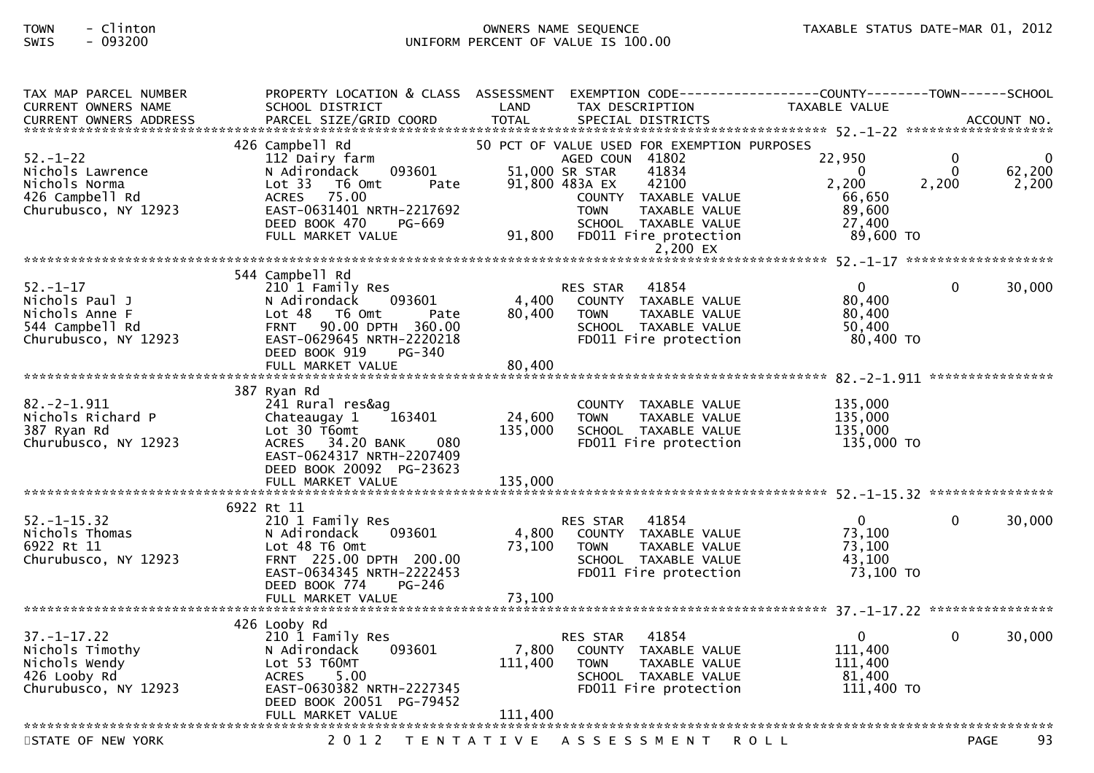## TOWN - Clinton OWNERS NAME SEQUENCE TAXABLE STATUS DATE-MAR 01, 2012SWIS - 093200 UNIFORM PERCENT OF VALUE IS 100.00

| TAX MAP PARCEL NUMBER<br><b>CURRENT OWNERS NAME</b>                                            | PROPERTY LOCATION & CLASS ASSESSMENT<br>SCHOOL DISTRICT                                                                                                                  | LAND                        | TAX DESCRIPTION                                                                                                                                                                                      | TAXABLE VALUE                                             |                                   |                        |
|------------------------------------------------------------------------------------------------|--------------------------------------------------------------------------------------------------------------------------------------------------------------------------|-----------------------------|------------------------------------------------------------------------------------------------------------------------------------------------------------------------------------------------------|-----------------------------------------------------------|-----------------------------------|------------------------|
|                                                                                                |                                                                                                                                                                          |                             |                                                                                                                                                                                                      |                                                           |                                   |                        |
|                                                                                                |                                                                                                                                                                          |                             |                                                                                                                                                                                                      |                                                           |                                   |                        |
| $52. - 1 - 22$<br>Nichols Lawrence<br>Nichols Norma<br>426 Campbell Rd<br>Churubusco, NY 12923 | 426 Campbell Rd<br>112 Dairy farm<br>093601<br>N Adirondack<br>Lot 33<br>T6 Omt<br>Pate<br>ACRES 75.00<br>EAST-0631401 NRTH-2217692<br>DEED BOOK 470<br>PG-669           |                             | 50 PCT OF VALUE USED FOR EXEMPTION PURPOSES<br>AGED COUN 41802<br>51,000 SR STAR<br>41834<br>91,800 483A EX<br>42100<br>COUNTY TAXABLE VALUE<br><b>TOWN</b><br>TAXABLE VALUE<br>SCHOOL TAXABLE VALUE | 22,950<br>$\Omega$<br>2,200<br>66,650<br>89,600<br>27,400 | $\mathbf{0}$<br>$\Omega$<br>2,200 | - 0<br>62,200<br>2,200 |
|                                                                                                | FULL MARKET VALUE                                                                                                                                                        | 91,800                      | FD011 Fire protection                                                                                                                                                                                | 89,600 TO                                                 |                                   |                        |
|                                                                                                |                                                                                                                                                                          |                             | 2,200 EX                                                                                                                                                                                             |                                                           |                                   |                        |
|                                                                                                | 544 Campbell Rd                                                                                                                                                          |                             |                                                                                                                                                                                                      |                                                           |                                   |                        |
| $52. - 1 - 17$<br>Nichols Paul J<br>Nichols Anne F<br>544 Campbell Rd<br>Churubusco, NY 12923  | 210 1 Family Res<br>N Adirondack<br>093601<br>$Lot 48$ T6 Omt<br>Pate<br>90.00 DPTH 360.00<br><b>FRNT</b><br>EAST-0629645 NRTH-2220218<br>DEED BOOK 919<br><b>PG-340</b> | 4,400<br>80,400             | 41854<br>RES STAR<br>COUNTY TAXABLE VALUE<br><b>TOWN</b><br>TAXABLE VALUE<br>SCHOOL TAXABLE VALUE<br>FD011 Fire protection                                                                           | $\overline{0}$<br>80,400<br>80,400<br>50,400<br>80,400 TO | $\Omega$                          | 30,000                 |
|                                                                                                |                                                                                                                                                                          |                             |                                                                                                                                                                                                      |                                                           |                                   |                        |
| $82. -2 - 1.911$<br>Nichols Richard P<br>387 Ryan Rd<br>Churubusco, NY 12923                   | 387 Ryan Rd<br>241 Rural res&ag<br>Chateaugay 1<br>163401<br>Lot 30 T6omt<br>ACRES 34.20 BANK<br>080<br>EAST-0624317 NRTH-2207409                                        | 24,600<br>135,000           | COUNTY TAXABLE VALUE<br><b>TOWN</b><br>TAXABLE VALUE<br>SCHOOL TAXABLE VALUE<br>FD011 Fire protection                                                                                                | 135,000<br>135,000<br>135,000<br>135,000 TO               |                                   |                        |
|                                                                                                | DEED BOOK 20092 PG-23623<br>FULL MARKET VALUE                                                                                                                            | 135,000                     |                                                                                                                                                                                                      |                                                           |                                   |                        |
|                                                                                                |                                                                                                                                                                          |                             |                                                                                                                                                                                                      |                                                           |                                   |                        |
| $52. - 1 - 15.32$<br>Nichols Thomas<br>6922 Rt 11<br>Churubusco, NY 12923                      | 6922 Rt 11<br>210 1 Family Res<br>093601<br>N Adirondack<br>Lot 48 T6 Omt<br>FRNT 225.00 DPTH 200.00<br>EAST-0634345 NRTH-2222453<br>DEED BOOK 774<br>PG-246             | 4,800<br>73,100             | 41854<br>RES STAR<br>COUNTY TAXABLE VALUE<br>TAXABLE VALUE<br>TOWN<br>SCHOOL TAXABLE VALUE<br>FD011 Fire protection                                                                                  | $\overline{0}$<br>73,100<br>73,100<br>43.100<br>73,100 TO | $\Omega$                          | 30,000                 |
|                                                                                                |                                                                                                                                                                          |                             |                                                                                                                                                                                                      |                                                           |                                   |                        |
|                                                                                                | 426 Looby Rd                                                                                                                                                             |                             |                                                                                                                                                                                                      |                                                           |                                   |                        |
| $37. - 1 - 17.22$<br>Nichols Timothy<br>Nichols Wendy<br>426 Looby Rd<br>Churubusco, NY 12923  | 210 1 Family Res<br>093601<br>N Adirondack<br>Lot 53 T60MT<br><b>ACRES</b><br>5.00<br>EAST-0630382 NRTH-2227345<br>DEED BOOK 20051 PG-79452<br>FULL MARKET VALUE         | 7,800<br>111,400<br>111,400 | 41854<br>RES STAR<br>COUNTY TAXABLE VALUE<br><b>TOWN</b><br>TAXABLE VALUE<br>SCHOOL TAXABLE VALUE<br>FD011 Fire protection                                                                           | $\mathbf 0$<br>111,400<br>111,400<br>81,400<br>111,400 TO | $\Omega$                          | 30,000                 |
| STATE OF NEW YORK                                                                              | 2 0 1 2                                                                                                                                                                  |                             | TENTATIVE ASSESSMENT ROLL                                                                                                                                                                            |                                                           | <b>PAGE</b>                       | 93                     |
|                                                                                                |                                                                                                                                                                          |                             |                                                                                                                                                                                                      |                                                           |                                   |                        |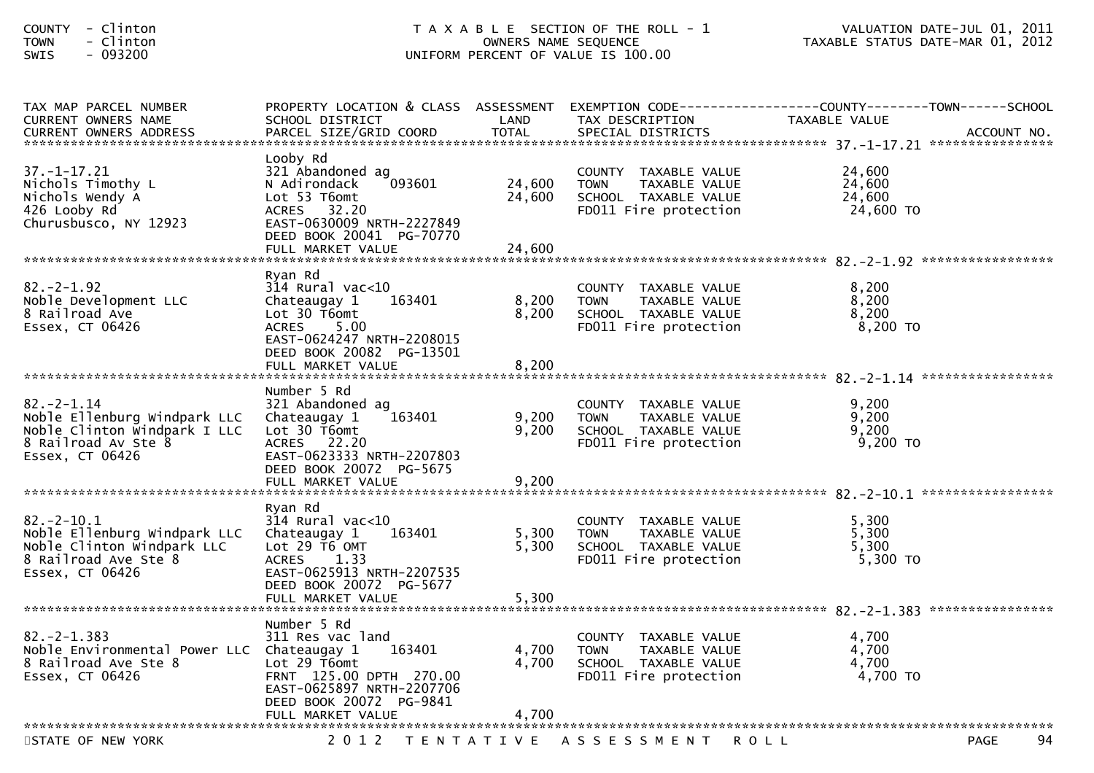| - Clinton<br><b>COUNTY</b><br>- Clinton<br><b>TOWN</b><br>$-093200$<br>SWIS                                               | T A X A B L E SECTION OF THE ROLL - 1<br>UNIFORM PERCENT OF VALUE IS 100.00                                                                                                      | VALUATION DATE-JUL 01, 2011<br>TAXABLE STATUS DATE-MAR 01, 2012 |                                                                                                       |                                                                                                                   |             |
|---------------------------------------------------------------------------------------------------------------------------|----------------------------------------------------------------------------------------------------------------------------------------------------------------------------------|-----------------------------------------------------------------|-------------------------------------------------------------------------------------------------------|-------------------------------------------------------------------------------------------------------------------|-------------|
| TAX MAP PARCEL NUMBER<br>CURRENT OWNERS NAME<br><b>CURRENT OWNERS ADDRESS</b>                                             | SCHOOL DISTRICT<br>PARCEL SIZE/GRID COORD                                                                                                                                        | LAND<br><b>TOTAL</b>                                            | TAX DESCRIPTION<br>SPECIAL DISTRICTS                                                                  | PROPERTY LOCATION & CLASS ASSESSMENT EXEMPTION CODE----------------COUNTY-------TOWN------SCHOOL<br>TAXABLE VALUE | ACCOUNT NO. |
| $37. - 1 - 17.21$<br>Nichols Timothy L<br>Nichols Wendy A<br>426 Looby Rd<br>Churusbusco, NY 12923                        | Looby Rd<br>321 Abandoned ag<br>093601<br>N Adirondack<br>Lot 53 T6omt<br>ACRES 32.20<br>EAST-0630009 NRTH-2227849<br>DEED BOOK 20041 PG-70770<br>FULL MARKET VALUE              | 24,600<br>24,600<br>24,600                                      | COUNTY TAXABLE VALUE<br>TAXABLE VALUE<br><b>TOWN</b><br>SCHOOL TAXABLE VALUE<br>FD011 Fire protection | 24,600<br>24,600<br>24,600<br>24,600 TO                                                                           |             |
| $82 - 2 - 1.92$<br>Noble Development LLC<br>8 Railroad Ave<br>Essex, CT 06426                                             | Ryan Rd<br>$314$ Rural vac<10<br>163401<br>Chateaugay 1<br>Lot 30 T6omt<br>5.00<br>ACRES<br>EAST-0624247 NRTH-2208015<br>DEED BOOK 20082 PG-13501<br>FULL MARKET VALUE           | 8,200<br>8,200<br>8,200                                         | COUNTY TAXABLE VALUE<br>TAXABLE VALUE<br><b>TOWN</b><br>SCHOOL TAXABLE VALUE<br>FD011 Fire protection | 8,200<br>8,200<br>8,200<br>8,200 TO                                                                               |             |
| $82 - 2 - 1.14$<br>Noble Ellenburg Windpark LLC<br>Noble Clinton Windpark I LLC<br>8 Railroad Av Ste 8<br>Essex, CT 06426 | Number 5 Rd<br>321 Abandoned ag<br>163401<br>Chateaugay 1<br>Lot 30 T6omt<br>ACRES 22.20<br>EAST-0623333 NRTH-2207803<br>DEED BOOK 20072 PG-5675<br>FULL MARKET VALUE            | 9,200<br>9,200<br>9,200                                         | COUNTY TAXABLE VALUE<br><b>TOWN</b><br>TAXABLE VALUE<br>SCHOOL TAXABLE VALUE<br>FD011 Fire protection | 9,200<br>9,200<br>9,200<br>9,200 TO                                                                               |             |
| $82 - 2 - 10.1$<br>Noble Ellenburg Windpark LLC<br>Noble Clinton Windpark LLC<br>8 Railroad Ave Ste 8<br>Essex, CT 06426  | Ryan Rd<br>$314$ Rural vac< $10$<br>Chateaugay 1<br>163401<br>Lot 29 T6 OMT<br><b>ACRES</b><br>1.33<br>EAST-0625913 NRTH-2207535<br>DEED BOOK 20072 PG-5677<br>FULL MARKET VALUE | 5,300<br>5,300<br>5,300                                         | COUNTY TAXABLE VALUE<br><b>TOWN</b><br>TAXABLE VALUE<br>SCHOOL TAXABLE VALUE<br>FD011 Fire protection | 5,300<br>5,300<br>5,300<br>5,300 TO                                                                               |             |
| $82 - 2 - 1.383$<br>Noble Environmental Power LLC Chateaugay 1<br>8 Railroad Ave Ste 8<br>Essex, CT 06426                 | Number 5 Rd<br>311 Res vac land<br>163401<br>Lot 29 T6omt<br>FRNT 125.00 DPTH 270.00<br>EAST-0625897 NRTH-2207706<br>DEED BOOK 20072 PG-9841<br>FULL MARKET VALUE                | 4,700<br>4,700<br>4,700                                         | COUNTY TAXABLE VALUE<br><b>TOWN</b><br>TAXABLE VALUE<br>SCHOOL TAXABLE VALUE<br>FD011 Fire protection | 4,700<br>4,700<br>4,700<br>4,700 TO                                                                               |             |
| STATE OF NEW YORK                                                                                                         |                                                                                                                                                                                  |                                                                 | 2012 TENTATIVE ASSESSMENT                                                                             | <b>ROLL</b>                                                                                                       | 94<br>PAGE  |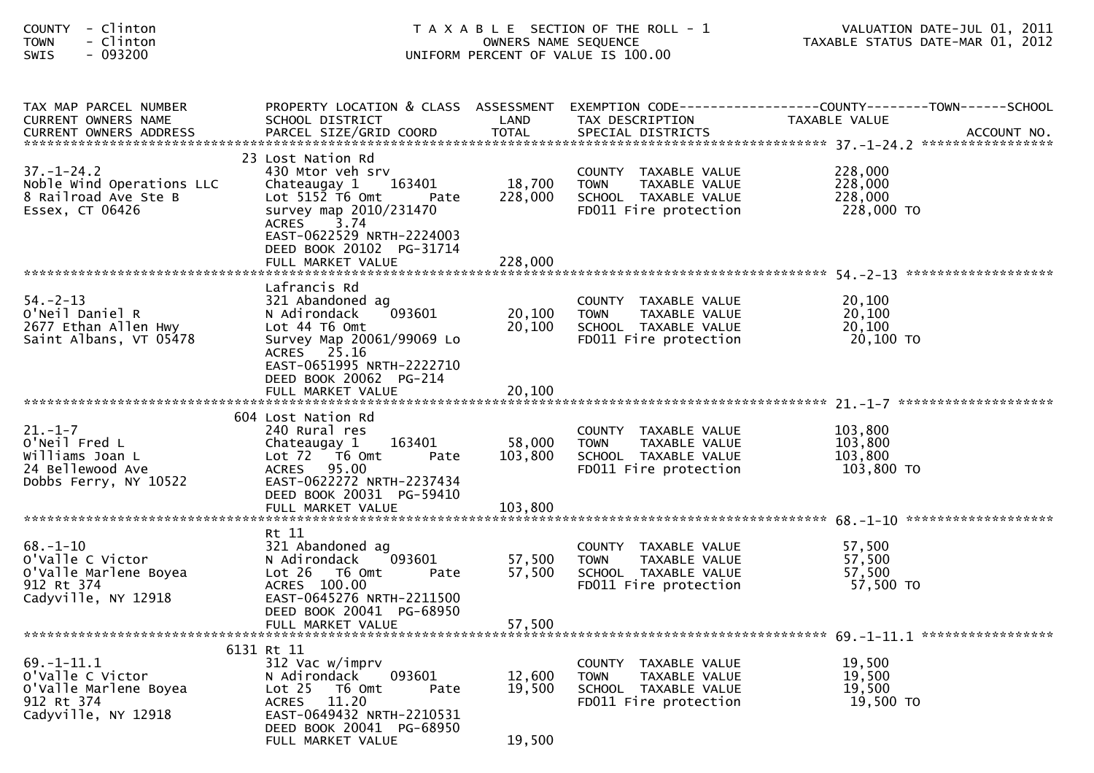| - Clinton<br><b>COUNTY</b><br><b>TOWN</b><br>- Clinton<br>- 093200<br><b>SWIS</b>                  | T A X A B L E SECTION OF THE ROLL - 1<br>UNIFORM PERCENT OF VALUE IS 100.00                                                                                                                                        | VALUATION DATE-JUL 01, 2011<br>TAXABLE STATUS DATE-MAR 01, 2012 |                                                                                                       |                                                                                                                   |
|----------------------------------------------------------------------------------------------------|--------------------------------------------------------------------------------------------------------------------------------------------------------------------------------------------------------------------|-----------------------------------------------------------------|-------------------------------------------------------------------------------------------------------|-------------------------------------------------------------------------------------------------------------------|
| TAX MAP PARCEL NUMBER<br>CURRENT OWNERS NAME                                                       | SCHOOL DISTRICT                                                                                                                                                                                                    | LAND                                                            | TAX DESCRIPTION                                                                                       | PROPERTY LOCATION & CLASS ASSESSMENT EXEMPTION CODE----------------COUNTY-------TOWN------SCHOOL<br>TAXABLE VALUE |
| $37. - 1 - 24.2$<br>Noble Wind Operations LLC<br>8 Railroad Ave Ste B<br>Essex, CT 06426           | 23 Lost Nation Rd<br>430 Mtor veh srv<br>163401<br>Chateaugay 1<br>Lot $515\overline{2}$ T6 Omt<br>Pate<br>survey map 2010/231470<br>3.74<br><b>ACRES</b><br>EAST-0622529 NRTH-2224003<br>DEED BOOK 20102 PG-31714 | 18,700<br>228,000                                               | COUNTY TAXABLE VALUE<br><b>TOWN</b><br>TAXABLE VALUE<br>SCHOOL TAXABLE VALUE<br>FD011 Fire protection | 228,000<br>228,000<br>228,000<br>228,000 TO                                                                       |
| $54. - 2 - 13$<br>O'Neil Daniel R<br>2677 Ethan Allen Hwy<br>Saint Albans, VT 05478                | Lafrancis Rd<br>321 Abandoned ag<br>093601<br>N Adirondack<br>Lot 44 T6 Omt<br>Survey Map 20061/99069 Lo<br>ACRES 25.16<br>EAST-0651995 NRTH-2222710<br>DEED BOOK 20062 PG-214                                     | 20,100<br>20,100                                                | COUNTY TAXABLE VALUE<br><b>TOWN</b><br>TAXABLE VALUE<br>SCHOOL TAXABLE VALUE<br>FD011 Fire protection | 20,100<br>20,100<br>20,100<br>20,100 TO                                                                           |
| $21. - 1 - 7$<br>O'Neil Fred L<br>Williams Joan L<br>24 Bellewood Ave<br>Dobbs Ferry, NY 10522     | 604 Lost Nation Rd<br>240 Rural res<br>Chateaugay 1<br>163401<br>Lot 72 T6 Omt<br>Pate<br>ACRES 95.00<br>EAST-0622272 NRTH-2237434<br>DEED BOOK 20031 PG-59410                                                     | 58,000<br>103,800                                               | COUNTY TAXABLE VALUE<br>TAXABLE VALUE<br>TOWN<br>SCHOOL TAXABLE VALUE<br>FD011 Fire protection        | 103,800<br>103,800<br>103,800<br>103,800 TO                                                                       |
| $68 - 1 - 10$<br>o'valle C victor<br>O'Valle Marlene Boyea<br>912 Rt 374<br>Cadyville, NY 12918    | Rt 11<br>321 Abandoned ag<br>093601<br>N Adirondack<br>Lot 26 T6 Omt<br>Pate<br>ACRES 100.00<br>EAST-0645276 NRTH-2211500<br>DEED BOOK 20041 PG-68950<br>FULL MARKET VALUE                                         | 57,500<br>57,500<br>57,500                                      | COUNTY TAXABLE VALUE<br>TAXABLE VALUE<br><b>TOWN</b><br>SCHOOL TAXABLE VALUE<br>FD011 Fire protection | 57,500<br>57,500<br>57,500<br>57,500 TO                                                                           |
| $69. - 1 - 11.1$<br>o'valle C victor<br>O'Valle Marlene Boyea<br>912 Rt 374<br>Cadyville, NY 12918 | 6131 Rt 11<br>312 Vac w/imprv<br>093601<br>N Adirondack<br>Lot <sub>25</sub><br>T6 Omt<br>Pate<br>11.20<br><b>ACRES</b><br>EAST-0649432 NRTH-2210531<br>DEED BOOK 20041 PG-68950<br>FULL MARKET VALUE              | 12,600<br>19,500<br>19,500                                      | COUNTY TAXABLE VALUE<br><b>TOWN</b><br>TAXABLE VALUE<br>SCHOOL TAXABLE VALUE<br>FD011 Fire protection | 19,500<br>19,500<br>19,500<br>19,500 TO                                                                           |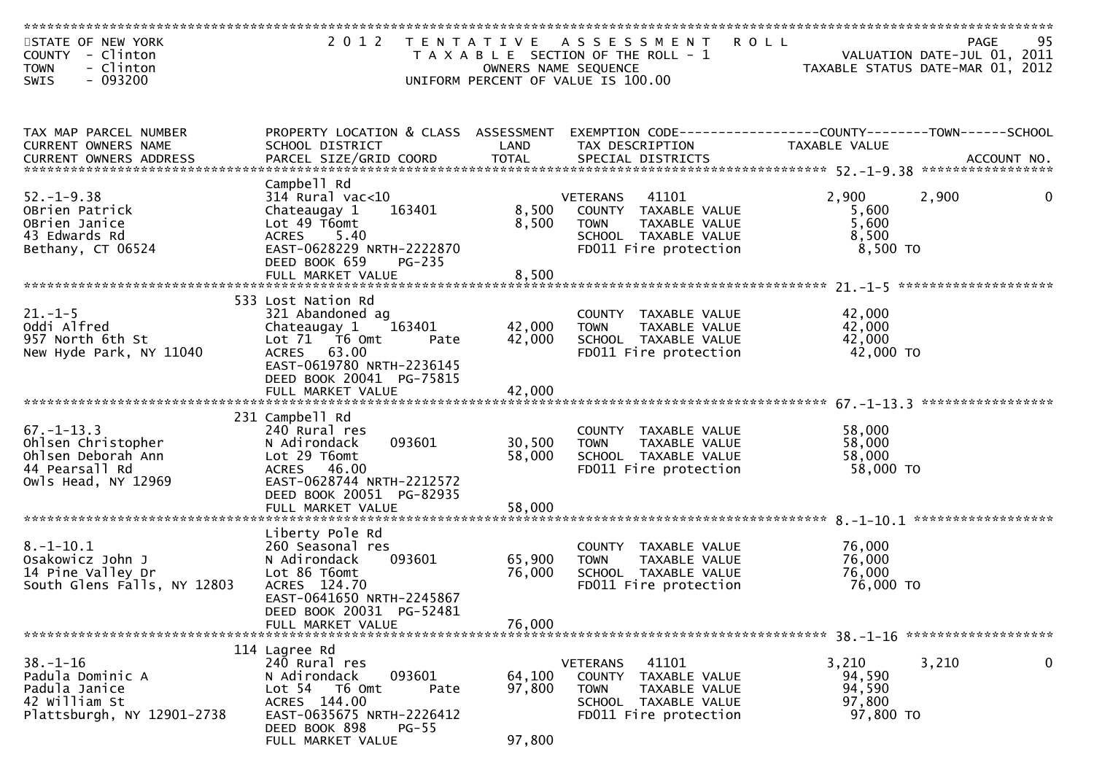| STATE OF NEW YORK<br>COUNTY - Clinton<br><b>TOWN</b><br>- Clinton<br>- 093200<br>SWIS                 |                                                                                                                                                                                               |                            | 2012 TENTATIVE ASSESSMENT ROLL<br>T A X A B L E SECTION OF THE ROLL - 1<br>OWNERS NAME SEQUENCE<br>UNIFORM PERCENT OF VALUE IS 100.00       | <b>PAGE</b><br>VALUATION DATE-JUL 01, 2011<br>TAXABLE STATUS DATE-MAR 01, 2012 | 95               |
|-------------------------------------------------------------------------------------------------------|-----------------------------------------------------------------------------------------------------------------------------------------------------------------------------------------------|----------------------------|---------------------------------------------------------------------------------------------------------------------------------------------|--------------------------------------------------------------------------------|------------------|
| TAX MAP PARCEL NUMBER<br>CURRENT OWNERS NAME                                                          | PROPERTY LOCATION & CLASS ASSESSMENT<br>SCHOOL DISTRICT                                                                                                                                       | LAND                       | TAX DESCRIPTION                                                                                                                             | <b>TAXABLE VALUE</b>                                                           |                  |
| $52. - 1 - 9.38$<br>OBrien Patrick<br>OBrien Janice<br>43 Edwards Rd<br>Bethany, CT 06524             | Campbell Rd<br>$314$ Rural vac<10<br>163401<br>Chateaugay 1<br>Lot $49$ T6omt<br>5.40<br><b>ACRES</b><br>EAST-0628229 NRTH-2222870<br>DEED BOOK 659<br><b>PG-235</b>                          | 8,500<br>8,500             | 41101<br><b>VETERANS</b><br>COUNTY TAXABLE VALUE<br>TAXABLE VALUE<br><b>TOWN</b><br>SCHOOL TAXABLE VALUE<br>FD011 Fire protection           | 2,900<br>2,900<br>5,600<br>5,600<br>8,500<br>$8,500$ TO                        | $\mathbf 0$      |
| $21. - 1 - 5$<br>Oddi Alfred<br>957 North 6th St<br>New Hyde Park, NY 11040                           | 533 Lost Nation Rd<br>321 Abandoned ag<br>Chateaugay 1<br>163401<br>Lot 71 T6 Omt<br>Pate<br>ACRES 63.00<br>EAST-0619780 NRTH-2236145<br>DEED BOOK 20041 PG-75815<br>FULL MARKET VALUE        | 42,000<br>42,000<br>42,000 | COUNTY TAXABLE VALUE<br><b>TOWN</b><br>TAXABLE VALUE<br>SCHOOL TAXABLE VALUE<br>FD011 Fire protection                                       | 42,000<br>42,000<br>42,000<br>42,000 TO                                        |                  |
| $67. - 1 - 13.3$<br>Ohlsen Christopher<br>Ohlsen Deborah Ann<br>44 Pearsall Rd<br>Owls Head, NY 12969 | 231 Campbell Rd<br>240 Rural res<br>093601<br>N Adirondack<br>Lot 29 T6omt<br>ACRES 46.00<br>EAST-0628744 NRTH-2212572<br>DEED BOOK 20051 PG-82935<br>FULL MARKET VALUE                       | 30,500<br>58,000<br>58,000 | COUNTY TAXABLE VALUE<br>TAXABLE VALUE<br><b>TOWN</b><br>SCHOOL TAXABLE VALUE<br>FD011 Fire protection                                       | 58,000<br>58,000<br>58,000<br>58,000 TO                                        |                  |
| $8. - 1 - 10.1$<br>Osakowicz John J<br>14 Pine Valley Dr<br>South Glens Falls, NY 12803               | Liberty Pole Rd<br>260 Seasonal res<br>093601<br>N Adirondack<br>Lot 86 T6omt<br>ACRES 124.70<br>EAST-0641650 NRTH-2245867<br>DEED BOOK 20031 PG-52481<br>FULL MARKET VALUE                   | 65,900<br>76,000<br>76,000 | COUNTY TAXABLE VALUE<br>TAXABLE VALUE<br><b>TOWN</b><br>SCHOOL TAXABLE VALUE<br>FD011 Fire protection                                       | 76,000<br>76,000<br>76,000<br>76,000 TO                                        |                  |
| $38. - 1 - 16$<br>Padula Dominic A<br>Padula Janice<br>42 William St<br>Plattsburgh, NY 12901-2738    | 114 Lagree Rd<br>240 Rural res<br>093601<br>N Adirondack<br>Lot <sub>54</sub><br>T6 Omt<br>Pate<br>ACRES 144.00<br>EAST-0635675 NRTH-2226412<br>DEED BOOK 898<br>$PG-55$<br>FULL MARKET VALUE | 64,100<br>97,800<br>97,800 | 41101<br><b>VETERANS</b><br><b>COUNTY</b><br>TAXABLE VALUE<br><b>TOWN</b><br>TAXABLE VALUE<br>SCHOOL TAXABLE VALUE<br>FD011 Fire protection | 3,210<br>3,210<br>94,590<br>94,590<br>97,800<br>97,800 TO                      | $\boldsymbol{0}$ |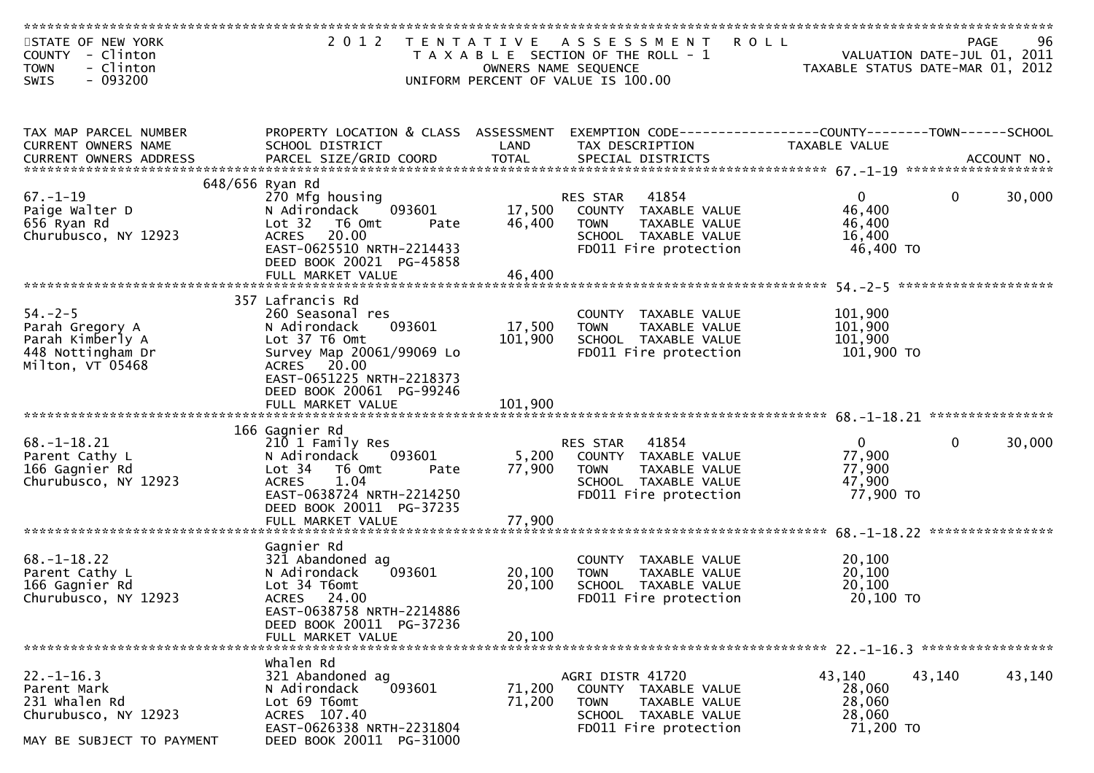| STATE OF NEW YORK<br>COUNTY - Clinton<br>- Clinton<br><b>TOWN</b> | 2 0 1 2                                                 | OWNERS NAME SEQUENCE | TENTATIVE ASSESSMENT ROLL<br>T A X A B L E SECTION OF THE ROLL - 1               | VALUATION DATE-JUL 01, 2011<br>TAXABLE STATUS DATE-MAR 01, 2012 | 96<br><b>PAGE</b> |
|-------------------------------------------------------------------|---------------------------------------------------------|----------------------|----------------------------------------------------------------------------------|-----------------------------------------------------------------|-------------------|
| - 093200<br>SWIS                                                  |                                                         |                      | UNIFORM PERCENT OF VALUE IS 100.00                                               |                                                                 |                   |
| TAX MAP PARCEL NUMBER<br>CURRENT OWNERS NAME                      | PROPERTY LOCATION & CLASS ASSESSMENT<br>SCHOOL DISTRICT | LAND                 | EXEMPTION CODE-----------------COUNTY--------TOWN------SCHOOL<br>TAX DESCRIPTION | TAXABLE VALUE                                                   |                   |
|                                                                   |                                                         |                      |                                                                                  |                                                                 |                   |
|                                                                   | 648/656 Ryan Rd                                         |                      |                                                                                  |                                                                 |                   |
| $67. - 1 - 19$                                                    | 270 Mfg housing                                         |                      | 41854<br>RES STAR                                                                | $\mathbf{0}$<br>$\Omega$                                        | 30,000            |
| Paige Walter D<br>656 Ryan Rd                                     | 093601<br>N Adirondack<br>Lot 32 T6 Omt<br>Pate         | 17,500<br>46,400     | COUNTY TAXABLE VALUE<br><b>TOWN</b><br>TAXABLE VALUE                             | 46,400<br>46,400                                                |                   |
| Churubusco, NY 12923                                              | ACRES 20.00                                             |                      | SCHOOL TAXABLE VALUE                                                             | 16,400                                                          |                   |
|                                                                   | EAST-0625510 NRTH-2214433                               |                      | FD011 Fire protection                                                            | 46,400 TO                                                       |                   |
|                                                                   | DEED BOOK 20021 PG-45858                                |                      |                                                                                  |                                                                 |                   |
|                                                                   | FULL MARKET VALUE                                       | 46,400               |                                                                                  |                                                                 |                   |
|                                                                   |                                                         |                      |                                                                                  |                                                                 |                   |
|                                                                   | 357 Lafrancis Rd                                        |                      |                                                                                  |                                                                 |                   |
| $54. - 2 - 5$                                                     | 260 Seasonal res                                        |                      | COUNTY TAXABLE VALUE                                                             | 101,900                                                         |                   |
| Parah Gregory A                                                   | 093601<br>N Adirondack                                  | 17,500               | TAXABLE VALUE<br><b>TOWN</b>                                                     | 101,900                                                         |                   |
| Parah Kimberly A<br>448 Nottingham Dr                             | Lot 37 T6 Omt<br>Survey Map 20061/99069 Lo              | 101,900              | SCHOOL TAXABLE VALUE<br>FD011 Fire protection                                    | 101,900<br>101,900 TO                                           |                   |
| Milton, VT 05468                                                  | ACRES 20.00                                             |                      |                                                                                  |                                                                 |                   |
|                                                                   | EAST-0651225 NRTH-2218373                               |                      |                                                                                  |                                                                 |                   |
|                                                                   | DEED BOOK 20061 PG-99246                                |                      |                                                                                  |                                                                 |                   |
|                                                                   |                                                         |                      |                                                                                  |                                                                 |                   |
|                                                                   |                                                         |                      |                                                                                  |                                                                 |                   |
|                                                                   | 166 Gagnier Rd                                          |                      |                                                                                  |                                                                 |                   |
| $68. - 1 - 18.21$                                                 | 210 1 Family Res                                        |                      | 41854<br>RES STAR                                                                | $\mathbf{0}$<br>$\mathbf{0}$                                    | 30,000            |
| Parent Cathy L                                                    | 093601<br>N Adirondack                                  | 5,200                | COUNTY TAXABLE VALUE                                                             | 77,900                                                          |                   |
| 166 Gagnier Rd                                                    | Lot 34 76 0mt<br>Pate                                   | 77,900               | <b>TOWN</b><br>TAXABLE VALUE                                                     | 77,900                                                          |                   |
| Churubusco, NY 12923                                              | 1.04<br><b>ACRES</b>                                    |                      | SCHOOL TAXABLE VALUE                                                             | 47,900                                                          |                   |
|                                                                   | EAST-0638724 NRTH-2214250                               |                      | FD011 Fire protection                                                            | 77,900 TO                                                       |                   |
|                                                                   | DEED BOOK 20011 PG-37235<br>FULL MARKET VALUE           | 77,900               |                                                                                  |                                                                 |                   |
|                                                                   |                                                         |                      |                                                                                  |                                                                 |                   |
|                                                                   | Gagnier Rd                                              |                      |                                                                                  |                                                                 |                   |
| $68. - 1 - 18.22$                                                 | 321 Abandoned ag                                        |                      | COUNTY TAXABLE VALUE                                                             | 20,100                                                          |                   |
| Parent Cathy L                                                    | 093601<br>N Adirondack                                  | 20,100               | TAXABLE VALUE<br><b>TOWN</b>                                                     | 20,100                                                          |                   |
| 166 Gagnier Rd                                                    | Lot 34 T6omt                                            | 20,100               | SCHOOL TAXABLE VALUE                                                             | 20,100                                                          |                   |
| Churubusco, NY 12923                                              | ACRES 24.00                                             |                      | FD011 Fire protection                                                            | 20,100 TO                                                       |                   |
|                                                                   | EAST-0638758 NRTH-2214886                               |                      |                                                                                  |                                                                 |                   |
|                                                                   | DEED BOOK 20011 PG-37236                                |                      |                                                                                  |                                                                 |                   |
|                                                                   | FULL MARKET VALUE                                       | 20,100               |                                                                                  |                                                                 |                   |
|                                                                   | whalen Rd                                               |                      |                                                                                  |                                                                 |                   |
| $22. - 1 - 16.3$                                                  | 321 Abandoned ag                                        |                      | AGRI DISTR 41720                                                                 | 43,140<br>43,140                                                | 43,140            |
| Parent Mark                                                       | N Adirondack<br>093601                                  | 71,200               | <b>COUNTY</b><br>TAXABLE VALUE                                                   | 28,060                                                          |                   |
| 231 whalen Rd                                                     | Lot 69 T6omt                                            | 71,200               | <b>TOWN</b><br>TAXABLE VALUE                                                     | 28,060                                                          |                   |
| Churubusco, NY 12923                                              | ACRES 107.40                                            |                      | SCHOOL TAXABLE VALUE                                                             | 28,060                                                          |                   |
|                                                                   | EAST-0626338 NRTH-2231804                               |                      | FD011 Fire protection                                                            | 71,200 TO                                                       |                   |
| MAY BE SUBJECT TO PAYMENT                                         | DEED BOOK 20011 PG-31000                                |                      |                                                                                  |                                                                 |                   |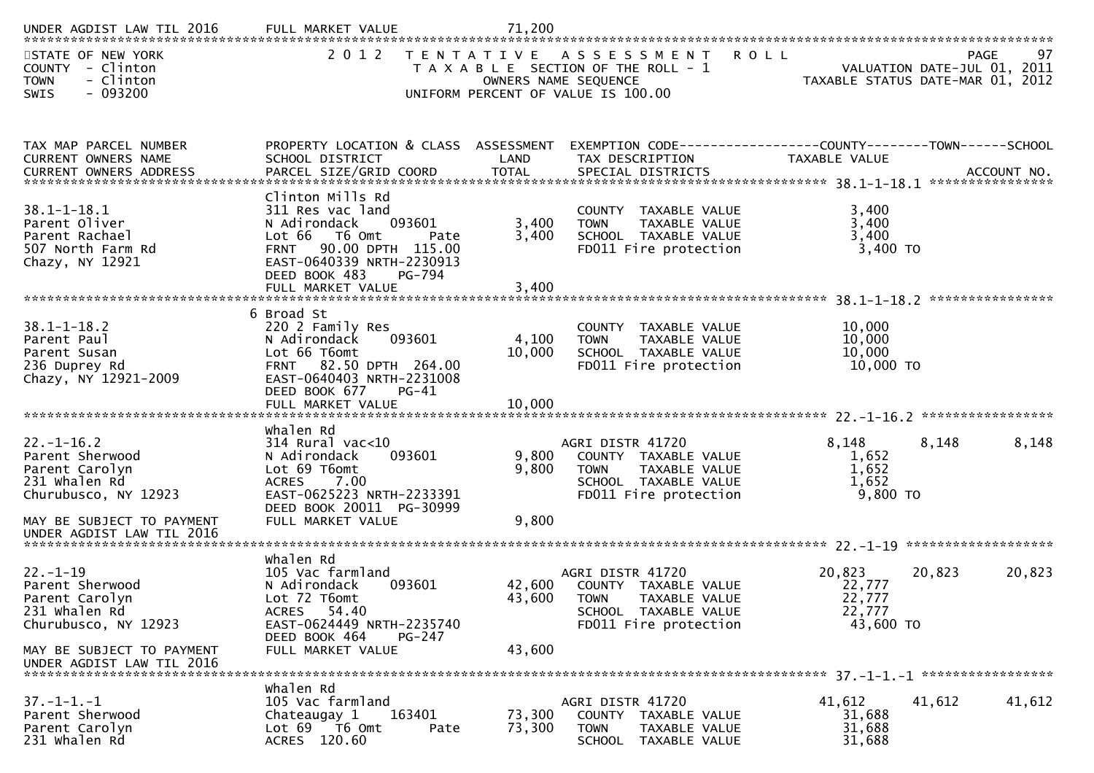| UNDER AGDIST LAW TIL 2016                                                                               |                                                                                                                                                                                                |                         |                                                                                                                                  |                                                   |                                                                                      |
|---------------------------------------------------------------------------------------------------------|------------------------------------------------------------------------------------------------------------------------------------------------------------------------------------------------|-------------------------|----------------------------------------------------------------------------------------------------------------------------------|---------------------------------------------------|--------------------------------------------------------------------------------------|
| STATE OF NEW YORK<br><b>COUNTY</b><br>- Clinton<br>- Clinton<br><b>TOWN</b><br>$-093200$<br><b>SWIS</b> | 2 0 1 2                                                                                                                                                                                        |                         | TENTATIVE ASSESSMENT ROLL<br>T A X A B L E SECTION OF THE ROLL - 1<br>OWNERS NAME SEQUENCE<br>UNIFORM PERCENT OF VALUE IS 100.00 |                                                   | 97<br><b>PAGE</b><br>VALUATION DATE-JUL 01, 2011<br>TAXABLE STATUS DATE-MAR 01, 2012 |
|                                                                                                         |                                                                                                                                                                                                |                         |                                                                                                                                  |                                                   |                                                                                      |
| TAX MAP PARCEL NUMBER<br><b>CURRENT OWNERS NAME</b>                                                     | PROPERTY LOCATION & CLASS ASSESSMENT<br>SCHOOL DISTRICT                                                                                                                                        | LAND                    | EXEMPTION CODE-----------------COUNTY-------TOWN------SCHOOL<br>TAX DESCRIPTION                                                  | <b>TAXABLE VALUE</b>                              |                                                                                      |
| $38.1 - 1 - 18.1$<br>Parent Oliver<br>Parent Rachael<br>507 North Farm Rd<br>Chazy, NY 12921            | Clinton Mills Rd<br>311 Res vac land<br>093601<br>N Adirondack<br>Lot 66 T6 Omt<br>Pate<br>FRNT 90.00 DPTH 115.00<br>EAST-0640339 NRTH-2230913<br>DEED BOOK 483<br>PG-794<br>FULL MARKET VALUE | 3,400<br>3,400<br>3,400 | COUNTY TAXABLE VALUE<br>TAXABLE VALUE<br><b>TOWN</b><br>SCHOOL TAXABLE VALUE<br>FD011 Fire protection                            | 3,400<br>3,400<br>3,400<br>3,400 TO               |                                                                                      |
|                                                                                                         |                                                                                                                                                                                                |                         |                                                                                                                                  |                                                   |                                                                                      |
| $38.1 - 1 - 18.2$<br>Parent Paul<br>Parent Susan<br>236 Duprey Rd<br>Chazy, NY 12921-2009               | 6 Broad St<br>220 2 Family Res<br>093601<br>N Adirondack<br>Lot 66 T6omt<br>FRNT 82.50 DPTH 264.00<br>EAST-0640403 NRTH-2231008<br>DEED BOOK 677<br>$PG-41$                                    | 4,100<br>10,000         | COUNTY TAXABLE VALUE<br><b>TOWN</b><br>TAXABLE VALUE<br>SCHOOL TAXABLE VALUE<br>FD011 Fire protection                            | 10,000<br>10,000<br>10,000<br>10,000 TO           |                                                                                      |
|                                                                                                         | FULL MARKET VALUE                                                                                                                                                                              | 10,000                  |                                                                                                                                  |                                                   |                                                                                      |
|                                                                                                         | whalen Rd                                                                                                                                                                                      |                         |                                                                                                                                  |                                                   |                                                                                      |
| $22 - 1 - 16.2$<br>Parent Sherwood<br>Parent Carolyn<br>231 Whalen Rd<br>Churubusco, NY 12923           | $314$ Rural vac< $10$<br>093601<br>N Adirondack<br>Lot 69 T6omt<br><b>ACRES</b><br>7.00<br>EAST-0625223 NRTH-2233391<br>DEED BOOK 20011 PG-30999                                               | 9,800<br>9,800          | AGRI DISTR 41720<br>COUNTY TAXABLE VALUE<br>TAXABLE VALUE<br><b>TOWN</b><br>SCHOOL TAXABLE VALUE<br>FD011 Fire protection        | 8,148<br>1,652<br>1,652<br>1,652<br>9,800 TO      | 8,148<br>8,148                                                                       |
| MAY BE SUBJECT TO PAYMENT<br>UNDER AGDIST LAW TIL 2016                                                  | FULL MARKET VALUE                                                                                                                                                                              | 9,800                   |                                                                                                                                  |                                                   |                                                                                      |
|                                                                                                         | whalen Rd                                                                                                                                                                                      |                         |                                                                                                                                  |                                                   |                                                                                      |
| $22. - 1 - 19$<br>Parent Sherwood<br>Parent Carolyn<br>231 Whalen Rd<br>Churubusco, NY 12923            | 105 Vac farmland<br>093601<br>N Adirondack<br>Lot 72 T6omt<br>ACRES 54.40<br>EAST-0624449 NRTH-2235740<br>DEED BOOK 464<br>PG-247                                                              |                         | AGRI DISTR 41720<br>42,600 COUNTY TAXABLE VALUE<br>43,600 TOWN TAXABLE VALUE<br>SCHOOL TAXABLE VALUE<br>FD011 Fire protection    | 20,823<br>22,777<br>22,777<br>22,777<br>43,600 TO | 20,823<br>20,823                                                                     |
| MAY BE SUBJECT TO PAYMENT<br>UNDER AGDIST LAW TIL 2016                                                  | FULL MARKET VALUE                                                                                                                                                                              | 43,600                  |                                                                                                                                  |                                                   |                                                                                      |
|                                                                                                         | whalen Rd                                                                                                                                                                                      |                         |                                                                                                                                  |                                                   |                                                                                      |
| $37. - 1 - 1. - 1$<br>Parent Sherwood<br>Parent Carolyn<br>231 Whalen Rd                                | 105 Vac farmland<br>163401<br>Chateaugay 1<br>Lot 69 T6 Omt<br>Pate<br>ACRES 120.60                                                                                                            | 73,300<br>73,300        | AGRI DISTR 41720<br>COUNTY TAXABLE VALUE<br><b>TOWN</b><br>TAXABLE VALUE<br>SCHOOL TAXABLE VALUE                                 | 41,612<br>31,688<br>31,688<br>31,688              | 41,612<br>41,612                                                                     |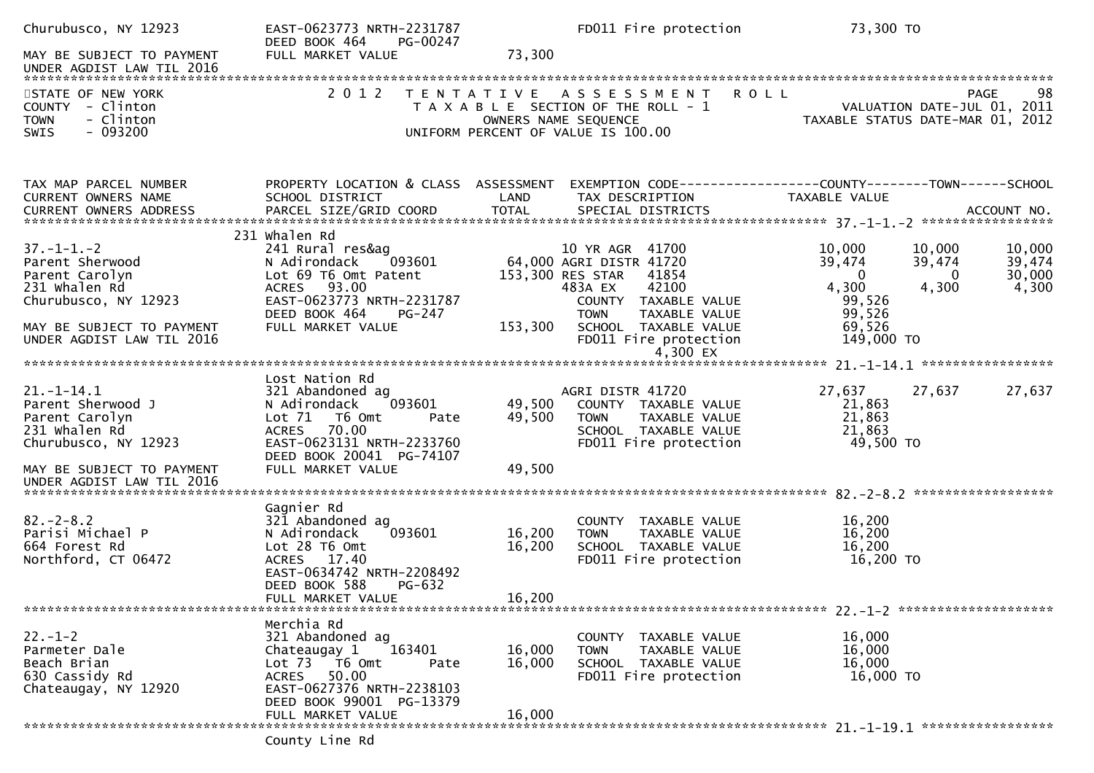| Churubusco, NY 12923                                                                                                                                       | EAST-0623773 NRTH-2231787<br>DEED BOOK 464<br>PG-00247                                                                                                                          |                            | FD011 Fire protection                                                                                                                                                                                | 73,300 TO                                                                         |                                                                              |
|------------------------------------------------------------------------------------------------------------------------------------------------------------|---------------------------------------------------------------------------------------------------------------------------------------------------------------------------------|----------------------------|------------------------------------------------------------------------------------------------------------------------------------------------------------------------------------------------------|-----------------------------------------------------------------------------------|------------------------------------------------------------------------------|
| MAY BE SUBJECT TO PAYMENT                                                                                                                                  | FULL MARKET VALUE                                                                                                                                                               | 73,300                     |                                                                                                                                                                                                      |                                                                                   |                                                                              |
| STATE OF NEW YORK<br>COUNTY - Clinton<br>- Clinton<br><b>TOWN</b><br>$-093200$<br><b>SWIS</b>                                                              | 2 0 1 2                                                                                                                                                                         | T E N T A T I V E          | <b>ROLL</b><br>A S S E S S M E N T<br>T A X A B L E SECTION OF THE ROLL - 1<br>OWNERS NAME SEQUENCE<br>UNIFORM PERCENT OF VALUE IS 100.00                                                            | TAXABLE STATUS DATE-MAR 01, 2012                                                  | 98<br>PAGE<br>VALUATION DATE-JUL 01, 2011                                    |
| TAX MAP PARCEL NUMBER<br><b>CURRENT OWNERS NAME</b>                                                                                                        | PROPERTY LOCATION & CLASS ASSESSMENT<br>SCHOOL DISTRICT                                                                                                                         | LAND                       | TAX DESCRIPTION                                                                                                                                                                                      | <b>TAXABLE VALUE</b>                                                              |                                                                              |
| $37. - 1 - 1. - 2$<br>Parent Sherwood<br>Parent Carolyn<br>231 whalen Rd<br>Churubusco, NY 12923<br>MAY BE SUBJECT TO PAYMENT<br>UNDER AGDIST LAW TIL 2016 | 231 Whalen Rd<br>241 Rural res&ag<br>N Adirondack<br>093601<br>Lot 69 T6 Omt Patent<br>ACRES 93.00<br>EAST-0623773 NRTH-2231787<br>DEED BOOK 464<br>PG-247<br>FULL MARKET VALUE | 153,300                    | 10 YR AGR 41700<br>64,000 AGRI DISTR 41720<br>153,300 RES STAR<br>41854<br>42100<br>483A EX<br>COUNTY TAXABLE VALUE<br>TAXABLE VALUE<br><b>TOWN</b><br>SCHOOL TAXABLE VALUE<br>FD011 Fire protection | 10,000<br>39,474<br>$\Omega$<br>4,300<br>99,526<br>99,526<br>69,526<br>149,000 TO | 10,000<br>10,000<br>39,474<br>39,474<br>30,000<br>$\Omega$<br>4,300<br>4,300 |
|                                                                                                                                                            |                                                                                                                                                                                 |                            |                                                                                                                                                                                                      |                                                                                   |                                                                              |
| $21. - 1 - 14.1$<br>Parent Sherwood J<br>Parent Carolyn<br>231 whalen Rd<br>Churubusco, NY 12923                                                           | Lost Nation Rd<br>321 Abandoned ag<br>093601<br>N Adirondack<br>Lot 71 T6 Omt<br>Pate<br>ACRES 70.00<br>EAST-0623131 NRTH-2233760<br>DEED BOOK 20041 PG-74107                   | 49,500<br>49,500           | AGRI DISTR 41720<br>COUNTY TAXABLE VALUE<br><b>TOWN</b><br>TAXABLE VALUE<br>SCHOOL TAXABLE VALUE<br>FD011 Fire protection                                                                            | 27,637<br>21,863<br>21,863<br>21,863<br>49,500 TO                                 | 27,637<br>27,637                                                             |
| MAY BE SUBJECT TO PAYMENT                                                                                                                                  | FULL MARKET VALUE                                                                                                                                                               | 49,500                     |                                                                                                                                                                                                      |                                                                                   |                                                                              |
| $82 - 2 - 8.2$<br>Parisi Michael P<br>664 Forest Rd<br>Northford, CT 06472                                                                                 | Gagnier Rd<br>321 Abandoned ag<br>N Adirondack<br>093601<br>Lot 28 T6 Omt<br>ACRES 17.40<br>EAST-0634742 NRTH-2208492<br>DEED BOOK 588<br>PG-632<br>FULL MARKET VALUE           | 16,200<br>16,200<br>16,200 | COUNTY TAXABLE VALUE<br><b>TOWN</b><br>TAXABLE VALUE<br>SCHOOL TAXABLE VALUE<br>FD011 Fire protection                                                                                                | 16,200<br>16,200<br>16,200<br>16,200 TO                                           |                                                                              |
|                                                                                                                                                            | Merchia Rd                                                                                                                                                                      |                            |                                                                                                                                                                                                      |                                                                                   |                                                                              |
| $22 - 1 - 2$<br>Parmeter Dale<br>Beach Brian<br>630 Cassidy Rd<br>Chateaugay, NY 12920                                                                     | 321 Abandoned ag<br>Chateaugay 1<br>163401<br>Lot 73  T6 Omt<br>Pate<br><b>ACRES</b><br>50.00<br>EAST-0627376 NRTH-2238103<br>DEED BOOK 99001 PG-13379<br>FULL MARKET VALUE     | 16,000<br>16,000<br>16,000 | COUNTY TAXABLE VALUE<br>TAXABLE VALUE<br><b>TOWN</b><br>SCHOOL TAXABLE VALUE<br>FD011 Fire protection                                                                                                | 16,000<br>16,000<br>16,000<br>$16,000$ TO                                         |                                                                              |
|                                                                                                                                                            | County Line Rd                                                                                                                                                                  |                            |                                                                                                                                                                                                      |                                                                                   |                                                                              |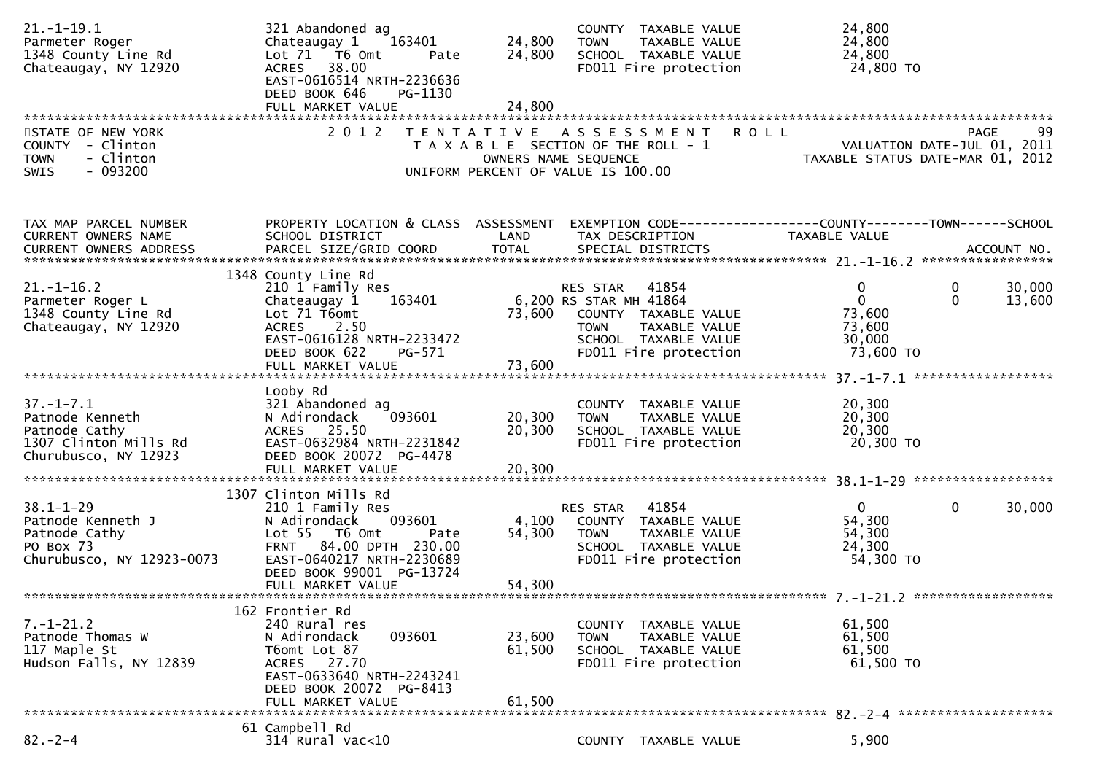| $21. - 1 - 19.1$<br>Parmeter Roger<br>1348 County Line Rd<br>Chateaugay, NY 12920                    | 321 Abandoned ag<br>Chateaugay 1<br>163401<br>Lot 71 76 0mt<br>Pate<br>38.00<br><b>ACRES</b><br>EAST-0616514 NRTH-2236636<br>DEED BOOK 646<br>PG-1130                                                           | 24,800<br>24,800           | COUNTY TAXABLE VALUE<br><b>TOWN</b><br>TAXABLE VALUE<br>SCHOOL TAXABLE VALUE<br>FD011 Fire protection                                                | 24,800<br>24,800<br>24,800<br>24,800 TO                                                       |                  |
|------------------------------------------------------------------------------------------------------|-----------------------------------------------------------------------------------------------------------------------------------------------------------------------------------------------------------------|----------------------------|------------------------------------------------------------------------------------------------------------------------------------------------------|-----------------------------------------------------------------------------------------------|------------------|
| STATE OF NEW YORK<br>COUNTY - Clinton<br>- Clinton<br><b>TOWN</b><br>$-093200$<br>SWIS               | 2 0 1 2                                                                                                                                                                                                         | OWNERS NAME SEQUENCE       | TENTATIVE ASSESSMENT<br>T A X A B L E SECTION OF THE ROLL - 1<br>UNIFORM PERCENT OF VALUE IS 100.00                                                  | <b>ROLL</b><br><b>PAGE</b><br>99<br>VALUATION DATE-JUL 01, 2011<br>TAXABLE STATUS DATE MIS 27 | 99               |
| TAX MAP PARCEL NUMBER<br>CURRENT OWNERS NAME                                                         | PROPERTY LOCATION & CLASS ASSESSMENT<br>SCHOOL DISTRICT                                                                                                                                                         | LAND                       | TAX DESCRIPTION                                                                                                                                      | EXEMPTION CODE-----------------COUNTY-------TOWN------SCHOOL<br>TAXABLE VALUE                 |                  |
| $21. - 1 - 16.2$<br>Parmeter Roger L<br>1348 County Line Rd<br>Chateaugay, NY 12920                  | 1348 County Line Rd<br>210 1 Family Res<br>163401<br>Chateaugay 1<br>Lot 71 T6omt<br>2.50<br>ACRES<br>EAST-0616128 NRTH-2233472<br>DEED BOOK 622<br>PG-571<br>FULL MARKET VALUE                                 | 73,600<br>73,600           | 41854<br>RES STAR<br>6,200 RS STAR MH 41864<br>COUNTY TAXABLE VALUE<br>TAXABLE VALUE<br><b>TOWN</b><br>SCHOOL TAXABLE VALUE<br>FD011 Fire protection | $\mathbf{0}$<br>0<br>$\mathbf{0}$<br>$\mathbf{0}$<br>73,600<br>73,600<br>30,000<br>73,600 TO  | 30,000<br>13,600 |
| $37. - 1 - 7.1$<br>Patnode Kenneth<br>Patnode Cathy<br>1307 Clinton Mills Rd<br>Churubusco, NY 12923 | Looby Rd<br>321 Abandoned ag<br>093601<br>N Adirondack<br>ACRES 25.50<br>EAST-0632984 NRTH-2231842<br>DEED BOOK 20072 PG-4478<br>FULL MARKET VALUE                                                              | 20,300<br>20,300<br>20,300 | COUNTY TAXABLE VALUE<br><b>TOWN</b><br>TAXABLE VALUE<br>SCHOOL TAXABLE VALUE<br>FD011 Fire protection                                                | 20,300<br>20,300<br>20,300<br>20,300 TO                                                       |                  |
| $38.1 - 1 - 29$<br>Patnode Kenneth J<br>Patnode Cathy<br>PO Box 73<br>Churubusco, NY 12923-0073      | 1307 Clinton Mills Rd<br>210 1 Family Res<br>093601<br>N Adirondack<br>Lot 55  T6 Omt<br>Pate<br>84.00 DPTH 230.00<br><b>FRNT</b><br>EAST-0640217 NRTH-2230689<br>DEED BOOK 99001 PG-13724<br>FULL MARKET VALUE | 4,100<br>54,300<br>54,300  | 41854<br>RES STAR<br>COUNTY TAXABLE VALUE<br><b>TOWN</b><br>TAXABLE VALUE<br>SCHOOL TAXABLE VALUE<br>FD011 Fire protection                           | $\overline{0}$<br>$\mathbf{0}$<br>54,300<br>54,300<br>24,300<br>54,300 TO                     | 30,000           |
| $7. - 1 - 21.2$<br>Patnode Thomas W<br>117 Maple St<br>Hudson Falls, NY 12839                        | 162 Frontier Rd<br>240 Rural res<br>093601<br>N Adirondack<br>T6omt Lot 87<br>ACRES 27.70<br>EAST-0633640 NRTH-2243241<br>DEED BOOK 20072 PG-8413<br>FULL MARKET VALUE                                          | 23,600<br>61,500<br>61,500 | COUNTY TAXABLE VALUE<br><b>TOWN</b><br>TAXABLE VALUE<br>SCHOOL TAXABLE VALUE<br>FD011 Fire protection                                                | 61,500<br>61,500<br>61,500<br>61,500 TO                                                       |                  |
| $82 - 2 - 4$                                                                                         | 61 Campbell Rd<br>314 Rural vac<10                                                                                                                                                                              |                            | COUNTY TAXABLE VALUE                                                                                                                                 | 5,900                                                                                         |                  |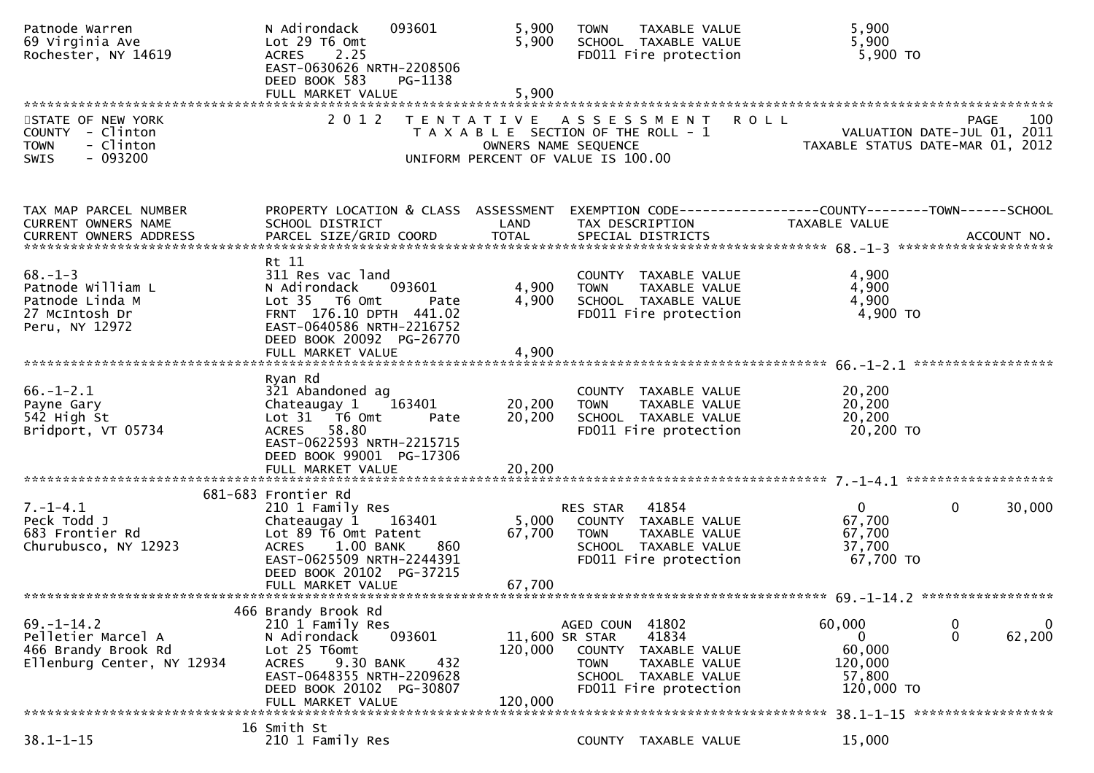| Patnode Warren<br>69 Virginia Ave<br>Rochester, NY 14619                                    | N Adirondack<br>093601<br>Lot 29 T6 Omt<br>2.25<br><b>ACRES</b><br>EAST-0630626 NRTH-2208506<br>DEED BOOK 583<br>PG-1138                                                                            | 5,900<br>5,900<br>5,900    | TAXABLE VALUE<br><b>TOWN</b><br>SCHOOL TAXABLE VALUE<br>FD011 Fire protection                                                                                    | 5,900<br>5,900<br>5,900 TO                                                                                              |
|---------------------------------------------------------------------------------------------|-----------------------------------------------------------------------------------------------------------------------------------------------------------------------------------------------------|----------------------------|------------------------------------------------------------------------------------------------------------------------------------------------------------------|-------------------------------------------------------------------------------------------------------------------------|
| STATE OF NEW YORK<br>COUNTY - Clinton<br>- Clinton<br><b>TOWN</b><br>SWIS<br>$-093200$      | 2 0 1 2                                                                                                                                                                                             | OWNERS NAME SEQUENCE       | TENTATIVE ASSESSMENT<br>T A X A B L E SECTION OF THE ROLL - 1<br>UNIFORM PERCENT OF VALUE IS 100.00                                                              | 100<br><b>ROLL</b><br><b>PAGE</b><br>VALUATION DATE-JUL 01, 2011<br>TAXABLE STATUS DATE-MAR 01, 2012                    |
| TAX MAP PARCEL NUMBER<br>CURRENT OWNERS NAME<br>CURRENT OWNERS ADDRESS                      | PROPERTY LOCATION & CLASS ASSESSMENT<br>SCHOOL DISTRICT                                                                                                                                             | LAND                       | TAX DESCRIPTION                                                                                                                                                  | EXEMPTION CODE-----------------COUNTY-------TOWN------SCHOOL<br>TAXABLE VALUE                                           |
| $68. - 1 - 3$<br>Patnode William L<br>Patnode Linda M<br>27 McIntosh Dr<br>Peru, NY 12972   | Rt 11<br>311 Res vac land<br>N Adirondack<br>093601<br>Lot 35 T6 Omt<br>Pate<br>FRNT 176.10 DPTH 441.02<br>EAST-0640586 NRTH-2216752<br>DEED BOOK 20092 PG-26770                                    | 4,900<br>4,900             | COUNTY TAXABLE VALUE<br><b>TOWN</b><br>TAXABLE VALUE<br>SCHOOL TAXABLE VALUE<br>FD011 Fire protection                                                            | 4,900<br>4,900<br>4,900<br>4,900 TO                                                                                     |
|                                                                                             | FULL MARKET VALUE                                                                                                                                                                                   | 4,900                      |                                                                                                                                                                  |                                                                                                                         |
| $66. - 1 - 2.1$<br>Payne Gary<br>542 High St<br>Bridport, VT 05734                          | Ryan Rd<br>321 Abandoned ag<br>Chateaugay 1<br>163401<br>Lot 31 T6 Omt<br>Pate<br>58.80<br><b>ACRES</b><br>EAST-0622593 NRTH-2215715<br>DEED BOOK 99001 PG-17306<br>FULL MARKET VALUE               | 20,200<br>20,200<br>20,200 | COUNTY TAXABLE VALUE<br>TAXABLE VALUE<br><b>TOWN</b><br>SCHOOL TAXABLE VALUE<br>FD011 Fire protection                                                            | 20,200<br>20, 200<br>20,200<br>20,200 TO                                                                                |
|                                                                                             | 681-683 Frontier Rd                                                                                                                                                                                 |                            |                                                                                                                                                                  |                                                                                                                         |
| $7. - 1 - 4.1$<br>Peck Todd J<br>683 Frontier Rd<br>Churubusco, NY 12923                    | 210 1 Family Res<br>Chateaugay 1 163401<br>Lot 89 T6 Omt Patent<br>$1.00$ BANK<br>860<br><b>ACRES</b><br>EAST-0625509 NRTH-2244391<br>DEED BOOK 20102 PG-37215<br>FULL MARKET VALUE                 | 5,000<br>67,700<br>67,700  | 41854<br>RES STAR<br>COUNTY TAXABLE VALUE<br><b>TOWN</b><br>TAXABLE VALUE<br>SCHOOL TAXABLE VALUE<br>FD011 Fire protection                                       | $\Omega$<br>$\mathbf{0}$<br>30,000<br>67,700<br>67,700<br>37,700<br>67,700 TO                                           |
|                                                                                             |                                                                                                                                                                                                     |                            |                                                                                                                                                                  |                                                                                                                         |
| $69. - 1 - 14.2$<br>Pelletier Marcel A<br>466 Brandy Brook Rd<br>Ellenburg Center, NY 12934 | 466 Brandy Brook Rd<br>210 1 Family Res<br>N Adirondack<br>093601<br>Lot 25 T6omt<br>9.30 BANK<br>432<br><b>ACRES</b><br>EAST-0648355 NRTH-2209628<br>DEED BOOK 20102 PG-30807<br>FULL MARKET VALUE | 120,000<br>120,000         | 41802<br>AGED COUN<br>11,600 SR STAR<br>41834<br><b>COUNTY</b><br>TAXABLE VALUE<br>TAXABLE VALUE<br><b>TOWN</b><br>SCHOOL TAXABLE VALUE<br>FD011 Fire protection | 60,000<br>0<br>$\mathbf 0$<br>62,200<br>0<br>60,000<br>120,000<br>57,800<br>120,000 TO<br>38.1-1-15 ******************* |
|                                                                                             | 16 Smith St                                                                                                                                                                                         |                            |                                                                                                                                                                  |                                                                                                                         |
| $38.1 - 1 - 15$                                                                             | 210 1 Family Res                                                                                                                                                                                    |                            | COUNTY TAXABLE VALUE                                                                                                                                             | 15,000                                                                                                                  |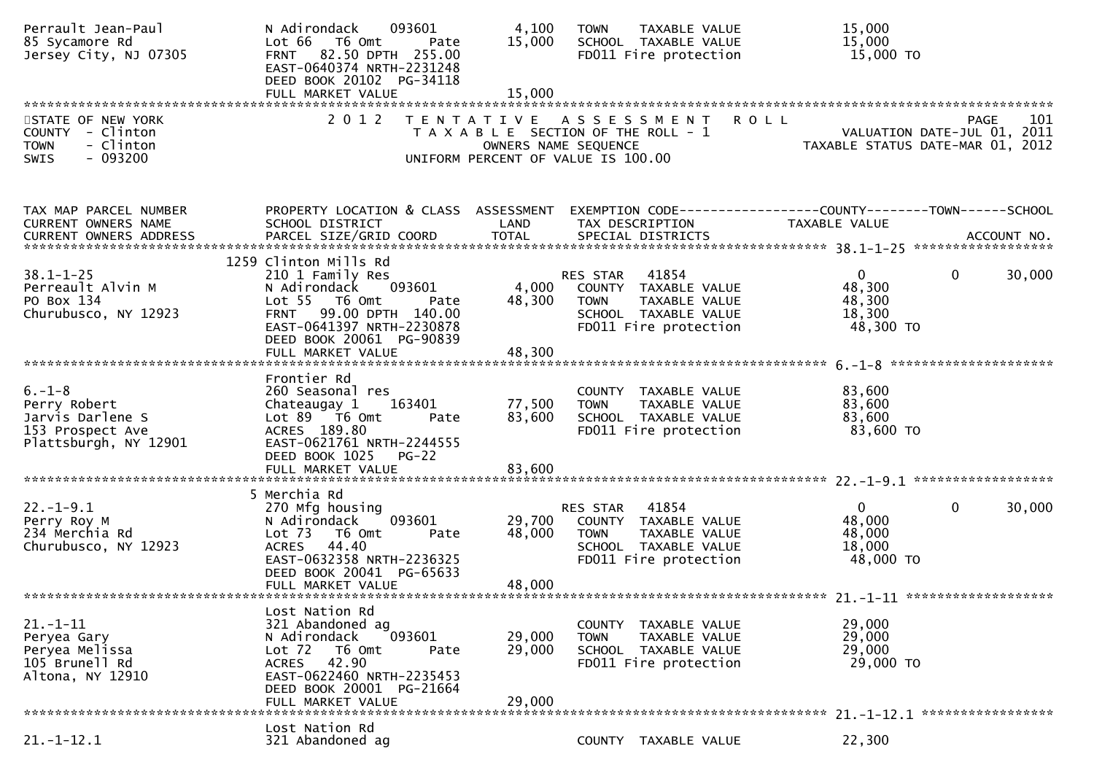| Perrault Jean-Paul<br>85 Sycamore Rd<br>Jersey City, NJ 07305                                 | 093601<br>N Adirondack<br>Lot 66<br>T6 Omt<br>Pate<br>FRNT 82.50 DPTH 255.00<br>EAST-0640374 NRTH-2231248<br>DEED BOOK 20102 PG-34118                                                                   | 4,100<br>15,000            | TAXABLE VALUE<br><b>TOWN</b><br>SCHOOL TAXABLE VALUE<br>FD011 Fire protection                                              | 15,000<br>15,000<br>15,000 TO                                                                        |
|-----------------------------------------------------------------------------------------------|---------------------------------------------------------------------------------------------------------------------------------------------------------------------------------------------------------|----------------------------|----------------------------------------------------------------------------------------------------------------------------|------------------------------------------------------------------------------------------------------|
|                                                                                               |                                                                                                                                                                                                         |                            |                                                                                                                            |                                                                                                      |
| STATE OF NEW YORK<br>COUNTY - Clinton<br>- Clinton<br><b>TOWN</b><br>$-093200$<br>SWIS        | 2 0 1 2                                                                                                                                                                                                 | OWNERS NAME SEQUENCE       | TENTATIVE ASSESSMENT<br>T A X A B L E SECTION OF THE ROLL - 1<br>UNIFORM PERCENT OF VALUE IS 100.00                        | <b>ROLL</b><br>101<br><b>PAGE</b><br>VALUATION DATE-JUL 01, 2011<br>TAXABLE STATUS DATE-MAR 01, 2012 |
| TAX MAP PARCEL NUMBER<br>CURRENT OWNERS NAME<br><b>CURRENT OWNERS ADDRESS</b>                 | PROPERTY LOCATION & CLASS ASSESSMENT<br>SCHOOL DISTRICT                                                                                                                                                 | LAND                       | TAX DESCRIPTION                                                                                                            | EXEMPTION CODE------------------COUNTY--------TOWN------SCHOOL<br>TAXABLE VALUE                      |
| $38.1 - 1 - 25$<br>Perreault Alvin M<br>PO Box 134<br>Churubusco, NY 12923                    | 1259 Clinton Mills Rd<br>210 1 Family Res<br>093601<br>N Adirondack<br>Lot 55  T6 Omt<br>Pate<br>99.00 DPTH 140.00<br><b>FRNT</b><br>EAST-0641397 NRTH-2230878<br>DEED BOOK 20061 PG-90839              | 4,000<br>48,300            | RES STAR<br>41854<br>COUNTY TAXABLE VALUE<br>TAXABLE VALUE<br><b>TOWN</b><br>SCHOOL TAXABLE VALUE<br>FD011 Fire protection | 30,000<br>$\mathbf{0}$<br>$\mathbf{0}$<br>48,300<br>48,300<br>18,300<br>48,300 TO                    |
|                                                                                               | FULL MARKET VALUE                                                                                                                                                                                       | 48,300                     |                                                                                                                            |                                                                                                      |
| $6. - 1 - 8$<br>Perry Robert<br>Jarvis Darlene S<br>153 Prospect Ave<br>Plattsburgh, NY 12901 | Frontier Rd<br>260 Seasonal res<br>163401<br>Chateaugay 1<br>Lot 89 T6 Omt<br>Pate<br>ACRES 189.80<br>EAST-0621761 NRTH-2244555<br>DEED BOOK 1025<br>$PG-22$                                            | 77,500<br>83,600           | COUNTY TAXABLE VALUE<br><b>TOWN</b><br>TAXABLE VALUE<br>SCHOOL TAXABLE VALUE<br>FD011 Fire protection                      | 83,600<br>83,600<br>83,600<br>83,600 TO                                                              |
|                                                                                               |                                                                                                                                                                                                         |                            |                                                                                                                            |                                                                                                      |
| $22. - 1 - 9.1$<br>Perry Roy M<br>234 Merchia Rd<br>Churubusco, NY 12923                      | 5 Merchia Rd<br>270 Mfg housing<br>093601<br>N Adirondack<br>Lot <sub>73</sub><br>T6 Omt<br>Pate<br>44.40<br><b>ACRES</b><br>EAST-0632358 NRTH-2236325<br>DEED BOOK 20041 PG-65633<br>FULL MARKET VALUE | 29,700<br>48,000<br>48,000 | 41854<br>RES STAR<br>COUNTY TAXABLE VALUE<br>TAXABLE VALUE<br><b>TOWN</b><br>SCHOOL TAXABLE VALUE<br>FD011 Fire protection | $\mathbf{0}$<br>30,000<br>$\Omega$<br>48,000<br>48,000<br>18,000<br>48,000 TO                        |
|                                                                                               |                                                                                                                                                                                                         |                            |                                                                                                                            |                                                                                                      |
| $21 - 1 - 11$<br>Peryea Gary<br>Peryea Melissa<br>105 Brunell Rd<br>Altona, NY 12910          | Lost Nation Rd<br>321 Abandoned ag<br>N Adirondack<br>093601<br>Lot 72<br>T6 Omt<br>Pate<br>42.90<br><b>ACRES</b><br>EAST-0622460 NRTH-2235453<br>DEED BOOK 20001 PG-21664<br>FULL MARKET VALUE         | 29,000<br>29,000<br>29,000 | COUNTY TAXABLE VALUE<br><b>TOWN</b><br>TAXABLE VALUE<br>SCHOOL TAXABLE VALUE<br>FD011 Fire protection                      | 29,000<br>29,000<br>29,000<br>29,000 TO                                                              |
|                                                                                               | Lost Nation Rd                                                                                                                                                                                          |                            |                                                                                                                            |                                                                                                      |
| $21. - 1 - 12.1$                                                                              | 321 Abandoned ag                                                                                                                                                                                        |                            | COUNTY TAXABLE VALUE                                                                                                       | 22,300                                                                                               |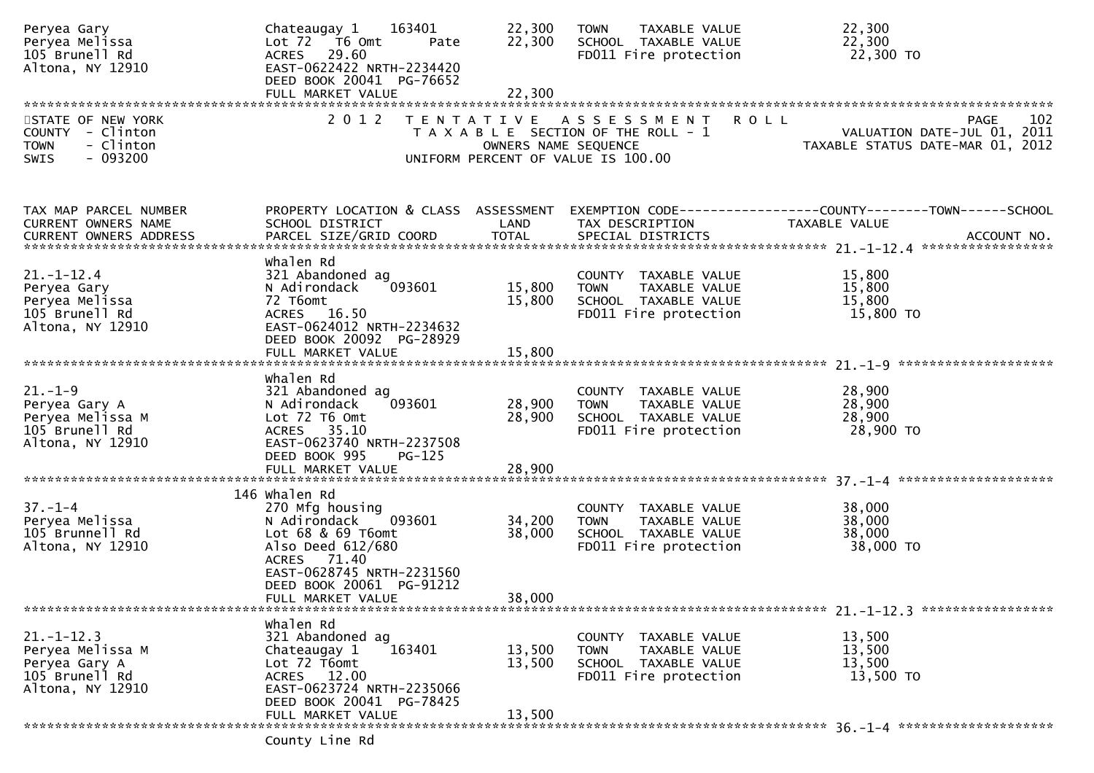| Peryea Gary<br>Peryea Melissa<br>105 Brunell Rd<br>Altona, NY 12910                         | 163401<br>Chateaugay 1<br>Lot 72 T6 Omt<br>Pate<br>ACRES 29.60<br>EAST-0622422 NRTH-2234420<br>DEED BOOK 20041 PG-76652                                                                               | 22,300<br>22,300           | TAXABLE VALUE<br><b>TOWN</b><br>SCHOOL TAXABLE VALUE<br>FD011 Fire protection                         | 22,300<br>22,300<br>22,300 TO                                                                        |
|---------------------------------------------------------------------------------------------|-------------------------------------------------------------------------------------------------------------------------------------------------------------------------------------------------------|----------------------------|-------------------------------------------------------------------------------------------------------|------------------------------------------------------------------------------------------------------|
|                                                                                             |                                                                                                                                                                                                       |                            |                                                                                                       |                                                                                                      |
| STATE OF NEW YORK<br>COUNTY - Clinton<br>- Clinton<br><b>TOWN</b><br>$-093200$<br>SWIS      | 2 0 1 2                                                                                                                                                                                               | OWNERS NAME SEQUENCE       | TENTATIVE ASSESSMENT<br>T A X A B L E SECTION OF THE ROLL - 1<br>UNIFORM PERCENT OF VALUE IS 100.00   | 102<br><b>ROLL</b><br><b>PAGE</b><br>VALUATION DATE-JUL 01, 2011<br>TAXABLE STATUS DATE-MAR 01, 2012 |
| TAX MAP PARCEL NUMBER<br><b>CURRENT OWNERS NAME</b>                                         | PROPERTY LOCATION & CLASS ASSESSMENT<br>SCHOOL DISTRICT                                                                                                                                               | LAND                       | TAX DESCRIPTION                                                                                       | EXEMPTION CODE-----------------COUNTY-------TOWN------SCHOOL<br>TAXABLE VALUE                        |
| $21.-1-12.4$<br>Peryea Gary<br>Peryea Melissa<br>105 Brunell Rd<br>Altona, NY 12910         | whalen Rd<br>321 Abandoned ag<br>093601<br>N Adirondack<br>72 T6omt<br>ACRES 16.50<br>EAST-0624012 NRTH-2234632<br>DEED BOOK 20092 PG-28929<br>FULL MARKET VALUE                                      | 15,800<br>15,800<br>15,800 | COUNTY TAXABLE VALUE<br><b>TOWN</b><br>TAXABLE VALUE<br>SCHOOL TAXABLE VALUE<br>FD011 Fire protection | 15,800<br>15,800<br>15,800<br>15,800 TO                                                              |
| $21. - 1 - 9$<br>Peryea Gary A<br>Peryea Melissa M<br>105 Brunell Rd<br>Altona, NY 12910    | Whalen Rd<br>321 Abandoned ag<br>093601<br>N Adirondack<br>Lot 72 T6 Omt<br>ACRES 35.10<br>EAST-0623740 NRTH-2237508<br>DEED BOOK 995<br>$PG-125$<br>FULL MARKET VALUE                                | 28,900<br>28,900<br>28,900 | COUNTY TAXABLE VALUE<br>TAXABLE VALUE<br><b>TOWN</b><br>SCHOOL TAXABLE VALUE<br>FD011 Fire protection | 28,900<br>28,900<br>28,900<br>28,900 TO                                                              |
| $37. - 1 - 4$<br>Peryea Melissa<br>105 Brunnell Rd<br>Altona, NY 12910                      | 146 whalen Rd<br>270 Mfg housing<br>093601<br>N Adirondack<br>Lot $68$ & $69$ T6omt<br>Also Deed 612/680<br>ACRES 71.40<br>EAST-0628745 NRTH-2231560<br>DEED BOOK 20061 PG-91212<br>FULL MARKET VALUE | 34,200<br>38,000<br>38,000 | COUNTY TAXABLE VALUE<br><b>TOWN</b><br>TAXABLE VALUE<br>SCHOOL TAXABLE VALUE<br>FD011 Fire protection | 38,000<br>38,000<br>38,000<br>38,000 TO<br>21. -1-12.3 ******************                            |
| $21. - 1 - 12.3$<br>Peryea Melissa M<br>Peryea Gary A<br>105 Brunell Rd<br>Altona, NY 12910 | whalen Rd<br>321 Abandoned ag<br>163401<br>Chateaugay 1<br>Lot 72 T6omt<br>ACRES 12.00<br>EAST-0623724 NRTH-2235066<br>DEED BOOK 20041 PG-78425<br>FULL MARKET VALUE<br>County Line Rd                | 13,500<br>13,500<br>13,500 | COUNTY TAXABLE VALUE<br>TAXABLE VALUE<br><b>TOWN</b><br>SCHOOL TAXABLE VALUE<br>FD011 Fire protection | 13,500<br>13,500<br>13,500<br>13,500 TO                                                              |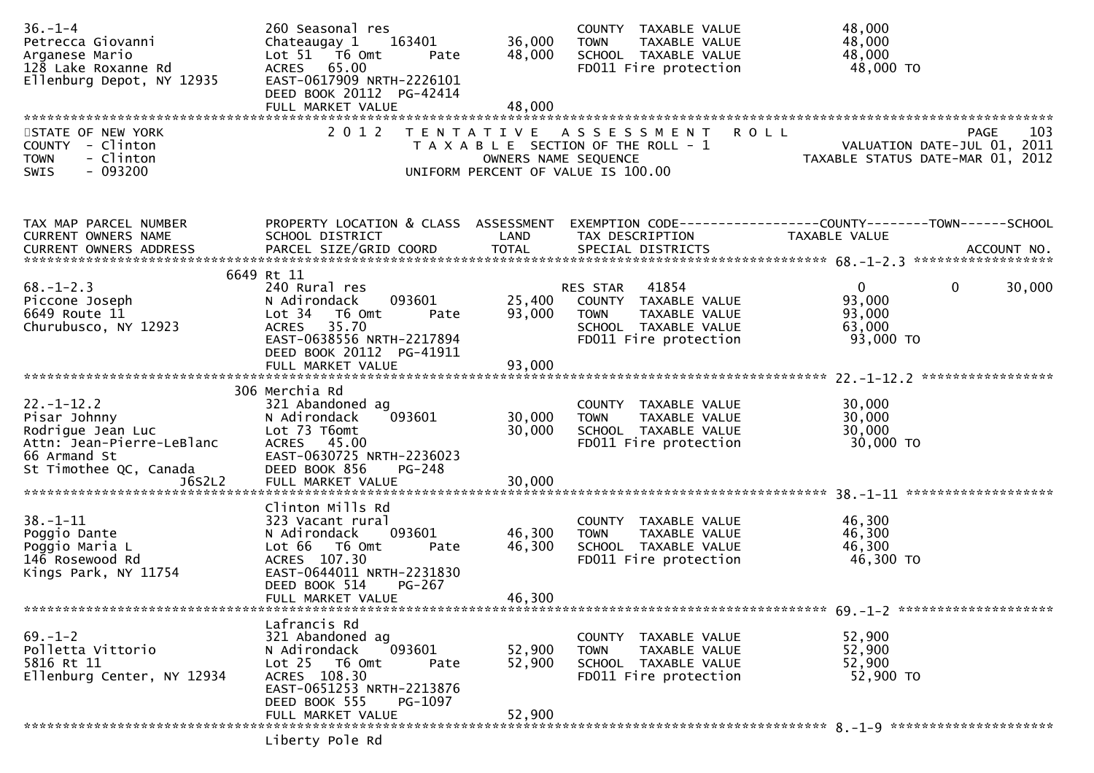| $36. - 1 - 4$<br>Petrecca Giovanni<br>Arganese Mario<br>128 Lake Roxanne Rd<br>Ellenburg Depot, NY 12935                     | 260 Seasonal res<br>Chateaugay 1<br>163401<br>Lot 51 T6 Omt<br>Pate<br>ACRES 65.00<br>EAST-0617909 NRTH-2226101<br>DEED BOOK 20112 PG-42414<br>FULL MARKET VALUE                      | 36,000<br>48,000<br>48,000 | COUNTY TAXABLE VALUE<br>TAXABLE VALUE<br><b>TOWN</b><br>SCHOOL TAXABLE VALUE<br>FD011 Fire protection                                      | 48,000<br>48,000<br>48,000<br>48,000 TO                                               |
|------------------------------------------------------------------------------------------------------------------------------|---------------------------------------------------------------------------------------------------------------------------------------------------------------------------------------|----------------------------|--------------------------------------------------------------------------------------------------------------------------------------------|---------------------------------------------------------------------------------------|
| STATE OF NEW YORK<br>COUNTY - Clinton<br><b>TOWN</b><br>- Clinton<br>$-093200$<br>SWIS                                       | 2 0 1 2                                                                                                                                                                               |                            | TENTATIVE ASSESSMENT<br><b>ROLL</b><br>T A X A B L E SECTION OF THE ROLL - 1<br>OWNERS NAME SEQUENCE<br>UNIFORM PERCENT OF VALUE IS 100.00 | 103<br><b>PAGE</b><br>VALUATION DATE-JUL 01, 2011<br>TAXABLE STATUS DATE-MAR 01, 2012 |
| TAX MAP PARCEL NUMBER<br>CURRENT OWNERS NAME                                                                                 | PROPERTY LOCATION & CLASS ASSESSMENT<br>SCHOOL DISTRICT                                                                                                                               | LAND                       | TAX DESCRIPTION                                                                                                                            | EXEMPTION CODE-----------------COUNTY--------TOWN------SCHOOL<br>TAXABLE VALUE        |
| $68. - 1 - 2.3$<br>Piccone Joseph<br>6649 Route 11<br>Churubusco, NY 12923                                                   | 6649 Rt 11<br>240 Rural res<br>093601<br>N Adirondack<br>Lot 34 76 0mt<br>Pate<br>35.70<br><b>ACRES</b><br>EAST-0638556 NRTH-2217894<br>DEED BOOK 20112 PG-41911                      | 25,400<br>93,000           | RES STAR<br>41854<br>COUNTY TAXABLE VALUE<br><b>TOWN</b><br>TAXABLE VALUE<br>SCHOOL TAXABLE VALUE<br>FD011 Fire protection                 | $\mathbf{0}$<br>30,000<br>0<br>93,000<br>93,000<br>63,000<br>93,000 TO                |
|                                                                                                                              |                                                                                                                                                                                       |                            |                                                                                                                                            |                                                                                       |
| $22. - 1 - 12.2$<br>Pisar Johnny<br>Rodrigue Jean Luc<br>Attn: Jean-Pierre-LeBlanc<br>66 Armand St<br>St Timothee QC, Canada | 306 Merchia Rd<br>321 Abandoned ag<br>N Adirondack<br>093601<br>Lot 73 T6omt<br>ACRES 45.00<br>EAST-0630725 NRTH-2236023<br>DEED BOOK 856<br>$PG-248$                                 | 30,000<br>30,000           | COUNTY TAXABLE VALUE<br>TAXABLE VALUE<br><b>TOWN</b><br>SCHOOL TAXABLE VALUE<br>FD011 Fire protection                                      | 30,000<br>30,000<br>30,000<br>30,000 TO                                               |
| $38. - 1 - 11$<br>Poggio Dante<br>Poggio Maria L<br>146 Rosewood Rd<br>Kings Park, NY 11754                                  | Clinton Mills Rd<br>323 Vacant rural<br>093601<br>N Adirondack<br>Lot 66  T6 0mt<br>Pate<br>ACRES 107.30<br>EAST-0644011 NRTH-2231830<br>DEED BOOK 514<br>PG-267<br>FULL MARKET VALUE | 46,300<br>46,300<br>46,300 | COUNTY TAXABLE VALUE<br><b>TOWN</b><br>TAXABLE VALUE<br>SCHOOL TAXABLE VALUE<br>FD011 Fire protection                                      | 46,300<br>46,300<br>46,300<br>46,300 TO                                               |
|                                                                                                                              | Lafrancis Rd                                                                                                                                                                          |                            |                                                                                                                                            |                                                                                       |
| $69. - 1 - 2$<br>Polletta Vittorio<br>5816 Rt 11<br>Ellenburg Center, NY 12934                                               | 321 Abandoned ag<br>093601<br>N Adirondack<br>Lot 25 T6 Omt<br>Pate<br>ACRES 108.30<br>EAST-0651253 NRTH-2213876<br>DEED BOOK 555<br>PG-1097                                          | 52,900<br>52,900           | COUNTY TAXABLE VALUE<br><b>TOWN</b><br>TAXABLE VALUE<br>SCHOOL TAXABLE VALUE<br>FD011 Fire protection                                      | 52,900<br>52,900<br>52,900<br>52,900 TO                                               |
|                                                                                                                              | FULL MARKET VALUE<br>Liberty Pole Rd                                                                                                                                                  | 52,900                     |                                                                                                                                            |                                                                                       |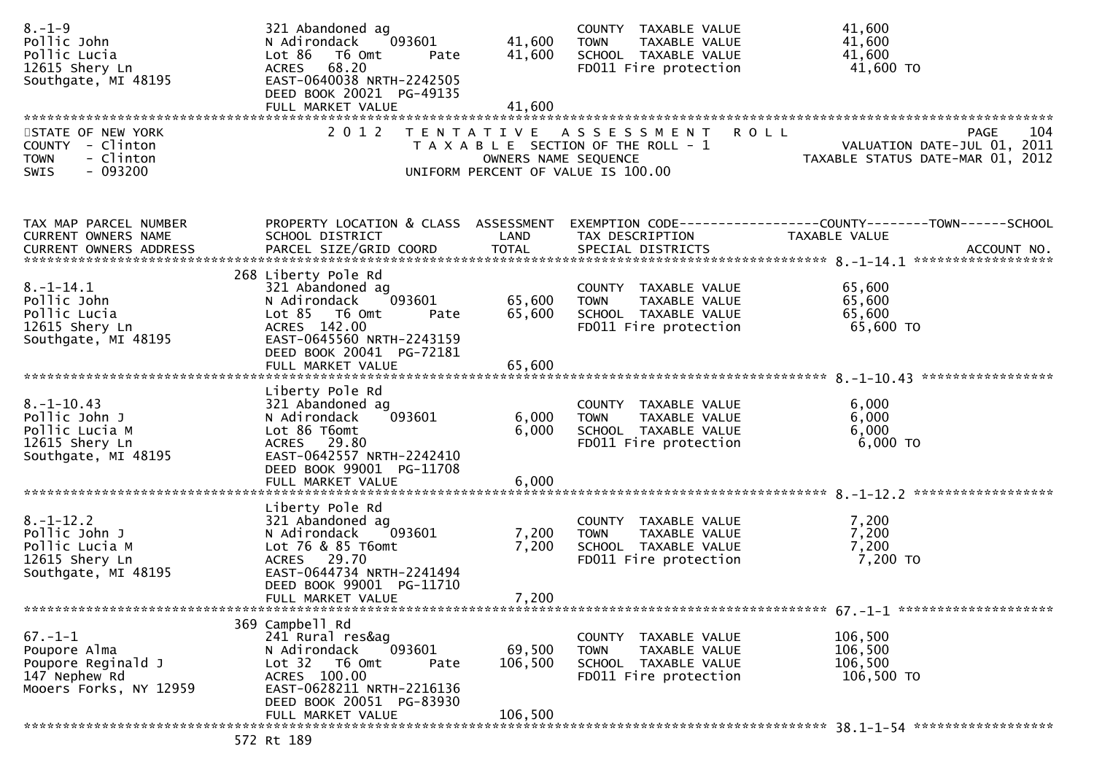| $8. - 1 - 9$<br>Pollic John<br>Pollic Lucia<br>12615 Shery Ln<br>Southgate, MI 48195           | 321 Abandoned ag<br>N Adirondack<br>093601<br>Lot 86<br>T6 Omt<br>Pate<br>ACRES 68.20<br>EAST-0640038 NRTH-2242505<br>DEED BOOK 20021 PG-49135<br>FULL MARKET VALUE                        | 41,600<br>41,600<br>41,600   | COUNTY TAXABLE VALUE<br>TAXABLE VALUE<br><b>TOWN</b><br>SCHOOL TAXABLE VALUE<br>FD011 Fire protection | 41,600<br>41,600<br>41,600<br>41,600 TO                                                   |
|------------------------------------------------------------------------------------------------|--------------------------------------------------------------------------------------------------------------------------------------------------------------------------------------------|------------------------------|-------------------------------------------------------------------------------------------------------|-------------------------------------------------------------------------------------------|
| STATE OF NEW YORK<br>COUNTY - Clinton<br>- Clinton<br><b>TOWN</b><br>$-093200$<br>SWIS         | 2 0 1 2                                                                                                                                                                                    | OWNERS NAME SEQUENCE         | TENTATIVE ASSESSMENT<br>T A X A B L E SECTION OF THE ROLL - 1<br>UNIFORM PERCENT OF VALUE IS 100.00   | 104<br>R O L L<br>PAGE<br>VALUATION DATE-JUL 01, 2011<br>TAXABLE STATUS DATE-MAR 01, 2012 |
| TAX MAP PARCEL NUMBER<br>CURRENT OWNERS NAME                                                   | PROPERTY LOCATION & CLASS ASSESSMENT<br>SCHOOL DISTRICT                                                                                                                                    | LAND                         | TAX DESCRIPTION                                                                                       | EXEMPTION CODE-----------------COUNTY--------TOWN------SCHOOL<br>TAXABLE VALUE            |
| $8. - 1 - 14.1$<br>Pollic John<br>Pollic Lucia<br>12615 Shery Ln<br>Southgate, MI 48195        | 268 Liberty Pole Rd<br>321 Abandoned ag<br>093601<br>N Adirondack<br>$Lot 85$ T6 Omt<br>Pate<br>ACRES 142.00<br>EAST-0645560 NRTH-2243159<br>DEED BOOK 20041 PG-72181<br>FULL MARKET VALUE | 65,600<br>65,600<br>65,600   | COUNTY TAXABLE VALUE<br><b>TOWN</b><br>TAXABLE VALUE<br>SCHOOL TAXABLE VALUE<br>FD011 Fire protection | 65,600<br>65,600<br>65,600<br>65,600 TO                                                   |
| $8. - 1 - 10.43$<br>Pollic John J<br>Pollic Lucia M<br>12615 Shery Ln<br>Southgate, MI 48195   | Liberty Pole Rd<br>321 Abandoned ag<br>N Adirondack<br>093601<br>Lot 86 T6omt<br>ACRES 29.80<br>EAST-0642557 NRTH-2242410<br>DEED BOOK 99001 PG-11708<br>FULL MARKET VALUE                 | 6,000<br>6,000<br>6,000      | COUNTY TAXABLE VALUE<br>TAXABLE VALUE<br><b>TOWN</b><br>SCHOOL TAXABLE VALUE<br>FD011 Fire protection | 6,000<br>6,000<br>6,000<br>6,000 TO                                                       |
| $8. - 1 - 12.2$<br>Pollic John J<br>Pollic Lucia M<br>12615 Shery Ln<br>Southgate, MI 48195    | Liberty Pole Rd<br>321 Abandoned ag<br>N Adirondack<br>093601<br>Lot 76 & 85 T6omt<br>ACRES 29.70<br>EAST-0644734 NRTH-2241494<br>DEED BOOK 99001 PG-11710<br>FULL MARKET VALUE            | 7,200<br>7,200<br>7,200      | COUNTY TAXABLE VALUE<br>TAXABLE VALUE<br><b>TOWN</b><br>SCHOOL TAXABLE VALUE<br>FD011 Fire protection | 7,200<br>7,200<br>7,200<br>7,200 TO                                                       |
| $67. - 1 - 1$<br>Poupore Alma<br>Poupore Reginald J<br>147 Nephew Rd<br>Mooers Forks, NY 12959 | 369 Campbell Rd<br>241 Rural res&ag<br>093601<br>N Adirondack<br>Lot 32<br>T6 Omt<br>Pate<br>ACRES 100.00<br>EAST-0628211 NRTH-2216136<br>DEED BOOK 20051 PG-83930<br>FULL MARKET VALUE    | 69,500<br>106,500<br>106,500 | COUNTY TAXABLE VALUE<br><b>TOWN</b><br>TAXABLE VALUE<br>SCHOOL TAXABLE VALUE<br>FD011 Fire protection | 106,500<br>106,500<br>106,500<br>106,500 TO                                               |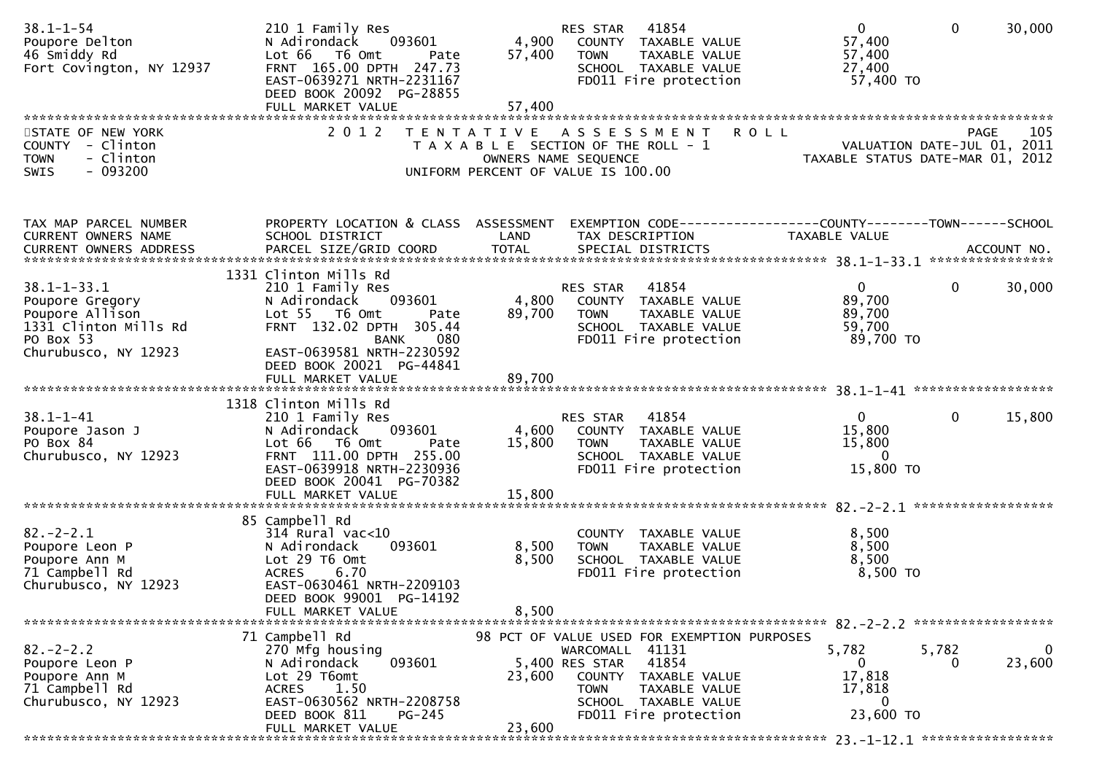| $38.1 - 1 - 54$<br>Poupore Delton<br>46 Smiddy Rd<br>Fort Covington, NY 12937                                         | 210 1 Family Res<br>093601<br>N Adirondack<br>Lot 66 T6 Omt<br>Pate<br>FRNT 165.00 DPTH 247.73<br>EAST-0639271 NRTH-2231167<br>DEED BOOK 20092 PG-28855<br>FULL MARKET VALUE                             | 4,900<br>57,400<br>57,400 | 41854<br>RES STAR<br>COUNTY TAXABLE VALUE<br>TAXABLE VALUE<br><b>TOWN</b><br>SCHOOL TAXABLE VALUE<br>FD011 Fire protection     | $\mathbf{0}$<br>57,400<br>57,400<br>27,400<br>57,400 TO                             | $\mathbf 0$<br>30,000  |
|-----------------------------------------------------------------------------------------------------------------------|----------------------------------------------------------------------------------------------------------------------------------------------------------------------------------------------------------|---------------------------|--------------------------------------------------------------------------------------------------------------------------------|-------------------------------------------------------------------------------------|------------------------|
| STATE OF NEW YORK<br>COUNTY - Clinton<br><b>TOWN</b><br>- Clinton<br>$-093200$<br>SWIS                                | 2 0 1 2                                                                                                                                                                                                  |                           | TENTATIVE ASSESSMENT<br>T A X A B L E SECTION OF THE ROLL - 1<br>OWNERS NAME SEQUENCE<br>UNIFORM PERCENT OF VALUE IS 100.00    | <b>ROLL</b><br>PAGE 105<br>VALUATION DATE-JUL 01, 2011<br>TAXARLE STATUS DATE ::: 1 | 105<br><b>PAGE</b>     |
| TAX MAP PARCEL NUMBER<br>CURRENT OWNERS NAME                                                                          | PROPERTY LOCATION & CLASS ASSESSMENT<br>SCHOOL DISTRICT                                                                                                                                                  | LAND                      | EXEMPTION CODE-----------------COUNTY--------TOWN------SCHOOL<br>TAX DESCRIPTION                                               | TAXABLE VALUE                                                                       |                        |
| $38.1 - 1 - 33.1$<br>Poupore Gregory<br>Poupore Allison<br>1331 Clinton Mills Rd<br>PO Box 53<br>Churubusco, NY 12923 | 1331 Clinton Mills Rd<br>210 1 Family Res<br>093601<br>N Adirondack<br>Lot 55 T6 Omt<br>Pate<br>FRNT 132.02 DPTH 305.44<br><b>BANK</b><br>080<br>EAST-0639581 NRTH-2230592<br>DEED BOOK 20021 PG-44841   | 4,800<br>89,700           | RES STAR<br>41854<br>COUNTY TAXABLE VALUE<br><b>TOWN</b><br>TAXABLE VALUE<br>SCHOOL TAXABLE VALUE<br>FD011 Fire protection     | $\mathbf{0}$<br>89,700<br>89,700<br>59,700<br>89,700 TO                             | $\mathbf{0}$<br>30,000 |
|                                                                                                                       | FULL MARKET VALUE                                                                                                                                                                                        | 89,700                    |                                                                                                                                |                                                                                     |                        |
| $38.1 - 1 - 41$<br>Poupore Jason J<br>PO Box 84<br>Churubusco, NY 12923                                               | 1318 Clinton Mills Rd<br>210 1 Family Res<br>N Adirondack<br>093601<br>Lot 66<br>T6 Omt<br>Pate<br>FRNT 111.00 DPTH 255.00<br>EAST-0639918 NRTH-2230936<br>DEED BOOK 20041 PG-70382<br>FULL MARKET VALUE | 4,600<br>15,800<br>15,800 | <b>RES STAR 41854</b><br>COUNTY TAXABLE VALUE<br><b>TOWN</b><br>TAXABLE VALUE<br>SCHOOL TAXABLE VALUE<br>FD011 Fire protection | $\mathbf{0}$<br>15,800<br>15,800<br>$\overline{0}$<br>15,800 TO                     | $\mathbf{0}$<br>15,800 |
|                                                                                                                       |                                                                                                                                                                                                          |                           |                                                                                                                                |                                                                                     |                        |
| $82 - 2 - 2.1$<br>Poupore Leon P<br>Poupore Ann M<br>71 Campbell Rd<br>Churubusco, NY 12923                           | 85 Campbell Rd<br>$314$ Rural vac< $10$<br>093601<br>N Adirondack<br>Lot 29 T6 Omt<br>ACRES 6.70<br>EAST-0630461 NRTH-2209103<br>DEED BOOK 99001 PG-14192                                                | 8,500<br>8,500            | COUNTY TAXABLE VALUE<br>TAXABLE VALUE<br><b>TOWN</b><br>SCHOOL TAXABLE VALUE<br>FD011 Fire protection                          | 8,500<br>8,500<br>8,500<br>8,500 TO                                                 |                        |
|                                                                                                                       | FULL MARKET VALUE                                                                                                                                                                                        | 8,500                     |                                                                                                                                |                                                                                     |                        |
|                                                                                                                       | 71 Campbell Rd                                                                                                                                                                                           |                           | 98 PCT OF VALUE USED FOR EXEMPTION PURPOSES                                                                                    |                                                                                     |                        |
| $82 - 2 - 2.2$<br>Poupore Leon P<br>Poupore Ann M<br>71 Campbell Rd<br>Churubusco, NY 12923                           | 270 Mfg housing<br>093601<br>N Adirondack<br>Lot 29 T6omt<br>1.50<br><b>ACRES</b><br>EAST-0630562 NRTH-2208758                                                                                           | 23,600                    | WARCOMALL 41131<br>41854<br>5,400 RES STAR<br>COUNTY<br>TAXABLE VALUE<br><b>TOWN</b><br>TAXABLE VALUE<br>SCHOOL TAXABLE VALUE  | 5,782<br>5,782<br>0<br>17,818<br>17,818<br>0                                        | 0<br>23,600            |
|                                                                                                                       | DEED BOOK 811<br>$PG-245$<br>FULL MARKET VALUE                                                                                                                                                           | 23,600                    | FD011 Fire protection                                                                                                          | 23,600 TO                                                                           |                        |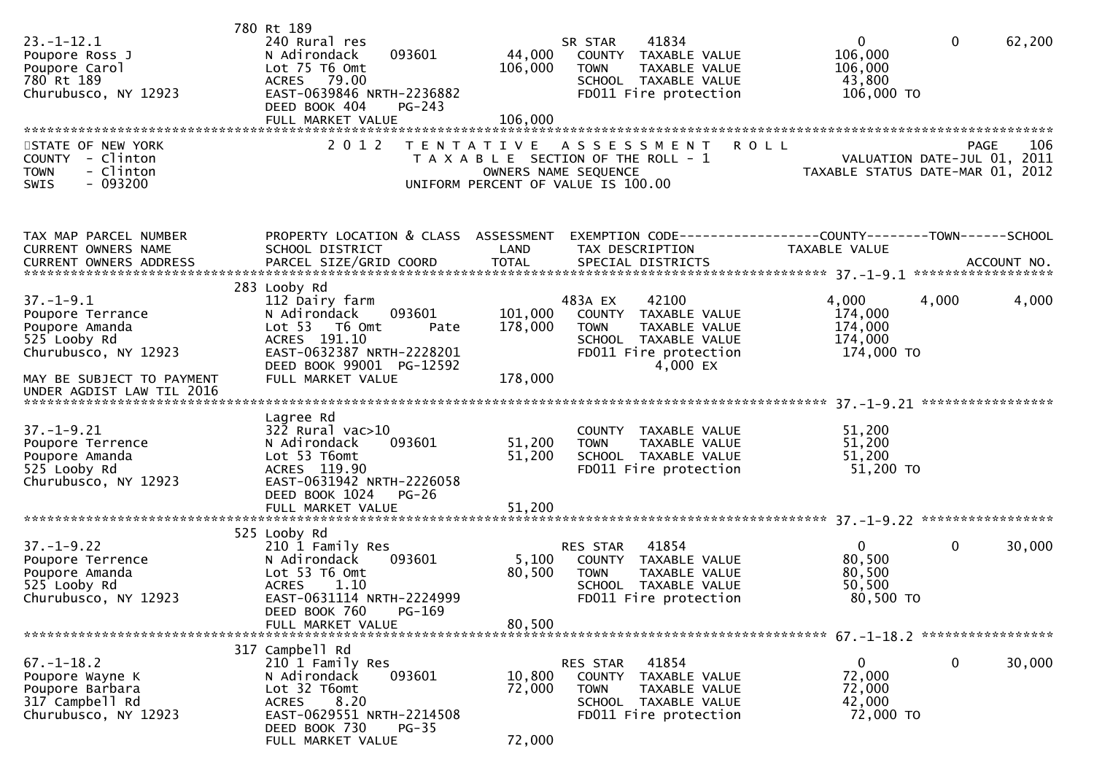| $23. - 1 - 12.1$<br>Poupore Ross J<br>Poupore Carol<br>780 Rt 189<br>Churubusco, NY 12923                                                               | 780 Rt 189<br>240 Rural res<br>N Adirondack<br>093601<br>Lot 75 T6 Omt<br>ACRES 79.00<br>EAST-0639846 NRTH-2236882<br>DEED BOOK 404<br>$PG-243$<br>FULL MARKET VALUE                | 44,000<br>106,000<br>106,000  | 41834<br>SR STAR<br>COUNTY TAXABLE VALUE<br>TAXABLE VALUE<br><b>TOWN</b><br>SCHOOL TAXABLE VALUE<br>FD011 Fire protection             | 0<br>106,000<br>106,000<br>43,800<br>106,000 TO         | $\mathbf 0$<br>62,200                                                          |
|---------------------------------------------------------------------------------------------------------------------------------------------------------|-------------------------------------------------------------------------------------------------------------------------------------------------------------------------------------|-------------------------------|---------------------------------------------------------------------------------------------------------------------------------------|---------------------------------------------------------|--------------------------------------------------------------------------------|
| STATE OF NEW YORK<br>COUNTY - Clinton<br>- Clinton<br><b>TOWN</b><br>$-093200$<br><b>SWIS</b>                                                           | 2 0 1 2<br>T E N T A T I V E                                                                                                                                                        |                               | A S S E S S M E N T<br>T A X A B L E SECTION OF THE ROLL - 1<br>OWNERS NAME SEQUENCE<br>UNIFORM PERCENT OF VALUE IS 100.00            | <b>ROLL</b>                                             | PAGE<br>106<br>VALUATION DATE-JUL 01, 2011<br>TAXABLE STATUS DATE-MAR 01, 2012 |
| TAX MAP PARCEL NUMBER<br>CURRENT OWNERS NAME<br><b>CURRENT OWNERS ADDRESS</b>                                                                           | PROPERTY LOCATION & CLASS ASSESSMENT<br>SCHOOL DISTRICT<br>PARCEL SIZE/GRID COORD                                                                                                   | LAND<br><b>TOTAL</b>          | EXEMPTION CODE-----------------COUNTY-------TOWN------SCHOOL<br>TAX DESCRIPTION<br>SPECIAL DISTRICTS                                  | TAXABLE VALUE                                           | ACCOUNT NO.                                                                    |
| $37. - 1 - 9.1$<br>Poupore Terrance<br>Poupore Amanda<br>525 Looby Rd<br>Churubusco, NY 12923<br>MAY BE SUBJECT TO PAYMENT<br>UNDER AGDIST LAW TIL 2016 | 283 Looby Rd<br>112 Dairy farm<br>093601<br>N Adirondack<br>Lot 53  T6 Omt<br>Pate<br>ACRES 191.10<br>EAST-0632387 NRTH-2228201<br>DEED BOOK 99001 PG-12592<br>FULL MARKET VALUE    | 101,000<br>178,000<br>178,000 | 42100<br>483A EX<br>COUNTY TAXABLE VALUE<br><b>TOWN</b><br>TAXABLE VALUE<br>SCHOOL TAXABLE VALUE<br>FD011 Fire protection<br>4,000 EX | 4,000<br>174,000<br>174,000<br>174,000<br>174,000 TO    | 4,000<br>4,000                                                                 |
| $37. - 1 - 9.21$<br>Poupore Terrence<br>Poupore Amanda<br>525 Looby Rd<br>Churubusco, NY 12923                                                          | Lagree Rd<br>322 Rural vac>10<br>N Adirondack<br>093601<br>Lot 53 T6omt<br>ACRES 119.90<br>EAST-0631942 NRTH-2226058<br>DEED BOOK 1024<br>$PG-26$<br>FULL MARKET VALUE              | 51,200<br>51,200<br>51,200    | COUNTY TAXABLE VALUE<br><b>TOWN</b><br>TAXABLE VALUE<br>SCHOOL TAXABLE VALUE<br>FD011 Fire protection                                 | 51,200<br>51,200<br>51,200<br>51,200 TO                 |                                                                                |
| $37. - 1 - 9.22$<br>Poupore Terrence<br>Poupore Amanda<br>525 Looby Rd<br>Churubusco, NY 12923                                                          | 525 Looby Rd<br>210 1 Family Res<br>N Adirondack<br>093601<br>Lot 53 T6 Omt<br><b>ACRES</b><br>1.10<br>EAST-0631114 NRTH-2224999<br>DEED BOOK 760<br>PG-169<br>FULL MARKET VALUE    | 5,100<br>80,500<br>80,500     | 41854<br>RES STAR<br>COUNTY TAXABLE VALUE<br>TAXABLE VALUE<br><b>TOWN</b><br>SCHOOL TAXABLE VALUE<br>FD011 Fire protection            | $\mathbf{0}$<br>80,500<br>80,500<br>50,500<br>80,500 TO | $\mathbf 0$<br>30,000                                                          |
| $67. - 1 - 18.2$<br>Poupore Wayne K<br>Poupore Barbara<br>317 Campbell Rd<br>Churubusco, NY 12923                                                       | 317 Campbell Rd<br>210 1 Family Res<br>N Adirondack<br>093601<br>Lot 32 T6omt<br>8.20<br><b>ACRES</b><br>EAST-0629551 NRTH-2214508<br>DEED BOOK 730<br>$PG-35$<br>FULL MARKET VALUE | 10,800<br>72,000<br>72,000    | 41854<br>RES STAR<br>COUNTY TAXABLE VALUE<br><b>TOWN</b><br>TAXABLE VALUE<br>SCHOOL TAXABLE VALUE<br>FD011 Fire protection            | $\mathbf{0}$<br>72,000<br>72,000<br>42,000<br>72,000 TO | $\mathbf{0}$<br>30,000                                                         |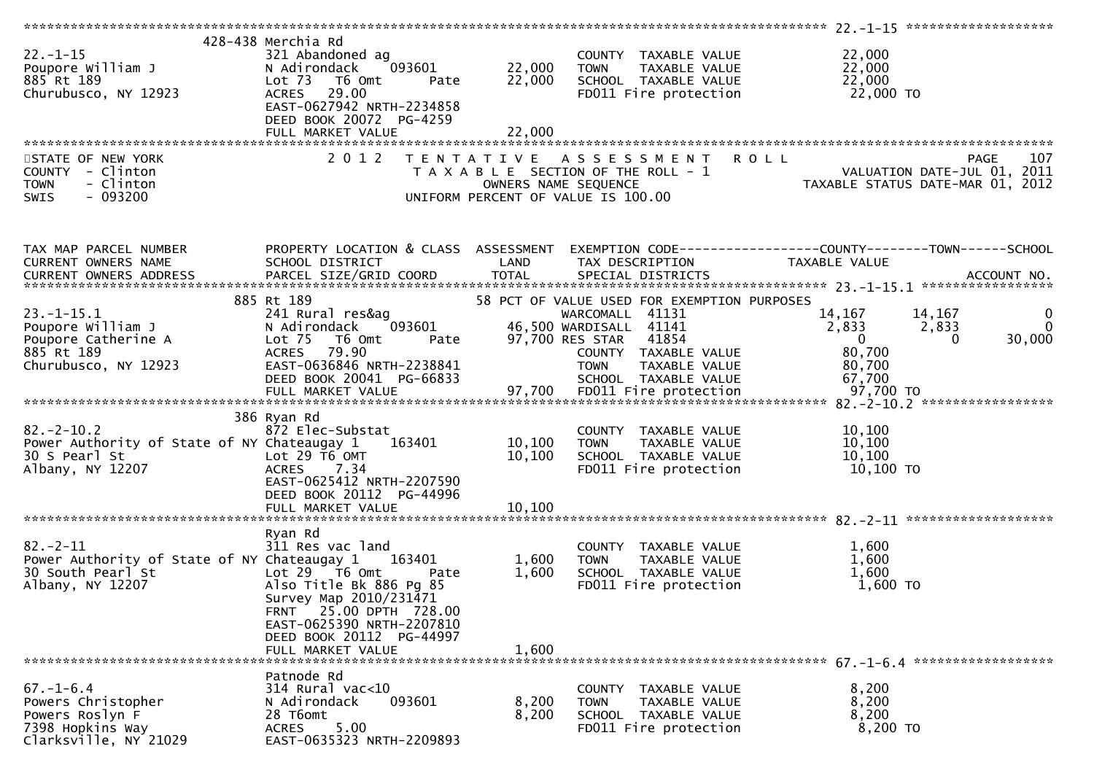| $22. - 1 - 15$<br>Poupore William J<br>885 Rt 189<br>Churubusco, NY 12923                                    | 428-438 Merchia Rd<br>321 Abandoned ag<br>093601<br>N Adirondack<br>Lot <sub>73</sub><br>T6 Omt<br>Pate<br>ACRES 29.00<br>EAST-0627942 NRTH-2234858<br>DEED BOOK 20072 PG-4259<br>FULL MARKET VALUE                              | 22,000<br>22,000<br>22,000 | COUNTY TAXABLE VALUE<br><b>TOWN</b><br>TAXABLE VALUE<br>SCHOOL TAXABLE VALUE<br>FD011 Fire protection                                                                                             | 22,000<br>22,000<br>22,000<br>22,000 TO                                                                                   |
|--------------------------------------------------------------------------------------------------------------|----------------------------------------------------------------------------------------------------------------------------------------------------------------------------------------------------------------------------------|----------------------------|---------------------------------------------------------------------------------------------------------------------------------------------------------------------------------------------------|---------------------------------------------------------------------------------------------------------------------------|
| STATE OF NEW YORK<br>COUNTY - Clinton<br>- Clinton<br><b>TOWN</b><br>- 093200<br>SWIS                        | 2 0 1 2                                                                                                                                                                                                                          |                            | TENTATIVE ASSESSMENT<br>T A X A B L E SECTION OF THE ROLL - 1<br>OWNERS NAME SEQUENCE<br>UNIFORM PERCENT OF VALUE IS 100.00                                                                       | <b>ROLL</b><br>107<br><b>PAGE</b><br><br>VALUATION DATE-JUL 01, 2011<br>TAXABLE STATUS DATE-MAR 01, 2012                  |
| TAX MAP PARCEL NUMBER<br>CURRENT OWNERS NAME<br>CURRENT OWNERS ADDRESS                                       | SCHOOL DISTRICT                                                                                                                                                                                                                  | LAND                       | TAX DESCRIPTION                                                                                                                                                                                   | PROPERTY LOCATION & CLASS ASSESSMENT EXEMPTION CODE----------------COUNTY-------TOWN------SCHOOL<br>TAXABLE VALUE         |
| $23. - 1 - 15.1$<br>Poupore William J<br>Poupore Catherine A<br>885 Rt 189<br>Churubusco, NY 12923           | 885 Rt 189<br>241 Rural res&ag<br>N Adirondack<br>093601<br>Lot 75 T6 Omt<br>Pate<br>ACRES 79.90<br>EAST-0636846 NRTH-2238841<br>DEED BOOK 20041 PG-66833                                                                        |                            | 58 PCT OF VALUE USED FOR EXEMPTION PURPOSES<br>WARCOMALL 41131<br>46,500 WARDISALL 41141<br>97,700 RES STAR 41854<br>COUNTY TAXABLE VALUE<br><b>TOWN</b><br>TAXABLE VALUE<br>SCHOOL TAXABLE VALUE | 14,167<br>14,167<br>0<br>$\Omega$<br>2,833<br>2,833<br>$\overline{0}$<br>30,000<br>$\Omega$<br>80,700<br>80,700<br>67,700 |
| $82 - 2 - 10.2$<br>Power Authority of State of NY Chateaugay 1 163401<br>30 S Pearl St<br>Albany, NY 12207   | 386 Ryan Rd<br>872 Elec-Substat<br>Lot $29$ T6 OMT<br><b>ACRES</b><br>7.34<br>EAST-0625412 NRTH-2207590<br>DEED BOOK 20112 PG-44996                                                                                              | 10,100<br>10, 100          | COUNTY TAXABLE VALUE<br><b>TOWN</b><br>TAXABLE VALUE<br>SCHOOL TAXABLE VALUE<br>FD011 Fire protection                                                                                             | 10,100<br>10,100<br>10,100<br>10,100 TO                                                                                   |
| $82 - 2 - 11$<br>Power Authority of State of NY Chateaugay 1 163401<br>30 South Pearl St<br>Albany, NY 12207 | Ryan Rd<br>311 Res vac land<br>Lot $29$ $\overline{76}$ Omt<br>Pate<br>Also Title Bk 886 Pg 85<br>Survey Map 2010/231471<br>FRNT 25.00 DPTH 728.00<br>EAST-0625390 NRTH-2207810<br>DEED BOOK 20112 PG-44997<br>FULL MARKET VALUE | 1,600<br>1,600<br>1,600    | COUNTY TAXABLE VALUE<br><b>TOWN</b><br>TAXABLE VALUE<br>SCHOOL TAXABLE VALUE<br>FD011 Fire protection                                                                                             | 1,600<br>1,600<br>1,600<br>$1,600$ TO                                                                                     |
| $67. - 1 - 6.4$<br>Powers Christopher<br>Powers Roslyn F<br>7398 Hopkins Way<br>Clarksville, NY 21029        | Patnode Rd<br>314 Rural vac<10<br>093601<br>N Adirondack<br>28 T6omt<br>5.00<br><b>ACRES</b><br>EAST-0635323 NRTH-2209893                                                                                                        | 8,200<br>8,200             | COUNTY TAXABLE VALUE<br><b>TOWN</b><br>TAXABLE VALUE<br>SCHOOL TAXABLE VALUE<br>FD011 Fire protection                                                                                             | 8,200<br>8,200<br>8,200<br>8,200 TO                                                                                       |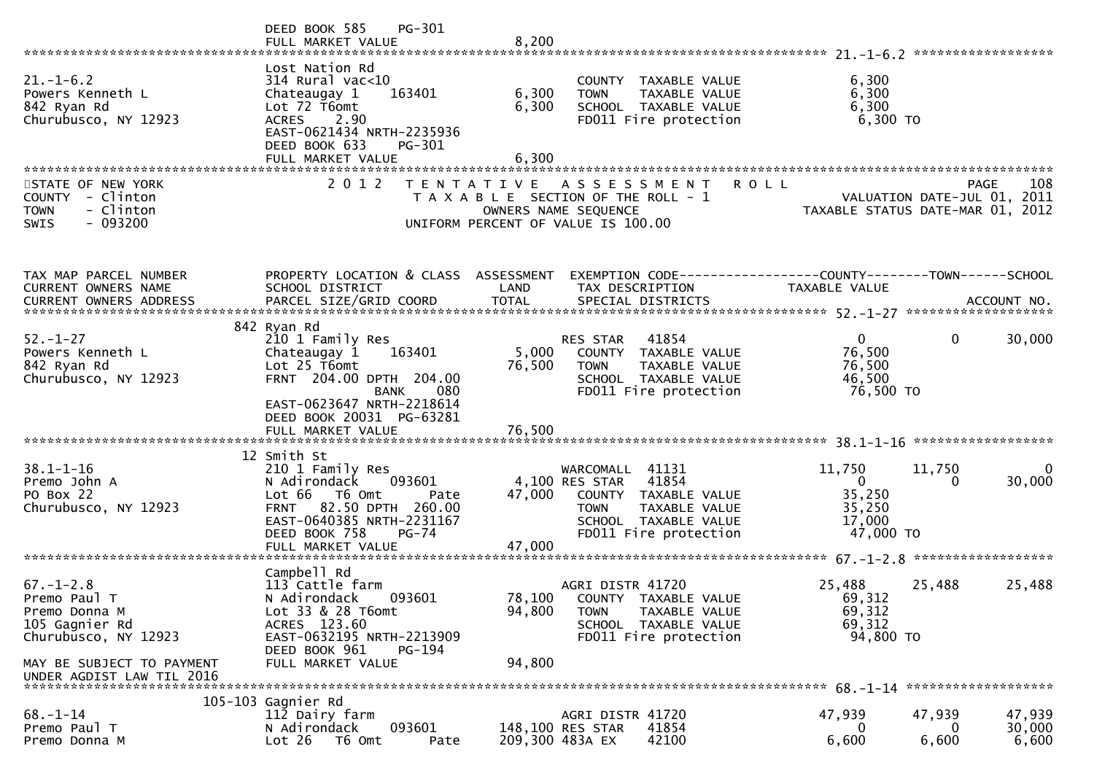|                                                                                                                         | PG-301<br>DEED BOOK 585<br>FULL MARKET VALUE                                                                                                                                                             | 8,200                      |                                                                                                                                                     | ******************                                                                      |                           |
|-------------------------------------------------------------------------------------------------------------------------|----------------------------------------------------------------------------------------------------------------------------------------------------------------------------------------------------------|----------------------------|-----------------------------------------------------------------------------------------------------------------------------------------------------|-----------------------------------------------------------------------------------------|---------------------------|
| $21. - 1 - 6.2$<br>Powers Kenneth L<br>842 Ryan Rd<br>Churubusco, NY 12923                                              | Lost Nation Rd<br>$314$ Rural vac<10<br>163401<br>Chateaugay 1<br>Lot 72 T6omt<br>ACRES 2.90<br>EAST-0621434 NRTH-2235936<br>DEED BOOK 633<br>PG-301<br>FULL MARKET VALUE                                | 6,300<br>6,300<br>6,300    | COUNTY TAXABLE VALUE<br>TAXABLE VALUE<br><b>TOWN</b><br>SCHOOL TAXABLE VALUE<br>FD011 Fire protection                                               | 6,300<br>6,300<br>6,300<br>6,300 TO                                                     |                           |
| STATE OF NEW YORK<br>COUNTY<br>- Clinton<br>- Clinton<br><b>TOWN</b><br>$-093200$<br><b>SWIS</b>                        | 2 0 1 2                                                                                                                                                                                                  |                            | TENTATIVE ASSESSMENT<br>T A X A B L E SECTION OF THE ROLL - 1<br>OWNERS NAME SEQUENCE<br>UNIFORM PERCENT OF VALUE IS 100.00                         | <b>ROLL</b><br>PAGE<br>VALUATION DATE-JUL 01, 2011<br>TAXABLE STATUS DATE-MAR 01,       | 108<br>2012               |
| TAX MAP PARCEL NUMBER<br>CURRENT OWNERS NAME                                                                            | PROPERTY LOCATION & CLASS ASSESSMENT<br>SCHOOL DISTRICT                                                                                                                                                  | LAND                       | TAX DESCRIPTION                                                                                                                                     | EXEMPTION        CODE------------------COUNTY--------TOWN------SCHOOL<br>TAXABLE VALUE  |                           |
| $52 - 1 - 27$<br>Powers Kenneth L<br>842 Ryan Rd<br>Churubusco, NY 12923                                                | 842 Ryan Rd<br>210 1 Family Res<br>Chateaugay 1<br>163401<br>Lot 25 T6omt<br>FRNT 204.00 DPTH 204.00<br><b>BANK</b><br>080<br>EAST-0623647 NRTH-2218614<br>DEED BOOK 20031 PG-63281<br>FULL MARKET VALUE | 5,000<br>76,500<br>76,500  | 41854<br>RES STAR<br>COUNTY TAXABLE VALUE<br><b>TOWN</b><br>TAXABLE VALUE<br>SCHOOL TAXABLE VALUE<br>FD011 Fire protection                          | $\mathbf{0}$<br>$\mathbf{0}$<br>76,500<br>76,500<br>46,500<br>76,500 TO                 | 30,000                    |
| $38.1 - 1 - 16$<br>Premo John A<br>PO Box 22<br>Churubusco, NY 12923                                                    | 12 Smith St<br>210 1 Family Res<br>N Adirondack<br>093601<br>Lot 66<br>T6 Omt<br>Pate<br>82.50 DPTH 260.00<br><b>FRNT</b><br>EAST-0640385 NRTH-2231167<br>DEED BOOK 758<br>$PG-74$<br>FULL MARKET VALUE  | 47,000<br>47,000           | WARCOMALL 41131<br>4,100 RES STAR<br>41854<br>COUNTY TAXABLE VALUE<br>TAXABLE VALUE<br><b>TOWN</b><br>SCHOOL TAXABLE VALUE<br>FD011 Fire protection | 11,750<br>11,750<br>$\mathbf{0}$<br>$\Omega$<br>35,250<br>35,250<br>17,000<br>47,000 TO | 0<br>30,000               |
| $67. - 1 - 2.8$<br>Premo Paul T<br>Premo Donna M<br>105 Gagnier Rd<br>Churubusco, NY 12923<br>MAY BE SUBJECT TO PAYMENT | Campbell Rd<br>113 Cattle farm<br>N Adirondack<br>093601<br>Lot 33 & 28 T6omt<br>ACRES 123.60<br>EAST-0632195 NRTH-2213909<br>DEED BOOK 961<br>PG-194<br>FULL MARKET VALUE                               | 78,100<br>94,800<br>94,800 | AGRI DISTR 41720<br>COUNTY TAXABLE VALUE<br><b>TOWN</b><br>TAXABLE VALUE<br>SCHOOL TAXABLE VALUE<br>FD011 Fire protection                           | 25,488<br>25,488<br>69,312<br>69,312<br>69,312<br>94,800 TO                             | 25,488                    |
| UNDER AGDIST LAW TIL 2016<br>$68. - 1 - 14$<br>Premo Paul T<br>Premo Donna M                                            | 105-103 Gagnier Rd<br>112 Dairy farm<br>093601<br>N Adirondack<br>Lot 26<br>T6 Omt<br>Pate                                                                                                               |                            | AGRI DISTR 41720<br>148,100 RES STAR<br>41854<br>42100<br>209,300 483A EX                                                                           | *******************<br>47,939<br>47,939<br>0<br>0<br>6,600<br>6,600                     | 47,939<br>30,000<br>6,600 |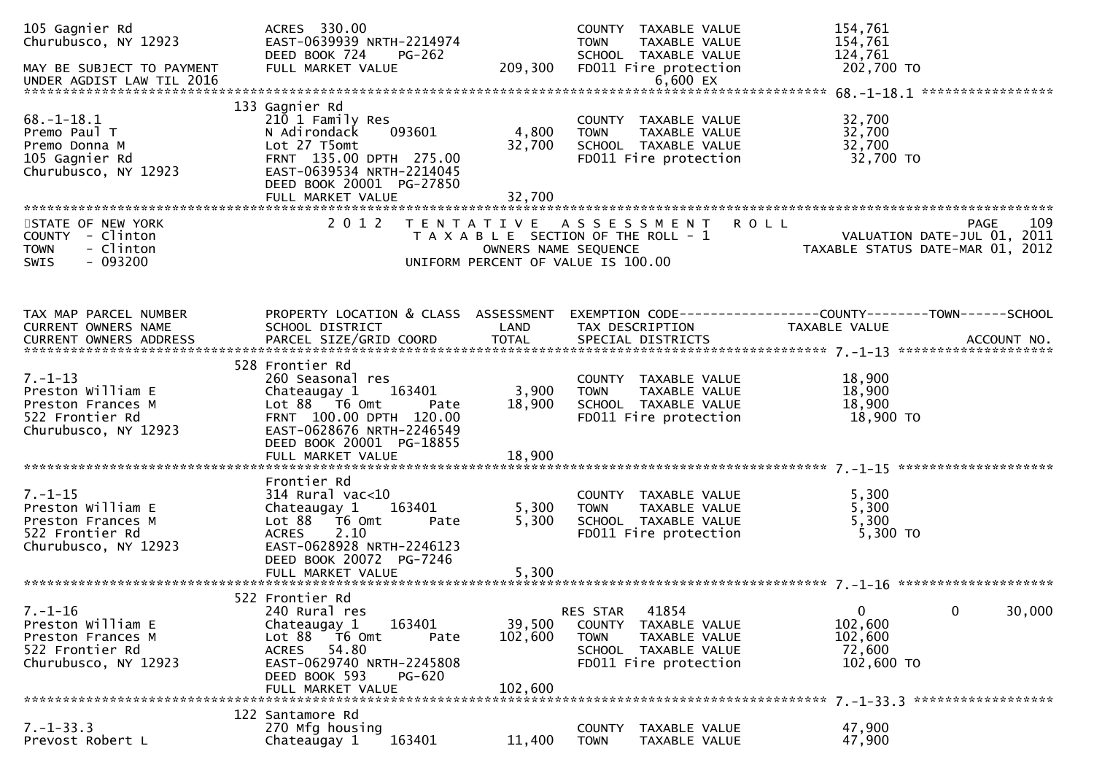| 105 Gagnier Rd<br>Churubusco, NY 12923<br>MAY BE SUBJECT TO PAYMENT<br>UNDER AGDIST LAW TIL 2016   | ACRES 330.00<br>EAST-0639939 NRTH-2214974<br>DEED BOOK 724<br>PG-262<br>FULL MARKET VALUE                                                                                                       | 209,300                      | COUNTY TAXABLE VALUE<br><b>TOWN</b><br>TAXABLE VALUE<br>SCHOOL TAXABLE VALUE<br>FD011 Fire protection<br>6,600 EX                           | 154,761<br>154,761<br>124,761<br>202,700 TO                                                          |
|----------------------------------------------------------------------------------------------------|-------------------------------------------------------------------------------------------------------------------------------------------------------------------------------------------------|------------------------------|---------------------------------------------------------------------------------------------------------------------------------------------|------------------------------------------------------------------------------------------------------|
|                                                                                                    |                                                                                                                                                                                                 |                              |                                                                                                                                             |                                                                                                      |
| $68. - 1 - 18.1$<br>Premo Paul T<br>Premo Donna M<br>105 Gagnier Rd<br>Churubusco, NY 12923        | 133 Gagnier Rd<br>210 1 Family Res<br>093601<br>N Adirondack<br>Lot 27 T5omt<br>FRNT 135.00 DPTH 275.00<br>EAST-0639534 NRTH-2214045<br>DEED BOOK 20001 PG-27850<br>FULL MARKET VALUE           | 4,800<br>32,700<br>32,700    | COUNTY TAXABLE VALUE<br><b>TOWN</b><br>TAXABLE VALUE<br>SCHOOL TAXABLE VALUE<br>FD011 Fire protection                                       | 32,700<br>32,700<br>32,700<br>32,700 TO                                                              |
|                                                                                                    |                                                                                                                                                                                                 |                              |                                                                                                                                             |                                                                                                      |
| STATE OF NEW YORK<br>COUNTY - Clinton<br>- Clinton<br><b>TOWN</b><br>$-093200$<br><b>SWIS</b>      | 2 0 1 2                                                                                                                                                                                         | OWNERS NAME SEQUENCE         | TENTATIVE ASSESSMENT<br>T A X A B L E SECTION OF THE ROLL - 1<br>UNIFORM PERCENT OF VALUE IS 100.00                                         | <b>ROLL</b><br>109<br><b>PAGE</b><br>VALUATION DATE-JUL 01, 2011<br>TAXABLE STATUS DATE-MAR 01, 2012 |
| TAX MAP PARCEL NUMBER<br>CURRENT OWNERS NAME                                                       | PROPERTY LOCATION & CLASS ASSESSMENT<br>SCHOOL DISTRICT                                                                                                                                         | LAND                         | TAX DESCRIPTION                                                                                                                             | EXEMPTION CODE-----------------COUNTY--------TOWN------SCHOOL<br>TAXABLE VALUE                       |
| $7. - 1 - 13$<br>Preston William E<br>Preston Frances M<br>522 Frontier Rd<br>Churubusco, NY 12923 | 528 Frontier Rd<br>260 Seasonal res<br>163401<br>Chateaugay 1<br>Lot 88 T6 Omt<br>Pate<br>FRNT 100.00 DPTH 120.00<br>EAST-0628676 NRTH-2246549<br>DEED BOOK 20001 PG-18855<br>FULL MARKET VALUE | 3,900<br>18,900<br>18,900    | COUNTY TAXABLE VALUE<br>TAXABLE VALUE<br><b>TOWN</b><br>SCHOOL TAXABLE VALUE<br>FD011 Fire protection                                       | 18,900<br>18,900<br>18,900<br>18,900 TO                                                              |
| $7. - 1 - 15$<br>Preston William E<br>Preston Frances M<br>522 Frontier Rd<br>Churubusco, NY 12923 | Frontier Rd<br>$314$ Rural vac<10<br>Chateaugay 1<br>163401<br>Lot 88<br>T6 Omt<br>Pate<br>2.10<br><b>ACRES</b><br>EAST-0628928 NRTH-2246123<br>DEED BOOK 20072 PG-7246                         | 5,300<br>5,300               | COUNTY TAXABLE VALUE<br>TAXABLE VALUE<br><b>TOWN</b><br>SCHOOL TAXABLE VALUE<br>FD011 Fire protection                                       | 5,300<br>5,300<br>5,300<br>5,300 TO                                                                  |
|                                                                                                    | 522 Frontier Rd                                                                                                                                                                                 |                              |                                                                                                                                             |                                                                                                      |
| $7. - 1 - 16$<br>Preston William E<br>Preston Frances M<br>522 Frontier Rd<br>Churubusco, NY 12923 | 240 Rural res<br>163401<br>Chateaugay 1<br>Lot 88<br>T6 Omt<br>Pate<br>54.80<br>ACRES<br>EAST-0629740 NRTH-2245808<br>DEED BOOK 593<br>PG-620<br>FULL MARKET VALUE                              | 39,500<br>102,600<br>102,600 | 41854<br><b>RES STAR</b><br><b>COUNTY</b><br>TAXABLE VALUE<br><b>TOWN</b><br>TAXABLE VALUE<br>SCHOOL TAXABLE VALUE<br>FD011 Fire protection | 30,000<br>$\mathbf{0}$<br>$\mathbf 0$<br>102,600<br>102,600<br>72,600<br>102,600 TO                  |
|                                                                                                    |                                                                                                                                                                                                 |                              |                                                                                                                                             |                                                                                                      |
| $7. - 1 - 33.3$<br>Prevost Robert L                                                                | 122 Santamore Rd<br>270 Mfg housing<br>163401<br>Chateaugay 1                                                                                                                                   | 11,400                       | <b>COUNTY</b><br>TAXABLE VALUE<br><b>TOWN</b><br>TAXABLE VALUE                                                                              | 47,900<br>47,900                                                                                     |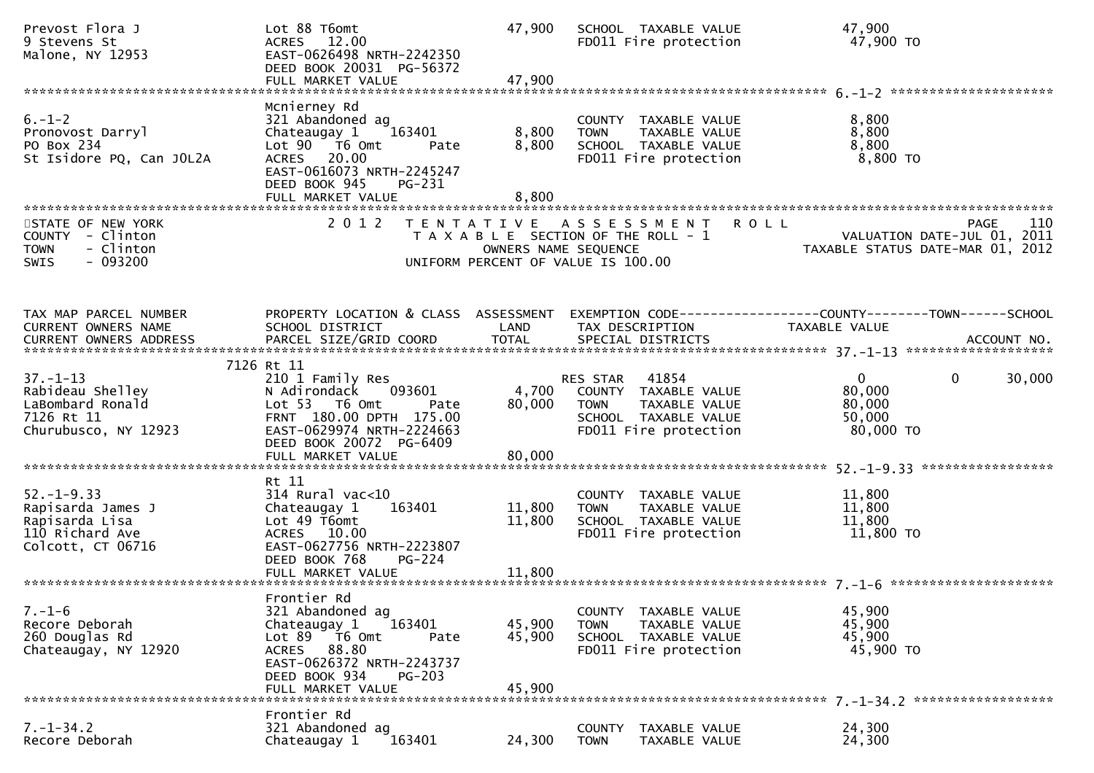| Prevost Flora J<br>9 Stevens St<br>Malone, NY 12953                                             | Lot 88 T6omt<br>ACRES 12.00<br>EAST-0626498 NRTH-2242350<br>DEED BOOK 20031 PG-56372<br>FULL MARKET VALUE                                                                        | 47,900<br>47,900           | SCHOOL TAXABLE VALUE<br>FD011 Fire protection                                                                                                   | 47,900<br>47,900 TO                                                                   |
|-------------------------------------------------------------------------------------------------|----------------------------------------------------------------------------------------------------------------------------------------------------------------------------------|----------------------------|-------------------------------------------------------------------------------------------------------------------------------------------------|---------------------------------------------------------------------------------------|
|                                                                                                 | Mcnierney Rd                                                                                                                                                                     |                            |                                                                                                                                                 |                                                                                       |
| $6. - 1 - 2$<br>Pronovost Darryl<br>PO Box 234<br>St Isidore PQ, Can JOL2A                      | 321 Abandoned ag<br>Chateaugay 1<br>163401<br>Lot 90 T6 Omt<br>Pate<br>ACRES 20.00<br>EAST-0616073 NRTH-2245247<br>DEED BOOK 945<br>PG-231                                       | 8,800<br>8,800             | COUNTY TAXABLE VALUE<br><b>TOWN</b><br>TAXABLE VALUE<br>SCHOOL TAXABLE VALUE<br>FD011 Fire protection                                           | 8,800<br>8,800<br>8,800<br>8,800 TO                                                   |
|                                                                                                 | FULL MARKET VALUE                                                                                                                                                                | 8,800                      |                                                                                                                                                 |                                                                                       |
| STATE OF NEW YORK<br>COUNTY - Clinton<br><b>TOWN</b><br>- Clinton<br>$-093200$<br><b>SWIS</b>   |                                                                                                                                                                                  |                            | 2012 TENTATIVE ASSESSMENT<br><b>ROLL</b><br>T A X A B L E SECTION OF THE ROLL - 1<br>OWNERS NAME SEQUENCE<br>UNIFORM PERCENT OF VALUE IS 100.00 | 110<br><b>PAGE</b><br>VALUATION DATE-JUL 01, 2011<br>TAXABLE STATUS DATE-MAR 01, 2012 |
| TAX MAP PARCEL NUMBER<br>CURRENT OWNERS NAME                                                    | PROPERTY LOCATION & CLASS ASSESSMENT<br>SCHOOL DISTRICT                                                                                                                          | LAND                       | TAX DESCRIPTION                                                                                                                                 | EXEMPTION CODE-----------------COUNTY--------TOWN------SCHOOL<br>TAXABLE VALUE        |
|                                                                                                 | 7126 Rt 11                                                                                                                                                                       |                            |                                                                                                                                                 |                                                                                       |
| $37. - 1 - 13$<br>Rabideau Shelley<br>LaBombard Ronald<br>7126 Rt 11<br>Churubusco, NY 12923    | 210 1 Family Res<br>N Adirondack<br>093601<br>Lot 53 T6 Omt<br>Pate<br>FRNT 180.00 DPTH 175.00<br>EAST-0629974 NRTH-2224663<br>DEED BOOK 20072 PG-6409<br>FULL MARKET VALUE      | 4,700<br>80,000<br>80,000  | RES STAR 41854<br>COUNTY TAXABLE VALUE<br>TAXABLE VALUE<br><b>TOWN</b><br>SCHOOL TAXABLE VALUE<br>FD011 Fire protection                         | $\mathbf 0$<br>$\mathbf{0}$<br>30,000<br>80,000<br>80,000<br>50,000<br>80,000 TO      |
|                                                                                                 |                                                                                                                                                                                  |                            |                                                                                                                                                 |                                                                                       |
| $52. - 1 - 9.33$<br>Rapisarda James J<br>Rapisarda Lisa<br>110 Richard Ave<br>Colcott, CT 06716 | Rt 11<br>$314$ Rural vac<10<br>Chateaugay 1<br>163401<br>Lot 49 T6omt<br>ACRES 10.00<br>EAST-0627756 NRTH-2223807<br>DEED BOOK 768<br>PG-224                                     | 11,800<br>11,800           | COUNTY TAXABLE VALUE<br>TAXABLE VALUE<br><b>TOWN</b><br>SCHOOL TAXABLE VALUE<br>FD011 Fire protection                                           | 11,800<br>11,800<br>11,800<br>11,800 TO                                               |
|                                                                                                 |                                                                                                                                                                                  |                            |                                                                                                                                                 |                                                                                       |
| $7. - 1 - 6$<br>Recore Deborah<br>260 Douglas Rd<br>Chateaugay, NY 12920                        | Frontier Rd<br>321 Abandoned ag<br>163401<br>Chateaugay 1<br>Lot 89 T6 Omt<br>Pate<br>ACRES 88.80<br>EAST-0626372 NRTH-2243737<br>DEED BOOK 934<br>$PG-203$<br>FULL MARKET VALUE | 45,900<br>45,900<br>45,900 | COUNTY TAXABLE VALUE<br>TAXABLE VALUE<br>TOWN<br>SCHOOL TAXABLE VALUE<br>FD011 Fire protection                                                  | 45,900<br>45,900<br>45,900<br>45,900 TO                                               |
|                                                                                                 |                                                                                                                                                                                  |                            |                                                                                                                                                 |                                                                                       |
| $7. - 1 - 34.2$<br>Recore Deborah                                                               | Frontier Rd<br>321 Abandoned ag<br>163401<br>Chateaugay 1                                                                                                                        | 24,300                     | <b>COUNTY</b><br>TAXABLE VALUE<br><b>TOWN</b><br>TAXABLE VALUE                                                                                  | 24,300<br>24,300                                                                      |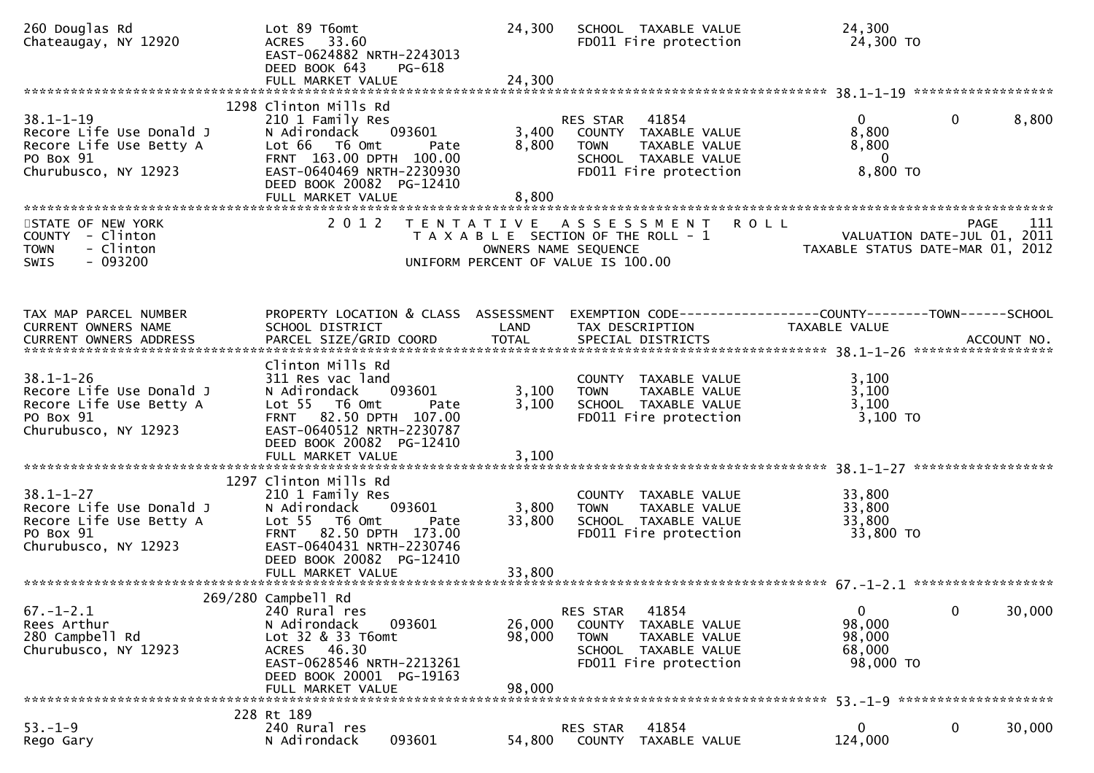| 260 Douglas Rd<br>Chateaugay, NY 12920                                                                      | Lot 89 T6omt<br>ACRES 33.60<br>EAST-0624882 NRTH-2243013<br>DEED BOOK 643<br>PG-618<br>FULL MARKET VALUE                                                                                         | 24,300<br>24,300           | SCHOOL TAXABLE VALUE<br>FD011 Fire protection                                                                                    | 24,300<br>24,300 TO                                             |                       |
|-------------------------------------------------------------------------------------------------------------|--------------------------------------------------------------------------------------------------------------------------------------------------------------------------------------------------|----------------------------|----------------------------------------------------------------------------------------------------------------------------------|-----------------------------------------------------------------|-----------------------|
|                                                                                                             | 1298 Clinton Mills Rd                                                                                                                                                                            |                            |                                                                                                                                  |                                                                 |                       |
| $38.1 - 1 - 19$<br>Recore Life Use Donald J<br>Recore Life Use Betty A<br>PO Box 91<br>Churubusco, NY 12923 | 210 1 Family Res<br>093601<br>N Adirondack<br>Lot 66 T6 Omt<br>Pate<br>FRNT 163.00 DPTH 100.00<br>EAST-0640469 NRTH-2230930<br>DEED BOOK 20082 PG-12410<br>FULL MARKET VALUE                     | 3,400<br>8,800<br>8,800    | RES STAR 41854<br>COUNTY TAXABLE VALUE<br><b>TOWN</b><br>TAXABLE VALUE<br>SCHOOL TAXABLE VALUE<br>FD011 Fire protection          | $\Omega$<br>8,800<br>8,800<br>$\mathbf{0}$<br>8,800 TO          | $\mathbf{0}$<br>8,800 |
|                                                                                                             |                                                                                                                                                                                                  |                            |                                                                                                                                  |                                                                 |                       |
| STATE OF NEW YORK<br>COUNTY - Clinton<br><b>TOWN</b><br>- Clinton<br>$-093200$<br>SWIS                      | 2 0 1 2                                                                                                                                                                                          |                            | TENTATIVE ASSESSMENT ROLL<br>T A X A B L E SECTION OF THE ROLL - 1<br>OWNERS NAME SEQUENCE<br>UNIFORM PERCENT OF VALUE IS 100.00 | VALUATION DATE-JUL 01, 2011<br>TAXABLE STATUS DATE-MAR 01, 2012 | 111<br>PAGE           |
|                                                                                                             |                                                                                                                                                                                                  |                            |                                                                                                                                  |                                                                 |                       |
| TAX MAP PARCEL NUMBER<br>CURRENT OWNERS NAME                                                                | PROPERTY LOCATION & CLASS ASSESSMENT<br>SCHOOL DISTRICT                                                                                                                                          | LAND                       | EXEMPTION CODE------------------COUNTY--------TOWN------SCHOOL<br>TAX DESCRIPTION                                                | TAXABLE VALUE                                                   |                       |
|                                                                                                             |                                                                                                                                                                                                  |                            |                                                                                                                                  |                                                                 |                       |
| $38.1 - 1 - 26$<br>Recore Life Use Donald J<br>Recore Life Use Betty A<br>PO Box 91<br>Churubusco, NY 12923 | Clinton Mills Rd<br>311 Res vac land<br>093601<br>N Adirondack<br>Lot 55  T6 Omt<br>Pate<br>FRNT 82.50 DPTH 107.00<br>EAST-0640512 NRTH-2230787<br>DEED BOOK 20082 PG-12410<br>FULL MARKET VALUE | 3,100<br>3,100<br>3,100    | COUNTY TAXABLE VALUE<br>TAXABLE VALUE<br><b>TOWN</b><br>SCHOOL TAXABLE VALUE<br>FD011 Fire protection                            | 3,100<br>3,100<br>3,100<br>3,100 TO                             |                       |
|                                                                                                             | 1297 Clinton Mills Rd                                                                                                                                                                            |                            |                                                                                                                                  |                                                                 |                       |
| $38.1 - 1 - 27$<br>Recore Life Use Donald J<br>Recore Life Use Betty A<br>PO Box 91<br>Churubusco, NY 12923 | 210 1 Family Res<br>N Adirondack<br>093601<br>Lot 55 T6 Omt<br>Pate<br>FRNT 82.50 DPTH 173.00<br>EAST-0640431 NRTH-2230746<br>DEED BOOK 20082 PG-12410                                           | 3,800<br>33,800            | COUNTY TAXABLE VALUE<br><b>TOWN</b><br>TAXABLE VALUE<br>SCHOOL TAXABLE VALUE<br>FD011 Fire protection                            | 33,800<br>33,800<br>33,800<br>33,800 TO                         |                       |
|                                                                                                             |                                                                                                                                                                                                  |                            |                                                                                                                                  |                                                                 |                       |
| $67. - 1 - 2.1$<br>Rees Arthur<br>280 Campbell Rd<br>Churubusco, NY 12923                                   | 269/280 Campbell Rd<br>240 Rural res<br>N Adirondack<br>093601<br>Lot 32 & 33 T6omt<br>ACRES 46.30<br>EAST-0628546 NRTH-2213261<br>DEED BOOK 20001 PG-19163<br>FULL MARKET VALUE                 | 26,000<br>98,000<br>98,000 | 41854<br>RES STAR<br>COUNTY TAXABLE VALUE<br><b>TOWN</b><br>TAXABLE VALUE<br>SCHOOL TAXABLE VALUE<br>FD011 Fire protection       | $\mathbf{0}$<br>98,000<br>98,000<br>68,000<br>98,000 TO         | 0<br>30,000           |
|                                                                                                             |                                                                                                                                                                                                  |                            |                                                                                                                                  |                                                                 |                       |
| $53. - 1 - 9$<br>Rego Gary                                                                                  | 228 Rt 189<br>240 Rural res<br>093601<br>N Adirondack                                                                                                                                            | 54,800                     | 41854<br><b>RES STAR</b><br>COUNTY<br>TAXABLE VALUE                                                                              | 0<br>124,000                                                    | 0<br>30,000           |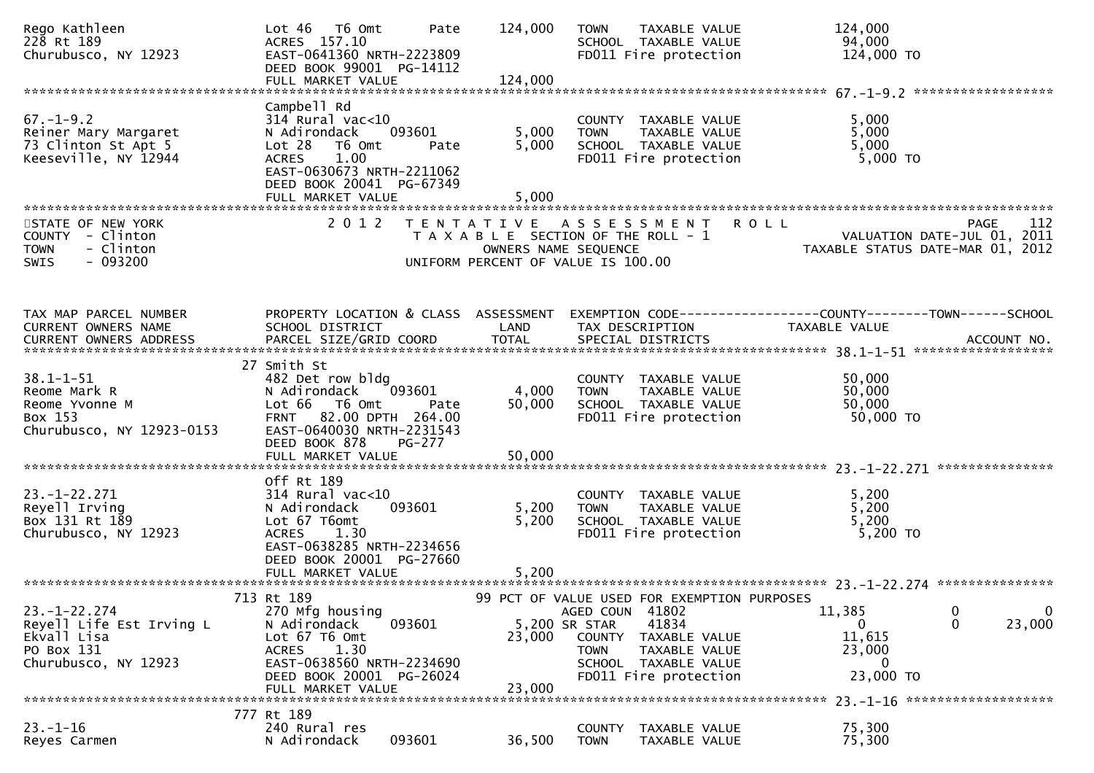| Rego Kathleen<br>228 Rt 189<br>Churubusco, NY 12923                                                 | $Lot 46$ T6 Omt<br>ACRES 157.10<br>EAST-0641360 NRTH-2223809<br>DEED BOOK 99001 PG-14112<br>FULL MARKET VALUE                                                               | Pate                                                                                                | 124,000<br>124,000        | <b>TOWN</b>                              | TAXABLE VALUE<br>SCHOOL TAXABLE VALUE<br>FD011 Fire protection                           |                                             | 124,000<br>94,000<br>124,000 TO                                                 |                                                         |
|-----------------------------------------------------------------------------------------------------|-----------------------------------------------------------------------------------------------------------------------------------------------------------------------------|-----------------------------------------------------------------------------------------------------|---------------------------|------------------------------------------|------------------------------------------------------------------------------------------|---------------------------------------------|---------------------------------------------------------------------------------|---------------------------------------------------------|
| $67. - 1 - 9.2$<br>Reiner Mary Margaret<br>73 Clinton St Apt 5<br>Keeseville, NY 12944              | Campbell Rd<br>$314$ Rural vac<10<br>N Adirondack<br>Lot 28<br>T6 Omt<br><b>ACRES</b><br>1.00<br>EAST-0630673 NRTH-2211062<br>DEED BOOK 20041 PG-67349<br>FULL MARKET VALUE | 093601<br>Pate                                                                                      | 5,000<br>5,000<br>5,000   | <b>TOWN</b>                              | COUNTY TAXABLE VALUE<br>TAXABLE VALUE<br>SCHOOL TAXABLE VALUE<br>FD011 Fire protection   |                                             | 5,000<br>5,000<br>5,000<br>5,000 TO                                             |                                                         |
| STATE OF NEW YORK<br>COUNTY - Clinton<br>- Clinton<br><b>TOWN</b><br>$-093200$<br><b>SWIS</b>       | 2 0 1 2                                                                                                                                                                     | TENTATIVE ASSESSMENT<br>T A X A B L E SECTION OF THE ROLL - 1<br>UNIFORM PERCENT OF VALUE IS 100.00 |                           | OWNERS NAME SEQUENCE                     |                                                                                          | <b>ROLL</b>                                 | TAXABLE STATUS DATE-MAR 01, 2012                                                | 112<br><b>PAGE</b><br>VALUATION DATE-JUL 01, 2011       |
| TAX MAP PARCEL NUMBER<br>CURRENT OWNERS NAME                                                        | PROPERTY LOCATION & CLASS ASSESSMENT<br>SCHOOL DISTRICT                                                                                                                     |                                                                                                     | LAND                      |                                          | TAX DESCRIPTION                                                                          |                                             | EXEMPTION CODE------------------COUNTY--------TOWN------SCHOOL<br>TAXABLE VALUE |                                                         |
| $38.1 - 1 - 51$<br>Reome Mark R<br>Reome Yvonne M<br>Box 153<br>Churubusco, NY 12923-0153           | 27 Smith St<br>482 Det row bldg<br>N Adirondack<br>Lot 66<br>T6 Omt<br>FRNT 82.00 DPTH 264.00<br>EAST-0640030 NRTH-2231543<br>DEED BOOK 878<br>FULL MARKET VALUE            | 093601<br>Pate<br>PG-277                                                                            | 4,000<br>50,000<br>50,000 | <b>TOWN</b>                              | COUNTY TAXABLE VALUE<br>TAXABLE VALUE<br>SCHOOL TAXABLE VALUE<br>FD011 Fire protection   |                                             | 50,000<br>50,000<br>50,000<br>50,000 TO                                         |                                                         |
| $23. - 1 - 22.271$<br>Reyell Irving<br>Box 131 Rt 189<br>Churubusco, NY 12923                       | Off Rt 189<br>$314$ Rural vac< $10$<br>N Adirondack<br>Lot 67 T6omt<br>1.30<br><b>ACRES</b><br>EAST-0638285 NRTH-2234656<br>DEED BOOK 20001 PG-27660<br>FULL MARKET VALUE   | 093601                                                                                              | 5,200<br>5,200<br>5,200   | <b>TOWN</b>                              | COUNTY TAXABLE VALUE<br>TAXABLE VALUE<br>SCHOOL TAXABLE VALUE<br>FD011 Fire protection   |                                             | 5,200<br>5,200<br>5,200<br>5,200 TO                                             |                                                         |
|                                                                                                     | 713 Rt 189                                                                                                                                                                  |                                                                                                     |                           |                                          |                                                                                          | 99 PCT OF VALUE USED FOR EXEMPTION PURPOSES |                                                                                 |                                                         |
| $23. - 1 - 22.274$<br>Reyell Life Est Irving L<br>Ekvall Lisa<br>PO Box 131<br>Churubusco, NY 12923 | 270 Mfg housing<br>N Adirondack<br>Lot 67 T6 Omt<br>1.30<br><b>ACRES</b><br>EAST-0638560 NRTH-2234690<br>DEED BOOK 20001 PG-26024                                           | 093601                                                                                              | 5,200 SR STAR<br>23,000   | AGED COUN 41802<br>COUNTY<br><b>TOWN</b> | 41834<br>TAXABLE VALUE<br>TAXABLE VALUE<br>SCHOOL TAXABLE VALUE<br>FD011 Fire protection |                                             | 11,385<br>$\mathbf 0$<br>11,615<br>23,000<br>0<br>23,000 TO                     | $\overline{0}$<br>$\mathbf 0$<br>$\mathbf{0}$<br>23,000 |
|                                                                                                     | FULL MARKET VALUE                                                                                                                                                           |                                                                                                     | 23,000                    |                                          |                                                                                          |                                             |                                                                                 |                                                         |
| $23 - 1 - 16$<br>Reyes Carmen                                                                       | 777 Rt 189<br>240 Rural res<br>N Adirondack                                                                                                                                 | 093601                                                                                              | 36,500                    | <b>COUNTY</b><br><b>TOWN</b>             | TAXABLE VALUE<br>TAXABLE VALUE                                                           |                                             | 75,300<br>75,300                                                                |                                                         |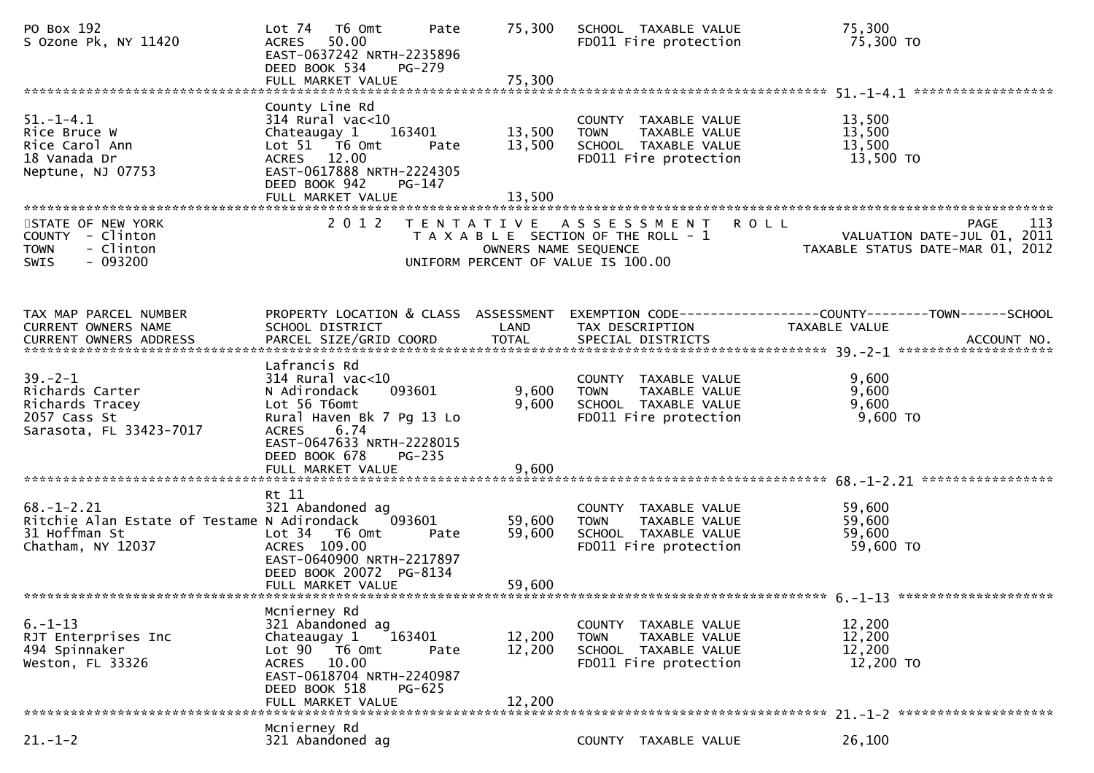| PO Box 192<br>S Ozone Pk, NY 11420                                                                    | T6 Omt<br>Pate<br>Lot 74<br>50.00<br><b>ACRES</b><br>EAST-0637242 NRTH-2235896<br>DEED BOOK 534<br>$PG-279$                                                                               | 75.300                     | SCHOOL TAXABLE VALUE<br>FD011 Fire protection                                                         | 75,300<br>75,300 TO                                                                           |
|-------------------------------------------------------------------------------------------------------|-------------------------------------------------------------------------------------------------------------------------------------------------------------------------------------------|----------------------------|-------------------------------------------------------------------------------------------------------|-----------------------------------------------------------------------------------------------|
| $51. - 1 - 4.1$<br>Rice Bruce W<br>Rice Carol Ann<br>18 Vanada Dr<br>Neptune, NJ 07753                | County Line Rd<br>$314$ Rural vac<10<br>Chateaugay 1<br>163401<br>Lot 51 T6 Omt<br>Pate<br>ACRES 12.00<br>EAST-0617888 NRTH-2224305<br>DEED BOOK 942<br>PG-147                            | 13,500<br>13,500           | COUNTY TAXABLE VALUE<br>TAXABLE VALUE<br><b>TOWN</b><br>SCHOOL TAXABLE VALUE<br>FD011 Fire protection | 13,500<br>13,500<br>13,500<br>13,500 TO                                                       |
| STATE OF NEW YORK<br>COUNTY - Clinton<br>- Clinton<br><b>TOWN</b><br>$-093200$<br><b>SWIS</b>         | 2 0 1 2                                                                                                                                                                                   | OWNERS NAME SEQUENCE       | TENTATIVE ASSESSMENT<br>T A X A B L E SECTION OF THE ROLL - 1<br>UNIFORM PERCENT OF VALUE IS 100.00   | <b>ROLL</b><br>113<br>PAGE<br>VALUATION DATE-JUL 01, 2011<br>TAXABLE STATUS DATE-MAR 01, 2012 |
| TAX MAP PARCEL NUMBER<br>CURRENT OWNERS NAME                                                          | PROPERTY LOCATION & CLASS ASSESSMENT<br>SCHOOL DISTRICT                                                                                                                                   | LAND                       | TAX DESCRIPTION                                                                                       | EXEMPTION CODE-----------------COUNTY--------TOWN------SCHOOL<br>TAXABLE VALUE                |
| $39 - 2 - 1$<br>Richards Carter<br>Richards Tracey<br>2057 Cass St<br>Sarasota, FL 33423-7017         | Lafrancis Rd<br>$314$ Rural vac<10<br>093601<br>N Adirondack<br>Lot 56 T6omt<br>Rural Haven Bk 7 Pg 13 Lo<br>6.74<br><b>ACRES</b><br>EAST-0647633 NRTH-2228015<br>DEED BOOK 678<br>PG-235 | 9,600<br>9,600             | COUNTY TAXABLE VALUE<br><b>TOWN</b><br>TAXABLE VALUE<br>SCHOOL TAXABLE VALUE<br>FD011 Fire protection | 9,600<br>9,600<br>9,600<br>9,600 TO                                                           |
|                                                                                                       |                                                                                                                                                                                           |                            |                                                                                                       |                                                                                               |
| $68. - 1 - 2.21$<br>Ritchie Alan Estate of Testame N Adirondack<br>31 Hoffman St<br>Chatham, NY 12037 | Rt 11<br>321 Abandoned ag<br>093601<br>Lot 34 T6 Omt<br>Pate<br>ACRES 109.00<br>EAST-0640900 NRTH-2217897<br>DEED BOOK 20072 PG-8134<br>FULL MARKET VALUE                                 | 59,600<br>59,600<br>59,600 | COUNTY TAXABLE VALUE<br><b>TOWN</b><br>TAXABLE VALUE<br>SCHOOL TAXABLE VALUE<br>FD011 Fire protection | 59,600<br>59,600<br>59,600<br>59,600 TO                                                       |
|                                                                                                       |                                                                                                                                                                                           |                            |                                                                                                       |                                                                                               |
| $6. - 1 - 13$<br>RJT Enterprises Inc<br>494 Spinnaker<br>Weston, FL 33326                             | Mcnierney Rd<br>321 Abandoned ag<br>163401<br>Chateaugay 1<br>Lot 90 T6 Omt<br>Pate<br>ACRES 10.00<br>EAST-0618704 NRTH-2240987<br>DEED BOOK 518<br>$PG-625$<br>FULL MARKET VALUE         | 12,200<br>12,200<br>12,200 | COUNTY TAXABLE VALUE<br>TAXABLE VALUE<br><b>TOWN</b><br>SCHOOL TAXABLE VALUE<br>FD011 Fire protection | 12,200<br>12,200<br>12,200<br>12,200 TO                                                       |
| $21. - 1 - 2$                                                                                         | Mcnierney Rd<br>321 Abandoned ag                                                                                                                                                          |                            | COUNTY TAXABLE VALUE                                                                                  | 26,100                                                                                        |
|                                                                                                       |                                                                                                                                                                                           |                            |                                                                                                       |                                                                                               |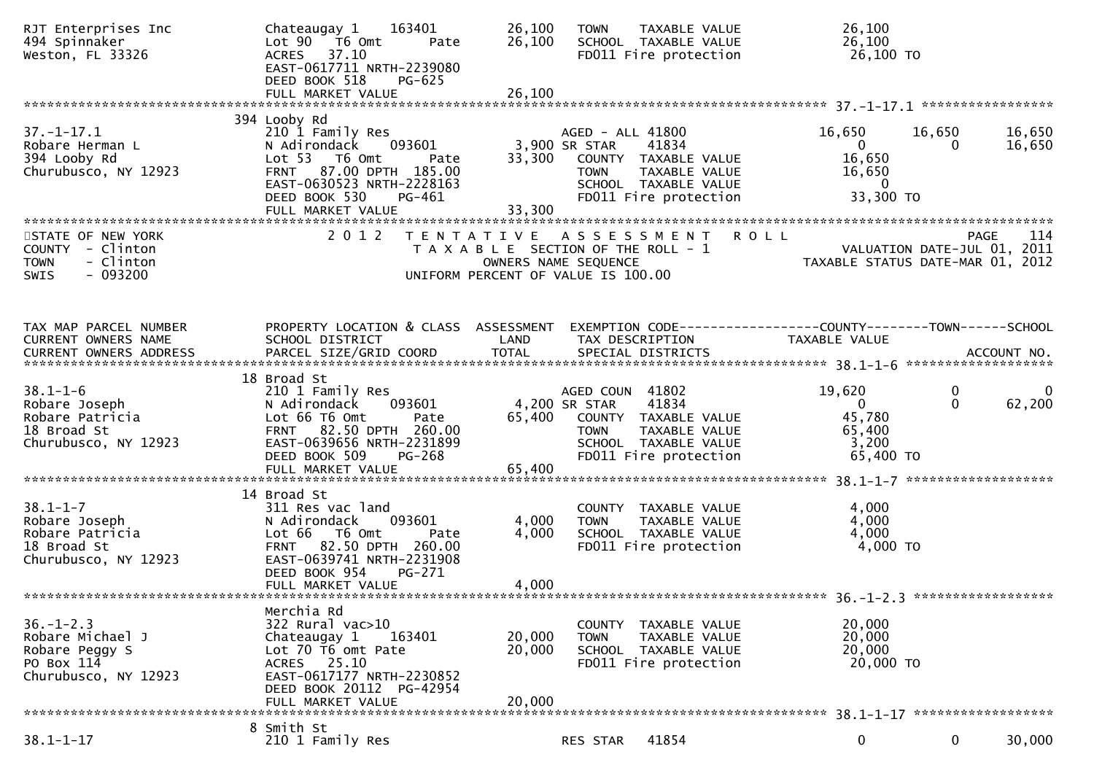| RJT Enterprises Inc<br>494 Spinnaker<br>Weston, FL 33326                                                             | 163401<br>Chateaugay 1<br>Lot 90 T6 Omt<br>Pate<br>ACRES 37.10<br>EAST-0617711 NRTH-2239080<br>DEED BOOK 518<br>$PG-625$                                                        | 26,100<br>26,100                                                            | <b>TOWN</b>                                      | TAXABLE VALUE<br>SCHOOL TAXABLE VALUE<br>FD011 Fire protection                                         | 26,100<br>26,100<br>26,100 TO                                                         |                    |                  |
|----------------------------------------------------------------------------------------------------------------------|---------------------------------------------------------------------------------------------------------------------------------------------------------------------------------|-----------------------------------------------------------------------------|--------------------------------------------------|--------------------------------------------------------------------------------------------------------|---------------------------------------------------------------------------------------|--------------------|------------------|
|                                                                                                                      |                                                                                                                                                                                 |                                                                             |                                                  |                                                                                                        |                                                                                       |                    |                  |
| $37. - 1 - 17.1$<br>Robare Herman L<br>394 Looby Rd<br>Churubusco, NY 12923                                          | 394 Looby Rd<br>210 1 Family Res<br>N Adirondack<br>093601<br>Lot 53 T6 Omt<br>Pate<br>87.00 DPTH 185.00<br><b>FRNT</b><br>EAST-0630523 NRTH-2228163<br>DEED BOOK 530<br>PG-461 | 33,300                                                                      | AGED - ALL 41800<br>3,900 SR STAR<br><b>TOWN</b> | 41834<br>33,300 COUNTY TAXABLE VALUE<br>TAXABLE VALUE<br>SCHOOL TAXABLE VALUE<br>FD011 Fire protection | 16,650<br>$\overline{0}$<br>16,650<br>16,650<br>$\overline{\phantom{0}}$<br>33,300 TO | 16,650<br>$\bf{0}$ | 16,650<br>16,650 |
|                                                                                                                      |                                                                                                                                                                                 |                                                                             |                                                  |                                                                                                        |                                                                                       |                    |                  |
| STATE OF NEW YORK<br>COUNTY - Clinton<br>- Clinton<br><b>TOWN</b><br>$-093200$<br><b>SWIS</b>                        | 2 0 1 2                                                                                                                                                                         | T A X A B L E SECTION OF THE ROLL - 1<br>UNIFORM PERCENT OF VALUE IS 100.00 | OWNERS NAME SEQUENCE                             | TENTATIVE ASSESSMENT ROLL                                                                              | PAGE - 1<br>VALUATION DATE-JUL 01, 2011<br>TAXABLE STATUS DATE-MAR 01, 2012           |                    | 114<br>PAGE      |
| TAX MAP PARCEL NUMBER<br>CURRENT OWNERS NAME                                                                         | PROPERTY LOCATION & CLASS ASSESSMENT<br>SCHOOL DISTRICT                                                                                                                         | LAND                                                                        | TAX DESCRIPTION                                  |                                                                                                        | EXEMPTION CODE------------------COUNTY--------TOWN------SCHOOL<br>TAXABLE VALUE       |                    |                  |
|                                                                                                                      | 18 Broad St                                                                                                                                                                     |                                                                             |                                                  |                                                                                                        |                                                                                       |                    |                  |
| $38.1 - 1 - 6$<br>Robare Joseph<br>Robare Patricia<br>18 Broad St<br>Churubusco, NY 12923                            | 210 1 Family Res<br>N Adirondack<br>093601<br>Lot 66 T6 Omt<br>Pate<br>FRNT 82.50 DPTH 260.00<br>EAST-0639656 NRTH-2231899<br>DEED BOOK 509<br><b>PG-268</b>                    | 4,200 SR STAR                                                               | AGED COUN 41802<br><b>TOWN</b>                   | 41834<br>65,400 COUNTY TAXABLE VALUE<br>TAXABLE VALUE<br>SCHOOL TAXABLE VALUE<br>FD011 Fire protection | 19,620<br>$\mathbf{0}$<br>45,780<br>65,400<br>3,200<br>65,400 TO                      | 0<br>$\mathbf 0$   | 0<br>62,200      |
|                                                                                                                      |                                                                                                                                                                                 |                                                                             |                                                  |                                                                                                        |                                                                                       |                    |                  |
|                                                                                                                      |                                                                                                                                                                                 |                                                                             |                                                  |                                                                                                        |                                                                                       |                    |                  |
| $38.1 - 1 - 7$<br>38.1-1-7<br>Robare Joseph<br>Robare Patricia<br>10 Broad St<br>18 Broad St<br>Churubusco, NY 12923 | 14 Broad St<br>311 Res vac land<br>093601<br>N Adirondack<br>Lot 66 T6 Omt<br>Pate<br>FRNT 82.50 DPTH 260.00<br>EAST-0639741 NRTH-2231908<br>DEED BOOK 954<br>PG-271            | 4,000<br>4,000                                                              | <b>TOWN</b>                                      | COUNTY TAXABLE VALUE<br>TAXABLE VALUE<br>SCHOOL TAXABLE VALUE<br>FD011 Fire protection                 | 4,000<br>4,000<br>4,000<br>4,000 TO                                                   |                    |                  |
|                                                                                                                      | FULL MARKET VALUE                                                                                                                                                               | 4,000                                                                       |                                                  |                                                                                                        |                                                                                       |                    |                  |
| $36. - 1 - 2.3$<br>Robare Michael J<br>Robare Peggy S<br>PO Box 114<br>Churubusco, NY 12923                          | Merchia Rd<br>322 Rural vac>10<br>Chateaugay 1<br>163401<br>Lot 70 T6 omt Pate<br>ACRES 25.10<br>EAST-0617177 NRTH-2230852<br>DEED BOOK 20112 PG-42954<br>FULL MARKET VALUE     | 20,000<br>20,000<br>20,000                                                  | COUNTY<br><b>TOWN</b>                            | TAXABLE VALUE<br>TAXABLE VALUE<br>SCHOOL TAXABLE VALUE<br>FD011 Fire protection                        | 20,000<br>20,000<br>20,000<br>20,000 TO                                               |                    |                  |
|                                                                                                                      | 8 Smith St                                                                                                                                                                      |                                                                             |                                                  |                                                                                                        |                                                                                       |                    |                  |
| $38.1 - 1 - 17$                                                                                                      | 210 1 Family Res                                                                                                                                                                |                                                                             | RES STAR                                         | 41854                                                                                                  | 0                                                                                     | $\mathbf 0$        | 30,000           |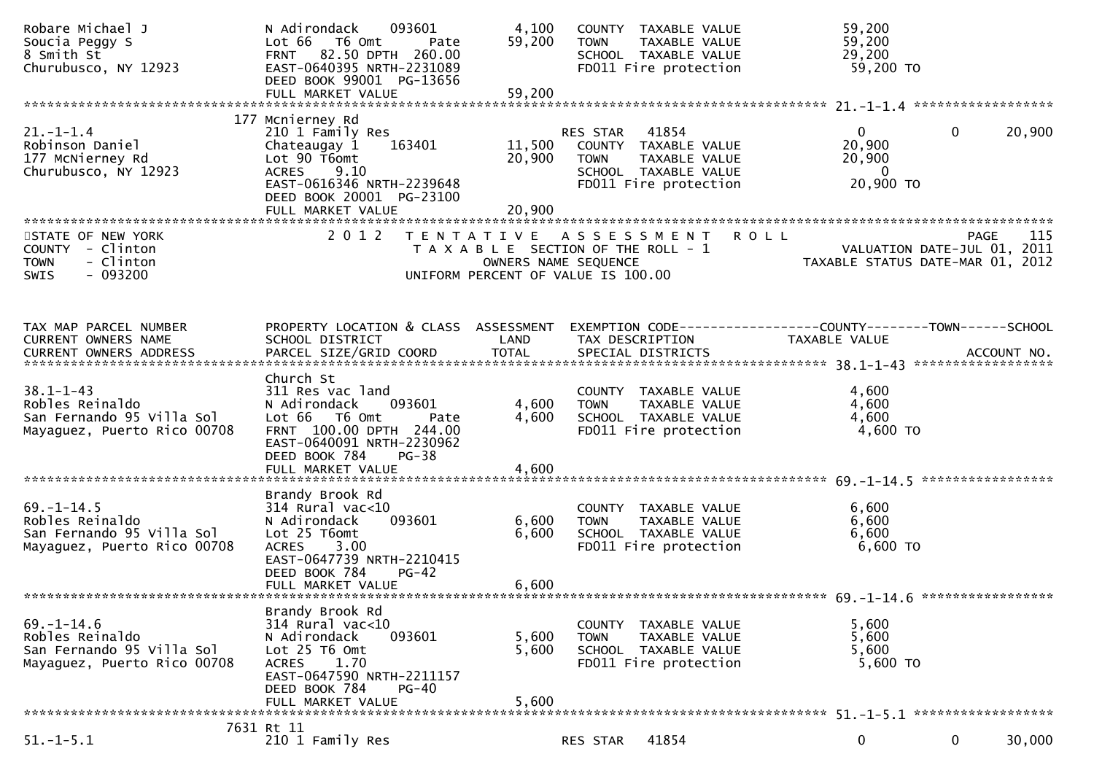| Robare Michael J<br>Soucia Peggy S<br>8 Smith St<br>Churubusco, NY 12923                        | N Adirondack<br>093601<br>Lot 66 T6 Omt<br>Pate<br>FRNT 82.50 DPTH 260.00<br>EAST-0640395 NRTH-2231089<br>DEED BOOK 99001 PG-13656<br>FULL MARKET VALUE                                   | 4,100<br>59,200<br>59,200  | COUNTY TAXABLE VALUE<br><b>TOWN</b><br>TAXABLE VALUE<br>SCHOOL TAXABLE VALUE<br>FD011 Fire protection                      | 59,200<br>59,200<br>29,200<br>59,200 TO                                        |                       |
|-------------------------------------------------------------------------------------------------|-------------------------------------------------------------------------------------------------------------------------------------------------------------------------------------------|----------------------------|----------------------------------------------------------------------------------------------------------------------------|--------------------------------------------------------------------------------|-----------------------|
|                                                                                                 |                                                                                                                                                                                           |                            |                                                                                                                            |                                                                                |                       |
| $21. - 1 - 1.4$<br>Robinson Daniel<br>177 McNierney Rd<br>Churubusco, NY 12923                  | 177 Mcnierney Rd<br>210 1 Family Res<br>163401<br>Chateaugay 1<br>Lot 90 T6omt<br><b>ACRES</b><br>9.10<br>EAST-0616346 NRTH-2239648<br>DEED BOOK 20001 PG-23100<br>FULL MARKET VALUE      | 11,500<br>20,900<br>20,900 | RES STAR<br>41854<br>COUNTY TAXABLE VALUE<br><b>TOWN</b><br>TAXABLE VALUE<br>SCHOOL TAXABLE VALUE<br>FD011 Fire protection | $\mathbf{0}$<br>20,900<br>20,900<br>$\overline{\phantom{0}}$<br>20,900 ТО      | $\mathbf 0$<br>20,900 |
| STATE OF NEW YORK<br>COUNTY - Clinton<br>- Clinton<br><b>TOWN</b><br>$-093200$<br><b>SWIS</b>   | 2 0 1 2                                                                                                                                                                                   | OWNERS NAME SEQUENCE       | TENTATIVE ASSESSMENT<br>T A X A B L E SECTION OF THE ROLL - 1<br>UNIFORM PERCENT OF VALUE IS 100.00                        | <b>ROLL</b><br>VALUATION DATE-JUL 01, 2011<br>TAXABLE STATUS DATE-MAR 01, 2012 | 115<br><b>PAGE</b>    |
| TAX MAP PARCEL NUMBER<br>CURRENT OWNERS NAME                                                    | PROPERTY LOCATION & CLASS ASSESSMENT<br>SCHOOL DISTRICT                                                                                                                                   | LAND                       | TAX DESCRIPTION                                                                                                            | EXEMPTION CODE-----------------COUNTY--------TOWN------SCHOOL<br>TAXABLE VALUE |                       |
| $38.1 - 1 - 43$<br>Robles Reinaldo<br>San Fernando 95 Villa Sol<br>Mayaguez, Puerto Rico 00708  | Church St<br>311 Res vac land<br>N Adirondack<br>093601<br>Lot 66 T6 Omt<br>Pate<br>FRNT 100.00 DPTH 244.00<br>EAST-0640091 NRTH-2230962<br>DEED BOOK 784<br>$PG-38$<br>FULL MARKET VALUE | 4,600<br>4,600<br>4,600    | COUNTY TAXABLE VALUE<br>TAXABLE VALUE<br><b>TOWN</b><br>SCHOOL TAXABLE VALUE<br>FD011 Fire protection                      | 4,600<br>4,600<br>4,600<br>4,600 TO                                            |                       |
| $69. - 1 - 14.5$<br>Robles Reinaldo<br>San Fernando 95 Villa Sol<br>Mayaguez, Puerto Rico 00708 | Brandy Brook Rd<br>$314$ Rural vac<10<br>093601<br>N Adirondack<br>Lot 25 T6omt<br>3.00<br><b>ACRES</b><br>EAST-0647739 NRTH-2210415<br>DEED BOOK 784<br>$PG-42$<br>FULL MARKET VALUE     | 6,600<br>6,600<br>6,600    | COUNTY TAXABLE VALUE<br><b>TOWN</b><br>TAXABLE VALUE<br>SCHOOL TAXABLE VALUE<br>FD011 Fire protection                      | 6,600<br>6,600<br>6,600<br>6,600 TO                                            |                       |
| $69. - 1 - 14.6$<br>Robles Reinaldo<br>San Fernando 95 Villa Sol<br>Mayaguez, Puerto Rico 00708 | Brandy Brook Rd<br>$314$ Rural vac<10<br>N Adirondack<br>093601<br>Lot 25 T6 Omt<br><b>ACRES</b><br>1.70<br>EAST-0647590 NRTH-2211157<br>DEED BOOK 784<br>$PG-40$<br>FULL MARKET VALUE    | 5,600<br>5,600<br>5,600    | TAXABLE VALUE<br>COUNTY<br>TAXABLE VALUE<br><b>TOWN</b><br>SCHOOL TAXABLE VALUE<br>FD011 Fire protection                   | 5,600<br>5,600<br>5,600<br>5,600 TO                                            |                       |
| $51. - 1 - 5.1$                                                                                 | 7631 Rt 11<br>210 1 Family Res                                                                                                                                                            |                            | 41854                                                                                                                      | 0                                                                              | $\mathbf 0$<br>30,000 |
|                                                                                                 |                                                                                                                                                                                           |                            | RES STAR                                                                                                                   |                                                                                |                       |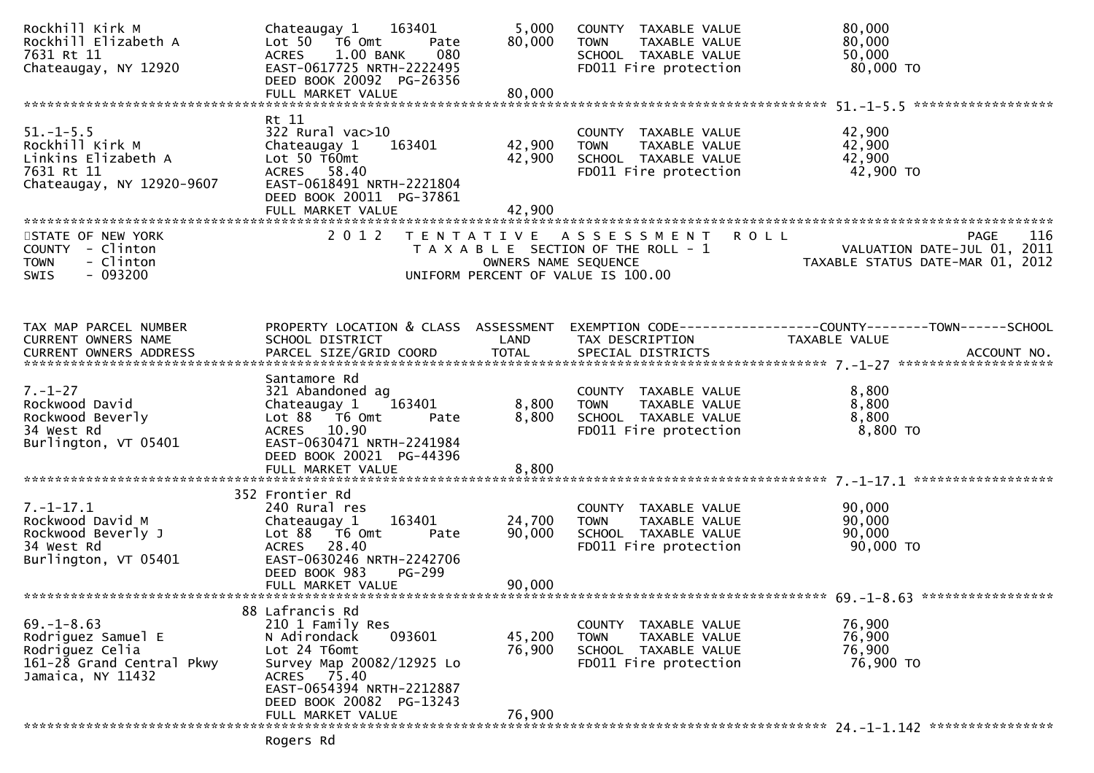| Rockhill Kirk M<br>Rockhill Elizabeth A<br>7631 Rt 11<br>Chateaugay, NY 12920                               | 163401<br>Chateaugay 1<br>Lot 50  T6 0mt<br>Pate<br>1.00 BANK<br>080<br><b>ACRES</b><br>EAST-0617725 NRTH-2222495<br>DEED BOOK 20092 PG-26356                                                                     | 5,000<br>80,000            | COUNTY TAXABLE VALUE<br>TAXABLE VALUE<br><b>TOWN</b><br>SCHOOL TAXABLE VALUE<br>FD011 Fire protection    | 80,000<br>80,000<br>50,000<br>80,000 TO                                         |
|-------------------------------------------------------------------------------------------------------------|-------------------------------------------------------------------------------------------------------------------------------------------------------------------------------------------------------------------|----------------------------|----------------------------------------------------------------------------------------------------------|---------------------------------------------------------------------------------|
|                                                                                                             |                                                                                                                                                                                                                   |                            |                                                                                                          |                                                                                 |
| $51. - 1 - 5.5$<br>Rockhill Kirk M<br>Linkins Elizabeth A<br>7631 Rt 11<br>Chateaugay, NY 12920-9607        | Rt 11<br>322 Rural vac>10<br>Chateaugay 1<br>163401<br>Lot $50$ $\bar{1}60$ mt<br>ACRES 58.40<br>EAST-0618491 NRTH-2221804<br>DEED BOOK 20011 PG-37861<br>FULL MARKET VALUE                                       | 42,900<br>42,900<br>42,900 | COUNTY TAXABLE VALUE<br><b>TOWN</b><br>TAXABLE VALUE<br>SCHOOL TAXABLE VALUE<br>FD011 Fire protection    | 42,900<br>42,900<br>42,900<br>42,900 TO                                         |
|                                                                                                             |                                                                                                                                                                                                                   |                            |                                                                                                          |                                                                                 |
| STATE OF NEW YORK<br>COUNTY - Clinton<br>- Clinton<br><b>TOWN</b><br>$-093200$<br><b>SWIS</b>               | 2 0 1 2                                                                                                                                                                                                           | OWNERS NAME SEQUENCE       | TENTATIVE ASSESSMENT ROLL<br>T A X A B L E SECTION OF THE ROLL - 1<br>UNIFORM PERCENT OF VALUE IS 100.00 | PAGE<br>116<br>VALUATION DATE-JUL 01, 2011<br>TAXABLE STATUS DATE-MAR 01, 2012  |
|                                                                                                             |                                                                                                                                                                                                                   |                            |                                                                                                          |                                                                                 |
| TAX MAP PARCEL NUMBER<br><b>CURRENT OWNERS NAME</b>                                                         | PROPERTY LOCATION & CLASS ASSESSMENT<br>SCHOOL DISTRICT                                                                                                                                                           | LAND                       | TAX DESCRIPTION                                                                                          | EXEMPTION CODE------------------COUNTY--------TOWN------SCHOOL<br>TAXABLE VALUE |
|                                                                                                             |                                                                                                                                                                                                                   |                            |                                                                                                          |                                                                                 |
| $7. - 1 - 27$<br>Rockwood David<br>Rockwood Beverly<br>34 West Rd<br>Burlington, VT 05401                   | Santamore Rd<br>321 Abandoned ag<br>163401<br>Chateaugay 1<br>Lot 88 T6 Omt<br>Pate<br>ACRES 10.90<br>EAST-0630471 NRTH-2241984<br>DEED BOOK 20021 PG-44396                                                       | 8,800<br>8,800             | COUNTY TAXABLE VALUE<br>TAXABLE VALUE<br><b>TOWN</b><br>SCHOOL TAXABLE VALUE<br>FD011 Fire protection    | 8,800<br>8,800<br>8,800<br>$8,800$ TO                                           |
|                                                                                                             | FULL MARKET VALUE                                                                                                                                                                                                 | 8,800                      |                                                                                                          |                                                                                 |
|                                                                                                             |                                                                                                                                                                                                                   |                            |                                                                                                          |                                                                                 |
| $7. - 1 - 17.1$<br>Rockwood David M<br>Rockwood Beverly J<br>34 West Rd<br>Burlington, VT 05401             | 352 Frontier Rd<br>240 Rural res<br>163401<br>Chateaugay 1<br>Lot 88 T6 Omt<br>Pate<br>ACRES 28.40<br>EAST-0630246 NRTH-2242706<br>DEED BOOK 983<br>PG-299<br>FULL MARKET VALUE                                   | 24,700<br>90,000<br>90,000 | COUNTY TAXABLE VALUE<br><b>TOWN</b><br>TAXABLE VALUE<br>SCHOOL TAXABLE VALUE<br>FD011 Fire protection    | 90,000<br>90,000<br>90,000<br>90,000 TO                                         |
|                                                                                                             |                                                                                                                                                                                                                   |                            |                                                                                                          |                                                                                 |
| $69. - 1 - 8.63$<br>Rodriguez Samuel E<br>Rodriguez Celia<br>161-28 Grand Central Pkwy<br>Jamaica, NY 11432 | 88 Lafrancis Rd<br>210 1 Family Res<br>093601<br>N Adirondack<br>Lot 24 T6omt<br>Survey Map 20082/12925 Lo<br>75.40<br><b>ACRES</b><br>EAST-0654394 NRTH-2212887<br>DEED BOOK 20082 PG-13243<br>FULL MARKET VALUE | 45,200<br>76,900<br>76,900 | COUNTY TAXABLE VALUE<br><b>TOWN</b><br>TAXABLE VALUE<br>SCHOOL TAXABLE VALUE<br>FD011 Fire protection    | 76,900<br>76,900<br>76,900<br>76,900 TO                                         |
|                                                                                                             |                                                                                                                                                                                                                   |                            |                                                                                                          |                                                                                 |
|                                                                                                             | Rogers Rd                                                                                                                                                                                                         |                            |                                                                                                          |                                                                                 |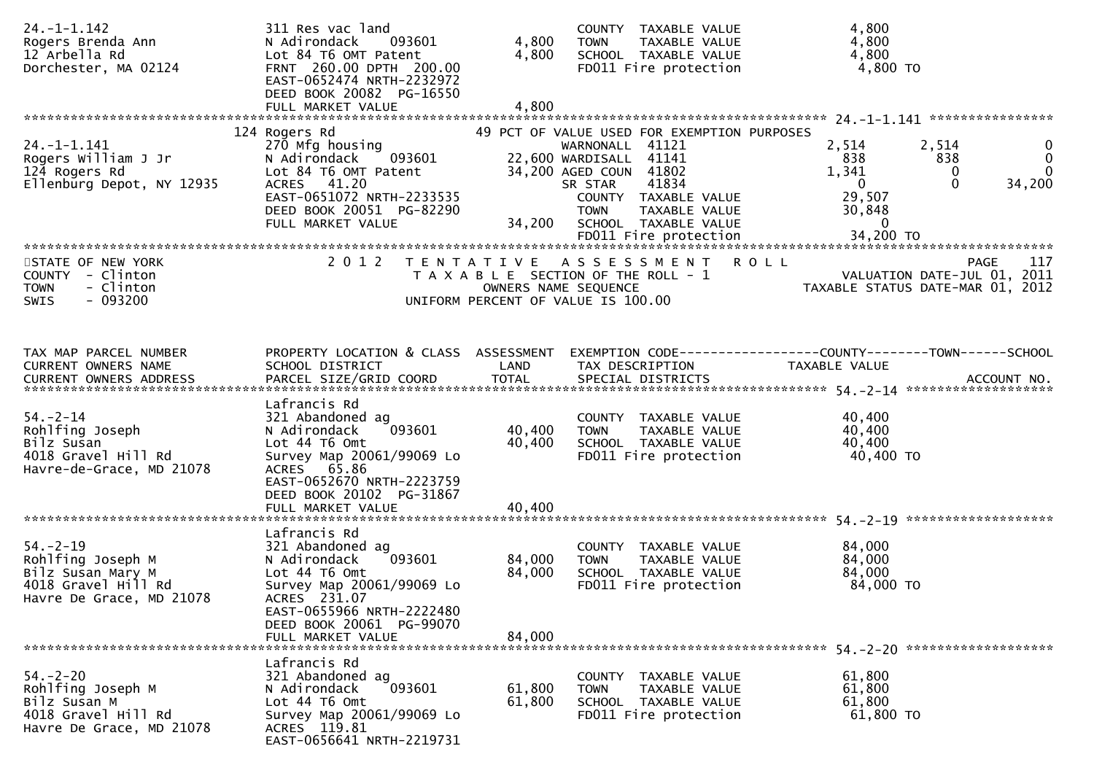| $24. -1 - 1.142$<br>Rogers Brenda Ann<br>12 Arbella Rd<br>Dorchester, MA 02124                              | 311 Res vac land<br>N Adirondack<br>093601<br>Lot 84 T6 OMT Patent<br>FRNT 260.00 DPTH 200.00<br>EAST-0652474 NRTH-2232972<br>DEED BOOK 20082 PG-16550<br>FULL MARKET VALUE                            | 4,800<br>4,800<br>4,800    | COUNTY TAXABLE VALUE<br><b>TOWN</b><br>TAXABLE VALUE<br>SCHOOL TAXABLE VALUE<br>FD011 Fire protection                                                                                                                  | 4,800<br>4,800<br>4,800<br>4,800 TO                                |                                                                                                    |
|-------------------------------------------------------------------------------------------------------------|--------------------------------------------------------------------------------------------------------------------------------------------------------------------------------------------------------|----------------------------|------------------------------------------------------------------------------------------------------------------------------------------------------------------------------------------------------------------------|--------------------------------------------------------------------|----------------------------------------------------------------------------------------------------|
| $24. - 1 - 1.141$<br>Rogers William J Jr<br>124 Rogers Rd<br>Ellenburg Depot, NY 12935                      | 124 Rogers Rd<br>270 Mfg housing<br>093601<br>N Adirondack<br>Lot 84 T6 OMT Patent<br>ACRES 41.20<br>EAST-0651072 NRTH-2233535<br>DEED BOOK 20051 PG-82290<br>FULL MARKET VALUE                        | 34,200                     | 49 PCT OF VALUE USED FOR EXEMPTION PURPOSES<br>WARNONALL 41121<br>22,600 WARDISALL 41141<br>34,200 AGED COUN 41802<br>41834<br>SR STAR<br>COUNTY TAXABLE VALUE<br><b>TOWN</b><br>TAXABLE VALUE<br>SCHOOL TAXABLE VALUE | 2,514<br>838<br>1,341<br>$\overline{0}$<br>29,507<br>30,848<br>- 0 | 2,514<br>$\mathbf{0}$<br>$\mathbf 0$<br>838<br>$\overline{0}$<br>$\mathbf 0$<br>$\Omega$<br>34,200 |
| STATE OF NEW YORK<br>COUNTY - Clinton<br>- Clinton<br><b>TOWN</b><br>$-093200$<br><b>SWIS</b>               | 2 0 1 2                                                                                                                                                                                                |                            | TENTATIVE ASSESSMENT ROLL<br>T A X A B L E SECTION OF THE ROLL - 1<br>OWNERS NAME SEQUENCE<br>UNIFORM PERCENT OF VALUE IS 100.00                                                                                       |                                                                    | 117<br><b>PAGE</b><br>VALUATION DATE-JUL 01, 2011<br>TAXABLE STATUS DATE-MAR 01, 2012              |
| TAX MAP PARCEL NUMBER<br>CURRENT OWNERS NAME                                                                | PROPERTY LOCATION & CLASS ASSESSMENT<br>SCHOOL DISTRICT                                                                                                                                                | LAND                       | EXEMPTION CODE-----------------COUNTY-------TOWN------SCHOOL<br>TAX DESCRIPTION                                                                                                                                        | <b>TAXABLE VALUE</b>                                               |                                                                                                    |
| $54. - 2 - 14$<br>Rohlfing Joseph<br>Bilz Susan<br>4018 Gravel Hill Rd<br>Havre-de-Grace, MD 21078          | Lafrancis Rd<br>321 Abandoned ag<br>093601<br>N Adirondack<br>Lot 44 76 0mt<br>Survey Map 20061/99069 Lo<br>ACRES 65.86<br>EAST-0652670 NRTH-2223759<br>DEED BOOK 20102 PG-31867<br>FULL MARKET VALUE  | 40,400<br>40,400<br>40,400 | COUNTY TAXABLE VALUE<br><b>TOWN</b><br>TAXABLE VALUE<br>SCHOOL TAXABLE VALUE<br>FD011 Fire protection                                                                                                                  | 40,400<br>40,400<br>40,400<br>40,400 TO                            |                                                                                                    |
| $54. - 2 - 19$<br>Rohlfing Joseph M<br>Bilz Susan Mary M<br>4018 Gravel Hill Rd<br>Havre De Grace, MD 21078 | Lafrancis Rd<br>321 Abandoned ag<br>093601<br>N Adirondack<br>Lot 44 T6 Omt<br>Survey Map 20061/99069 Lo<br>ACRES 231.07<br>EAST-0655966 NRTH-2222480<br>DEED BOOK 20061 PG-99070<br>FULL MARKET VALUE | 84,000<br>84,000<br>84,000 | COUNTY TAXABLE VALUE<br>TAXABLE VALUE<br><b>TOWN</b><br>SCHOOL TAXABLE VALUE<br>FD011 Fire protection                                                                                                                  | 84,000<br>84,000<br>84,000<br>84,000 TO                            |                                                                                                    |
| $54. - 2 - 20$<br>Rohlfing Joseph M<br>Bilz Susan M<br>4018 Gravel Hill Rd<br>Havre De Grace, MD 21078      | Lafrancis Rd<br>321 Abandoned ag<br>093601<br>N Adirondack<br>Lot 44 76 0mt<br>Survey Map 20061/99069 Lo<br>ACRES 119.81<br>EAST-0656641 NRTH-2219731                                                  | 61,800<br>61,800           | COUNTY TAXABLE VALUE<br>TAXABLE VALUE<br><b>TOWN</b><br>SCHOOL TAXABLE VALUE<br>FD011 Fire protection                                                                                                                  | 61,800<br>61,800<br>61,800<br>61,800 TO                            |                                                                                                    |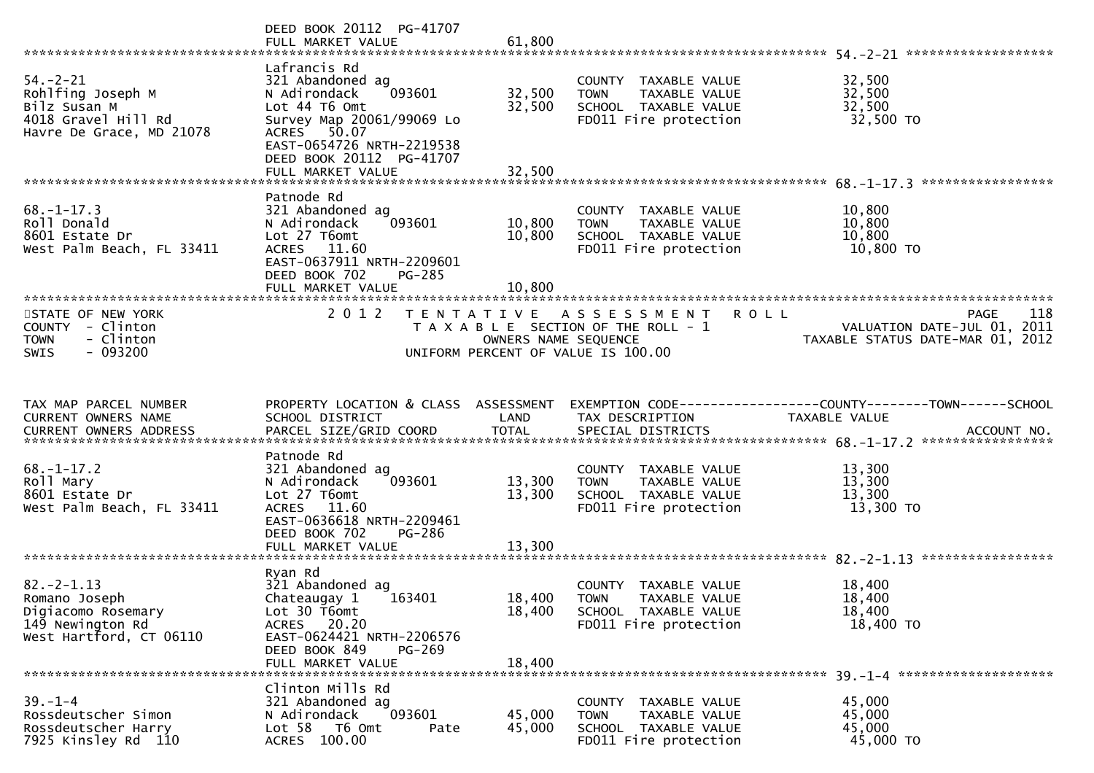|                                                                                                        | DEED BOOK 20112 PG-41707<br>FULL MARKET VALUE                                                                                                                                                         | 61,800                     |                                                                                                                    |                                                                                                               |
|--------------------------------------------------------------------------------------------------------|-------------------------------------------------------------------------------------------------------------------------------------------------------------------------------------------------------|----------------------------|--------------------------------------------------------------------------------------------------------------------|---------------------------------------------------------------------------------------------------------------|
| $54. - 2 - 21$<br>Rohlfing Joseph M<br>Bilz Susan M<br>4018 Gravel Hill Rd<br>Havre De Grace, MD 21078 | Lafrancis Rd<br>321 Abandoned ag<br>093601<br>N Adirondack<br>Lot 44 T6 Omt<br>Survey Map 20061/99069 Lo<br>ACRES 50.07<br>EAST-0654726 NRTH-2219538<br>DEED BOOK 20112 PG-41707<br>FULL MARKET VALUE | 32,500<br>32,500<br>32,500 | COUNTY TAXABLE VALUE<br>TAXABLE VALUE<br><b>TOWN</b><br>SCHOOL TAXABLE VALUE<br>FD011 Fire protection              | 32,500<br>32,500<br>32,500<br>32,500 TO                                                                       |
|                                                                                                        | Patnode Rd                                                                                                                                                                                            |                            |                                                                                                                    |                                                                                                               |
| $68. - 1 - 17.3$<br>Roll Donald<br>8601 Estate Dr<br>West Palm Beach, FL 33411                         | 321 Abandoned ag<br>093601<br>N Adirondack<br>Lot 27 T6omt<br>ACRES 11.60<br>EAST-0637911 NRTH-2209601<br>DEED BOOK 702<br>PG-285                                                                     | 10,800<br>10,800           | COUNTY TAXABLE VALUE<br><b>TOWN</b><br>TAXABLE VALUE<br>SCHOOL TAXABLE VALUE<br>FD011 Fire protection              | 10,800<br>10,800<br>10,800<br>10,800 TO                                                                       |
|                                                                                                        | FULL MARKET VALUE                                                                                                                                                                                     | 10,800                     |                                                                                                                    |                                                                                                               |
| STATE OF NEW YORK<br>COUNTY - Clinton<br>- Clinton<br><b>TOWN</b><br>$-093200$<br><b>SWIS</b>          | 2 0 1 2                                                                                                                                                                                               | OWNERS NAME SEQUENCE       | TENTATIVE ASSESSMENT<br><b>ROLL</b><br>T A X A B L E SECTION OF THE ROLL - 1<br>UNIFORM PERCENT OF VALUE IS 100.00 | 118<br>PAGE<br>VALUATION DATE-JUL 01, 2011<br>VALUATION DATE-JUL 01, ZOII<br>TAXABLE STATUS DATE-MAR 01, 2012 |
|                                                                                                        |                                                                                                                                                                                                       |                            |                                                                                                                    |                                                                                                               |
| TAX MAP PARCEL NUMBER<br>CURRENT OWNERS NAME<br><b>CURRENT OWNERS ADDRESS</b>                          | PROPERTY LOCATION & CLASS ASSESSMENT<br>SCHOOL DISTRICT                                                                                                                                               | LAND                       | TAX DESCRIPTION                                                                                                    | EXEMPTION CODE-----------------COUNTY-------TOWN------SCHOOL<br>TAXABLE VALUE                                 |
|                                                                                                        | Patnode Rd                                                                                                                                                                                            |                            |                                                                                                                    |                                                                                                               |
| $68. - 1 - 17.2$<br>Roll Mary<br>8601 Estate Dr<br>West Palm Beach, FL 33411                           | 321 Abandoned ag<br>093601<br>N Adirondack<br>Lot 27 T6omt<br>ACRES 11.60<br>EAST-0636618 NRTH-2209461                                                                                                | 13,300<br>13,300           | COUNTY TAXABLE VALUE<br>TAXABLE VALUE<br><b>TOWN</b><br>SCHOOL TAXABLE VALUE<br>FD011 Fire protection              | 13,300<br>13,300<br>13,300<br>13,300 TO                                                                       |
|                                                                                                        | DEED BOOK 702<br>PG-286<br>FULL MARKET VALUE                                                                                                                                                          | 13,300                     |                                                                                                                    |                                                                                                               |
|                                                                                                        |                                                                                                                                                                                                       |                            |                                                                                                                    |                                                                                                               |
| $82 - 2 - 1.13$<br>Romano Joseph<br>Digiacomo Rosemary<br>149 Newington Rd<br>West Hartford, CT 06110  | Ryan Rd<br>321 Abandoned ag<br>163401<br>Chateaugay 1<br>Lot 30 T6omt<br><b>ACRES</b><br>20.20<br>EAST-0624421 NRTH-2206576<br>DEED BOOK 849<br>PG-269                                                | 18,400<br>18,400           | COUNTY TAXABLE VALUE<br><b>TOWN</b><br>TAXABLE VALUE<br>SCHOOL TAXABLE VALUE<br>FD011 Fire protection              | 18,400<br>18,400<br>18,400<br>18,400 TO                                                                       |
|                                                                                                        | FULL MARKET VALUE                                                                                                                                                                                     | 18,400                     |                                                                                                                    |                                                                                                               |
| $39. - 1 - 4$<br>Rossdeutscher Simon<br>Rossdeutscher Harry                                            | Clinton Mills Rd<br>321 Abandoned ag<br>093601<br>N Adirondack<br>Lot 58 T6 Omt<br>Pate                                                                                                               | 45,000<br>45,000           | COUNTY TAXABLE VALUE<br>TAXABLE VALUE<br><b>TOWN</b><br>SCHOOL TAXABLE VALUE                                       | 45,000<br>45,000<br>45,000                                                                                    |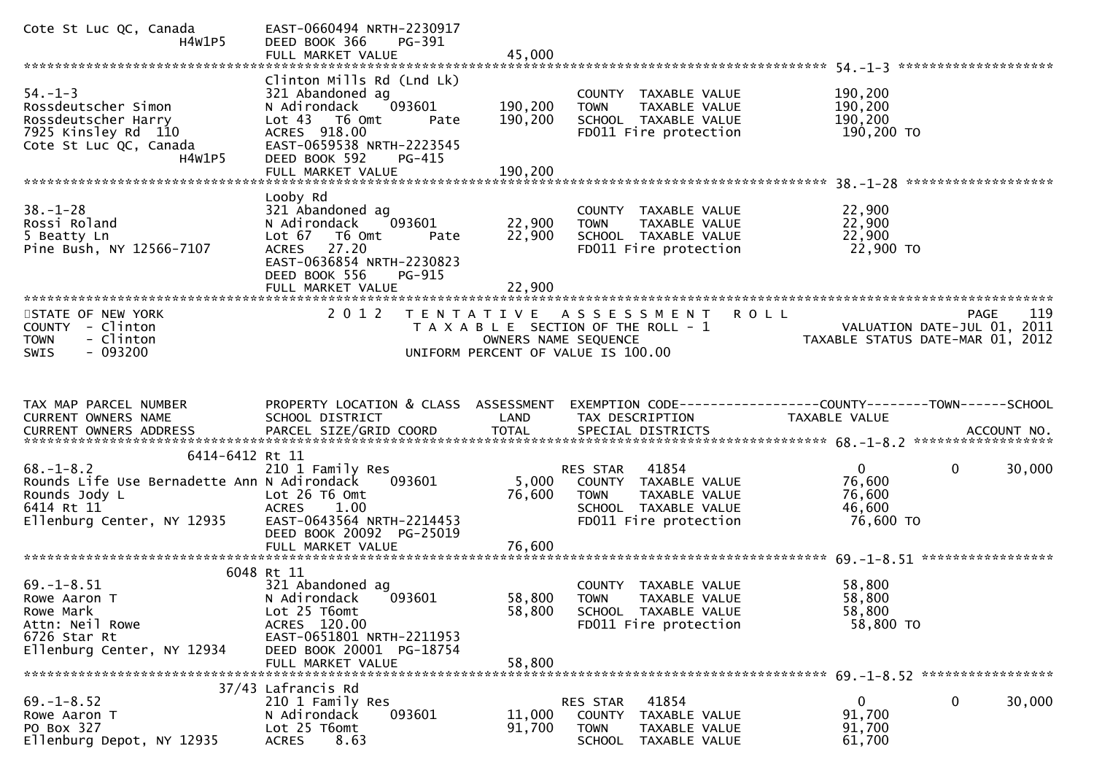| Cote St Luc QC, Canada<br>H4W1P5                                                                                            | EAST-0660494 NRTH-2230917<br>DEED BOOK 366<br>PG-391<br>FULL MARKET VALUE                                                                                                | 45,000             |                                                                                                                                  |                                                                 |                        |
|-----------------------------------------------------------------------------------------------------------------------------|--------------------------------------------------------------------------------------------------------------------------------------------------------------------------|--------------------|----------------------------------------------------------------------------------------------------------------------------------|-----------------------------------------------------------------|------------------------|
|                                                                                                                             |                                                                                                                                                                          |                    |                                                                                                                                  |                                                                 |                        |
| $54. - 1 - 3$<br>Rossdeutscher Simon<br>Rossdeutscher Harry<br>7925 Kinsley Rd 110<br>Cote St Luc QC, Canada<br>H4W1P5      | Clinton Mills Rd (Lnd Lk)<br>321 Abandoned ag<br>093601<br>N Adirondack<br>Lot 43 T6 Omt<br>Pate<br>ACRES 918.00<br>EAST-0659538 NRTH-2223545<br>DEED BOOK 592<br>PG-415 | 190,200<br>190,200 | COUNTY TAXABLE VALUE<br><b>TOWN</b><br>TAXABLE VALUE<br>SCHOOL TAXABLE VALUE<br>FD011 Fire protection                            | 190,200<br>190,200<br>190,200<br>190,200 TO                     |                        |
|                                                                                                                             | FULL MARKET VALUE                                                                                                                                                        | 190,200            |                                                                                                                                  |                                                                 |                        |
|                                                                                                                             |                                                                                                                                                                          |                    |                                                                                                                                  |                                                                 |                        |
| $38. - 1 - 28$<br>Rossi Roland<br>5 Beatty Ln<br>Pine Bush, NY 12566-7107                                                   | Looby Rd<br>321 Abandoned ag<br>093601<br>N Adirondack<br>Lot 67 T6 Omt<br>Pate<br>27.20<br>ACRES<br>EAST-0636854 NRTH-2230823<br>DEED BOOK 556<br>PG-915                | 22,900<br>22,900   | COUNTY TAXABLE VALUE<br><b>TOWN</b><br>TAXABLE VALUE<br>SCHOOL TAXABLE VALUE<br>FD011 Fire protection                            | 22,900<br>22,900<br>22,900<br>22,900 TO                         |                        |
|                                                                                                                             | FULL MARKET VALUE                                                                                                                                                        | 22,900             |                                                                                                                                  |                                                                 |                        |
|                                                                                                                             |                                                                                                                                                                          |                    |                                                                                                                                  |                                                                 |                        |
| STATE OF NEW YORK<br>COUNTY - Clinton<br>- Clinton<br><b>TOWN</b><br>$-093200$<br>SWIS                                      | 2 0 1 2                                                                                                                                                                  |                    | TENTATIVE ASSESSMENT ROLL<br>T A X A B L E SECTION OF THE ROLL - 1<br>OWNERS NAME SEQUENCE<br>UNIFORM PERCENT OF VALUE IS 100.00 | VALUATION DATE-JUL 01, 2011<br>TAXABLE STATUS DATE-MAR 01, 2012 | 119<br><b>PAGE</b>     |
|                                                                                                                             |                                                                                                                                                                          |                    |                                                                                                                                  |                                                                 |                        |
|                                                                                                                             |                                                                                                                                                                          |                    |                                                                                                                                  |                                                                 |                        |
| TAX MAP PARCEL NUMBER<br>CURRENT OWNERS NAME<br>CURRENT OWNERS ADDRESS                                                      | PROPERTY LOCATION & CLASS ASSESSMENT<br>SCHOOL DISTRICT                                                                                                                  | LAND               | EXEMPTION CODE-----------------COUNTY--------TOWN------SCHOOL<br>TAX DESCRIPTION                                                 | TAXABLE VALUE                                                   |                        |
| 6414-6412 Rt 11                                                                                                             |                                                                                                                                                                          |                    |                                                                                                                                  |                                                                 |                        |
| $68. - 1 - 8.2$<br>Rounds Life Use Bernadette Ann N Adirondack<br>Rounds Jody L<br>6414 Rt 11<br>Ellenburg Center, NY 12935 | 210 1 Family Res<br>093601<br>Lot 26 T6 Omt<br>ACRES 1.00<br>EAST-0643564 NRTH-2214453<br>DEED BOOK 20092 PG-25019                                                       | 5,000<br>76,600    | RES STAR 41854<br>COUNTY TAXABLE VALUE<br><b>TOWN</b><br>TAXABLE VALUE<br>SCHOOL TAXABLE VALUE<br>FD011 Fire protection          | $\overline{0}$<br>76,600<br>76,600<br>46,600<br>76,600 TO       | $\mathbf{0}$<br>30,000 |
|                                                                                                                             |                                                                                                                                                                          |                    |                                                                                                                                  |                                                                 |                        |
| $69. - 1 - 8.51$<br>Rowe Aaron T<br>Rowe Mark<br>Attn: Neil Rowe<br>6726 Star Rt                                            | 6048 Rt 11<br>321 Abandoned ag<br>093601<br>N Adirondack<br>Lot 25 T6omt<br>ACRES 120.00<br>EAST-0651801 NRTH-2211953                                                    | 58,800<br>58,800   | COUNTY TAXABLE VALUE<br><b>TOWN</b><br>TAXABLE VALUE<br>SCHOOL TAXABLE VALUE<br>FD011 Fire protection                            | 58,800<br>58,800<br>58,800<br>58,800 TO                         |                        |
| Ellenburg Center, NY 12934                                                                                                  | DEED BOOK 20001 PG-18754<br>FULL MARKET VALUE                                                                                                                            | 58,800             |                                                                                                                                  |                                                                 |                        |
|                                                                                                                             | 37/43 Lafrancis Rd                                                                                                                                                       |                    |                                                                                                                                  |                                                                 |                        |
| $69. - 1 - 8.52$<br>Rowe Aaron T<br>PO Box 327<br>Ellenburg Depot, NY 12935                                                 | 210 1 Family Res<br>093601<br>N Adirondack<br>Lot 25 T6omt<br><b>ACRES</b><br>8.63                                                                                       | 11,000<br>91,700   | 41854<br>RES STAR<br><b>COUNTY</b><br>TAXABLE VALUE<br><b>TOWN</b><br>TAXABLE VALUE<br><b>SCHOOL</b><br>TAXABLE VALUE            | $\mathbf{0}$<br>91,700<br>91,700<br>61,700                      | 0<br>30,000            |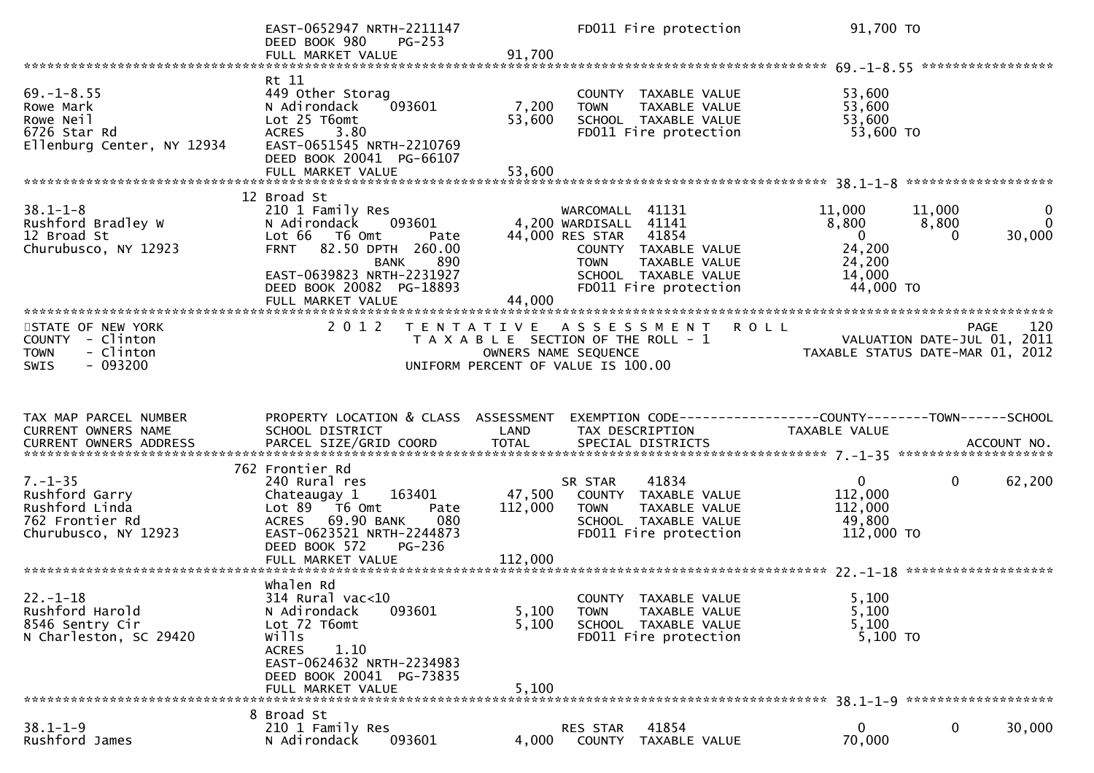|                                                                                               | EAST-0652947 NRTH-2211147<br>DEED BOOK 980<br>PG-253<br>FULL MARKET VALUE                                                                                                                                        | 91,700                    | FD011 Fire protection                                                                                                                                                                          | 91,700 TO                                                                    |                                       |                         |
|-----------------------------------------------------------------------------------------------|------------------------------------------------------------------------------------------------------------------------------------------------------------------------------------------------------------------|---------------------------|------------------------------------------------------------------------------------------------------------------------------------------------------------------------------------------------|------------------------------------------------------------------------------|---------------------------------------|-------------------------|
|                                                                                               |                                                                                                                                                                                                                  |                           |                                                                                                                                                                                                |                                                                              |                                       |                         |
| $69. - 1 - 8.55$<br>Rowe Mark<br>Rowe Neil<br>6726 Star Rd<br>Ellenburg Center, NY 12934      | Rt 11<br>449 Other Storag<br>N Adirondack<br>093601<br>Lot 25 T6omt<br><b>ACRES</b><br>3.80<br>EAST-0651545 NRTH-2210769<br>DEED BOOK 20041 PG-66107<br>FULL MARKET VALUE                                        | 7,200<br>53,600<br>53,600 | COUNTY TAXABLE VALUE<br>TAXABLE VALUE<br><b>TOWN</b><br>SCHOOL TAXABLE VALUE<br>FD011 Fire protection                                                                                          | 53,600<br>53,600<br>53,600<br>53,600 TO                                      |                                       |                         |
|                                                                                               |                                                                                                                                                                                                                  |                           |                                                                                                                                                                                                |                                                                              |                                       |                         |
| $38.1 - 1 - 8$<br>Rushford Bradley W<br>12 Broad St<br>Churubusco, NY 12923                   | 12 Broad St<br>210 1 Family Res<br>N Adirondack<br>093601<br>Lot 66 T6 Omt<br>Pate<br>FRNT 82.50 DPTH 260.00<br><b>BANK</b><br>890<br>EAST-0639823 NRTH-2231927<br>DEED BOOK 20082 PG-18893<br>FULL MARKET VALUE | 44,000                    | WARCOMALL 41131<br>4,200 WARDISALL 41141<br>44,000 RES STAR 41854<br>COUNTY TAXABLE VALUE<br>TAXABLE VALUE<br><b>TOWN</b><br>SCHOOL TAXABLE VALUE<br>FD011 Fire protection                     | 11,000<br>8,800<br>$\overline{0}$<br>24,200<br>24,200<br>14,000<br>44,000 TO | 11,000<br>8,800<br>30,000<br>$\Omega$ | $\mathbf 0$<br>$\Omega$ |
|                                                                                               |                                                                                                                                                                                                                  |                           |                                                                                                                                                                                                |                                                                              |                                       |                         |
| STATE OF NEW YORK<br>COUNTY - Clinton<br>- Clinton<br><b>TOWN</b><br>$-093200$<br><b>SWIS</b> | 2 0 1 2                                                                                                                                                                                                          |                           | TENTATIVE ASSESSMENT ROLL<br>TAXABLE SECTION OF THE ROLL - 1<br>TAXABLE SECTION OF THE ROLL - 1<br>OWNERS NAME SEQUENCE TAXABLE STATUS DATE-MAR 01, 2012<br>UNIFORM PERCENT OF VALUE IS 100.00 |                                                                              | PAGE                                  | 120                     |
|                                                                                               |                                                                                                                                                                                                                  |                           |                                                                                                                                                                                                |                                                                              |                                       |                         |
| TAX MAP PARCEL NUMBER<br>CURRENT OWNERS NAME                                                  | PROPERTY LOCATION & CLASS ASSESSMENT<br>SCHOOL DISTRICT                                                                                                                                                          | LAND                      | EXEMPTION CODE-----------------COUNTY--------TOWN------SCHOOL<br>TAX DESCRIPTION                                                                                                               | TAXABLE VALUE                                                                |                                       |                         |
|                                                                                               |                                                                                                                                                                                                                  |                           |                                                                                                                                                                                                |                                                                              |                                       |                         |
| $7. - 1 - 35$<br>Rushford Garry<br>Rushford Linda<br>762 Frontier Rd<br>Churubusco, NY 12923  | 762 Frontier Rd<br>240 Rural res<br>163401<br>Chateaugay 1<br>Lot 89 T6 Omt<br>Pate<br>ACRES 69.90 BANK<br>080<br>EAST-0623521 NRTH-2244873<br>DEED BOOK 572<br>PG-236                                           | 47,500<br>112,000         | 41834<br>SR STAR<br>COUNTY TAXABLE VALUE<br><b>TOWN</b><br>TAXABLE VALUE<br>SCHOOL TAXABLE VALUE<br>FD011 Fire protection                                                                      | $\overline{0}$<br>112,000<br>112,000<br>49,800<br>112,000 TO                 | $\mathbf{0}$<br>62,200                |                         |
|                                                                                               |                                                                                                                                                                                                                  |                           |                                                                                                                                                                                                |                                                                              |                                       |                         |
| $22. - 1 - 18$<br>Rushford Harold<br>8546 Sentry Cir<br>N Charleston, SC 29420                | whalen Rd<br>314 Rural vac<10<br>093601<br>N Adirondack<br>Lot 72 T6omt<br>wills<br>1.10<br>ACRES<br>EAST-0624632 NRTH-2234983<br>DEED BOOK 20041 PG-73835                                                       | 5,100<br>5,100            | COUNTY TAXABLE VALUE<br>TOWN<br>TAXABLE VALUE<br>SCHOOL TAXABLE VALUE<br>FD011 Fire protection                                                                                                 | 5,100<br>5,100<br>5,100<br>5,100 TO                                          |                                       |                         |
|                                                                                               | FULL MARKET VALUE                                                                                                                                                                                                | 5,100                     |                                                                                                                                                                                                |                                                                              |                                       |                         |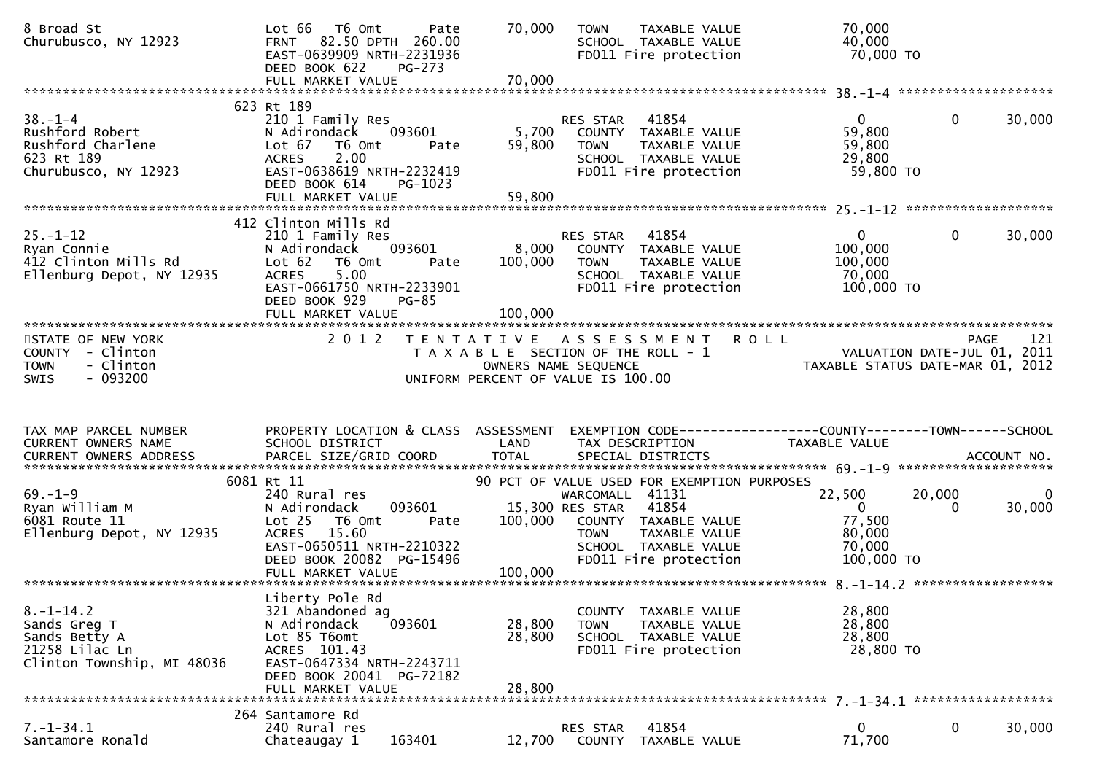| 8 Broad St<br>Churubusco, NY 12923                                                                       | Lot 66<br>T6 Omt<br>Pate<br>FRNT 82.50 DPTH 260.00<br>EAST-0639909 NRTH-2231936<br>DEED BOOK 622<br>PG-273                                                                 | 70,000                      | <b>TOWN</b><br>TAXABLE VALUE<br>TOWN IAANLLL<br>SCHOOL TAXABLE VALUE<br>Cool Fire protection                                                             | 70,000<br>40,000<br>70,000 TO                                        |                    |                          |
|----------------------------------------------------------------------------------------------------------|----------------------------------------------------------------------------------------------------------------------------------------------------------------------------|-----------------------------|----------------------------------------------------------------------------------------------------------------------------------------------------------|----------------------------------------------------------------------|--------------------|--------------------------|
| $38. -1 - 4$<br>Rushford Robert<br>Rushford Charlene<br>233 Bt 180<br>623 Rt 189<br>Churubusco, NY 12923 | 623 Rt 189<br>210 1 Family Res<br>093601<br>N Adirondack<br>Lot 67<br>T6 Omt<br>Pate<br><b>ACRES</b><br>2.00<br>EAST-0638619 NRTH-2232419<br>DEED BOOK 614<br>PG-1023      | 59,800                      | RES STAR 41854<br>5,700 COUNTY TAXABLE VALUE<br><b>TOWN</b><br>TAXABLE VALUE<br>SCHOOL TAXABLE VALUE<br>FD011 Fire protection                            | $\mathbf{0}$<br>59,800<br>59,800<br>29,800<br>59,800 TO              | $\mathbf 0$        | 30,000                   |
|                                                                                                          | 412 Clinton Mills Rd                                                                                                                                                       |                             |                                                                                                                                                          |                                                                      |                    |                          |
|                                                                                                          | 210 1 Family Res<br>093601<br>N Adirondack<br>Lot 62<br>T6 Omt<br>Pate<br>5.00<br><b>ACRES</b><br>EAST-0661750 NRTH-2233901<br>DEED BOOK 929<br>PG-85<br>FULL MARKET VALUE | 8,000<br>100,000<br>100,000 | RES STAR 41854<br>COUNTY TAXABLE VALUE<br><b>TOWN</b><br>TAXABLE VALUE<br>SCHOOL TAXABLE VALUE<br>FD011 Fire protection                                  | $\mathbf{0}$<br>100,000<br>100,000<br>70,000<br>100,000 TO           | $\mathbf{0}$       | 30,000                   |
| STATE OF NEW YORK<br>COUNTY - Clinton<br>- Clinton<br><b>TOWN</b><br>$-093200$<br><b>SWIS</b>            | 2 0 1 2                                                                                                                                                                    |                             | TENTATIVE ASSESSMENT ROLL<br>T A X A B L E SECTION OF THE ROLL - 1<br>OWNERS NAME SEQUENCE<br>OWNERS NAME SEQUENCE<br>UNIFORM PERCENT OF VALUE IS 100.00 |                                                                      | PAGE               | 121                      |
| TAX MAP PARCEL NUMBER<br>CURRENT OWNERS NAME                                                             | PROPERTY LOCATION & CLASS ASSESSMENT EXEMPTION CODE----------------COUNTY-------TOWN------SCHOOL<br>SCHOOL DISTRICT                                                        | LAND                        | TAX DESCRIPTION                                                                                                                                          | TAXABLE VALUE                                                        |                    |                          |
|                                                                                                          | 6081 Rt 11                                                                                                                                                                 |                             | 90 PCT OF VALUE USED FOR EXEMPTION PURPOSES                                                                                                              |                                                                      |                    |                          |
| $69. - 1 - 9$<br>Ryan William M<br>6081 Route 11<br>Ellenburg Depot, NY 12935                            | 240 Rural res<br>N Adirondack<br>093601<br>Lot <sub>25</sub><br>T6 Omt<br>Pate<br>ACRES 15.60<br>EAST-0650511 NRTH-2210322<br>DEED BOOK 20082 PG-15496                     | 100,000                     | WARCOMALL 41131<br>15,300 RES STAR 41854<br>COUNTY TAXABLE VALUE<br>TOWN TAXABLE VALUE<br>SCHOOL TAXABLE VALUE<br>FD011 Fire protection                  | 22,500<br>$\overline{0}$<br>77,500<br>80,000<br>70,000<br>100,000 TO | 20,000<br>$\Omega$ | $\overline{0}$<br>30,000 |
|                                                                                                          | Liberty Pole Rd                                                                                                                                                            |                             |                                                                                                                                                          |                                                                      |                    |                          |
| $8. - 1 - 14.2$<br>Sands Greg T<br>Sands Betty A<br>21258 Lilac Ln<br>Clinton Township, MI 48036         | 321 Abandoned ag<br>N Adirondack<br>093601<br>Lot 85 T6omt<br>ACRES 101.43<br>EAST-0647334 NRTH-2243711<br>DEED BOOK 20041 PG-72182<br>FULL MARKET VALUE                   | 28,800<br>28,800<br>28,800  | COUNTY TAXABLE VALUE<br><b>TOWN</b><br>TAXABLE VALUE<br>SCHOOL TAXABLE VALUE<br>FD011 Fire protection                                                    | 28,800<br>28,800<br>28,800<br>28,800 TO                              |                    |                          |
|                                                                                                          |                                                                                                                                                                            |                             |                                                                                                                                                          |                                                                      |                    |                          |
| $7. - 1 - 34.1$                                                                                          | 264 Santamore Rd                                                                                                                                                           |                             |                                                                                                                                                          |                                                                      |                    |                          |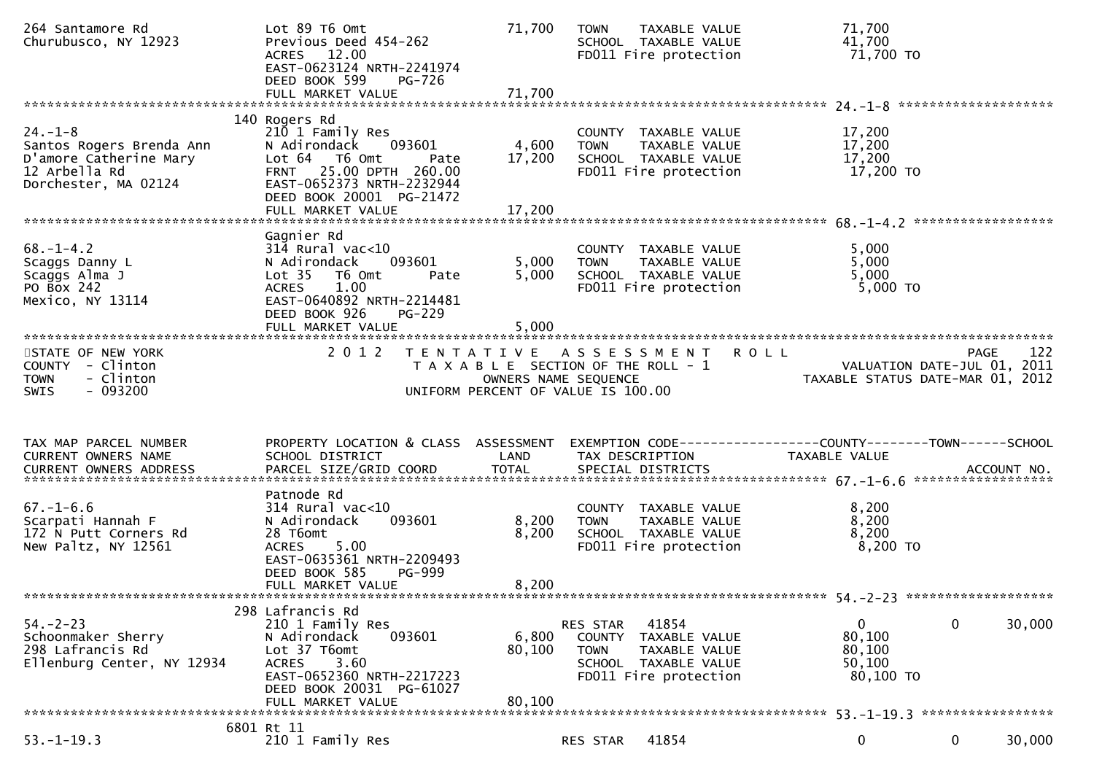| 264 Santamore Rd<br>Churubusco, NY 12923                                                                     | Lot 89 T6 Omt<br>Previous Deed 454-262<br>ACRES 12.00<br>EAST-0623124 NRTH-2241974<br>DEED BOOK 599<br><b>PG-726</b><br>FULL MARKET VALUE                                                     | 71,700<br>71,700          | TAXABLE VALUE<br>TOWN<br>SCHOOL TAXABLE VALUE<br>FD011 Fire protection                                                     | 71.700<br>41,700<br>71,700 TO                                                                 |
|--------------------------------------------------------------------------------------------------------------|-----------------------------------------------------------------------------------------------------------------------------------------------------------------------------------------------|---------------------------|----------------------------------------------------------------------------------------------------------------------------|-----------------------------------------------------------------------------------------------|
|                                                                                                              |                                                                                                                                                                                               |                           |                                                                                                                            |                                                                                               |
| $24. - 1 - 8$<br>Santos Rogers Brenda Ann<br>D'amore Catherine Mary<br>12 Arbella Rd<br>Dorchester, MA 02124 | 140 Rogers Rd<br>210 1 Family Res<br>N Adirondack<br>093601<br>Lot 64  T6 0mt<br>Pate<br>FRNT 25.00 DPTH 260.00<br>EAST-0652373 NRTH-2232944<br>DEED BOOK 20001 PG-21472<br>FULL MARKET VALUE | 4,600<br>17,200<br>17,200 | COUNTY TAXABLE VALUE<br>TAXABLE VALUE<br><b>TOWN</b><br>SCHOOL TAXABLE VALUE<br>FD011 Fire protection                      | 17,200<br>17,200<br>17,200<br>17,200 TO                                                       |
|                                                                                                              |                                                                                                                                                                                               |                           |                                                                                                                            |                                                                                               |
| $68. - 1 - 4.2$<br>Scaggs Danny L<br>Scaggs Alma J<br>PO BOX 242<br>Mexico, NY 13114                         | Gagnier Rd<br>$314$ Rural vac<10<br>N Adirondack<br>093601<br>Lot <sub>35</sub><br>T6 Omt<br>Pate<br>1.00<br><b>ACRES</b><br>EAST-0640892 NRTH-2214481<br>DEED BOOK 926<br>PG-229             | 5,000<br>5,000            | COUNTY TAXABLE VALUE<br>TAXABLE VALUE<br><b>TOWN</b><br>SCHOOL TAXABLE VALUE<br>FD011 Fire protection                      | 5,000<br>5,000<br>5,000<br>5,000 TO                                                           |
|                                                                                                              | FULL MARKET VALUE                                                                                                                                                                             | 5,000                     |                                                                                                                            |                                                                                               |
| STATE OF NEW YORK<br>COUNTY - Clinton<br>- Clinton<br>TOWN<br>$-093200$<br><b>SWIS</b>                       | 2 0 1 2                                                                                                                                                                                       | OWNERS NAME SEQUENCE      | TENTATIVE ASSESSMENT<br>T A X A B L E SECTION OF THE ROLL - 1<br>UNIFORM PERCENT OF VALUE IS 100.00                        | 122<br><b>ROLL</b><br>PAGE<br>VALUATION DATE-JUL 01, 2011<br>TAXABLE STATUS DATE-MAR 01, 2012 |
|                                                                                                              |                                                                                                                                                                                               |                           |                                                                                                                            |                                                                                               |
|                                                                                                              |                                                                                                                                                                                               |                           |                                                                                                                            |                                                                                               |
| TAX MAP PARCEL NUMBER<br>CURRENT OWNERS NAME                                                                 | PROPERTY LOCATION & CLASS ASSESSMENT<br>SCHOOL DISTRICT                                                                                                                                       | LAND                      | TAX DESCRIPTION                                                                                                            | EXEMPTION CODE------------------COUNTY--------TOWN------SCHOOL<br>TAXABLE VALUE               |
|                                                                                                              |                                                                                                                                                                                               |                           |                                                                                                                            |                                                                                               |
| $67. - 1 - 6.6$<br>Scarpati Hannah F<br>172 N Putt Corners Rd<br>New Paltz, NY 12561                         | Patnode Rd<br>$314$ Rural vac<10<br>093601<br>N Adirondack<br>28 T6omt<br>5.00<br><b>ACRES</b><br>EAST-0635361 NRTH-2209493<br>DEED BOOK 585<br>PG-999<br>FULL MARKET VALUE                   | 8,200<br>8,200            | COUNTY TAXABLE VALUE<br><b>TOWN</b><br>TAXABLE VALUE<br>SCHOOL TAXABLE VALUE<br>FD011 Fire protection                      | 8,200<br>8,200<br>8,200<br>$8,200$ TO                                                         |
|                                                                                                              |                                                                                                                                                                                               | 8,200                     |                                                                                                                            |                                                                                               |
| $54. - 2 - 23$<br>Schoonmaker Sherry<br>298 Lafrancis Rd<br>Ellenburg Center, NY 12934                       | 298 Lafrancis Rd<br>210 1 Family Res<br>N Adirondack<br>093601<br>Lot 37 T6omt<br>3.60<br><b>ACRES</b><br>EAST-0652360 NRTH-2217223<br>DEED BOOK 20031 PG-61027                               | 6,800<br>80,100           | RES STAR<br>41854<br>COUNTY TAXABLE VALUE<br><b>TOWN</b><br>TAXABLE VALUE<br>SCHOOL TAXABLE VALUE<br>FD011 Fire protection | $\mathbf 0$<br>30,000<br>0<br>80,100<br>80,100<br>50,100<br>80,100 TO                         |
|                                                                                                              | FULL MARKET VALUE<br>6801 Rt 11                                                                                                                                                               | 80,100                    |                                                                                                                            |                                                                                               |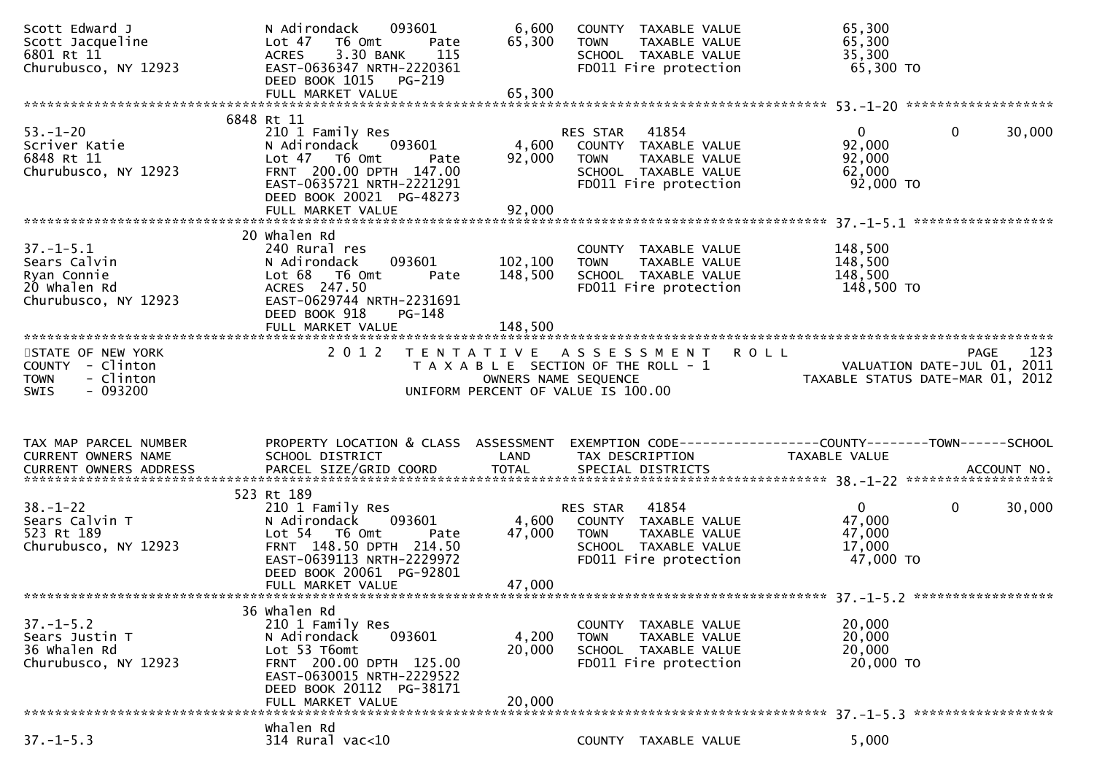| Scott Edward J<br>Scott Jacqueline<br>6801 Rt 11<br>Churubusco, NY 12923               | 093601<br>N Adirondack<br>Lot <sub>47</sub><br>T6 Omt<br>Pate<br>3.30 BANK<br><b>ACRES</b><br>115<br>EAST-0636347 NRTH-2220361<br>DEED BOOK 1015 PG-219                                    | 6,600<br>65,300           | COUNTY TAXABLE VALUE<br><b>TOWN</b><br>TAXABLE VALUE<br>SCHOOL TAXABLE VALUE<br>FD011 Fire protection                      | 65,300<br>65,300<br>35,300<br>65,300 TO                         |                        |
|----------------------------------------------------------------------------------------|--------------------------------------------------------------------------------------------------------------------------------------------------------------------------------------------|---------------------------|----------------------------------------------------------------------------------------------------------------------------|-----------------------------------------------------------------|------------------------|
|                                                                                        |                                                                                                                                                                                            |                           |                                                                                                                            |                                                                 |                        |
| $53. - 1 - 20$<br>Scriver Katie<br>6848 Rt 11<br>Churubusco, NY 12923                  | 6848 Rt 11<br>210 1 Family Res<br>N Adirondack<br>093601<br>Lot 47 T6 Omt<br>Pate<br>FRNT 200.00 DPTH 147.00<br>EAST-0635721 NRTH-2221291<br>DEED BOOK 20021 PG-48273                      | 4,600<br>92,000           | 41854<br>RES STAR<br>COUNTY TAXABLE VALUE<br>TAXABLE VALUE<br><b>TOWN</b><br>SCHOOL TAXABLE VALUE<br>FD011 Fire protection | $\overline{0}$<br>92,000<br>92,000<br>62,000<br>92,000 TO       | 30,000<br>$\mathbf{0}$ |
|                                                                                        | 20 Whalen Rd                                                                                                                                                                               |                           |                                                                                                                            |                                                                 |                        |
| $37. - 1 - 5.1$<br>Sears Calvin<br>Ryan Connie<br>20 whalen Rd<br>Churubusco, NY 12923 | 240 Rural res<br>N Adirondack<br>093601<br>Lot 68 T6 Omt<br>Pate<br>ACRES 247.50<br>EAST-0629744 NRTH-2231691<br>DEED BOOK 918<br>PG-148                                                   | 102, 100<br>148,500       | COUNTY TAXABLE VALUE<br><b>TOWN</b><br>TAXABLE VALUE<br>SCHOOL TAXABLE VALUE<br>FD011 Fire protection                      | 148,500<br>148,500<br>148,500<br>148,500 TO                     |                        |
|                                                                                        |                                                                                                                                                                                            |                           |                                                                                                                            |                                                                 |                        |
| STATE OF NEW YORK<br>COUNTY - Clinton<br>- Clinton<br><b>TOWN</b>                      | 2 0 1 2                                                                                                                                                                                    | OWNERS NAME SEQUENCE      | TENTATIVE ASSESSMENT<br><b>ROLL</b><br>T A X A B L E SECTION OF THE ROLL - 1                                               | VALUATION DATE-JUL 01, 2011<br>TAXABLE STATUS DATE-MAR 01, 2012 | 123<br>PAGE            |
| - 093200<br><b>SWIS</b>                                                                |                                                                                                                                                                                            |                           | UNIFORM PERCENT OF VALUE IS 100.00                                                                                         |                                                                 |                        |
|                                                                                        |                                                                                                                                                                                            |                           |                                                                                                                            |                                                                 |                        |
| TAX MAP PARCEL NUMBER<br>CURRENT OWNERS NAME                                           | PROPERTY LOCATION & CLASS ASSESSMENT<br>SCHOOL DISTRICT                                                                                                                                    | LAND                      | EXEMPTION CODE------------------COUNTY--------TOWN------SCHOOL<br>TAX DESCRIPTION                                          | TAXABLE VALUE                                                   |                        |
|                                                                                        |                                                                                                                                                                                            |                           |                                                                                                                            |                                                                 |                        |
| $38. - 1 - 22$<br>Sears Calvin T<br>523 Rt 189<br>Churubusco, NY 12923                 | 523 Rt 189<br>210 1 Family Res<br>N Adirondack<br>093601<br>Lot 54 T6 Omt<br>Pate<br>FRNT 148.50 DPTH 214.50<br>EAST-0639113 NRTH-2229972<br>DEED BOOK 20061 PG-92801<br>FULL MARKET VALUE | 4,600<br>47,000<br>47,000 | 41854<br>RES STAR<br>COUNTY TAXABLE VALUE<br>TAXABLE VALUE<br><b>TOWN</b><br>SCHOOL TAXABLE VALUE<br>FD011 Fire protection | $\mathbf{0}$<br>47,000<br>47,000<br>17,000<br>47,000 TO         | $\mathbf{0}$<br>30,000 |
|                                                                                        |                                                                                                                                                                                            |                           |                                                                                                                            |                                                                 |                        |
| $37. - 1 - 5.2$<br>Sears Justin T<br>36 Whalen Rd<br>Churubusco, NY 12923              | 36 Whalen Rd<br>210 1 Family Res<br>N Adirondack<br>093601<br>Lot 53 T6omt<br>FRNT 200.00 DPTH 125.00<br>EAST-0630015 NRTH-2229522<br>DEED BOOK 20112 PG-38171<br>FULL MARKET VALUE        | 4,200<br>20,000<br>20,000 | COUNTY TAXABLE VALUE<br><b>TOWN</b><br>TAXABLE VALUE<br>SCHOOL TAXABLE VALUE<br>FD011 Fire protection                      | 20,000<br>20,000<br>20,000<br>20,000 TO                         |                        |
|                                                                                        | Whalen Rd                                                                                                                                                                                  |                           |                                                                                                                            |                                                                 |                        |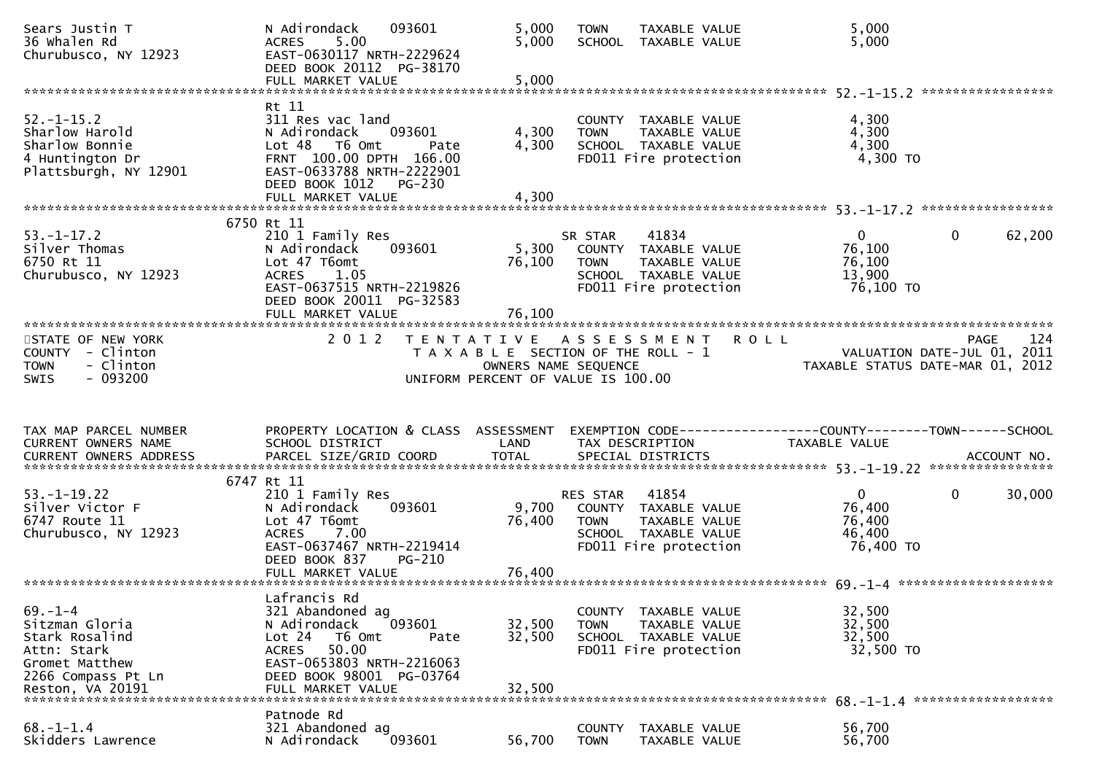| Sears Justin T<br>36 Whalen Rd<br>Churubusco, NY 12923                                           | 093601<br>N Adirondack<br>5.00<br><b>ACRES</b><br>EAST-0630117 NRTH-2229624<br>DEED BOOK 20112 PG-38170<br>FULL MARKET VALUE                                            | 5,000<br>5,000<br>5,000 | <b>TOWN</b><br>TAXABLE VALUE<br>SCHOOL TAXABLE VALUE                                                                                       | 5,000<br>5,000                                                                    |
|--------------------------------------------------------------------------------------------------|-------------------------------------------------------------------------------------------------------------------------------------------------------------------------|-------------------------|--------------------------------------------------------------------------------------------------------------------------------------------|-----------------------------------------------------------------------------------|
|                                                                                                  |                                                                                                                                                                         |                         |                                                                                                                                            |                                                                                   |
| $52. - 1 - 15.2$<br>Sharlow Harold<br>Sharlow Bonnie<br>4 Huntington Dr<br>Plattsburgh, NY 12901 | Rt 11<br>311 Res vac land<br>N Adirondack<br>093601<br>Lot 48 T6 Omt<br>Pate<br>FRNT 100.00 DPTH 166.00<br>EAST-0633788 NRTH-2222901<br>DEED BOOK 1012<br><b>PG-230</b> | 4,300<br>4,300          | COUNTY TAXABLE VALUE<br><b>TOWN</b><br>TAXABLE VALUE<br>SCHOOL TAXABLE VALUE<br>FD011 Fire protection                                      | 4,300<br>4,300<br>4,300<br>4,300 TO                                               |
|                                                                                                  | FULL MARKET VALUE                                                                                                                                                       | 4,300                   |                                                                                                                                            |                                                                                   |
| $53. - 1 - 17.2$<br>Silver Thomas<br>6750 Rt 11<br>Churubusco, NY 12923                          | 6750 Rt 11<br>210 1 Family Res<br>N Adirondack<br>093601<br>Lot 47 T6omt<br><b>ACRES</b><br>1.05<br>EAST-0637515 NRTH-2219826<br>DEED BOOK 20011 PG-32583               | 5,300<br>76,100         | SR STAR<br>41834<br>COUNTY TAXABLE VALUE<br><b>TOWN</b><br>TAXABLE VALUE<br>SCHOOL TAXABLE VALUE<br>FD011 Fire protection                  | $\mathbf{0}$<br>$\mathbf{0}$<br>62,200<br>76,100<br>76,100<br>13,900<br>76,100 TO |
|                                                                                                  | FULL MARKET VALUE                                                                                                                                                       | 76,100                  |                                                                                                                                            |                                                                                   |
| STATE OF NEW YORK<br>COUNTY - Clinton<br>- Clinton<br><b>TOWN</b><br>$-093200$<br><b>SWIS</b>    | 2 0 1 2                                                                                                                                                                 |                         | TENTATIVE ASSESSMENT<br><b>ROLL</b><br>T A X A B L E SECTION OF THE ROLL - 1<br>OWNERS NAME SEQUENCE<br>UNIFORM PERCENT OF VALUE IS 100.00 | 124<br>PAGE<br>VALUATION DATE-JUL 01, 2011<br>TAXABLE STATUS DATE-MAR 01, 2012    |
|                                                                                                  |                                                                                                                                                                         |                         |                                                                                                                                            |                                                                                   |
| TAX MAP PARCEL NUMBER<br>CURRENT OWNERS NAME                                                     | PROPERTY LOCATION & CLASS ASSESSMENT<br>SCHOOL DISTRICT                                                                                                                 | LAND                    | TAX DESCRIPTION                                                                                                                            | EXEMPTION CODE------------------COUNTY--------TOWN------SCHOOL<br>TAXABLE VALUE   |
| $53. - 1 - 19.22$<br>Silver Victor F<br>6747 Route 11<br>Churubusco, NY 12923                    | 6747 Rt 11<br>210 1 Family Res<br>093601<br>N Adirondack<br>Lot 47 T6omt<br>7.00<br><b>ACRES</b><br>EAST-0637467 NRTH-2219414<br>DEED BOOK 837<br>PG-210                | 9,700<br>76,400         | 41854<br>RES STAR<br>COUNTY TAXABLE VALUE<br><b>TOWN</b><br>TAXABLE VALUE<br>SCHOOL TAXABLE VALUE<br>FD011 Fire protection                 | $\mathbf{0}$<br>30,000<br>$\mathbf{0}$<br>76,400<br>76,400<br>46,400<br>76,400 TO |
| $69. - 1 - 4$<br>Sitzman Gloria                                                                  | Lafrancis Rd<br>321 Abandoned ag<br>093601<br>N Adirondack                                                                                                              | 32,500                  | COUNTY TAXABLE VALUE<br>TAXABLE VALUE<br><b>TOWN</b>                                                                                       | 32,500<br>32,500                                                                  |
| Stark Rosalind<br>Attn: Stark<br>Gromet Matthew<br>2266 Compass Pt Ln<br>Reston, VA 20191        | Lot 24<br>T6 Omt<br>Pate<br>50.00<br><b>ACRES</b><br>EAST-0653803 NRTH-2216063<br>DEED BOOK 98001 PG-03764<br>FULL MARKET VALUE                                         | 32,500<br>32,500        | SCHOOL TAXABLE VALUE<br>FD011 Fire protection                                                                                              | 32,500<br>32,500 TO                                                               |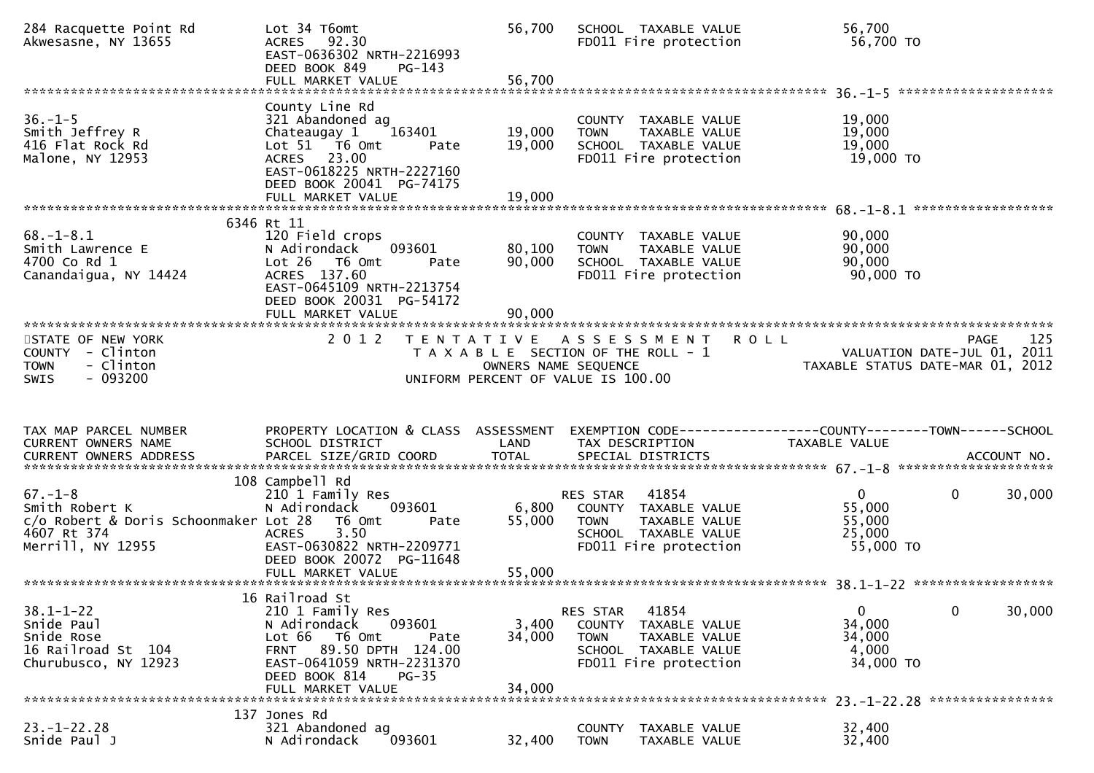| 284 Racquette Point Rd<br>Akwesasne, NY 13655                                                                | Lot 34 T6omt<br>ACRES 92.30<br>EAST-0636302 NRTH-2216993<br>DEED BOOK 849<br>$PG-143$<br>FULL MARKET VALUE                                                                        | 56,700<br>56,700           | SCHOOL TAXABLE VALUE<br>FD011 Fire protection                                                                                             | 56,700<br>56,700 TO                                                                           |        |
|--------------------------------------------------------------------------------------------------------------|-----------------------------------------------------------------------------------------------------------------------------------------------------------------------------------|----------------------------|-------------------------------------------------------------------------------------------------------------------------------------------|-----------------------------------------------------------------------------------------------|--------|
|                                                                                                              | County Line Rd                                                                                                                                                                    |                            |                                                                                                                                           |                                                                                               |        |
| $36. - 1 - 5$<br>Smith Jeffrey R<br>416 Flat Rock Rd<br>Malone, NY 12953                                     | 321 Abandoned ag<br>Chateaugay 1<br>163401<br>Lot 51 T6 Omt<br>Pate<br>ACRES 23.00<br>EAST-0618225 NRTH-2227160<br>DEED BOOK 20041 PG-74175                                       | 19,000<br>19,000           | COUNTY TAXABLE VALUE<br>TAXABLE VALUE<br><b>TOWN</b><br>SCHOOL TAXABLE VALUE<br>FD011 Fire protection                                     | 19,000<br>19,000<br>19,000<br>19,000 TO                                                       |        |
|                                                                                                              | FULL MARKET VALUE                                                                                                                                                                 | 19,000                     |                                                                                                                                           |                                                                                               |        |
| $68. - 1 - 8.1$<br>Smith Lawrence E<br>4700 Co Rd 1<br>Canandaigua, NY 14424                                 | 6346 Rt 11<br>120 Field crops<br>N Adirondack<br>093601<br>Lot 26<br>T6 Omt<br>Pate<br>ACRES 137.60<br>EAST-0645109 NRTH-2213754<br>DEED BOOK 20031 PG-54172<br>FULL MARKET VALUE | 80,100<br>90,000<br>90,000 | COUNTY TAXABLE VALUE<br><b>TOWN</b><br>TAXABLE VALUE<br>SCHOOL TAXABLE VALUE<br>FD011 Fire protection                                     | 90,000<br>90,000<br>90,000<br>90,000 TO                                                       |        |
| STATE OF NEW YORK<br>COUNTY - Clinton<br>- Clinton<br><b>TOWN</b><br>$-093200$<br><b>SWIS</b>                | 2 0 1 2                                                                                                                                                                           | T E N T A T I V E          | <b>ROLL</b><br>A S S E S S M E N T<br>T A X A B L E SECTION OF THE ROLL - 1<br>OWNERS NAME SEQUENCE<br>UNIFORM PERCENT OF VALUE IS 100.00 | <b>PAGE</b><br>VALUATION DATE-JUL 01, 2011<br>TAXABLE STATUS DATE-MAR 01, 2012                | 125    |
|                                                                                                              |                                                                                                                                                                                   |                            |                                                                                                                                           |                                                                                               |        |
| TAX MAP PARCEL NUMBER<br>CURRENT OWNERS NAME<br>CURRENT OWNERS ADDRESS                                       | PROPERTY LOCATION & CLASS ASSESSMENT<br>SCHOOL DISTRICT<br>PARCEL SIZE/GRID COORD                                                                                                 | LAND<br><b>TOTAL</b>       | TAX DESCRIPTION<br>SPECIAL DISTRICTS                                                                                                      | EXEMPTION CODE-----------------COUNTY--------TOWN------SCHOOL<br>TAXABLE VALUE<br>ACCOUNT NO. |        |
| $67. - 1 - 8$<br>Smith Robert K<br>c/o Robert & Doris Schoonmaker Lot 28<br>4607 Rt 374<br>Merrill, NY 12955 | 108 Campbell Rd<br>210 1 Family Res<br>N Adirondack<br>093601<br>T6 Omt<br>Pate<br>3.50<br><b>ACRES</b><br>EAST-0630822 NRTH-2209771<br>DEED BOOK 20072 PG-11648                  | 6,800<br>55,000            | 41854<br>RES STAR<br>COUNTY TAXABLE VALUE<br><b>TOWN</b><br>TAXABLE VALUE<br>SCHOOL TAXABLE VALUE<br>FD011 Fire protection                | $\mathbf{0}$<br>$\mathbf{0}$<br>55,000<br>55,000<br>25,000<br>55,000 TO                       | 30,000 |
|                                                                                                              | 16 Railroad St                                                                                                                                                                    |                            |                                                                                                                                           |                                                                                               |        |
| $38.1 - 1 - 22$<br>Snide Paul<br>Snide Rose<br>16 Railroad St 104<br>Churubusco, NY 12923                    | 210 1 Family Res<br>N Adirondack<br>093601<br>Lot 66 T6 Omt<br>Pate<br>FRNT 89.50 DPTH 124.00<br>EAST-0641059 NRTH-2231370<br>$PG-35$                                             | 3,400<br>34,000            | 41854<br>RES STAR<br>COUNTY TAXABLE VALUE<br><b>TOWN</b><br>TAXABLE VALUE<br>SCHOOL TAXABLE VALUE<br>FD011 Fire protection                | $\mathbf{0}$<br>0<br>34,000<br>34,000<br>4,000<br>34,000 TO                                   | 30,000 |
|                                                                                                              | DEED BOOK 814<br>FULL MARKET VALUE                                                                                                                                                | 34,000                     |                                                                                                                                           |                                                                                               |        |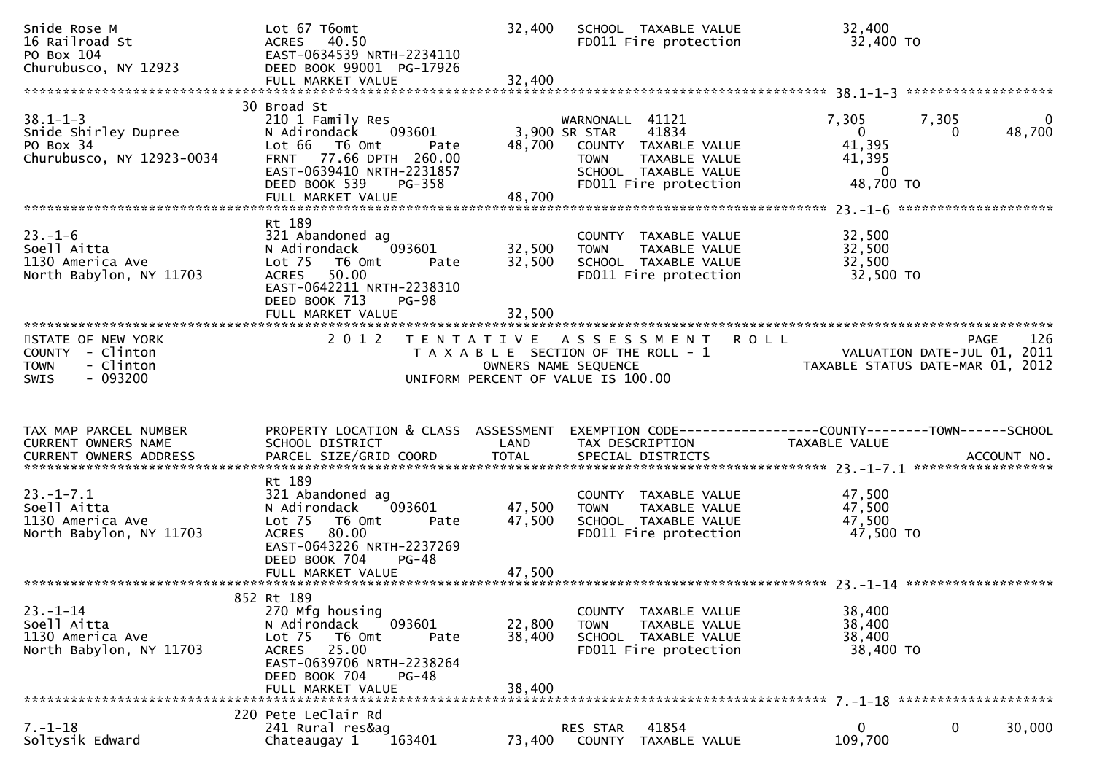| Snide Rose M<br>16 Railroad St<br>PO Box 104<br>Churubusco, NY 12923                         | Lot 67 T6omt<br>ACRES 40.50<br>EAST-0634539 NRTH-2234110<br>DEED BOOK 99001 PG-17926<br>FULL MARKET VALUE                                                                                   | 32,400<br>32,400           | SCHOOL TAXABLE VALUE<br>FD011 Fire protection                                                                                                             | 32,400<br>32,400 TO                                                      |                                     |
|----------------------------------------------------------------------------------------------|---------------------------------------------------------------------------------------------------------------------------------------------------------------------------------------------|----------------------------|-----------------------------------------------------------------------------------------------------------------------------------------------------------|--------------------------------------------------------------------------|-------------------------------------|
|                                                                                              | 30 Broad St                                                                                                                                                                                 |                            |                                                                                                                                                           |                                                                          |                                     |
| $38.1 - 1 - 3$<br>Snide Shirley Dupree<br>PO Box 34<br>Churubusco, NY 12923-0034             | 210 1 Family Res<br>093601<br>N Adirondack<br>Lot 66<br>T6 Omt<br>Pate<br>FRNT 77.66 DPTH 260.00<br>EAST-0639410 NRTH-2231857<br>DEED BOOK 539<br><b>PG-358</b><br>FULL MARKET VALUE        | 48,700                     | WARNONALL 41121<br>41834<br>3,900 SR STAR<br>48,700 COUNTY TAXABLE VALUE<br>TAXABLE VALUE<br><b>TOWN</b><br>SCHOOL TAXABLE VALUE<br>FD011 Fire protection | 7,305<br>$\mathbf{0}$<br>41,395<br>41,395<br>$\overline{0}$<br>48,700 TO | 7,305<br>$\mathbf 0$<br>48,700<br>0 |
|                                                                                              |                                                                                                                                                                                             |                            |                                                                                                                                                           |                                                                          |                                     |
| $23. - 1 - 6$<br>Soell Aitta<br>1130 America Ave<br>North Babylon, NY 11703                  | Rt 189<br>321 Abandoned ag<br>093601<br>N Adirondack<br>Lot <sub>75</sub><br>T6 Omt<br>Pate<br>ACRES 50.00<br>EAST-0642211 NRTH-2238310<br>DEED BOOK 713<br>$PG-98$<br>FULL MARKET VALUE    | 32,500<br>32,500<br>32,500 | COUNTY TAXABLE VALUE<br>TAXABLE VALUE<br>TOWN<br>SCHOOL TAXABLE VALUE<br>FD011 Fire protection                                                            | 32,500<br>32,500<br>32,500<br>32,500 TO                                  |                                     |
|                                                                                              |                                                                                                                                                                                             |                            |                                                                                                                                                           |                                                                          |                                     |
| STATE OF NEW YORK<br>COUNTY - Clinton<br>- Clinton<br><b>TOWN</b><br>- 093200<br><b>SWIS</b> | 2 0 1 2                                                                                                                                                                                     | OWNERS NAME SEQUENCE       | TENTATIVE ASSESSMENT ROLL<br>T A X A B L E SECTION OF THE ROLL - 1<br>UNIFORM PERCENT OF VALUE IS 100.00                                                  | VALUATION DATE-JUL 01, 2011<br>TAXABLE STATUS DATE-MAR 01, 2012          | 126<br>PAGE                         |
| TAX MAP PARCEL NUMBER<br>CURRENT OWNERS NAME                                                 | PROPERTY LOCATION & CLASS ASSESSMENT<br>SCHOOL DISTRICT                                                                                                                                     | LAND                       | EXEMPTION CODE------------------COUNTY--------TOWN------SCHOOL<br>TAX DESCRIPTION                                                                         | TAXABLE VALUE                                                            |                                     |
|                                                                                              |                                                                                                                                                                                             |                            |                                                                                                                                                           |                                                                          |                                     |
| $23. - 1 - 7.1$<br>Soell Aitta<br>1130 America Ave<br>North Babylon, NY 11703                | Rt 189<br>321 Abandoned ag<br>N Adirondack<br>093601<br>Lot <sub>75</sub><br>T6 Omt<br>Pate<br>ACRES 80.00<br>EAST-0643226 NRTH-2237269<br>$PG-48$<br>DEED BOOK 704                         | 47,500<br>47,500           | COUNTY TAXABLE VALUE<br><b>TOWN</b><br>TAXABLE VALUE<br>SCHOOL TAXABLE VALUE<br>FD011 Fire protection                                                     | 47,500<br>47,500<br>47,500<br>47,500 TO                                  |                                     |
|                                                                                              |                                                                                                                                                                                             |                            |                                                                                                                                                           |                                                                          |                                     |
| $23. - 1 - 14$<br>Soell Aitta<br>1130 America Ave<br>North Babylon, NY 11703                 | 852 Rt 189<br>270 Mfg housing<br>N Adirondack<br>093601<br>Lot <sub>75</sub><br>T6 Omt<br>Pate<br>ACRES 25.00<br>EAST-0639706 NRTH-2238264<br>DEED BOOK 704<br>$PG-48$<br>FULL MARKET VALUE | 22,800<br>38,400<br>38,400 | COUNTY TAXABLE VALUE<br><b>TOWN</b><br>TAXABLE VALUE<br>SCHOOL TAXABLE VALUE<br>FD011 Fire protection                                                     | 38,400<br>38,400<br>38,400<br>38,400 TO                                  |                                     |
|                                                                                              | 220 Pete LeClair Rd                                                                                                                                                                         |                            |                                                                                                                                                           |                                                                          |                                     |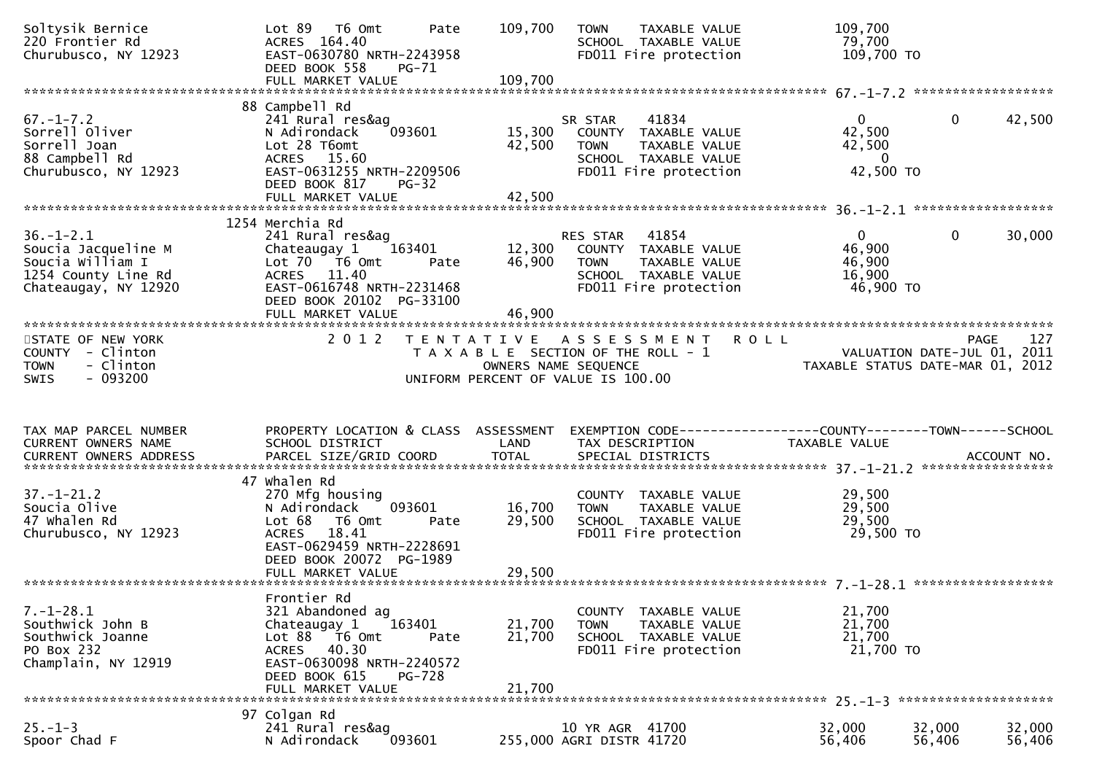| Soltysik Bernice<br>220 Frontier Rd<br>Churubusco, NY 12923                                               | Lot 89 T6 Omt<br>Pate<br>ACRES 164.40<br>EAST-0630780 NRTH-2243958<br>DEED BOOK 558<br><b>PG-71</b><br>FULL MARKET VALUE                                                                 | 109,700<br>109,700         | TAXABLE VALUE<br><b>TOWN</b><br>SCHOOL TAXABLE VALUE<br>FD011 Fire protection                                              | 109,700<br>79,700<br>109,700 TO                                 |                        |
|-----------------------------------------------------------------------------------------------------------|------------------------------------------------------------------------------------------------------------------------------------------------------------------------------------------|----------------------------|----------------------------------------------------------------------------------------------------------------------------|-----------------------------------------------------------------|------------------------|
|                                                                                                           | 88 Campbell Rd                                                                                                                                                                           |                            |                                                                                                                            |                                                                 |                        |
| $67. - 1 - 7.2$<br>Sorrell Oliver<br>Sorrell Joan<br>88 Campbell Rd<br>Churubusco, NY 12923               | 241 Rural res&ag<br>093601<br>N Adirondack<br>Lot 28 T6omt<br>ACRES 15.60<br>EAST-0631255 NRTH-2209506<br>DEED BOOK 817<br>$PG-32$                                                       | 15,300<br>42,500           | 41834<br>SR STAR<br>COUNTY TAXABLE VALUE<br><b>TOWN</b><br>TAXABLE VALUE<br>SCHOOL TAXABLE VALUE<br>FD011 Fire protection  | $\Omega$<br>42,500<br>42,500<br>$\Omega$<br>42,500 TO           | $\mathbf{0}$<br>42,500 |
|                                                                                                           | FULL MARKET VALUE                                                                                                                                                                        | 42,500                     |                                                                                                                            |                                                                 |                        |
| $36. - 1 - 2.1$<br>Soucia Jacqueline M<br>Soucia William I<br>1254 County Line Rd<br>Chateaugay, NY 12920 | 1254 Merchia Rd<br>241 Rural res&ag<br>163401<br>Chateaugay 1<br>Lot 70  T6 0mt<br>Pate<br>ACRES 11.40<br>EAST-0616748 NRTH-2231468<br>DEED BOOK 20102 PG-33100                          | 12,300<br>46,900           | RES STAR<br>41854<br>COUNTY TAXABLE VALUE<br><b>TOWN</b><br>TAXABLE VALUE<br>SCHOOL TAXABLE VALUE<br>FD011 Fire protection | $\overline{0}$<br>46,900<br>46,900<br>16,900<br>46,900 TO       | $\mathbf{0}$<br>30,000 |
|                                                                                                           | FULL MARKET VALUE                                                                                                                                                                        | 46,900                     |                                                                                                                            |                                                                 |                        |
| STATE OF NEW YORK<br>COUNTY - Clinton<br><b>TOWN</b><br>- Clinton<br>$-093200$<br><b>SWIS</b>             | 2 0 1 2                                                                                                                                                                                  | OWNERS NAME SEQUENCE       | <b>ROLL</b><br>TENTATIVE ASSESSMENT<br>T A X A B L E SECTION OF THE ROLL - 1<br>UNIFORM PERCENT OF VALUE IS 100.00         | VALUATION DATE-JUL 01, 2011<br>TAXABLE STATUS DATE-MAR 01, 2012 | 127<br>PAGE            |
| TAX MAP PARCEL NUMBER<br>CURRENT OWNERS NAME<br><b>CURRENT OWNERS ADDRESS</b>                             | PROPERTY LOCATION & CLASS ASSESSMENT<br>SCHOOL DISTRICT                                                                                                                                  | LAND                       | EXEMPTION CODE------------------COUNTY--------TOWN------SCHOOL<br>TAX DESCRIPTION                                          | TAXABLE VALUE                                                   |                        |
|                                                                                                           |                                                                                                                                                                                          |                            |                                                                                                                            |                                                                 | ACCOUNT NO.            |
| $37. - 1 - 21.2$<br>Soucia Olive<br>47 whalen Rd<br>Churubusco, NY 12923                                  | 47 Whalen Rd<br>270 Mfg housing<br>N Adirondack<br>093601<br>Lot 68<br>T6 Omt<br>Pate<br>18.41<br><b>ACRES</b><br>EAST-0629459 NRTH-2228691<br>DEED BOOK 20072 PG-1989                   | 16,700<br>29,500           | COUNTY TAXABLE VALUE<br>TAXABLE VALUE<br><b>TOWN</b><br>SCHOOL TAXABLE VALUE<br>FD011 Fire protection                      | 29,500<br>29,500<br>29,500<br>29,500 TO                         | ******************     |
|                                                                                                           |                                                                                                                                                                                          |                            |                                                                                                                            |                                                                 |                        |
| $7. - 1 - 28.1$<br>Southwick John B<br>Southwick Joanne<br>PO Box 232<br>Champlain, NY 12919              | Frontier Rd<br>321 Abandoned ag<br>163401<br>Chateaugay 1<br>Lot 88<br>T6 Omt<br>Pate<br>ACRES 40.30<br>EAST-0630098 NRTH-2240572<br>DEED BOOK 615<br><b>PG-728</b><br>FULL MARKET VALUE | 21,700<br>21,700<br>21,700 | COUNTY TAXABLE VALUE<br><b>TOWN</b><br>TAXABLE VALUE<br>SCHOOL TAXABLE VALUE<br>FD011 Fire protection                      | 21,700<br>21,700<br>21,700<br>21,700 TO                         |                        |
|                                                                                                           | 97 Colgan Rd                                                                                                                                                                             |                            |                                                                                                                            |                                                                 |                        |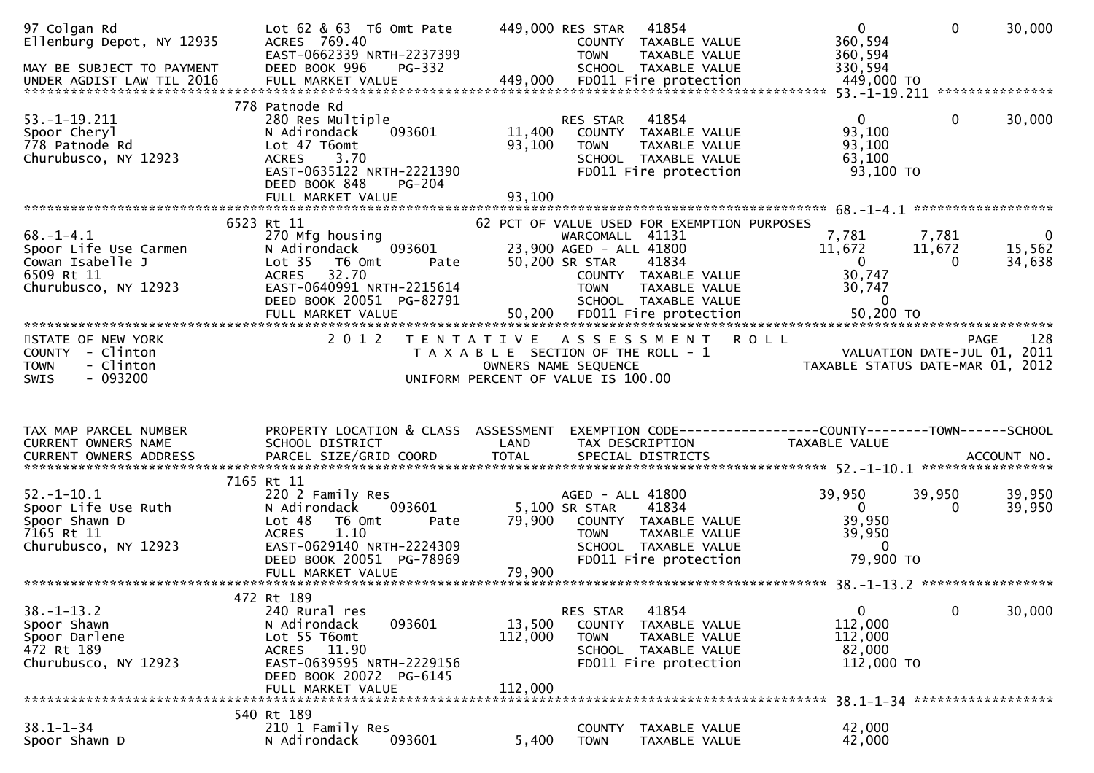| 97 Colgan Rd<br>Ellenburg Depot, NY 12935<br>MAY BE SUBJECT TO PAYMENT<br>UNDER AGDIST LAW TIL 2016 | Lot 62 & 63 T6 Omt Pate<br>ACRES 769.40<br>EAST-0662339 NRTH-2237399<br>DEED BOOK 996<br>$PG-332$<br>FULL MARKET VALUE                                                                     | 449,000 RES STAR<br>41854<br>COUNTY TAXABLE VALUE<br><b>TOWN</b><br>TAXABLE VALUE<br>SCHOOL TAXABLE VALUE<br>449,000<br>FD011 Fire protection                                                        | $\mathbf{0}$<br>$\mathbf 0$<br>360,594<br>360,594<br>330,594<br>449,000 TO                         | 30,000                             |
|-----------------------------------------------------------------------------------------------------|--------------------------------------------------------------------------------------------------------------------------------------------------------------------------------------------|------------------------------------------------------------------------------------------------------------------------------------------------------------------------------------------------------|----------------------------------------------------------------------------------------------------|------------------------------------|
| $53. - 1 - 19.211$<br>Spoor Cheryl<br>778 Patnode Rd<br>Churubusco, NY 12923                        | 778 Patnode Rd<br>280 Res Multiple<br>093601<br>N Adirondack<br>Lot 47 T6omt<br>3.70<br><b>ACRES</b><br>EAST-0635122 NRTH-2221390<br>DEED BOOK 848<br><b>PG-204</b>                        | 41854<br>RES STAR<br>11,400<br>COUNTY TAXABLE VALUE<br>93,100<br><b>TOWN</b><br>TAXABLE VALUE<br>SCHOOL TAXABLE VALUE<br>FD011 Fire protection                                                       | $\overline{0}$<br>$\mathbf{0}$<br>93,100<br>93,100<br>63,100<br>93,100 TO                          | 30,000                             |
|                                                                                                     | FULL MARKET VALUE                                                                                                                                                                          | 93,100                                                                                                                                                                                               |                                                                                                    |                                    |
| $68. - 1 - 4.1$<br>Spoor Life Use Carmen<br>Cowan Isabelle J<br>6509 Rt 11<br>Churubusco, NY 12923  | 6523 Rt 11<br>270 Mfg housing<br>093601<br>N Adirondack<br>Lot <sub>35</sub><br>T6 Omt<br>Pate<br>32.70<br><b>ACRES</b><br>EAST-0640991 NRTH-2215614<br>DEED BOOK 20051 PG-82791           | 62 PCT OF VALUE USED FOR EXEMPTION PURPOSES<br>WARCOMALL 41131<br>23,900 AGED - ALL 41800<br>50,200 SR STAR<br>41834<br>COUNTY TAXABLE VALUE<br><b>TOWN</b><br>TAXABLE VALUE<br>SCHOOL TAXABLE VALUE | 7,781<br>7,781<br>11,672<br>11,672<br>$\mathbf{0}$<br>$\Omega$<br>30,747<br>30,747<br>$\mathbf{0}$ | $\overline{0}$<br>15,562<br>34,638 |
| STATE OF NEW YORK<br>COUNTY - Clinton<br>- Clinton<br><b>TOWN</b><br>$-093200$<br>SWIS              | 2 0 1 2                                                                                                                                                                                    | TENTATIVE ASSESSMENT ROLL<br>T A X A B L E SECTION OF THE ROLL - 1<br>OWNERS NAME SEQUENCE<br>UNIFORM PERCENT OF VALUE IS 100.00                                                                     | PAGE<br>VALUATION DATE-JUL 01, 2011<br>TAXABLE STATUS DATE-MAR 01, 2012                            | 128                                |
| TAX MAP PARCEL NUMBER<br>CURRENT OWNERS NAME<br><b>CURRENT OWNERS ADDRESS</b>                       | PROPERTY LOCATION & CLASS ASSESSMENT<br>SCHOOL DISTRICT<br>PARCEL SIZE/GRID COORD                                                                                                          | LAND<br>TAX DESCRIPTION<br><b>TOTAL</b><br>SPECIAL DISTRICTS                                                                                                                                         | EXEMPTION CODE------------------COUNTY--------TOWN------SCHOOL<br>TAXABLE VALUE<br>ACCOUNT NO.     |                                    |
| $52. - 1 - 10.1$<br>Spoor Life Use Ruth<br>Spoor Shawn D<br>7165 Rt 11<br>Churubusco, NY 12923      | 7165 Rt 11<br>220 2 Family Res<br>N Adirondack<br>093601<br>Lot 48<br>T6 Omt<br>Pate<br>1.10<br><b>ACRES</b><br>EAST-0629140 NRTH-2224309<br>DEED BOOK 20051 PG-78969<br>FULL MARKET VALUE | AGED - ALL 41800<br>5,100 SR STAR<br>41834<br>79,900<br>COUNTY TAXABLE VALUE<br><b>TOWN</b><br>TAXABLE VALUE<br>SCHOOL TAXABLE VALUE<br>FD011 Fire protection<br>79,900                              | 39,950<br>39,950<br>$\overline{0}$<br>$\Omega$<br>39,950<br>39,950<br>$\Omega$<br>79,900 TO        | 39,950<br>39,950                   |
|                                                                                                     | 472 Rt 189                                                                                                                                                                                 |                                                                                                                                                                                                      |                                                                                                    |                                    |
| $38. - 1 - 13.2$<br>Spoor Shawn<br>Spoor Darlene<br>472 Rt 189<br>Churubusco, NY 12923              | 240 Rural res<br>093601<br>N Adirondack<br>Lot 55 T6omt<br>ACRES 11.90<br>EAST-0639595 NRTH-2229156<br>DEED BOOK 20072 PG-6145<br>FULL MARKET VALUE                                        | RES STAR<br>41854<br>13,500<br><b>COUNTY</b><br>TAXABLE VALUE<br>112,000<br><b>TOWN</b><br>TAXABLE VALUE<br>SCHOOL TAXABLE VALUE<br>FD011 Fire protection<br>112,000                                 | $\mathbf{0}$<br>$\mathbf 0$<br>112,000<br>112,000<br>82,000<br>112,000 TO                          | 30,000                             |
|                                                                                                     |                                                                                                                                                                                            |                                                                                                                                                                                                      |                                                                                                    |                                    |
| $38.1 - 1 - 34$<br>Spoor Shawn D                                                                    | 540 Rt 189<br>210 1 Family Res<br>093601<br>N Adirondack                                                                                                                                   | <b>COUNTY</b><br>TAXABLE VALUE<br>5,400<br><b>TOWN</b><br>TAXABLE VALUE                                                                                                                              | 42,000<br>42,000                                                                                   |                                    |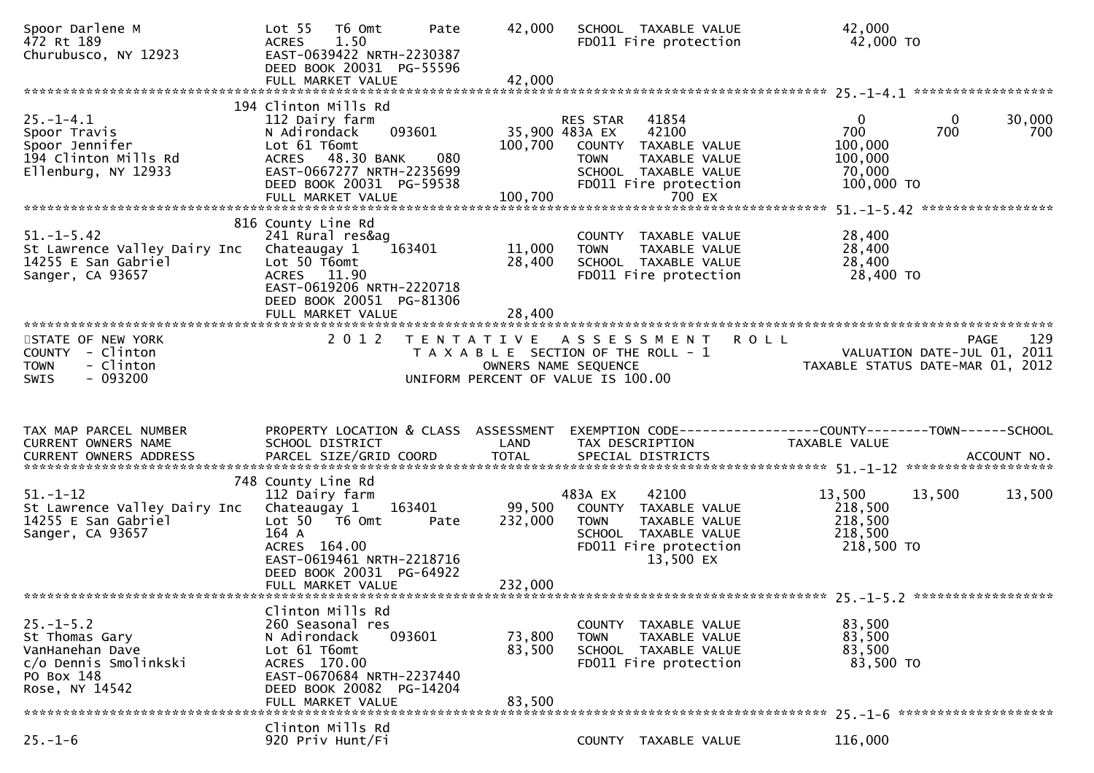| Spoor Darlene M<br>472 Rt 189<br>Churubusco, NY 12923                                                         | Lot <sub>55</sub><br>T6 Omt<br>Pate<br><b>ACRES</b><br>1.50<br>EAST-0639422 NRTH-2230387<br>DEED BOOK 20031 PG-55596<br>FULL MARKET VALUE                                                       | 42,000<br>42,000             | SCHOOL TAXABLE VALUE<br>FD011 Fire protection                                                                                                                   | 42,000<br>42,000 TO                                                                        |               |
|---------------------------------------------------------------------------------------------------------------|-------------------------------------------------------------------------------------------------------------------------------------------------------------------------------------------------|------------------------------|-----------------------------------------------------------------------------------------------------------------------------------------------------------------|--------------------------------------------------------------------------------------------|---------------|
|                                                                                                               | 194 Clinton Mills Rd                                                                                                                                                                            |                              |                                                                                                                                                                 |                                                                                            |               |
| $25. - 1 - 4.1$<br>Spoor Travis<br>Spoor Jennifer<br>194 Clinton Mills Rd<br>Ellenburg, NY 12933              | 112 Dairy farm<br>093601<br>N Adirondack<br>Lot 61 T6omt<br>080<br>ACRES 48.30 BANK<br>EAST-0667277 NRTH-2235699<br>DEED BOOK 20031 PG-59538<br>FULL MARKET VALUE                               | 100,700<br>100,700           | 41854<br>RES STAR<br>42100<br>35,900 483A EX<br>COUNTY TAXABLE VALUE<br><b>TOWN</b><br>TAXABLE VALUE<br>SCHOOL TAXABLE VALUE<br>FD011 Fire protection<br>700 EX | $\overline{0}$<br>$\mathbf{0}$<br>700<br>700<br>100,000<br>100,000<br>70,000<br>100,000 TO | 30,000<br>700 |
|                                                                                                               | 816 County Line Rd                                                                                                                                                                              |                              |                                                                                                                                                                 |                                                                                            |               |
| $51. - 1 - 5.42$<br>St Lawrence Valley Dairy Inc<br>14255 E San Gabriel<br>Sanger, CA 93657                   | 241 Rural res&ag<br>163401<br>Chateaugay 1<br>Lot 50 T6omt<br>ACRES 11.90<br>EAST-0619206 NRTH-2220718<br>DEED BOOK 20051 PG-81306                                                              | 11,000<br>28,400             | COUNTY TAXABLE VALUE<br>TAXABLE VALUE<br><b>TOWN</b><br>SCHOOL TAXABLE VALUE<br>FD011 Fire protection                                                           | 28,400<br>28,400<br>28,400<br>28,400 TO                                                    |               |
|                                                                                                               | FULL MARKET VALUE                                                                                                                                                                               | 28,400                       |                                                                                                                                                                 |                                                                                            |               |
| STATE OF NEW YORK<br>COUNTY - Clinton<br>- Clinton<br><b>TOWN</b><br>$-093200$<br><b>SWIS</b>                 | 2 0 1 2                                                                                                                                                                                         |                              | TENTATIVE ASSESSMENT<br>T A X A B L E SECTION OF THE ROLL - 1<br>OWNERS NAME SEQUENCE<br>UNIFORM PERCENT OF VALUE IS 100.00                                     | <b>ROLL</b><br>VALUATION DATE-JUL 01, 2011<br>TAXABLE STATUS DATE-MAR 01, 2012             | 129<br>PAGE   |
|                                                                                                               |                                                                                                                                                                                                 |                              |                                                                                                                                                                 |                                                                                            |               |
| TAX MAP PARCEL NUMBER<br>CURRENT OWNERS NAME                                                                  | PROPERTY LOCATION & CLASS ASSESSMENT<br>SCHOOL DISTRICT                                                                                                                                         | LAND                         | TAX DESCRIPTION                                                                                                                                                 | EXEMPTION CODE-----------------COUNTY-------TOWN------SCHOOL<br>TAXABLE VALUE              |               |
|                                                                                                               |                                                                                                                                                                                                 |                              |                                                                                                                                                                 |                                                                                            |               |
| $51.-1-12$<br>St Lawrence Valley Dairy Inc<br>14255 E San Gabriel<br>Sanger, CA 93657                         | 748 County Line Rd<br>112 Dairy farm<br>Chateaugay 1<br>163401<br>Lot 50  T6 0mt<br>Pate<br>164 A<br>ACRES 164.00<br>EAST-0619461 NRTH-2218716<br>DEED BOOK 20031 PG-64922<br>FULL MARKET VALUE | 99,500<br>232,000<br>232,000 | 483A EX<br>42100<br>COUNTY TAXABLE VALUE<br><b>TOWN</b><br>TAXABLE VALUE<br>SCHOOL TAXABLE VALUE<br>FD011 Fire protection<br>13,500 EX                          | 13,500<br>13,500<br>218,500<br>218,500<br>218,500<br>218,500 TO                            | 13,500        |
|                                                                                                               |                                                                                                                                                                                                 |                              |                                                                                                                                                                 |                                                                                            |               |
| $25. - 1 - 5.2$<br>St Thomas Gary<br>VanHanehan Dave<br>c/o Dennis Smolinkski<br>PO Box 148<br>Rose, NY 14542 | Clinton Mills Rd<br>260 Seasonal res<br>093601<br>N Adirondack<br>Lot 61 T6omt<br>ACRES 170.00<br>EAST-0670684 NRTH-2237440<br>DEED BOOK 20082 PG-14204<br>FULL MARKET VALUE                    | 73,800<br>83,500<br>83,500   | COUNTY TAXABLE VALUE<br>TAXABLE VALUE<br><b>TOWN</b><br>SCHOOL TAXABLE VALUE<br>FD011 Fire protection                                                           | 83,500<br>83,500<br>83,500<br>83,500 TO                                                    |               |
|                                                                                                               | Clinton Mills Rd                                                                                                                                                                                |                              |                                                                                                                                                                 |                                                                                            |               |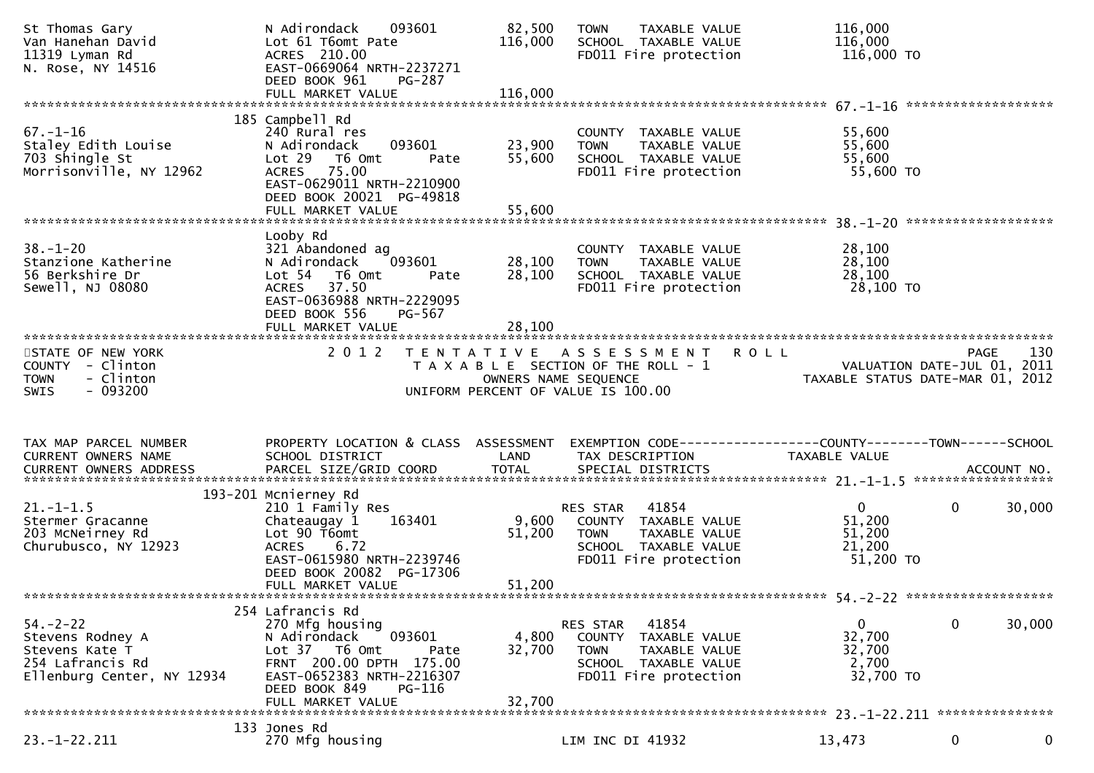| St Thomas Gary<br>Van Hanehan David<br>11319 Lyman Rd<br>N. Rose, NY 14516                             | 093601<br>N Adirondack<br>Lot 61 T6omt Pate<br>ACRES 210.00<br>EAST-0669064 NRTH-2237271<br>DEED BOOK 961<br><b>PG-287</b><br>FULL MARKET VALUE                                                   | 82,500<br>116,000<br>116,000 | <b>TOWN</b><br>TAXABLE VALUE<br>SCHOOL TAXABLE VALUE<br>FD011 Fire protection                                                 | 116,000<br>116,000<br>116,000 TO                                                              |
|--------------------------------------------------------------------------------------------------------|---------------------------------------------------------------------------------------------------------------------------------------------------------------------------------------------------|------------------------------|-------------------------------------------------------------------------------------------------------------------------------|-----------------------------------------------------------------------------------------------|
|                                                                                                        | 185 Campbell Rd                                                                                                                                                                                   |                              |                                                                                                                               |                                                                                               |
| $67. - 1 - 16$<br>Staley Edith Louise<br>703 Shingle St<br>Morrisonville, NY 12962                     | 240 Rural res<br>093601<br>N Adirondack<br>Lot 29 76 0mt<br>Pate<br>75.00<br><b>ACRES</b><br>EAST-0629011 NRTH-2210900<br>DEED BOOK 20021 PG-49818                                                | 23,900<br>55,600             | COUNTY TAXABLE VALUE<br><b>TOWN</b><br>TAXABLE VALUE<br>SCHOOL TAXABLE VALUE<br>FD011 Fire protection                         | 55,600<br>55,600<br>55,600<br>55,600 TO                                                       |
|                                                                                                        | FULL MARKET VALUE                                                                                                                                                                                 | 55,600                       |                                                                                                                               |                                                                                               |
| $38. - 1 - 20$<br>Stanzione Katherine<br>56 Berkshire Dr<br>Sewell, NJ 08080                           | Looby Rd<br>321 Abandoned ag<br>N Adirondack<br>093601<br>Lot <sub>54</sub><br>T6 Omt<br>Pate<br>37.50<br><b>ACRES</b><br>EAST-0636988 NRTH-2229095<br>DEED BOOK 556<br>PG-567                    | 28,100<br>28,100             | COUNTY TAXABLE VALUE<br><b>TOWN</b><br>TAXABLE VALUE<br>SCHOOL TAXABLE VALUE<br>FD011 Fire protection                         | 28,100<br>28,100<br>28,100<br>28,100 TO                                                       |
|                                                                                                        |                                                                                                                                                                                                   |                              |                                                                                                                               |                                                                                               |
| STATE OF NEW YORK<br>COUNTY - Clinton<br>- Clinton<br><b>TOWN</b><br>$-093200$<br><b>SWIS</b>          | 2 0 1 2                                                                                                                                                                                           | OWNERS NAME SEQUENCE         | TENTATIVE ASSESSMENT<br>T A X A B L E SECTION OF THE ROLL - 1<br>UNIFORM PERCENT OF VALUE IS 100.00                           | 130<br><b>ROLL</b><br>PAGE<br>VALUATION DATE-JUL 01, 2011<br>TAXABLE STATUS DATE-MAR 01, 2012 |
|                                                                                                        |                                                                                                                                                                                                   |                              |                                                                                                                               |                                                                                               |
|                                                                                                        |                                                                                                                                                                                                   |                              |                                                                                                                               |                                                                                               |
| TAX MAP PARCEL NUMBER<br>CURRENT OWNERS NAME                                                           | PROPERTY LOCATION & CLASS ASSESSMENT<br>SCHOOL DISTRICT                                                                                                                                           | LAND                         | TAX DESCRIPTION                                                                                                               | EXEMPTION CODE-----------------COUNTY-------TOWN------SCHOOL<br>TAXABLE VALUE                 |
|                                                                                                        |                                                                                                                                                                                                   |                              |                                                                                                                               |                                                                                               |
| $21. - 1 - 1.5$<br>Stermer Gracanne<br>203 McNeirney Rd<br>Churubusco, NY 12923                        | 193-201 Mcnierney Rd<br>210 1 Family Res<br>Chateaugay 1<br>163401<br>Lot 90 T6omt<br><b>ACRES</b><br>6.72<br>EAST-0615980 NRTH-2239746<br>DEED BOOK 20082 PG-17306<br>FULL MARKET VALUE          | 9,600<br>51,200<br>51,200    | 41854<br>RES STAR<br>COUNTY TAXABLE VALUE<br><b>TOWN</b><br>TAXABLE VALUE<br>SCHOOL TAXABLE VALUE<br>FD011 Fire protection    | $\overline{0}$<br>0<br>30,000<br>51,200<br>51,200<br>21,200<br>51,200 TO                      |
|                                                                                                        |                                                                                                                                                                                                   |                              |                                                                                                                               |                                                                                               |
| $54. - 2 - 22$<br>Stevens Rodney A<br>Stevens Kate T<br>254 Lafrancis Rd<br>Ellenburg Center, NY 12934 | 254 Lafrancis Rd<br>270 Mfg housing<br>093601<br>N Adirondack<br>T6 Omt<br>Lot 37<br>Pate<br>FRNT 200.00 DPTH 175.00<br>EAST-0652383 NRTH-2216307<br>DEED BOOK 849<br>PG-116<br>FULL MARKET VALUE | 4,800<br>32,700<br>32,700    | RES STAR<br>41854<br>TAXABLE VALUE<br>COUNTY<br><b>TOWN</b><br>TAXABLE VALUE<br>SCHOOL TAXABLE VALUE<br>FD011 Fire protection | 0<br>30,000<br>0<br>32,700<br>32,700<br>2,700<br>32,700 TO                                    |
|                                                                                                        | 133 Jones Rd                                                                                                                                                                                      |                              |                                                                                                                               |                                                                                               |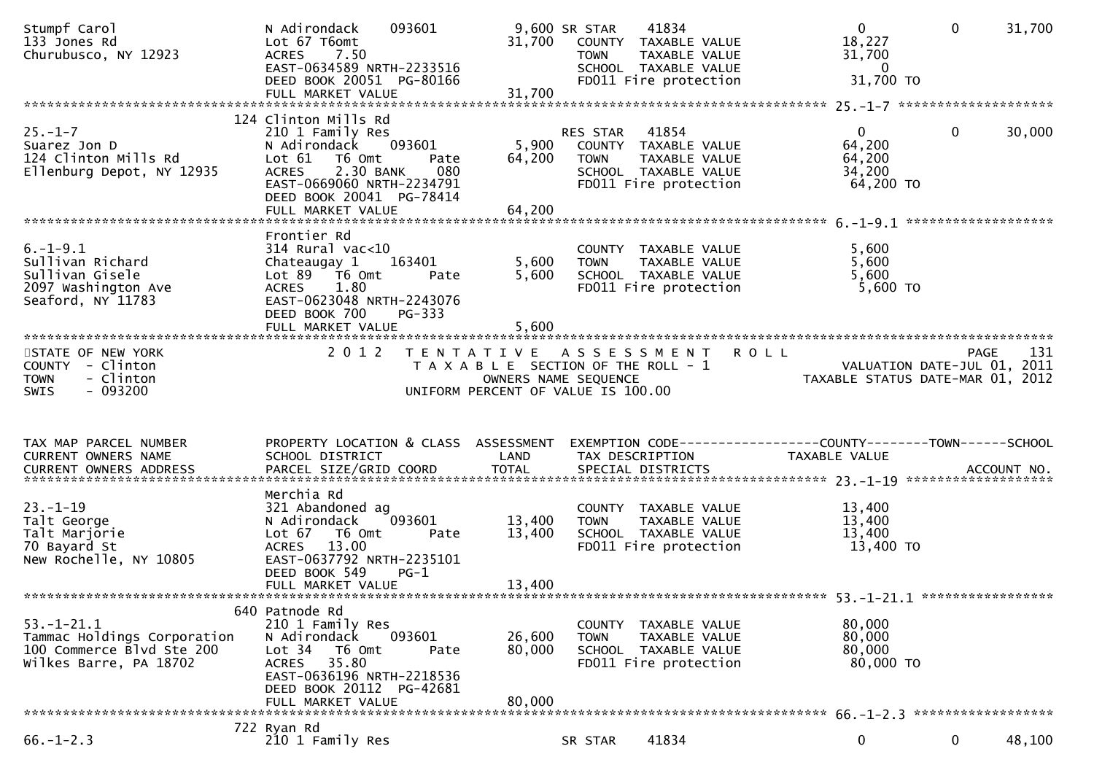| Stumpf Carol<br>133 Jones Rd<br>Churubusco, NY 12923                                                   | N Adirondack<br>093601<br>Lot 67 T6omt<br>7.50<br><b>ACRES</b><br>EAST-0634589 NRTH-2233516<br>DEED BOOK 20051 PG-80166                                                                                       | 31,700                     | 41834<br>9,600 SR STAR<br>COUNTY TAXABLE VALUE<br><b>TOWN</b><br>TAXABLE VALUE<br>SCHOOL TAXABLE VALUE<br>FD011 Fire protection | $\overline{0}$<br>18,227<br>31,700<br>$\overline{0}$<br>31,700 TO       | $\mathbf 0$<br>31,700 |
|--------------------------------------------------------------------------------------------------------|---------------------------------------------------------------------------------------------------------------------------------------------------------------------------------------------------------------|----------------------------|---------------------------------------------------------------------------------------------------------------------------------|-------------------------------------------------------------------------|-----------------------|
|                                                                                                        |                                                                                                                                                                                                               |                            |                                                                                                                                 |                                                                         |                       |
| $25. - 1 - 7$<br>Suarez Jon D<br>124 Clinton Mills Rd<br>Ellenburg Depot, NY 12935                     | 124 Clinton Mills Rd<br>210 1 Family Res<br>N Adirondack<br>093601<br>Lot 61 T6 Omt<br>Pate<br>2.30 BANK<br>080<br><b>ACRES</b><br>EAST-0669060 NRTH-2234791<br>DEED BOOK 20041 PG-78414<br>FULL MARKET VALUE | 5,900<br>64,200<br>64,200  | 41854<br>RES STAR<br>COUNTY TAXABLE VALUE<br>TAXABLE VALUE<br><b>TOWN</b><br>SCHOOL TAXABLE VALUE<br>FD011 Fire protection      | $\mathbf{0}$<br>64,200<br>64,200<br>34,200<br>64,200 TO                 | $\mathbf 0$<br>30,000 |
|                                                                                                        |                                                                                                                                                                                                               |                            |                                                                                                                                 |                                                                         |                       |
| $6. - 1 - 9.1$<br>Sullivan Richard<br>Sullivan Gisele<br>2097 Washington Ave<br>Seaford, NY 11783      | Frontier Rd<br>$314$ Rural vac<10<br>Chateaugay 1<br>163401<br>Lot 89 T6 Omt<br>Pate<br>1.80<br><b>ACRES</b><br>EAST-0623048 NRTH-2243076<br>DEED BOOK 700<br>PG-333                                          | 5,600<br>5,600             | COUNTY TAXABLE VALUE<br>TAXABLE VALUE<br><b>TOWN</b><br>SCHOOL TAXABLE VALUE<br>FD011 Fire protection                           | 5,600<br>5,600<br>5,600<br>$5,600$ TO                                   |                       |
|                                                                                                        |                                                                                                                                                                                                               |                            |                                                                                                                                 |                                                                         |                       |
| STATE OF NEW YORK<br>COUNTY - Clinton<br>- Clinton<br><b>TOWN</b>                                      | 2 0 1 2                                                                                                                                                                                                       | OWNERS NAME SEQUENCE       | TENTATIVE ASSESSMENT<br>T A X A B L E SECTION OF THE ROLL - 1                                                                   | ROLL<br>VALUATION DATE-JUL 01, 2011<br>TAXABLE STATUS DATE-MAR 01, 2012 | 131<br><b>PAGE</b>    |
| SWIS<br>$-093200$                                                                                      |                                                                                                                                                                                                               |                            | UNIFORM PERCENT OF VALUE IS 100.00                                                                                              |                                                                         |                       |
|                                                                                                        |                                                                                                                                                                                                               |                            |                                                                                                                                 |                                                                         |                       |
| TAX MAP PARCEL NUMBER<br>CURRENT OWNERS NAME<br>CURRENT OWNERS ADDRESS                                 | PROPERTY LOCATION & CLASS ASSESSMENT<br>SCHOOL DISTRICT                                                                                                                                                       | LAND                       | EXEMPTION CODE-----------------COUNTY-------TOWN------SCHOOL<br>TAX DESCRIPTION                                                 | TAXABLE VALUE                                                           |                       |
|                                                                                                        |                                                                                                                                                                                                               |                            |                                                                                                                                 |                                                                         |                       |
| $23. - 1 - 19$<br>Talt George<br>Talt Marjorie<br>70 Bayard St<br>New Rochelle, NY 10805               | Merchia Rd<br>321 Abandoned ag<br>093601<br>N Adirondack<br>Lot 67<br>T6 Omt<br>Pate<br><b>ACRES</b><br>13.00<br>EAST-0637792 NRTH-2235101<br>DEED BOOK 549<br>$PG-1$<br>FULL MARKET VALUE                    | 13,400<br>13,400<br>13,400 | COUNTY TAXABLE VALUE<br>TAXABLE VALUE<br><b>TOWN</b><br>SCHOOL TAXABLE VALUE<br>FD011 Fire protection                           | 13,400<br>13,400<br>13,400<br>13,400 TO                                 |                       |
|                                                                                                        |                                                                                                                                                                                                               |                            |                                                                                                                                 |                                                                         |                       |
| $53. - 1 - 21.1$<br>Tammac Holdings Corporation<br>100 Commerce Blvd Ste 200<br>Wilkes Barre, PA 18702 | 640 Patnode Rd<br>210 1 Family Res<br>093601<br>N Adirondack<br>Lot 34 T6 Omt<br>Pate<br>35.80<br>ACRES<br>EAST-0636196 NRTH-2218536<br>DEED BOOK 20112 PG-42681<br>FULL MARKET VALUE                         | 26,600<br>80,000<br>80,000 | COUNTY TAXABLE VALUE<br><b>TOWN</b><br>TAXABLE VALUE<br>SCHOOL TAXABLE VALUE<br>FD011 Fire protection                           | 80,000<br>80,000<br>80,000<br>80,000 TO                                 |                       |
|                                                                                                        | 722 Ryan Rd                                                                                                                                                                                                   |                            |                                                                                                                                 |                                                                         |                       |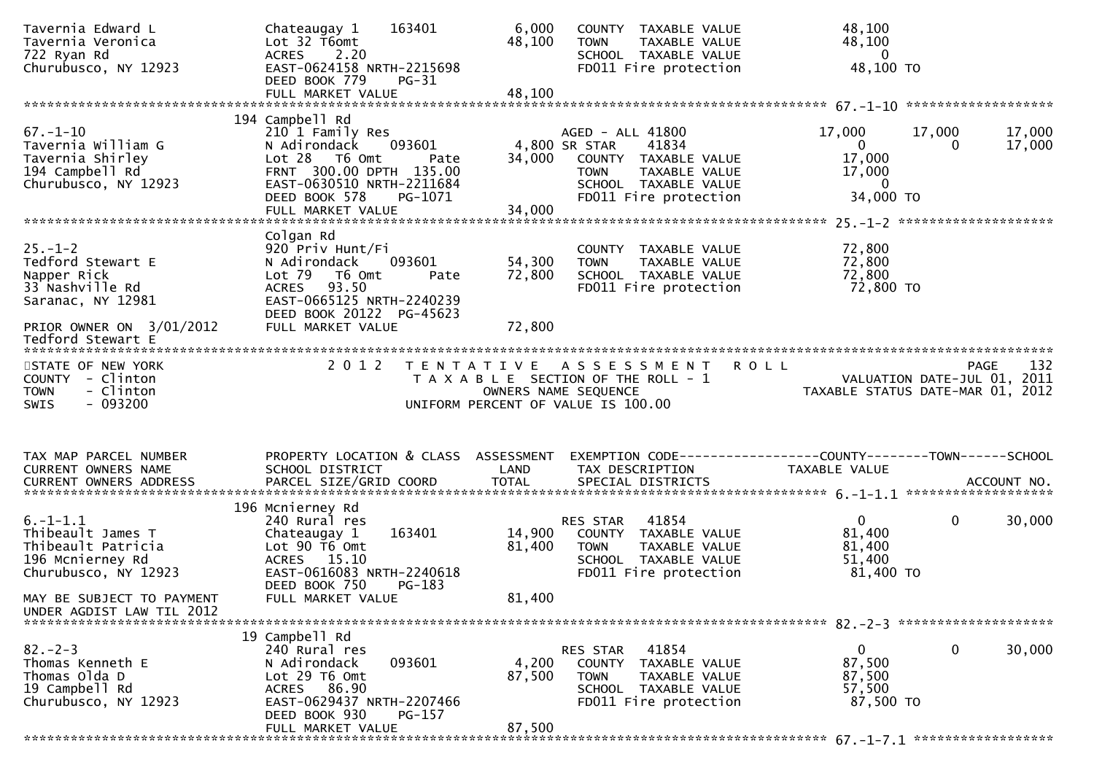| Tavernia Edward L<br>Tavernia Veronica<br>722 Ryan Rd<br>Churubusco, NY 12923                         | 163401<br>Chateaugay 1<br>Lot $32$ T6omt<br>2.20<br><b>ACRES</b><br>EAST-0624158 NRTH-2215698<br>DEED BOOK 779<br>$PG-31$                                                      | 6,000<br>48,100           | COUNTY TAXABLE VALUE<br><b>TOWN</b><br>TAXABLE VALUE<br>SCHOOL TAXABLE VALUE<br>FD011 Fire protection                                               | 48,100<br>48,100<br>$\overline{\mathbf{0}}$<br>48,100 TO                                                  |     |
|-------------------------------------------------------------------------------------------------------|--------------------------------------------------------------------------------------------------------------------------------------------------------------------------------|---------------------------|-----------------------------------------------------------------------------------------------------------------------------------------------------|-----------------------------------------------------------------------------------------------------------|-----|
|                                                                                                       | 194 Campbell Rd                                                                                                                                                                |                           |                                                                                                                                                     |                                                                                                           |     |
| $67. - 1 - 10$<br>Tavernia William G<br>Tavernia Shirley<br>194 Campbell Rd<br>Churubusco, NY 12923   | 210 1 Family Res<br>093601<br>N Adirondack<br>$Lot 28$ T6 Omt<br>Pate<br>FRNT 300.00 DPTH 135.00<br>EAST-0630510 NRTH-2211684<br>DEED BOOK 578<br>PG-1071<br>FULL MARKET VALUE | 34,000<br>34,000          | AGED - ALL 41800<br>4,800 SR STAR<br>41834<br>COUNTY TAXABLE VALUE<br>TAXABLE VALUE<br><b>TOWN</b><br>SCHOOL TAXABLE VALUE<br>FD011 Fire protection | 17,000<br>17,000<br>17,000<br>$\mathbf{0}$<br>0<br>17,000<br>17,000<br>17,000<br>$\mathbf 0$<br>34,000 TO |     |
|                                                                                                       |                                                                                                                                                                                |                           |                                                                                                                                                     |                                                                                                           |     |
| $25. - 1 - 2$<br>Tedford Stewart E<br>Napper Rick<br>33 Nashville Rd<br>Saranac, NY 12981             | Colgan Rd<br>920 Priv Hunt/Fi<br>N Adirondack<br>093601<br>Lot 79<br>T6 Omt<br>Pate<br><b>ACRES</b><br>93.50<br>EAST-0665125 NRTH-2240239<br>DEED BOOK 20122 PG-45623          | 54,300<br>72,800          | COUNTY TAXABLE VALUE<br>TAXABLE VALUE<br><b>TOWN</b><br>SCHOOL TAXABLE VALUE<br>FD011 Fire protection                                               | 72,800<br>72,800<br>72,800<br>72,800 TO                                                                   |     |
| PRIOR OWNER ON 3/01/2012<br>Tedford Stewart E                                                         | FULL MARKET VALUE                                                                                                                                                              | 72,800                    |                                                                                                                                                     |                                                                                                           |     |
| STATE OF NEW YORK<br>COUNTY - Clinton<br><b>TOWN</b><br>- Clinton                                     | 2 0 1 2                                                                                                                                                                        | OWNERS NAME SEQUENCE      | TENTATIVE ASSESSMENT<br><b>ROLL</b><br>T A X A B L E SECTION OF THE ROLL - 1                                                                        | <b>PAGE</b><br>VALUATION DATE-JUL 01, 2011<br>TAXABLE STATUS DATE-MAR 01, 2012                            | 132 |
| $-093200$<br>SWIS                                                                                     |                                                                                                                                                                                |                           | UNIFORM PERCENT OF VALUE IS 100.00                                                                                                                  |                                                                                                           |     |
| TAX MAP PARCEL NUMBER                                                                                 | PROPERTY LOCATION & CLASS ASSESSMENT                                                                                                                                           |                           |                                                                                                                                                     | EXEMPTION CODE------------------COUNTY--------TOWN------SCHOOL                                            |     |
| CURRENT OWNERS NAME                                                                                   | SCHOOL DISTRICT                                                                                                                                                                | LAND                      | TAX DESCRIPTION                                                                                                                                     | TAXABLE VALUE                                                                                             |     |
| $6. - 1 - 1.1$<br>Thibeault James T<br>Thibeault Patricia<br>196 Mcnierney Rd<br>Churubusco, NY 12923 | 196 Mcnierney Rd<br>240 Rural res<br>163401<br>Chateaugay 1<br>Lot $90$ T6 Omt<br>ACRES 15.10<br>EAST-0616083 NRTH-2240618<br>DEED BOOK 750<br>$PG-183$                        | 14,900<br>81,400          | 41854<br>RES STAR<br>COUNTY TAXABLE VALUE<br><b>TOWN</b><br>TAXABLE VALUE<br>SCHOOL TAXABLE VALUE<br>FD011 Fire protection                          | 0<br>$\mathbf{0}$<br>30,000<br>81,400<br>81,400<br>51,400<br>81,400 TO                                    |     |
| MAY BE SUBJECT TO PAYMENT<br>UNDER AGDIST LAW TIL 2012                                                | FULL MARKET VALUE                                                                                                                                                              | 81,400                    |                                                                                                                                                     |                                                                                                           |     |
|                                                                                                       | 19 Campbell Rd                                                                                                                                                                 |                           |                                                                                                                                                     |                                                                                                           |     |
| $82 - 2 - 3$<br>Thomas Kenneth E<br>Thomas Olda D<br>19 Campbell Rd<br>Churubusco, NY 12923           | 240 Rural res<br>093601<br>N Adirondack<br>Lot 29 T6 Omt<br>ACRES 86.90<br>EAST-0629437 NRTH-2207466<br>DEED BOOK 930<br>PG-157<br>FULL MARKET VALUE                           | 4,200<br>87,500<br>87,500 | 41854<br>RES STAR<br>COUNTY TAXABLE VALUE<br><b>TOWN</b><br>TAXABLE VALUE<br>SCHOOL TAXABLE VALUE<br>FD011 Fire protection                          | $\mathbf 0$<br>30,000<br>$\mathbf{0}$<br>87,500<br>87,500<br>57,500<br>87,500 TO                          |     |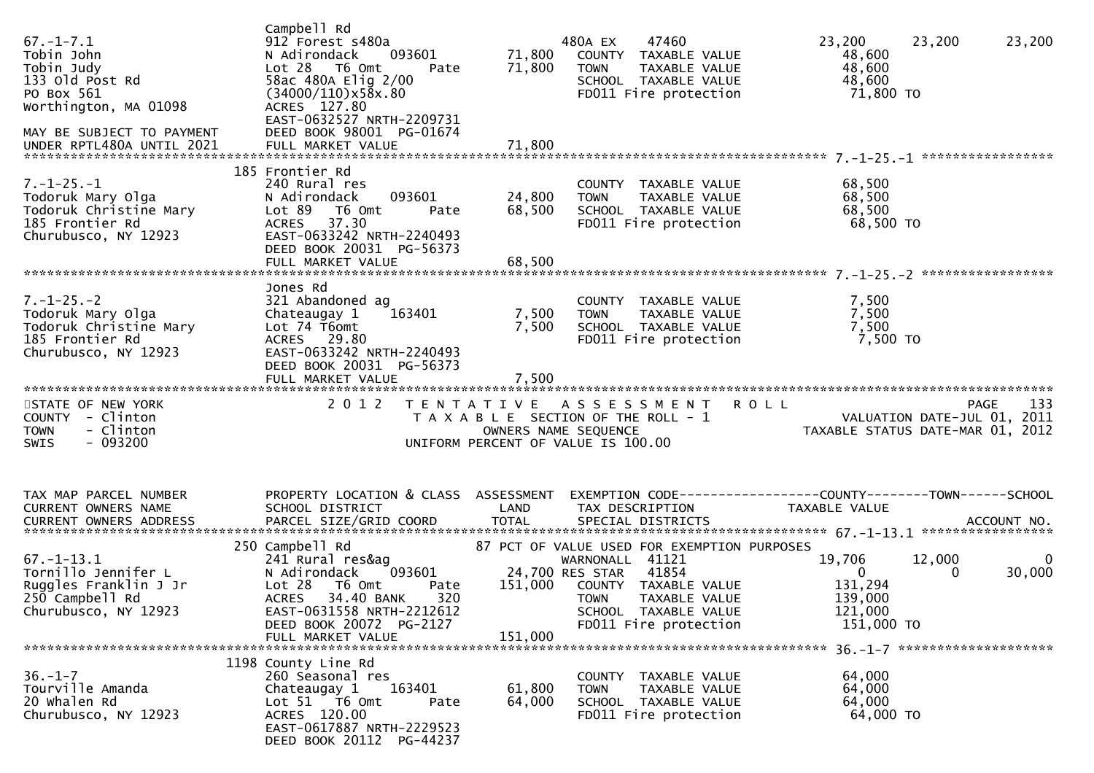| $67. - 1 - 7.1$<br>Tobin John<br>Tobin Judy<br>133 old Post Rd<br>PO Box 561<br>Worthington, MA 01098<br>MAY BE SUBJECT TO PAYMENT<br>UNDER RPTL480A UNTIL 2021 | Campbell Rd<br>912 Forest s480a<br>093601<br>N Adirondack<br>Lot 28 T6 Omt<br>Pate<br>58ac 480A Elig 2/00<br>$(34000/110) \times 58 \times 0.80$<br>ACRES 127.80<br>EAST-0632527 NRTH-2209731<br>DEED BOOK 98001 PG-01674 | 71,800                     | 480A EX<br>47460<br>71,800 COUNTY TAXABLE VALUE<br>TAXABLE VALUE<br>TOWN<br>SCHOOL TAXABLE VALUE<br>FD011 Fire protection                                                                                                                      | 23,200<br>23,200<br>23,200<br>48,600<br>48,600<br>48,600<br>71,800 TO                                                            |
|-----------------------------------------------------------------------------------------------------------------------------------------------------------------|---------------------------------------------------------------------------------------------------------------------------------------------------------------------------------------------------------------------------|----------------------------|------------------------------------------------------------------------------------------------------------------------------------------------------------------------------------------------------------------------------------------------|----------------------------------------------------------------------------------------------------------------------------------|
| $7. - 1 - 25. - 1$<br>Todoruk Mary Olga<br>Todoruk Christine Mary<br>185 Frontier Rd<br>Churubusco, NY 12923                                                    | 185 Frontier Rd<br>240 Rural res<br>093601<br>N Adirondack<br>Lot 89 T6 Omt<br>Pate<br>ACRES 37.30<br>EAST-0633242 NRTH-2240493<br>DEED BOOK 20031 PG-56373<br>FULL MARKET VALUE                                          | 24,800<br>68,500<br>68,500 | COUNTY TAXABLE VALUE<br><b>TOWN</b><br>TAXABLE VALUE<br>SCHOOL TAXABLE VALUE<br>FD011 Fire protection                                                                                                                                          | 68,500<br>68,500<br>68,500<br>68,500 TO                                                                                          |
| $7. - 1 - 25. - 2$<br>Todoruk Mary Olga<br>Todoruk Christine Mary<br>185 Frontier Rd<br>Churubusco, NY 12923                                                    | Jones Rd<br>321 Abandoned ag<br>163401<br>Chateaugay 1<br>Lot 74 T6omt<br>ACRES 29.80<br>EAST-0633242 NRTH-2240493<br>DEED BOOK 20031 PG-56373<br>FULL MARKET VALUE                                                       | 7,500<br>7,500<br>7,500    | COUNTY TAXABLE VALUE<br>TOWN     TAXABLE VALUE<br>SCHOOL   TAXABLE VALUE<br>FD011 Fire protection                                                                                                                                              | 7,500<br>7,500<br>7,500<br>7,500 TO                                                                                              |
| STATE OF NEW YORK<br>COUNTY - Clinton<br>- Clinton<br><b>TOWN</b><br>$-093200$<br><b>SWIS</b>                                                                   | 2 0 1 2                                                                                                                                                                                                                   |                            | TENTATIVE ASSESSMENT<br>UNIFORM PERCENT OF VALUE IS 100.00                                                                                                                                                                                     | <b>ROLL</b><br>133<br>PAGE<br>FAGE 133<br>TAXABLE SECTION OF THE ROLL - 1 VALUATION DATE-JUL 01, 2011<br>OWNERS NAME SEQUENCE 22 |
| TAX MAP PARCEL NUMBER<br>CURRENT OWNERS NAME                                                                                                                    | PROPERTY LOCATION & CLASS ASSESSMENT<br>SCHOOL DISTRICT                                                                                                                                                                   | LAND                       | TAX DESCRIPTION                                                                                                                                                                                                                                | EXEMPTION CODE-----------------COUNTY--------TOWN------SCHOOL<br>TAXABLE VALUE                                                   |
| $67. - 1 - 13.1$<br>Tornillo Jennifer L<br>Ruggles Franklin J Jr<br>250 Campbell Rd<br>Churubusco, NY 12923                                                     | 250 Campbell Rd<br>241 Rural res&ag<br>N Adirondack<br>Lot 28 T6 Omt<br>Pate<br>ACRES 34.40 BANK 320<br>EAST-0631558 NRTH-2212612<br>DEED BOOK 20072 PG-2127<br>FULL MARKET VALUE                                         | 151,000                    | 87 PCT OF VALUE USED FOR EXEMPTION PURPOSES<br>WARNONALL 41121<br>093601 24,700 RES STAR   41854<br>Pate      151,000   COUNTY  TAXABLI<br>151,000 COUNTY TAXABLE VALUE<br>TOWN TAXABLE VALUE<br>SCHOOL TAXABLE VALUE<br>FD011 Fire protection | 19,706<br>12,000<br>$\bf{0}$<br>30,000<br>$\overline{0}$<br>$\overline{0}$<br>131,294<br>139,000<br>121,000<br>151,000 TO        |
| $36. - 1 - 7$<br>Tourville Amanda<br>20 Whalen Rd<br>Churubusco, NY 12923                                                                                       | 1198 County Line Rd<br>260 Seasonal res<br>163401<br>Chateaugay 1<br>Lot 51 76 0mt<br>Pate<br>ACRES 120.00<br>EAST-0617887 NRTH-2229523<br>DEED BOOK 20112 PG-44237                                                       | 61,800<br>64,000           | COUNTY TAXABLE VALUE<br><b>TOWN</b><br>TAXABLE VALUE<br>SCHOOL TAXABLE VALUE<br>FD011 Fire protection                                                                                                                                          | 64,000<br>64,000<br>64,000<br>64,000 TO                                                                                          |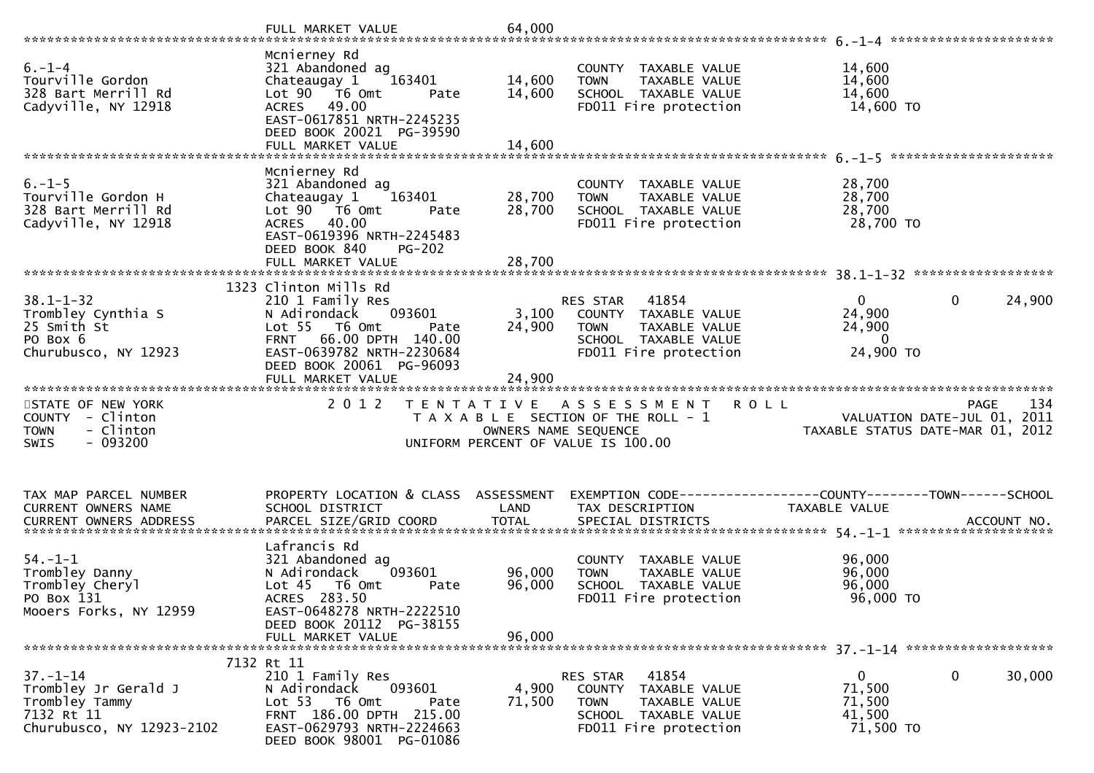|                                                                                                    | FULL MARKET VALUE                                                                                                                                                                        | 64,000                     |                                                                                                                            |                                                                                |             |
|----------------------------------------------------------------------------------------------------|------------------------------------------------------------------------------------------------------------------------------------------------------------------------------------------|----------------------------|----------------------------------------------------------------------------------------------------------------------------|--------------------------------------------------------------------------------|-------------|
| $6. - 1 - 4$<br>Tourville Gordon<br>328 Bart Merrill Rd<br>Cadyville, NY 12918                     | Mcnierney Rd<br>321 Abandoned ag<br>Chateaugay 1<br>163401<br>Lot 90  T6 0mt<br>Pate<br>ACRES 49.00<br>EAST-0617851 NRTH-2245235<br>DEED BOOK 20021 PG-39590<br>FULL MARKET VALUE        | 14,600<br>14,600<br>14,600 | COUNTY TAXABLE VALUE<br>TAXABLE VALUE<br><b>TOWN</b><br>SCHOOL TAXABLE VALUE<br>FD011 Fire protection                      | 14,600<br>14,600<br>14,600<br>14,600 TO                                        |             |
| $6. - 1 - 5$<br>Tourville Gordon H<br>328 Bart Merrill Rd<br>Cadyville, NY 12918                   | Mcnierney Rd<br>321 Abandoned ag<br>Chateaugay 1<br>163401<br>$Lot 90 76 0$ T<br>Pate<br>ACRES 40.00<br>EAST-0619396 NRTH-2245483<br>DEED BOOK 840<br><b>PG-202</b><br>FULL MARKET VALUE | 28,700<br>28,700<br>28,700 | COUNTY TAXABLE VALUE<br><b>TOWN</b><br><b>TAXABLE VALUE</b><br>SCHOOL TAXABLE VALUE<br>FD011 Fire protection               | 28,700<br>28,700<br>28,700<br>28,700 TO                                        |             |
|                                                                                                    |                                                                                                                                                                                          |                            |                                                                                                                            |                                                                                |             |
| $38.1 - 1 - 32$<br>Trombley Cynthia S<br>25 Smith St<br>PO Box 6<br>Churubusco, NY 12923           | 1323 Clinton Mills Rd<br>210 1 Family Res<br>093601<br>N Adirondack<br>Lot <sub>55</sub><br>T6 Omt<br>Pate<br>66.00 DPTH 140.00<br>FRNT<br>EAST-0639782 NRTH-2230684                     | 3,100<br>24,900            | RES STAR<br>41854<br>COUNTY TAXABLE VALUE<br><b>TOWN</b><br>TAXABLE VALUE<br>SCHOOL TAXABLE VALUE<br>FD011 Fire protection | $\Omega$<br>0<br>24,900<br>24,900<br>$\Omega$<br>24,900 TO                     | 24,900      |
|                                                                                                    | DEED BOOK 20061 PG-96093<br>FULL MARKET VALUE                                                                                                                                            | 24,900                     |                                                                                                                            |                                                                                |             |
| STATE OF NEW YORK<br>COUNTY - Clinton<br><b>TOWN</b><br>- Clinton<br>$-093200$<br><b>SWIS</b>      | 2 0 1 2<br>T E N T A T I V E                                                                                                                                                             | OWNERS NAME SEQUENCE       | <b>ROLL</b><br>A S S E S S M E N T<br>T A X A B L E SECTION OF THE ROLL - 1<br>UNIFORM PERCENT OF VALUE IS 100.00          | <b>PAGE</b><br>VALUATION DATE-JUL 01, 2011<br>TAXABLE STATUS DATE-MAR 01, 2012 | 134         |
| TAX MAP PARCEL NUMBER<br>CURRENT OWNERS NAME<br>CURRENT OWNERS ADDRESS                             | PROPERTY LOCATION & CLASS ASSESSMENT<br>SCHOOL DISTRICT<br>PARCEL SIZE/GRID COORD                                                                                                        | LAND<br><b>TOTAL</b>       | TAX DESCRIPTION<br>SPECIAL DISTRICTS                                                                                       | EXEMPTION CODE-----------------COUNTY-------TOWN------SCHOOL<br>TAXABLE VALUE  | ACCOUNT NO. |
| $54. - 1 - 1$<br>Trombley Danny<br>Trombley Cheryl<br>PO Box 131<br>Mooers Forks, NY 12959         | Lafrancis Rd<br>321 Abandoned ag<br>093601<br>N Adirondack<br>Lot 45  T6 Omt<br>Pate<br>ACRES 283.50<br>EAST-0648278 NRTH-2222510<br>DEED BOOK 20112 PG-38155<br>FULL MARKET VALUE       | 96,000<br>96,000<br>96,000 | COUNTY TAXABLE VALUE<br><b>TOWN</b><br>TAXABLE VALUE<br>SCHOOL TAXABLE VALUE<br>FD011 Fire protection                      | 96,000<br>96,000<br>96,000<br>96,000 TO                                        |             |
|                                                                                                    |                                                                                                                                                                                          |                            |                                                                                                                            |                                                                                |             |
| $37 - 1 - 14$<br>Trombley Jr Gerald J<br>Trombley Tammy<br>7132 Rt 11<br>Churubusco, NY 12923-2102 | 7132 Rt 11<br>210 1 Family Res<br>093601<br>N Adirondack<br>Lot $53$ T6 Omt<br>Pate<br>FRNT 186.00 DPTH 215.00<br>EAST-0629793 NRTH-2224663<br>DEED BOOK 98001 PG-01086                  | 4,900<br>71,500            | 41854<br>RES STAR<br>COUNTY TAXABLE VALUE<br>TAXABLE VALUE<br><b>TOWN</b><br>SCHOOL TAXABLE VALUE<br>FD011 Fire protection | 0<br>0<br>71,500<br>71,500<br>41,500<br>71,500 TO                              | 30,000      |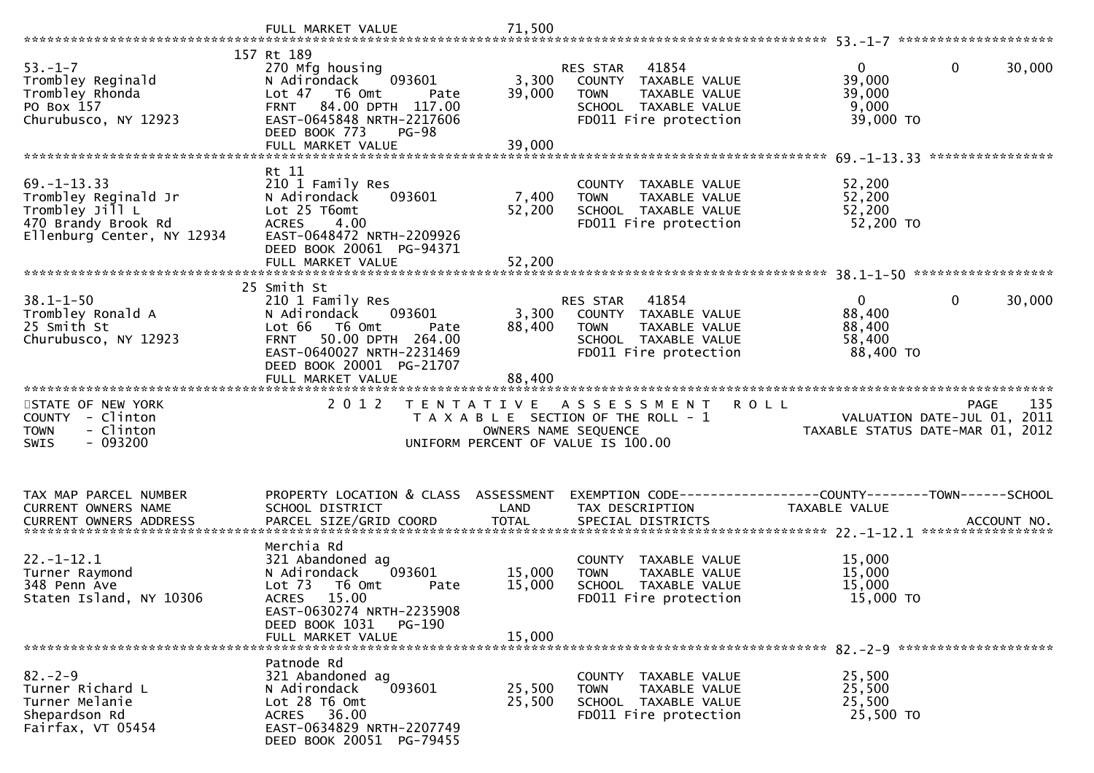| $53. - 1 - 7$<br>Trombley Reginald<br>Trombley Rhonda<br>PO Box 157<br>Churubusco, NY 12923                       | 157 Rt 189<br>270 Mfg housing<br>N Adirondack<br>093601<br>Lot 47<br>T6 Omt<br>Pate<br>84.00 DPTH 117.00<br><b>FRNT</b><br>EAST-0645848 NRTH-2217606<br>DEED BOOK 773<br>$PG-98$                     | 3,300<br>39,000            | 41854<br><b>RES STAR</b><br>COUNTY TAXABLE VALUE<br><b>TOWN</b><br>TAXABLE VALUE<br>SCHOOL TAXABLE VALUE<br>FD011 Fire protection | 0<br>0<br>39,000<br>39,000<br>9,000<br>39,000 TO                                     | 30,000 |
|-------------------------------------------------------------------------------------------------------------------|------------------------------------------------------------------------------------------------------------------------------------------------------------------------------------------------------|----------------------------|-----------------------------------------------------------------------------------------------------------------------------------|--------------------------------------------------------------------------------------|--------|
|                                                                                                                   | FULL MARKET VALUE                                                                                                                                                                                    | 39,000                     |                                                                                                                                   |                                                                                      |        |
| $69. - 1 - 13.33$<br>Trombley Reginald Jr<br>Trombley Jill L<br>470 Brandy Brook Rd<br>Ellenburg Center, NY 12934 | Rt 11<br>210 1 Family Res<br>N Adirondack<br>093601<br>Lot 25 T6omt<br>4.00<br><b>ACRES</b><br>EAST-0648472 NRTH-2209926<br>DEED BOOK 20061 PG-94371<br>FULL MARKET VALUE                            | 7,400<br>52,200<br>52,200  | COUNTY TAXABLE VALUE<br><b>TOWN</b><br>TAXABLE VALUE<br>SCHOOL TAXABLE VALUE<br>FD011 Fire protection                             | 52,200<br>52,200<br>52,200<br>52,200 TO                                              |        |
|                                                                                                                   |                                                                                                                                                                                                      |                            |                                                                                                                                   |                                                                                      |        |
| $38.1 - 1 - 50$<br>Trombley Ronald A<br>25 Smith St<br>Churubusco, NY 12923                                       | 25 Smith St<br>210 1 Family Res<br>N Adirondack<br>093601<br>Lot 66<br>T6 Omt<br>Pate<br>50.00 DPTH 264.00<br><b>FRNT</b><br>EAST-0640027 NRTH-2231469<br>DEED BOOK 20001 PG-21707                   | 3,300<br>88,400            | 41854<br><b>RES STAR</b><br>COUNTY TAXABLE VALUE<br>TAXABLE VALUE<br><b>TOWN</b><br>SCHOOL TAXABLE VALUE<br>FD011 Fire protection | $\Omega$<br>0<br>88,400<br>88,400<br>58,400<br>88,400 TO                             | 30,000 |
|                                                                                                                   | FULL MARKET VALUE                                                                                                                                                                                    | 88,400                     |                                                                                                                                   |                                                                                      |        |
| STATE OF NEW YORK<br>COUNTY - Clinton                                                                             | 2 0 1 2<br>T E N T A T I V E                                                                                                                                                                         |                            | <b>ROLL</b><br>A S S E S S M E N T                                                                                                | PAGE                                                                                 | 135    |
| - Clinton<br><b>TOWN</b><br>$-093200$<br><b>SWIS</b>                                                              |                                                                                                                                                                                                      | OWNERS NAME SEQUENCE       | T A X A B L E SECTION OF THE ROLL - 1<br>UNIFORM PERCENT OF VALUE IS 100.00                                                       | VALUATION DATE-JUL 01, 2011<br>TAXABLE STATUS DATE-MAR 01, 2012                      |        |
| TAX MAP PARCEL NUMBER<br>CURRENT OWNERS NAME                                                                      | PROPERTY LOCATION & CLASS ASSESSMENT<br>SCHOOL DISTRICT                                                                                                                                              | LAND                       | TAX DESCRIPTION                                                                                                                   | EXEMPTION        CODE-----------------COUNTY-------TOWN------SCHOOL<br>TAXABLE VALUE |        |
| $22. - 1 - 12.1$<br>Turner Raymond<br>348 Penn Ave<br>Staten Island, NY 10306                                     | Merchia Rd<br>321 Abandoned ag<br>N Adirondack<br>093601<br>Lot $73$<br>T6 Omt<br>Pate<br>15.00<br><b>ACRES</b><br>EAST-0630274 NRTH-2235908<br>DEED BOOK 1031<br><b>PG-190</b><br>FULL MARKET VALUE | 15,000<br>15,000<br>15,000 | COUNTY TAXABLE VALUE<br>TAXABLE VALUE<br><b>TOWN</b><br>SCHOOL TAXABLE VALUE<br>FD011 Fire protection                             | 15,000<br>15,000<br>15,000<br>15,000 TO                                              |        |
| $82 - 2 - 9$                                                                                                      | Patnode Rd<br>321 Abandoned ag                                                                                                                                                                       |                            | COUNTY TAXABLE VALUE                                                                                                              | 25,500                                                                               |        |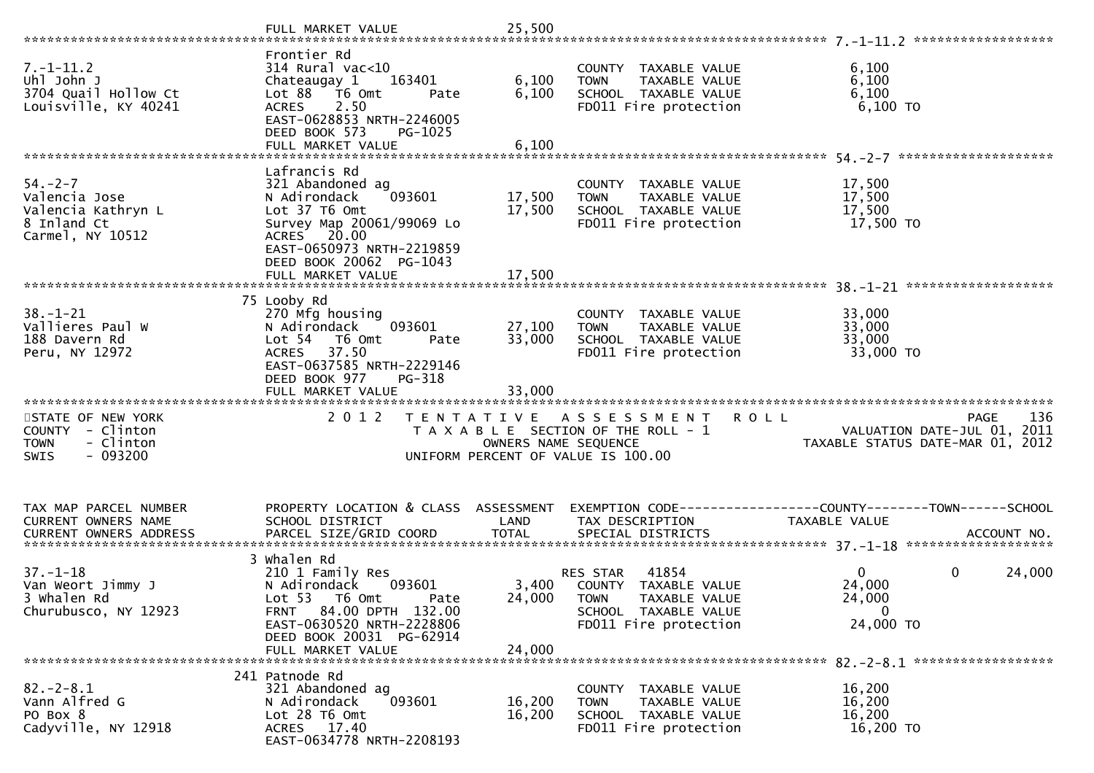| $7. - 1 - 11.2$<br>Uhl John J<br>3704 Quail Hollow Ct<br>Louisville, KY 40241                 | Frontier Rd<br>$314$ Rural vac<10<br>163401<br>Chateaugay 1<br>Lot 88 T6 Omt<br>Pate<br><b>ACRES</b><br>2.50<br>EAST-0628853 NRTH-2246005<br>DEED BOOK 573<br>PG-1025                      | 6,100<br>6,100             | COUNTY TAXABLE VALUE<br>TAXABLE VALUE<br><b>TOWN</b><br>SCHOOL TAXABLE VALUE<br>FD011 Fire protection                            | 6,100<br>6,100<br>6,100<br>$6,100$ TO                                                         |
|-----------------------------------------------------------------------------------------------|--------------------------------------------------------------------------------------------------------------------------------------------------------------------------------------------|----------------------------|----------------------------------------------------------------------------------------------------------------------------------|-----------------------------------------------------------------------------------------------|
| $54. - 2 - 7$<br>Valencia Jose<br>Valencia Kathryn L<br>8 Inland Ct<br>Carmel, NY 10512       | Lafrancis Rd<br>321 Abandoned ag<br>093601<br>N Adirondack<br>Lot 37 T6 Omt<br>Survey Map 20061/99069 Lo<br>ACRES 20.00<br>EAST-0650973 NRTH-2219859<br>DEED BOOK 20062 PG-1043            | 17,500<br>17,500           | COUNTY TAXABLE VALUE<br>TAXABLE VALUE<br><b>TOWN</b><br>SCHOOL TAXABLE VALUE<br>FD011 Fire protection                            | 17,500<br>17,500<br>17,500<br>17,500 TO                                                       |
| $38. - 1 - 21$<br>Vallieres Paul W<br>188 Davern Rd<br>Peru, NY 12972                         | 75 Looby Rd<br>270 Mfg housing<br>093601<br>N Adirondack<br>Lot 54 76 0mt<br>Pate<br>37.50<br><b>ACRES</b><br>EAST-0637585 NRTH-2229146<br>DEED BOOK 977<br>PG-318<br>FULL MARKET VALUE    | 27,100<br>33,000<br>33,000 | COUNTY TAXABLE VALUE<br><b>TOWN</b><br>TAXABLE VALUE<br>SCHOOL TAXABLE VALUE<br>FD011 Fire protection                            | 33,000<br>33,000<br>33,000<br>33,000 TO                                                       |
| STATE OF NEW YORK<br>COUNTY - Clinton<br>- Clinton<br><b>TOWN</b><br>$-093200$<br><b>SWIS</b> | 2 0 1 2                                                                                                                                                                                    | OWNERS NAME SEQUENCE       | TENTATIVE ASSESSMENT<br>T A X A B L E SECTION OF THE ROLL - 1<br>UNIFORM PERCENT OF VALUE IS 100.00                              | 136<br><b>ROLL</b><br>PAGE<br>VALUATION DATE-JUL 01, 2011<br>TAXABLE STATUS DATE-MAR 01, 2012 |
| TAX MAP PARCEL NUMBER<br>CURRENT OWNERS NAME                                                  | PROPERTY LOCATION & CLASS ASSESSMENT<br>SCHOOL DISTRICT                                                                                                                                    | LAND                       | TAX DESCRIPTION                                                                                                                  | EXEMPTION CODE-----------------COUNTY-------TOWN------SCHOOL<br>TAXABLE VALUE                 |
| $37. - 1 - 18$<br>Van Weort Jimmy J<br>3 Whalen Rd<br>Churubusco, NY 12923                    | 3 Whalen Rd<br>210 1 Family Res<br>N Adirondack<br>093601<br>Lot 53 T6 Omt<br>Pate<br>FRNT 84.00 DPTH 132.00<br>EAST-0630520 NRTH-2228806<br>DEED BOOK 20031 PG-62914<br>FULL MARKET VALUE | 24,000<br>24,000           | 41854<br>RES STAR<br>3,400 COUNTY TAXABLE VALUE<br><b>TOWN</b><br>TAXABLE VALUE<br>SCHOOL TAXABLE VALUE<br>FD011 Fire protection | $\mathbf{0}$<br>$\mathbf 0$<br>24,000<br>24,000<br>24,000<br>$\mathbf 0$<br>24,000 TO         |
| $82. - 2 - 8.1$<br>Vann Alfred G<br>PO Box 8<br>Cadyville, NY 12918                           | 241 Patnode Rd<br>321 Abandoned ag<br>093601<br>N Adirondack<br>Lot 28 T6 Omt<br>ACRES 17.40<br>EAST-0634778 NRTH-2208193                                                                  | 16,200<br>16,200           | COUNTY TAXABLE VALUE<br>TAXABLE VALUE<br><b>TOWN</b><br>SCHOOL TAXABLE VALUE<br>FD011 Fire protection                            | 16,200<br>16,200<br>16,200<br>16,200 TO                                                       |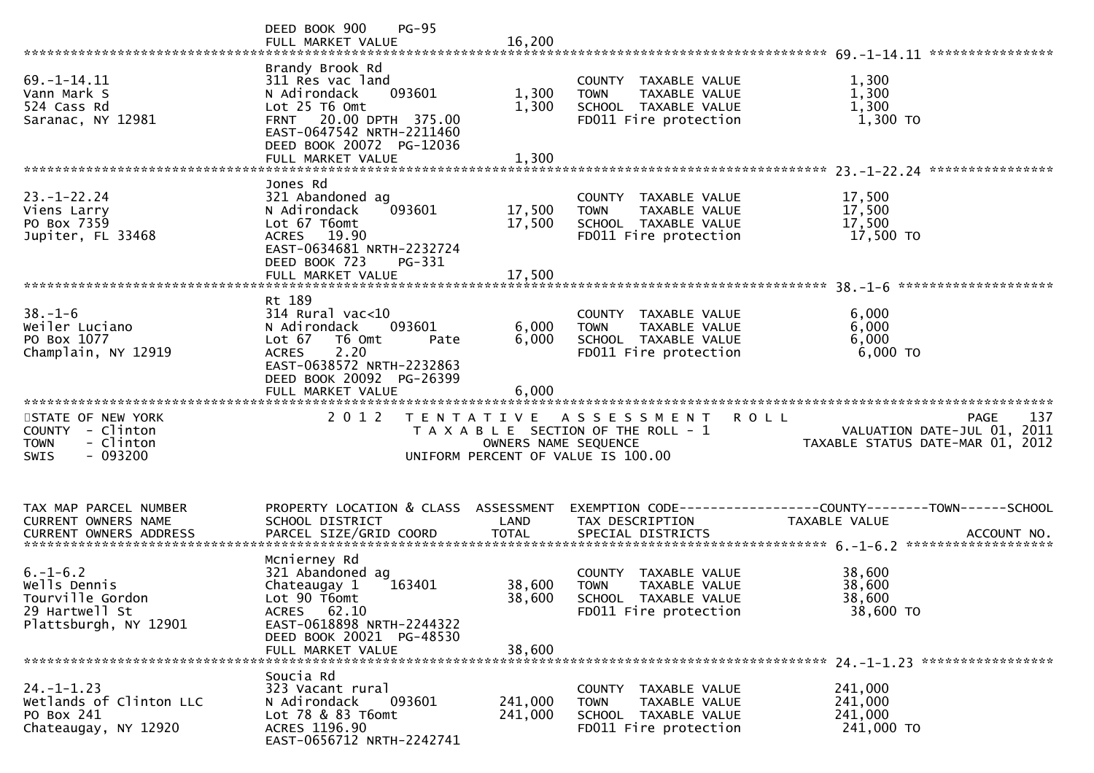|                                                                                               | DEED BOOK 900<br>$PG-95$<br>FULL MARKET VALUE                                                                                                                                          | 16,200                     |                                                                                                       |                                                                 |
|-----------------------------------------------------------------------------------------------|----------------------------------------------------------------------------------------------------------------------------------------------------------------------------------------|----------------------------|-------------------------------------------------------------------------------------------------------|-----------------------------------------------------------------|
| 69. - 1 - 14. 11<br>Vann Mark S<br>524 Cass Rd<br>Saranac, NY 12981                           | Brandy Brook Rd<br>311 Res vac land<br>093601<br>N Adirondack<br>Lot 25 T6 Omt<br>FRNT 20.00 DPTH 375.00<br>EAST-0647542 NRTH-2211460<br>DEED BOOK 20072 PG-12036<br>FULL MARKET VALUE | 1,300<br>1,300<br>1,300    | COUNTY TAXABLE VALUE<br>TAXABLE VALUE<br><b>TOWN</b><br>SCHOOL TAXABLE VALUE<br>FD011 Fire protection | 1,300<br>1,300<br>1,300<br>1,300 TO                             |
|                                                                                               |                                                                                                                                                                                        |                            |                                                                                                       |                                                                 |
| $23. - 1 - 22.24$<br>Viens Larry<br>PO Box 7359<br>Jupiter, FL 33468                          | Jones Rd<br>321 Abandoned ag<br>093601<br>N Adirondack<br>Lot 67 T6omt<br>ACRES 19.90<br>EAST-0634681 NRTH-2232724<br>DEED BOOK 723<br>PG-331                                          | 17,500<br>17,500           | COUNTY TAXABLE VALUE<br>TAXABLE VALUE<br><b>TOWN</b><br>SCHOOL TAXABLE VALUE<br>FD011 Fire protection | 17,500<br>17,500<br>17,500<br>17,500 TO                         |
|                                                                                               | FULL MARKET VALUE                                                                                                                                                                      | 17,500                     |                                                                                                       |                                                                 |
| $38. - 1 - 6$<br>Weiler Luciano<br>PO Box 1077<br>Champlain, NY 12919                         | Rt 189<br>$314$ Rural vac<10<br>N Adirondack<br>093601<br>Lot 67<br>T6 Omt<br>Pate<br>2.20<br><b>ACRES</b><br>EAST-0638572 NRTH-2232863<br>DEED BOOK 20092 PG-26399                    | 6,000<br>6,000             | COUNTY TAXABLE VALUE<br>TAXABLE VALUE<br><b>TOWN</b><br>SCHOOL TAXABLE VALUE<br>FD011 Fire protection | 6,000<br>6,000<br>6,000<br>6,000 TO                             |
| STATE OF NEW YORK                                                                             | 2 0 1 2                                                                                                                                                                                | T E N T A T I V E          | A S S E S S M E N T                                                                                   | 137<br>ROLL<br><b>PAGE</b>                                      |
| <b>COUNTY</b><br>- Clinton<br>- Clinton<br><b>TOWN</b><br>$-093200$<br>SWIS                   |                                                                                                                                                                                        | OWNERS NAME SEQUENCE       | T A X A B L E SECTION OF THE ROLL - 1<br>UNIFORM PERCENT OF VALUE IS 100.00                           | VALUATION DATE-JUL 01, 2011<br>TAXABLE STATUS DATE-MAR 01, 2012 |
| TAX MAP PARCEL NUMBER<br>CURRENT OWNERS NAME                                                  | PROPERTY LOCATION & CLASS<br>SCHOOL DISTRICT                                                                                                                                           | ASSESSMENT<br>LAND         | TAX DESCRIPTION                                                                                       | <b>TAXABLE VALUE</b>                                            |
| $6. - 1 - 6.2$<br>Wells Dennis<br>Tourville Gordon<br>29 Hartwell St<br>Plattsburgh, NY 12901 | Mcnierney Rd<br>321 Abandoned ag<br>163401<br>Chateaugay 1<br>Lot 90 T6omt<br>ACRES 62.10<br>EAST-0618898 NRTH-2244322<br>DEED BOOK 20021 PG-48530<br>FULL MARKET VALUE                | 38,600<br>38,600<br>38,600 | COUNTY TAXABLE VALUE<br>TAXABLE VALUE<br><b>TOWN</b><br>SCHOOL TAXABLE VALUE<br>FD011 Fire protection | 38,600<br>38,600<br>38,600<br>38,600 TO                         |
| $24. - 1 - 1.23$<br>Wetlands of Clinton LLC<br>PO Box 241<br>Chateaugay, NY 12920             | Soucia Rd<br>323 Vacant rural<br>093601<br>N Adirondack<br>Lot 78 & 83 T6omt<br>ACRES 1196.90<br>EAST-0656712 NRTH-2242741                                                             | 241,000<br>241,000         | COUNTY TAXABLE VALUE<br>TAXABLE VALUE<br><b>TOWN</b><br>SCHOOL TAXABLE VALUE<br>FD011 Fire protection | 241,000<br>241,000<br>241,000<br>241,000 TO                     |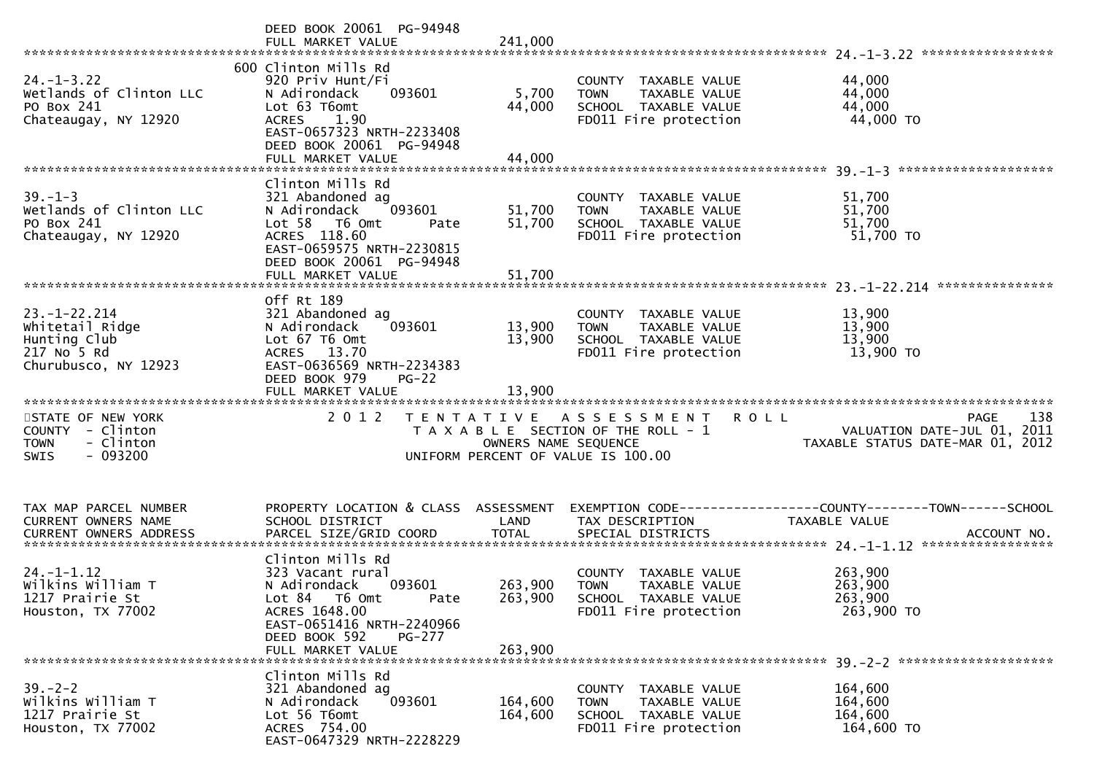|                                                                                               | DEED BOOK 20061 PG-94948<br>FULL MARKET VALUE                                                                                                                                            | 241,000                       |                                                                                                                    | *****************                                                              |
|-----------------------------------------------------------------------------------------------|------------------------------------------------------------------------------------------------------------------------------------------------------------------------------------------|-------------------------------|--------------------------------------------------------------------------------------------------------------------|--------------------------------------------------------------------------------|
| $24. - 1 - 3.22$<br>Wetlands of Clinton LLC<br>PO Box 241<br>Chateaugay, NY 12920             | 600 Clinton Mills Rd<br>920 Priv Hunt/Fi<br>N Adirondack<br>093601<br>Lot 63 T6omt<br>ACRES 1.90<br>EAST-0657323 NRTH-2233408<br>DEED BOOK 20061 PG-94948<br>FULL MARKET VALUE           | 5,700<br>44,000<br>44,000     | COUNTY TAXABLE VALUE<br>TAXABLE VALUE<br><b>TOWN</b><br>SCHOOL TAXABLE VALUE<br>FD011 Fire protection              | 44,000<br>44,000<br>44,000<br>44,000 TO                                        |
| $39. - 1 - 3$<br>Wetlands of Clinton LLC<br>PO Box 241<br>Chateaugay, NY 12920                | Clinton Mills Rd<br>321 Abandoned ag<br>093601<br>N Adirondack<br>Lot 58 T6 Omt<br>Pate<br>ACRES 118.60<br>EAST-0659575 NRTH-2230815<br>DEED BOOK 20061 PG-94948<br>FULL MARKET VALUE    | 51,700<br>51,700<br>51,700    | COUNTY TAXABLE VALUE<br>TAXABLE VALUE<br><b>TOWN</b><br>SCHOOL TAXABLE VALUE<br>FD011 Fire protection              | 51,700<br>51,700<br>51,700<br>51,700 TO                                        |
|                                                                                               | Off Rt 189                                                                                                                                                                               |                               |                                                                                                                    | ***************                                                                |
| $23. - 1 - 22.214$<br>Whitetail Ridge<br>Hunting Club<br>217 No 5 Rd<br>Churubusco, NY 12923  | 321 Abandoned ag<br>093601<br>N Adirondack<br>Lot 67 T6 Omt<br>ACRES 13.70<br>EAST-0636569 NRTH-2234383<br>DEED BOOK 979<br>$PG-22$                                                      | 13,900<br>13,900              | COUNTY TAXABLE VALUE<br><b>TOWN</b><br><b>TAXABLE VALUE</b><br>SCHOOL TAXABLE VALUE<br>FD011 Fire protection       | 13,900<br>13,900<br>13,900<br>13,900 TO                                        |
|                                                                                               | FULL MARKET VALUE                                                                                                                                                                        | 13,900                        |                                                                                                                    |                                                                                |
| STATE OF NEW YORK<br>COUNTY - Clinton<br>- Clinton<br><b>TOWN</b><br>$-093200$<br><b>SWIS</b> | 2 0 1 2                                                                                                                                                                                  | OWNERS NAME SEQUENCE          | <b>ROLL</b><br>TENTATIVE ASSESSMENT<br>T A X A B L E SECTION OF THE ROLL - 1<br>UNIFORM PERCENT OF VALUE IS 100.00 | 138<br>PAGE<br>VALUATION DATE-JUL 01, 2011<br>TAXABLE STATUS DATE-MAR 01, 2012 |
| TAX MAP PARCEL NUMBER<br>CURRENT OWNERS NAME                                                  | PROPERTY LOCATION & CLASS<br>SCHOOL DISTRICT                                                                                                                                             | ASSESSMENT<br>LAND            | TAX DESCRIPTION                                                                                                    | TAXABLE VALUE                                                                  |
| $24. - 1 - 1.12$<br>Wilkins William T<br>1217 Prairie St<br>Houston, TX 77002                 | Clinton Mills Rd<br>323 Vacant rural<br>093601<br>N Adirondack<br>Lot 84<br>T6 Omt<br>Pate<br>ACRES 1648.00<br>EAST-0651416 NRTH-2240966<br>DEED BOOK 592<br>PG-277<br>FULL MARKET VALUE | 263,900<br>263,900<br>263,900 | COUNTY TAXABLE VALUE<br>TAXABLE VALUE<br><b>TOWN</b><br>SCHOOL TAXABLE VALUE<br>FD011 Fire protection              | 263,900<br>263,900<br>263,900<br>263,900 TO                                    |
|                                                                                               |                                                                                                                                                                                          |                               |                                                                                                                    |                                                                                |
| $39 - 2 - 2$<br>Wilkins William T<br>1217 Prairie St<br>Houston, TX 77002                     | Clinton Mills Rd<br>321 Abandoned ag<br>093601<br>N Adirondack<br>Lot 56 T6omt<br>ACRES 754.00<br>EAST-0647329 NRTH-2228229                                                              | 164,600<br>164,600            | COUNTY TAXABLE VALUE<br>TAXABLE VALUE<br><b>TOWN</b><br>SCHOOL TAXABLE VALUE<br>FD011 Fire protection              | 164,600<br>164,600<br>164,600<br>164,600 TO                                    |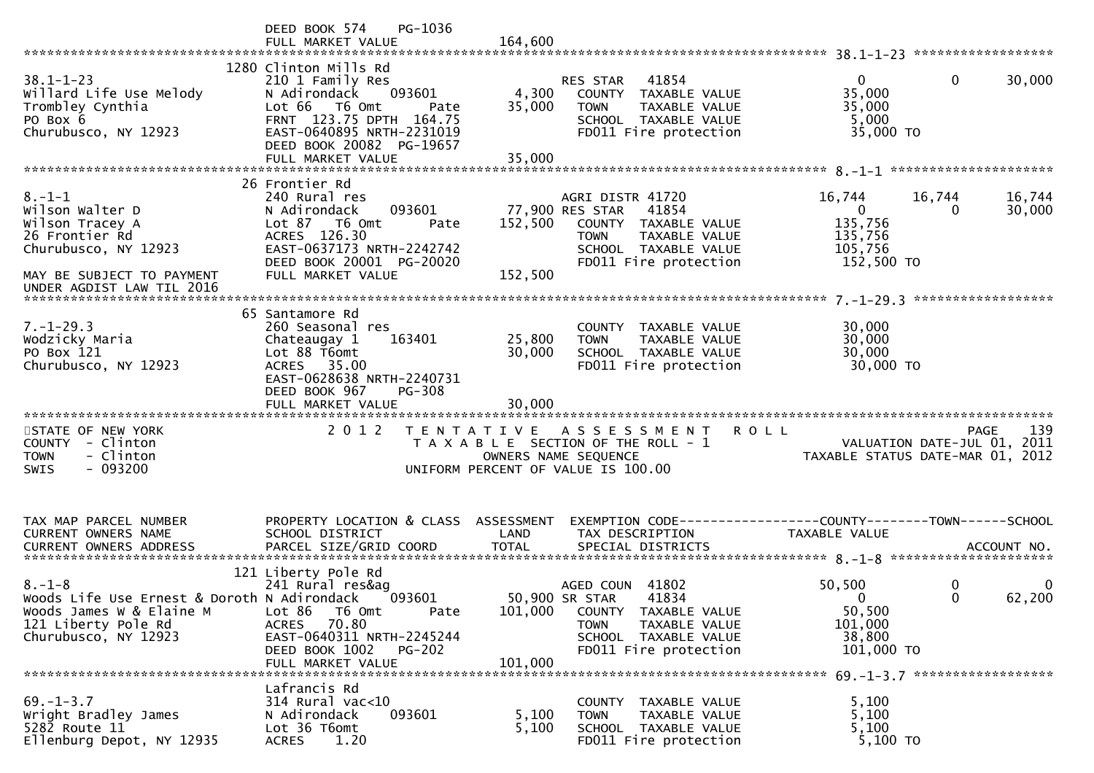|                                                                                                                                               | PG-1036<br>DEED BOOK 574<br>FULL MARKET VALUE                                                                                                                                                         | 164,600                   |                                                                                                                                                       |                                                                         |                                  |
|-----------------------------------------------------------------------------------------------------------------------------------------------|-------------------------------------------------------------------------------------------------------------------------------------------------------------------------------------------------------|---------------------------|-------------------------------------------------------------------------------------------------------------------------------------------------------|-------------------------------------------------------------------------|----------------------------------|
| $38.1 - 1 - 23$<br>Willard Life Use Melody<br>Trombley Cynthia<br>PO Box 6<br>Churubusco, NY 12923                                            | 1280 Clinton Mills Rd<br>210 1 Family Res<br>093601<br>N Adirondack<br>Lot 66 T6 Omt<br>Pate<br>FRNT 123.75 DPTH 164.75<br>EAST-0640895 NRTH-2231019<br>DEED BOOK 20082 PG-19657<br>FULL MARKET VALUE | 4,300<br>35,000<br>35,000 | 41854<br>RES STAR<br>COUNTY TAXABLE VALUE<br>TAXABLE VALUE<br><b>TOWN</b><br>SCHOOL TAXABLE VALUE<br>FD011 Fire protection                            | $\mathbf{0}$<br>35,000<br>35,000<br>5,000<br>35,000 TO                  | 30,000<br>$\mathbf{0}$           |
|                                                                                                                                               |                                                                                                                                                                                                       |                           |                                                                                                                                                       |                                                                         |                                  |
| $8. - 1 - 1$<br>Wilson Walter D<br>Wilson Tracey A<br>26 Frontier Rd<br>Churubusco, NY 12923                                                  | 26 Frontier Rd<br>240 Rural res<br>093601<br>N Adirondack<br>Lot 87 T6 Omt<br>Pate<br>ACRES 126.30<br>EAST-0637173 NRTH-2242742<br>DEED BOOK 20001 PG-20020<br>FULL MARKET VALUE                      | 152,500<br>152,500        | AGRI DISTR 41720<br>77,900 RES STAR<br>41854<br>COUNTY TAXABLE VALUE<br>TAXABLE VALUE<br><b>TOWN</b><br>SCHOOL TAXABLE VALUE<br>FD011 Fire protection | 16,744<br>$\overline{0}$<br>135,756<br>135,756<br>105,756<br>152,500 TO | 16,744<br>16,744<br>30,000<br>0  |
| MAY BE SUBJECT TO PAYMENT<br>UNDER AGDIST LAW TIL 2016                                                                                        |                                                                                                                                                                                                       |                           |                                                                                                                                                       |                                                                         |                                  |
|                                                                                                                                               |                                                                                                                                                                                                       |                           |                                                                                                                                                       |                                                                         |                                  |
| $7. - 1 - 29.3$<br>Wodzicky Maria<br>PO Box 121<br>Churubusco, NY 12923                                                                       | 65 Santamore Rd<br>260 Seasonal res<br>163401<br>Chateaugay 1<br>Lot 88 T6omt<br>ACRES 35.00<br>EAST-0628638 NRTH-2240731<br>DEED BOOK 967<br><b>PG-308</b>                                           | 25,800<br>30,000          | COUNTY TAXABLE VALUE<br>TAXABLE VALUE<br><b>TOWN</b><br>SCHOOL TAXABLE VALUE<br>FD011 Fire protection                                                 | 30,000<br>30,000<br>30,000<br>30,000 TO                                 |                                  |
| STATE OF NEW YORK<br>COUNTY - Clinton<br><b>TOWN</b><br>- Clinton<br><b>SWIS</b><br>- 093200                                                  | 2 0 1 2                                                                                                                                                                                               | T E N T A T I V E         | A S S E S S M E N T<br>T A X A B L E SECTION OF THE ROLL - 1<br>OWNERS NAME SEQUENCE<br>UNIFORM PERCENT OF VALUE IS 100.00                            | ROLL<br>VALUATION DATE-JUL 01, 2011<br>TAXABLE STATUS DATE-MAR 01, 2012 | 139<br>PAGE                      |
|                                                                                                                                               |                                                                                                                                                                                                       |                           |                                                                                                                                                       |                                                                         |                                  |
| TAX MAP PARCEL NUMBER<br>CURRENT OWNERS NAME                                                                                                  | PROPERTY LOCATION & CLASS ASSESSMENT<br>SCHOOL DISTRICT                                                                                                                                               | LAND                      | EXEMPTION CODE------------------COUNTY--------TOWN------SCHOOL<br>TAX DESCRIPTION                                                                     | TAXABLE VALUE                                                           |                                  |
| $8. - 1 - 8$<br>Woods Life Use Ernest & Doroth N Adirondack 093601<br>Woods James W & Elaine M<br>121 Liberty Pole Rd<br>Churubusco, NY 12923 | 121 Liberty Pole Rd<br>241 Rural res&ag<br>T6 Omt<br>Pate<br>Lot 86<br>70.80<br><b>ACRES</b><br>EAST-0640311 NRTH-2245244<br>DEED BOOK 1002<br><b>PG-202</b><br>FULL MARKET VALUE                     | 101,000<br>101,000        | AGED COUN 41802<br>50,900 SR STAR<br>41834<br>COUNTY TAXABLE VALUE<br>TAXABLE VALUE<br><b>TOWN</b><br>SCHOOL TAXABLE VALUE<br>FD011 Fire protection   | 50,500<br>$\mathbf{0}$<br>50,500<br>101,000<br>38,800<br>101,000 TO     | 0<br>0<br>62,200<br>$\mathbf{0}$ |
| $69. - 1 - 3.7$<br>Wright Bradley James<br>5282 Route 11<br>Ellenburg Depot, NY 12935                                                         | Lafrancis Rd<br>314 Rural vac<10<br>093601<br>N Adirondack<br>Lot 36 T6omt<br>1.20<br><b>ACRES</b>                                                                                                    | 5,100<br>5,100            | COUNTY TAXABLE VALUE<br>TAXABLE VALUE<br><b>TOWN</b><br>SCHOOL TAXABLE VALUE<br>FD011 Fire protection                                                 | 5,100<br>5,100<br>5,100<br>5,100 TO                                     |                                  |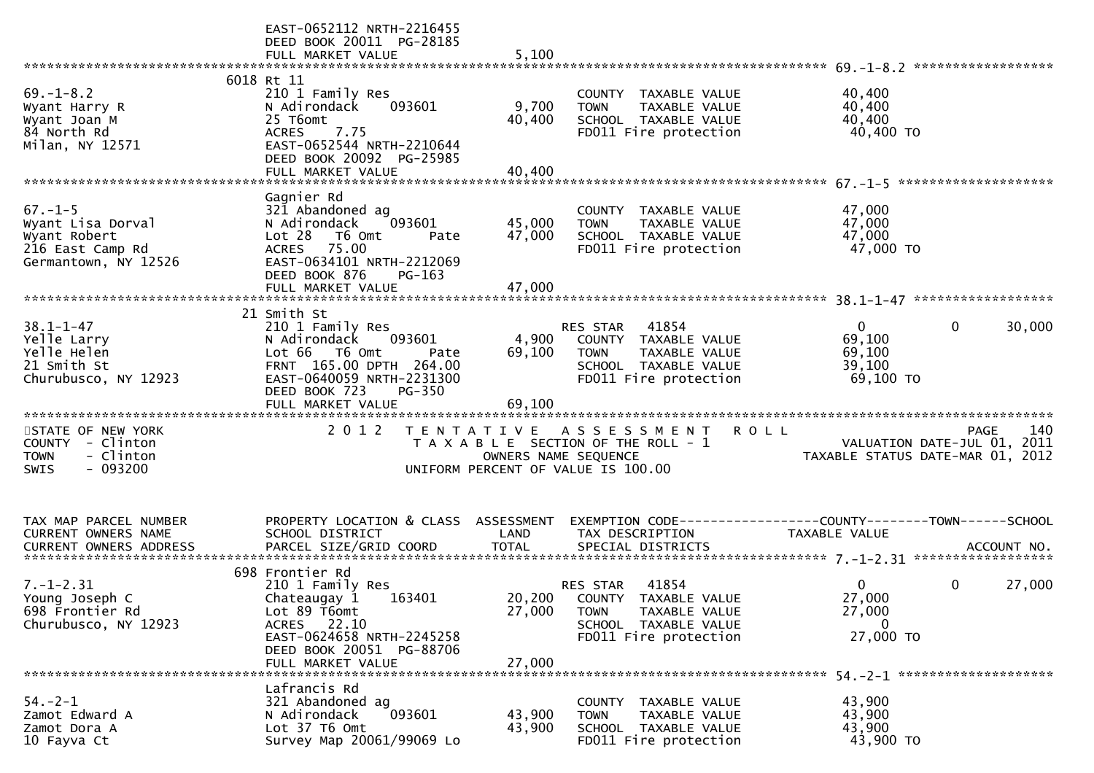|                                                                                                | EAST-0652112 NRTH-2216455<br>DEED BOOK 20011 PG-28185<br>FULL MARKET VALUE                                                                                                         | 5,100                      |                                                                                                                                   |                                                                                                      |
|------------------------------------------------------------------------------------------------|------------------------------------------------------------------------------------------------------------------------------------------------------------------------------------|----------------------------|-----------------------------------------------------------------------------------------------------------------------------------|------------------------------------------------------------------------------------------------------|
|                                                                                                | 6018 Rt 11                                                                                                                                                                         |                            |                                                                                                                                   |                                                                                                      |
| $69. - 1 - 8.2$<br>Wyant Harry R<br>Wyant Joan M<br>84 North Rd<br>Milan, NY 12571             | 210 1 Family Res<br>N Adirondack<br>093601<br>25 T6omt<br>7.75<br><b>ACRES</b><br>EAST-0652544 NRTH-2210644<br>DEED BOOK 20092 PG-25985                                            | 9,700<br>40,400            | COUNTY TAXABLE VALUE<br>TAXABLE VALUE<br><b>TOWN</b><br>SCHOOL TAXABLE VALUE<br>FD011 Fire protection                             | 40,400<br>40,400<br>40,400<br>40,400 TO                                                              |
|                                                                                                |                                                                                                                                                                                    |                            |                                                                                                                                   |                                                                                                      |
| $67. - 1 - 5$<br>Wyant Lisa Dorval<br>Wyant Robert<br>216 East Camp Rd<br>Germantown, NY 12526 | Gagnier Rd<br>321 Abandoned ag<br>N Adirondack<br>093601<br>Lot 28<br>T6 Omt<br>Pate<br>ACRES 75.00<br>EAST-0634101 NRTH-2212069<br>DEED BOOK 876<br>$PG-163$<br>FULL MARKET VALUE | 45,000<br>47,000<br>47,000 | COUNTY TAXABLE VALUE<br>TAXABLE VALUE<br><b>TOWN</b><br>SCHOOL TAXABLE VALUE<br>FD011 Fire protection                             | 47,000<br>47,000<br>47,000<br>47,000 TO                                                              |
|                                                                                                |                                                                                                                                                                                    |                            |                                                                                                                                   |                                                                                                      |
| $38.1 - 1 - 47$<br>Yelle Larry<br>Yelle Helen<br>21 Smith St<br>Churubusco, NY 12923           | 21 Smith St<br>210 1 Family Res<br>N Adirondack<br>093601<br>T6 Omt<br>Lot 66<br>Pate<br>FRNT 165.00 DPTH 264.00<br>EAST-0640059 NRTH-2231300<br>DEED BOOK 723<br><b>PG-350</b>    | 4,900<br>69,100            | 41854<br>RES STAR<br>COUNTY TAXABLE VALUE<br><b>TOWN</b><br>TAXABLE VALUE<br>SCHOOL TAXABLE VALUE<br>FD011 Fire protection        | $\Omega$<br>0<br>30,000<br>69,100<br>69,100<br>39,100<br>69,100 TO                                   |
|                                                                                                | FULL MARKET VALUE                                                                                                                                                                  | 69,100                     |                                                                                                                                   |                                                                                                      |
| STATE OF NEW YORK<br>COUNTY - Clinton<br>- Clinton<br><b>TOWN</b><br>$-093200$<br><b>SWIS</b>  | 2 0 1 2                                                                                                                                                                            | OWNERS NAME SEQUENCE       | TENTATIVE ASSESSMENT<br>T A X A B L E SECTION OF THE ROLL - 1<br>UNIFORM PERCENT OF VALUE IS 100.00                               | <b>ROLL</b><br>140<br><b>PAGE</b><br>VALUATION DATE-JUL 01, 2011<br>TAXABLE STATUS DATE-MAR 01, 2012 |
| TAX MAP PARCEL NUMBER                                                                          | PROPERTY LOCATION & CLASS ASSESSMENT                                                                                                                                               |                            |                                                                                                                                   |                                                                                                      |
| CURRENT OWNERS NAME                                                                            | SCHOOL DISTRICT                                                                                                                                                                    | LAND                       | TAX DESCRIPTION                                                                                                                   | TAXABLE VALUE                                                                                        |
|                                                                                                |                                                                                                                                                                                    |                            |                                                                                                                                   |                                                                                                      |
| $7. - 1 - 2.31$<br>Young Joseph C<br>698 Frontier Rd<br>Churubusco, NY 12923                   | 698 Frontier Rd<br>210 1 Family Res<br>Chateaugay 1 163401<br>Lot 89 T6omt<br>22.10<br><b>ACRES</b><br>EAST-0624658 NRTH-2245258<br>DEED BOOK 20051 PG-88706<br>FULL MARKET VALUE  | 27,000<br>27,000           | 41854<br>RES STAR<br>20,200 COUNTY TAXABLE VALUE<br><b>TOWN</b><br>TAXABLE VALUE<br>SCHOOL TAXABLE VALUE<br>FD011 Fire protection | $\mathbf{0}$<br>0<br>27,000<br>27,000<br>27,000<br>$\mathbf{0}$<br>27,000 TO                         |
|                                                                                                | Lafrancis Rd                                                                                                                                                                       |                            |                                                                                                                                   |                                                                                                      |
| $54. - 2 - 1$<br>Zamot Edward A<br>Zamot Dora A<br>10 Fayva Ct                                 | 321 Abandoned ag<br>N Adirondack<br>093601<br>Lot 37 T6 Omt<br>Survey Map 20061/99069 Lo                                                                                           | 43,900<br>43,900           | COUNTY TAXABLE VALUE<br>TAXABLE VALUE<br><b>TOWN</b><br>SCHOOL TAXABLE VALUE<br>FD011 Fire protection                             | 43,900<br>43,900<br>43,900<br>43,900 TO                                                              |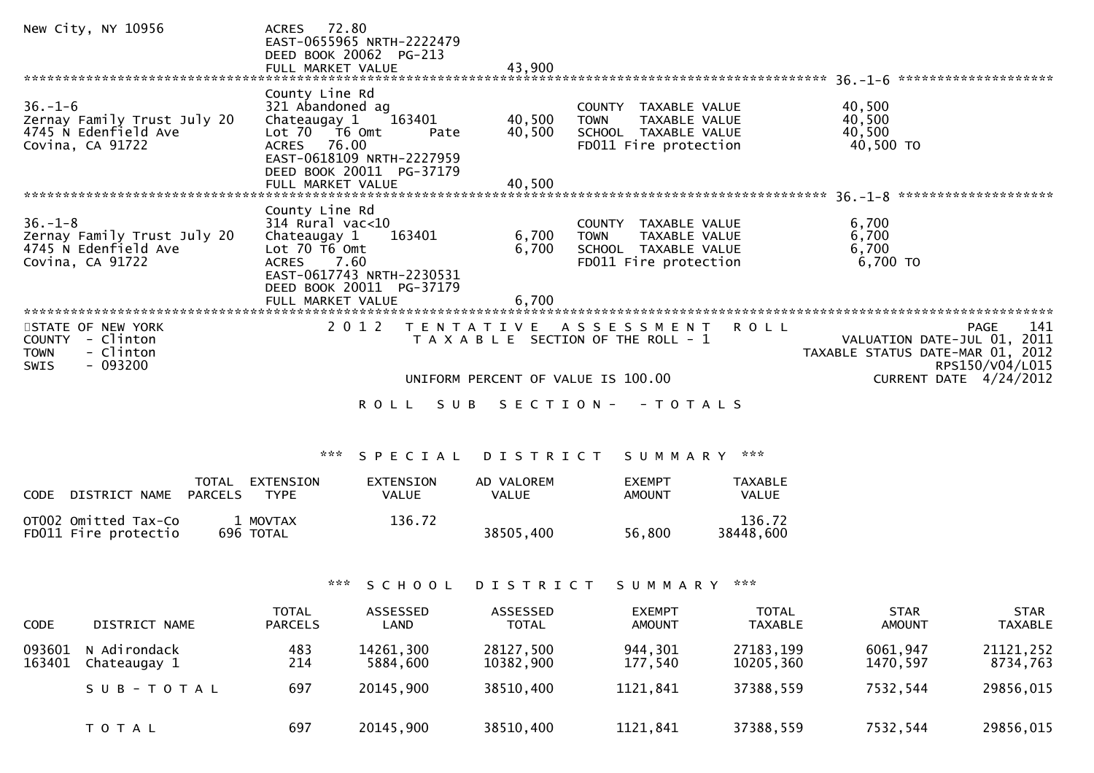| New City, NY 10956                                                                                                     | ACRES 72.80<br>EAST-0655965 NRTH-2222479<br>DEED BOOK 20062 PG-213                                                                                                                                                                                                                                                                                                                                             |
|------------------------------------------------------------------------------------------------------------------------|----------------------------------------------------------------------------------------------------------------------------------------------------------------------------------------------------------------------------------------------------------------------------------------------------------------------------------------------------------------------------------------------------------------|
| ******************************                                                                                         |                                                                                                                                                                                                                                                                                                                                                                                                                |
| $36. - 1 - 6$<br>Zernay Family Trust July 20<br>4745 N Edenfield Ave<br>Covina, CA 91722                               | County Line Rd<br>321 Abandoned ag<br>40,500<br>COUNTY TAXABLE VALUE<br>163401<br>40,500<br>Chateaugay 1<br>40,500<br><b>TOWN</b><br>TAXABLE VALUE<br>40,500<br>40,500<br>Lot $70 - 76$ Omt<br>SCHOOL TAXABLE VALUE<br>Pate<br>ACRES 76.00<br>FD011 Fire protection<br>40,500 TO<br>EAST-0618109 NRTH-2227959<br>DEED BOOK 20011 PG-37179                                                                      |
|                                                                                                                        |                                                                                                                                                                                                                                                                                                                                                                                                                |
| $36. - 1 - 8$<br>Zernay Family Trust July 20<br>4745 N Edenfield Ave<br>Covina, CA 91722<br>************************** | County Line Rd<br>$314$ Rural vac<10<br>6,700<br>COUNTY TAXABLE VALUE<br>6,700<br>163401<br>Chateaugay 1<br>6,700<br><b>TOWN</b><br>TAXABLE VALUE<br>6,700<br>6,700<br>Lot $70$ $\overline{16}$ Omt<br>SCHOOL TAXABLE VALUE<br>7.60<br>FD011 Fire protection<br>6,700 TO<br><b>ACRES</b><br>EAST-0617743 NRTH-2230531<br>DEED BOOK 20011 PG-37179<br>FULL MARKET VALUE<br>6,700<br>*************************** |
| STATE OF NEW YORK<br>- Clinton<br><b>COUNTY</b><br>- Clinton<br><b>TOWN</b><br>- 093200<br><b>SWIS</b>                 | 2 0 1 2<br>141<br>T E N T A T I V E<br>A S S E S S M E N T<br>R O L L<br><b>PAGE</b><br>T A X A B L E SECTION OF THE ROLL - 1<br>VALUATION DATE-JUL 01, 2011<br>TAXABLE STATUS DATE-MAR 01, 2012<br>RPS150/V04/L015                                                                                                                                                                                            |
|                                                                                                                        | CURRENT DATE 4/24/2012<br>UNIFORM PERCENT OF VALUE IS 100.00<br>SUB<br>S E C T I O N -<br>- T O T A L S<br>R O L L                                                                                                                                                                                                                                                                                             |

# \*\*\* S P E C I A L D I S T R I C T S U M M A R Y \*\*\*

| CODE | DISTRICT NAME                                | TOTAL<br><b>PARCELS</b> | EXTENSION<br><b>TYPE</b> | EXTENSION<br>VALUE | AD VALOREM<br>VALUE | <b>FXEMPT</b><br><b>AMOUNT</b> | TAXABLE<br>VALUE    |
|------|----------------------------------------------|-------------------------|--------------------------|--------------------|---------------------|--------------------------------|---------------------|
|      | OTO02 Omitted Tax-Co<br>FD011 Fire protectio |                         | 1 MOVTAX<br>696 TOTAL    | 136.72             | 38505,400           | 56.800                         | 136.72<br>38448.600 |

# \*\*\* S C H O O L D I S T R I C T S U M M A R Y \*\*\*

| <b>CODE</b>      | DISTRICT NAME                | <b>TOTAL</b><br><b>PARCELS</b> | ASSESSED<br>LAND      | ASSESSED<br><b>TOTAL</b> | <b>EXEMPT</b><br><b>AMOUNT</b> | <b>TOTAL</b><br>TAXABLE | <b>STAR</b><br>AMOUNT | <b>STAR</b><br><b>TAXABLE</b> |
|------------------|------------------------------|--------------------------------|-----------------------|--------------------------|--------------------------------|-------------------------|-----------------------|-------------------------------|
| 093601<br>163401 | N Adirondack<br>Chateaugay 1 | 483<br>214                     | 14261,300<br>5884.600 | 28127,500<br>10382,900   | 944,301<br>177,540             | 27183,199<br>10205,360  | 6061,947<br>1470.597  | 21121,252<br>8734,763         |
|                  | SUB-TOTAL                    | 697                            | 20145,900             | 38510,400                | 1121,841                       | 37388,559               | 7532,544              | 29856,015                     |
|                  | T O T A L                    | 697                            | 20145,900             | 38510,400                | 1121,841                       | 37388,559               | 7532,544              | 29856,015                     |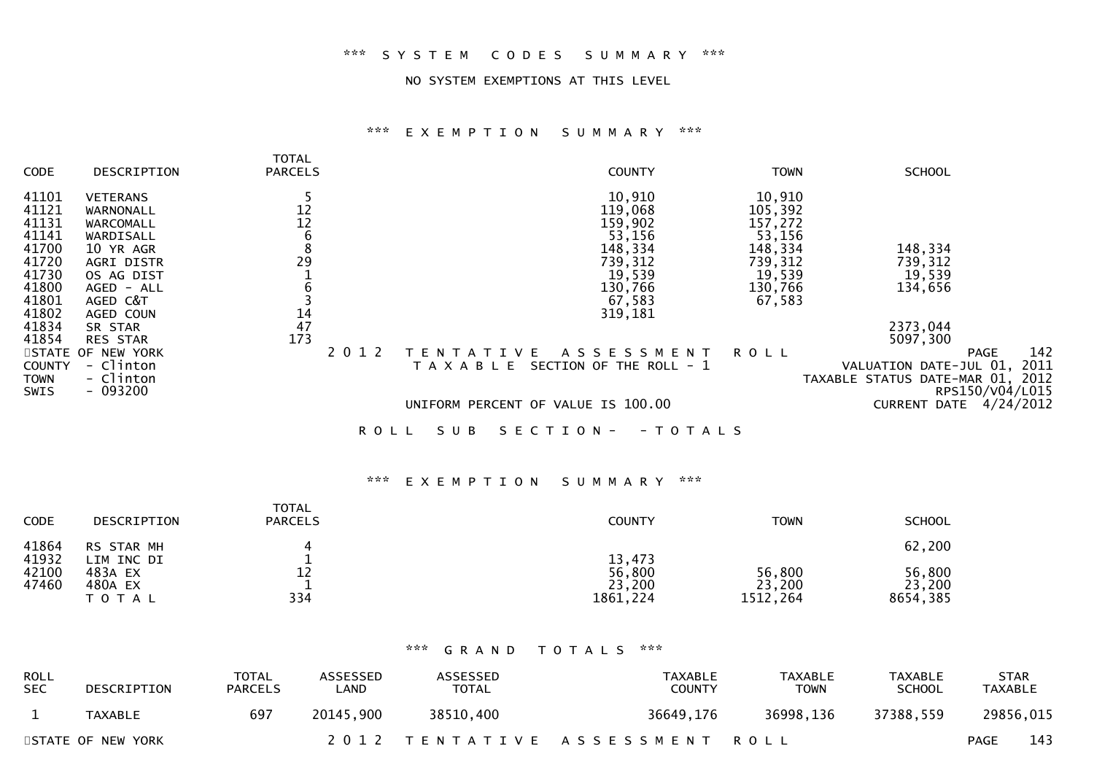### \*\*\* S Y S T E M C O D E S S U M M A R Y \*\*\*

#### NO SYSTEM EXEMPTIONS AT THIS LEVEL

# \*\*\* E X E M P T I O N S U M M A R Y \*\*\*

| <b>CODE</b>                                                                            | DESCRIPTION                                                                                                                            | <b>TOTAL</b><br><b>PARCELS</b>                                    | <b>COUNTY</b>                                                                                                                                                          | <b>TOWN</b>                                                                                 | <b>SCHOOL</b>                                                                                                                                          |
|----------------------------------------------------------------------------------------|----------------------------------------------------------------------------------------------------------------------------------------|-------------------------------------------------------------------|------------------------------------------------------------------------------------------------------------------------------------------------------------------------|---------------------------------------------------------------------------------------------|--------------------------------------------------------------------------------------------------------------------------------------------------------|
| 41101<br>41121<br>41131<br>41141<br>41700<br>41720<br>41730<br>41800<br>41801<br>41802 | <b>VETERANS</b><br>WARNONALL<br>WARCOMALL<br>WARDISALL<br>10 YR AGR<br>AGRI DISTR<br>OS AG DIST<br>AGED - ALL<br>AGED C&T<br>AGED COUN | $\begin{array}{c} 12 \\ 12 \end{array}$<br>$\,$ 6<br>8<br>29<br>6 | 10,910<br>119,068<br>159,902<br>53,156<br>148,334<br>739,312<br>19,539<br>130,766<br>67,583<br>319,181                                                                 | 10,910<br>105,392<br>157,272<br>53,156<br>148,334<br>739,312<br>19,539<br>130,766<br>67,583 | 148,334<br>739,312<br>19,539<br>134,656                                                                                                                |
| 41834<br>41854<br><b>COUNTY</b><br>TOWN<br>SWIS                                        | SR STAR<br><b>RES STAR</b><br>STATE OF NEW YORK<br>- Clinton<br>- Clinton<br>$-093200$                                                 | $\frac{14}{47}$<br>173<br>2 0 1 2                                 | A S S E S S M E N T<br>I V F<br>SECTION OF THE ROLL - 1<br>T A X A B L E<br>UNIFORM PERCENT OF VALUE IS 100.00<br>S U B<br>S E C T I O N -<br>- T O T A L S<br>R O L L | R O L L                                                                                     | 2373,044<br>5097,300<br>142<br>PAGE<br>2011<br>VALUATION DATE-JUL 01,<br>TAXABLE STATUS DATE-MAR 01, 2012<br>RPS150/V04/L015<br>CURRENT DATE 4/24/2012 |

# \*\*\* E X E M P T I O N S U M M A R Y \*\*\*

| <b>CODE</b>    | DESCRIPTION                     | <b>TOTAL</b><br><b>PARCELS</b> | <b>COUNTY</b>                 | <b>TOWN</b>                  | <b>SCHOOL</b>                |
|----------------|---------------------------------|--------------------------------|-------------------------------|------------------------------|------------------------------|
| 41864<br>41932 | RS STAR MH<br>LIM INC DI        |                                | 13,473                        |                              | 62,200                       |
| 42100<br>47460 | 483A EX<br>480A EX<br>T O T A L | 12<br>334                      | 56,800<br>23,200<br>1861, 224 | 56,800<br>23,200<br>1512,264 | 56,800<br>23,200<br>8654,385 |

### \*\*\* G R A N D T O T A L S \*\*\*

| <b>ROLL</b><br><b>SEC</b> | DESCRIPTION       | TOTAL<br>PARCELS | <b>ASSESSED</b><br>∟AND | ASSESSED<br><b>TOTAL</b> | TAXABLE<br><b>COUNTY</b>       | TAXABLE<br><b>TOWN</b> | TAXABLE<br><b>SCHOOL</b> | <b>STAR</b><br>TAXABLE |           |
|---------------------------|-------------------|------------------|-------------------------|--------------------------|--------------------------------|------------------------|--------------------------|------------------------|-----------|
|                           | TAXABLE           | 697              | 20145.900               | 38510,400                | 36649,176                      | 36998,136              | 37388,559                |                        | 29856,015 |
|                           | STATE OF NEW YORK |                  |                         |                          | 2012 TENTATIVE ASSESSMENT ROLL |                        |                          | <b>PAGE</b>            | 143       |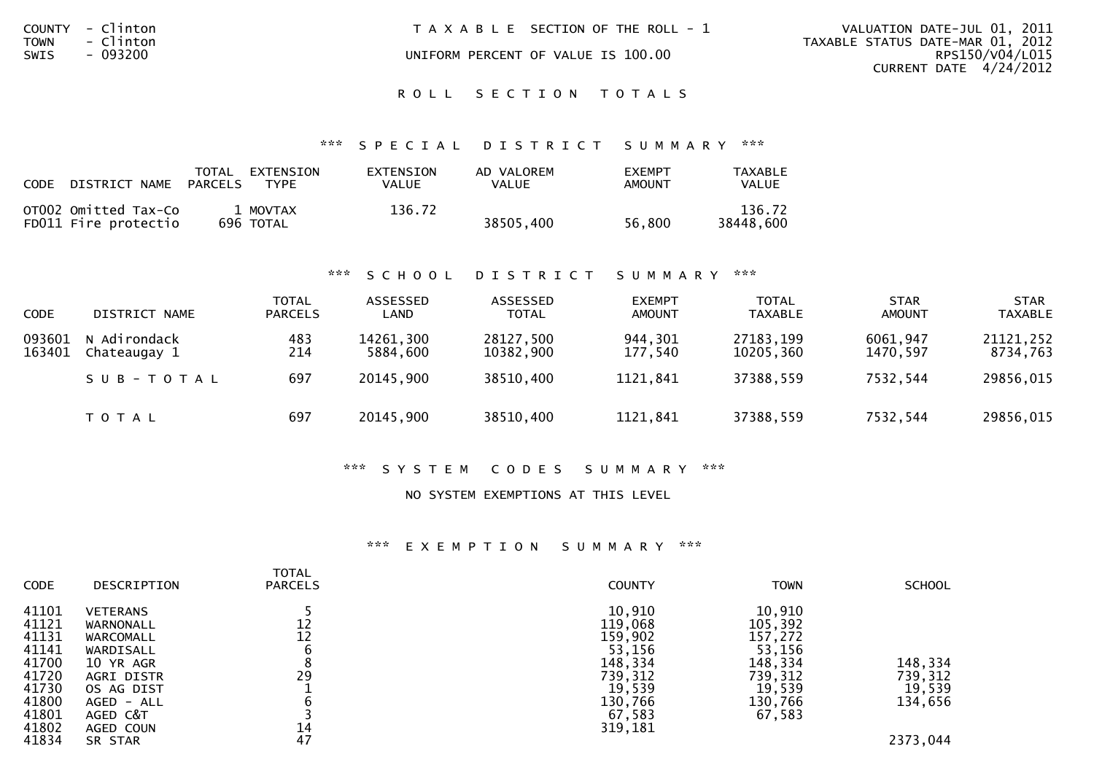| COUNTY<br><b>TOWN</b><br>SWIS | - Clinton<br>- Clinton<br>- 093200 | T A X A B L E SECTION OF THE ROLL - 1<br>UNIFORM PERCENT OF VALUE IS 100.00 | VALUATION DATE-JUL 01, 2011<br>TAXABLE STATUS DATE-MAR 01, 2012<br>RPS150/V04/L015<br>CURRENT DATE $4/24/2012$ |
|-------------------------------|------------------------------------|-----------------------------------------------------------------------------|----------------------------------------------------------------------------------------------------------------|
|                               |                                    | ROLL SECTION TOTALS                                                         |                                                                                                                |

### \*\*\* S P E C I A L D I S T R I C T S U M M A R Y \*\*\*

| <b>CODE</b> | DISTRICT NAME                                | TOTAL<br>PARCELS | EXTENSION<br>TYPF     | EXTENSION<br>VALUE | AD VALOREM<br>VALUE | <b>EXEMPT</b><br>AMOUNT | TAXABLE<br>VALUE    |
|-------------|----------------------------------------------|------------------|-----------------------|--------------------|---------------------|-------------------------|---------------------|
|             | OT002 Omitted Tax-Co<br>FD011 Fire protectio |                  | 1 MOVTAX<br>696 TOTAL | 136.72             | 38505,400           | 56.800                  | 136.72<br>38448.600 |

### \*\*\* S C H O O L D I S T R I C T S U M M A R Y \*\*\*

| <b>CODE</b>      | DISTRICT NAME                | <b>TOTAL</b><br><b>PARCELS</b> | ASSESSED<br>LAND      | ASSESSED<br><b>TOTAL</b> | <b>EXEMPT</b><br><b>AMOUNT</b> | <b>TOTAL</b><br><b>TAXABLE</b> | <b>STAR</b><br><b>AMOUNT</b> | <b>STAR</b><br><b>TAXABLE</b> |
|------------------|------------------------------|--------------------------------|-----------------------|--------------------------|--------------------------------|--------------------------------|------------------------------|-------------------------------|
| 093601<br>163401 | N Adirondack<br>Chateaugay 1 | 483<br>214                     | 14261,300<br>5884.600 | 28127,500<br>10382,900   | 944,301<br>177.540             | 27183,199<br>10205,360         | 6061,947<br>1470.597         | 21121,252<br>8734,763         |
|                  | SUB-TOTAL                    | 697                            | 20145,900             | 38510,400                | 1121,841                       | 37388,559                      | 7532,544                     | 29856,015                     |
|                  | T O T A L                    | 697                            | 20145,900             | 38510,400                | 1121,841                       | 37388,559                      | 7532,544                     | 29856,015                     |

#### \*\*\* S Y S T E M C O D E S S U M M A R Y \*\*\*

#### NO SYSTEM EXEMPTIONS AT THIS LEVEL

# \*\*\* E X E M P T I O N S U M M A R Y \*\*\*

| <b>CODE</b>                                                                   | DESCRIPTION                                                                                                               | <b>TOTAL</b><br><b>PARCELS</b> | <b>COUNTY</b>                                                                               | <b>TOWN</b>                                                                                 | <b>SCHOOL</b>                           |
|-------------------------------------------------------------------------------|---------------------------------------------------------------------------------------------------------------------------|--------------------------------|---------------------------------------------------------------------------------------------|---------------------------------------------------------------------------------------------|-----------------------------------------|
| 41101<br>41121<br>41131<br>41141<br>41700<br>41720<br>41730<br>41800<br>41801 | <b>VETERANS</b><br>WARNONALL<br>WARCOMALL<br>WARDISALL<br>10 YR AGR<br>AGRI DISTR<br>OS AG DIST<br>AGED - ALL<br>AGED C&T | 12<br>12<br>29                 | 10,910<br>119,068<br>159,902<br>53,156<br>148,334<br>739,312<br>19,539<br>130,766<br>67,583 | 10,910<br>105,392<br>157,272<br>53,156<br>148,334<br>739,312<br>19,539<br>130,766<br>67,583 | 148,334<br>739,312<br>19,539<br>134,656 |
| 41802<br>41834                                                                | AGED COUN<br>SR STAR                                                                                                      | 14<br>47                       | 319,181                                                                                     |                                                                                             | 2373,044                                |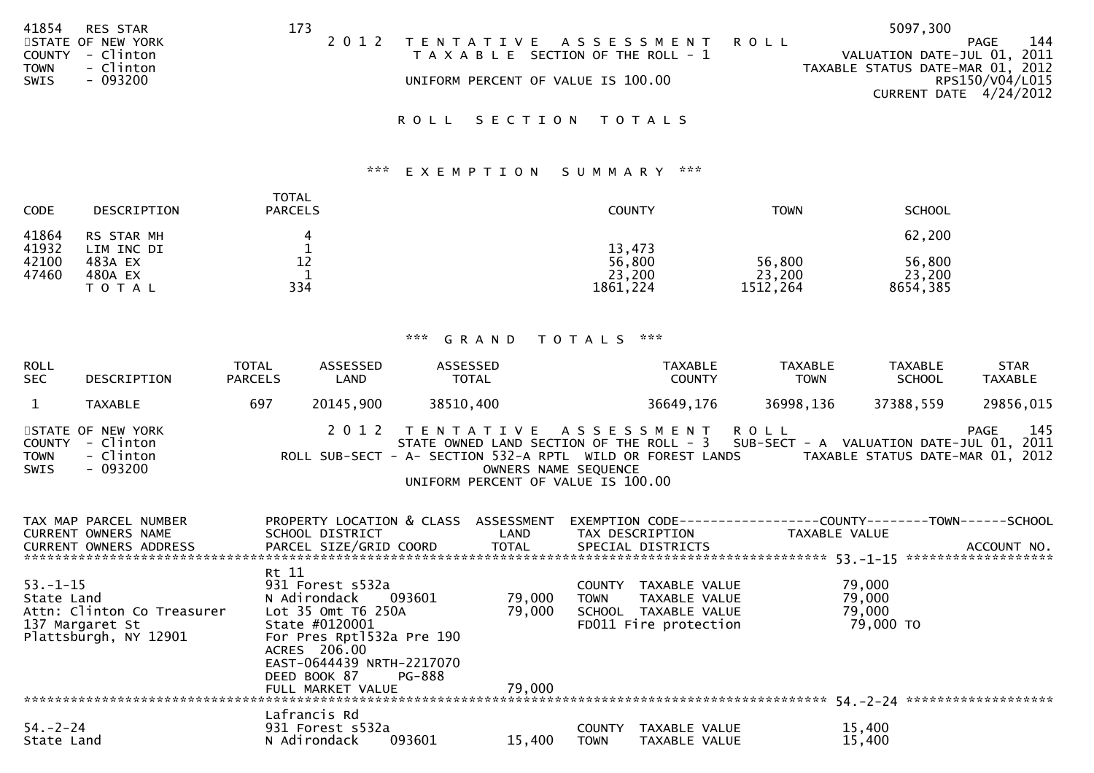| 41854       | <b>RES STAR</b>   | 173 |                                    |                                       | 5097,300                         |     |
|-------------|-------------------|-----|------------------------------------|---------------------------------------|----------------------------------|-----|
|             | STATE OF NEW YORK |     |                                    | 2012 TENTATIVE ASSESSMENT ROLL        | PAGE                             | 144 |
| COUNTY      | - Clinton         |     |                                    | T A X A B L E SECTION OF THE ROLL - 1 | VALUATION DATE-JUL 01, 2011      |     |
| <b>TOWN</b> | - Clinton         |     |                                    |                                       | TAXABLE STATUS DATE-MAR 01, 2012 |     |
| SWIS        | $-093200$         |     | UNIFORM PERCENT OF VALUE IS 100.00 |                                       | RPS150/V04/L015                  |     |
|             |                   |     |                                    |                                       | CURRENT DATE $4/24/2012$         |     |
|             |                   |     |                                    |                                       |                                  |     |

ROLL SECTION TOTALS

## \*\*\* E X E M P T I O N S U M M A R Y \*\*\*

| <b>CODE</b>                      | DESCRIPTION                                                 | <b>TOTAL</b><br><b>PARCELS</b> | <b>COUNTY</b>                          | <b>TOWN</b>                  | <b>SCHOOL</b>                          |
|----------------------------------|-------------------------------------------------------------|--------------------------------|----------------------------------------|------------------------------|----------------------------------------|
| 41864<br>41932<br>42100<br>47460 | RS STAR MH<br>LIM INC DI<br>483A EX<br>480A EX<br>T O T A L | 12<br>334                      | 13,473<br>56,800<br>23,200<br>1861,224 | 56,800<br>23,200<br>1512,264 | 62,200<br>56,800<br>23,200<br>8654,385 |

| ROLL<br>SEC  | <b>TOTAL</b><br>DESCRIPTION<br><b>PARCELS</b>                  |     | ASSESSED<br>LAND | ASSESSED<br><b>TOTAL</b> | TAXABLE<br><b>COUNTY</b>                                                                                                                                                                                                                        | <b>TAXABLE</b><br><b>TOWN</b> | <b>TAXABLE</b><br><b>SCHOOL</b>  | <b>STAR</b><br>TAXABLE |
|--------------|----------------------------------------------------------------|-----|------------------|--------------------------|-------------------------------------------------------------------------------------------------------------------------------------------------------------------------------------------------------------------------------------------------|-------------------------------|----------------------------------|------------------------|
|              | TAXABLE                                                        | 697 | 20145,900        | 38510,400                | 36649,176                                                                                                                                                                                                                                       | 36998,136                     | 37388,559                        | 29856,015              |
| TOWN<br>SWIS | STATE OF NEW YORK<br>COUNTY - Clinton<br>- Clinton<br>- 093200 |     |                  |                          | 2012 TENTATIVE ASSESSMENT ROLL<br>STATE OWNED LAND SECTION OF THE ROLL - 3 SUB-SECT - A VALUATION DATE-JUL 01, 2011<br>ROLL SUB-SECT - A- SECTION 532-A RPTL WILD OR FOREST LANDS<br>OWNERS NAME SEQUENCE<br>UNIFORM PERCENT OF VALUE IS 100.00 |                               | TAXABLE STATUS DATE-MAR 01, 2012 | 145<br>PAGE            |

| TAX MAP PARCEL NUMBER<br><b>CURRENT OWNERS NAME</b><br>CURRENT OWNERS ADDRESS PARCEL SIZE/GRID COORD TOTAL | PROPERTY LOCATION & CLASS<br>SCHOOL DISTRICT                                                                       | ASSESSMENT<br><b>LAND</b> | EXEMPTION CODE----<br>TAX DESCRIPTION<br>SPECIAL DISTRICTS     | ----------COUNTY-------TOWN------SCHOOL<br>TAXABLE VALUE | ACCOUNT NO. |
|------------------------------------------------------------------------------------------------------------|--------------------------------------------------------------------------------------------------------------------|---------------------------|----------------------------------------------------------------|----------------------------------------------------------|-------------|
|                                                                                                            |                                                                                                                    |                           |                                                                |                                                          |             |
| $53. - 1 - 15$<br>State Land                                                                               | Rt 11<br>931 Forest s532a<br>N Adirondack<br>093601                                                                | 79,000                    | TAXABLE VALUE<br><b>COUNTY</b><br><b>TOWN</b><br>TAXABLE VALUE | 79,000<br>79,000                                         |             |
| Attn: Clinton Co Treasurer                                                                                 | Lot 35 Omt T6 250A                                                                                                 | 79,000                    | SCHOOL TAXABLE VALUE                                           | 79,000                                                   |             |
| 137 Margaret St<br>Plattsburgh, NY 12901                                                                   | State #0120001<br>For Pres Rpt1532a Pre 190<br>ACRES 206.00<br>EAST-0644439 NRTH-2217070<br>DEED BOOK 87<br>PG-888 |                           | FD011 Fire protection                                          | 79,000 TO                                                |             |
|                                                                                                            | FULL MARKET VALUE                                                                                                  | 79,000                    |                                                                |                                                          |             |
|                                                                                                            | Lafrancis Rd                                                                                                       |                           |                                                                |                                                          |             |
| $54. - 2 - 24$<br>State Land                                                                               | 931 Forest s532a<br>N Adirondack<br>093601                                                                         | 15,400                    | TAXABLE VALUE<br><b>COUNTY</b><br>TAXABLE VALUE<br><b>TOWN</b> | 15,400<br>15,400                                         |             |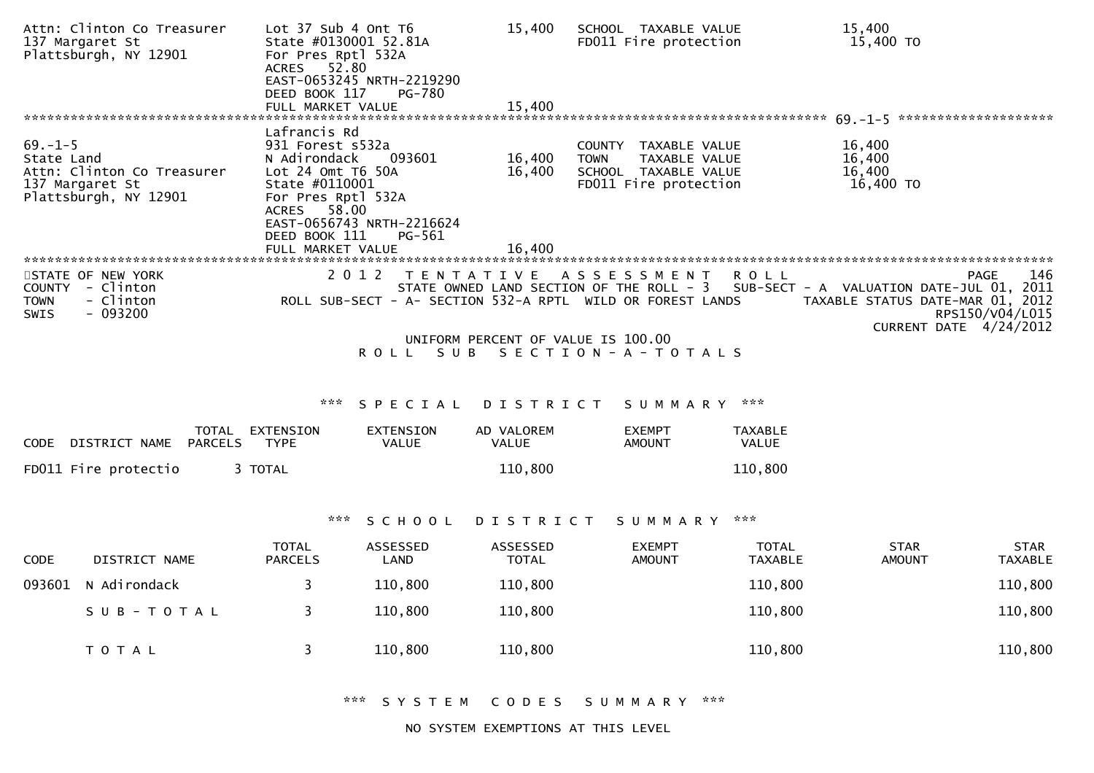|                                      | Attn: Clinton Co Treasurer<br>137 Margaret St<br>Plattsburgh, NY 12901 | Lot 37 Sub 4 Ont T6<br>State #0130001 52.81A<br>For Pres Rptl 532A<br>52.80<br><b>ACRES</b><br>DEED BOOK 117<br>FULL MARKET VALUE | EAST-0653245 NRTH-2219290<br><b>PG-780</b>    | 15,400<br>15,400                   | SCHOOL TAXABLE VALUE<br>FD011 Fire protection                                                                                 |                                | 15,400<br>15,400 TO                                                                                    |                                |
|--------------------------------------|------------------------------------------------------------------------|-----------------------------------------------------------------------------------------------------------------------------------|-----------------------------------------------|------------------------------------|-------------------------------------------------------------------------------------------------------------------------------|--------------------------------|--------------------------------------------------------------------------------------------------------|--------------------------------|
|                                      |                                                                        | Lafrancis Rd                                                                                                                      |                                               |                                    |                                                                                                                               |                                |                                                                                                        |                                |
| $69. - 1 - 5$<br>State Land          | Attn: Clinton Co Treasurer<br>137 Margaret St<br>Plattsburgh, NY 12901 | 931 Forest s532a<br>N Adirondack<br>Lot 24 Omt T6 50A<br>State #0110001<br>For Pres Rptl 532A<br>58.00<br>ACRES<br>DEED BOOK 111  | 093601<br>EAST-0656743 NRTH-2216624<br>PG-561 | 16,400<br>16,400                   | COUNTY TAXABLE VALUE<br>TAXABLE VALUE<br><b>TOWN</b><br>SCHOOL TAXABLE VALUE<br>FD011 Fire protection                         |                                | 16,400<br>16,400<br>16,400<br>16,400 TO                                                                |                                |
|                                      |                                                                        | FULL MARKET VALUE                                                                                                                 |                                               | 16,400                             |                                                                                                                               |                                |                                                                                                        |                                |
| COUNTY<br><b>TOWN</b><br><b>SWIS</b> | STATE OF NEW YORK<br>- Clinton<br>- Clinton<br>- 093200                | 2012                                                                                                                              | T E N T A T I V E                             |                                    | A S S E S S M E N T<br>STATE OWNED LAND SECTION OF THE ROLL - 3<br>ROLL SUB-SECT - A- SECTION 532-A RPTL WILD OR FOREST LANDS | R O L L                        | SUB-SECT - A VALUATION DATE-JUL 01, 2011<br>TAXABLE STATUS DATE-MAR 01, 2012<br>CURRENT DATE 4/24/2012 | 146<br>PAGE<br>RPS150/V04/L015 |
|                                      |                                                                        |                                                                                                                                   |                                               | UNIFORM PERCENT OF VALUE IS 100.00 |                                                                                                                               |                                |                                                                                                        |                                |
|                                      |                                                                        |                                                                                                                                   | <b>ROLL</b>                                   |                                    | SUB SECTION-A-TOTALS                                                                                                          |                                |                                                                                                        |                                |
|                                      |                                                                        | ***                                                                                                                               | SPECIAL                                       | DISTRICT                           | SUMMARY                                                                                                                       | ***                            |                                                                                                        |                                |
| <b>CODE</b>                          | DISTRICT NAME PARCELS                                                  | TOTAL EXTENSION<br><b>TYPE</b>                                                                                                    | EXTENSION<br><b>VALUE</b>                     | AD VALOREM<br><b>VALUE</b>         | <b>EXEMPT</b><br><b>AMOUNT</b>                                                                                                | <b>TAXABLE</b><br><b>VALUE</b> |                                                                                                        |                                |
|                                      | FD011 Fire protectio                                                   | 3 TOTAL                                                                                                                           |                                               | 110,800                            |                                                                                                                               | 110,800                        |                                                                                                        |                                |
|                                      |                                                                        | ***                                                                                                                               | SCHOOL                                        | DISTRICT                           | SUMMARY                                                                                                                       | ***                            |                                                                                                        |                                |
|                                      |                                                                        |                                                                                                                                   |                                               |                                    |                                                                                                                               |                                |                                                                                                        |                                |
| <b>CODE</b>                          | DISTRICT NAME                                                          | <b>TOTAL</b><br><b>PARCELS</b>                                                                                                    | ASSESSED<br>LAND                              | <b>ASSESSED</b><br><b>TOTAL</b>    | <b>EXEMPT</b><br><b>AMOUNT</b>                                                                                                | TOTAL<br><b>TAXABLE</b>        | <b>STAR</b><br><b>AMOUNT</b>                                                                           | <b>STAR</b><br><b>TAXABLE</b>  |
| 093601                               | N Adirondack                                                           | 3                                                                                                                                 | 110,800                                       | 110,800                            |                                                                                                                               | 110,800                        |                                                                                                        | 110,800                        |
|                                      | SUB-TOTAL                                                              | 3                                                                                                                                 | 110,800                                       | 110,800                            |                                                                                                                               | 110,800                        |                                                                                                        | 110,800                        |
|                                      | T O T A L                                                              | 3                                                                                                                                 | 110,800                                       | 110,800                            |                                                                                                                               | 110,800                        |                                                                                                        | 110,800                        |

NO SYSTEM EXEMPTIONS AT THIS LEVEL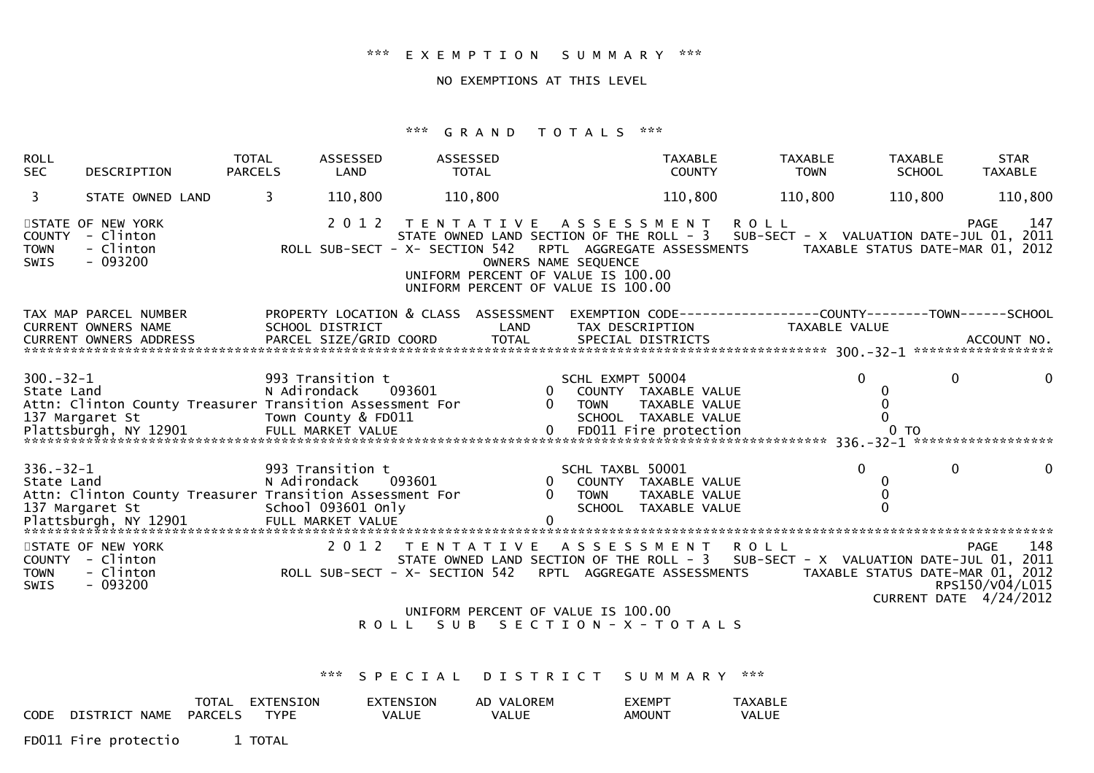## \*\*\* E X E M P T I O N S U M M A R Y \*\*\*

## NO EXEMPTIONS AT THIS LEVEL

# \*\*\* G R A N D T O T A L S \*\*\*

| <b>ROLL</b><br><b>SEC</b>     | DESCRIPTION                                                                                                                                                                                                                                                                                | <b>TOTAL</b><br><b>PARCELS</b> | ASSESSED<br>LAND | ASSESSED<br><b>TOTAL</b>                                                                              |      |                            | <b>TAXABLE</b><br><b>COUNTY</b>         | TAXABLE<br><b>TOWN</b> | <b>TAXABLE</b><br><b>SCHOOL</b> | <b>STAR</b><br><b>TAXABLE</b>                                                                    |
|-------------------------------|--------------------------------------------------------------------------------------------------------------------------------------------------------------------------------------------------------------------------------------------------------------------------------------------|--------------------------------|------------------|-------------------------------------------------------------------------------------------------------|------|----------------------------|-----------------------------------------|------------------------|---------------------------------|--------------------------------------------------------------------------------------------------|
| 3                             | STATE OWNED LAND                                                                                                                                                                                                                                                                           | 3                              | 110,800          | 110,800                                                                                               |      |                            | 110,800                                 | 110,800                | 110,800                         | 110,800                                                                                          |
| <b>TOWN</b><br>SWIS           | STATE OF NEW YORK<br>COUNTY - Clinton<br>- Clinton<br>$-093200$                                                                                                                                                                                                                            |                                | 2 0 1 2          | TENTATIVE ASSESSMENT ROLL<br>UNIFORM PERCENT OF VALUE IS 100.00<br>UNIFORM PERCENT OF VALUE IS 100.00 |      | OWNERS NAME SEQUENCE       |                                         |                        |                                 | 147<br>PAGE<br>STATE OWNED LAND SECTION OF THE ROLL - 3 SUB-SECT - X VALUATION DATE-JUL 01, 2011 |
|                               | TAX MAP PARCEL NUMBER PROPERTY LOCATION & CLASS ASSESSMENT EXEMPTION CODE---------------COUNTY-------TOWN------SCHOOL<br>CURRENT OWNERS NAME<br>CURRENT OWNERS ADDRESS                                                                                                                     |                                | SCHOOL DISTRICT  |                                                                                                       | LAND |                            | TAX DESCRIPTION                         | TAXABLE VALUE          |                                 |                                                                                                  |
|                               |                                                                                                                                                                                                                                                                                            |                                |                  |                                                                                                       |      |                            |                                         |                        |                                 |                                                                                                  |
| $336. - 32 - 1$<br>State Land | Attn: Clinton County Treasurer Transition Assessment For<br>137 Margaret St 1991 School Contract St School OSCHOOL SCHOOL TAXABLE VALUE And SCHOOL TAXABLE VALUE O CHOOL TAXABLE VALUE O CHOOL TAXABLE VALUE O CHOOL TAXABLE VALUE O CHOOL TAXABLE VALUE O CHOOL TAXABLE VALUE O CHOOL TAX |                                |                  |                                                                                                       |      | SCHL TAXBL 50001<br>0 TOWN | 0 COUNTY TAXABLE VALUE<br>TAXABLE VALUE |                        | $\Omega$<br>$\Omega$<br>0       | $\mathbf{0}$<br>$\mathbf{0}$                                                                     |
| <b>TOWN</b><br>SWIS           | STATE OF NEW YORK<br>90 1 2 3 3 48 S E S S M E N T R O L L PAGE 148 S T E N T A T I V E A S S E S S M E N T R O L L<br>STATE OWNED LAND SECTION OF THE ROLL - 3 SUB-SECT - X VALUATION DATE-JUL 01, 2011<br>Clinton               ROLL SUB-SECT - X- SECT<br>COUNTY - Clinton<br>$-093200$ |                                |                  |                                                                                                       |      |                            |                                         |                        |                                 | RPS150/V04/L015<br>CURRENT DATE 4/24/2012                                                        |
|                               |                                                                                                                                                                                                                                                                                            |                                |                  | UNIFORM PERCENT OF VALUE IS 100.00<br>ROLL SUB SECTION-X-TOTALS                                       |      |                            |                                         |                        |                                 |                                                                                                  |
|                               |                                                                                                                                                                                                                                                                                            |                                | ***              | SPECIAL DISTRICT SUMMARY ***                                                                          |      |                            |                                         |                        |                                 |                                                                                                  |

|      |               | TOTAL   | EXTENSION   | EXTENSION | AD VALOREM   | EXEMP <sub>1</sub> | TAXABLL |
|------|---------------|---------|-------------|-----------|--------------|--------------------|---------|
| CODE | DISTRICT NAME | PARCELS | <b>TYPF</b> | VALUE     | <b>VALUE</b> | AMOUNT             | VALUE   |
|      |               |         |             |           |              |                    |         |

FD011 Fire protectio 1 TOTAL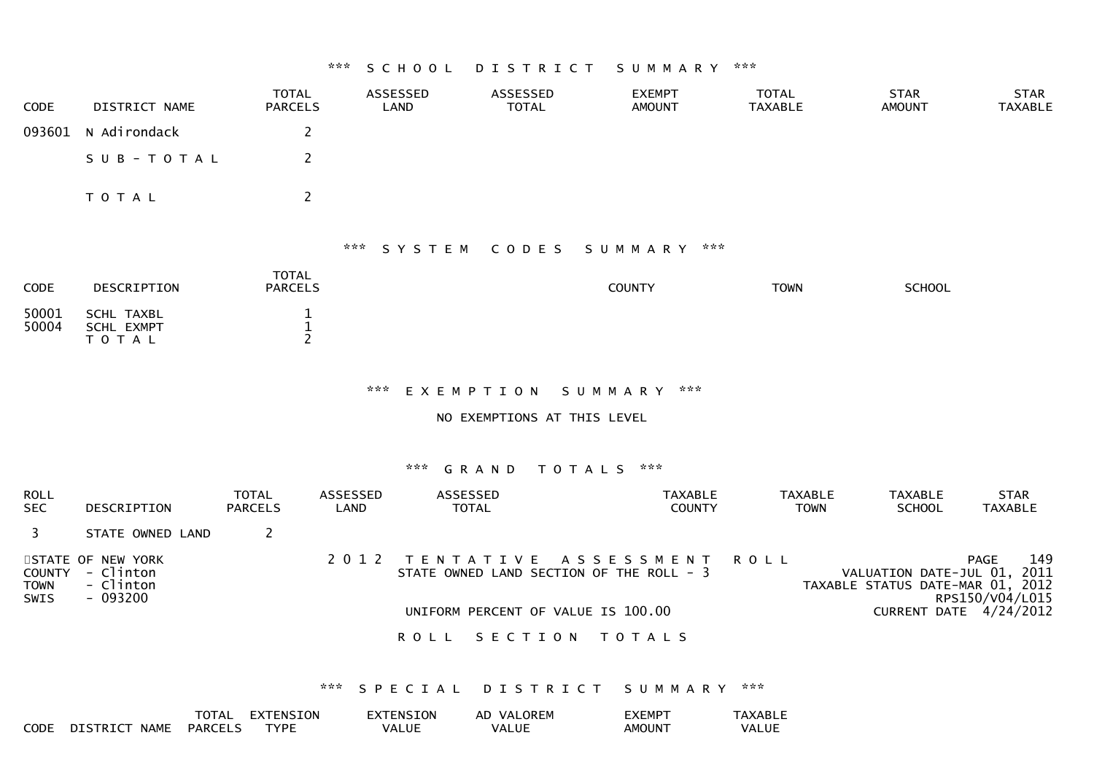#### \*\*\* S C H O O L D I S T R I C T S U M M A R Y \*\*\*

| <b>CODE</b> | DISTRICT NAME       | <b>TOTAL</b><br><b>PARCELS</b> | ASSESSED<br>LAND | ASSESSED<br>TOTAL | <b>EXEMPT</b><br><b>AMOUNT</b> | <b>TOTAL</b><br><b>TAXABLE</b> | <b>STAR</b><br>AMOUNT | <b>STAR</b><br>TAXABLE |
|-------------|---------------------|--------------------------------|------------------|-------------------|--------------------------------|--------------------------------|-----------------------|------------------------|
|             | 093601 N Adirondack |                                |                  |                   |                                |                                |                       |                        |
|             | SUB-TOTAL           |                                |                  |                   |                                |                                |                       |                        |
|             | T O T A L           |                                |                  |                   |                                |                                |                       |                        |

#### \*\*\* S Y S T E M C O D E S S U M M A R Y \*\*\*

| <b>CODE</b>    | DESCRIPTION                                  | <b>TOTAL</b><br><b>PARCELS</b> | <b>COUNTY</b> | <b>TOWN</b> | <b>SCHOOL</b> |
|----------------|----------------------------------------------|--------------------------------|---------------|-------------|---------------|
| 50001<br>50004 | SCHL TAXBL<br><b>SCHL EXMPT</b><br>T O T A L |                                |               |             |               |

## \*\*\* E X E M P T I O N S U M M A R Y \*\*\*

## NO EXEMPTIONS AT THIS LEVEL

#### \*\*\* G R A N D T O T A L S \*\*\*

| <b>ROLL</b><br><b>SEC</b>                   | DESCRIPTION                                             | <b>TOTAL</b><br><b>PARCELS</b> | ASSESSED<br>LAND | <b>ASSESSED</b><br><b>TOTAL</b>                                                                                  | <b>TAXABLE</b><br><b>COUNTY</b> | <b>TAXABLE</b><br><b>TOWN</b> | <b>TAXABLE</b><br><b>SCHOOL</b> | <b>STAR</b><br><b>TAXABLE</b>                                                                                               |
|---------------------------------------------|---------------------------------------------------------|--------------------------------|------------------|------------------------------------------------------------------------------------------------------------------|---------------------------------|-------------------------------|---------------------------------|-----------------------------------------------------------------------------------------------------------------------------|
|                                             | STATE OWNED LAND                                        |                                |                  |                                                                                                                  |                                 |                               |                                 |                                                                                                                             |
| <b>COUNTY</b><br><b>TOWN</b><br><b>SWIS</b> | STATE OF NEW YORK<br>- Clinton<br>- Clinton<br>- 093200 |                                |                  | 2012 TENTATIVE ASSESSMENT ROLL<br>STATE OWNED LAND SECTION OF THE ROLL - 3<br>UNIFORM PERCENT OF VALUE IS 100.00 |                                 |                               |                                 | 149<br>PAGE<br>VALUATION DATE-JUL 01, 2011<br>TAXABLE STATUS DATE-MAR 01, 2012<br>RPS150/V04/L015<br>CURRENT DATE 4/24/2012 |
|                                             |                                                         |                                |                  | SECTION<br>R O L L                                                                                               | T O T A L S                     |                               |                                 |                                                                                                                             |

\*\*\* S P E C I A L D I S T R I C T S U M M A R Y \*\*\*

|             |                         | TOTAL          | EXTENSION   | <b>EXTENSION</b> | AD VALOREM   | EXEMPT             | <b>TAXABLE</b> |
|-------------|-------------------------|----------------|-------------|------------------|--------------|--------------------|----------------|
| <b>CODE</b> | <b>NAME</b><br>DISTRICT | <b>PARCELS</b> | <b>TYPE</b> | VALUE            | <b>VALUE</b> | AMOUN <sup>-</sup> | VALUE          |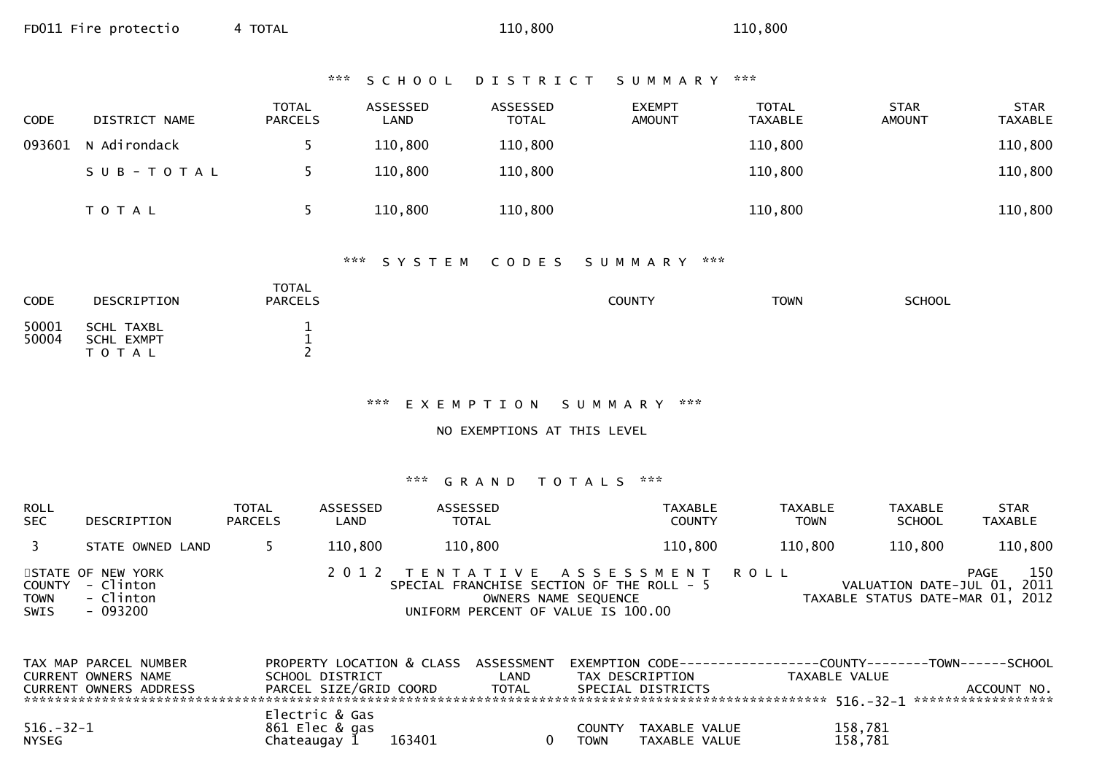| *** |  |  | SCHOOL |  |  |  | D I S T R I C T |  |  |  |  |  |  |  |  |  |  |  | S U M M A R Y |  |  | *** |  |
|-----|--|--|--------|--|--|--|-----------------|--|--|--|--|--|--|--|--|--|--|--|---------------|--|--|-----|--|
|-----|--|--|--------|--|--|--|-----------------|--|--|--|--|--|--|--|--|--|--|--|---------------|--|--|-----|--|

| <b>CODE</b> | DISTRICT NAME | <b>TOTAL</b><br><b>PARCELS</b> | ASSESSED<br>LAND | ASSESSED<br><b>TOTAL</b> | <b>EXEMPT</b><br><b>AMOUNT</b> | <b>TOTAL</b><br>TAXABLE | <b>STAR</b><br><b>AMOUNT</b> | <b>STAR</b><br><b>TAXABLE</b> |
|-------------|---------------|--------------------------------|------------------|--------------------------|--------------------------------|-------------------------|------------------------------|-------------------------------|
| 093601      | N Adirondack  |                                | 110,800          | 110,800                  |                                | 110,800                 |                              | 110,800                       |
|             | SUB-TOTAL     |                                | 110,800          | 110,800                  |                                | 110,800                 |                              | 110,800                       |
|             | <b>TOTAL</b>  |                                | 110,800          | 110,800                  |                                | 110,800                 |                              | 110,800                       |

| <b>CODE</b>    | DESCRIPTION                                  | <b>TOTAL</b><br><b>PARCELS</b> | <b>COUNTY</b> | <b>TOWN</b> | <b>SCHOOL</b> |
|----------------|----------------------------------------------|--------------------------------|---------------|-------------|---------------|
| 50001<br>50004 | SCHL TAXBL<br><b>SCHL EXMPT</b><br>T O T A L | <b>.</b><br>-                  |               |             |               |

# \*\*\* E X E M P T I O N S U M M A R Y \*\*\*

NO EXEMPTIONS AT THIS LEVEL

| <b>ROLL</b><br><b>SEC</b> | DESCRIPTION                                                    | <b>TOTAL</b><br><b>PARCELS</b> | ASSESSED<br>LAND | ASSESSED<br><b>TOTAL</b>           | TAXABLE<br><b>COUNTY</b>                                                                            | TAXABLE<br><b>TOWN</b> | TAXABLE<br><b>SCHOOL</b>                                        | STAR<br>TAXABLE |
|---------------------------|----------------------------------------------------------------|--------------------------------|------------------|------------------------------------|-----------------------------------------------------------------------------------------------------|------------------------|-----------------------------------------------------------------|-----------------|
| $\overline{3}$            | STATE OWNED LAND                                               |                                | 110,800          | 110,800                            | 110,800                                                                                             | 110,800                | 110,800                                                         | 110,800         |
| TOWN<br><b>SWIS</b>       | STATE OF NEW YORK<br>COUNTY - Clinton<br>- Clinton<br>- 093200 |                                |                  | UNIFORM PERCENT OF VALUE IS 100.00 | 2012 TENTATIVE ASSESSMENT ROLL<br>SPECIAL FRANCHISE SECTION OF THE ROLL - 5<br>OWNERS NAME SEQUENCE |                        | VALUATION DATE-JUL 01, 2011<br>TAXABLE STATUS DATE-MAR 01, 2012 | 150<br>PAGE     |

| TAX MAP PARCEL NUMBER  |                        |               |                   | PROPERTY LOCATION & CLASS ASSESSMENT EXEMPTION CODE----------------COUNTY-------TOWN------SCHOOL |
|------------------------|------------------------|---------------|-------------------|--------------------------------------------------------------------------------------------------|
| CURRENT OWNERS NAME    | SCHOOL DISTRICT        | LAND          | TAX DESCRIPTION   | TAXABLE VALUE                                                                                    |
| CURRENT OWNERS ADDRESS | PARCEL SIZE/GRID COORD | TOTAL         | SPECIAL DISTRICTS | ACCOUNT NO.                                                                                      |
|                        |                        |               |                   |                                                                                                  |
|                        | Electric & Gas         |               |                   |                                                                                                  |
| $516.-32-1$            | 861 Elec & gas         | <b>COUNTY</b> | TAXABLE VALUE     | 158,781                                                                                          |
| <b>NYSEG</b>           | 163401<br>Chateaugay 1 | <b>TOWN</b>   | TAXABLE VALUE     | 158,781                                                                                          |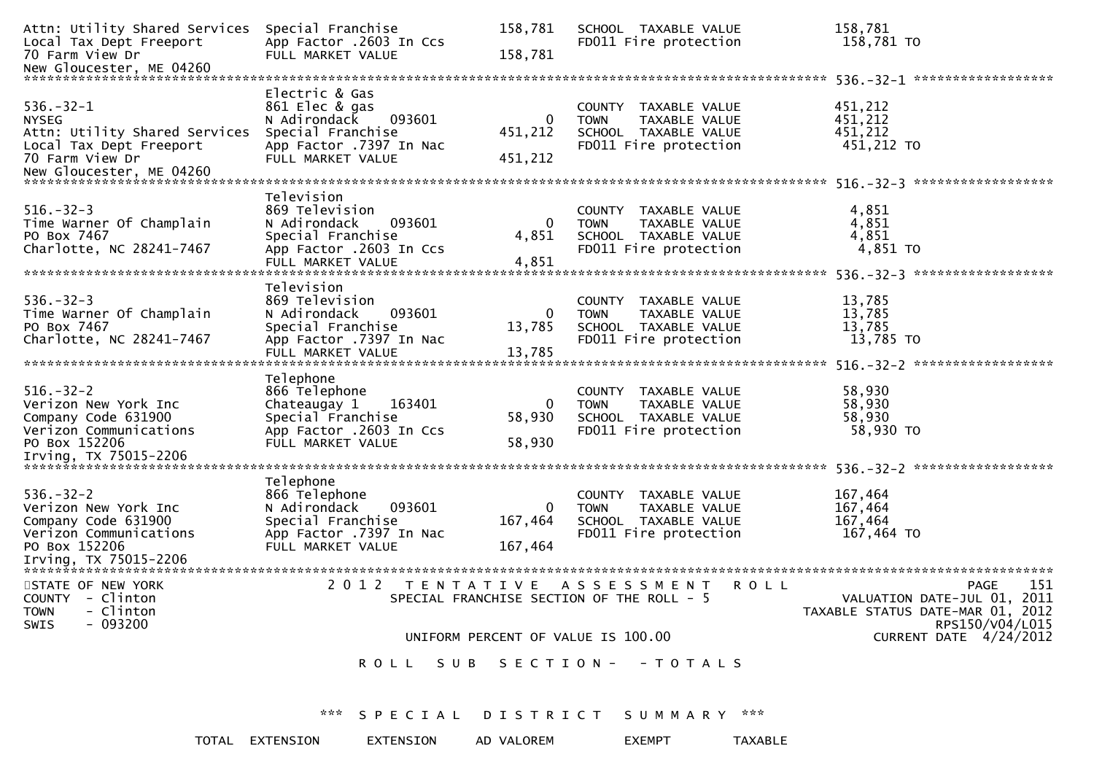| Attn: Utility Shared Services<br>Local Tax Dept Freeport<br>70 Farm View Dr                                                    | Special Franchise<br>App Factor .2603 In Ccs<br>FULL MARKET VALUE                                                               | 158,781<br>158,781                 | SCHOOL TAXABLE VALUE<br>FD011 Fire protection                                                         | 158,781<br>158,781 TO                                                                             |
|--------------------------------------------------------------------------------------------------------------------------------|---------------------------------------------------------------------------------------------------------------------------------|------------------------------------|-------------------------------------------------------------------------------------------------------|---------------------------------------------------------------------------------------------------|
|                                                                                                                                |                                                                                                                                 |                                    |                                                                                                       |                                                                                                   |
| $536. - 32 - 1$<br><b>NYSEG</b><br>Attn: Utility Shared Services<br>Local Tax Dept Freeport<br>70 Farm View Dr                 | Electric & Gas<br>861 Elec & gas<br>093601<br>N Adirondack<br>Special Franchise<br>App Factor .7397 In Nac<br>FULL MARKET VALUE | 0<br>451,212<br>451,212            | COUNTY TAXABLE VALUE<br><b>TOWN</b><br>TAXABLE VALUE<br>SCHOOL TAXABLE VALUE<br>FD011 Fire protection | 451,212<br>451,212<br>451,212<br>451,212 TO                                                       |
| $516. - 32 - 3$<br>Time Warner Of Champlain<br>PO Box 7467<br>Charlotte, NC 28241-7467                                         | Television<br>869 Television<br>093601<br>N Adirondack<br>Special Franchise<br>App Factor .2603 In Ccs<br>FULL MARKET VALUE     | 0<br>4,851<br>4,851                | COUNTY TAXABLE VALUE<br><b>TOWN</b><br>TAXABLE VALUE<br>SCHOOL TAXABLE VALUE<br>FD011 Fire protection | 4,851<br>4,851<br>4,851<br>4,851 TO                                                               |
| $536. - 32 - 3$<br>Time Warner Of Champlain<br>PO Box 7467<br>Charlotte, NC 28241-7467                                         | Television<br>869 Television<br>093601<br>N Adirondack<br>Special Franchise<br>App Factor .7397 In Nac<br>FULL MARKET VALUE     | 0<br>13,785<br>13,785              | COUNTY TAXABLE VALUE<br>TAXABLE VALUE<br><b>TOWN</b><br>SCHOOL TAXABLE VALUE<br>FD011 Fire protection | 13,785<br>13,785<br>13,785<br>13,785 TO                                                           |
| $516.-32-2$<br>Verizon New York Inc<br>Company Code 631900<br>Verizon Communications<br>PO Box 152206<br>Irving, TX 75015-2206 | Telephone<br>866 Telephone<br>163401<br>Chateaugay 1<br>Special Franchise<br>App Factor .2603 In Ccs<br>FULL MARKET VALUE       | 0<br>58,930<br>58,930              | COUNTY TAXABLE VALUE<br><b>TOWN</b><br>TAXABLE VALUE<br>SCHOOL TAXABLE VALUE<br>FD011 Fire protection | 58,930<br>58,930<br>58,930<br>58,930 TO                                                           |
| $536. - 32 - 2$<br>Verizon New York Inc<br>Company Code 631900<br>Verizon Communications<br>PO Box 152206                      | Telephone<br>866 Telephone<br>N Adirondack<br>093601<br>Special Franchise<br>App Factor .7397 In Nac<br>FULL MARKET VALUE       | 0<br>167,464<br>167,464            | COUNTY TAXABLE VALUE<br><b>TOWN</b><br>TAXABLE VALUE<br>SCHOOL TAXABLE VALUE<br>FD011 Fire protection | 167,464<br>167,464<br>167,464<br>167,464 TO                                                       |
| STATE OF NEW YORK<br>COUNTY - Clinton<br>- Clinton<br><b>TOWN</b><br>$-093200$<br>SWIS                                         | 2 0 1 2                                                                                                                         | T E N T A T I V E                  | A S S E S S M E N T<br><b>ROLL</b><br>SPECIAL FRANCHISE SECTION OF THE ROLL - 5                       | 151<br>PAGE<br>VALUATION DATE-JUL 01, 2011<br>TAXABLE STATUS DATE-MAR 01, 2012<br>RPS150/V04/L015 |
|                                                                                                                                |                                                                                                                                 | UNIFORM PERCENT OF VALUE IS 100.00 |                                                                                                       | CURRENT DATE 4/24/2012                                                                            |
|                                                                                                                                |                                                                                                                                 |                                    | ROLL SUB SECTION- - TOTALS                                                                            |                                                                                                   |
|                                                                                                                                |                                                                                                                                 |                                    | *** SPECIAL DISTRICT SUMMARY ***                                                                      |                                                                                                   |
|                                                                                                                                | TOTAL EXTENSION<br>EXTENSION                                                                                                    | AD VALOREM                         | <b>EXEMPT</b><br><b>TAXABLE</b>                                                                       |                                                                                                   |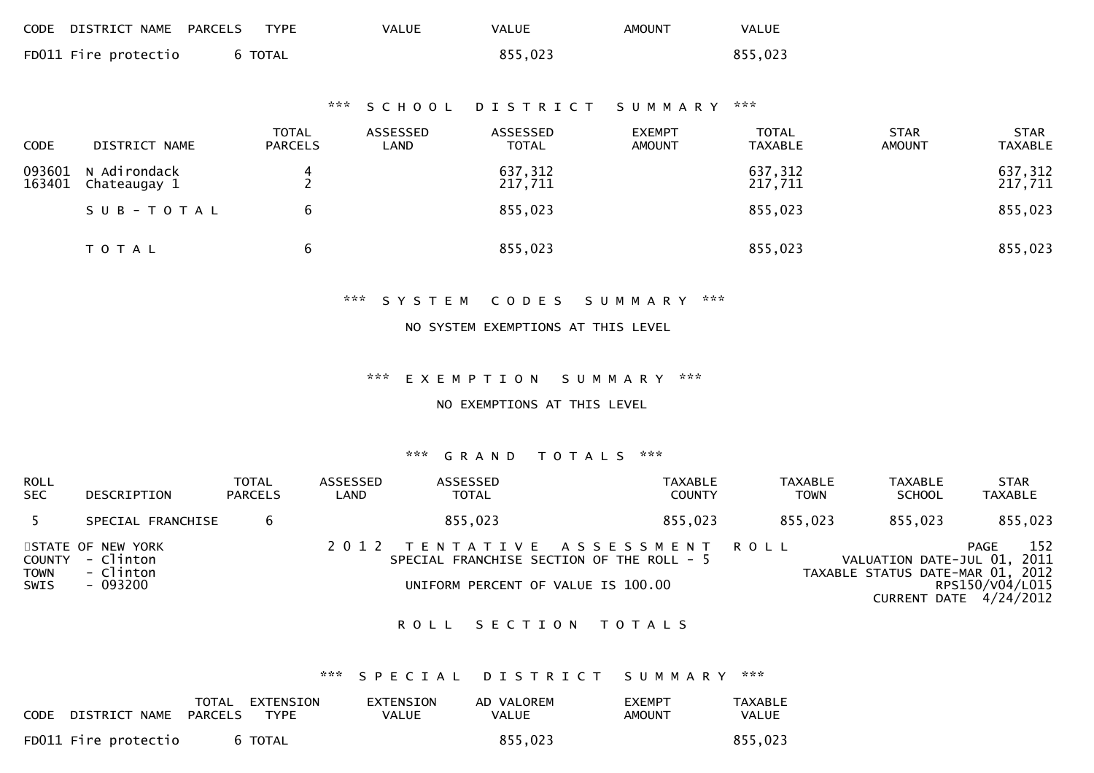| CODE DISTRICT NAME PARCELS TYPE |         | <b>VALUE</b> | <b>VALUE</b> | AMOUNT | <b>VALUE</b> |
|---------------------------------|---------|--------------|--------------|--------|--------------|
| FD011 Fire protectio            | 6 TOTAL |              | 855,023      |        | 855,023      |

## \*\*\* S C H O O L D I S T R I C T S U M M A R Y \*\*\*

| <b>CODE</b>      | DISTRICT NAME                | <b>TOTAL</b><br><b>PARCELS</b> | ASSESSED<br>LAND | ASSESSED<br><b>TOTAL</b> | <b>EXEMPT</b><br><b>AMOUNT</b> | <b>TOTAL</b><br>TAXABLE | <b>STAR</b><br><b>AMOUNT</b> | <b>STAR</b><br><b>TAXABLE</b> |
|------------------|------------------------------|--------------------------------|------------------|--------------------------|--------------------------------|-------------------------|------------------------------|-------------------------------|
| 093601<br>163401 | N Adirondack<br>Chateaugay 1 | 4                              |                  | 637,312<br>217,711       |                                | 637,312<br>217,711      |                              | 637,312<br>217,711            |
|                  | SUB-TOTAL                    | b                              |                  | 855,023                  |                                | 855,023                 |                              | 855,023                       |
|                  | <b>TOTAL</b>                 | b                              |                  | 855,023                  |                                | 855,023                 |                              | 855,023                       |

#### \*\*\* S Y S T E M C O D E S S U M M A R Y \*\*\*

#### NO SYSTEM EXEMPTIONS AT THIS LEVEL

#### \*\*\* E X E M P T I O N S U M M A R Y \*\*\*

#### NO EXEMPTIONS AT THIS LEVEL

#### \*\*\* G R A N D T O T A L S \*\*\*

| <b>ROLL</b><br><b>SEC</b> | DESCRIPTION                                                    | TOTAL<br><b>PARCELS</b> | ASSESSED<br>LAND | ASSESSED<br><b>TOTAL</b>                                                                                          | <b>TAXABLE</b><br><b>COUNTY</b> | <b>TAXABLE</b><br><b>TOWN</b> | <b>TAXABLE</b><br><b>SCHOOL</b>                                 | <b>STAR</b><br>TAXABLE                                   |
|---------------------------|----------------------------------------------------------------|-------------------------|------------------|-------------------------------------------------------------------------------------------------------------------|---------------------------------|-------------------------------|-----------------------------------------------------------------|----------------------------------------------------------|
| 5                         | SPECIAL FRANCHISE                                              |                         |                  | 855,023                                                                                                           | 855,023                         | 855,023                       | 855,023                                                         | 855,023                                                  |
| TOWN<br>SWIS              | STATE OF NEW YORK<br>COUNTY - Clinton<br>- Clinton<br>- 093200 |                         |                  | 2012 TENTATIVE ASSESSMENT ROLL<br>SPECIAL FRANCHISE SECTION OF THE ROLL - 5<br>UNIFORM PERCENT OF VALUE IS 100.00 |                                 |                               | VALUATION DATE-JUL 01, 2011<br>TAXABLE STATUS DATE-MAR 01, 2012 | 152<br>PAGE<br>RPS150/V04/L015<br>CURRENT DATE 4/24/2012 |

## ROLL SECTION TOTALS

## \*\*\* S P E C I A L D I S T R I C T S U M M A R Y \*\*\*

| CODE DISTRICT NAME PARCELS | TOTAL | EXTENSION<br>TYPE | EXTENSION<br>VALUE | AD VALOREM<br><b>VALUE</b> | <b>EXEMPT</b><br>AMOUNT | <b>TAXABLE</b><br>VALUE |
|----------------------------|-------|-------------------|--------------------|----------------------------|-------------------------|-------------------------|
| FD011 Fire protectio       |       | 6 TOTAL           |                    | 855,023                    |                         | 855,023                 |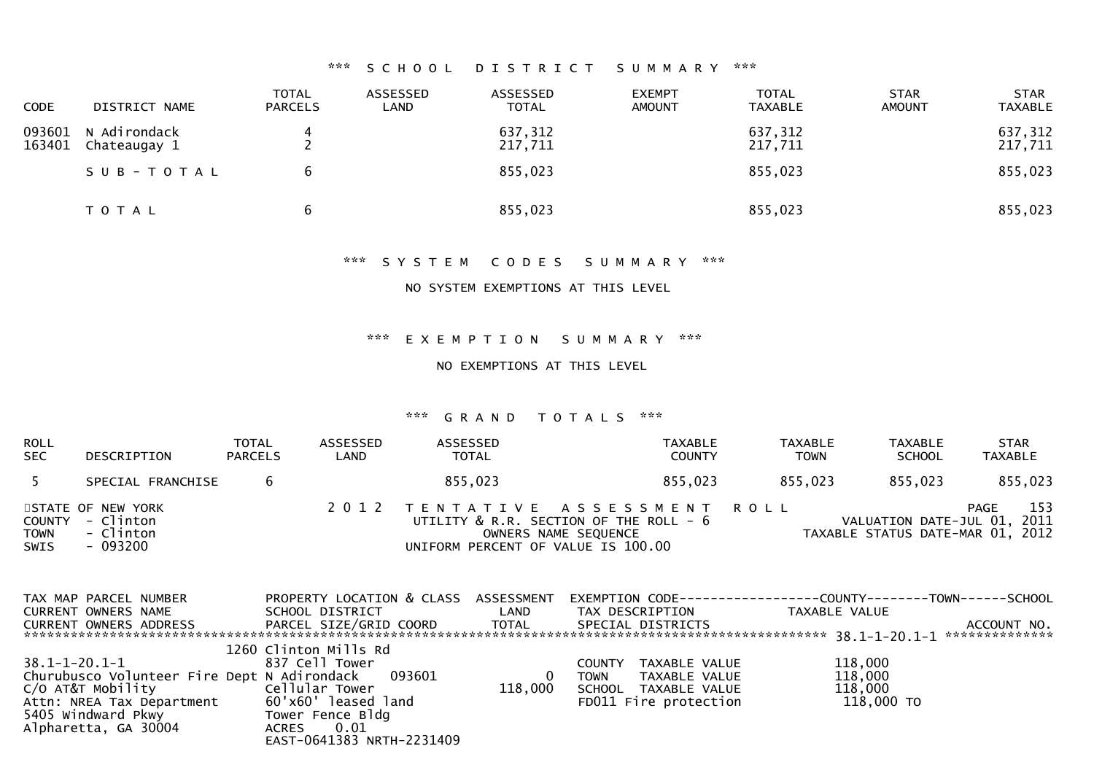## \*\*\* S C H O O L D I S T R I C T S U M M A R Y \*\*\*

| <b>CODE</b>      | DISTRICT NAME                | <b>TOTAL</b><br><b>PARCELS</b> | ASSESSED<br>LAND | ASSESSED<br><b>TOTAL</b> | <b>EXEMPT</b><br><b>AMOUNT</b> | <b>TOTAL</b><br>TAXABLE | <b>STAR</b><br><b>AMOUNT</b> | <b>STAR</b><br><b>TAXABLE</b> |
|------------------|------------------------------|--------------------------------|------------------|--------------------------|--------------------------------|-------------------------|------------------------------|-------------------------------|
| 093601<br>163401 | N Adirondack<br>Chateaugay 1 |                                |                  | 637,312<br>217,711       |                                | 637,312<br>217,711      |                              | 637,312<br>217,711            |
|                  | SUB-TOTAL                    | 6                              |                  | 855,023                  |                                | 855,023                 |                              | 855,023                       |
|                  | T O T A L                    | 6                              |                  | 855,023                  |                                | 855,023                 |                              | 855,023                       |

\*\*\* S Y S T E M C O D E S S U M M A R Y \*\*\*

NO SYSTEM EXEMPTIONS AT THIS LEVEL

\*\*\* E X E M P T I O N S U M M A R Y \*\*\*

NO EXEMPTIONS AT THIS LEVEL

| ROLL<br><b>SEC</b>  | DESCRIPTION                                                    | TOTAL<br><b>PARCELS</b> | ASSESSED<br>LAND | ASSESSED<br><b>TOTAL</b>           | <b>TAXABLE</b><br><b>COUNTY</b>                                                                  | <b>TAXABLE</b><br><b>TOWN</b> | <b>TAXABLE</b><br><b>SCHOOL</b>                                 | <b>STAR</b><br><b>TAXABLE</b> |
|---------------------|----------------------------------------------------------------|-------------------------|------------------|------------------------------------|--------------------------------------------------------------------------------------------------|-------------------------------|-----------------------------------------------------------------|-------------------------------|
| 5                   | SPECIAL FRANCHISE                                              |                         |                  | 855,023                            | 855,023                                                                                          | 855,023                       | 855,023                                                         | 855,023                       |
| TOWN<br><b>SWIS</b> | STATE OF NEW YORK<br>COUNTY - Clinton<br>- Clinton<br>- 093200 |                         |                  | UNIFORM PERCENT OF VALUE IS 100.00 | 2012 TENTATIVE ASSESSMENT ROLL<br>UTILITY & R.R. SECTION OF THE ROLL - 6<br>OWNERS NAME SEQUENCE |                               | VALUATION DATE-JUL 01, 2011<br>TAXABLE STATUS DATE-MAR 01, 2012 | 153<br>PAGE                   |

| TAX MAP PARCEL NUMBER                       | PROPERTY LOCATION & CLASS ASSESSMENT |              | EXEMPTION        CODE-----------------COUNTY--------TOWN------SCHOOL |               |                |
|---------------------------------------------|--------------------------------------|--------------|----------------------------------------------------------------------|---------------|----------------|
| CURRENT OWNERS NAME                         | SCHOOL DISTRICT                      | LAND         | TAX DESCRIPTION                                                      | TAXABLE VALUE |                |
| CURRENT OWNERS ADDRESS                      | PARCEL SIZE/GRID COORD               | TOTAL        | SPECIAL DISTRICTS                                                    |               | ACCOUNT NO.    |
|                                             |                                      |              |                                                                      |               | ************** |
|                                             | 1260 Clinton Mills Rd                |              |                                                                      |               |                |
| 38.1-1-20.1-1                               | 837 Cell Tower                       |              | TAXABLE VALUE<br><b>COUNTY</b>                                       | 118,000       |                |
| Churubusco Volunteer Fire Dept N Adirondack | 093601                               | $\mathbf{0}$ | TAXABLE VALUE<br><b>TOWN</b>                                         | 118,000       |                |
| C/O AT&T Mobility                           | Cellular Tower                       | 118,000      | SCHOOL TAXABLE VALUE                                                 | 118,000       |                |
| Attn: NREA Tax Department                   | 60'x60' leased land                  |              | FD011 Fire protection                                                | 118,000 TO    |                |
| 5405 Windward Pkwy                          | Tower Fence Bldg                     |              |                                                                      |               |                |
| Alpharetta, GA 30004                        | 0.01<br>ACRES                        |              |                                                                      |               |                |
|                                             | EAST-0641383 NRTH-2231409            |              |                                                                      |               |                |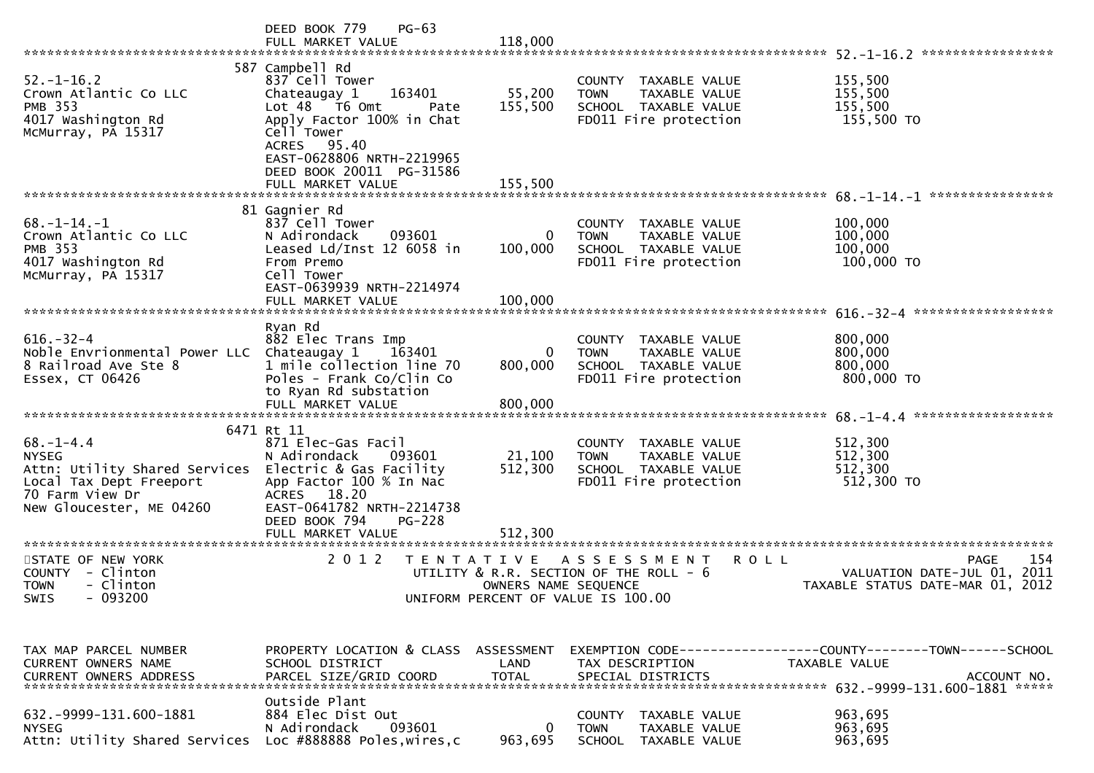|                                                  | $PG-63$<br>DEED BOOK 779                    |                      |                                                                |                                                              |
|--------------------------------------------------|---------------------------------------------|----------------------|----------------------------------------------------------------|--------------------------------------------------------------|
|                                                  | FULL MARKET VALUE                           | 118,000              |                                                                |                                                              |
|                                                  | 587 Campbell Rd                             |                      |                                                                |                                                              |
| $52. - 1 - 16.2$                                 | 837 Cell Tower                              |                      | COUNTY TAXABLE VALUE                                           | 155,500                                                      |
| Crown Atlantic Co LLC                            | Chateaugay 1<br>163401                      | 55,200               | <b>TOWN</b><br>TAXABLE VALUE                                   | 155,500                                                      |
| <b>PMB 353</b>                                   | Lot 48 T6 Omt<br>Pate                       | 155,500              | SCHOOL TAXABLE VALUE                                           | 155,500                                                      |
| 4017 Washington Rd                               | Apply Factor 100% in Chat                   |                      | FD011 Fire protection                                          | 155,500 TO                                                   |
| McMurray, PA 15317                               | Cell Tower                                  |                      |                                                                |                                                              |
|                                                  | ACRES 95.40<br>EAST-0628806 NRTH-2219965    |                      |                                                                |                                                              |
|                                                  | DEED BOOK 20011 PG-31586                    |                      |                                                                |                                                              |
|                                                  | FULL MARKET VALUE                           | 155,500              |                                                                |                                                              |
|                                                  |                                             |                      |                                                                | 68. -1-14. -1 *****************                              |
|                                                  | 81 Gagnier Rd                               |                      |                                                                |                                                              |
| $68. - 1 - 14. - 1$                              | 837 Cell Tower                              |                      | COUNTY TAXABLE VALUE                                           | 100,000                                                      |
| Crown Atlantic Co LLC                            | N Adirondack<br>093601                      | 0                    | TAXABLE VALUE<br><b>TOWN</b>                                   | 100,000                                                      |
| <b>PMB 353</b><br>4017 Washington Rd             | Leased $Ld/Inst$ 12 6058 in<br>From Premo   | 100,000              | SCHOOL TAXABLE VALUE<br>FD011 Fire protection                  | 100,000<br>100,000 TO                                        |
| McMurray, PA 15317                               | Cell Tower                                  |                      |                                                                |                                                              |
|                                                  | EAST-0639939 NRTH-2214974                   |                      |                                                                |                                                              |
|                                                  | FULL MARKET VALUE                           | 100,000              |                                                                |                                                              |
|                                                  |                                             |                      |                                                                |                                                              |
|                                                  | Ryan Rd                                     |                      |                                                                |                                                              |
| $616. - 32 - 4$<br>Noble Envrionmental Power LLC | 882 Elec Trans Imp<br>Chateaugay 1          | 0                    | COUNTY TAXABLE VALUE<br><b>TOWN</b><br>TAXABLE VALUE           | 800,000<br>800,000                                           |
| 8 Railroad Ave Ste 8                             | 163401<br>1 mile collection line 70         | 800,000              | SCHOOL TAXABLE VALUE                                           | 800,000                                                      |
| Essex, CT 06426                                  | Poles - Frank Co/Clin Co                    |                      | FD011 Fire protection                                          | 800,000 TO                                                   |
|                                                  | to Ryan Rd substation                       |                      |                                                                |                                                              |
|                                                  | FULL MARKET VALUE                           | 800,000              |                                                                |                                                              |
|                                                  |                                             |                      |                                                                |                                                              |
| $68. - 1 - 4.4$                                  | 6471 Rt 11<br>871 Elec-Gas Facil            |                      | COUNTY TAXABLE VALUE                                           | 512,300                                                      |
| <b>NYSEG</b>                                     | N Adirondack<br>093601                      | 21,100               | <b>TOWN</b><br>TAXABLE VALUE                                   | 512,300                                                      |
| Attn: Utility Shared Services                    | Electric & Gas Facility                     | 512,300              | SCHOOL TAXABLE VALUE                                           | 512,300                                                      |
| Local Tax Dept Freeport                          | App Factor 100 % In Nac                     |                      | FD011 Fire protection                                          | 512,300 TO                                                   |
| 70 Farm View Dr                                  | ACRES 18.20                                 |                      |                                                                |                                                              |
| New Gloucester, ME 04260                         | EAST-0641782 NRTH-2214738                   |                      |                                                                |                                                              |
|                                                  | DEED BOOK 794<br>PG-228                     |                      |                                                                |                                                              |
|                                                  | FULL MARKET VALUE                           | 512,300              |                                                                |                                                              |
| STATE OF NEW YORK                                | 2 0 1 2                                     | T E N T A T I V E    | A S S E S S M E N T<br><b>ROLL</b>                             | 154<br>PAGE                                                  |
| COUNTY - Clinton                                 |                                             |                      | UTILITY & R.R. SECTION OF THE ROLL - 6                         | 2011<br>VALUATION DATE-JUL 01,                               |
| <b>TOWN</b><br>- Clinton                         |                                             | OWNERS NAME SEQUENCE |                                                                | TAXABLE STATUS DATE-MAR 01, 2012                             |
| $-093200$<br>SWIS                                |                                             |                      | UNIFORM PERCENT OF VALUE IS 100.00                             |                                                              |
|                                                  |                                             |                      |                                                                |                                                              |
|                                                  |                                             |                      |                                                                |                                                              |
| TAX MAP PARCEL NUMBER                            | PROPERTY LOCATION & CLASS ASSESSMENT        |                      |                                                                | EXEMPTION CODE-----------------COUNTY-------TOWN------SCHOOL |
| <b>CURRENT OWNERS NAME</b>                       | SCHOOL DISTRICT                             | LAND                 | TAX DESCRIPTION                                                | TAXABLE VALUE                                                |
| <b>CURRENT OWNERS ADDRESS</b>                    | PARCEL SIZE/GRID COORD                      | <b>TOTAL</b>         | SPECIAL DISTRICTS                                              | ACCOUNT NO.                                                  |
|                                                  |                                             |                      |                                                                |                                                              |
|                                                  | Outside Plant                               |                      |                                                                |                                                              |
| 632. - 9999 - 131. 600 - 1881<br><b>NYSEG</b>    | 884 Elec Dist Out<br>093601<br>N Adirondack | 0                    | <b>COUNTY</b><br>TAXABLE VALUE<br>TAXABLE VALUE<br><b>TOWN</b> | 963,695<br>963,695                                           |
| Attn: Utility Shared Services                    | Loc #888888 Poles, wires, c                 | 963,695              | <b>SCHOOL</b><br>TAXABLE VALUE                                 | 963,695                                                      |
|                                                  |                                             |                      |                                                                |                                                              |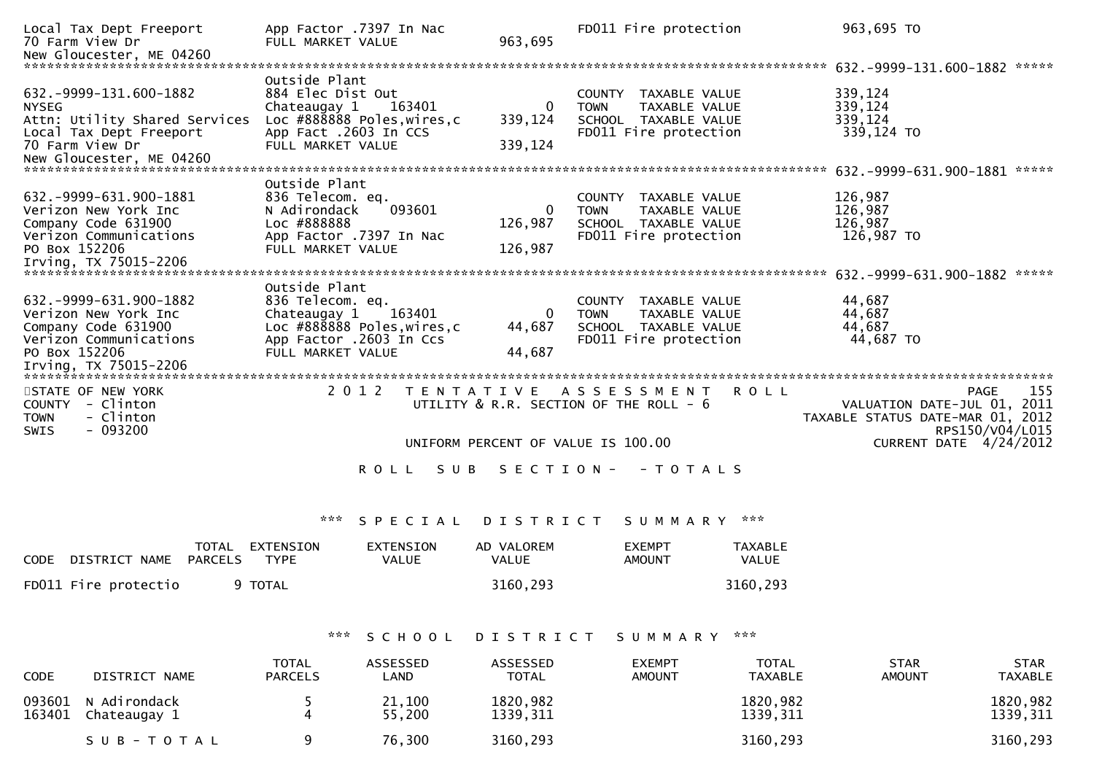| Local Tax Dept Freeport<br>70 Farm View Dr<br>New Gloucester, ME 04260                                                                                                         | App Factor .7397 In Nac<br>FULL MARKET VALUE                                                                                     |                           | 963,695                        | FD011 Fire protection                                                                                           |                                | 963,695 TO                                                                                |                                       |
|--------------------------------------------------------------------------------------------------------------------------------------------------------------------------------|----------------------------------------------------------------------------------------------------------------------------------|---------------------------|--------------------------------|-----------------------------------------------------------------------------------------------------------------|--------------------------------|-------------------------------------------------------------------------------------------|---------------------------------------|
| 632. - 9999 - 131. 600 - 1882<br><b>NYSEG</b><br>Attn: Utility Shared Services<br>Local Tax Dept Freeport<br>70 Farm View Dr                                                   | Outside Plant<br>884 Elec Dist Out<br>Chateaugay 1<br>Loc #888888 Poles, wires, c<br>App Fact .2603 In CCS<br>FULL MARKET VALUE  | 163401                    | 0<br>339,124<br>339,124        | COUNTY<br>TAXABLE VALUE<br><b>TOWN</b><br>TAXABLE VALUE<br>SCHOOL TAXABLE VALUE<br>FD011 Fire protection        |                                | 339,124<br>339,124<br>339,124<br>339,124 TO                                               |                                       |
| 632. - 9999 - 631. 900 - 1881<br>Verizon New York Inc<br>Company Code 631900<br>Verizon Communications<br>PO Box 152206<br>Irving, TX 75015-2206                               | Outside Plant<br>836 Telecom. eq.<br>N Adirondack<br>Loc #888888<br>App Factor .7397 In Nac<br>FULL MARKET VALUE                 | 093601                    | $\Omega$<br>126,987<br>126,987 | <b>COUNTY</b><br>TAXABLE VALUE<br><b>TOWN</b><br>TAXABLE VALUE<br>SCHOOL TAXABLE VALUE<br>FD011 Fire protection |                                | 126,987<br>126,987<br>126,987<br>126,987 TO                                               |                                       |
| 632. -9999-631. 900-1882<br>Verizon New York Inc<br>Company Code 631900<br>Verizon Communications<br>PO Box 152206<br>Irving, TX 75015-2206<br>******************************* | Outside Plant<br>836 Telecom. eq.<br>Chateaugay 1<br>Loc #888888 Poles, wires, c<br>App Factor .2603 In Ccs<br>FULL MARKET VALUE | 163401                    | $\Omega$<br>44,687<br>44,687   | COUNTY TAXABLE VALUE<br><b>TAXABLE VALUE</b><br><b>TOWN</b><br>SCHOOL TAXABLE VALUE<br>FD011 Fire protection    |                                | 44,687<br>44,687<br>44,687<br>44,687 TO                                                   |                                       |
| STATE OF NEW YORK<br>COUNTY - Clinton<br>- Clinton<br><b>TOWN</b><br>$-093200$<br>SWIS                                                                                         | 2 0 1 2                                                                                                                          | T E N T A T I V E         |                                | A S S E S S M E N T<br>UTILITY & R.R. SECTION OF THE ROLL - 6<br>UNIFORM PERCENT OF VALUE IS 100.00             | <b>ROLL</b>                    | VALUATION DATE-JUL 01, 2011<br>TAXABLE STATUS DATE-MAR 01, 2012<br>CURRENT DATE 4/24/2012 | 155<br><b>PAGE</b><br>RPS150/V04/L015 |
|                                                                                                                                                                                |                                                                                                                                  | <b>ROLL</b><br>S U B      | SECTION-                       | - T O T A L S                                                                                                   |                                |                                                                                           |                                       |
|                                                                                                                                                                                | ***                                                                                                                              | SPECIAL                   | DISTRICT                       | S U M M A R Y                                                                                                   | ***                            |                                                                                           |                                       |
| TOTAL<br>DISTRICT NAME<br><b>PARCELS</b><br><b>CODE</b>                                                                                                                        | EXTENSION<br><b>TYPE</b>                                                                                                         | EXTENSION<br><b>VALUE</b> | AD VALOREM<br>VALUE            | <b>EXEMPT</b><br><b>AMOUNT</b>                                                                                  | <b>TAXABLE</b><br>VALUE        |                                                                                           |                                       |
| FD011 Fire protectio                                                                                                                                                           | 9 TOTAL                                                                                                                          |                           | 3160,293                       |                                                                                                                 | 3160,293                       |                                                                                           |                                       |
|                                                                                                                                                                                | ***                                                                                                                              | SCHOOL                    | DISTRICT                       | SUMMARY                                                                                                         | ***                            |                                                                                           |                                       |
| DISTRICT NAME<br><b>CODE</b>                                                                                                                                                   | <b>TOTAL</b><br><b>PARCELS</b>                                                                                                   | ASSESSED<br>LAND          | ASSESSED<br><b>TOTAL</b>       | <b>EXEMPT</b><br><b>AMOUNT</b>                                                                                  | <b>TOTAL</b><br><b>TAXABLE</b> | <b>STAR</b><br><b>AMOUNT</b>                                                              | <b>STAR</b><br><b>TAXABLE</b>         |
| 093601<br>N Adirondack<br>163401<br>Chateaugay 1                                                                                                                               | 5<br>4                                                                                                                           | 21,100<br>55,200          | 1820,982<br>1339, 311          |                                                                                                                 | 1820,982<br>1339, 311          |                                                                                           | 1820,982<br>1339, 311                 |

S U B - T O T A L 3160,293 3160,293 3160,293 3160,293 3160,293 3160,293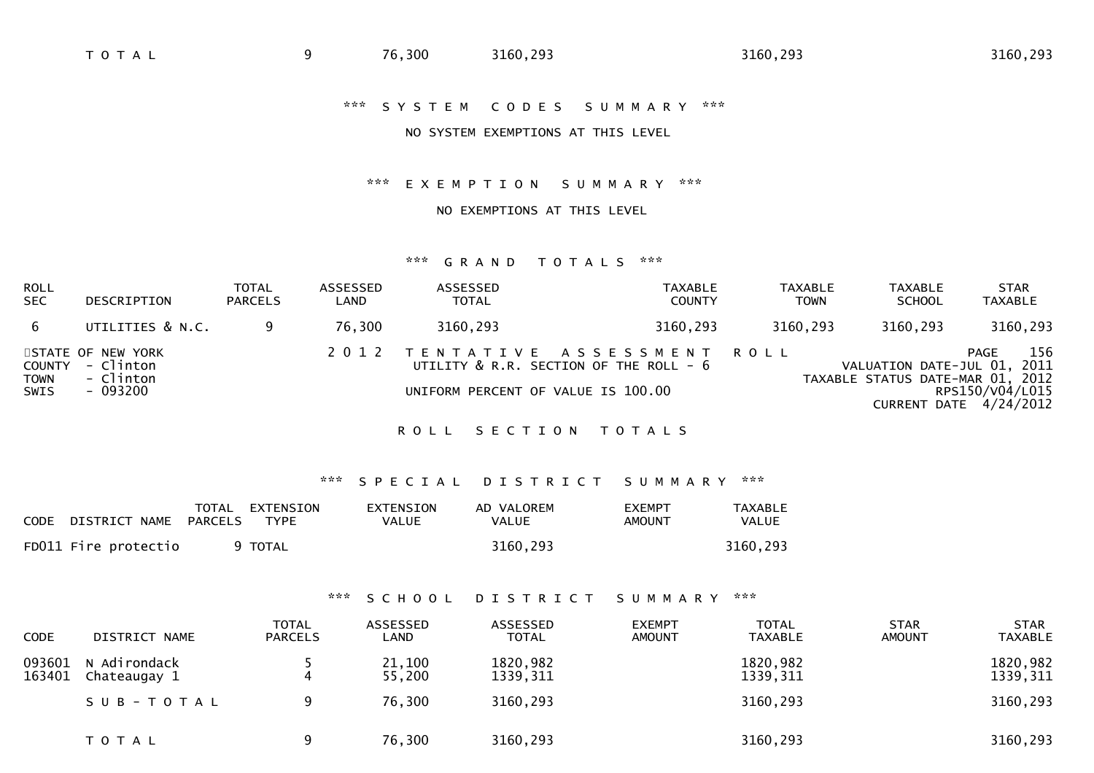## NO SYSTEM EXEMPTIONS AT THIS LEVEL

#### \*\*\* E X E M P T I O N S U M M A R Y \*\*\*

## NO EXEMPTIONS AT THIS LEVEL

#### \*\*\* G R A N D T O T A L S \*\*\*

| <b>ROLL</b><br><b>SEC</b>     | DESCRIPTION                                             | TOTAL<br><b>PARCELS</b> | ASSESSED<br>LAND | <b>ASSESSED</b><br><b>TOTAL</b>    | <b>TAXABLE</b><br><b>COUNTY</b>                                               | TAXABLE<br><b>TOWN</b> | TAXABLE<br><b>SCHOOL</b>                                        | <b>STAR</b><br><b>TAXABLE</b>                            |
|-------------------------------|---------------------------------------------------------|-------------------------|------------------|------------------------------------|-------------------------------------------------------------------------------|------------------------|-----------------------------------------------------------------|----------------------------------------------------------|
| 6.                            | UTILITIES & N.C.                                        |                         | 76,300           | 3160,293                           | 3160,293                                                                      | 3160,293               | 3160,293                                                        | 3160,293                                                 |
| COUNTY<br><b>TOWN</b><br>SWIS | STATE OF NEW YORK<br>- Clinton<br>- Clinton<br>- 093200 |                         |                  | UNIFORM PERCENT OF VALUE IS 100.00 | 2012 TENTATIVE ASSESSMENT ROLL<br>UTILITY $\&$ R.R. SECTION OF THE ROLL - $6$ |                        | VALUATION DATE-JUL 01, 2011<br>TAXABLE STATUS DATE-MAR 01, 2012 | 156<br>PAGE<br>RPS150/V04/L015<br>CURRENT DATE 4/24/2012 |

## ROLL SECTION TOTALS

## \*\*\* S P E C I A L D I S T R I C T S U M M A R Y \*\*\*

| CODE DISTRICT NAME   | TOTAL<br>PARCELS | EXTENSION<br>TYPE | EXTENSION<br>VALUE | AD VALOREM<br>VALUE | <b>FXFMPT</b><br>AMOUNT | <b>TAXABLE</b><br>VALUE |
|----------------------|------------------|-------------------|--------------------|---------------------|-------------------------|-------------------------|
| FD011 Fire protectio |                  | 9 TOTAL           |                    | 3160,293            |                         | 3160,293                |

#### \*\*\* S C H O O L D I S T R I C T S U M M A R Y \*\*\*

| <b>CODE</b>      | DISTRICT NAME                | <b>TOTAL</b><br><b>PARCELS</b> | ASSESSED<br>LAND | ASSESSED<br><b>TOTAL</b> | <b>EXEMPT</b><br>AMOUNT | <b>TOTAL</b><br><b>TAXABLE</b> | <b>STAR</b><br>AMOUNT | <b>STAR</b><br><b>TAXABLE</b> |
|------------------|------------------------------|--------------------------------|------------------|--------------------------|-------------------------|--------------------------------|-----------------------|-------------------------------|
| 093601<br>163401 | N Adirondack<br>Chateaugay 1 |                                | 21,100<br>55,200 | 1820,982<br>1339, 311    |                         | 1820,982<br>1339, 311          |                       | 1820,982<br>1339, 311         |
|                  | SUB-TOTAL                    |                                | 76,300           | 3160,293                 |                         | 3160,293                       |                       | 3160,293                      |
|                  | <b>TOTAL</b>                 | 9                              | 76,300           | 3160,293                 |                         | 3160,293                       |                       | 3160,293                      |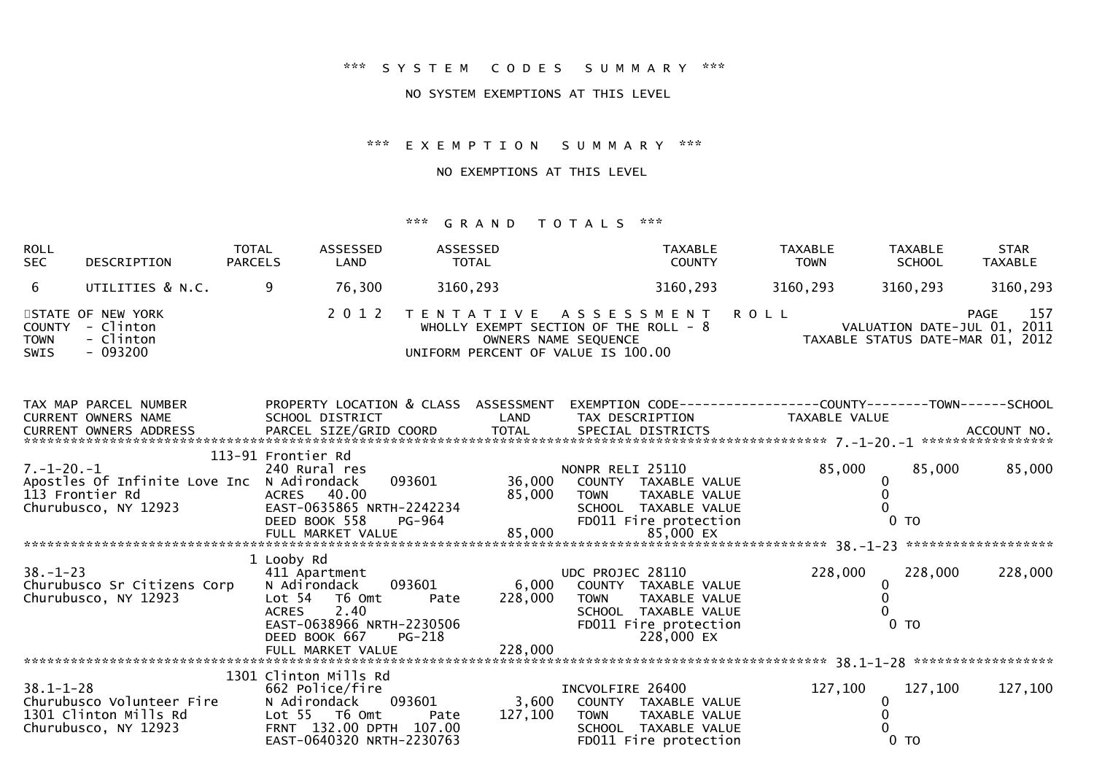## NO SYSTEM EXEMPTIONS AT THIS LEVEL

\*\*\* E X E M P T I O N S U M M A R Y \*\*\*

NO EXEMPTIONS AT THIS LEVEL

| <b>ROLL</b><br><b>SEC</b>  | DESCRIPTION                                                    | <b>TOTAL</b><br><b>PARCELS</b> | ASSESSED<br>LAND | ASSESSED<br><b>TOTAL</b>           | TAXABLE<br><b>COUNTY</b>                                                                          | <b>TAXABLE</b><br><b>TOWN</b> | <b>TAXABLE</b><br><b>SCHOOL</b>                                 | <b>STAR</b><br><b>TAXABLE</b> |
|----------------------------|----------------------------------------------------------------|--------------------------------|------------------|------------------------------------|---------------------------------------------------------------------------------------------------|-------------------------------|-----------------------------------------------------------------|-------------------------------|
| - 6                        | UTILITIES & N.C.                                               |                                | 76,300           | 3160,293                           | 3160,293                                                                                          | 3160,293                      | 3160,293                                                        | 3160,293                      |
| <b>TOWN</b><br><b>SWIS</b> | STATE OF NEW YORK<br>COUNTY - Clinton<br>- Clinton<br>- 093200 |                                |                  | UNIFORM PERCENT OF VALUE IS 100.00 | 2012 TENTATIVE ASSESSMENT ROLL<br>WHOLLY EXEMPT SECTION OF THE ROLL - $8$<br>OWNERS NAME SEQUENCE |                               | VALUATION DATE-JUL 01, 2011<br>TAXABLE STATUS DATE-MAR 01, 2012 | 157<br>PAGE                   |

| TAX MAP PARCEL NUMBER                                      | PROPERTY LOCATION & CLASS ASSESSMENT           |         |                                    |                    |                  |
|------------------------------------------------------------|------------------------------------------------|---------|------------------------------------|--------------------|------------------|
| CURRENT OWNERS NAME                                        | SCHOOL DISTRICT LAND                           |         | TAX DESCRIPTION TAXABLE VALUE      |                    |                  |
|                                                            |                                                |         |                                    |                    |                  |
|                                                            |                                                |         |                                    |                    |                  |
|                                                            | 113-91 Frontier Rd                             |         |                                    |                    |                  |
| 7. –1–20. –1                                               | 240 Rural res                                  |         | NONPR RELI 25110                   | 85,000             | 85,000<br>85,000 |
| Apostles Of Infinite Love Inc                              | N Adirondack                                   |         | 093601 36,000 COUNTY TAXABLE VALUE |                    |                  |
| 113 Frontier Rd<br>113 Frontier Rd<br>Churubusco, NY 12923 | ACRES 40.00                                    | 85,000  | TOWN TAXABLE VALUE                 |                    |                  |
|                                                            |                                                |         | SCHOOL TAXABLE VALUE               |                    |                  |
|                                                            |                                                |         | FD011 Fire protection              | 0 <sub>T</sub>     |                  |
|                                                            |                                                |         | 85,000 EX                          |                    |                  |
|                                                            |                                                |         |                                    |                    |                  |
|                                                            | 1 Looby Rd                                     |         |                                    |                    |                  |
| $38. - 1 - 23$                                             | 411 Apartment                                  |         | UDC PROJEC 28110                   | 228,000<br>228,000 | 228,000          |
| Churubusco Sr Citizens Corp                                | N Adirondack 093601                            | 6,000   | COUNTY TAXABLE VALUE               |                    |                  |
| Churubusco, NY 12923                                       | Lot 54 T6 Omt<br>Pate                          | 228,000 | TOWN TAXABLE VALUE                 |                    |                  |
|                                                            | ACRES 2.40                                     |         | SCHOOL TAXABLE VALUE               |                    |                  |
|                                                            | $2.70638966$ NRTH-2230506                      |         | FD011 Fire protection              | 0 <sub>T</sub>     |                  |
|                                                            | DEED BOOK 667 PG-218                           |         | 228,000 EX                         |                    |                  |
|                                                            | FULL MARKET VALUE                              | 228,000 |                                    |                    |                  |
|                                                            |                                                |         |                                    |                    |                  |
|                                                            | 1301 Clinton Mills Rd                          |         |                                    |                    |                  |
| $38.1 - 1 - 28$                                            | 662 Police/fire                                |         | INCVOLFIRE 26400                   | 127,100<br>127,100 | 127,100          |
| Churubusco Volunteer Fire                                  | N Adirondack 093601 3,600 COUNTY TAXABLE VALUE |         |                                    |                    |                  |
| 1301 Clinton Mills Rd                                      | Lot 55 T6 Omt Pate                             | 127,100 | TOWN TAXABLE VALUE                 |                    |                  |
| Churubusco, NY 12923                                       | FRNT 132.00 DPTH 107.00                        |         | SCHOOL TAXABLE VALUE               |                    |                  |
|                                                            | EAST-0640320 NRTH-2230763                      |         | FD011 Fire protection              | $0$ TO             |                  |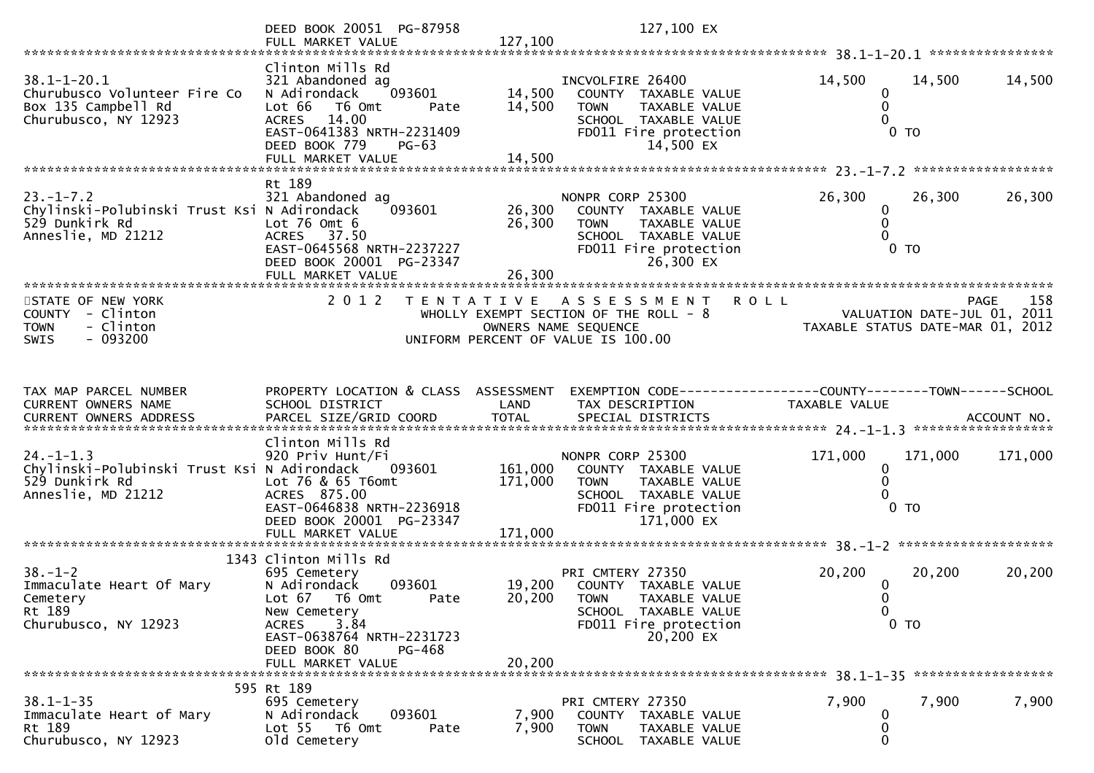|                                                                | DEED BOOK 20051 PG-87958<br>FULL MARKET VALUE         | 127,100            | 127,100 EX                                                     |                                                                 |                |                    |
|----------------------------------------------------------------|-------------------------------------------------------|--------------------|----------------------------------------------------------------|-----------------------------------------------------------------|----------------|--------------------|
|                                                                | Clinton Mills Rd                                      |                    |                                                                |                                                                 |                |                    |
| $38.1 - 1 - 20.1$<br>Churubusco Volunteer Fire Co              | 321 Abandoned ag<br>N Adirondack<br>093601            | 14,500             | INCVOLFIRE 26400<br>COUNTY TAXABLE VALUE                       | 14,500<br>0                                                     | 14,500         | 14,500             |
| Box 135 Campbell Rd<br>Churubusco, NY 12923                    | Lot 66 T6 Omt<br>Pate<br>ACRES 14.00                  | 14,500             | <b>TOWN</b><br>TAXABLE VALUE<br>SCHOOL TAXABLE VALUE           | $\mathbf{0}$                                                    |                |                    |
|                                                                | EAST-0641383 NRTH-2231409<br>DEED BOOK 779<br>$PG-63$ |                    | FD011 Fire protection<br>14,500 EX                             |                                                                 | $0$ TO         |                    |
|                                                                | FULL MARKET VALUE                                     | 14,500             |                                                                |                                                                 |                |                    |
|                                                                | Rt 189                                                |                    |                                                                |                                                                 |                |                    |
| $23. - 1 - 7.2$<br>Chylinski-Polubinski Trust Ksi N Adirondack | 321 Abandoned ag<br>093601                            | 26,300             | NONPR CORP 25300<br>COUNTY TAXABLE VALUE                       | 26,300<br>0                                                     | 26,300         | 26,300             |
| 529 Dunkirk Rd<br>Anneslie, MD 21212                           | Lot $76$ Omt $6$<br>ACRES 37.50                       | 26,300             | <b>TOWN</b><br>TAXABLE VALUE<br>SCHOOL TAXABLE VALUE           |                                                                 |                |                    |
|                                                                | EAST-0645568 NRTH-2237227<br>DEED BOOK 20001 PG-23347 |                    | FD011 Fire protection<br>26,300 EX                             |                                                                 | 0 <sub>T</sub> |                    |
|                                                                | FULL MARKET VALUE                                     | 26,300             |                                                                |                                                                 |                |                    |
| STATE OF NEW YORK                                              | 2 0 1 2                                               |                    | TENTATIVE ASSESSMENT                                           | R O L L                                                         |                | 158<br><b>PAGE</b> |
| COUNTY - Clinton                                               |                                                       |                    | WHOLLY EXEMPT SECTION OF THE ROLL - 8                          | VALUATION DATE-JUL 01, 2011<br>TAXABLE STATUS DATE-MAR 01, 2012 |                |                    |
| - Clinton<br><b>TOWN</b><br>$-093200$<br>SWIS                  |                                                       |                    | OWNERS NAME SEQUENCE<br>UNIFORM PERCENT OF VALUE IS 100.00     |                                                                 |                |                    |
|                                                                |                                                       |                    |                                                                |                                                                 |                |                    |
| TAX MAP PARCEL NUMBER                                          | PROPERTY LOCATION & CLASS ASSESSMENT                  |                    | EXEMPTION CODE------------------COUNTY--------TOWN------SCHOOL |                                                                 |                |                    |
| CURRENT OWNERS NAME                                            | SCHOOL DISTRICT                                       | LAND               | TAX DESCRIPTION                                                | TAXABLE VALUE                                                   |                |                    |
|                                                                |                                                       |                    |                                                                |                                                                 |                |                    |
| $24. - 1 - 1.3$                                                | Clinton Mills Rd<br>920 Priv Hunt/Fi                  |                    | NONPR CORP 25300                                               | 171,000                                                         | 171,000        | 171,000            |
| Chylinski-Polubinski Trust Ksi N Adirondack<br>529 Dunkirk Rd  | 093601<br>Lot 76 & 65 T6omt                           | 161,000<br>171,000 | COUNTY TAXABLE VALUE<br><b>TOWN</b><br>TAXABLE VALUE           | 0                                                               |                |                    |
| Anneslie, MD 21212                                             | ACRES 875.00<br>EAST-0646838 NRTH-2236918             |                    | SCHOOL TAXABLE VALUE                                           |                                                                 | $0$ TO         |                    |
|                                                                | DEED BOOK 20001 PG-23347                              |                    | FD011 Fire protection<br>171,000 EX                            |                                                                 |                |                    |
|                                                                |                                                       |                    |                                                                |                                                                 |                |                    |
| $38. - 1 - 2$                                                  | 1343 Clinton Mills Rd<br>695 Cemetery                 |                    | PRI CMTERY 27350                                               | 20,200                                                          | 20,200         | 20,200             |
| Immaculate Heart Of Mary                                       | 093601<br>N Adirondack                                |                    | 19,200 COUNTY TAXABLE VALUE                                    | 0                                                               |                |                    |
| Cemetery<br>Rt 189                                             | Lot 67 T6 Omt<br>Pate<br>New Cemetery                 | 20,200             | <b>TOWN</b><br>TAXABLE VALUE<br>SCHOOL TAXABLE VALUE           | 0                                                               |                |                    |
| Churubusco, NY 12923                                           | 3.84<br><b>ACRES</b><br>EAST-0638764 NRTH-2231723     |                    | FD011 Fire protection<br>20,200 EX                             |                                                                 | $0$ TO         |                    |
|                                                                | DEED BOOK 80<br>PG-468                                |                    |                                                                |                                                                 |                |                    |
|                                                                | FULL MARKET VALUE                                     | 20,200             |                                                                |                                                                 |                |                    |
| $38.1 - 1 - 35$                                                | 595 Rt 189<br>695 Cemetery                            |                    | PRI CMTERY 27350                                               | 7,900                                                           | 7,900          | 7,900              |
| Immaculate Heart of Mary<br>Rt 189                             | N Adirondack<br>093601<br>Lot 55  T6 Omt<br>Pate      | 7,900<br>7,900     | COUNTY TAXABLE VALUE<br><b>TOWN</b><br>TAXABLE VALUE           |                                                                 |                |                    |
| Churubusco, NY 12923                                           | old Cemetery                                          |                    | SCHOOL TAXABLE VALUE                                           | 0                                                               |                |                    |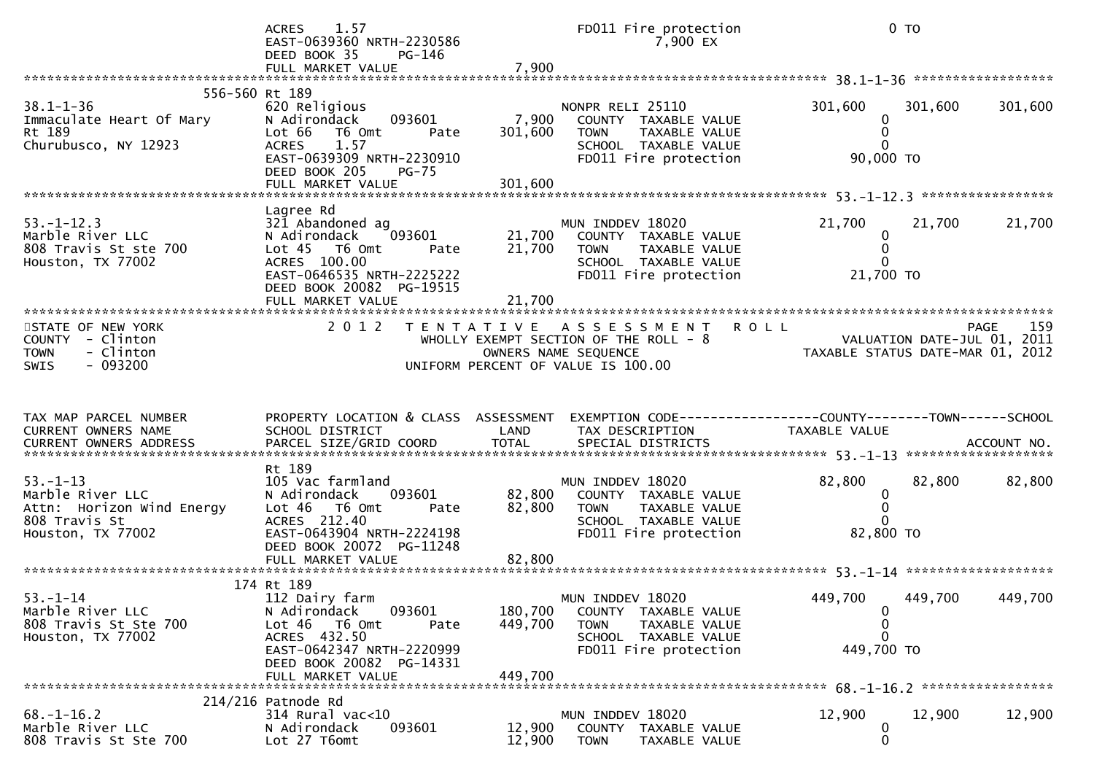|                                                                                                             | 1.57<br><b>ACRES</b><br>EAST-0639360 NRTH-2230586<br>DEED BOOK 35<br>PG-146                                                                                                                                |                             | FD011 Fire protection<br>7,900 EX                                                                                         | 0 <sub>T</sub>                                                  |                             |
|-------------------------------------------------------------------------------------------------------------|------------------------------------------------------------------------------------------------------------------------------------------------------------------------------------------------------------|-----------------------------|---------------------------------------------------------------------------------------------------------------------------|-----------------------------------------------------------------|-----------------------------|
|                                                                                                             |                                                                                                                                                                                                            |                             |                                                                                                                           |                                                                 |                             |
| 556-560 Rt 189<br>$38.1 - 1 - 36$<br>Immaculate Heart Of Mary<br>Rt 189<br>Churubusco, NY 12923             | 620 Religious<br>093601<br>N Adirondack<br>Lot 66<br>T6 Omt<br>Pate<br>ACRES 1.57<br>EAST-0639309 NRTH-2230910<br>DEED BOOK 205<br><b>PG-75</b><br>FULL MARKET VALUE                                       | 7,900<br>301,600<br>301,600 | NONPR RELI 25110<br>COUNTY TAXABLE VALUE<br><b>TOWN</b><br>TAXABLE VALUE<br>SCHOOL TAXABLE VALUE<br>FD011 Fire protection | 301,600<br>0<br>0<br>$\Omega$<br>90,000 TO                      | 301,600<br>301,600          |
|                                                                                                             |                                                                                                                                                                                                            |                             |                                                                                                                           |                                                                 |                             |
| $53. - 1 - 12.3$<br>Marble River LLC<br>808 Travis St ste 700<br>Houston, TX 77002<br>********************* | Lagree Rd<br>321 Abandoned ag<br>093601<br>N Adirondack<br>Lot 45 T6 Omt<br>Pate<br>ACRES 100.00<br>EAST-0646535 NRTH-2225222<br>DEED BOOK 20082 PG-19515<br>FULL MARKET VALUE<br>************************ | 21,700<br>21,700<br>21,700  | MUN INDDEV 18020<br>COUNTY TAXABLE VALUE<br>TAXABLE VALUE<br><b>TOWN</b><br>SCHOOL TAXABLE VALUE<br>FD011 Fire protection | 21,700<br>$\bf{0}$<br>0<br>$\Omega$<br>21,700 TO                | 21,700<br>21,700            |
| STATE OF NEW YORK                                                                                           | 2 0 1 2                                                                                                                                                                                                    |                             | TENTATIVE ASSESSMENT                                                                                                      | <b>ROLL</b>                                                     | 159<br>PAGE                 |
| COUNTY - Clinton<br>- Clinton<br><b>TOWN</b><br>$-093200$<br><b>SWIS</b>                                    |                                                                                                                                                                                                            |                             | WHOLLY EXEMPT SECTION OF THE ROLL - 8<br>OWNERS NAME SEQUENCE<br>UNIFORM PERCENT OF VALUE IS 100.00                       | VALUATION DATE-JUL 01, 2011<br>TAXABLE STATUS DATE-MAR 01, 2012 | VALUATION DATE-JUL 01, 2011 |
| TAX MAP PARCEL NUMBER                                                                                       | PROPERTY LOCATION & CLASS ASSESSMENT                                                                                                                                                                       |                             | EXEMPTION CODE------------------COUNTY--------TOWN------SCHOOL                                                            |                                                                 |                             |
| CURRENT OWNERS NAME                                                                                         | SCHOOL DISTRICT                                                                                                                                                                                            | LAND                        | TAX DESCRIPTION                                                                                                           | TAXABLE VALUE                                                   |                             |
|                                                                                                             | Rt 189                                                                                                                                                                                                     |                             |                                                                                                                           |                                                                 |                             |
| $53. - 1 - 13$<br>Marble River LLC<br>Attn: Horizon Wind Energy<br>808 Travis St<br>Houston, TX 77002       | 105 Vac farmland<br>093601<br>N Adirondack<br>Lot 46<br>T6 Omt<br>Pate<br>ACRES 212.40<br>EAST-0643904 NRTH-2224198<br>DEED BOOK 20072 PG-11248                                                            | 82,800<br>82,800            | MUN INDDEV 18020<br>COUNTY TAXABLE VALUE<br><b>TOWN</b><br>TAXABLE VALUE<br>SCHOOL TAXABLE VALUE<br>FD011 Fire protection | 82,800<br>0<br>0<br>$\Omega$<br>82,800 TO                       | 82,800<br>82,800            |
|                                                                                                             | FULL MARKET VALUE                                                                                                                                                                                          | 82,800                      |                                                                                                                           |                                                                 |                             |
|                                                                                                             | 174 Rt 189                                                                                                                                                                                                 |                             |                                                                                                                           |                                                                 |                             |
| $53. - 1 - 14$<br>Marble River LLC<br>808 Travis St Ste 700<br>Houston, TX 77002                            | 112 Dairy farm<br>093601<br>N Adirondack<br>Lot 46<br>T6 Omt<br>Pate                                                                                                                                       | 180,700<br>449,700          | MUN INDDEV 18020<br>COUNTY TAXABLE VALUE<br><b>TOWN</b><br>TAXABLE VALUE                                                  | 449,700 449,700<br>0<br>0<br>0                                  | 449,700                     |
|                                                                                                             | ACRES 432.50<br>EAST-0642347 NRTH-2220999<br>DEED BOOK 20082 PG-14331<br>FULL MARKET VALUE                                                                                                                 | 449,700                     | SCHOOL TAXABLE VALUE<br>FD011 Fire protection                                                                             | 449,700 TO                                                      |                             |
|                                                                                                             |                                                                                                                                                                                                            |                             |                                                                                                                           |                                                                 |                             |
| $68. - 1 - 16.2$                                                                                            | $214/216$ Patnode Rd<br>314 Rural vac<10                                                                                                                                                                   |                             | MUN INDDEV 18020                                                                                                          | 12,900                                                          | 12,900<br>12,900            |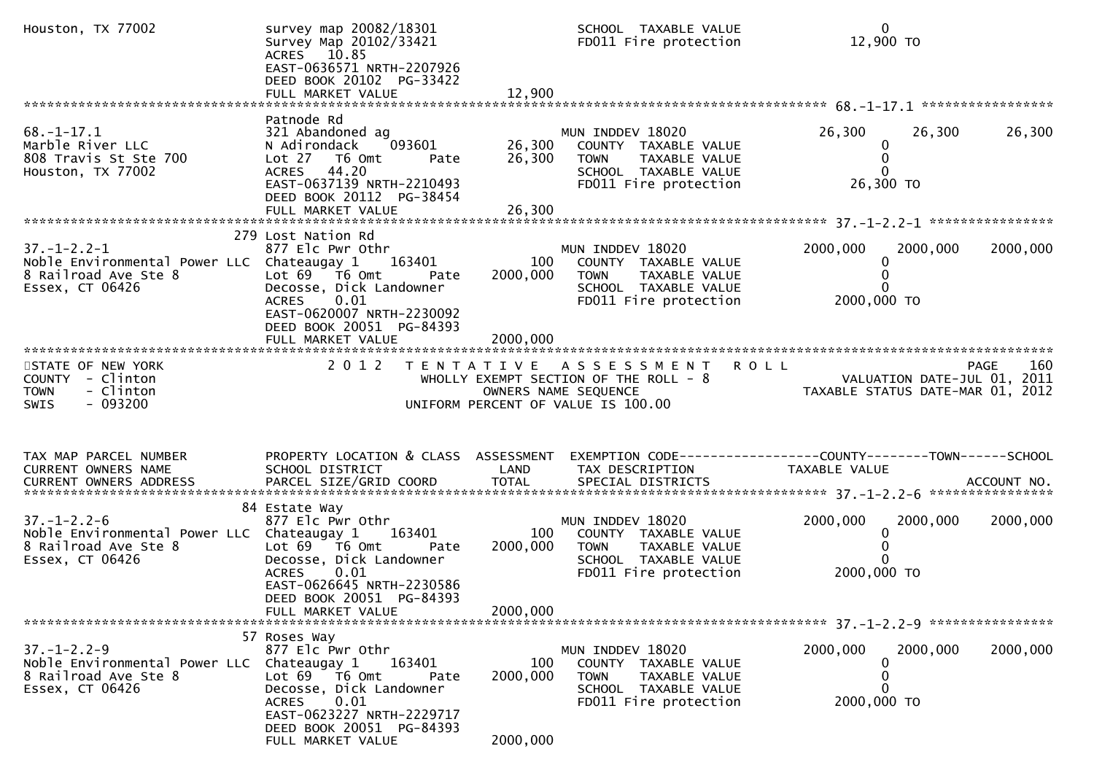| Houston, TX 77002                                                                                            | survey map 20082/18301<br>Survey Map 20102/33421<br>ACRES 10.85<br>EAST-0636571 NRTH-2207926<br>DEED BOOK 20102 PG-33422                                                                                                  |                             | SCHOOL TAXABLE VALUE<br>FD011 Fire protection                                                                                    | $\mathbf 0$<br>12,900 TO                                                      |                    |
|--------------------------------------------------------------------------------------------------------------|---------------------------------------------------------------------------------------------------------------------------------------------------------------------------------------------------------------------------|-----------------------------|----------------------------------------------------------------------------------------------------------------------------------|-------------------------------------------------------------------------------|--------------------|
|                                                                                                              |                                                                                                                                                                                                                           |                             |                                                                                                                                  |                                                                               |                    |
| $68. - 1 - 17.1$<br>Marble River LLC<br>808 Travis St Ste 700<br>Houston, TX 77002                           | Patnode Rd<br>321 Abandoned ag<br>093601<br>N Adirondack<br>Lot 27 T6 Omt<br>Pate<br>ACRES 44.20<br>EAST-0637139 NRTH-2210493<br>DEED BOOK 20112 PG-38454                                                                 | 26,300<br>26,300            | MUN INDDEV 18020<br>COUNTY TAXABLE VALUE<br>TAXABLE VALUE<br><b>TOWN</b><br>SCHOOL TAXABLE VALUE<br>FD011 Fire protection        | 26,300<br>26,300<br>$\mathbf 0$<br>$\mathbf{0}$<br>26,300 TO                  | 26,300             |
|                                                                                                              | 279 Lost Nation Rd                                                                                                                                                                                                        |                             |                                                                                                                                  |                                                                               |                    |
| $37. - 1 - 2.2 - 1$<br>Noble Environmental Power LLC Chateaugay 1<br>8 Railroad Ave Ste 8<br>Essex, CT 06426 | 877 Elc Pwr Othr<br>163401<br>Lot $69$ $\overline{76}$ Omt<br>Pate<br>Decosse, Dick Landowner<br>0.01<br>ACRES<br>EAST-0620007 NRTH-2230092<br>DEED BOOK 20051 PG-84393                                                   | 100<br>2000,000             | MUN INDDEV 18020<br>COUNTY TAXABLE VALUE<br>TAXABLE VALUE<br><b>TOWN</b><br>SCHOOL TAXABLE VALUE<br>FD011 Fire protection        | 2000,000<br>2000,000<br>2000,000 TO                                           | 2000,000           |
|                                                                                                              |                                                                                                                                                                                                                           |                             |                                                                                                                                  |                                                                               |                    |
| STATE OF NEW YORK<br>COUNTY - Clinton<br>- Clinton<br><b>TOWN</b><br>$-093200$<br><b>SWIS</b>                | 2 0 1 2                                                                                                                                                                                                                   |                             | TENTATIVE ASSESSMENT ROLL<br>WHOLLY EXEMPT SECTION OF THE ROLL - 8<br>OWNERS NAME SEQUENCE<br>UNIFORM PERCENT OF VALUE IS 100.00 | VALUATION DATE-JUL 01, 2011<br>TAXABLE STATUS DATE-MAR 01, 2012               | 160<br><b>PAGE</b> |
| TAX MAP PARCEL NUMBER<br>CURRENT OWNERS NAME                                                                 | PROPERTY LOCATION & CLASS ASSESSMENT<br>SCHOOL DISTRICT                                                                                                                                                                   | LAND                        | TAX DESCRIPTION                                                                                                                  | EXEMPTION CODE-----------------COUNTY-------TOWN------SCHOOL<br>TAXABLE VALUE |                    |
|                                                                                                              | 84 Estate Way                                                                                                                                                                                                             |                             |                                                                                                                                  |                                                                               |                    |
| $37. - 1 - 2.2 - 6$<br>Noble Environmental Power LLC Chateaugay 1<br>8 Railroad Ave Ste 8<br>Essex, CT 06426 | 877 Elc Pwr Othr<br>163401<br>Lot $69$ $\overline{76}$ Omt<br>Pate<br>Decosse, Dick Landowner<br>0.01<br><b>ACRES</b><br>EAST-0626645 NRTH-2230586<br>DEED BOOK 20051 PG-84393<br>FULL MARKET VALUE                       | 100<br>2000,000<br>2000,000 | MUN INDDEV 18020<br>COUNTY TAXABLE VALUE<br>TAXABLE VALUE<br>TOWN<br>SCHOOL TAXABLE VALUE<br>FD011 Fire protection               | 2000,000<br>2000,000<br>0<br>2000,000 TO                                      | 2000,000           |
|                                                                                                              |                                                                                                                                                                                                                           |                             |                                                                                                                                  |                                                                               |                    |
| $37. - 1 - 2.2 - 9$<br>Noble Environmental Power LLC<br>8 Railroad Ave Ste 8<br>Essex, CT 06426              | 57 Roses Way<br>877 Elc Pwr Othr<br>163401<br>Chateaugay 1<br>Lot 69<br>$T6$ Omt<br>Pate<br>Decosse, Dick Landowner<br>0.01<br><b>ACRES</b><br>EAST-0623227 NRTH-2229717<br>DEED BOOK 20051 PG-84393<br>FULL MARKET VALUE | 100<br>2000,000<br>2000,000 | MUN INDDEV 18020<br>COUNTY TAXABLE VALUE<br><b>TOWN</b><br>TAXABLE VALUE<br>SCHOOL TAXABLE VALUE<br>FD011 Fire protection        | 2000,000<br>2000,000<br>O<br>0<br>2000,000 TO                                 | 2000,000           |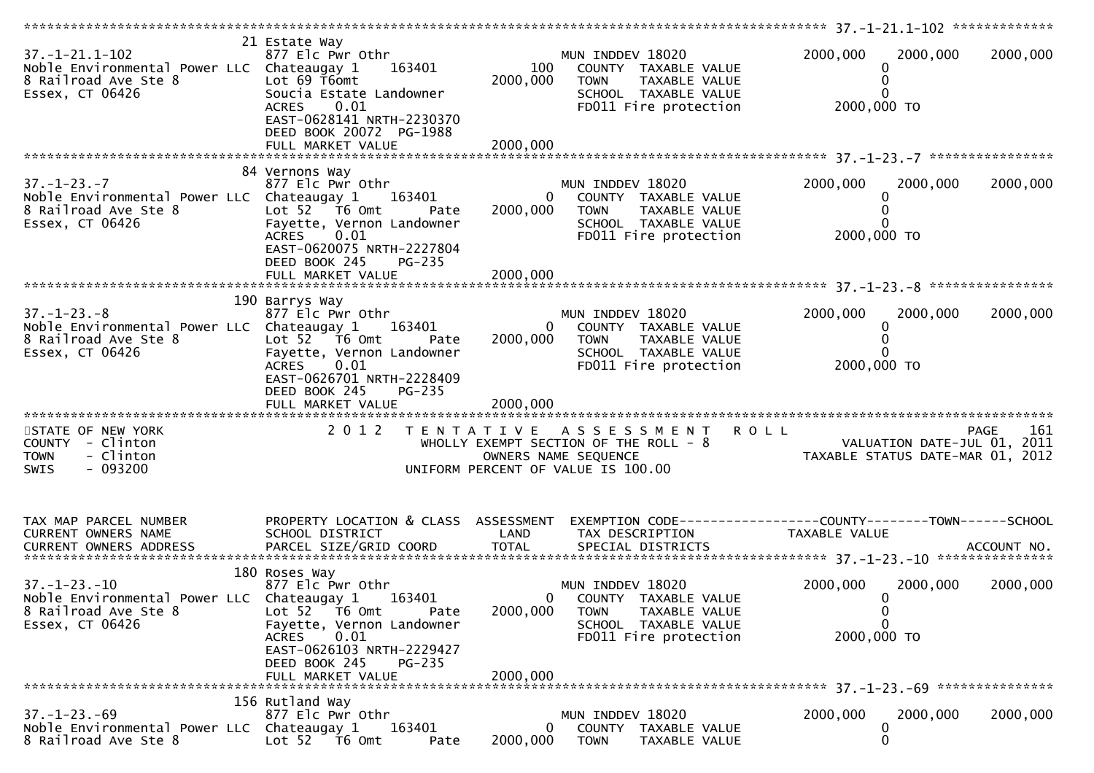| $37. - 1 - 21.1 - 102$<br>Noble Environmental Power LLC Chateaugay 1<br>8 Railroad Ave Ste 8<br>Essex, CT 06426     | 21 Estate Way<br>877 Elc Pwr Othr<br>163401<br>Lot 69 T6omt<br>Soucia Estate Landowner<br><b>ACRES</b><br>0.01<br>EAST-0628141 NRTH-2230370<br>DEED BOOK 20072 PG-1988 | 100<br>2000,000           | MUN INDDEV 18020<br>COUNTY TAXABLE VALUE<br><b>TOWN</b><br>TAXABLE VALUE<br>SCHOOL TAXABLE VALUE<br>FD011 Fire protection        | 2000,000<br>2000,000<br>0<br>0<br>2000,000 TO                                          | 2000,000 |
|---------------------------------------------------------------------------------------------------------------------|------------------------------------------------------------------------------------------------------------------------------------------------------------------------|---------------------------|----------------------------------------------------------------------------------------------------------------------------------|----------------------------------------------------------------------------------------|----------|
|                                                                                                                     | 84 Vernons Way                                                                                                                                                         |                           |                                                                                                                                  |                                                                                        |          |
| $37. - 1 - 23. - 7$<br>Noble Environmental Power LLC Chateaugay 1 163401<br>8 Railroad Ave Ste 8<br>Essex, CT 06426 | 877 Elc Pwr Othr<br>Lot 52 T6 Omt<br>Pate<br>Fayette, Vernon Landowner<br>0.01<br>ACRES<br>EAST-0620075 NRTH-2227804<br>DEED BOOK 245<br>PG-235                        | 2000,000                  | MUN INDDEV 18020<br>0 COUNTY TAXABLE VALUE<br><b>TOWN</b><br>TAXABLE VALUE<br>SCHOOL TAXABLE VALUE<br>FD011 Fire protection      | 2000,000<br>2000,000<br>0<br>0<br>2000,000 TO                                          | 2000,000 |
|                                                                                                                     |                                                                                                                                                                        |                           |                                                                                                                                  |                                                                                        |          |
| $37. - 1 - 23. - 8$<br>Noble Environmental Power LLC Chateaugay 1                                                   | 190 Barrys Way<br>877 Elc Pwr Othr<br>163401                                                                                                                           |                           | MUN INDDEV 18020<br>$\overline{0}$<br>COUNTY TAXABLE VALUE                                                                       | 2000,000<br>2000,000<br>0                                                              | 2000,000 |
| 8 Railroad Ave Ste 8<br>Essex, CT 06426                                                                             | Lot $52$ $\overline{76}$ Omt<br>Pate<br>Fayette, Vernon Landowner<br>0.01<br><b>ACRES</b><br>EAST-0626701 NRTH-2228409<br>DEED BOOK 245<br>PG-235                      | 2000,000                  | <b>TOWN</b><br>TAXABLE VALUE<br>SCHOOL TAXABLE VALUE<br>FD011 Fire protection                                                    | 0<br>2000,000 TO                                                                       |          |
|                                                                                                                     |                                                                                                                                                                        |                           |                                                                                                                                  |                                                                                        |          |
| STATE OF NEW YORK<br>COUNTY - Clinton<br>- Clinton<br><b>TOWN</b><br>$-093200$<br>SWIS                              |                                                                                                                                                                        |                           | 2012 TENTATIVE ASSESSMENT<br>WHOLLY EXEMPT SECTION OF THE ROLL - 8<br>OWNERS NAME SEQUENCE<br>UNIFORM PERCENT OF VALUE IS 100.00 | <b>ROLL</b><br>PAGE<br>VALUATION DATE-JUL 01, 2011<br>TAXABLE STATUS DATE-MAR 01, 2012 | 161      |
|                                                                                                                     |                                                                                                                                                                        |                           |                                                                                                                                  |                                                                                        |          |
| TAX MAP PARCEL NUMBER<br>CURRENT OWNERS NAME                                                                        | PROPERTY LOCATION & CLASS ASSESSMENT<br>SCHOOL DISTRICT                                                                                                                | <b>Example 12 DE LAND</b> | TAX DESCRIPTION                                                                                                                  | TAXABLE VALUE                                                                          |          |
|                                                                                                                     |                                                                                                                                                                        |                           |                                                                                                                                  |                                                                                        |          |
| $37. - 1 - 23. - 10$<br>Noble Environmental Power LLC Chateaugay 1<br>8 Railroad Ave Ste 8<br>Essex, CT 06426       | 180 Roses Way<br>877 Elc Pwr Othr<br>163401<br>Lot 52 T6 Omt<br>Pate<br>Fayette, Vernon Landowner<br>0.01<br>ACRES<br>EAST-0626103 NRTH-2229427                        | 2000,000                  | MUN INDDEV 18020<br>0<br>COUNTY TAXABLE VALUE<br>TAXABLE VALUE<br><b>TOWN</b><br>SCHOOL TAXABLE VALUE<br>FD011 Fire protection   | 2000,000<br>2000,000<br>$\Omega$<br>0<br>$\Omega$<br>2000,000 TO                       | 2000,000 |
|                                                                                                                     | DEED BOOK 245<br><b>PG-235</b>                                                                                                                                         |                           |                                                                                                                                  |                                                                                        |          |
|                                                                                                                     | FULL MARKET VALUE                                                                                                                                                      | 2000,000                  |                                                                                                                                  |                                                                                        |          |
|                                                                                                                     | 156 Rutland Way                                                                                                                                                        |                           |                                                                                                                                  |                                                                                        |          |
| $37. - 1 - 23. - 69$<br>Noble Environmental Power LLC Chateaugay 1<br>8 Railroad Ave Ste 8                          | 877 Elc Pwr Othr<br>163401<br>Lot 52 T6 Omt<br>Pate                                                                                                                    | 0<br>2000,000             | MUN INDDEV 18020<br>COUNTY TAXABLE VALUE<br><b>TOWN</b><br>TAXABLE VALUE                                                         | 2000,000<br>2000,000<br>0<br>0                                                         | 2000,000 |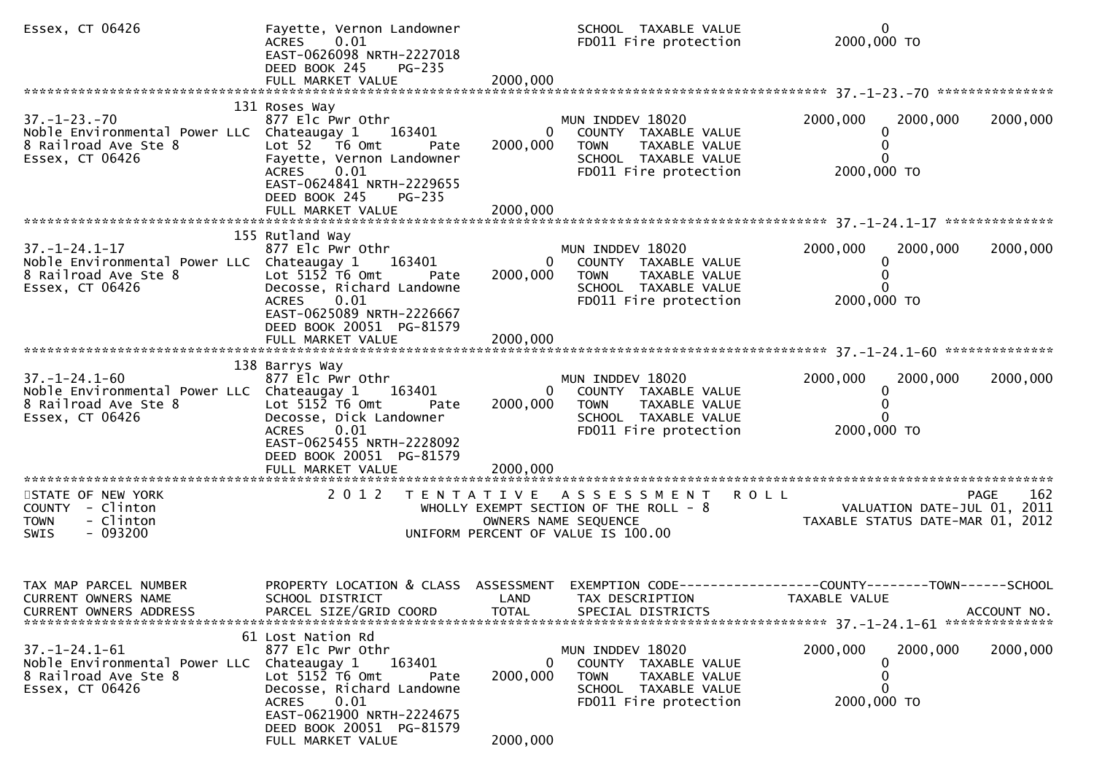| Essex, CT 06426                                                                                                | Fayette, Vernon Landowner<br>ACRES 0.01<br>EAST-0626098 NRTH-2227018<br>DEED BOOK 245<br>PG-235<br>FULL MARKET VALUE                                                                                                          | 2000,000                  | SCHOOL TAXABLE VALUE<br>FD011 Fire protection                                                                                         | $\mathbf{0}$<br>2000,000 TO                                                   |             |
|----------------------------------------------------------------------------------------------------------------|-------------------------------------------------------------------------------------------------------------------------------------------------------------------------------------------------------------------------------|---------------------------|---------------------------------------------------------------------------------------------------------------------------------------|-------------------------------------------------------------------------------|-------------|
|                                                                                                                | 131 Roses Way                                                                                                                                                                                                                 |                           |                                                                                                                                       |                                                                               |             |
| $37. - 1 - 23. - 70$<br>Noble Environmental Power LLC Chateaugay 1<br>8 Railroad Ave Ste 8<br>Essex, CT 06426  | 877 Elc Pwr Othr<br>163401<br>Lot 52 T6 Omt<br>Pate<br>Fayette, Vernon Landowner<br>0.01<br>ACRES<br>EAST-0624841 NRTH-2229655                                                                                                | 2000,000                  | MUN INDDEV 18020<br>0<br>COUNTY TAXABLE VALUE<br><b>TOWN</b><br>TAXABLE VALUE<br>SCHOOL TAXABLE VALUE<br>FD011 Fire protection        | 2000,000<br>2000,000<br>0<br>2000,000 TO                                      | 2000,000    |
|                                                                                                                | DEED BOOK 245<br>PG-235                                                                                                                                                                                                       |                           |                                                                                                                                       |                                                                               |             |
|                                                                                                                | 155 Rutland Way                                                                                                                                                                                                               |                           |                                                                                                                                       |                                                                               |             |
| $37. - 1 - 24.1 - 17$<br>Noble Environmental Power LLC Chateaugay 1<br>8 Railroad Ave Ste 8<br>Essex, CT 06426 | 877 Elc Pwr Othr<br>163401<br>Lot $515\overline{2}$ T6 Omt<br>Pate<br>Decosse, Richard Landowne                                                                                                                               | 2000,000                  | MUN INDDEV 18020<br>0 COUNTY TAXABLE VALUE<br><b>TOWN</b><br>TAXABLE VALUE<br>SCHOOL TAXABLE VALUE                                    | 2000,000<br>2000,000                                                          | 2000,000    |
|                                                                                                                | 0.01<br>ACRES<br>EAST-0625089 NRTH-2226667<br>DEED BOOK 20051 PG-81579                                                                                                                                                        |                           | FD011 Fire protection                                                                                                                 | 2000,000 TO                                                                   |             |
|                                                                                                                |                                                                                                                                                                                                                               |                           |                                                                                                                                       |                                                                               |             |
| $37. - 1 - 24.1 - 60$<br>Noble Environmental Power LLC Chateaugay 1<br>8 Railroad Ave Ste 8<br>Essex, CT 06426 | 138 Barrys Way<br>877 Elc Pwr Othr<br>163401<br>Lot $5152$ T6 Omt<br>Pate<br>Decosse, Dick Landowner<br>0.01<br>ACRES<br>EAST-0625455 NRTH-2228092<br>DEED BOOK 20051 PG-81579<br>FULL MARKET VALUE                           | 2000,000<br>2000,000      | MUN INDDEV 18020<br>0<br>COUNTY TAXABLE VALUE<br>TAXABLE VALUE<br><b>TOWN</b><br>SCHOOL TAXABLE VALUE<br>FD011 Fire protection        | 2000,000<br>2000,000<br>2000,000 TO                                           | 2000,000    |
|                                                                                                                |                                                                                                                                                                                                                               |                           |                                                                                                                                       |                                                                               |             |
| STATE OF NEW YORK<br>COUNTY - Clinton<br>- Clinton<br><b>TOWN</b><br>$-093200$<br>SWIS                         |                                                                                                                                                                                                                               |                           | 2012 TENTATIVE ASSESSMENT ROLL<br>WHOLLY EXEMPT SECTION OF THE ROLL - 8<br>OWNERS NAME SEQUENCE<br>UNIFORM PERCENT OF VALUE IS 100.00 | VALUATION DATE-JUL 01, 2011<br>TAXABLE STATUS DATE-MAR 01, 2012               | 162<br>PAGE |
| TAX MAP PARCEL NUMBER<br>CURRENT OWNERS NAME<br><b>CURRENT OWNERS ADDRESS</b>                                  | PROPERTY LOCATION & CLASS ASSESSMENT<br>SCHOOL DISTRICT<br>PARCEL SIZE/GRID COORD                                                                                                                                             | LAND<br><b>TOTAL</b>      | TAX DESCRIPTION<br>SPECIAL DISTRICTS                                                                                                  | EXEMPTION CODE-----------------COUNTY-------TOWN------SCHOOL<br>TAXABLE VALUE | ACCOUNT NO. |
| $37. - 1 - 24.1 - 61$<br>Noble Environmental Power LLC<br>8 Railroad Ave Ste 8<br>Essex, CT 06426              | 61 Lost Nation Rd<br>877 Elc Pwr Othr<br>163401<br>Chateaugay 1<br>Lot 5152 T6 Omt<br>Pate<br>Decosse, Richard Landowne<br>0.01<br><b>ACRES</b><br>EAST-0621900 NRTH-2224675<br>DEED BOOK 20051 PG-81579<br>FULL MARKET VALUE | 0<br>2000,000<br>2000,000 | MUN INDDEV 18020<br>COUNTY<br>TAXABLE VALUE<br>TAXABLE VALUE<br><b>TOWN</b><br>SCHOOL TAXABLE VALUE<br>FD011 Fire protection          | 2000,000<br>2000,000<br>0<br>0<br>2000,000 TO                                 | 2000,000    |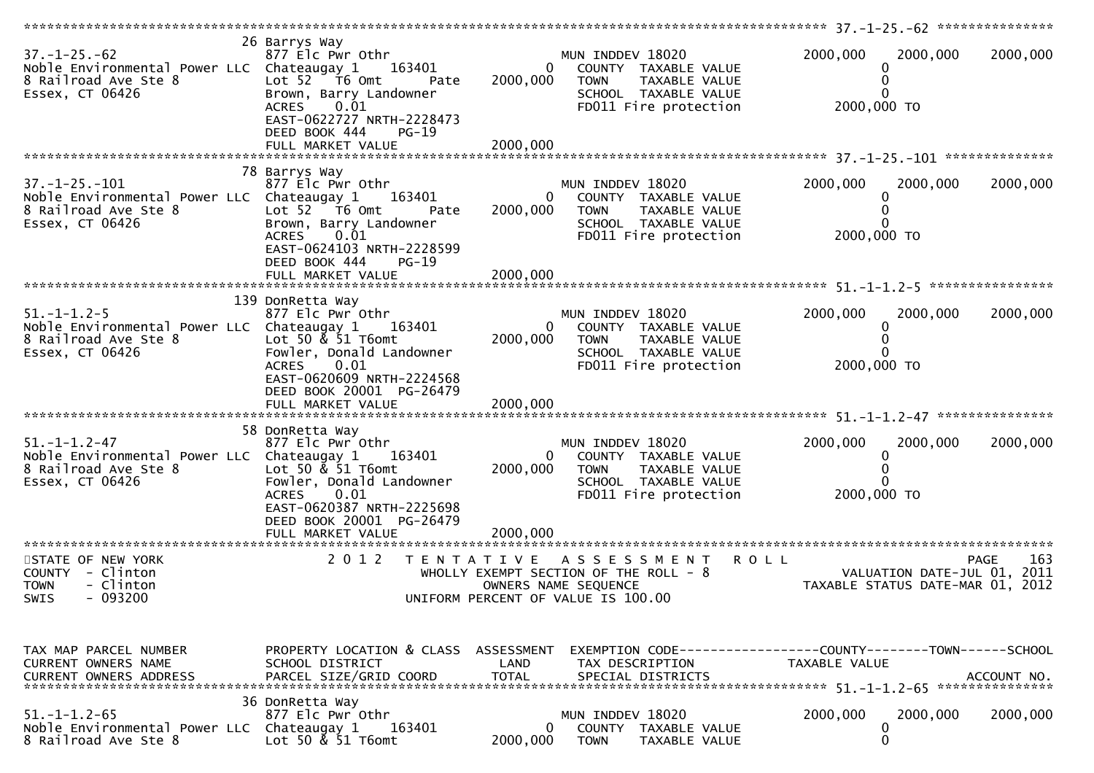| $37. - 1 - 25. - 62$<br>Noble Environmental Power LLC Chateaugay 1<br>8 Railroad Ave Ste 8<br>Essex, CT 06426  | 26 Barrys Way<br>877 Elc Pwr Othr<br>163401<br>Lot $52$ $\overline{76}$ Omt<br>Pate<br>Brown, Barry Landowner<br>$0.\overline{01}$<br><b>ACRES</b><br>EAST-0622727 NRTH-2228473<br>DEED BOOK 444<br>PG-19 | $\overline{0}$<br>2000,000 | MUN INDDEV 18020<br>COUNTY TAXABLE VALUE<br><b>TOWN</b><br>TAXABLE VALUE<br>SCHOOL TAXABLE VALUE<br>FD011 Fire protection  | 2000,000<br>2000,000 TO                    | 2000,000<br>0                    | 2000,000           |
|----------------------------------------------------------------------------------------------------------------|-----------------------------------------------------------------------------------------------------------------------------------------------------------------------------------------------------------|----------------------------|----------------------------------------------------------------------------------------------------------------------------|--------------------------------------------|----------------------------------|--------------------|
|                                                                                                                | 78 Barrys Way                                                                                                                                                                                             |                            |                                                                                                                            |                                            |                                  |                    |
| $37. - 1 - 25. - 101$<br>Noble Environmental Power LLC Chateaugay 1<br>8 Railroad Ave Ste 8<br>Essex, CT 06426 | 877 Elc Pwr Othr<br>163401<br>Lot 52 76 0mt<br>Pate<br>Brown, Barry Landowner<br>0.01<br><b>ACRES</b><br>EAST-0624103 NRTH-2228599<br>DEED BOOK 444<br>$PG-19$                                            | 0<br>2000,000              | MUN INDDEV 18020<br>COUNTY TAXABLE VALUE<br><b>TOWN</b><br>TAXABLE VALUE<br>SCHOOL TAXABLE VALUE<br>FD011 Fire protection  | 2000,000<br>2000,000 TO                    | 2000,000<br>0                    | 2000,000           |
|                                                                                                                | FULL MARKET VALUE                                                                                                                                                                                         | 2000,000                   |                                                                                                                            |                                            |                                  |                    |
| $51. - 1 - 1.2 - 5$<br>Noble Environmental Power LLC Chateaugay 1<br>8 Railroad Ave Ste 8                      | 139 DonRetta Way<br>877 Elc Pwr Othr<br>163401<br>Lot 50 $\&$ 51 T6omt                                                                                                                                    | $\overline{0}$<br>2000,000 | MUN INDDEV 18020<br>COUNTY TAXABLE VALUE<br><b>TOWN</b><br>TAXABLE VALUE                                                   | 2000,000                                   | 2000,000<br>0                    | 2000,000           |
| Essex, CT 06426                                                                                                | Fowler, Donald Landowner<br>ACRES 0.01<br>EAST-0620609 NRTH-2224568<br>DEED BOOK 20001 PG-26479<br>FULL MARKET VALUE                                                                                      | 2000,000                   | SCHOOL TAXABLE VALUE<br>FD011 Fire protection                                                                              | 2000,000 TO                                |                                  |                    |
|                                                                                                                | 58 DonRetta Way                                                                                                                                                                                           |                            |                                                                                                                            |                                            |                                  |                    |
| $51. - 1 - 1.2 - 47$<br>Noble Environmental Power LLC Chateaugay 1<br>8 Railroad Ave Ste 8<br>Essex, CT 06426  | 877 Elc Pwr Othr<br>163401<br>Lot 50 $\&$ 51 T6omt<br>Fowler, Donald Landowner<br><b>ACRES</b><br>0.01<br>EAST-0620387 NRTH-2225698<br>DEED BOOK 20001 PG-26479                                           | $\overline{0}$<br>2000,000 | MUN INDDEV 18020<br>COUNTY TAXABLE VALUE<br><b>TOWN</b><br>TAXABLE VALUE<br>SCHOOL TAXABLE VALUE<br>FD011 Fire protection  | 2000,000<br>2000,000 TO                    | 2000,000<br>0                    | 2000,000           |
|                                                                                                                | FULL MARKET VALUE                                                                                                                                                                                         | 2000,000                   |                                                                                                                            |                                            |                                  |                    |
| STATE OF NEW YORK<br>COUNTY - Clinton<br>- Clinton<br><b>TOWN</b><br>$-093200$<br>SWIS                         | 2 0 1 2<br>T E N T A T I V E                                                                                                                                                                              |                            | A S S E S S M E N T<br>WHOLLY EXEMPT SECTION OF THE ROLL - 8<br>OWNERS NAME SEQUENCE<br>UNIFORM PERCENT OF VALUE IS 100.00 | <b>ROLL</b><br>VALUATION DATE-JUL 01, 2011 | TAXABLE STATUS DATE-MAR 01, 2012 | 163<br><b>PAGE</b> |
| TAX MAP PARCEL NUMBER<br>CURRENT OWNERS NAME<br>CURRENT OWNERS ADDRESS                                         | PROPERTY LOCATION & CLASS ASSESSMENT<br>SCHOOL DISTRICT<br>PARCEL SIZE/GRID COORD                                                                                                                         | LAND<br><b>TOTAL</b>       | EXEMPTION CODE------------------COUNTY--------TOWN------SCHOOL<br>TAX DESCRIPTION<br>SPECIAL DISTRICTS                     | TAXABLE VALUE                              |                                  | ACCOUNT NO.        |
| $51. - 1 - 1.2 - 65$<br>Noble Environmental Power LLC<br>8 Railroad Ave Ste 8                                  | 36 DonRetta Way<br>877 Elc Pwr Othr<br>163401<br>Chateaugay 1<br>Lot 50 & 51 T6omt                                                                                                                        | 0<br>2000,000              | MUN INDDEV 18020<br><b>COUNTY</b><br>TAXABLE VALUE<br><b>TOWN</b><br>TAXABLE VALUE                                         | 2000,000                                   | 2000,000<br>0<br>0               | 2000,000           |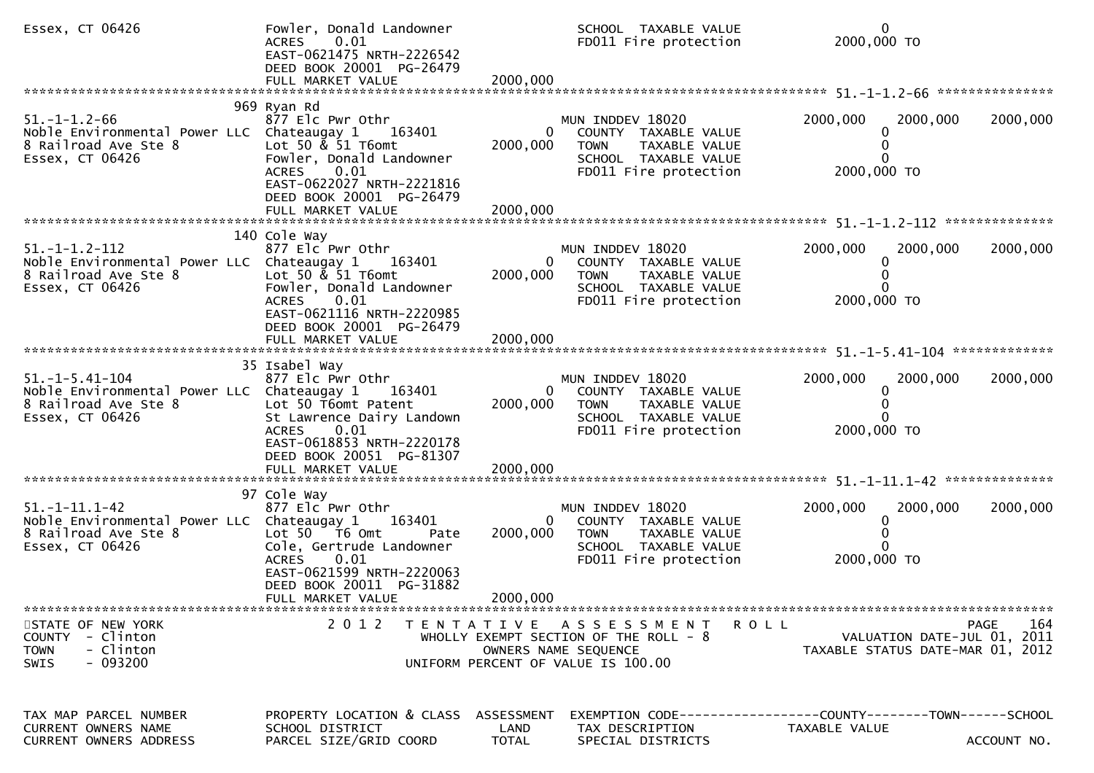| Essex, CT 06426                                                                                                 | Fowler, Donald Landowner<br>ACRES 0.01<br>EAST-0621475 NRTH-2226542<br>DEED BOOK 20001 PG-26479                                                                                  |                                    | SCHOOL TAXABLE VALUE<br>FD011 Fire protection                                                                                      | $\mathbf 0$<br>2000,000 TO                                                            |                    |
|-----------------------------------------------------------------------------------------------------------------|----------------------------------------------------------------------------------------------------------------------------------------------------------------------------------|------------------------------------|------------------------------------------------------------------------------------------------------------------------------------|---------------------------------------------------------------------------------------|--------------------|
|                                                                                                                 |                                                                                                                                                                                  |                                    |                                                                                                                                    |                                                                                       |                    |
| $51. - 1 - 1.2 - 66$<br>Noble Environmental Power LLC Chateaugay 1<br>8 Railroad Ave Ste 8<br>Essex, CT 06426   | 969 Ryan Rd<br>877 Elc Pwr Othr<br>163401<br>Lot 50 $\&$ 51 T6omt<br>Fowler, Donald Landowner<br>0.01<br><b>ACRES</b><br>EAST-0622027 NRTH-2221816                               | 2000,000                           | MUN INDDEV 18020<br>COUNTY TAXABLE VALUE<br><b>TOWN</b><br>TAXABLE VALUE<br>SCHOOL TAXABLE VALUE<br>FD011 Fire protection          | 2000,000<br>2000,000<br>0<br>$\Omega$<br>0<br>2000,000 TO                             | 2000,000           |
|                                                                                                                 | DEED BOOK 20001 PG-26479                                                                                                                                                         |                                    |                                                                                                                                    |                                                                                       |                    |
| $51. -1 - 1.2 - 112$<br>Noble Environmental Power LLC Chateaugay 1<br>8 Railroad Ave Ste 8<br>Essex, CT 06426   | 140 Cole Way<br>877 Elc Pwr Othr<br>163401<br>Lot 50 & 51 T6omt<br>Fowler, Donald Landowner<br>0.01<br><b>ACRES</b><br>EAST-0621116 NRTH-2220985                                 | 2000,000                           | MUN INDDEV 18020<br>0<br>COUNTY TAXABLE VALUE<br><b>TOWN</b><br>TAXABLE VALUE<br>SCHOOL TAXABLE VALUE<br>FD011 Fire protection     | 2000,000<br>2000,000<br>0<br>0<br>2000,000 TO                                         | 2000,000           |
|                                                                                                                 | DEED BOOK 20001 PG-26479                                                                                                                                                         |                                    |                                                                                                                                    |                                                                                       |                    |
| $51. - 1 - 5.41 - 104$<br>Noble Environmental Power LLC Chateaugay 1<br>8 Railroad Ave Ste 8<br>Essex, CT 06426 | 35 Isabel Way<br>877 Elc Pwr Othr<br>163401<br>Lot 50 T6omt Patent<br>St Lawrence Dairy Landown<br><b>ACRES</b><br>0.01<br>EAST-0618853 NRTH-2220178<br>DEED BOOK 20051 PG-81307 | 2000,000                           | MUN INDDEV 18020<br>COUNTY TAXABLE VALUE<br>0<br>TAXABLE VALUE<br><b>TOWN</b><br>SCHOOL TAXABLE VALUE<br>FD011 Fire protection     | 2000,000<br>2000,000<br>0<br>0<br>2000,000 TO                                         | 2000,000           |
|                                                                                                                 |                                                                                                                                                                                  |                                    |                                                                                                                                    |                                                                                       |                    |
| $51. - 1 - 11.1 - 42$<br>Noble Environmental Power LLC Chateaugay 1<br>8 Railroad Ave Ste 8<br>Essex, CT 06426  | 97 Cole Way<br>877 Elc Pwr Othr<br>163401<br>Lot 50 T6 Omt<br>Pate<br>Cole, Gertrude Landowner<br>0.01<br><b>ACRES</b><br>EAST-0621599 NRTH-2220063<br>DEED BOOK 20011 PG-31882  | 2000,000                           | MUN INDDEV 18020<br>COUNTY TAXABLE VALUE<br><b>TOWN</b><br>TAXABLE VALUE<br>SCHOOL TAXABLE VALUE<br>FD011 Fire protection          | 2000,000<br>2000,000<br>0<br>2000,000 TO                                              | 2000,000           |
|                                                                                                                 | FULL MARKET VALUE                                                                                                                                                                | 2000,000                           |                                                                                                                                    |                                                                                       |                    |
| STATE OF NEW YORK<br>- Clinton<br><b>COUNTY</b><br>- Clinton<br><b>TOWN</b><br>$-093200$<br><b>SWIS</b>         |                                                                                                                                                                                  |                                    | 2012 TENTATIVE ASSESSMENT<br>WHOLLY EXEMPT SECTION OF THE ROLL - $8$<br>OWNERS NAME SEQUENCE<br>UNIFORM PERCENT OF VALUE IS 100.00 | R O L L<br>VALUATION DATE-JUL 01, 2011<br>TAXABLE STATUS DATE-MAR 01, 2012            | 164<br><b>PAGE</b> |
| TAX MAP PARCEL NUMBER<br>CURRENT OWNERS NAME<br>CURRENT OWNERS ADDRESS                                          | PROPERTY LOCATION & CLASS<br>SCHOOL DISTRICT<br>PARCEL SIZE/GRID COORD                                                                                                           | ASSESSMENT<br>LAND<br><b>TOTAL</b> | TAX DESCRIPTION<br>SPECIAL DISTRICTS                                                                                               | EXEMPTION        CODE------------------COUNTY-------TOWN------SCHOOL<br>TAXABLE VALUE | ACCOUNT NO.        |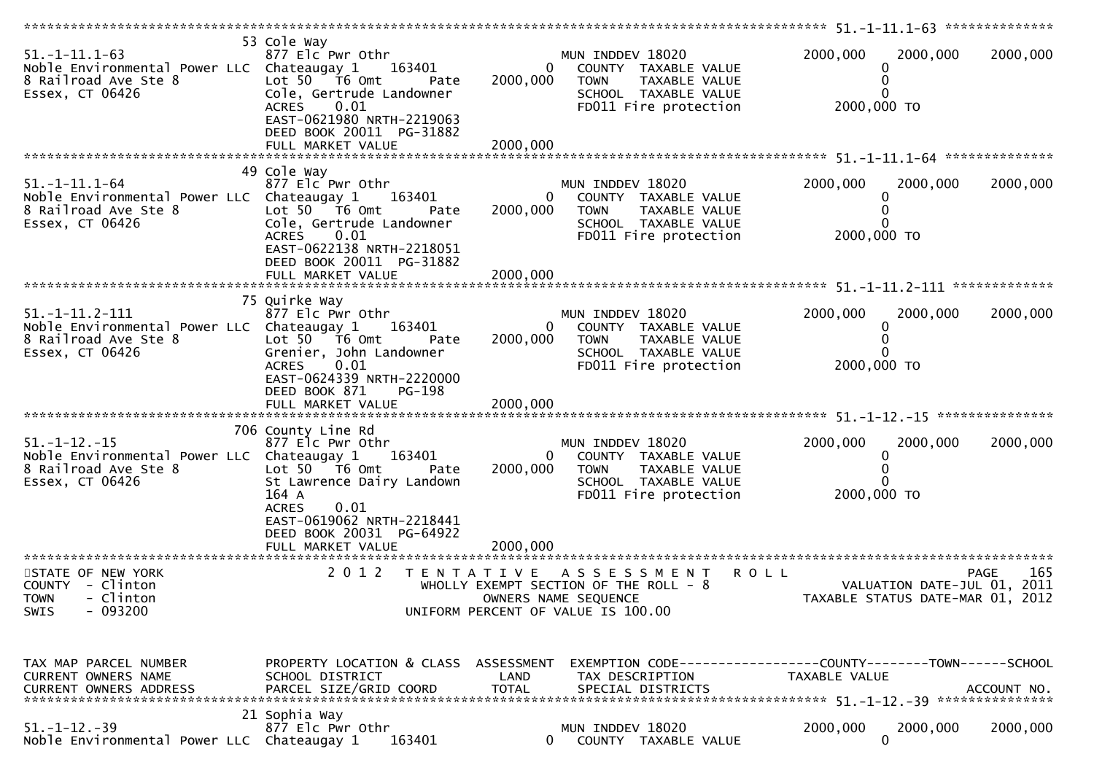| $51. - 1 - 11.1 - 63$<br>Noble Environmental Power LLC Chateaugay 1<br>8 Railroad Ave Ste 8<br>Essex, CT 06426 | 53 Cole Way<br>877 Elc Pwr Othr<br>163401<br>Lot $50$ $\overline{76}$ Omt<br>Pate<br>Cole, Gertrude Landowner<br>0.01<br><b>ACRES</b><br>EAST-0621980 NRTH-2219063<br>DEED BOOK 20011 PG-31882<br>FULL MARKET VALUE | $\overline{0}$<br>2000,000<br>2000,000 | MUN INDDEV 18020<br>COUNTY TAXABLE VALUE<br><b>TOWN</b><br>TAXABLE VALUE<br>SCHOOL TAXABLE VALUE<br>FD011 Fire protection   | 2000,000<br>2000,000<br>0<br>0<br>2000,000 TO                                  | 2000,000           |
|----------------------------------------------------------------------------------------------------------------|---------------------------------------------------------------------------------------------------------------------------------------------------------------------------------------------------------------------|----------------------------------------|-----------------------------------------------------------------------------------------------------------------------------|--------------------------------------------------------------------------------|--------------------|
|                                                                                                                | 49 Cole Way                                                                                                                                                                                                         |                                        |                                                                                                                             |                                                                                |                    |
| $51. -1 - 11.1 - 64$<br>Noble Environmental Power LLC Chateaugay 1<br>8 Railroad Ave Ste 8<br>Essex, CT 06426  | 877 Elc Pwr Othr<br>163401<br>Lot 50 T6 Omt<br>Pate<br>Cole, Gertrude Landowner<br>ACRES<br>0.01<br>EAST-0622138 NRTH-2218051<br>DEED BOOK 20011 PG-31882                                                           | $\bf{0}$<br>2000,000                   | MUN INDDEV 18020<br>COUNTY TAXABLE VALUE<br><b>TOWN</b><br>TAXABLE VALUE<br>SCHOOL TAXABLE VALUE<br>FD011 Fire protection   | 2000,000<br>2000,000<br>0<br>0<br>2000,000 TO                                  | 2000,000           |
|                                                                                                                |                                                                                                                                                                                                                     |                                        |                                                                                                                             |                                                                                |                    |
| $51. -1 - 11.2 - 111$<br>Noble Environmental Power LLC Chateaugay 1<br>8 Railroad Ave Ste 8<br>Essex, CT 06426 | 75 Quirke Way<br>877 Elc Pwr Othr<br>163401<br>Lot $50 - 76$ Omt<br>Pate<br>Grenier, John Landowner<br><b>ACRES</b><br>0.01<br>EAST-0624339 NRTH-2220000<br>DEED BOOK 871<br>PG-198                                 | $\overline{0}$<br>2000,000             | MUN INDDEV 18020<br>COUNTY TAXABLE VALUE<br><b>TOWN</b><br>TAXABLE VALUE<br>SCHOOL TAXABLE VALUE<br>FD011 Fire protection   | 2000,000<br>2000,000<br>0<br>0<br>2000,000 TO                                  | 2000,000           |
|                                                                                                                | 706 County Line Rd                                                                                                                                                                                                  |                                        |                                                                                                                             |                                                                                |                    |
| $51. - 1 - 12. - 15$<br>Noble Environmental Power LLC Chateaugay 1<br>8 Railroad Ave Ste 8<br>Essex, CT 06426  | 877 Elc Pwr Othr<br>163401<br>Lot $50$ $\overline{16}$ Omt<br>Pate<br>St Lawrence Dairy Landown<br>164 A<br>0.01<br><b>ACRES</b><br>EAST-0619062 NRTH-2218441<br>DEED BOOK 20031 PG-64922                           | $\overline{0}$<br>2000,000             | MUN INDDEV 18020<br>COUNTY TAXABLE VALUE<br><b>TOWN</b><br>TAXABLE VALUE<br>SCHOOL TAXABLE VALUE<br>FD011 Fire protection   | 2000,000<br>2000,000<br>0<br>0<br>2000,000 TO                                  | 2000,000           |
|                                                                                                                |                                                                                                                                                                                                                     |                                        |                                                                                                                             |                                                                                |                    |
| STATE OF NEW YORK<br>COUNTY - Clinton<br>- Clinton<br><b>TOWN</b><br>SWIS<br>- 093200                          | 2 0 1 2                                                                                                                                                                                                             |                                        | TENTATIVE ASSESSMENT<br>WHOLLY EXEMPT SECTION OF THE ROLL - 8<br>OWNERS NAME SEQUENCE<br>UNIFORM PERCENT OF VALUE IS 100.00 | <b>ROLL</b><br>VALUATION DATE-JUL 01, 2011<br>TAXABLE STATUS DATE-MAR 01, 2012 | 165<br><b>PAGE</b> |
| TAX MAP PARCEL NUMBER<br>CURRENT OWNERS NAME<br>CURRENT OWNERS ADDRESS                                         | PROPERTY LOCATION & CLASS ASSESSMENT<br>SCHOOL DISTRICT<br>PARCEL SIZE/GRID COORD                                                                                                                                   | LAND<br><b>TOTAL</b>                   | TAX DESCRIPTION<br>SPECIAL DISTRICTS                                                                                        | EXEMPTION CODE-----------------COUNTY-------TOWN------SCHOOL<br>TAXABLE VALUE  | ACCOUNT NO.        |
| $51. - 1 - 12. - 39$<br>Noble Environmental Power LLC Chateaugay 1                                             | 21 Sophia Way<br>877 Elc Pwr Othr<br>163401                                                                                                                                                                         |                                        | MUN INDDEV 18020<br>COUNTY TAXABLE VALUE                                                                                    | 2000,000<br>2000,000<br>$\mathbf{0}$                                           | 2000,000           |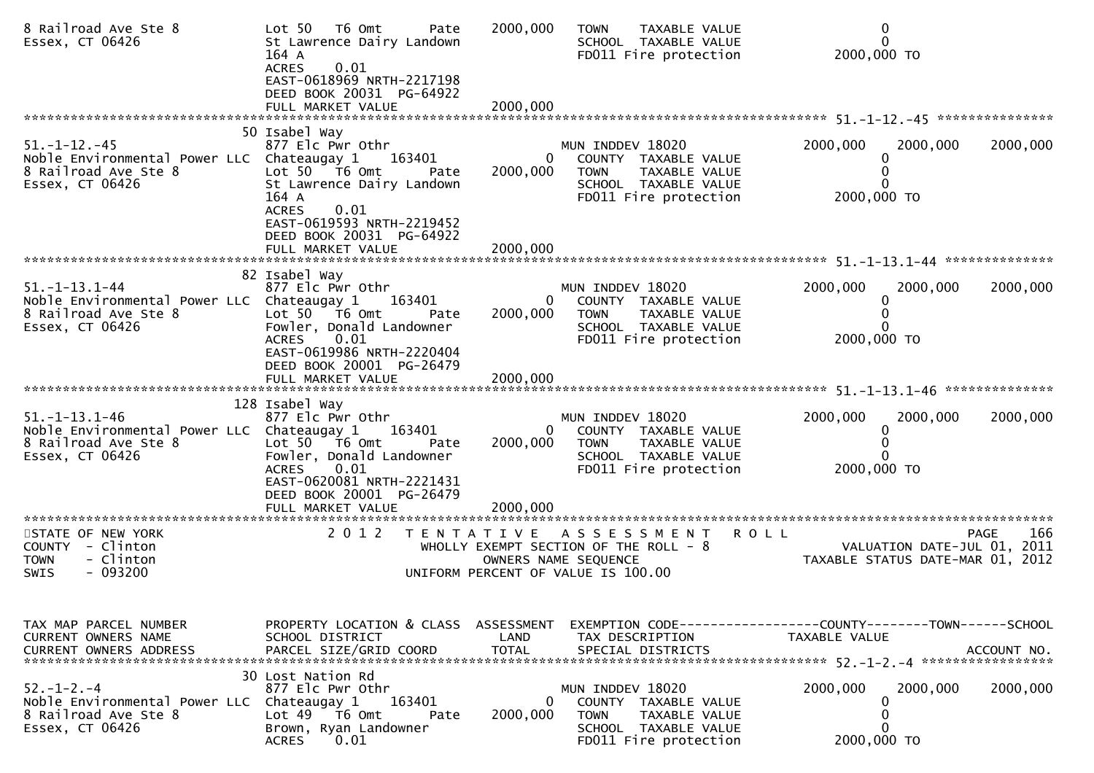| 8 Railroad Ave Ste 8<br>Essex, CT 06426                                                                        | T6 Omt<br>Lot 50<br>Pate<br>St Lawrence Dairy Landown<br>164 A<br>0.01<br><b>ACRES</b><br>EAST-0618969 NRTH-2217198<br>DEED BOOK 20031 PG-64922                                             | 2000,000                 | TAXABLE VALUE<br><b>TOWN</b><br>SCHOOL TAXABLE VALUE<br>FD011 Fire protection                                              | $\mathbf 0$<br>$\Omega$<br>2000,000 TO                                                               |
|----------------------------------------------------------------------------------------------------------------|---------------------------------------------------------------------------------------------------------------------------------------------------------------------------------------------|--------------------------|----------------------------------------------------------------------------------------------------------------------------|------------------------------------------------------------------------------------------------------|
|                                                                                                                |                                                                                                                                                                                             |                          |                                                                                                                            |                                                                                                      |
| $51. - 1 - 12. - 45$<br>Noble Environmental Power LLC Chateaugay 1<br>8 Railroad Ave Ste 8<br>Essex, CT 06426  | 50 Isabel Way<br>877 Elc Pwr Othr<br>163401<br>Lot 50 T6 Omt<br>Pate<br>St Lawrence Dairy Landown<br>164 A<br>0.01<br><b>ACRES</b><br>EAST-0619593 NRTH-2219452<br>DEED BOOK 20031 PG-64922 | 0<br>2000,000            | MUN INDDEV 18020<br>COUNTY TAXABLE VALUE<br><b>TOWN</b><br>TAXABLE VALUE<br>SCHOOL TAXABLE VALUE<br>FD011 Fire protection  | 2000,000<br>2000,000<br>2000,000<br>2000,000 TO                                                      |
|                                                                                                                |                                                                                                                                                                                             |                          |                                                                                                                            |                                                                                                      |
| $51. - 1 - 13.1 - 44$<br>Noble Environmental Power LLC Chateaugay 1<br>8 Railroad Ave Ste 8<br>Essex, CT 06426 | 82 Isabel Way<br>877 Elc Pwr Othr<br>163401<br>Lot 50 76 0<br>Pate<br>Fowler, Donald Landowner<br>0.01<br><b>ACRES</b><br>EAST-0619986 NRTH-2220404                                         | $\mathbf{0}$<br>2000,000 | MUN INDDEV 18020<br>COUNTY TAXABLE VALUE<br>TAXABLE VALUE<br><b>TOWN</b><br>SCHOOL TAXABLE VALUE<br>FD011 Fire protection  | 2000,000<br>2000,000<br>2000,000<br>$\Omega$<br>0<br>2000,000 TO                                     |
|                                                                                                                | DEED BOOK 20001 PG-26479                                                                                                                                                                    |                          |                                                                                                                            |                                                                                                      |
| $51. - 1 - 13.1 - 46$<br>Noble Environmental Power LLC Chateaugay 1<br>8 Railroad Ave Ste 8<br>Essex, CT 06426 | 128 Isabel Way<br>877 Elc Pwr Othr<br>163401<br>Lot 50 T6 Omt<br>Pate<br>Fowler, Donald Landowner<br>0.01<br><b>ACRES</b><br>EAST-0620081 NRTH-2221431<br>DEED BOOK 20001 PG-26479          | 2000,000                 | MUN INDDEV 18020<br>COUNTY TAXABLE VALUE<br><b>TOWN</b><br>TAXABLE VALUE<br>SCHOOL TAXABLE VALUE<br>FD011 Fire protection  | 2000,000<br>2000,000<br>2000,000<br>$\Omega$<br>2000,000 TO                                          |
| ********************                                                                                           | FULL MARKET VALUE<br>*********************                                                                                                                                                  | 2000,000                 |                                                                                                                            |                                                                                                      |
| STATE OF NEW YORK<br>COUNTY - Clinton<br>- Clinton<br><b>TOWN</b><br>$-093200$<br>SWIS                         | 2 0 1 2<br>T E N T A T I V E                                                                                                                                                                |                          | A S S E S S M E N T<br>WHOLLY EXEMPT SECTION OF THE ROLL - 8<br>OWNERS NAME SEQUENCE<br>UNIFORM PERCENT OF VALUE IS 100.00 | 166<br><b>ROLL</b><br><b>PAGE</b><br>VALUATION DATE-JUL 01, 2011<br>TAXABLE STATUS DATE-MAR 01, 2012 |
| TAX MAP PARCEL NUMBER<br>CURRENT OWNERS NAME<br><b>CURRENT OWNERS ADDRESS</b>                                  | PROPERTY LOCATION & CLASS ASSESSMENT<br>SCHOOL DISTRICT<br>PARCEL SIZE/GRID COORD                                                                                                           | LAND<br><b>TOTAL</b>     | TAX DESCRIPTION<br>SPECIAL DISTRICTS                                                                                       | EXEMPTION CODE------------------COUNTY--------TOWN------SCHOOL<br>TAXABLE VALUE<br>ACCOUNT NO.       |
| $52. - 1 - 2. - 4$<br>Noble Environmental Power LLC<br>8 Railroad Ave Ste 8<br>Essex, CT 06426                 | 30 Lost Nation Rd<br>877 Elc Pwr Othr<br>163401<br>Chateaugay 1<br>Lot 49  T6 Omt<br>Pate<br>Brown, Ryan Landowner<br>0.01<br><b>ACRES</b>                                                  | 0<br>2000,000            | MUN INDDEV 18020<br>COUNTY TAXABLE VALUE<br><b>TOWN</b><br>TAXABLE VALUE<br>SCHOOL TAXABLE VALUE<br>FD011 Fire protection  | 2000,000<br>2000,000<br>2000,000<br>0<br>0<br>0<br>2000,000 TO                                       |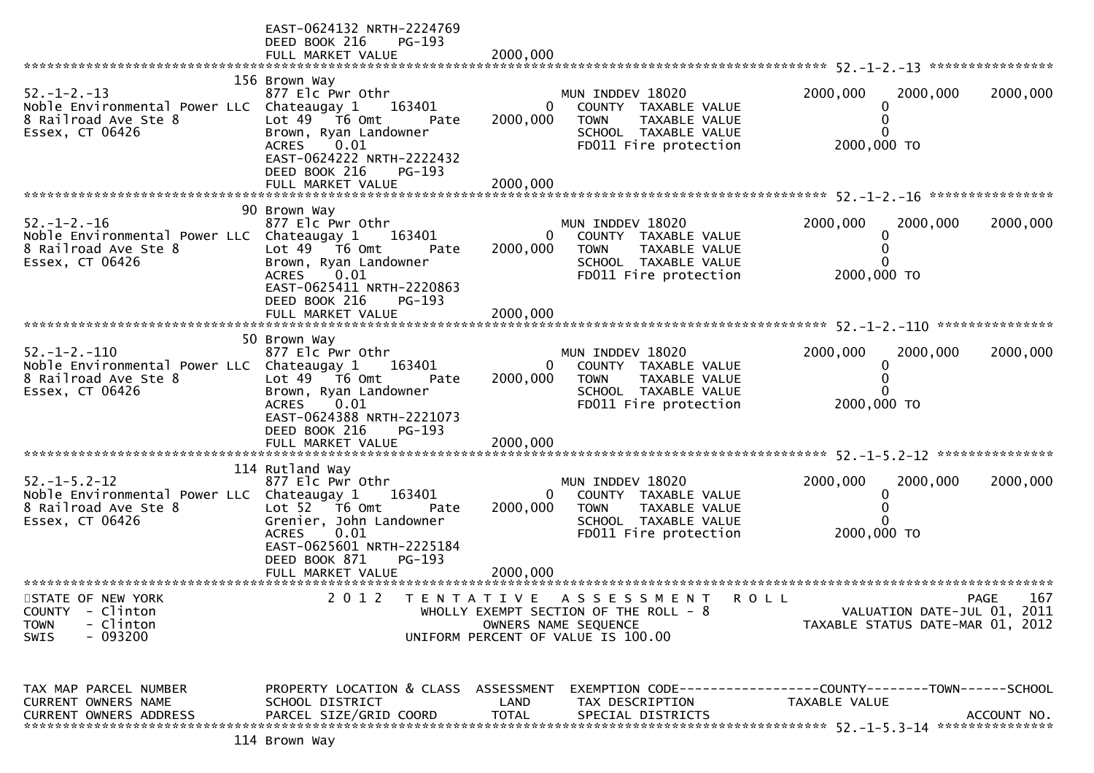|                                                                                                                      | EAST-0624132 NRTH-2224769<br>DEED BOOK 216<br>PG-193<br>FULL MARKET VALUE                                                                                 | 2000,000                 |                                                                                                                                            |                                                                                      |             |
|----------------------------------------------------------------------------------------------------------------------|-----------------------------------------------------------------------------------------------------------------------------------------------------------|--------------------------|--------------------------------------------------------------------------------------------------------------------------------------------|--------------------------------------------------------------------------------------|-------------|
|                                                                                                                      |                                                                                                                                                           |                          |                                                                                                                                            |                                                                                      |             |
| $52. - 1 - 2. - 13$<br>Noble Environmental Power LLC Chateaugay 1<br>8 Railroad Ave Ste 8<br>Essex, CT 06426         | 156 Brown Way<br>877 Elc Pwr Othr<br>163401<br>Lot 49 T6 Omt<br>Pate<br>Brown, Ryan Landowner<br>0.01<br><b>ACRES</b><br>EAST-0624222 NRTH-2222432        | $\mathbf{0}$<br>2000,000 | MUN INDDEV 18020<br>COUNTY TAXABLE VALUE<br>TAXABLE VALUE<br><b>TOWN</b><br>SCHOOL TAXABLE VALUE<br>FD011 Fire protection                  | 2000,000<br>2000,000<br>2000,000 TO                                                  | 2000,000    |
|                                                                                                                      | DEED BOOK 216<br>$PG-193$                                                                                                                                 |                          |                                                                                                                                            |                                                                                      |             |
| $52. - 1 - 2. - 16$<br>Noble Environmental Power LLC Chateaugay 1<br>8 Railroad Ave Ste 8<br>Essex, CT 06426         | 90 Brown Way<br>877 Elc Pwr Othr<br>163401<br>Lot 49  T6 0mt<br>Pate<br>Brown, Ryan Landowner<br>ACRES 0.01                                               | 2000,000                 | MUN INDDEV 18020<br>0<br>COUNTY TAXABLE VALUE<br><b>TOWN</b><br>TAXABLE VALUE<br>SCHOOL TAXABLE VALUE<br>FD011 Fire protection             | 2000,000<br>2000,000<br>2000,000 TO                                                  | 2000,000    |
|                                                                                                                      | EAST-0625411 NRTH-2220863<br>DEED BOOK 216<br>PG-193<br>FULL MARKET VALUE                                                                                 | 2000,000                 |                                                                                                                                            |                                                                                      |             |
|                                                                                                                      |                                                                                                                                                           |                          |                                                                                                                                            |                                                                                      |             |
| $52. - 1 - 2. - 110$<br>Noble Environmental Power LLC Chateaugay 1<br>8 Railroad Ave Ste 8<br>Essex, CT 06426        | 50 Brown Way<br>877 Elc Pwr Othr<br>163401<br>Lot $49$ $\overline{76}$ Omt<br>Pate<br>Brown, Ryan Landowner<br>ACRES<br>0.01<br>EAST-0624388 NRTH-2221073 | $\Omega$<br>2000,000     | MUN INDDEV 18020<br>COUNTY TAXABLE VALUE<br><b>TOWN</b><br>TAXABLE VALUE<br>SCHOOL TAXABLE VALUE<br>FD011 Fire protection                  | 2000,000<br>2000,000<br>0<br>2000,000 TO                                             | 2000,000    |
|                                                                                                                      | DEED BOOK 216<br>$PG-193$<br>FULL MARKET VALUE                                                                                                            | 2000,000                 |                                                                                                                                            |                                                                                      |             |
|                                                                                                                      | 114 Rutland Way                                                                                                                                           |                          |                                                                                                                                            |                                                                                      |             |
| $52. - 1 - 5.2 - 12$<br>Noble Environmental Power LLC Chateaugay 1 163401<br>8 Railroad Ave Ste 8<br>Essex, CT 06426 | 877 Elc Pwr Othr<br>Lot 52 T6 Omt<br>Pate<br>Grenier, John Landowner<br>0.01<br><b>ACRES</b><br>EAST-0625601 NRTH-2225184<br>DEED BOOK 871<br>PG-193      | 2000,000                 | MUN INDDEV 18020<br>0<br>COUNTY TAXABLE VALUE<br><b>TOWN</b><br>TAXABLE VALUE<br>SCHOOL TAXABLE VALUE<br>FD011 Fire protection             | 2000,000<br>2000,000<br>2000,000 TO                                                  | 2000,000    |
|                                                                                                                      |                                                                                                                                                           | 2000,000                 |                                                                                                                                            |                                                                                      |             |
|                                                                                                                      | FULL MARKET VALUE                                                                                                                                         |                          |                                                                                                                                            |                                                                                      |             |
| STATE OF NEW YORK<br>- Clinton<br><b>COUNTY</b><br>- Clinton<br><b>TOWN</b><br>$-093200$<br><b>SWIS</b>              | 2 0 1 2                                                                                                                                                   |                          | TENTATIVE ASSESSMENT<br><b>ROLL</b><br>WHOLLY EXEMPT SECTION OF THE ROLL - 8<br>OWNERS NAME SEQUENCE<br>UNIFORM PERCENT OF VALUE IS 100.00 | VALUATION DATE-JUL 01, 2011<br>TAXABLE STATUS DATE-MAR 01, 2012                      | 167<br>PAGE |
|                                                                                                                      |                                                                                                                                                           |                          |                                                                                                                                            |                                                                                      |             |
| TAX MAP PARCEL NUMBER<br><b>CURRENT OWNERS NAME</b><br>CURRENT OWNERS ADDRESS                                        | PROPERTY LOCATION & CLASS ASSESSMENT<br>SCHOOL DISTRICT<br>PARCEL SIZE/GRID COORD                                                                         | LAND<br><b>TOTAL</b>     | TAX DESCRIPTION<br>SPECIAL DISTRICTS                                                                                                       | EXEMPTION        CODE-----------------COUNTY-------TOWN------SCHOOL<br>TAXABLE VALUE | ACCOUNT NO. |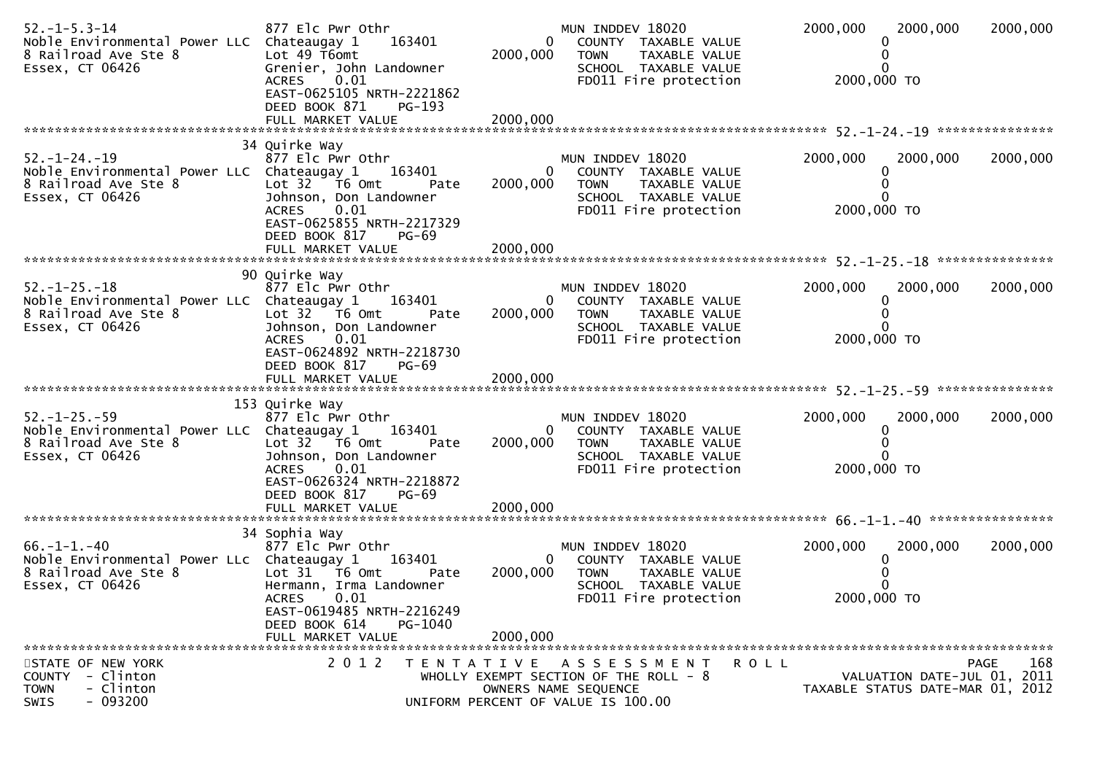| $52. - 1 - 5.3 - 14$<br>Noble Environmental Power LLC Chateaugay 1<br>8 Railroad Ave Ste 8<br>Essex, CT 06426 | 877 Elc Pwr Othr<br>163401<br>Lot 49 T6omt<br>Grenier, John Landowner<br>0.01<br><b>ACRES</b><br>EAST-0625105 NRTH-2221862<br>DEED BOOK 871<br>$PG-193$<br>FULL MARKET VALUE                            | $\Omega$<br>2000,000<br>2000,000     | MUN INDDEV 18020<br>COUNTY TAXABLE VALUE<br><b>TOWN</b><br>TAXABLE VALUE<br>SCHOOL TAXABLE VALUE<br>FD011 Fire protection                 | 2000,000<br>2000,000 TO | 2000,000                                                        | 2000,000    |
|---------------------------------------------------------------------------------------------------------------|---------------------------------------------------------------------------------------------------------------------------------------------------------------------------------------------------------|--------------------------------------|-------------------------------------------------------------------------------------------------------------------------------------------|-------------------------|-----------------------------------------------------------------|-------------|
|                                                                                                               |                                                                                                                                                                                                         |                                      |                                                                                                                                           |                         |                                                                 |             |
| $52. - 1 - 24. - 19$<br>Noble Environmental Power LLC Chateaugay 1<br>8 Railroad Ave Ste 8<br>Essex, CT 06426 | 34 Quirke Way<br>877 Elc Pwr Othr<br>163401<br>Pate<br>Johnson, Don Landowner<br><b>ACRES</b><br>0.01<br>EAST-0625855 NRTH-2217329<br>DEED BOOK 817<br>PG-69                                            | 0<br>2000,000                        | MUN INDDEV 18020<br>COUNTY TAXABLE VALUE<br>TAXABLE VALUE<br><b>TOWN</b><br>SCHOOL TAXABLE VALUE<br>FD011 Fire protection                 | 2000,000<br>2000,000 TO | 2000,000<br>0<br>$\Omega$                                       | 2000,000    |
|                                                                                                               |                                                                                                                                                                                                         |                                      |                                                                                                                                           |                         |                                                                 |             |
| $52. - 1 - 25. - 18$<br>Noble Environmental Power LLC Chateaugay 1<br>8 Railroad Ave Ste 8<br>Essex, CT 06426 | 90 Quirke Way<br>877 Elc Pwr Othr<br>163401<br>Pate<br>Johnson, Don Landowner<br>0.01<br><b>ACRES</b><br>EAST-0624892 NRTH-2218730<br>DEED BOOK 817<br>$PG-69$                                          | 0<br>2000,000                        | MUN INDDEV 18020<br>COUNTY TAXABLE VALUE<br><b>TOWN</b><br>TAXABLE VALUE<br>SCHOOL TAXABLE VALUE<br>FD011 Fire protection                 | 2000,000<br>2000,000 TO | 2000,000<br>0<br>$\Omega$                                       | 2000,000    |
|                                                                                                               |                                                                                                                                                                                                         |                                      |                                                                                                                                           |                         |                                                                 |             |
|                                                                                                               | 153 Quirke Way                                                                                                                                                                                          |                                      |                                                                                                                                           |                         |                                                                 |             |
| $52. - 1 - 25. - 59$<br>Noble Environmental Power LLC Chateaugay 1<br>8 Railroad Ave Ste 8<br>Essex, CT 06426 | 877 Elc Pwr Othr<br>163401<br>Lot 32 T6 Omt<br>Pate<br>Johnson, Don Landowner<br>0.01<br><b>ACRES</b><br>EAST-0626324 NRTH-2218872<br>DEED BOOK 817<br><b>PG-69</b>                                     | 0<br>2000,000                        | MUN INDDEV 18020<br>COUNTY TAXABLE VALUE<br><b>TOWN</b><br>TAXABLE VALUE<br>SCHOOL TAXABLE VALUE<br>FD011 Fire protection                 | 2000,000<br>2000,000 TO | 2000,000<br>0                                                   | 2000,000    |
|                                                                                                               |                                                                                                                                                                                                         |                                      |                                                                                                                                           |                         |                                                                 |             |
| $66. - 1 - 1. - 40$<br>Noble Environmental Power LLc Chateaugay 1<br>8 Railroad Ave Ste 8<br>Essex, CT 06426  | 34 Sophia Way<br>877 Elc Pwr Othr<br>163401<br>Lot $31$ T6 Omt<br>Pate<br>Hermann, Irma Landowner<br><b>ACRES</b><br>0.01<br>EAST-0619485 NRTH-2216249<br>DEED BOOK 614<br>PG-1040<br>FULL MARKET VALUE | $\mathbf{0}$<br>2000,000<br>2000,000 | MUN INDDEV 18020<br>COUNTY TAXABLE VALUE<br><b>TOWN</b><br>TAXABLE VALUE<br>SCHOOL TAXABLE VALUE<br>FD011 Fire protection                 | 2000,000<br>2000,000 TO | 2000,000<br>0<br>0                                              | 2000,000    |
| STATE OF NEW YORK<br>COUNTY - Clinton<br>- Clinton<br>TOWN<br>- 093200<br><b>SWIS</b>                         | 2012<br>T E N T A T I V E                                                                                                                                                                               |                                      | <b>ROLL</b><br>A S S E S S M E N T<br>WHOLLY EXEMPT SECTION OF THE ROLL - 8<br>OWNERS NAME SEQUENCE<br>UNIFORM PERCENT OF VALUE IS 100.00 |                         | VALUATION DATE-JUL 01, 2011<br>TAXABLE STATUS DATE-MAR 01, 2012 | 168<br>PAGE |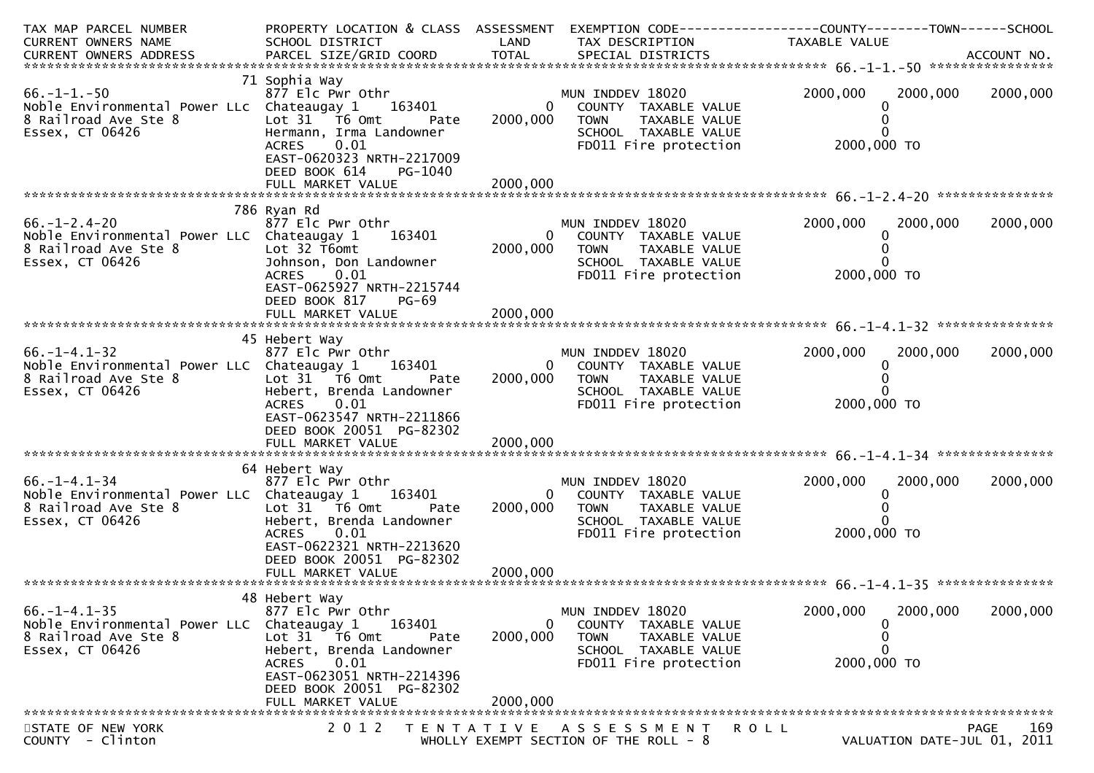| TAX MAP PARCEL NUMBER<br>CURRENT OWNERS NAME                                                                  | PROPERTY LOCATION & CLASS ASSESSMENT<br>SCHOOL DISTRICT                                                                                  | LAND                     | TAX DESCRIPTION                                                                                                                | EXEMPTION CODE-----------------COUNTY--------TOWN------SCHOOL<br>TAXABLE VALUE |             |
|---------------------------------------------------------------------------------------------------------------|------------------------------------------------------------------------------------------------------------------------------------------|--------------------------|--------------------------------------------------------------------------------------------------------------------------------|--------------------------------------------------------------------------------|-------------|
| CURRENT OWNERS ADDRESS                                                                                        |                                                                                                                                          |                          |                                                                                                                                |                                                                                |             |
| $66. -1 - 1. -50$                                                                                             | 71 Sophia Way<br>877 Elc Pwr Othr                                                                                                        |                          | MUN INDDEV 18020                                                                                                               | 2000,000<br>2000,000                                                           | 2000,000    |
| Noble Environmental Power LLc Chateaugay 1<br>8 Railroad Ave Ste 8<br>Essex, CT 06426                         | 163401<br>Lot 31 76 0mt<br>Pate<br>Hermann, Irma Landowner<br>0.01<br><b>ACRES</b><br>EAST-0620323 NRTH-2217009<br>DEED BOOK 614         | $\mathbf{0}$<br>2000,000 | COUNTY TAXABLE VALUE<br><b>TOWN</b><br>TAXABLE VALUE<br>SCHOOL TAXABLE VALUE<br>FD011 Fire protection                          | 2000,000 TO                                                                    |             |
|                                                                                                               | PG-1040                                                                                                                                  |                          |                                                                                                                                |                                                                                |             |
|                                                                                                               |                                                                                                                                          |                          |                                                                                                                                |                                                                                |             |
| $66. - 1 - 2.4 - 20$<br>Noble Environmental Power LLC Chateaugay 1<br>8 Railroad Ave Ste 8<br>Essex, CT 06426 | 786 Ryan Rd<br>877 Elc Pwr Othr<br>163401<br>Lot 32 T6omt<br>Johnson, Don Landowner<br>0.01<br>ACRES                                     | $\Omega$<br>2000,000     | MUN INDDEV 18020<br>COUNTY TAXABLE VALUE<br><b>TOWN</b><br>TAXABLE VALUE<br>SCHOOL TAXABLE VALUE<br>FD011 Fire protection      | 2000,000<br>2000,000<br>2000,000 TO                                            | 2000,000    |
|                                                                                                               | EAST-0625927 NRTH-2215744<br>DEED BOOK 817<br>PG-69<br>FULL MARKET VALUE                                                                 | 2000,000                 |                                                                                                                                |                                                                                |             |
|                                                                                                               |                                                                                                                                          |                          |                                                                                                                                |                                                                                |             |
| $66. - 1 - 4.1 - 32$<br>Noble Environmental Power LLC Chateaugay 1<br>8 Railroad Ave Ste 8<br>Essex, CT 06426 | 45 Hebert Way<br>877 Elc Pwr Othr<br>163401<br>Lot 31 76 0mt<br>Pate<br>Hebert, Brenda Landowner<br><b>ACRES</b><br>0.01                 | 2000,000                 | MUN INDDEV 18020<br>COUNTY TAXABLE VALUE<br>0<br><b>TOWN</b><br>TAXABLE VALUE<br>SCHOOL TAXABLE VALUE<br>FD011 Fire protection | 2000,000<br>2000,000<br>0<br>2000,000 TO                                       | 2000,000    |
|                                                                                                               | EAST-0623547 NRTH-2211866<br>DEED BOOK 20051 PG-82302<br>FULL MARKET VALUE                                                               | 2000,000                 |                                                                                                                                |                                                                                |             |
|                                                                                                               | 64 Hebert Way                                                                                                                            |                          |                                                                                                                                |                                                                                |             |
| $66. - 1 - 4.1 - 34$<br>Noble Environmental Power LLC Chateaugay 1<br>8 Railroad Ave Ste 8<br>Essex, CT 06426 | 877 Elc Pwr Othr<br>163401<br>Lot 31 76 0mt<br>Pate<br>Hebert, Brenda Landowner<br>ACRES 0.01<br>EAST-0622321 NRTH-2213620               | $\mathbf{0}$<br>2000,000 | MUN INDDEV 18020<br>COUNTY TAXABLE VALUE<br><b>TOWN</b><br>TAXABLE VALUE<br>SCHOOL TAXABLE VALUE<br>FD011 Fire protection      | 2000,000<br>2000,000<br>2000,000 TO                                            | 2000,000    |
|                                                                                                               | DEED BOOK 20051 PG-82302                                                                                                                 |                          |                                                                                                                                |                                                                                |             |
|                                                                                                               |                                                                                                                                          |                          |                                                                                                                                |                                                                                |             |
| $66. -1 - 4.1 - 35$<br>Noble Environmental Power LLC<br>8 Railroad Ave Ste 8<br>Essex, CT 06426               | 48 Hebert Way<br>877 Elc Pwr Othr<br>Chateaugay 1<br>163401<br>Lot 31 76 0mt<br>Pate<br>Hebert, Brenda Landowner<br>0.01<br><b>ACRES</b> | $\Omega$<br>2000,000     | MUN INDDEV 18020<br>COUNTY TAXABLE VALUE<br><b>TOWN</b><br>TAXABLE VALUE<br>SCHOOL TAXABLE VALUE<br>FD011 Fire protection      | 2000,000<br>2000,000<br>2000,000 TO                                            | 2000,000    |
|                                                                                                               | EAST-0623051 NRTH-2214396<br>DEED BOOK 20051 PG-82302<br>FULL MARKET VALUE                                                               | 2000,000                 |                                                                                                                                |                                                                                |             |
|                                                                                                               |                                                                                                                                          |                          |                                                                                                                                |                                                                                |             |
| STATE OF NEW YORK<br>COUNTY - Clinton                                                                         | 2 0 1 2                                                                                                                                  | T E N T A T I V E        | A S S E S S M E N T<br>WHOLLY EXEMPT SECTION OF THE ROLL - 8                                                                   | R O L L<br>VALUATION DATE-JUL 01, 2011                                         | PAGE<br>169 |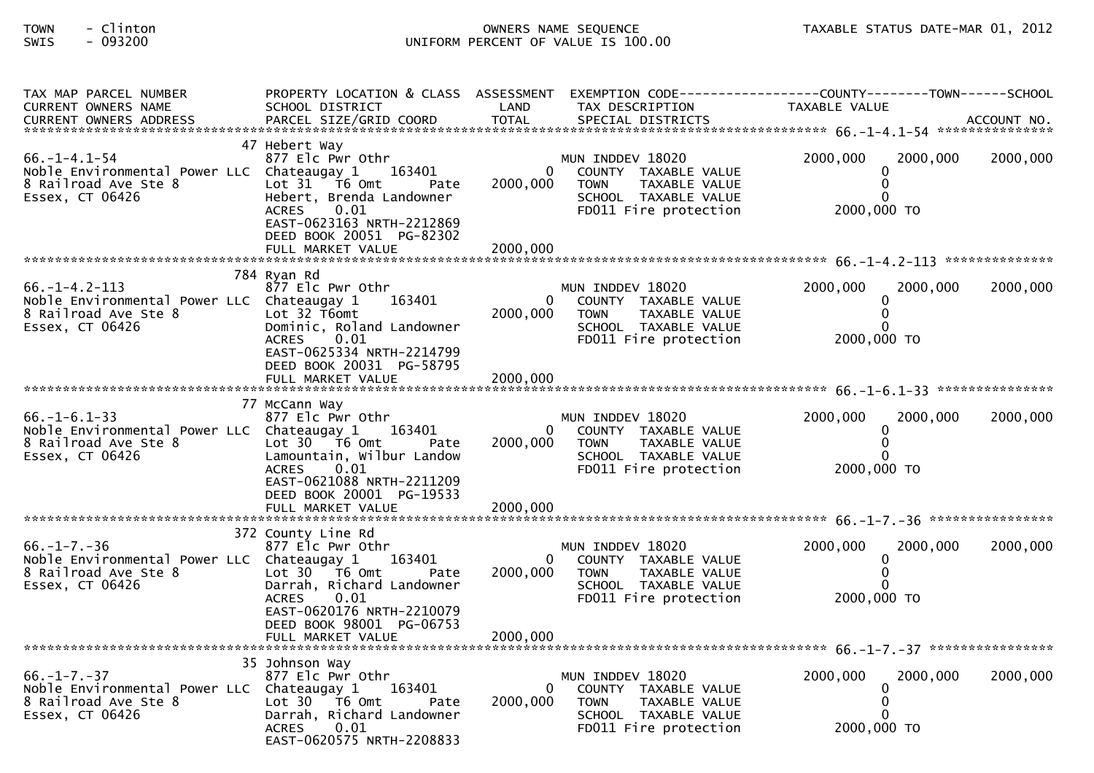# TOWN - Clinton OWNERS NAME SEQUENCE TAXABLE STATUS DATE-MAR 01, 2012SWIS - 093200 UNIFORM PERCENT OF VALUE IS 100.00

| SCHOOL DISTRICT                                                                                                                                                                         | LAND                                                                                                                                                                                                                                                                                                                                                                                                                                                                                    | TAX DESCRIPTION                                                                                                           | TAXABLE VALUE                                                                                         |                                                                                                  |
|-----------------------------------------------------------------------------------------------------------------------------------------------------------------------------------------|-----------------------------------------------------------------------------------------------------------------------------------------------------------------------------------------------------------------------------------------------------------------------------------------------------------------------------------------------------------------------------------------------------------------------------------------------------------------------------------------|---------------------------------------------------------------------------------------------------------------------------|-------------------------------------------------------------------------------------------------------|--------------------------------------------------------------------------------------------------|
|                                                                                                                                                                                         |                                                                                                                                                                                                                                                                                                                                                                                                                                                                                         |                                                                                                                           |                                                                                                       |                                                                                                  |
| 877 Elc Pwr Othr<br>163401<br>Lot $31$ T6 Omt<br>Pate<br>Hebert, Brenda Landowner<br>0.01<br><b>ACRES</b><br>EAST-0623163 NRTH-2212869<br>DEED BOOK 20051 PG-82302<br>FULL MARKET VALUE | 2000,000                                                                                                                                                                                                                                                                                                                                                                                                                                                                                | MUN INDDEV 18020<br>COUNTY TAXABLE VALUE<br>TAXABLE VALUE<br><b>TOWN</b><br>SCHOOL TAXABLE VALUE<br>FD011 Fire protection | 2000.000<br>2000,000<br>0<br>$\mathbf 0$<br>0<br>2000,000 TO                                          | 2000,000                                                                                         |
|                                                                                                                                                                                         |                                                                                                                                                                                                                                                                                                                                                                                                                                                                                         |                                                                                                                           |                                                                                                       |                                                                                                  |
| 877 Elc Pwr Othr<br>163401<br>Lot $32$ T6omt<br>Dominic, Roland Landowner<br>0.01<br><b>ACRES</b><br>EAST-0625334 NRTH-2214799                                                          | 2000,000                                                                                                                                                                                                                                                                                                                                                                                                                                                                                | MUN INDDEV 18020<br>COUNTY TAXABLE VALUE<br>TAXABLE VALUE<br><b>TOWN</b><br>SCHOOL TAXABLE VALUE<br>FD011 Fire protection | 2000,000<br>2000,000<br>0<br>$\mathbf{0}$<br>0<br>2000,000 TO                                         | 2000,000                                                                                         |
|                                                                                                                                                                                         |                                                                                                                                                                                                                                                                                                                                                                                                                                                                                         |                                                                                                                           |                                                                                                       |                                                                                                  |
|                                                                                                                                                                                         |                                                                                                                                                                                                                                                                                                                                                                                                                                                                                         |                                                                                                                           |                                                                                                       |                                                                                                  |
| 877 Elc Pwr Othr<br>163401<br>Lot $30 - 76$ Omt<br>Pate<br>Lamountain, Wilbur Landow<br>0.01<br><b>ACRES</b>                                                                            |                                                                                                                                                                                                                                                                                                                                                                                                                                                                                         | MUN INDDEV 18020<br>COUNTY TAXABLE VALUE<br><b>TOWN</b><br>TAXABLE VALUE<br>SCHOOL TAXABLE VALUE<br>FD011 Fire protection | 2000,000<br>2000,000<br>0<br>0<br>0<br>2000,000 TO                                                    | 2000,000                                                                                         |
| DEED BOOK 20001 PG-19533                                                                                                                                                                |                                                                                                                                                                                                                                                                                                                                                                                                                                                                                         |                                                                                                                           |                                                                                                       |                                                                                                  |
|                                                                                                                                                                                         |                                                                                                                                                                                                                                                                                                                                                                                                                                                                                         |                                                                                                                           |                                                                                                       |                                                                                                  |
| 877 Elc Pwr Othr<br>163401<br>Lot $30$ $\overline{76}$ Omt<br>Pate<br>Darrah, Richard Landowner<br>0.01<br><b>ACRES</b><br>EAST-0620176 NRTH-2210079                                    |                                                                                                                                                                                                                                                                                                                                                                                                                                                                                         | MUN INDDEV 18020<br>COUNTY TAXABLE VALUE<br>TAXABLE VALUE<br><b>TOWN</b><br>SCHOOL TAXABLE VALUE<br>FD011 Fire protection | 2000,000<br>2000,000<br>0<br>$\mathbf{0}$<br>$\Omega$<br>2000,000 TO                                  | 2000,000                                                                                         |
|                                                                                                                                                                                         |                                                                                                                                                                                                                                                                                                                                                                                                                                                                                         |                                                                                                                           |                                                                                                       |                                                                                                  |
|                                                                                                                                                                                         |                                                                                                                                                                                                                                                                                                                                                                                                                                                                                         |                                                                                                                           |                                                                                                       |                                                                                                  |
| 877 Elc Pwr Othr<br>163401<br>Lot 30 76 0<br>Pate<br>Darrah, Richard Landowner<br>0.01<br><b>ACRES</b>                                                                                  | 2000,000                                                                                                                                                                                                                                                                                                                                                                                                                                                                                | MUN INDDEV 18020<br>COUNTY TAXABLE VALUE<br><b>TOWN</b><br>TAXABLE VALUE<br>SCHOOL TAXABLE VALUE<br>FD011 Fire protection | 2000,000<br>2000,000<br>0<br>$\mathbf{0}$<br>2000,000 TO                                              | 2000,000                                                                                         |
|                                                                                                                                                                                         | 47 Hebert Way<br>Noble Environmental Power LLC Chateaugay 1<br>784 Ryan Rd<br>Noble Environmental Power LLC Chateaugay 1<br>DEED BOOK 20031 PG-58795<br>77 McCann Way<br>Noble Environmental Power LLC Chateaugay 1<br>EAST-0621088 NRTH-2211209<br>FULL MARKET VALUE<br>372 County Line Rd<br>Noble Environmental Power LLC Chateaugay 1<br>DEED BOOK 98001 PG-06753<br>FULL MARKET VALUE<br>35 Johnson Way<br>Noble Environmental Power LLC Chateaugay 1<br>EAST-0620575 NRTH-2208833 | 2000,000                                                                                                                  | $\Omega$<br>2000,000<br>$\Omega$<br>$\mathbf{0}$<br>2000,000<br>2000,000<br>$\Omega$<br>2000,000<br>0 | PROPERTY LOCATION & CLASS ASSESSMENT EXEMPTION CODE----------------COUNTY-------TOWN------SCHOOL |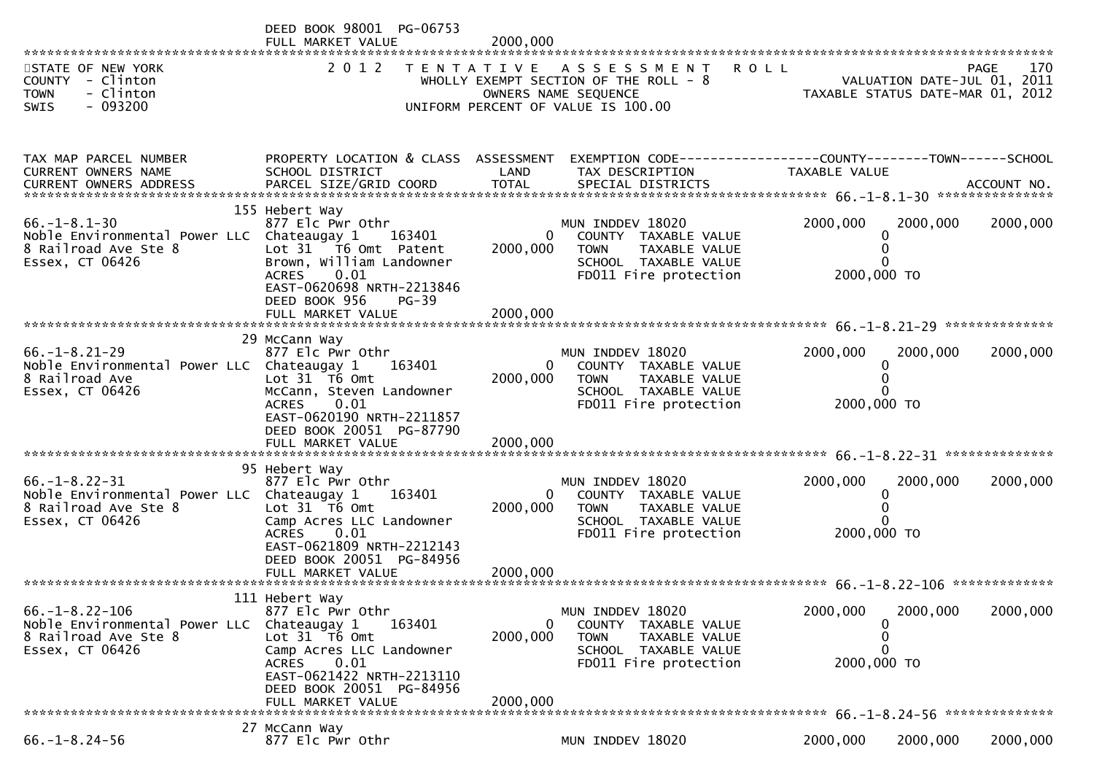|                                                                                                                | DEED BOOK 98001 PG-06753<br>FULL MARKET VALUE                                                                                                         | 2000,000                 |                                                                                                                               |                                                 |                             |                    |
|----------------------------------------------------------------------------------------------------------------|-------------------------------------------------------------------------------------------------------------------------------------------------------|--------------------------|-------------------------------------------------------------------------------------------------------------------------------|-------------------------------------------------|-----------------------------|--------------------|
| STATE OF NEW YORK<br>COUNTY - Clinton<br><b>TOWN</b><br>- Clinton<br>$-093200$<br><b>SWIS</b>                  | 2 0 1 2                                                                                                                                               |                          | TENTATIVE ASSESSMENT<br>WHOLLY EXEMPT SECTION OF THE ROLL - $8$<br>OWNERS NAME SEQUENCE<br>UNIFORM PERCENT OF VALUE IS 100.00 | <b>ROLL</b><br>TAXABLE STATUS DATE-MAR 01, 2012 | VALUATION DATE-JUL 01, 2011 | 170<br><b>PAGE</b> |
|                                                                                                                |                                                                                                                                                       |                          |                                                                                                                               |                                                 |                             |                    |
| TAX MAP PARCEL NUMBER<br>CURRENT OWNERS NAME                                                                   | PROPERTY LOCATION & CLASS ASSESSMENT<br>SCHOOL DISTRICT                                                                                               | LAND                     | EXEMPTION CODE------------------COUNTY--------TOWN------SCHOOL<br>TAX DESCRIPTION                                             | TAXABLE VALUE                                   |                             |                    |
| $66. - 1 - 8.1 - 30$<br>Noble Environmental Power LLC Chateaugay 1<br>8 Railroad Ave Ste 8<br>Essex, CT 06426  | 155 Hebert Way<br>877 Elc Pwr Othr<br>163401<br>Lot 31 T6 Omt Patent<br>Brown, William Landowner<br>0.01<br><b>ACRES</b><br>EAST-0620698 NRTH-2213846 | $\mathbf{0}$<br>2000,000 | MUN INDDEV 18020<br>COUNTY TAXABLE VALUE<br>TAXABLE VALUE<br><b>TOWN</b><br>SCHOOL TAXABLE VALUE<br>FD011 Fire protection     | 2000,000<br>0<br>0<br>2000,000 TO               | 2000,000                    | 2000,000           |
|                                                                                                                | DEED BOOK 956<br>$PG-39$<br>FULL MARKET VALUE                                                                                                         | 2000,000                 |                                                                                                                               |                                                 |                             |                    |
|                                                                                                                | 29 McCann Way                                                                                                                                         |                          |                                                                                                                               |                                                 |                             |                    |
| $66. - 1 - 8.21 - 29$<br>Noble Environmental Power LLC Chateaugay 1<br>8 Railroad Ave<br>Essex, CT 06426       | 877 Elc Pwr Othr<br>163401<br>Lot $31$ T6 Omt<br>McCann, Steven Landowner<br>0.01<br><b>ACRES</b>                                                     | $\Omega$<br>2000,000     | MUN INDDEV 18020<br>COUNTY TAXABLE VALUE<br><b>TOWN</b><br>TAXABLE VALUE<br>SCHOOL TAXABLE VALUE<br>FD011 Fire protection     | 2000,000<br>0<br>0<br>2000,000 TO               | 2000,000                    | 2000,000           |
|                                                                                                                | EAST-0620190 NRTH-2211857<br>DEED BOOK 20051 PG-87790<br>FULL MARKET VALUE                                                                            | 2000,000                 |                                                                                                                               |                                                 |                             |                    |
|                                                                                                                | 95 Hebert Way                                                                                                                                         |                          |                                                                                                                               |                                                 |                             |                    |
| $66. - 1 - 8.22 - 31$<br>Noble Environmental Power LLC Chateaugay 1<br>8 Railroad Ave Ste 8<br>Essex, CT 06426 | 877 Elc Pwr Othr<br>163401<br>Lot $31$ T6 Omt<br>Camp Acres LLC Landowner                                                                             | $\mathbf{0}$<br>2000,000 | MUN INDDEV 18020<br>COUNTY TAXABLE VALUE<br><b>TOWN</b><br>TAXABLE VALUE<br>SCHOOL TAXABLE VALUE                              | 2000,000<br>0<br>0                              | 2000,000                    | 2000,000           |
|                                                                                                                | 0.01<br><b>ACRES</b><br>EAST-0621809 NRTH-2212143<br>DEED BOOK 20051 PG-84956                                                                         |                          | FD011 Fire protection                                                                                                         | 2000,000 TO                                     |                             |                    |
|                                                                                                                |                                                                                                                                                       |                          |                                                                                                                               |                                                 |                             | *************      |
| $66. -1 - 8.22 - 106$<br>Noble Environmental Power LLC<br>8 Railroad Ave Ste 8<br>Essex, CT 06426              | 111 Hebert Way<br>877 Elc Pwr Othr<br>163401<br>Chateaugay 1<br>Lot 31 T6 Omt<br>Camp Acres LLC Landowner                                             | 0<br>2000,000            | MUN INDDEV 18020<br>COUNTY TAXABLE VALUE<br><b>TOWN</b><br>TAXABLE VALUE<br>SCHOOL TAXABLE VALUE                              | 2000,000<br>0<br>0<br>0                         | 2000,000                    | 2000,000           |
|                                                                                                                | 0.01<br><b>ACRES</b><br>EAST-0621422 NRTH-2213110<br>DEED BOOK 20051 PG-84956<br>FULL MARKET VALUE                                                    | 2000,000                 | FD011 Fire protection                                                                                                         | 2000,000 TO                                     |                             |                    |
|                                                                                                                | 27 McCann Way                                                                                                                                         |                          |                                                                                                                               |                                                 |                             |                    |
| $66. - 1 - 8.24 - 56$                                                                                          | 877 Elc Pwr Othr                                                                                                                                      |                          | MUN INDDEV 18020                                                                                                              | 2000,000                                        | 2000,000                    | 2000,000           |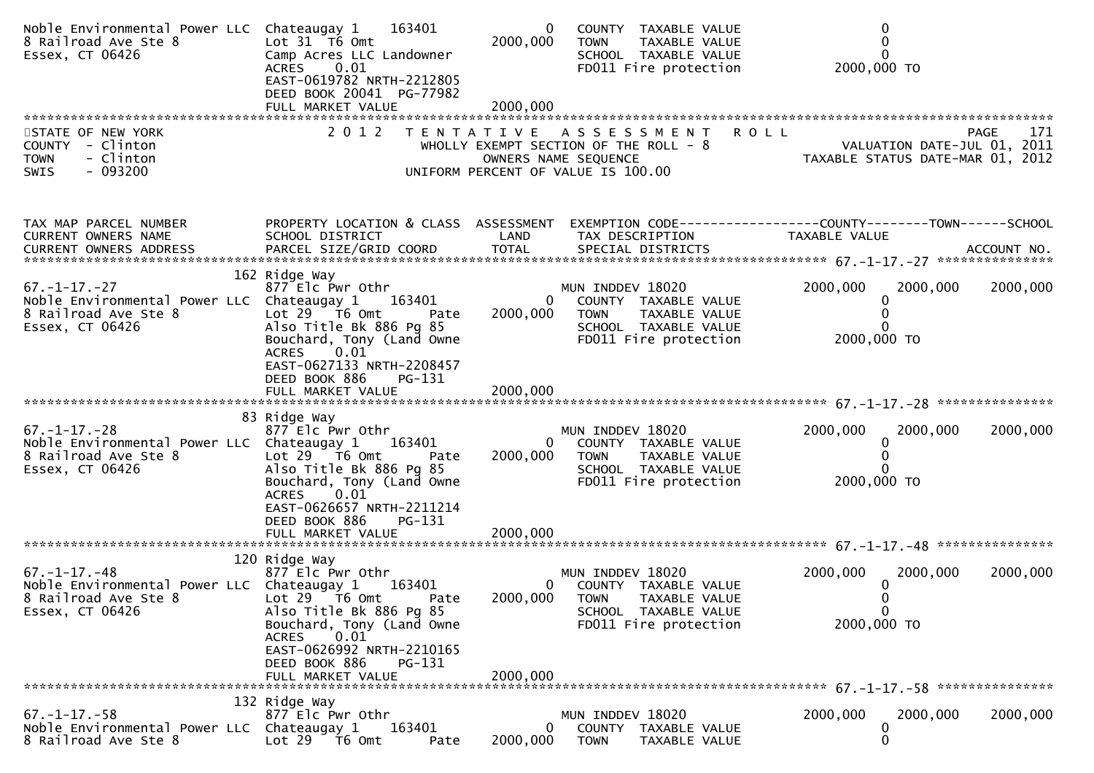| Noble Environmental Power LLC Chateaugay 1 163401<br>8 Railroad Ave Ste 8<br>Essex, CT 06426                  | Lot $31$ T6 Omt<br>Camp Acres LLC Landowner<br>0.01<br><b>ACRES</b><br>EAST-0619782 NRTH-2212805<br>DEED BOOK 20041 PG-77982                                                                                                              | $\bf{0}$<br>2000,000 | COUNTY TAXABLE VALUE<br>TAXABLE VALUE<br><b>TOWN</b><br>SCHOOL TAXABLE VALUE<br>FD011 Fire protection                                     | 2000,000 TO                                                                                   |
|---------------------------------------------------------------------------------------------------------------|-------------------------------------------------------------------------------------------------------------------------------------------------------------------------------------------------------------------------------------------|----------------------|-------------------------------------------------------------------------------------------------------------------------------------------|-----------------------------------------------------------------------------------------------|
| STATE OF NEW YORK<br>COUNTY - Clinton<br>- Clinton<br><b>TOWN</b><br>$-093200$<br><b>SWIS</b>                 | 2 0 1 2                                                                                                                                                                                                                                   |                      | TENTATIVE ASSESSMENT<br>WHOLLY EXEMPT SECTION OF THE ROLL - 8<br>OWNERS NAME SEQUENCE<br>UNIFORM PERCENT OF VALUE IS 100.00               | <b>ROLL</b><br>PAGE<br>171<br>VALUATION DATE-JUL 01, 2011<br>TAXABLE STATUS DATE-MAR 01, 2012 |
| TAX MAP PARCEL NUMBER<br>CURRENT OWNERS NAME                                                                  | PROPERTY LOCATION & CLASS ASSESSMENT<br>SCHOOL DISTRICT                                                                                                                                                                                   | LAND                 | TAX DESCRIPTION                                                                                                                           | EXEMPTION CODE-----------------COUNTY--------TOWN------SCHOOL<br>TAXABLE VALUE                |
| $67. - 1 - 17. - 27$<br>Noble Environmental Power LLC Chateaugay 1<br>8 Railroad Ave Ste 8<br>Essex, CT 06426 | 162 Ridge Way<br>877 Elc Pwr Othr<br>163401<br>Lot $29$ $\overline{76}$ Omt<br>Pate<br>Also Title Bk 886 Pg 85<br>Bouchard, Tony (Land Owne<br>0.01<br>ACRES<br>EAST-0627133 NRTH-2208457<br>DEED BOOK 886<br>PG-131                      | 2000,000             | MUN INDDEV 18020<br>$\mathbf{0}$<br>COUNTY TAXABLE VALUE<br><b>TOWN</b><br>TAXABLE VALUE<br>SCHOOL TAXABLE VALUE<br>FD011 Fire protection | 2000,000<br>2000,000<br>2000,000<br>2000,000 TO                                               |
|                                                                                                               |                                                                                                                                                                                                                                           |                      |                                                                                                                                           |                                                                                               |
| $67. - 1 - 17. - 28$<br>Noble Environmental Power LLC Chateaugay 1<br>8 Railroad Ave Ste 8<br>Essex, CT 06426 | 83 Ridge Way<br>877 Elc Pwr Othr<br>163401<br>Lot $29$ $\overline{16}$ Omt<br>Pate<br>Also Title Bk 886 Pg 85<br>Bouchard, Tony (Land Owne<br>$\left[0.01\right]$<br><b>ACRES</b><br>EAST-0626657 NRTH-2211214<br>DEED BOOK 886<br>PG-131 | 2000,000             | MUN INDDEV 18020<br>0<br>COUNTY TAXABLE VALUE<br><b>TOWN</b><br>TAXABLE VALUE<br>SCHOOL TAXABLE VALUE<br>FD011 Fire protection            | 2000,000<br>2000,000<br>2000,000<br>0<br>2000,000 TO                                          |
|                                                                                                               |                                                                                                                                                                                                                                           |                      |                                                                                                                                           |                                                                                               |
| $67. - 1 - 17. - 48$<br>Noble Environmental Power LLC Chateaugay 1<br>8 Railroad Ave Ste 8<br>Essex, CT 06426 | 120 Ridge Way<br>877 Elc Pwr Othr<br>163401<br>Lot $29$ $\overline{76}$ Omt<br>Pate<br>Also Title Bk 886 Pg 85<br>Bouchard, Tony (Land Owne<br>0.01<br>ACRES                                                                              | 2000,000             | MUN INDDEV 18020<br>COUNTY TAXABLE VALUE<br>$\mathbf{0}$<br><b>TOWN</b><br>TAXABLE VALUE<br>SCHOOL TAXABLE VALUE<br>FD011 Fire protection | 2000,000<br>2000,000<br>2000,000<br>0<br>$\mathbf 0$<br>2000,000 TO                           |
|                                                                                                               | EAST-0626992 NRTH-2210165<br>DEED BOOK 886<br>PG-131<br>FULL MARKET VALUE                                                                                                                                                                 | 2000,000             |                                                                                                                                           |                                                                                               |
| *******************************                                                                               | 132 Ridge Way                                                                                                                                                                                                                             |                      |                                                                                                                                           |                                                                                               |
| $67. - 1 - 17. - 58$<br>Noble Environmental Power LLC Chateaugay 1<br>8 Railroad Ave Ste 8                    | 877 Elc Pwr Othr<br>163401<br>Lot 29 T6 Omt<br>Pate                                                                                                                                                                                       | 0<br>2000,000        | MUN INDDEV 18020<br>COUNTY TAXABLE VALUE<br><b>TOWN</b><br>TAXABLE VALUE                                                                  | 2000,000<br>2000,000<br>2000,000<br>0<br>0                                                    |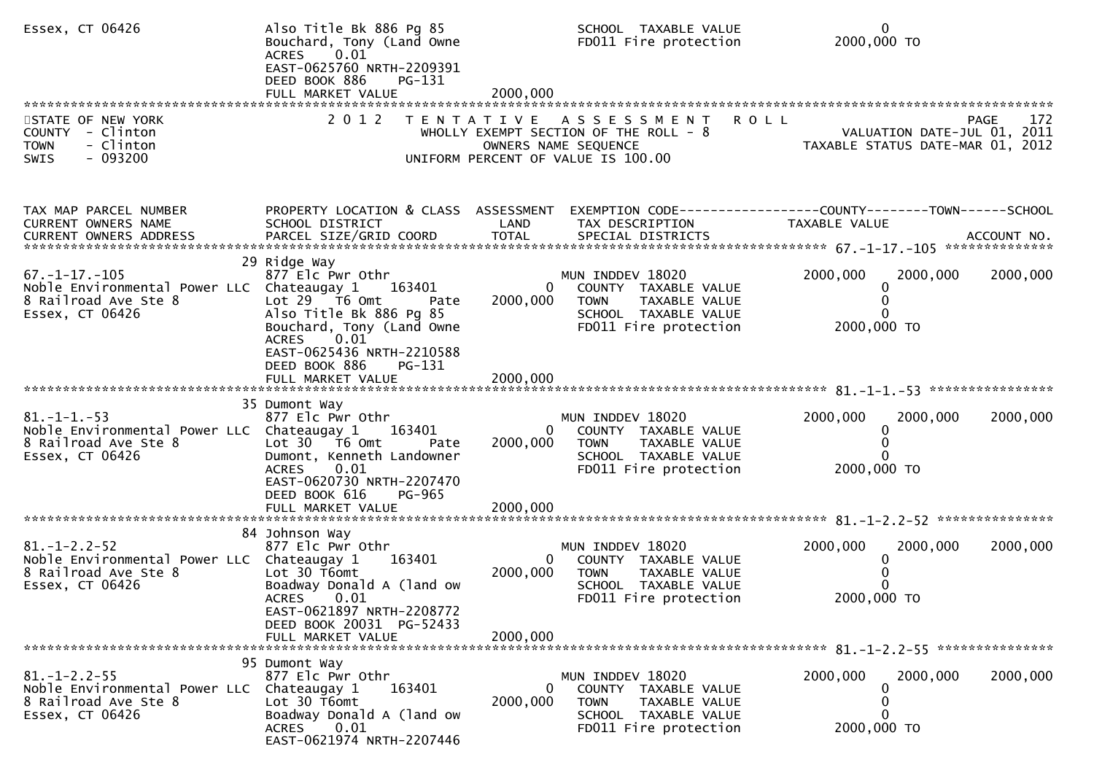| Essex, CT 06426                                                                                               | Also Title Bk 886 Pg 85<br>Bouchard, Tony (Land Owne<br>0.01<br>ACRES<br>EAST-0625760 NRTH-2209391<br>DEED BOOK 886<br>PG-131                                                     |               | SCHOOL TAXABLE VALUE<br>FD011 Fire protection                                                                                         | $\mathbf{0}$<br>2000,000 TO                                                   |             |
|---------------------------------------------------------------------------------------------------------------|-----------------------------------------------------------------------------------------------------------------------------------------------------------------------------------|---------------|---------------------------------------------------------------------------------------------------------------------------------------|-------------------------------------------------------------------------------|-------------|
| STATE OF NEW YORK<br>COUNTY - Clinton<br>- Clinton<br><b>TOWN</b><br>$-093200$<br>SWIS                        |                                                                                                                                                                                   |               | 2012 TENTATIVE ASSESSMENT ROLL<br>WHOLLY EXEMPT SECTION OF THE ROLL - 8<br>OWNERS NAME SEQUENCE<br>UNIFORM PERCENT OF VALUE IS 100.00 | VALUATION DATE-JUL 01, 2011<br>TAXABLE STATUS DATE-MAR 01, 2012               | 172<br>PAGE |
| TAX MAP PARCEL NUMBER<br>CURRENT OWNERS NAME                                                                  | PROPERTY LOCATION & CLASS ASSESSMENT<br>SCHOOL DISTRICT                                                                                                                           | LAND          | TAX DESCRIPTION                                                                                                                       | EXEMPTION CODE-----------------COUNTY-------TOWN------SCHOOL<br>TAXABLE VALUE |             |
| $67. -1 - 17. -105$<br>Noble Environmental Power LLC Chateaugay 1<br>8 Railroad Ave Ste 8<br>Essex, CT 06426  | 29 Ridge Way<br>877 Elc Pwr Othr<br>163401<br>Lot 29 T6 Omt<br>Pate<br>Also Title Bk 886 Pg 85<br>Bouchard, Tony (Land Owne<br>0.01<br><b>ACRES</b><br>EAST-0625436 NRTH-2210588  | 2000,000      | MUN INDDEV 18020<br>COUNTY TAXABLE VALUE<br><b>TOWN</b><br>TAXABLE VALUE<br>SCHOOL TAXABLE VALUE<br>FD011 Fire protection             | 2000,000<br>2000,000<br>0<br>0<br>2000,000 TO                                 | 2000,000    |
|                                                                                                               | DEED BOOK 886<br>PG-131<br>FULL MARKET VALUE                                                                                                                                      | 2000,000      |                                                                                                                                       |                                                                               |             |
| $81. - 1 - 1. - 53$<br>Noble Environmental Power LLC Chateaugay 1<br>8 Railroad Ave Ste 8<br>Essex, CT 06426  | 35 Dumont Way<br>877 Elc Pwr Othr<br>163401<br>Lot 30 T6 Omt<br>Pate<br>Dumont, Kenneth Landowner<br>0.01<br>ACRES<br>EAST-0620730 NRTH-2207470<br>DEED BOOK 616<br><b>PG-965</b> | 0<br>2000,000 | MUN INDDEV 18020<br>COUNTY TAXABLE VALUE<br><b>TOWN</b><br>TAXABLE VALUE<br>SCHOOL TAXABLE VALUE<br>FD011 Fire protection             | 2000,000<br>2000,000<br>0<br>0<br>2000,000 TO                                 | 2000,000    |
|                                                                                                               |                                                                                                                                                                                   |               |                                                                                                                                       |                                                                               |             |
| $81. - 1 - 2.2 - 52$<br>Noble Environmental Power LLC Chateaugay 1<br>8 Railroad Ave Ste 8<br>Essex, CT 06426 | 84 Johnson Way<br>877 Elc Pwr Othr<br>163401<br>Lot 30 T6omt<br>Boadway Donald A (land ow<br>ACRES 0.01<br>EAST-0621897 NRTH-2208772                                              | 0<br>2000,000 | MUN INDDEV 18020<br>COUNTY TAXABLE VALUE<br><b>TOWN</b><br>TAXABLE VALUE<br>SCHOOL TAXABLE VALUE<br>FD011 Fire protection             | 2000,000<br>2000,000<br>0<br>2000,000 TO                                      | 2000,000    |
|                                                                                                               | DEED BOOK 20031 PG-52433<br>FULL MARKET VALUE                                                                                                                                     | 2000,000      |                                                                                                                                       |                                                                               |             |
|                                                                                                               | 95 Dumont Way                                                                                                                                                                     |               |                                                                                                                                       |                                                                               |             |
| $81. - 1 - 2.2 - 55$<br>Noble Environmental Power LLC<br>8 Railroad Ave Ste 8<br>Essex, CT 06426              | 877 Elc Pwr Othr<br>Chateaugay 1<br>163401<br>Lot 30 T6omt<br>Boadway Donald A (land ow<br>0.01<br><b>ACRES</b><br>EAST-0621974 NRTH-2207446                                      | 0<br>2000,000 | MUN INDDEV 18020<br>COUNTY TAXABLE VALUE<br><b>TOWN</b><br>TAXABLE VALUE<br>SCHOOL TAXABLE VALUE<br>FD011 Fire protection             | 2000,000<br>2000,000<br>$\Omega$<br>0<br>$\Omega$<br>2000,000 TO              | 2000,000    |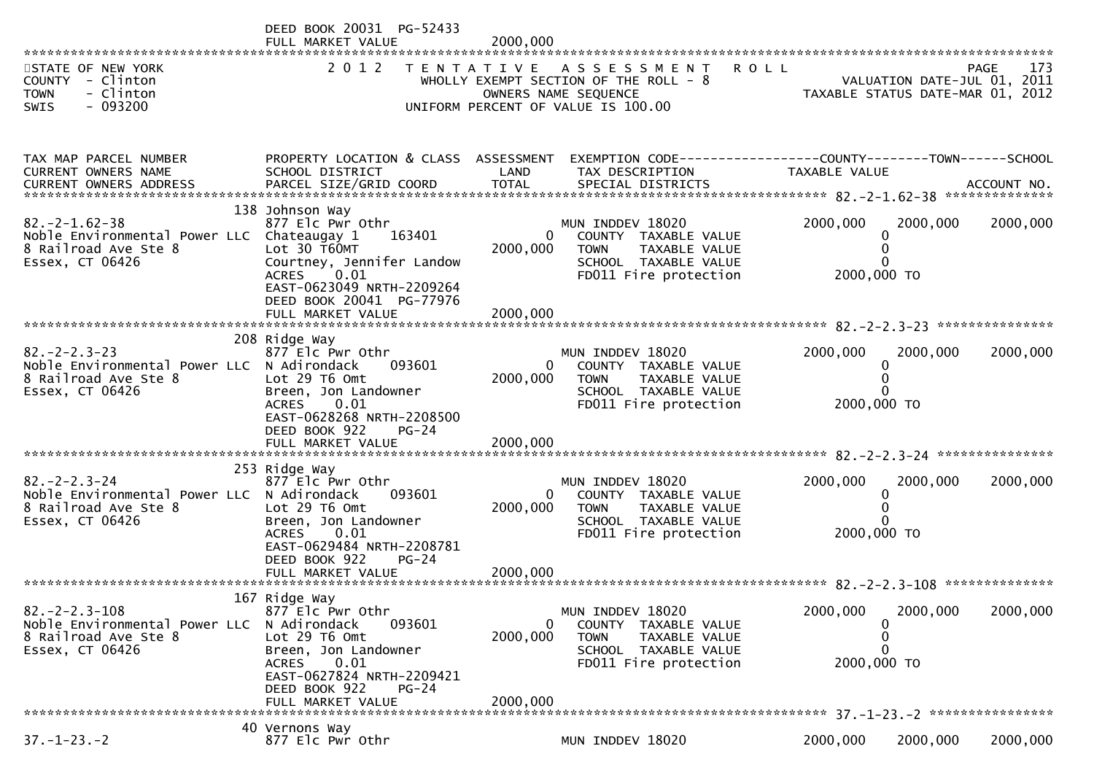|                                                                                                               | DEED BOOK 20031 PG-52433<br>FULL MARKET VALUE                                                                                                                                                    | 2000,000                             |                                                                                                                                  |                                                 |                             |                    |
|---------------------------------------------------------------------------------------------------------------|--------------------------------------------------------------------------------------------------------------------------------------------------------------------------------------------------|--------------------------------------|----------------------------------------------------------------------------------------------------------------------------------|-------------------------------------------------|-----------------------------|--------------------|
| STATE OF NEW YORK<br>COUNTY - Clinton<br><b>TOWN</b><br>- Clinton<br>$-093200$<br><b>SWIS</b>                 | 2 0 1 2                                                                                                                                                                                          |                                      | TENTATIVE ASSESSMENT<br>WHOLLY EXEMPT SECTION OF THE ROLL - $8$<br>OWNERS NAME SEQUENCE<br>UNIFORM PERCENT OF VALUE IS 100.00    | <b>ROLL</b><br>TAXABLE STATUS DATE-MAR 01, 2012 | VALUATION DATE-JUL 01, 2011 | 173<br><b>PAGE</b> |
|                                                                                                               |                                                                                                                                                                                                  |                                      |                                                                                                                                  |                                                 |                             |                    |
| TAX MAP PARCEL NUMBER<br>CURRENT OWNERS NAME                                                                  | PROPERTY LOCATION & CLASS ASSESSMENT<br>SCHOOL DISTRICT                                                                                                                                          | LAND                                 | EXEMPTION CODE------------------COUNTY--------TOWN------SCHOOL<br>TAX DESCRIPTION                                                | <b>TAXABLE VALUE</b>                            |                             |                    |
| $82. -2 - 1.62 - 38$<br>Noble Environmental Power LLC Chateaugay 1<br>8 Railroad Ave Ste 8<br>Essex, CT 06426 | 138 Johnson Way<br>877 Elc Pwr Othr<br>163401<br>Lot 30 T60MT<br>Courtney, Jennifer Landow<br>0.01<br><b>ACRES</b><br>EAST-0623049 NRTH-2209264<br>DEED BOOK 20041 PG-77976<br>FULL MARKET VALUE | $\mathbf{0}$<br>2000,000<br>2000,000 | MUN INDDEV 18020<br>COUNTY TAXABLE VALUE<br>TAXABLE VALUE<br><b>TOWN</b><br>SCHOOL TAXABLE VALUE<br>FD011 Fire protection        | 2000,000<br>0<br>0<br>2000,000 TO               | 2000,000                    | 2000,000           |
| $82 - 2 - 2 - 3 - 23$                                                                                         | 208 Ridge Way<br>877 Elc Pwr Othr                                                                                                                                                                |                                      | MUN INDDEV 18020                                                                                                                 | 2000,000                                        | 2000,000                    | 2000,000           |
| Noble Environmental Power LLC N Adirondack<br>8 Railroad Ave Ste 8<br>Essex, CT 06426                         | 093601<br>Lot 29 T6 Omt<br>Breen, Jon Landowner<br><b>ACRES</b><br>0.01<br>EAST-0628268 NRTH-2208500                                                                                             | 2000,000                             | COUNTY TAXABLE VALUE<br><b>TOWN</b><br>TAXABLE VALUE<br>SCHOOL TAXABLE VALUE<br>FD011 Fire protection                            | 0<br>0<br>2000,000 TO                           |                             |                    |
|                                                                                                               | DEED BOOK 922<br>$PG-24$<br>FULL MARKET VALUE                                                                                                                                                    | 2000,000                             |                                                                                                                                  |                                                 |                             |                    |
| $82. -2 - 2.3 - 24$<br>Noble Environmental Power LLC N Adirondack<br>8 Railroad Ave Ste 8<br>Essex, CT 06426  | 253 Ridge Way<br>877 Elc Pwr Othr<br>093601<br>Lot 29 T6 Omt<br>Breen, Jon Landowner<br>0.01<br><b>ACRES</b><br>EAST-0629484 NRTH-2208781<br>DEED BOOK 922<br>$PG-24$                            | $\mathbf{0}$<br>2000,000             | MUN INDDEV 18020<br>COUNTY TAXABLE VALUE<br><b>TOWN</b><br><b>TAXABLE VALUE</b><br>SCHOOL TAXABLE VALUE<br>FD011 Fire protection | 2000,000<br>0<br>0<br>2000,000 TO               | 2000,000                    | 2000,000           |
|                                                                                                               | 167 Ridge Way                                                                                                                                                                                    |                                      |                                                                                                                                  |                                                 |                             |                    |
| $82 - 2 - 2 - 3 - 108$<br>Noble Environmental Power LLC<br>8 Railroad Ave Ste 8<br>Essex, CT 06426            | 877 Elc Pwr Othr<br>N Adirondack<br>093601<br>Lot 29 T6 Omt<br>Breen, Jon Landowner<br>0.01<br><b>ACRES</b><br>EAST-0627824 NRTH-2209421<br>DEED BOOK 922<br>$PG-24$<br>FULL MARKET VALUE        | $\Omega$<br>2000,000<br>2000,000     | MUN INDDEV 18020<br>COUNTY TAXABLE VALUE<br><b>TOWN</b><br>TAXABLE VALUE<br>SCHOOL TAXABLE VALUE<br>FD011 Fire protection        | 2000,000<br>0<br>0<br>0<br>2000,000 TO          | 2000,000                    | 2000,000           |
|                                                                                                               | 40 Vernons Way                                                                                                                                                                                   |                                      |                                                                                                                                  |                                                 |                             |                    |
| $37. - 1 - 23. - 2$                                                                                           | 877 Elc Pwr Othr                                                                                                                                                                                 |                                      | MUN INDDEV 18020                                                                                                                 | 2000,000                                        | 2000,000                    | 2000,000           |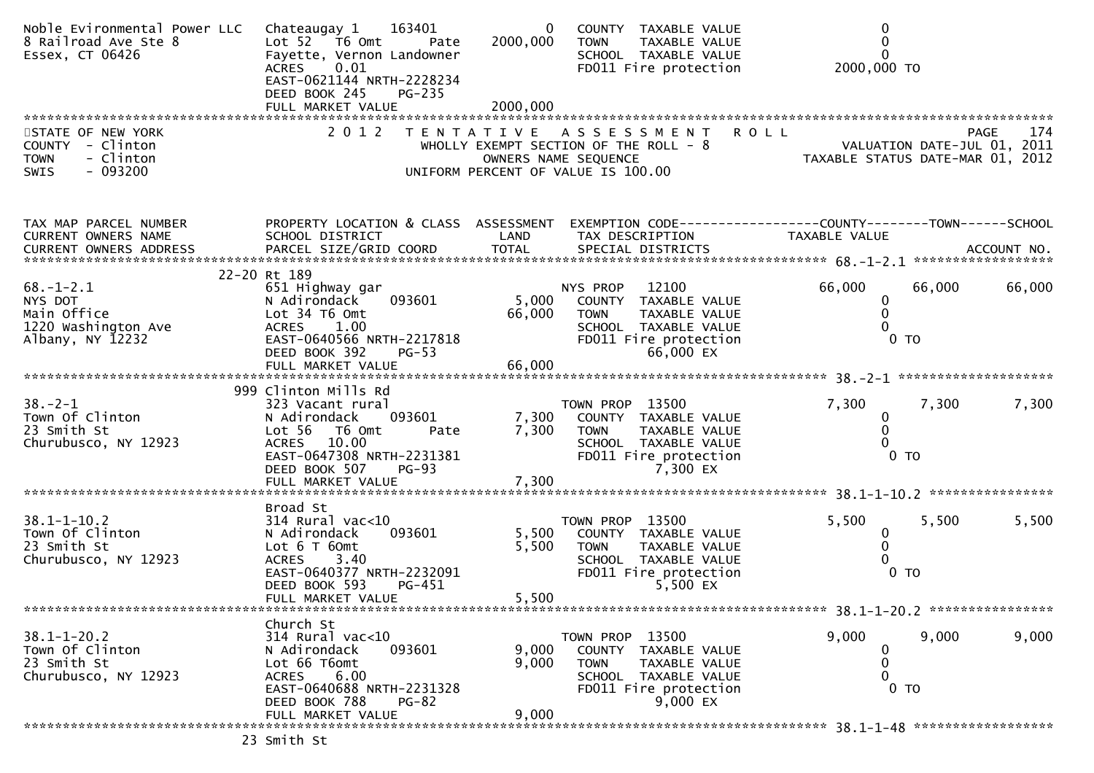| Noble Evironmental Power LLC<br>8 Railroad Ave Ste 8<br>Essex, CT 06426                | Chateaugay 1 163401<br>Lot $52 - 76$ Omt<br>Pate<br>Fayette, Vernon Landowner<br>0.01<br><b>ACRES</b><br>EAST-0621144 NRTH-2228234<br>DEED BOOK 245<br><b>PG-235</b>               | $\bf{0}$<br>2000,000<br>2000,000 | COUNTY TAXABLE VALUE<br>TAXABLE VALUE<br>TOWN<br>SCHOOL TAXABLE VALUE<br>FD011 Fire protection                                              | 0<br>0<br>$\Omega$<br>2000,000 TO                                               |                    |
|----------------------------------------------------------------------------------------|------------------------------------------------------------------------------------------------------------------------------------------------------------------------------------|----------------------------------|---------------------------------------------------------------------------------------------------------------------------------------------|---------------------------------------------------------------------------------|--------------------|
| STATE OF NEW YORK<br>COUNTY - Clinton<br>- Clinton<br><b>TOWN</b><br>$-093200$<br>SWIS | 2 0 1 2                                                                                                                                                                            |                                  | TENTATIVE ASSESSMENT<br>WHOLLY EXEMPT SECTION OF THE ROLL $-8$<br>OWNERS NAME SEQUENCE<br>UNIFORM PERCENT OF VALUE IS 100.00                | <b>ROLL</b><br>VALUATION DATE-JUL 01, 2011<br>TAXABLE STATUS DATE-MAR 01, 2012  | 174<br><b>PAGE</b> |
| TAX MAP PARCEL NUMBER<br>CURRENT OWNERS NAME<br>CURRENT OWNERS ADDRESS                 | PROPERTY LOCATION & CLASS ASSESSMENT<br>SCHOOL DISTRICT                                                                                                                            | LAND                             | TAX DESCRIPTION                                                                                                                             | EXEMPTION CODE------------------COUNTY--------TOWN------SCHOOL<br>TAXABLE VALUE |                    |
| $68. - 1 - 2.1$<br>NYS DOT<br>Main Office<br>1220 Washington Ave<br>Albany, NY 12232   | 22-20 Rt 189<br>651 Highway gar<br>093601<br>N Adirondack<br>Lot 34 76 0mt<br>1.00<br>ACRES<br>EAST-0640566 NRTH-2217818<br>DEED BOOK 392<br>$PG-53$                               | 5,000<br>66,000                  | NYS PROP<br>12100<br>COUNTY TAXABLE VALUE<br>TAXABLE VALUE<br><b>TOWN</b><br>SCHOOL TAXABLE VALUE<br>FD011 Fire protection<br>66,000 EX     | 66,000<br>66,000<br>0<br>$\mathbf{0}$<br>0<br>0 <sub>T</sub>                    | 66,000             |
| $38. - 2 - 1$<br>Town Of Clinton<br>23 Smith St<br>Churubusco, NY 12923                | 999 Clinton Mills Rd<br>323 Vacant rural<br>N Adirondack<br>093601<br>Lot 56  T6 0mt<br>Pate<br>ACRES 10.00<br>EAST-0647308 NRTH-2231381<br>DEED BOOK 507<br><b>PG-93</b>          | 7,300<br>7,300                   | TOWN PROP 13500<br>COUNTY TAXABLE VALUE<br><b>TOWN</b><br>TAXABLE VALUE<br>SCHOOL TAXABLE VALUE<br>FD011 Fire protection<br>7,300 EX        | 7,300<br>7,300<br>0<br>0<br>$0$ TO                                              | 7,300              |
| $38.1 - 1 - 10.2$<br>Town Of Clinton<br>23 Smith St<br>Churubusco, NY 12923            | Broad St<br>$314$ Rural vac<10<br>093601<br>N Adirondack<br>Lot $6$ T $60$ mt<br><b>ACRES</b><br>3.40<br>EAST-0640377 NRTH-2232091<br>DEED BOOK 593<br>PG-451<br>FULL MARKET VALUE | 5,500<br>5,500<br>5,500          | TOWN PROP 13500<br>COUNTY TAXABLE VALUE<br><b>TOWN</b><br>TAXABLE VALUE<br>SCHOOL TAXABLE VALUE<br>FD011 Fire protection<br>5,500 EX        | 5,500<br>5,500<br>0<br>0<br>0<br>$0$ TO                                         | 5,500              |
| $38.1 - 1 - 20.2$<br>Town Of Clinton<br>23 Smith St<br>Churubusco, NY 12923            | Church St<br>314 Rural vac<10<br>093601<br>N Adirondack<br>Lot 66 T6omt<br>6.00<br><b>ACRES</b><br>EAST-0640688 NRTH-2231328<br>DEED BOOK 788<br><b>PG-82</b><br>FULL MARKET VALUE | 9,000<br>9,000<br>9,000          | TOWN PROP 13500<br>COUNTY TAXABLE VALUE<br><b>TOWN</b><br><b>TAXABLE VALUE</b><br>SCHOOL TAXABLE VALUE<br>FD011 Fire protection<br>9,000 EX | 9,000<br>9,000<br>0<br>0<br>0<br>0 <sub>T</sub>                                 | 9,000              |
|                                                                                        |                                                                                                                                                                                    |                                  |                                                                                                                                             |                                                                                 |                    |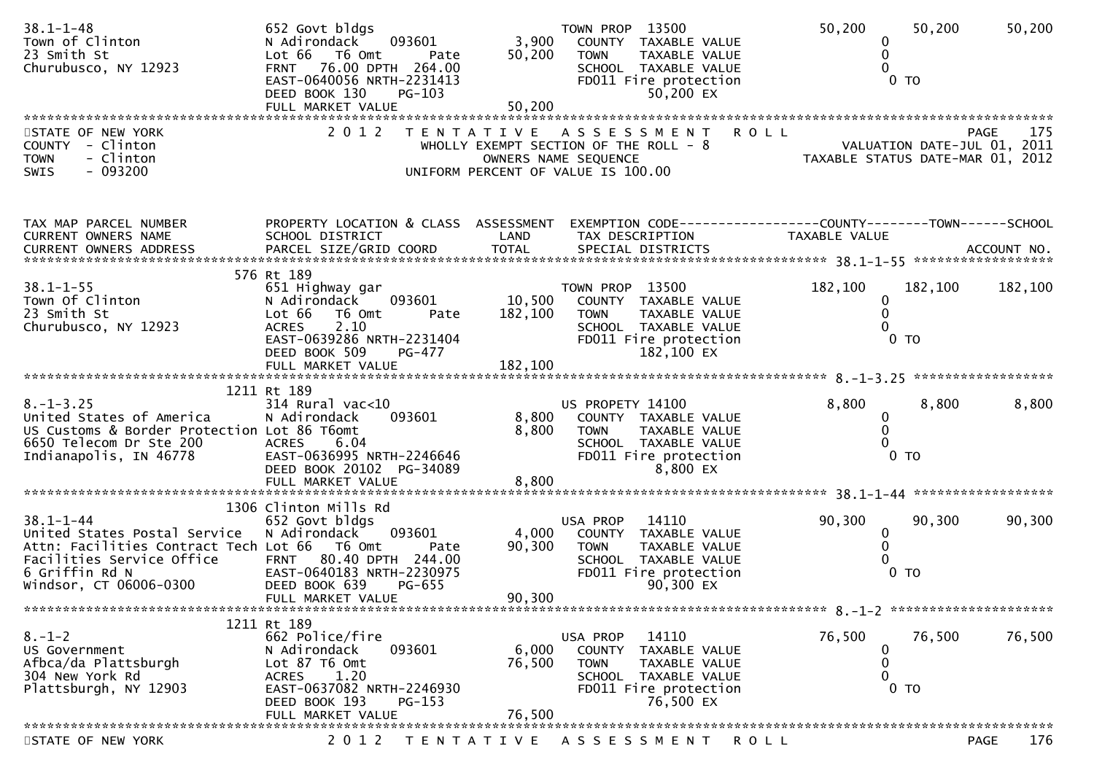| $38.1 - 1 - 48$<br>Town of Clinton<br>23 Smith St<br>Churubusco, NY 12923                                                                                                | 652 Govt bldgs<br>093601<br>N Adirondack<br>Lot 66 T6 Omt<br>Pate<br>FRNT 76.00 DPTH 264.00<br>EAST-0640056 NRTH-2231413<br>DEED BOOK 130<br>PG-103<br>FULL MARKET VALUE                   | 3,900<br>50,200<br>50,200    | TOWN PROP 13500<br>COUNTY TAXABLE VALUE<br><b>TOWN</b><br>TAXABLE VALUE<br>SCHOOL TAXABLE VALUE<br>FD011 Fire protection<br>50,200 EX             | 50,200<br>0<br>0<br>0                                           | 50,200<br>0 <sub>T</sub>  | 50,200             |
|--------------------------------------------------------------------------------------------------------------------------------------------------------------------------|--------------------------------------------------------------------------------------------------------------------------------------------------------------------------------------------|------------------------------|---------------------------------------------------------------------------------------------------------------------------------------------------|-----------------------------------------------------------------|---------------------------|--------------------|
| STATE OF NEW YORK<br>COUNTY - Clinton<br>- Clinton<br><b>TOWN</b><br>$-093200$<br>SWIS                                                                                   | 2 0 1 2                                                                                                                                                                                    |                              | <b>ROLL</b><br>TENTATIVE ASSESSMENT<br>WHOLLY EXEMPT SECTION OF THE ROLL - 8<br>OWNERS NAME SEQUENCE<br>UNIFORM PERCENT OF VALUE IS 100.00        | VALUATION DATE-JUL 01, 2011<br>TAXABLE STATUS DATE-MAR 01, 2012 |                           | 175<br><b>PAGE</b> |
| TAX MAP PARCEL NUMBER<br>CURRENT OWNERS NAME                                                                                                                             | PROPERTY LOCATION & CLASS ASSESSMENT<br>SCHOOL DISTRICT                                                                                                                                    | LAND                         | EXEMPTION CODE-----------------COUNTY-------TOWN------SCHOOL<br>TAX DESCRIPTION                                                                   | TAXABLE VALUE                                                   |                           |                    |
| $38.1 - 1 - 55$<br>Town Of Clinton<br>23 Smith St<br>Churubusco, NY 12923                                                                                                | 576 Rt 189<br>651 Highway gar<br>093601<br>N Adirondack<br>Lot 66  T6 0mt<br>Pate<br>2.10<br><b>ACRES</b><br>EAST-0639286 NRTH-2231404<br>DEED BOOK 509<br>$PG-477$<br>FULL MARKET VALUE   | 10,500<br>182,100<br>182,100 | TOWN PROP 13500<br>COUNTY TAXABLE VALUE<br>TAXABLE VALUE<br>TOWN<br>SCHOOL TAXABLE VALUE<br>FD011 Fire protection<br>182,100 EX                   | 182,100<br>0<br>$\mathbf{0}$<br>0                               | 182,100<br>0 <sub>T</sub> | 182,100            |
| $8. - 1 - 3.25$<br>United States of America<br>US Customs & Border Protection Lot 86 T6omt<br>6650 Telecom Dr Ste 200<br>Indianapolis, IN 46778                          | 1211 Rt 189<br>$314$ Rural vac<10<br>093601<br>N Adirondack<br><b>ACRES</b><br>6.04<br>EAST-0636995 NRTH-2246646<br>DEED BOOK 20102 PG-34089                                               | 8,800<br>8,800               | US PROPETY 14100<br>COUNTY TAXABLE VALUE<br>TAXABLE VALUE<br><b>TOWN</b><br>SCHOOL TAXABLE VALUE<br>FD011 Fire protection<br>8,800 EX             | 8,800<br>0<br>0<br>0                                            | 8,800<br>0 <sub>T</sub>   | 8,800              |
| $38.1 - 1 - 44$<br>United States Postal Service<br>Attn: Facilities Contract Tech Lot 66 T6 Omt<br>Facilities Service Office<br>6 Griffin Rd N<br>Windsor, CT 06006-0300 | 1306 Clinton Mills Rd<br>652 Govt bldgs<br>093601<br>N Adirondack<br>Pate<br>80.40 DPTH 244.00<br><b>FRNT</b><br>EAST-0640183 NRTH-2230975<br>DEED BOOK 639<br>PG-655<br>FULL MARKET VALUE | 4,000<br>90,300<br>90,300    | USA PROP<br>14110<br>COUNTY TAXABLE VALUE<br>TAXABLE VALUE<br><b>TOWN</b><br>SCHOOL TAXABLE VALUE<br>FD011 Fire protection<br>90,300 EX           | 90,300<br>$\mathbf 0$<br>$\mathbf{0}$<br>0                      | 90,300<br>$0$ TO          | 90,300             |
| $8. - 1 - 2$<br>US Government<br>Afbca/da Plattsburgh<br>304 New York Rd<br>Plattsburgh, NY 12903                                                                        | 1211 Rt 189<br>662 Police/fire<br>093601<br>N Adirondack<br>Lot 87 T6 Omt<br>1.20<br><b>ACRES</b><br>EAST-0637082 NRTH-2246930<br>DEED BOOK 193<br>$PG-153$<br>FULL MARKET VALUE           | 6,000<br>76,500<br>76,500    | 14110<br>USA PROP<br>COUNTY<br>TAXABLE VALUE<br><b>TOWN</b><br><b>TAXABLE VALUE</b><br>SCHOOL TAXABLE VALUE<br>FD011 Fire protection<br>76,500 EX | 76,500<br>0<br>0<br>0                                           | 76,500<br>$0$ TO          | 76,500             |
| STATE OF NEW YORK                                                                                                                                                        | 2 0 1 2                                                                                                                                                                                    | T E N T A T I V E            | A S S E S S M E N T<br><b>ROLL</b>                                                                                                                |                                                                 |                           | 176<br><b>PAGE</b> |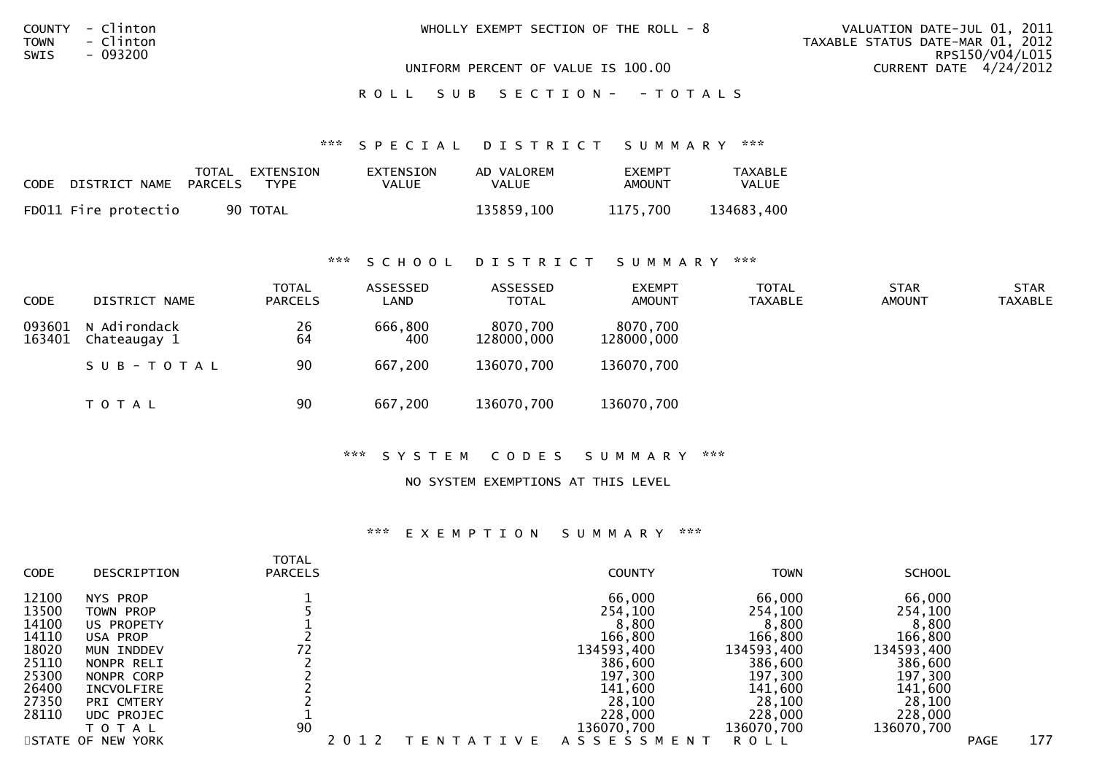|      | COUNTY - Clinton<br>TOWN - Clinton | WHOLLY EXEMPT SECTION OF THE ROLL - $8$ | VALUATION DATE-JUL 01, 2011<br>TAXABLE STATUS DATE-MAR 01, 2012 |
|------|------------------------------------|-----------------------------------------|-----------------------------------------------------------------|
| SWIS | - 093200                           | UNIFORM PERCENT OF VALUE IS 100.00      | RPS150/V04/L015<br>CURRENT DATE 4/24/2012                       |

ROLL SUB SECTION - - TOTALS

#### \*\*\* S P E C I A L D I S T R I C T S U M M A R Y \*\*\*

| CODE | DISTRICT NAME PARCELS | TOTAL EXTENSION<br>TYPF | EXTENSION<br>VALUE | AD VALOREM<br>VALUE | <b>FXFMPT</b><br>AMOUNT | <b>TAXABLE</b><br>VALUE |
|------|-----------------------|-------------------------|--------------------|---------------------|-------------------------|-------------------------|
|      | FD011 Fire protectio  | 90 TOTAL                |                    | 135859.100          | 1175.700                | 134683,400              |

## \*\*\* S C H O O L D I S T R I C T S U M M A R Y \*\*\*

| <b>CODE</b>      | DISTRICT NAME                | <b>TOTAL</b><br><b>PARCELS</b> | ASSESSED<br>LAND | ASSESSED<br><b>TOTAL</b> | <b>EXEMPT</b><br><b>AMOUNT</b> | <b>TOTAL</b><br>TAXABLE | <b>STAR</b><br><b>AMOUNT</b> | <b>STAR</b><br><b>TAXABLE</b> |
|------------------|------------------------------|--------------------------------|------------------|--------------------------|--------------------------------|-------------------------|------------------------------|-------------------------------|
| 093601<br>163401 | N Adirondack<br>Chateaugay 1 | 26<br>64                       | 666,800<br>400   | 8070,700<br>128000,000   | 8070,700<br>128000,000         |                         |                              |                               |
|                  | SUB-TOTAL                    | 90                             | 667,200          | 136070,700               | 136070,700                     |                         |                              |                               |
|                  | T O T A L                    | 90                             | 667,200          | 136070,700               | 136070,700                     |                         |                              |                               |

## \*\*\* S Y S T E M C O D E S S U M M A R Y \*\*\*

## NO SYSTEM EXEMPTIONS AT THIS LEVEL

### \*\*\* E X E M P T I O N S U M M A R Y \*\*\*

| <b>CODE</b>                                                                            | DESCRIPTION                                                                                                                                         | <b>TOTAL</b><br><b>PARCELS</b> |                    | <b>COUNTY</b>                                                                                                           | <b>TOWN</b>                                                                                                             | <b>SCHOOL</b>                                                                                                           |             |     |
|----------------------------------------------------------------------------------------|-----------------------------------------------------------------------------------------------------------------------------------------------------|--------------------------------|--------------------|-------------------------------------------------------------------------------------------------------------------------|-------------------------------------------------------------------------------------------------------------------------|-------------------------------------------------------------------------------------------------------------------------|-------------|-----|
| 12100<br>13500<br>14100<br>14110<br>18020<br>25110<br>25300<br>26400<br>27350<br>28110 | NYS PROP<br><b>TOWN PROP</b><br>US PROPETY<br>USA PROP<br>MUN INDDEV<br>NONPR RELI<br>NONPR CORP<br>INCVOLFIRE<br>PRI CMTERY<br>UDC PROJEC<br>ΓΟΤΑΙ | 1 L<br>90                      |                    | 66,000<br>254,100<br>8,800<br>166,800<br>134593,400<br>386,600<br>197,300<br>141,600<br>28,100<br>228,000<br>136070,700 | 66,000<br>254,100<br>8,800<br>166,800<br>134593,400<br>386,600<br>197,300<br>141,600<br>28,100<br>228,000<br>136070,700 | 66,000<br>254,100<br>8,800<br>166,800<br>134593,400<br>386,600<br>197,300<br>141,600<br>28,100<br>228,000<br>136070,700 |             |     |
|                                                                                        | STATE OF NEW YORK                                                                                                                                   |                                | <b>IVE</b><br>EN T | A S S E S S M E N T                                                                                                     | R O L L                                                                                                                 |                                                                                                                         | <b>PAGE</b> | 177 |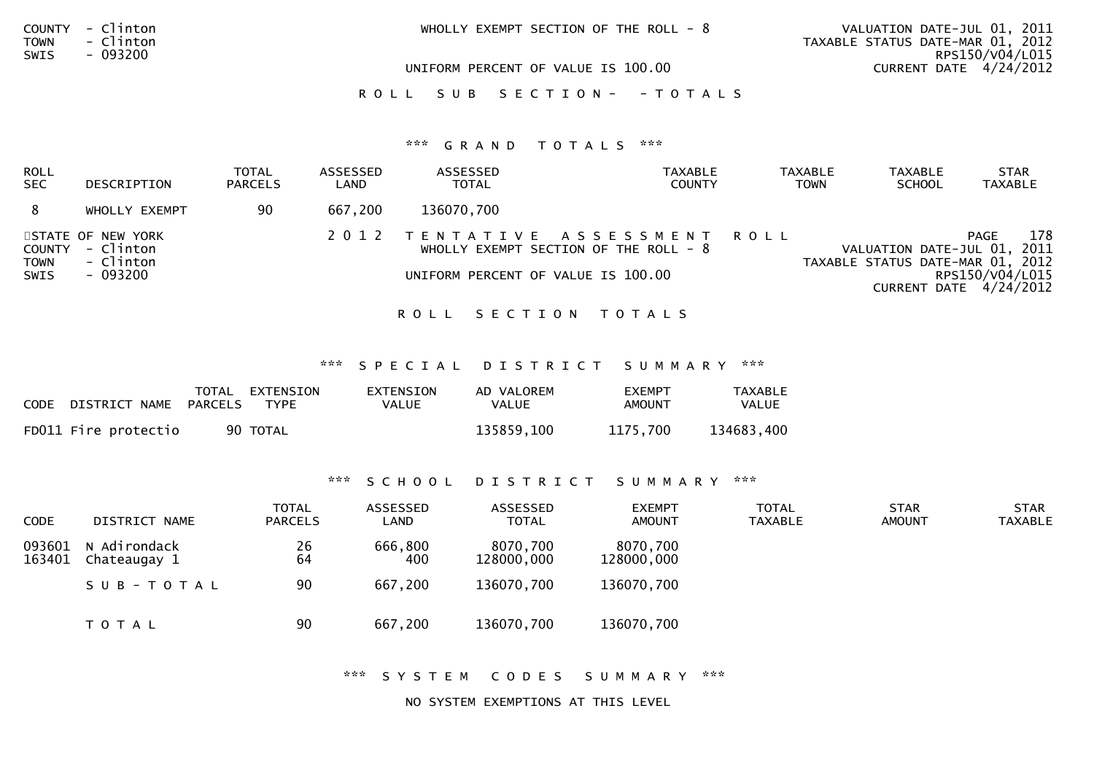| COUNTY - Clinton<br>- Clinton<br>TOWN | WHOLLY EXEMPT SECTION OF THE ROLL - $8$ | VALUATION DATE-JUL 01, 2011<br>TAXABLE STATUS DATE-MAR 01, 2012<br>RPS150/V04/L015 |  |  |
|---------------------------------------|-----------------------------------------|------------------------------------------------------------------------------------|--|--|
| SWIS<br>- 093200                      | UNIFORM PERCENT OF VALUE IS 100.00      | CURRENT DATE 4/24/2012                                                             |  |  |
|                                       | ROLL SUB SECTION- - TOTALS              |                                                                                    |  |  |
|                                       | *** GRAND TOTALS<br>***                 |                                                                                    |  |  |

| ROLL<br><b>SEC</b>            | DESCRIPTION                                             | <b>TOTAL</b><br><b>PARCELS</b> | ASSESSED<br>LAND | ASSESSED<br><b>TOTAL</b> | <b>TAXABLE</b><br><b>COUNTY</b>                                                                                | <b>TAXABLE</b><br><b>TOWN</b> | <b>TAXABLE</b><br><b>SCHOOL</b>                                 | <b>STAR</b><br><b>TAXABLE</b>                                   |
|-------------------------------|---------------------------------------------------------|--------------------------------|------------------|--------------------------|----------------------------------------------------------------------------------------------------------------|-------------------------------|-----------------------------------------------------------------|-----------------------------------------------------------------|
|                               | WHOLLY EXEMPT                                           | 90                             | 667,200          | 136070,700               |                                                                                                                |                               |                                                                 |                                                                 |
| COUNTY<br><b>TOWN</b><br>SWIS | STATE OF NEW YORK<br>- Clinton<br>- Clinton<br>- 093200 |                                |                  |                          | 2012 TENTATIVE ASSESSMENT ROLL<br>WHOLLY EXEMPT SECTION OF THE ROLL $-8$<br>UNIFORM PERCENT OF VALUE IS 100.00 |                               | VALUATION DATE-JUL 01, 2011<br>TAXABLE STATUS DATE-MAR 01, 2012 | 178<br><b>PAGE</b><br>RPS150/V04/L015<br>CURRENT DATE 4/24/2012 |

## ROLL SECTION TOTALS

\*\*\* S P E C I A L D I S T R I C T S U M M A R Y \*\*\*

| CODE | DISTRICT NAME PARCELS | TOTAL | EXTENSION<br><b>TYPE</b> | EXTENSION<br>VALUE | AD VALOREM<br>VALUE | <b>FXEMPT</b><br>AMOUNT | <b>TAXABLE</b><br>VALUE |
|------|-----------------------|-------|--------------------------|--------------------|---------------------|-------------------------|-------------------------|
|      | FD011 Fire protectio  |       | 90 TOTAL                 |                    | 135859.100          | 1175.700                | 134683,400              |

# \*\*\* S C H O O L D I S T R I C T S U M M A R Y \*\*\*

| <b>CODE</b>      | DISTRICT NAME                | <b>TOTAL</b><br><b>PARCELS</b> | ASSESSED<br>LAND | ASSESSED<br><b>TOTAL</b> | <b>EXEMPT</b><br><b>AMOUNT</b> | <b>TOTAL</b><br><b>TAXABLE</b> | <b>STAR</b><br><b>AMOUNT</b> | <b>STAR</b><br><b>TAXABLE</b> |
|------------------|------------------------------|--------------------------------|------------------|--------------------------|--------------------------------|--------------------------------|------------------------------|-------------------------------|
| 093601<br>163401 | N Adirondack<br>Chateaugay 1 | 26<br>64                       | 666,800<br>400   | 8070,700<br>128000,000   | 8070,700<br>128000,000         |                                |                              |                               |
|                  | SUB-TOTAL                    | 90                             | 667,200          | 136070,700               | 136070,700                     |                                |                              |                               |
|                  | T O T A L                    | 90                             | 667,200          | 136070,700               | 136070,700                     |                                |                              |                               |

\*\*\* S Y S T E M C O D E S S U M M A R Y \*\*\*

NO SYSTEM EXEMPTIONS AT THIS LEVEL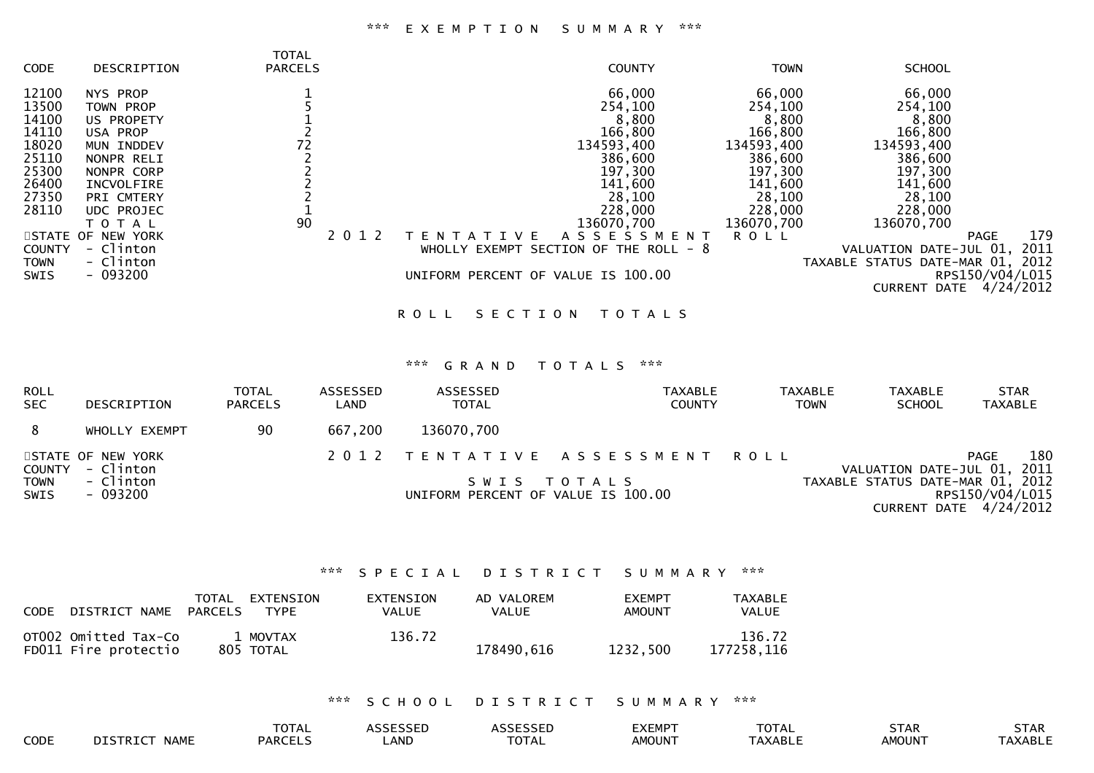# \*\*\* E X E M P T I O N S U M M A R Y \*\*\*

|               |                   | <b>TOTAL</b>   |         |                                         |             |                                  |                 |
|---------------|-------------------|----------------|---------|-----------------------------------------|-------------|----------------------------------|-----------------|
| <b>CODE</b>   | DESCRIPTION       | <b>PARCELS</b> |         | <b>COUNTY</b>                           | <b>TOWN</b> | <b>SCHOOL</b>                    |                 |
| 12100         | NYS PROP          |                |         | 66,000                                  | 66,000      | 66,000                           |                 |
| 13500         | <b>TOWN PROP</b>  |                |         | 254,100                                 | 254,100     | 254,100                          |                 |
| 14100         | US PROPETY        |                |         | 8,800                                   | 8,800       | 8,800                            |                 |
| 14110         | USA PROP          |                |         | 166,800                                 | 166,800     | 166,800                          |                 |
| 18020         | MUN INDDEV        | 72             |         | 134593,400                              | 134593,400  | 134593,400                       |                 |
| 25110         | NONPR RELI        |                |         | 386,600                                 | 386,600     | 386,600                          |                 |
| 25300         | NONPR CORP        |                |         | 197,300                                 | 197,300     | 197,300                          |                 |
| 26400         | INCVOLFIRE        |                |         | 141,600                                 | 141,600     | 141,600                          |                 |
| 27350         | PRI CMTERY        |                |         | 28,100                                  | 28,100      | 28,100                           |                 |
| 28110         | UDC PROJEC        |                |         | 228,000                                 | 228,000     | 228,000                          |                 |
|               | T O T A L         | 90             |         | 136070,700                              | 136070,700  | 136070,700                       |                 |
|               | STATE OF NEW YORK |                | 2 0 1 2 | <b>ASSESSMENT</b><br>V F                | <b>ROLL</b> |                                  | 179<br>PAGE     |
| <b>COUNTY</b> | - Clinton         |                |         | WHOLLY EXEMPT SECTION OF THE ROLL - $8$ |             | VALUATION DATE-JUL 01,           | 2011            |
| <b>TOWN</b>   | - Clinton         |                |         |                                         |             | TAXABLE STATUS DATE-MAR 01, 2012 |                 |
| SWIS          | $-093200$         |                |         | UNIFORM PERCENT OF VALUE IS 100.00      |             |                                  | RPS150/V04/L015 |
|               |                   |                |         |                                         |             | <b>CURRENT</b><br>DATE           | 4/24/2012       |
|               |                   |                |         |                                         |             |                                  |                 |

ROLL SECTION TOTALS

#### \*\*\* G R A N D T O T A L S \*\*\*

| <b>ROLL</b><br><b>SEC</b>  | DESCRIPTION                    | <b>TOTAL</b><br><b>PARCELS</b> | ASSESSED<br>LAND | <b>ASSESSED</b><br><b>TOTAL</b>    | <b>TAXABLE</b><br><b>COUNTY</b> | <b>TAXABLE</b><br><b>TOWN</b> | TAXABLE<br><b>SCHOOL</b>         | <b>STAR</b><br><b>TAXABLE</b>               |
|----------------------------|--------------------------------|--------------------------------|------------------|------------------------------------|---------------------------------|-------------------------------|----------------------------------|---------------------------------------------|
| 8                          | WHOLLY EXEMPT                  | -90                            | 667,200          | 136070,700                         |                                 |                               |                                  |                                             |
| COUNTY                     | STATE OF NEW YORK<br>- Clinton |                                |                  |                                    | 2012 TENTATIVE ASSESSMENT ROLL  |                               | VALUATION DATE-JUL 01, 2011      | 180<br>PAGE                                 |
| <b>TOWN</b><br><b>SWIS</b> | - Clinton<br>- 093200          |                                |                  | UNIFORM PERCENT OF VALUE IS 100.00 | SWIS TOTALS                     |                               | TAXABLE STATUS DATE-MAR 01, 2012 | RPS150/V04/L015<br>CURRENT DATE $4/24/2012$ |

## \*\*\* S P E C I A L D I S T R I C T S U M M A R Y \*\*\*

| <b>CODE</b> | DISTRICT NAME                                | PARCELS | TOTAL EXTENSION<br><b>TYPE</b> | <b>EXTENSION</b><br>VALUE | AD VALOREM<br>VALUE | <b>FXEMPT</b><br><b>AMOUNT</b> | TAXABLE<br><b>VALUE</b> |
|-------------|----------------------------------------------|---------|--------------------------------|---------------------------|---------------------|--------------------------------|-------------------------|
|             | OT002 Omitted Tax-Co<br>FD011 Fire protectio |         | 1 MOVTAX<br>805 TOTAL          | 136.72                    | 178490.616          | 1232.500                       | 136.72<br>177258.116    |

# \*\*\* S C H O O L D I S T R I C T S U M M A R Y \*\*\*

|      | $T^{\sim}$<br>– ∟ |          |          | ⁄\ I         | -^-<br>. <u>.</u> | しょへい          | <u>ль</u><br>しょへい |
|------|-------------------|----------|----------|--------------|-------------------|---------------|-------------------|
| CODE | <b>PARCT</b>      | .<br>ANL | -^-<br>. | <b>NOUNT</b> |                   | <b>\MOUN`</b> | Δk<br>.           |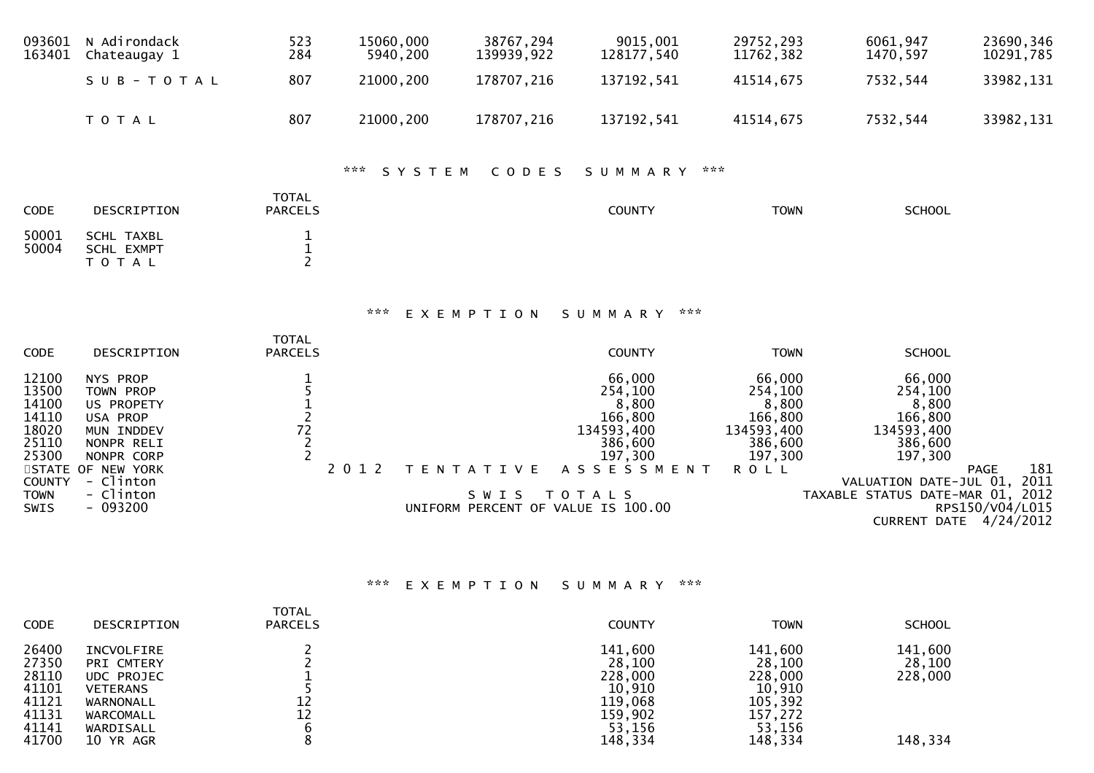| 093601<br>163401                                                                                                           | N Adirondack<br>Chateaugay 1                                                                                                                    | 523<br>284                                                     | 15060,000<br>5940,200 | 38767,294<br>139939,922                                         | 9015,001<br>128177,540                                                                                            | 29752,293<br>11762,382                                                                   | 6061,947<br>1470,597                                                                                                                                              | 23690,346<br>10291,785                        |
|----------------------------------------------------------------------------------------------------------------------------|-------------------------------------------------------------------------------------------------------------------------------------------------|----------------------------------------------------------------|-----------------------|-----------------------------------------------------------------|-------------------------------------------------------------------------------------------------------------------|------------------------------------------------------------------------------------------|-------------------------------------------------------------------------------------------------------------------------------------------------------------------|-----------------------------------------------|
|                                                                                                                            | SUB-TOTAL                                                                                                                                       | 807                                                            | 21000,200             | 178707,216                                                      | 137192,541                                                                                                        | 41514,675                                                                                | 7532,544                                                                                                                                                          | 33982,131                                     |
|                                                                                                                            | TOTAL                                                                                                                                           | 807                                                            | 21000,200             | 178707,216                                                      | 137192,541                                                                                                        | 41514,675                                                                                | 7532,544                                                                                                                                                          | 33982,131                                     |
|                                                                                                                            |                                                                                                                                                 |                                                                | ***<br>SYSTEM         | CODES                                                           | SUMMARY                                                                                                           | $\mathbf{x} \times \mathbf{x}$                                                           |                                                                                                                                                                   |                                               |
| CODE                                                                                                                       | DESCRIPTION                                                                                                                                     | <b>TOTAL</b><br><b>PARCELS</b>                                 |                       |                                                                 | <b>COUNTY</b>                                                                                                     | <b>TOWN</b>                                                                              | <b>SCHOOL</b>                                                                                                                                                     |                                               |
| 50001<br>50004                                                                                                             | <b>SCHL TAXBL</b><br><b>SCHL EXMPT</b><br>T O T A L                                                                                             | $\frac{1}{1}$<br>$\overline{2}$                                |                       |                                                                 |                                                                                                                   |                                                                                          |                                                                                                                                                                   |                                               |
|                                                                                                                            |                                                                                                                                                 |                                                                | ***                   | EXEMPTION                                                       | ***<br>SUMMARY                                                                                                    |                                                                                          |                                                                                                                                                                   |                                               |
| CODE                                                                                                                       | DESCRIPTION                                                                                                                                     | <b>TOTAL</b><br><b>PARCELS</b>                                 |                       |                                                                 | <b>COUNTY</b>                                                                                                     | <b>TOWN</b>                                                                              | <b>SCHOOL</b>                                                                                                                                                     |                                               |
| 12100<br>13500<br>14100<br>14110<br>18020<br>25110<br>25300<br><b>STATE</b><br><b>COUNTY</b><br><b>TOWN</b><br><b>SWIS</b> | NYS PROP<br>TOWN PROP<br>US PROPETY<br>USA PROP<br>MUN INDDEV<br>NONPR RELI<br>NONPR CORP<br>OF NEW YORK<br>- Clinton<br>- Clinton<br>$-093200$ | $\begin{array}{c} 1 \\ 5 \\ 1 \\ 2 \\ 2 \\ 2 \\ 1 \end{array}$ | 2 0 1 2               | T E N T A T I V E<br>SWIS<br>UNIFORM PERCENT OF VALUE IS 100.00 | 66,000<br>254,100<br>8,800<br>166,800<br>134593,400<br>386,600<br>197,300<br>A S S E S S M E N T<br><b>TOTALS</b> | 66,000<br>254,100<br>8,800<br>166,800<br>134593,400<br>386,600<br>197,300<br><b>ROLL</b> | 66,000<br>254,100<br>8,800<br>166,800<br>134593,400<br>386,600<br>197,300<br>VALUATION DATE-JUL 01,<br>TAXABLE STATUS DATE-MAR 01, 2012<br>CURRENT DATE 4/24/2012 | 181<br><b>PAGE</b><br>2011<br>RPS150/V04/L015 |

# \*\*\* E X E M P T I O N S U M M A R Y \*\*\*

| <b>CODE</b>                                                          | DESCRIPTION                                                                                                   | <b>TOTAL</b><br><b>PARCELS</b> | <b>COUNTY</b>                                                                     | <b>TOWN</b>                                                                       | <b>SCHOOL</b>                           |
|----------------------------------------------------------------------|---------------------------------------------------------------------------------------------------------------|--------------------------------|-----------------------------------------------------------------------------------|-----------------------------------------------------------------------------------|-----------------------------------------|
| 26400<br>27350<br>28110<br>41101<br>41121<br>41131<br>41141<br>41700 | INCVOLFIRE<br>PRI CMTERY<br>UDC PROJEC<br><b>VETERANS</b><br>WARNONALL<br>WARCOMALL<br>WARDISALL<br>10 YR AGR | 12<br>12                       | 141,600<br>28,100<br>228,000<br>10,910<br>119,068<br>159,902<br>53,156<br>148,334 | 141,600<br>28,100<br>228,000<br>10,910<br>105,392<br>157,272<br>53,156<br>148,334 | 141,600<br>28,100<br>228,000<br>148,334 |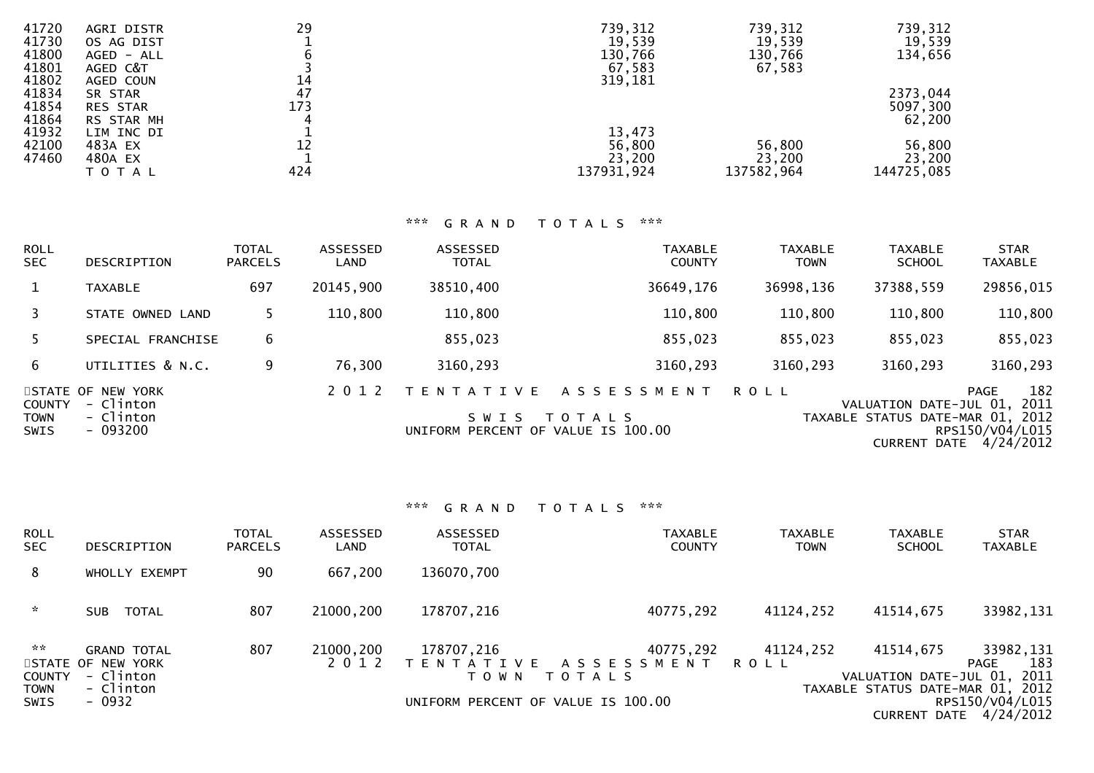| 41720 | AGRI DISTR      | 29  | 739,312    | 739,312    | 739,312    |
|-------|-----------------|-----|------------|------------|------------|
| 41730 | OS AG DIST      |     | 19,539     | 19,539     | 19,539     |
| 41800 | AGED - ALL      |     | 130,766    | 130,766    | 134,656    |
| 41801 | AGED C&T        |     | 67,583     | 67,583     |            |
| 41802 | AGED COUN       | 14  | 319,181    |            |            |
| 41834 | SR STAR         | 47  |            |            | 2373,044   |
| 41854 | <b>RES STAR</b> | 173 |            |            | 5097,300   |
| 41864 | RS STAR MH      |     |            |            | 62,200     |
| 41932 | LIM INC DI      |     | 13,473     |            |            |
| 42100 | 483A EX         | 12  | 56,800     | 56,800     | 56,800     |
| 47460 | 480A EX         |     | 23,200     | 23,200     | 23,200     |
|       | ΤΟΤΑΙ           | 424 | 137931,924 | 137582,964 | 144725,085 |

# \*\*\* G R A N D T O T A L S \*\*\*

| <b>ROLL</b><br>SEC.                         | DESCRIPTION                                             | <b>TOTAL</b><br><b>PARCELS</b> | ASSESSED<br>LAND | <b>ASSESSED</b><br><b>TOTAL</b>                                    | <b>TAXABLE</b><br><b>COUNTY</b> | <b>TAXABLE</b><br><b>TOWN</b> | <b>TAXABLE</b><br><b>SCHOOL</b>                                                   | <b>STAR</b><br><b>TAXABLE</b>                              |
|---------------------------------------------|---------------------------------------------------------|--------------------------------|------------------|--------------------------------------------------------------------|---------------------------------|-------------------------------|-----------------------------------------------------------------------------------|------------------------------------------------------------|
|                                             | <b>TAXABLE</b>                                          | 697                            | 20145,900        | 38510,400                                                          | 36649,176                       | 36998,136                     | 37388,559                                                                         | 29856,015                                                  |
| 3                                           | STATE OWNED LAND                                        |                                | 110,800          | 110,800                                                            | 110,800                         | 110,800                       | 110,800                                                                           | 110,800                                                    |
| .5.                                         | SPECIAL FRANCHISE                                       | 6                              |                  | 855,023                                                            | 855,023                         | 855,023                       | 855,023                                                                           | 855,023                                                    |
| 6.                                          | UTILITIES & N.C.                                        | 9                              | 76,300           | 3160,293                                                           | 3160,293                        | 3160,293                      | 3160,293                                                                          | 3160,293                                                   |
| <b>COUNTY</b><br><b>TOWN</b><br><b>SWIS</b> | STATE OF NEW YORK<br>- Clinton<br>- Clinton<br>- 093200 |                                | 2 0 1 2          | T E N T A T I V E<br>S W I S<br>UNIFORM PERCENT OF VALUE IS 100.00 | ASSESSMENT<br>T O T A L S       | <b>ROLL</b>                   | VALUATION DATE-JUL 01,<br>TAXABLE STATUS DATE-MAR 01, 2012<br><b>CURRENT DATE</b> | 182<br><b>PAGE</b><br>2011<br>RPS150/V04/L015<br>4/24/2012 |

| <b>ROLL</b><br><b>SEC</b>                           | <b>DESCRIPTION</b>                                                          | <b>TOTAL</b><br><b>PARCELS</b> | ASSESSED<br>LAND     | <b>ASSESSED</b><br><b>TOTAL</b> | <b>TAXABLE</b><br><b>COUNTY</b>                                                             | <b>TAXABLE</b><br><b>TOWN</b> | <b>TAXABLE</b><br><b>SCHOOL</b>                                              | <b>STAR</b><br><b>TAXABLE</b>                                         |
|-----------------------------------------------------|-----------------------------------------------------------------------------|--------------------------------|----------------------|---------------------------------|---------------------------------------------------------------------------------------------|-------------------------------|------------------------------------------------------------------------------|-----------------------------------------------------------------------|
| 8                                                   | WHOLLY EXEMPT                                                               | 90                             | 667,200              | 136070,700                      |                                                                                             |                               |                                                                              |                                                                       |
| $\sim$                                              | SUB TOTAL                                                                   | 807                            | 21000,200            | 178707,216                      | 40775,292                                                                                   | 41124,252                     | 41514,675                                                                    | 33982,131                                                             |
| 2.25<br><b>COUNTY</b><br><b>TOWN</b><br><b>SWIS</b> | <b>GRAND TOTAL</b><br>STATE OF NEW YORK<br>- Clinton<br>- Clinton<br>- 0932 | 807                            | 21000,200<br>2 0 1 2 | 178707,216<br>T O W N           | 40775,292<br>TENTATIVE ASSESSMENT ROLL<br>T O T A L S<br>UNIFORM PERCENT OF VALUE IS 100.00 | 41124,252                     | 41514,675<br>VALUATION DATE-JUL 01, 2011<br>TAXABLE STATUS DATE-MAR 01, 2012 | 33982,131<br>183<br>PAGE<br>RPS150/V04/L015<br>CURRENT DATE 4/24/2012 |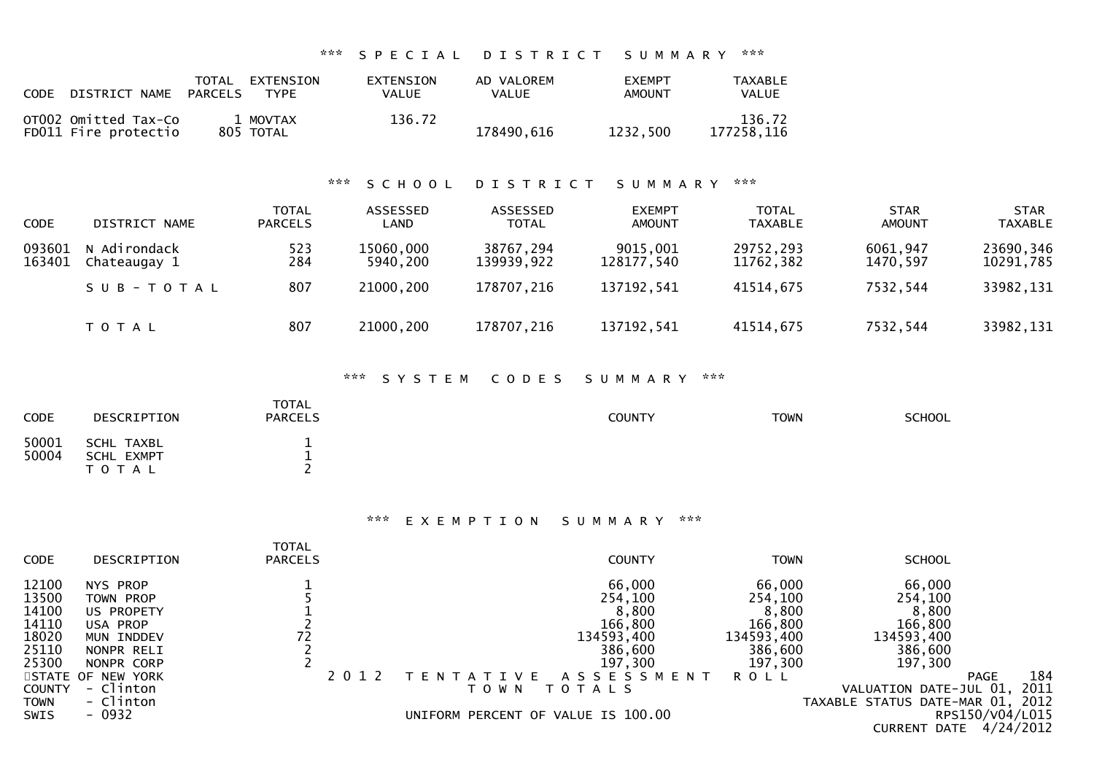#### \*\*\* S P E C I A L D I S T R I C T S U M M A R Y \*\*\*

| CODE | DISTRICT NAME                                | TOTAL<br>PARCELS | EXTENSION<br><b>TYPF</b> | <b>EXTENSION</b><br>VALUE | AD VALOREM<br><b>VALUE</b> | <b>FXEMPT</b><br><b>AMOUNT</b> | TAXABLE<br>VALUE     |
|------|----------------------------------------------|------------------|--------------------------|---------------------------|----------------------------|--------------------------------|----------------------|
|      | OT002 Omitted Tax-Co<br>FD011 Fire protectio |                  | 1 MOVTAX<br>805 TOTAL    | 136.72                    | 178490,616                 | 1232.500                       | 136.72<br>177258.116 |

# \*\*\* S C H O O L D I S T R I C T S U M M A R Y \*\*\*

| <b>CODE</b>      | DISTRICT NAME                | <b>TOTAL</b><br><b>PARCELS</b> | ASSESSED<br><b>LAND</b> | ASSESSED<br><b>TOTAL</b> | <b>EXEMPT</b><br><b>AMOUNT</b> | <b>TOTAL</b><br>TAXABLE | <b>STAR</b><br><b>AMOUNT</b> | <b>STAR</b><br><b>TAXABLE</b> |
|------------------|------------------------------|--------------------------------|-------------------------|--------------------------|--------------------------------|-------------------------|------------------------------|-------------------------------|
| 093601<br>163401 | N Adirondack<br>Chateaugay 1 | 523<br>284                     | 15060,000<br>5940,200   | 38767,294<br>139939,922  | 9015,001<br>128177,540         | 29752,293<br>11762,382  | 6061,947<br>1470.597         | 23690,346<br>10291,785        |
|                  | SUB-TOTAL                    | 807                            | 21000,200               | 178707,216               | 137192,541                     | 41514,675               | 7532,544                     | 33982,131                     |
|                  | T O T A L                    | 807                            | 21000,200               | 178707,216               | 137192,541                     | 41514,675               | 7532,544                     | 33982,131                     |

#### \*\*\* S Y S T E M C O D E S S U M M A R Y \*\*\*

| CODE           | DESCRIPTION                           | <b>TOTAL</b><br><b>PARCELS</b> | <b>COUNTY</b> | <b>TOWN</b> | <b>SCHOOL</b> |
|----------------|---------------------------------------|--------------------------------|---------------|-------------|---------------|
| 50001<br>50004 | SCHL TAXBL<br>SCHL EXMPT<br>T O T A L | --<br>-                        |               |             |               |

# \*\*\* E X E M P T I O N S U M M A R Y \*\*\*

| <b>CODE</b>   | DESCRIPTION       | <b>TOTAL</b><br><b>PARCELS</b> | <b>COUNTY</b>                      | TOWN        | <b>SCHOOL</b>                       |
|---------------|-------------------|--------------------------------|------------------------------------|-------------|-------------------------------------|
| 12100         | NYS PROP          |                                | 66,000                             | 66,000      | 66,000                              |
| 13500         | TOWN PROP         |                                | 254,100                            | 254,100     | 254,100                             |
| 14100         | US PROPETY        |                                | 8,800                              | 8,800       | 8,800                               |
| 14110         | USA PROP          |                                | 166,800                            | 166,800     | 166,800                             |
| 18020         | MUN INDDEV        |                                | 134593,400                         | 134593,400  | 134593,400                          |
| 25110         | NONPR RELI        |                                | 386,600                            | 386,600     | 386,600                             |
| 25300         | NONPR CORP        |                                | 197,300                            | 197,300     | 197,300                             |
|               | STATE OF NEW YORK |                                | A S S E S S M E N T<br>V F<br>N.   | <b>ROLL</b> | 184<br><b>PAGE</b>                  |
| <b>COUNTY</b> | - Clinton         |                                | T O T A L S<br>T O W N             |             | 2011<br>VALUATION DATE-JUL 01,      |
| <b>TOWN</b>   | - Clinton         |                                |                                    |             | 2012<br>TAXABLE STATUS DATE-MAR 01, |
| <b>SWIS</b>   | $-0932$           |                                | UNIFORM PERCENT OF VALUE IS 100.00 |             | RPS150/V04/L015                     |
|               |                   |                                |                                    |             | 4/24/2012<br>CURRENT DATE           |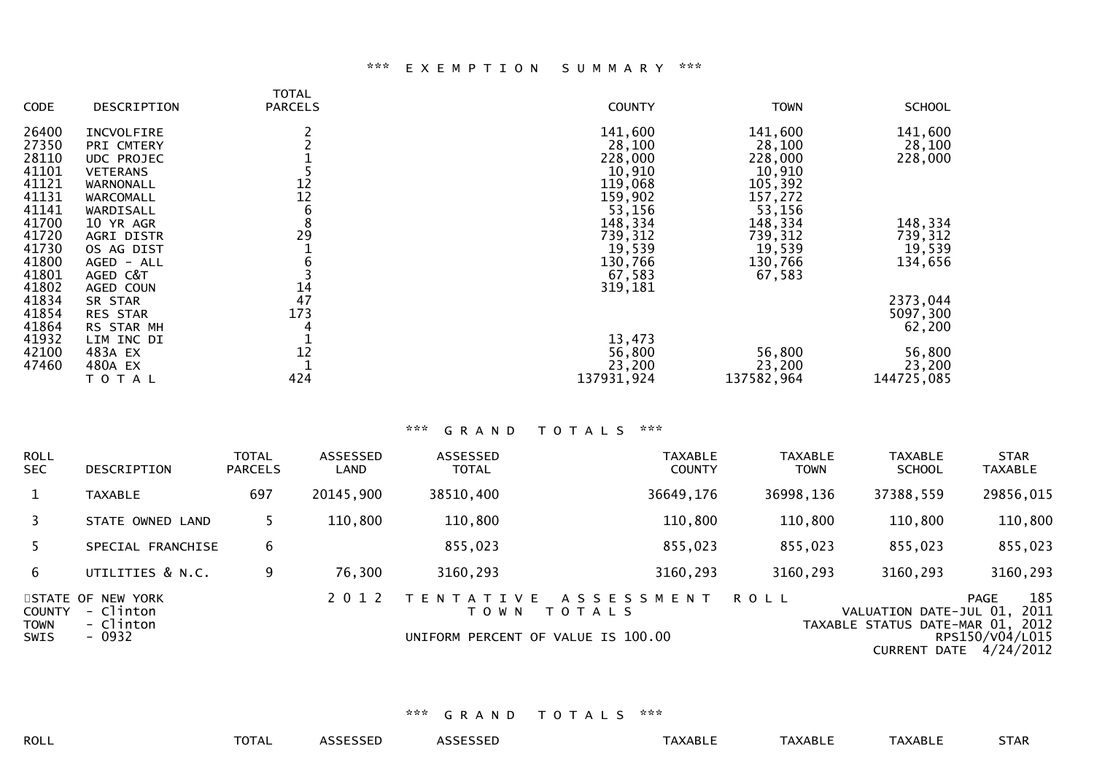#### \*\*\* E X E M P T I O N S U M M A R Y \*\*\*

| <b>CODE</b> | DESCRIPTION     | <b>TOTAL</b><br><b>PARCELS</b> | <b>COUNTY</b> | <b>TOWN</b> | <b>SCHOOL</b> |
|-------------|-----------------|--------------------------------|---------------|-------------|---------------|
| 26400       | INCVOLFIRE      |                                | 141,600       | 141,600     | 141,600       |
| 27350       | PRI CMTERY      |                                | 28,100        | 28,100      | 28,100        |
| 28110       | UDC PROJEC      |                                | 228,000       | 228,000     | 228,000       |
| 41101       | <b>VETERANS</b> |                                | 10,910        | 10,910      |               |
| 41121       | WARNONALL       | 12                             | 119,068       | 105,392     |               |
| 41131       | WARCOMALL       | 12                             | 159,902       | 157,272     |               |
| 41141       | WARDISALL       | 6                              | 53,156        | 53,156      |               |
| 41700       | 10 YR AGR       | 8                              | 148,334       | 148,334     | 148,334       |
| 41720       | AGRI DISTR      | 29                             | 739,312       | 739,312     | 739,312       |
| 41730       | OS AG DIST      |                                | 19,539        | 19,539      | 19,539        |
| 41800       | AGED - ALL      |                                | 130,766       | 130,766     | 134,656       |
| 41801       | AGED C&T        |                                | 67,583        | 67,583      |               |
| 41802       | AGED COUN       | 14                             | 319,181       |             |               |
| 41834       | SR STAR         | 47                             |               |             | 2373,044      |
| 41854       | <b>RES STAR</b> | 173                            |               |             | 5097,300      |
| 41864       | RS STAR MH      |                                |               |             | 62,200        |
| 41932       | LIM INC DI      |                                | 13,473        |             |               |
| 42100       | 483A EX         | 12                             | 56,800        | 56,800      | 56,800        |
| 47460       | 480A EX         |                                | 23,200        | 23,200      | 23,200        |
|             | TOTAL           | 424                            | 137931,924    | 137582,964  | 144725,085    |

# \*\*\* G R A N D T O T A L S \*\*\*

| <b>ROLL</b><br><b>SEC</b>            | DESCRIPTION                                           | <b>TOTAL</b><br><b>PARCELS</b> | ASSESSED<br>LAND | <b>ASSESSED</b><br><b>TOTAL</b> | <b>TAXABLE</b><br><b>COUNTY</b>                                            | <b>TAXABLE</b><br><b>TOWN</b> | <b>TAXABLE</b><br><b>SCHOOL</b>                                 | <b>STAR</b><br><b>TAXABLE</b>                                          |
|--------------------------------------|-------------------------------------------------------|--------------------------------|------------------|---------------------------------|----------------------------------------------------------------------------|-------------------------------|-----------------------------------------------------------------|------------------------------------------------------------------------|
| $\mathbf{1}$                         | <b>TAXABLE</b>                                        | 697                            | 20145,900        | 38510,400                       | 36649,176                                                                  | 36998,136                     | 37388,559                                                       | 29856,015                                                              |
| 3                                    | STATE OWNED LAND                                      |                                | 110,800          | 110,800                         | 110,800                                                                    | 110,800                       | 110,800                                                         | 110,800                                                                |
|                                      | SPECIAL FRANCHISE                                     | 6                              |                  | 855,023                         | 855,023                                                                    | 855,023                       | 855,023                                                         | 855,023                                                                |
| 6.                                   | UTILITIES & N.C.                                      | 9                              | 76,300           | 3160,293                        | 3160,293                                                                   | 3160,293                      | 3160,293                                                        | 3160,293                                                               |
| <b>COUNTY</b><br><b>TOWN</b><br>SWIS | STATE OF NEW YORK<br>- Clinton<br>- Clinton<br>- 0932 |                                | 2 0 1 2          | T E N T A T I V E<br>T O W N    | A S S E S S M E N T<br><b>TOTALS</b><br>UNIFORM PERCENT OF VALUE IS 100.00 | <b>ROLL</b>                   | VALUATION DATE-JUL 01, 2011<br>TAXABLE STATUS DATE-MAR 01, 2012 | 185<br><b>PAGE</b><br>RPS150/V04/L015<br><b>CURRENT DATE 4/24/2012</b> |

# \*\*\* G R A N D T O T A L S \*\*\*

ROLL TOTAL ASSESSED ASSESSED TAXABLE TAXABLE TAXABLE STAR